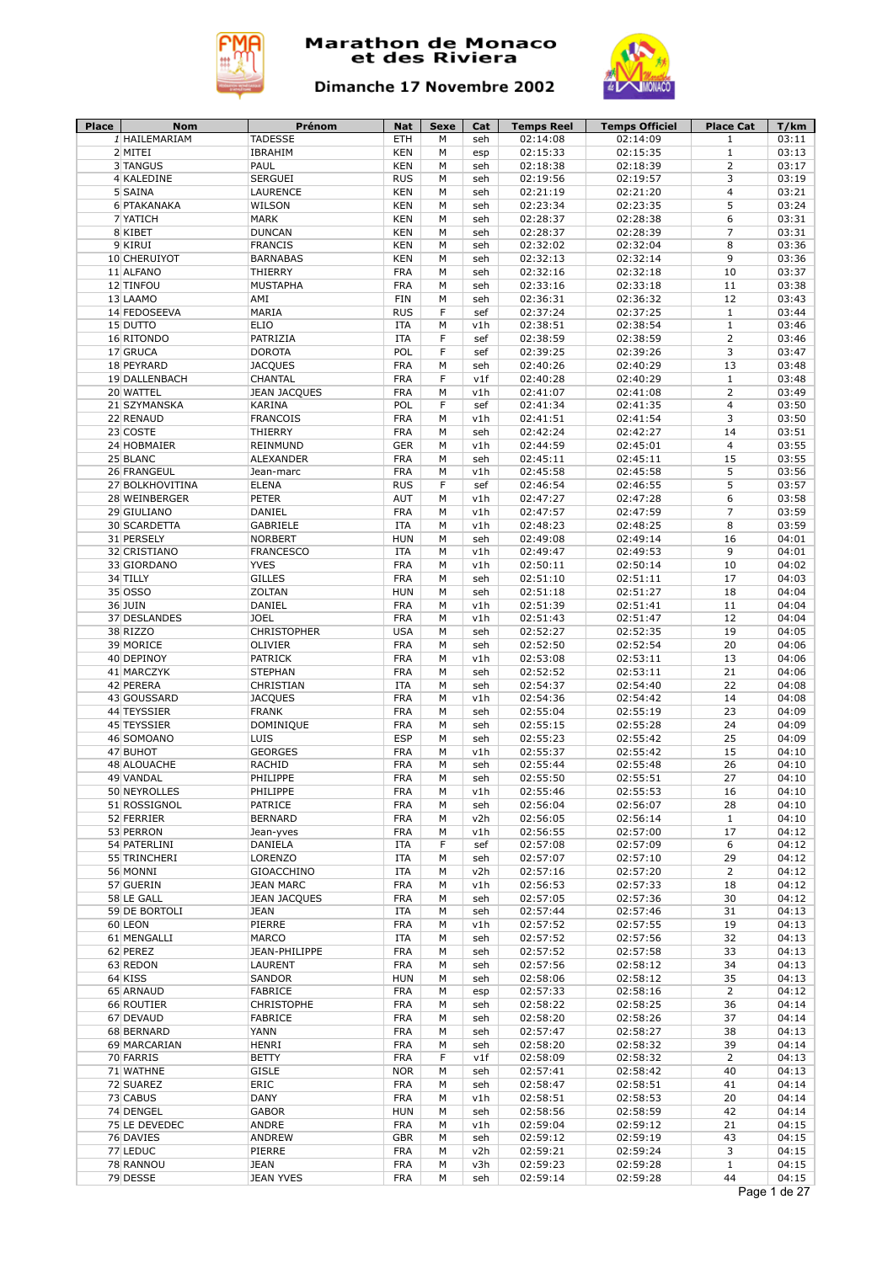



| 1 HAILEMARIAM<br>2 MITEI<br>02:15:33<br>02:15:35<br>03:13<br>IBRAHIM<br><b>KEN</b><br>М<br>$\mathbf{1}$<br>esp<br>3 TANGUS<br>PAUL<br><b>KEN</b><br>02:18:38<br>02:18:39<br>$\overline{2}$<br>03:17<br>М<br>seh<br>4 KALEDINE<br><b>SERGUEI</b><br><b>RUS</b><br>М<br>02:19:56<br>02:19:57<br>3<br>03:19<br>seh<br>5 SAINA<br>LAURENCE<br><b>KEN</b><br>М<br>$\overline{4}$<br>03:21<br>02:21:19<br>02:21:20<br>seh<br>5<br>6 PTAKANAKA<br>WILSON<br><b>KEN</b><br>02:23:34<br>02:23:35<br>03:24<br>М<br>seh<br>03:31<br>7 YATICH<br><b>MARK</b><br><b>KEN</b><br>М<br>02:28:37<br>02:28:38<br>6<br>seh<br>$\overline{7}$<br>03:31<br>8 KIBET<br><b>DUNCAN</b><br><b>KEN</b><br>02:28:37<br>02:28:39<br>М<br>seh<br>8<br>9 KIRUI<br><b>FRANCIS</b><br><b>KEN</b><br>02:32:02<br>02:32:04<br>03:36<br>М<br>seh<br>03:36<br>10 CHERUIYOT<br><b>BARNABAS</b><br><b>KEN</b><br>02:32:13<br>02:32:14<br>9<br>М<br>seh<br>03:37<br>THIERRY<br><b>FRA</b><br>02:32:16<br>02:32:18<br>10<br>11 ALFANO<br>М<br>seh<br>12 TINFOU<br><b>MUSTAPHA</b><br><b>FRA</b><br>02:33:16<br>02:33:18<br>03:38<br>M<br>11<br>seh<br>AMI<br><b>FIN</b><br>02:36:31<br>02:36:32<br>12<br>03:43<br>13 LAAMO<br>М<br>seh<br>03:44<br>14 FEDOSEEVA<br>MARIA<br><b>RUS</b><br>F<br>02:37:24<br>02:37:25<br>$\mathbf{1}$<br>sef<br>15 DUTTO<br><b>ELIO</b><br><b>ITA</b><br>02:38:51<br>02:38:54<br>$1\,$<br>03:46<br>М<br>v1h<br>16 RITONDO<br>PATRIZIA<br><b>ITA</b><br>02:38:59<br>02:38:59<br>$\overline{2}$<br>03:46<br>F<br>sef<br><b>DOROTA</b><br>POL<br>3<br>17 GRUCA<br>F<br>02:39:25<br>02:39:26<br>03:47<br>sef<br><b>JACQUES</b><br><b>FRA</b><br>02:40:26<br>02:40:29<br>03:48<br>18 PEYRARD<br>M<br>13<br>seh<br>CHANTAL<br><b>FRA</b><br>F<br>02:40:29<br>03:48<br>19 DALLENBACH<br>v1f<br>02:40:28<br>$\mathbf{1}$<br>$\overline{2}$<br>20 WATTEL<br><b>JEAN JACQUES</b><br><b>FRA</b><br>03:49<br>M<br>v1h<br>02:41:07<br>02:41:08<br>03:50<br>21 SZYMANSKA<br>POL<br>F<br>02:41:34<br>02:41:35<br>$\overline{4}$<br>KARINA<br>sef<br>3<br><b>FRANCOIS</b><br><b>FRA</b><br>02:41:51<br>02:41:54<br>03:50<br>22 RENAUD<br>M<br>v1h<br>03:51<br>23 COSTE<br><b>THIERRY</b><br><b>FRA</b><br>02:42:24<br>02:42:27<br>14<br>М<br>seh<br>24 HOBMAIER<br><b>GER</b><br>02:44:59<br>02:45:01<br>4<br>03:55<br>REINMUND<br>М<br>v1h<br><b>FRA</b><br>02:45:11<br>02:45:11<br>15<br>03:55<br>25 BLANC<br><b>ALEXANDER</b><br>M<br>seh<br>5<br>26 FRANGEUL<br><b>FRA</b><br>02:45:58<br>02:45:58<br>03:56<br>Jean-marc<br>M<br>v1h<br>5<br>27 BOLKHOVITINA<br><b>ELENA</b><br><b>RUS</b><br>F<br>02:46:54<br>02:46:55<br>03:57<br>sef<br><b>AUT</b><br>02:47:28<br>03:58<br>28 WEINBERGER<br><b>PETER</b><br>М<br>v1h<br>02:47:27<br>6<br><b>FRA</b><br>02:47:57<br>02:47:59<br>$\overline{7}$<br>03:59<br>29 GIULIANO<br>DANIEL<br>М<br>v1h<br>03:59<br>30 SCARDETTA<br>GABRIELE<br><b>ITA</b><br>02:48:23<br>02:48:25<br>8<br>М<br>v1h<br><b>NORBERT</b><br><b>HUN</b><br>16<br>04:01<br>31 PERSELY<br>M<br>seh<br>02:49:08<br>02:49:14<br>9<br>32 CRISTIANO<br><b>FRANCESCO</b><br><b>ITA</b><br>02:49:47<br>02:49:53<br>04:01<br>М<br>v1h<br>04:02<br><b>YVES</b><br><b>FRA</b><br>02:50:11<br>02:50:14<br>33 GIORDANO<br>М<br>v1h<br>10<br>34 TILLY<br><b>GILLES</b><br><b>FRA</b><br>02:51:10<br>02:51:11<br>17<br>04:03<br>М<br>seh<br>ZOLTAN<br><b>HUN</b><br>02:51:18<br>18<br>04:04<br>35 OSSO<br>М<br>seh<br>02:51:27<br>36 JUIN<br>DANIEL<br><b>FRA</b><br>02:51:39<br>02:51:41<br>11<br>04:04<br>М<br>v1h<br>37 DESLANDES<br><b>JOEL</b><br><b>FRA</b><br>02:51:43<br>02:51:47<br>04:04<br>M<br>v1h<br>12<br>38 RIZZO<br><b>CHRISTOPHER</b><br><b>USA</b><br>02:52:27<br>02:52:35<br>19<br>04:05<br>М<br>seh<br>39 MORICE<br>OLIVIER<br><b>FRA</b><br>02:52:50<br>02:52:54<br>20<br>04:06<br>М<br>seh<br>40 DEPINOY<br>PATRICK<br><b>FRA</b><br>02:53:08<br>02:53:11<br>13<br>04:06<br>М<br>v1h<br>41 MARCZYK<br><b>FRA</b><br>02:52:52<br>02:53:11<br>04:06<br><b>STEPHAN</b><br>М<br>21<br>seh<br>42 PERERA<br>CHRISTIAN<br><b>ITA</b><br>02:54:37<br>02:54:40<br>22<br>04:08<br>М<br>seh<br><b>JACQUES</b><br><b>FRA</b><br>02:54:36<br>02:54:42<br>04:08<br>43 GOUSSARD<br>М<br>v1h<br>14<br><b>FRA</b><br>02:55:04<br>02:55:19<br>04:09<br>44 TEYSSIER<br><b>FRANK</b><br>М<br>23<br>seh<br>45 TEYSSIER<br>DOMINIQUE<br><b>FRA</b><br>02:55:15<br>02:55:28<br>24<br>04:09<br>M<br>seh<br>46 SOMOANO<br>LUIS<br><b>ESP</b><br>02:55:23<br>02:55:42<br>25<br>04:09<br>M<br>seh<br><b>GEORGES</b><br><b>FRA</b><br>47 BUHOT<br>02:55:37<br>02:55:42<br>15<br>04:10<br>М<br>v1h<br>RACHID<br><b>FRA</b><br>04:10<br>48 ALOUACHE<br>M<br>02:55:44<br>02:55:48<br>26<br>seh<br>49 VANDAL<br>PHILIPPE<br><b>FRA</b><br>02:55:50<br>02:55:51<br>27<br>04:10<br>М<br>seh<br>PHILIPPE<br><b>FRA</b><br>16<br>50 NEYROLLES<br>М<br>v1h<br>02:55:46<br>02:55:53<br>04:10<br>51 ROSSIGNOL<br><b>PATRICE</b><br><b>FRA</b><br>02:56:04<br>02:56:07<br>28<br>04:10<br>М<br>seh<br><b>FRA</b><br>04:10<br>52 FERRIER<br><b>BERNARD</b><br>М<br>v2h<br>02:56:05<br>02:56:14<br>$\mathbf{1}$<br>53 PERRON<br>Jean-yves<br><b>FRA</b><br>М<br>v1h<br>02:56:55<br>02:57:00<br>17<br>04:12<br>54 PATERLINI<br>DANIELA<br>ITA<br>F<br>02:57:08<br>02:57:09<br>6<br>04:12<br>sef<br>55 TRINCHERI<br>LORENZO<br>02:57:10<br>29<br>ITA<br>02:57:07<br>04:12<br>М<br>seh<br>$\overline{2}$<br>56 MONNI<br>GIOACCHINO<br>ITA<br>М<br>02:57:16<br>02:57:20<br>04:12<br>v2h<br><b>FRA</b><br>57 GUERIN<br><b>JEAN MARC</b><br>М<br>v1h<br>02:56:53<br>02:57:33<br>18<br>04:12<br>02:57:36<br>58 LE GALL<br><b>JEAN JACQUES</b><br><b>FRA</b><br>М<br>seh<br>02:57:05<br>30<br>04:12<br>02:57:44<br>02:57:46<br>59 DE BORTOLI<br><b>JEAN</b><br>ITA<br>М<br>seh<br>31<br>04:13<br>60 LEON<br>PIERRE<br><b>FRA</b><br>v1h<br>02:57:52<br>02:57:55<br>19<br>04:13<br>М<br>32<br>61 MENGALLI<br>MARCO<br>ITA<br>М<br>02:57:52<br>02:57:56<br>04:13<br>seh<br>62 PEREZ<br><b>FRA</b><br>02:57:52<br>33<br>JEAN-PHILIPPE<br>М<br>02:57:58<br>04:13<br>seh<br><b>FRA</b><br>63 REDON<br>LAURENT<br>02:57:56<br>02:58:12<br>34<br>04:13<br>М<br>seh<br>35<br>64 KISS<br>SANDOR<br><b>HUN</b><br>02:58:06<br>02:58:12<br>04:13<br>М<br>seh<br>02:58:16<br>$\overline{2}$<br>65 ARNAUD<br><b>FABRICE</b><br><b>FRA</b><br>М<br>02:57:33<br>04:12<br>esp<br>CHRISTOPHE<br>66 ROUTIER<br><b>FRA</b><br>02:58:22<br>02:58:25<br>36<br>04:14<br>М<br>seh<br><b>FRA</b><br>67 DEVAUD<br><b>FABRICE</b><br>М<br>02:58:20<br>02:58:26<br>37<br>04:14<br>seh<br>68 BERNARD<br>YANN<br><b>FRA</b><br>02:57:47<br>02:58:27<br>38<br>04:13<br>М<br>seh<br>69 MARCARIAN<br><b>HENRI</b><br><b>FRA</b><br>02:58:20<br>02:58:32<br>39<br>04:14<br>М<br>seh<br><b>BETTY</b><br><b>FRA</b><br>$\overline{2}$<br>70 FARRIS<br>F<br>v1f<br>02:58:09<br>02:58:32<br>04:13<br><b>GISLE</b><br><b>NOR</b><br>71 WATHNE<br>02:57:41<br>02:58:42<br>40<br>04:13<br>М<br>seh<br>ERIC<br>72 SUAREZ<br><b>FRA</b><br>02:58:47<br>02:58:51<br>41<br>04:14<br>М<br>seh<br>DANY<br><b>FRA</b><br>73 CABUS<br>v1h<br>02:58:53<br>20<br>04:14<br>М<br>02:58:51<br>74 DENGEL<br><b>GABOR</b><br>02:58:59<br>04:14<br><b>HUN</b><br>02:58:56<br>42<br>М<br>seh<br><b>FRA</b><br>04:15<br>75 LE DEVEDEC<br>ANDRE<br>v1h<br>02:59:04<br>02:59:12<br>21<br>М<br>76 DAVIES<br>ANDREW<br>GBR<br>02:59:12<br>02:59:19<br>43<br>04:15<br>М<br>seh<br>77 LEDUC<br>3<br>PIERRE<br><b>FRA</b><br>М<br>v2h<br>02:59:21<br>02:59:24<br>04:15<br>78 RANNOU<br>02:59:28<br>$\mathbf{1}$<br>04:15<br><b>JEAN</b><br><b>FRA</b><br>М<br>v3h<br>02:59:23<br>04:15<br>79 DESSE<br><b>JEAN YVES</b><br><b>FRA</b><br>М<br>02:59:14<br>02:59:28<br>44<br>seh<br>Page 1 de 27 | Place | Nom | Prénom         | Nat        | Sexe | Cat | <b>Temps Reel</b> | <b>Temps Officiel</b> | <b>Place Cat</b> | T/km  |
|--------------------------------------------------------------------------------------------------------------------------------------------------------------------------------------------------------------------------------------------------------------------------------------------------------------------------------------------------------------------------------------------------------------------------------------------------------------------------------------------------------------------------------------------------------------------------------------------------------------------------------------------------------------------------------------------------------------------------------------------------------------------------------------------------------------------------------------------------------------------------------------------------------------------------------------------------------------------------------------------------------------------------------------------------------------------------------------------------------------------------------------------------------------------------------------------------------------------------------------------------------------------------------------------------------------------------------------------------------------------------------------------------------------------------------------------------------------------------------------------------------------------------------------------------------------------------------------------------------------------------------------------------------------------------------------------------------------------------------------------------------------------------------------------------------------------------------------------------------------------------------------------------------------------------------------------------------------------------------------------------------------------------------------------------------------------------------------------------------------------------------------------------------------------------------------------------------------------------------------------------------------------------------------------------------------------------------------------------------------------------------------------------------------------------------------------------------------------------------------------------------------------------------------------------------------------------------------------------------------------------------------------------------------------------------------------------------------------------------------------------------------------------------------------------------------------------------------------------------------------------------------------------------------------------------------------------------------------------------------------------------------------------------------------------------------------------------------------------------------------------------------------------------------------------------------------------------------------------------------------------------------------------------------------------------------------------------------------------------------------------------------------------------------------------------------------------------------------------------------------------------------------------------------------------------------------------------------------------------------------------------------------------------------------------------------------------------------------------------------------------------------------------------------------------------------------------------------------------------------------------------------------------------------------------------------------------------------------------------------------------------------------------------------------------------------------------------------------------------------------------------------------------------------------------------------------------------------------------------------------------------------------------------------------------------------------------------------------------------------------------------------------------------------------------------------------------------------------------------------------------------------------------------------------------------------------------------------------------------------------------------------------------------------------------------------------------------------------------------------------------------------------------------------------------------------------------------------------------------------------------------------------------------------------------------------------------------------------------------------------------------------------------------------------------------------------------------------------------------------------------------------------------------------------------------------------------------------------------------------------------------------------------------------------------------------------------------------------------------------------------------------------------------------------------------------------------------------------------------------------------------------------------------------------------------------------------------------------------------------------------------------------------------------------------------------------------------------------------------------------------------------------------------------------------------------------------------------------------------------------------------------------------------------------------------------------------------------------------------------------------------------------------------------------------------------------------------------------------------------------------------------------------------------------------------------------------------------------------------------------------------------------------------------------------------------------------------------------------------------------------------------------------------------------------------------------------------------------------------------------------------------------------------------------------------------------------------------------------------------------------------------------------------------------------------------------------------------------------------------------------------------------------------------------------------------------------------------------------------------------------------------------------------------------------------------------------------------------------------------------------------------------------------------------------------------------------------------------------------------------------------------------------------------------------------------------------------------------------------------------------------------------------------------------------------------------------------------------------------------------------------------------------------------------------------------------------------------------------------------------------------------------------------------------------------------------------------------------------------------------------------------------------------------------------------|-------|-----|----------------|------------|------|-----|-------------------|-----------------------|------------------|-------|
|                                                                                                                                                                                                                                                                                                                                                                                                                                                                                                                                                                                                                                                                                                                                                                                                                                                                                                                                                                                                                                                                                                                                                                                                                                                                                                                                                                                                                                                                                                                                                                                                                                                                                                                                                                                                                                                                                                                                                                                                                                                                                                                                                                                                                                                                                                                                                                                                                                                                                                                                                                                                                                                                                                                                                                                                                                                                                                                                                                                                                                                                                                                                                                                                                                                                                                                                                                                                                                                                                                                                                                                                                                                                                                                                                                                                                                                                                                                                                                                                                                                                                                                                                                                                                                                                                                                                                                                                                                                                                                                                                                                                                                                                                                                                                                                                                                                                                                                                                                                                                                                                                                                                                                                                                                                                                                                                                                                                                                                                                                                                                                                                                                                                                                                                                                                                                                                                                                                                                                                                                                                                                                                                                                                                                                                                                                                                                                                                                                                                                                                                                                                                                                                                                                                                                                                                                                                                                                                                                                                                                                                                                                                                                                                                                                                                                                                                                                                                                                                                                                                                                                                                                                                                                |       |     | <b>TADESSE</b> | <b>ETH</b> | M    | seh | 02:14:08          | 02:14:09              | 1                | 03:11 |
|                                                                                                                                                                                                                                                                                                                                                                                                                                                                                                                                                                                                                                                                                                                                                                                                                                                                                                                                                                                                                                                                                                                                                                                                                                                                                                                                                                                                                                                                                                                                                                                                                                                                                                                                                                                                                                                                                                                                                                                                                                                                                                                                                                                                                                                                                                                                                                                                                                                                                                                                                                                                                                                                                                                                                                                                                                                                                                                                                                                                                                                                                                                                                                                                                                                                                                                                                                                                                                                                                                                                                                                                                                                                                                                                                                                                                                                                                                                                                                                                                                                                                                                                                                                                                                                                                                                                                                                                                                                                                                                                                                                                                                                                                                                                                                                                                                                                                                                                                                                                                                                                                                                                                                                                                                                                                                                                                                                                                                                                                                                                                                                                                                                                                                                                                                                                                                                                                                                                                                                                                                                                                                                                                                                                                                                                                                                                                                                                                                                                                                                                                                                                                                                                                                                                                                                                                                                                                                                                                                                                                                                                                                                                                                                                                                                                                                                                                                                                                                                                                                                                                                                                                                                                                |       |     |                |            |      |     |                   |                       |                  |       |
|                                                                                                                                                                                                                                                                                                                                                                                                                                                                                                                                                                                                                                                                                                                                                                                                                                                                                                                                                                                                                                                                                                                                                                                                                                                                                                                                                                                                                                                                                                                                                                                                                                                                                                                                                                                                                                                                                                                                                                                                                                                                                                                                                                                                                                                                                                                                                                                                                                                                                                                                                                                                                                                                                                                                                                                                                                                                                                                                                                                                                                                                                                                                                                                                                                                                                                                                                                                                                                                                                                                                                                                                                                                                                                                                                                                                                                                                                                                                                                                                                                                                                                                                                                                                                                                                                                                                                                                                                                                                                                                                                                                                                                                                                                                                                                                                                                                                                                                                                                                                                                                                                                                                                                                                                                                                                                                                                                                                                                                                                                                                                                                                                                                                                                                                                                                                                                                                                                                                                                                                                                                                                                                                                                                                                                                                                                                                                                                                                                                                                                                                                                                                                                                                                                                                                                                                                                                                                                                                                                                                                                                                                                                                                                                                                                                                                                                                                                                                                                                                                                                                                                                                                                                                                |       |     |                |            |      |     |                   |                       |                  |       |
|                                                                                                                                                                                                                                                                                                                                                                                                                                                                                                                                                                                                                                                                                                                                                                                                                                                                                                                                                                                                                                                                                                                                                                                                                                                                                                                                                                                                                                                                                                                                                                                                                                                                                                                                                                                                                                                                                                                                                                                                                                                                                                                                                                                                                                                                                                                                                                                                                                                                                                                                                                                                                                                                                                                                                                                                                                                                                                                                                                                                                                                                                                                                                                                                                                                                                                                                                                                                                                                                                                                                                                                                                                                                                                                                                                                                                                                                                                                                                                                                                                                                                                                                                                                                                                                                                                                                                                                                                                                                                                                                                                                                                                                                                                                                                                                                                                                                                                                                                                                                                                                                                                                                                                                                                                                                                                                                                                                                                                                                                                                                                                                                                                                                                                                                                                                                                                                                                                                                                                                                                                                                                                                                                                                                                                                                                                                                                                                                                                                                                                                                                                                                                                                                                                                                                                                                                                                                                                                                                                                                                                                                                                                                                                                                                                                                                                                                                                                                                                                                                                                                                                                                                                                                                |       |     |                |            |      |     |                   |                       |                  |       |
|                                                                                                                                                                                                                                                                                                                                                                                                                                                                                                                                                                                                                                                                                                                                                                                                                                                                                                                                                                                                                                                                                                                                                                                                                                                                                                                                                                                                                                                                                                                                                                                                                                                                                                                                                                                                                                                                                                                                                                                                                                                                                                                                                                                                                                                                                                                                                                                                                                                                                                                                                                                                                                                                                                                                                                                                                                                                                                                                                                                                                                                                                                                                                                                                                                                                                                                                                                                                                                                                                                                                                                                                                                                                                                                                                                                                                                                                                                                                                                                                                                                                                                                                                                                                                                                                                                                                                                                                                                                                                                                                                                                                                                                                                                                                                                                                                                                                                                                                                                                                                                                                                                                                                                                                                                                                                                                                                                                                                                                                                                                                                                                                                                                                                                                                                                                                                                                                                                                                                                                                                                                                                                                                                                                                                                                                                                                                                                                                                                                                                                                                                                                                                                                                                                                                                                                                                                                                                                                                                                                                                                                                                                                                                                                                                                                                                                                                                                                                                                                                                                                                                                                                                                                                                |       |     |                |            |      |     |                   |                       |                  |       |
|                                                                                                                                                                                                                                                                                                                                                                                                                                                                                                                                                                                                                                                                                                                                                                                                                                                                                                                                                                                                                                                                                                                                                                                                                                                                                                                                                                                                                                                                                                                                                                                                                                                                                                                                                                                                                                                                                                                                                                                                                                                                                                                                                                                                                                                                                                                                                                                                                                                                                                                                                                                                                                                                                                                                                                                                                                                                                                                                                                                                                                                                                                                                                                                                                                                                                                                                                                                                                                                                                                                                                                                                                                                                                                                                                                                                                                                                                                                                                                                                                                                                                                                                                                                                                                                                                                                                                                                                                                                                                                                                                                                                                                                                                                                                                                                                                                                                                                                                                                                                                                                                                                                                                                                                                                                                                                                                                                                                                                                                                                                                                                                                                                                                                                                                                                                                                                                                                                                                                                                                                                                                                                                                                                                                                                                                                                                                                                                                                                                                                                                                                                                                                                                                                                                                                                                                                                                                                                                                                                                                                                                                                                                                                                                                                                                                                                                                                                                                                                                                                                                                                                                                                                                                                |       |     |                |            |      |     |                   |                       |                  |       |
|                                                                                                                                                                                                                                                                                                                                                                                                                                                                                                                                                                                                                                                                                                                                                                                                                                                                                                                                                                                                                                                                                                                                                                                                                                                                                                                                                                                                                                                                                                                                                                                                                                                                                                                                                                                                                                                                                                                                                                                                                                                                                                                                                                                                                                                                                                                                                                                                                                                                                                                                                                                                                                                                                                                                                                                                                                                                                                                                                                                                                                                                                                                                                                                                                                                                                                                                                                                                                                                                                                                                                                                                                                                                                                                                                                                                                                                                                                                                                                                                                                                                                                                                                                                                                                                                                                                                                                                                                                                                                                                                                                                                                                                                                                                                                                                                                                                                                                                                                                                                                                                                                                                                                                                                                                                                                                                                                                                                                                                                                                                                                                                                                                                                                                                                                                                                                                                                                                                                                                                                                                                                                                                                                                                                                                                                                                                                                                                                                                                                                                                                                                                                                                                                                                                                                                                                                                                                                                                                                                                                                                                                                                                                                                                                                                                                                                                                                                                                                                                                                                                                                                                                                                                                                |       |     |                |            |      |     |                   |                       |                  |       |
|                                                                                                                                                                                                                                                                                                                                                                                                                                                                                                                                                                                                                                                                                                                                                                                                                                                                                                                                                                                                                                                                                                                                                                                                                                                                                                                                                                                                                                                                                                                                                                                                                                                                                                                                                                                                                                                                                                                                                                                                                                                                                                                                                                                                                                                                                                                                                                                                                                                                                                                                                                                                                                                                                                                                                                                                                                                                                                                                                                                                                                                                                                                                                                                                                                                                                                                                                                                                                                                                                                                                                                                                                                                                                                                                                                                                                                                                                                                                                                                                                                                                                                                                                                                                                                                                                                                                                                                                                                                                                                                                                                                                                                                                                                                                                                                                                                                                                                                                                                                                                                                                                                                                                                                                                                                                                                                                                                                                                                                                                                                                                                                                                                                                                                                                                                                                                                                                                                                                                                                                                                                                                                                                                                                                                                                                                                                                                                                                                                                                                                                                                                                                                                                                                                                                                                                                                                                                                                                                                                                                                                                                                                                                                                                                                                                                                                                                                                                                                                                                                                                                                                                                                                                                                |       |     |                |            |      |     |                   |                       |                  |       |
|                                                                                                                                                                                                                                                                                                                                                                                                                                                                                                                                                                                                                                                                                                                                                                                                                                                                                                                                                                                                                                                                                                                                                                                                                                                                                                                                                                                                                                                                                                                                                                                                                                                                                                                                                                                                                                                                                                                                                                                                                                                                                                                                                                                                                                                                                                                                                                                                                                                                                                                                                                                                                                                                                                                                                                                                                                                                                                                                                                                                                                                                                                                                                                                                                                                                                                                                                                                                                                                                                                                                                                                                                                                                                                                                                                                                                                                                                                                                                                                                                                                                                                                                                                                                                                                                                                                                                                                                                                                                                                                                                                                                                                                                                                                                                                                                                                                                                                                                                                                                                                                                                                                                                                                                                                                                                                                                                                                                                                                                                                                                                                                                                                                                                                                                                                                                                                                                                                                                                                                                                                                                                                                                                                                                                                                                                                                                                                                                                                                                                                                                                                                                                                                                                                                                                                                                                                                                                                                                                                                                                                                                                                                                                                                                                                                                                                                                                                                                                                                                                                                                                                                                                                                                                |       |     |                |            |      |     |                   |                       |                  |       |
|                                                                                                                                                                                                                                                                                                                                                                                                                                                                                                                                                                                                                                                                                                                                                                                                                                                                                                                                                                                                                                                                                                                                                                                                                                                                                                                                                                                                                                                                                                                                                                                                                                                                                                                                                                                                                                                                                                                                                                                                                                                                                                                                                                                                                                                                                                                                                                                                                                                                                                                                                                                                                                                                                                                                                                                                                                                                                                                                                                                                                                                                                                                                                                                                                                                                                                                                                                                                                                                                                                                                                                                                                                                                                                                                                                                                                                                                                                                                                                                                                                                                                                                                                                                                                                                                                                                                                                                                                                                                                                                                                                                                                                                                                                                                                                                                                                                                                                                                                                                                                                                                                                                                                                                                                                                                                                                                                                                                                                                                                                                                                                                                                                                                                                                                                                                                                                                                                                                                                                                                                                                                                                                                                                                                                                                                                                                                                                                                                                                                                                                                                                                                                                                                                                                                                                                                                                                                                                                                                                                                                                                                                                                                                                                                                                                                                                                                                                                                                                                                                                                                                                                                                                                                                |       |     |                |            |      |     |                   |                       |                  |       |
|                                                                                                                                                                                                                                                                                                                                                                                                                                                                                                                                                                                                                                                                                                                                                                                                                                                                                                                                                                                                                                                                                                                                                                                                                                                                                                                                                                                                                                                                                                                                                                                                                                                                                                                                                                                                                                                                                                                                                                                                                                                                                                                                                                                                                                                                                                                                                                                                                                                                                                                                                                                                                                                                                                                                                                                                                                                                                                                                                                                                                                                                                                                                                                                                                                                                                                                                                                                                                                                                                                                                                                                                                                                                                                                                                                                                                                                                                                                                                                                                                                                                                                                                                                                                                                                                                                                                                                                                                                                                                                                                                                                                                                                                                                                                                                                                                                                                                                                                                                                                                                                                                                                                                                                                                                                                                                                                                                                                                                                                                                                                                                                                                                                                                                                                                                                                                                                                                                                                                                                                                                                                                                                                                                                                                                                                                                                                                                                                                                                                                                                                                                                                                                                                                                                                                                                                                                                                                                                                                                                                                                                                                                                                                                                                                                                                                                                                                                                                                                                                                                                                                                                                                                                                                |       |     |                |            |      |     |                   |                       |                  |       |
|                                                                                                                                                                                                                                                                                                                                                                                                                                                                                                                                                                                                                                                                                                                                                                                                                                                                                                                                                                                                                                                                                                                                                                                                                                                                                                                                                                                                                                                                                                                                                                                                                                                                                                                                                                                                                                                                                                                                                                                                                                                                                                                                                                                                                                                                                                                                                                                                                                                                                                                                                                                                                                                                                                                                                                                                                                                                                                                                                                                                                                                                                                                                                                                                                                                                                                                                                                                                                                                                                                                                                                                                                                                                                                                                                                                                                                                                                                                                                                                                                                                                                                                                                                                                                                                                                                                                                                                                                                                                                                                                                                                                                                                                                                                                                                                                                                                                                                                                                                                                                                                                                                                                                                                                                                                                                                                                                                                                                                                                                                                                                                                                                                                                                                                                                                                                                                                                                                                                                                                                                                                                                                                                                                                                                                                                                                                                                                                                                                                                                                                                                                                                                                                                                                                                                                                                                                                                                                                                                                                                                                                                                                                                                                                                                                                                                                                                                                                                                                                                                                                                                                                                                                                                                |       |     |                |            |      |     |                   |                       |                  |       |
|                                                                                                                                                                                                                                                                                                                                                                                                                                                                                                                                                                                                                                                                                                                                                                                                                                                                                                                                                                                                                                                                                                                                                                                                                                                                                                                                                                                                                                                                                                                                                                                                                                                                                                                                                                                                                                                                                                                                                                                                                                                                                                                                                                                                                                                                                                                                                                                                                                                                                                                                                                                                                                                                                                                                                                                                                                                                                                                                                                                                                                                                                                                                                                                                                                                                                                                                                                                                                                                                                                                                                                                                                                                                                                                                                                                                                                                                                                                                                                                                                                                                                                                                                                                                                                                                                                                                                                                                                                                                                                                                                                                                                                                                                                                                                                                                                                                                                                                                                                                                                                                                                                                                                                                                                                                                                                                                                                                                                                                                                                                                                                                                                                                                                                                                                                                                                                                                                                                                                                                                                                                                                                                                                                                                                                                                                                                                                                                                                                                                                                                                                                                                                                                                                                                                                                                                                                                                                                                                                                                                                                                                                                                                                                                                                                                                                                                                                                                                                                                                                                                                                                                                                                                                                |       |     |                |            |      |     |                   |                       |                  |       |
|                                                                                                                                                                                                                                                                                                                                                                                                                                                                                                                                                                                                                                                                                                                                                                                                                                                                                                                                                                                                                                                                                                                                                                                                                                                                                                                                                                                                                                                                                                                                                                                                                                                                                                                                                                                                                                                                                                                                                                                                                                                                                                                                                                                                                                                                                                                                                                                                                                                                                                                                                                                                                                                                                                                                                                                                                                                                                                                                                                                                                                                                                                                                                                                                                                                                                                                                                                                                                                                                                                                                                                                                                                                                                                                                                                                                                                                                                                                                                                                                                                                                                                                                                                                                                                                                                                                                                                                                                                                                                                                                                                                                                                                                                                                                                                                                                                                                                                                                                                                                                                                                                                                                                                                                                                                                                                                                                                                                                                                                                                                                                                                                                                                                                                                                                                                                                                                                                                                                                                                                                                                                                                                                                                                                                                                                                                                                                                                                                                                                                                                                                                                                                                                                                                                                                                                                                                                                                                                                                                                                                                                                                                                                                                                                                                                                                                                                                                                                                                                                                                                                                                                                                                                                                |       |     |                |            |      |     |                   |                       |                  |       |
|                                                                                                                                                                                                                                                                                                                                                                                                                                                                                                                                                                                                                                                                                                                                                                                                                                                                                                                                                                                                                                                                                                                                                                                                                                                                                                                                                                                                                                                                                                                                                                                                                                                                                                                                                                                                                                                                                                                                                                                                                                                                                                                                                                                                                                                                                                                                                                                                                                                                                                                                                                                                                                                                                                                                                                                                                                                                                                                                                                                                                                                                                                                                                                                                                                                                                                                                                                                                                                                                                                                                                                                                                                                                                                                                                                                                                                                                                                                                                                                                                                                                                                                                                                                                                                                                                                                                                                                                                                                                                                                                                                                                                                                                                                                                                                                                                                                                                                                                                                                                                                                                                                                                                                                                                                                                                                                                                                                                                                                                                                                                                                                                                                                                                                                                                                                                                                                                                                                                                                                                                                                                                                                                                                                                                                                                                                                                                                                                                                                                                                                                                                                                                                                                                                                                                                                                                                                                                                                                                                                                                                                                                                                                                                                                                                                                                                                                                                                                                                                                                                                                                                                                                                                                                |       |     |                |            |      |     |                   |                       |                  |       |
|                                                                                                                                                                                                                                                                                                                                                                                                                                                                                                                                                                                                                                                                                                                                                                                                                                                                                                                                                                                                                                                                                                                                                                                                                                                                                                                                                                                                                                                                                                                                                                                                                                                                                                                                                                                                                                                                                                                                                                                                                                                                                                                                                                                                                                                                                                                                                                                                                                                                                                                                                                                                                                                                                                                                                                                                                                                                                                                                                                                                                                                                                                                                                                                                                                                                                                                                                                                                                                                                                                                                                                                                                                                                                                                                                                                                                                                                                                                                                                                                                                                                                                                                                                                                                                                                                                                                                                                                                                                                                                                                                                                                                                                                                                                                                                                                                                                                                                                                                                                                                                                                                                                                                                                                                                                                                                                                                                                                                                                                                                                                                                                                                                                                                                                                                                                                                                                                                                                                                                                                                                                                                                                                                                                                                                                                                                                                                                                                                                                                                                                                                                                                                                                                                                                                                                                                                                                                                                                                                                                                                                                                                                                                                                                                                                                                                                                                                                                                                                                                                                                                                                                                                                                                                |       |     |                |            |      |     |                   |                       |                  |       |
|                                                                                                                                                                                                                                                                                                                                                                                                                                                                                                                                                                                                                                                                                                                                                                                                                                                                                                                                                                                                                                                                                                                                                                                                                                                                                                                                                                                                                                                                                                                                                                                                                                                                                                                                                                                                                                                                                                                                                                                                                                                                                                                                                                                                                                                                                                                                                                                                                                                                                                                                                                                                                                                                                                                                                                                                                                                                                                                                                                                                                                                                                                                                                                                                                                                                                                                                                                                                                                                                                                                                                                                                                                                                                                                                                                                                                                                                                                                                                                                                                                                                                                                                                                                                                                                                                                                                                                                                                                                                                                                                                                                                                                                                                                                                                                                                                                                                                                                                                                                                                                                                                                                                                                                                                                                                                                                                                                                                                                                                                                                                                                                                                                                                                                                                                                                                                                                                                                                                                                                                                                                                                                                                                                                                                                                                                                                                                                                                                                                                                                                                                                                                                                                                                                                                                                                                                                                                                                                                                                                                                                                                                                                                                                                                                                                                                                                                                                                                                                                                                                                                                                                                                                                                                |       |     |                |            |      |     |                   |                       |                  |       |
|                                                                                                                                                                                                                                                                                                                                                                                                                                                                                                                                                                                                                                                                                                                                                                                                                                                                                                                                                                                                                                                                                                                                                                                                                                                                                                                                                                                                                                                                                                                                                                                                                                                                                                                                                                                                                                                                                                                                                                                                                                                                                                                                                                                                                                                                                                                                                                                                                                                                                                                                                                                                                                                                                                                                                                                                                                                                                                                                                                                                                                                                                                                                                                                                                                                                                                                                                                                                                                                                                                                                                                                                                                                                                                                                                                                                                                                                                                                                                                                                                                                                                                                                                                                                                                                                                                                                                                                                                                                                                                                                                                                                                                                                                                                                                                                                                                                                                                                                                                                                                                                                                                                                                                                                                                                                                                                                                                                                                                                                                                                                                                                                                                                                                                                                                                                                                                                                                                                                                                                                                                                                                                                                                                                                                                                                                                                                                                                                                                                                                                                                                                                                                                                                                                                                                                                                                                                                                                                                                                                                                                                                                                                                                                                                                                                                                                                                                                                                                                                                                                                                                                                                                                                                                |       |     |                |            |      |     |                   |                       |                  |       |
|                                                                                                                                                                                                                                                                                                                                                                                                                                                                                                                                                                                                                                                                                                                                                                                                                                                                                                                                                                                                                                                                                                                                                                                                                                                                                                                                                                                                                                                                                                                                                                                                                                                                                                                                                                                                                                                                                                                                                                                                                                                                                                                                                                                                                                                                                                                                                                                                                                                                                                                                                                                                                                                                                                                                                                                                                                                                                                                                                                                                                                                                                                                                                                                                                                                                                                                                                                                                                                                                                                                                                                                                                                                                                                                                                                                                                                                                                                                                                                                                                                                                                                                                                                                                                                                                                                                                                                                                                                                                                                                                                                                                                                                                                                                                                                                                                                                                                                                                                                                                                                                                                                                                                                                                                                                                                                                                                                                                                                                                                                                                                                                                                                                                                                                                                                                                                                                                                                                                                                                                                                                                                                                                                                                                                                                                                                                                                                                                                                                                                                                                                                                                                                                                                                                                                                                                                                                                                                                                                                                                                                                                                                                                                                                                                                                                                                                                                                                                                                                                                                                                                                                                                                                                                |       |     |                |            |      |     |                   |                       |                  |       |
|                                                                                                                                                                                                                                                                                                                                                                                                                                                                                                                                                                                                                                                                                                                                                                                                                                                                                                                                                                                                                                                                                                                                                                                                                                                                                                                                                                                                                                                                                                                                                                                                                                                                                                                                                                                                                                                                                                                                                                                                                                                                                                                                                                                                                                                                                                                                                                                                                                                                                                                                                                                                                                                                                                                                                                                                                                                                                                                                                                                                                                                                                                                                                                                                                                                                                                                                                                                                                                                                                                                                                                                                                                                                                                                                                                                                                                                                                                                                                                                                                                                                                                                                                                                                                                                                                                                                                                                                                                                                                                                                                                                                                                                                                                                                                                                                                                                                                                                                                                                                                                                                                                                                                                                                                                                                                                                                                                                                                                                                                                                                                                                                                                                                                                                                                                                                                                                                                                                                                                                                                                                                                                                                                                                                                                                                                                                                                                                                                                                                                                                                                                                                                                                                                                                                                                                                                                                                                                                                                                                                                                                                                                                                                                                                                                                                                                                                                                                                                                                                                                                                                                                                                                                                                |       |     |                |            |      |     |                   |                       |                  |       |
|                                                                                                                                                                                                                                                                                                                                                                                                                                                                                                                                                                                                                                                                                                                                                                                                                                                                                                                                                                                                                                                                                                                                                                                                                                                                                                                                                                                                                                                                                                                                                                                                                                                                                                                                                                                                                                                                                                                                                                                                                                                                                                                                                                                                                                                                                                                                                                                                                                                                                                                                                                                                                                                                                                                                                                                                                                                                                                                                                                                                                                                                                                                                                                                                                                                                                                                                                                                                                                                                                                                                                                                                                                                                                                                                                                                                                                                                                                                                                                                                                                                                                                                                                                                                                                                                                                                                                                                                                                                                                                                                                                                                                                                                                                                                                                                                                                                                                                                                                                                                                                                                                                                                                                                                                                                                                                                                                                                                                                                                                                                                                                                                                                                                                                                                                                                                                                                                                                                                                                                                                                                                                                                                                                                                                                                                                                                                                                                                                                                                                                                                                                                                                                                                                                                                                                                                                                                                                                                                                                                                                                                                                                                                                                                                                                                                                                                                                                                                                                                                                                                                                                                                                                                                                |       |     |                |            |      |     |                   |                       |                  |       |
|                                                                                                                                                                                                                                                                                                                                                                                                                                                                                                                                                                                                                                                                                                                                                                                                                                                                                                                                                                                                                                                                                                                                                                                                                                                                                                                                                                                                                                                                                                                                                                                                                                                                                                                                                                                                                                                                                                                                                                                                                                                                                                                                                                                                                                                                                                                                                                                                                                                                                                                                                                                                                                                                                                                                                                                                                                                                                                                                                                                                                                                                                                                                                                                                                                                                                                                                                                                                                                                                                                                                                                                                                                                                                                                                                                                                                                                                                                                                                                                                                                                                                                                                                                                                                                                                                                                                                                                                                                                                                                                                                                                                                                                                                                                                                                                                                                                                                                                                                                                                                                                                                                                                                                                                                                                                                                                                                                                                                                                                                                                                                                                                                                                                                                                                                                                                                                                                                                                                                                                                                                                                                                                                                                                                                                                                                                                                                                                                                                                                                                                                                                                                                                                                                                                                                                                                                                                                                                                                                                                                                                                                                                                                                                                                                                                                                                                                                                                                                                                                                                                                                                                                                                                                                |       |     |                |            |      |     |                   |                       |                  |       |
|                                                                                                                                                                                                                                                                                                                                                                                                                                                                                                                                                                                                                                                                                                                                                                                                                                                                                                                                                                                                                                                                                                                                                                                                                                                                                                                                                                                                                                                                                                                                                                                                                                                                                                                                                                                                                                                                                                                                                                                                                                                                                                                                                                                                                                                                                                                                                                                                                                                                                                                                                                                                                                                                                                                                                                                                                                                                                                                                                                                                                                                                                                                                                                                                                                                                                                                                                                                                                                                                                                                                                                                                                                                                                                                                                                                                                                                                                                                                                                                                                                                                                                                                                                                                                                                                                                                                                                                                                                                                                                                                                                                                                                                                                                                                                                                                                                                                                                                                                                                                                                                                                                                                                                                                                                                                                                                                                                                                                                                                                                                                                                                                                                                                                                                                                                                                                                                                                                                                                                                                                                                                                                                                                                                                                                                                                                                                                                                                                                                                                                                                                                                                                                                                                                                                                                                                                                                                                                                                                                                                                                                                                                                                                                                                                                                                                                                                                                                                                                                                                                                                                                                                                                                                                |       |     |                |            |      |     |                   |                       |                  |       |
|                                                                                                                                                                                                                                                                                                                                                                                                                                                                                                                                                                                                                                                                                                                                                                                                                                                                                                                                                                                                                                                                                                                                                                                                                                                                                                                                                                                                                                                                                                                                                                                                                                                                                                                                                                                                                                                                                                                                                                                                                                                                                                                                                                                                                                                                                                                                                                                                                                                                                                                                                                                                                                                                                                                                                                                                                                                                                                                                                                                                                                                                                                                                                                                                                                                                                                                                                                                                                                                                                                                                                                                                                                                                                                                                                                                                                                                                                                                                                                                                                                                                                                                                                                                                                                                                                                                                                                                                                                                                                                                                                                                                                                                                                                                                                                                                                                                                                                                                                                                                                                                                                                                                                                                                                                                                                                                                                                                                                                                                                                                                                                                                                                                                                                                                                                                                                                                                                                                                                                                                                                                                                                                                                                                                                                                                                                                                                                                                                                                                                                                                                                                                                                                                                                                                                                                                                                                                                                                                                                                                                                                                                                                                                                                                                                                                                                                                                                                                                                                                                                                                                                                                                                                                                |       |     |                |            |      |     |                   |                       |                  |       |
|                                                                                                                                                                                                                                                                                                                                                                                                                                                                                                                                                                                                                                                                                                                                                                                                                                                                                                                                                                                                                                                                                                                                                                                                                                                                                                                                                                                                                                                                                                                                                                                                                                                                                                                                                                                                                                                                                                                                                                                                                                                                                                                                                                                                                                                                                                                                                                                                                                                                                                                                                                                                                                                                                                                                                                                                                                                                                                                                                                                                                                                                                                                                                                                                                                                                                                                                                                                                                                                                                                                                                                                                                                                                                                                                                                                                                                                                                                                                                                                                                                                                                                                                                                                                                                                                                                                                                                                                                                                                                                                                                                                                                                                                                                                                                                                                                                                                                                                                                                                                                                                                                                                                                                                                                                                                                                                                                                                                                                                                                                                                                                                                                                                                                                                                                                                                                                                                                                                                                                                                                                                                                                                                                                                                                                                                                                                                                                                                                                                                                                                                                                                                                                                                                                                                                                                                                                                                                                                                                                                                                                                                                                                                                                                                                                                                                                                                                                                                                                                                                                                                                                                                                                                                                |       |     |                |            |      |     |                   |                       |                  |       |
|                                                                                                                                                                                                                                                                                                                                                                                                                                                                                                                                                                                                                                                                                                                                                                                                                                                                                                                                                                                                                                                                                                                                                                                                                                                                                                                                                                                                                                                                                                                                                                                                                                                                                                                                                                                                                                                                                                                                                                                                                                                                                                                                                                                                                                                                                                                                                                                                                                                                                                                                                                                                                                                                                                                                                                                                                                                                                                                                                                                                                                                                                                                                                                                                                                                                                                                                                                                                                                                                                                                                                                                                                                                                                                                                                                                                                                                                                                                                                                                                                                                                                                                                                                                                                                                                                                                                                                                                                                                                                                                                                                                                                                                                                                                                                                                                                                                                                                                                                                                                                                                                                                                                                                                                                                                                                                                                                                                                                                                                                                                                                                                                                                                                                                                                                                                                                                                                                                                                                                                                                                                                                                                                                                                                                                                                                                                                                                                                                                                                                                                                                                                                                                                                                                                                                                                                                                                                                                                                                                                                                                                                                                                                                                                                                                                                                                                                                                                                                                                                                                                                                                                                                                                                                |       |     |                |            |      |     |                   |                       |                  |       |
|                                                                                                                                                                                                                                                                                                                                                                                                                                                                                                                                                                                                                                                                                                                                                                                                                                                                                                                                                                                                                                                                                                                                                                                                                                                                                                                                                                                                                                                                                                                                                                                                                                                                                                                                                                                                                                                                                                                                                                                                                                                                                                                                                                                                                                                                                                                                                                                                                                                                                                                                                                                                                                                                                                                                                                                                                                                                                                                                                                                                                                                                                                                                                                                                                                                                                                                                                                                                                                                                                                                                                                                                                                                                                                                                                                                                                                                                                                                                                                                                                                                                                                                                                                                                                                                                                                                                                                                                                                                                                                                                                                                                                                                                                                                                                                                                                                                                                                                                                                                                                                                                                                                                                                                                                                                                                                                                                                                                                                                                                                                                                                                                                                                                                                                                                                                                                                                                                                                                                                                                                                                                                                                                                                                                                                                                                                                                                                                                                                                                                                                                                                                                                                                                                                                                                                                                                                                                                                                                                                                                                                                                                                                                                                                                                                                                                                                                                                                                                                                                                                                                                                                                                                                                                |       |     |                |            |      |     |                   |                       |                  |       |
|                                                                                                                                                                                                                                                                                                                                                                                                                                                                                                                                                                                                                                                                                                                                                                                                                                                                                                                                                                                                                                                                                                                                                                                                                                                                                                                                                                                                                                                                                                                                                                                                                                                                                                                                                                                                                                                                                                                                                                                                                                                                                                                                                                                                                                                                                                                                                                                                                                                                                                                                                                                                                                                                                                                                                                                                                                                                                                                                                                                                                                                                                                                                                                                                                                                                                                                                                                                                                                                                                                                                                                                                                                                                                                                                                                                                                                                                                                                                                                                                                                                                                                                                                                                                                                                                                                                                                                                                                                                                                                                                                                                                                                                                                                                                                                                                                                                                                                                                                                                                                                                                                                                                                                                                                                                                                                                                                                                                                                                                                                                                                                                                                                                                                                                                                                                                                                                                                                                                                                                                                                                                                                                                                                                                                                                                                                                                                                                                                                                                                                                                                                                                                                                                                                                                                                                                                                                                                                                                                                                                                                                                                                                                                                                                                                                                                                                                                                                                                                                                                                                                                                                                                                                                                |       |     |                |            |      |     |                   |                       |                  |       |
|                                                                                                                                                                                                                                                                                                                                                                                                                                                                                                                                                                                                                                                                                                                                                                                                                                                                                                                                                                                                                                                                                                                                                                                                                                                                                                                                                                                                                                                                                                                                                                                                                                                                                                                                                                                                                                                                                                                                                                                                                                                                                                                                                                                                                                                                                                                                                                                                                                                                                                                                                                                                                                                                                                                                                                                                                                                                                                                                                                                                                                                                                                                                                                                                                                                                                                                                                                                                                                                                                                                                                                                                                                                                                                                                                                                                                                                                                                                                                                                                                                                                                                                                                                                                                                                                                                                                                                                                                                                                                                                                                                                                                                                                                                                                                                                                                                                                                                                                                                                                                                                                                                                                                                                                                                                                                                                                                                                                                                                                                                                                                                                                                                                                                                                                                                                                                                                                                                                                                                                                                                                                                                                                                                                                                                                                                                                                                                                                                                                                                                                                                                                                                                                                                                                                                                                                                                                                                                                                                                                                                                                                                                                                                                                                                                                                                                                                                                                                                                                                                                                                                                                                                                                                                |       |     |                |            |      |     |                   |                       |                  |       |
|                                                                                                                                                                                                                                                                                                                                                                                                                                                                                                                                                                                                                                                                                                                                                                                                                                                                                                                                                                                                                                                                                                                                                                                                                                                                                                                                                                                                                                                                                                                                                                                                                                                                                                                                                                                                                                                                                                                                                                                                                                                                                                                                                                                                                                                                                                                                                                                                                                                                                                                                                                                                                                                                                                                                                                                                                                                                                                                                                                                                                                                                                                                                                                                                                                                                                                                                                                                                                                                                                                                                                                                                                                                                                                                                                                                                                                                                                                                                                                                                                                                                                                                                                                                                                                                                                                                                                                                                                                                                                                                                                                                                                                                                                                                                                                                                                                                                                                                                                                                                                                                                                                                                                                                                                                                                                                                                                                                                                                                                                                                                                                                                                                                                                                                                                                                                                                                                                                                                                                                                                                                                                                                                                                                                                                                                                                                                                                                                                                                                                                                                                                                                                                                                                                                                                                                                                                                                                                                                                                                                                                                                                                                                                                                                                                                                                                                                                                                                                                                                                                                                                                                                                                                                                |       |     |                |            |      |     |                   |                       |                  |       |
|                                                                                                                                                                                                                                                                                                                                                                                                                                                                                                                                                                                                                                                                                                                                                                                                                                                                                                                                                                                                                                                                                                                                                                                                                                                                                                                                                                                                                                                                                                                                                                                                                                                                                                                                                                                                                                                                                                                                                                                                                                                                                                                                                                                                                                                                                                                                                                                                                                                                                                                                                                                                                                                                                                                                                                                                                                                                                                                                                                                                                                                                                                                                                                                                                                                                                                                                                                                                                                                                                                                                                                                                                                                                                                                                                                                                                                                                                                                                                                                                                                                                                                                                                                                                                                                                                                                                                                                                                                                                                                                                                                                                                                                                                                                                                                                                                                                                                                                                                                                                                                                                                                                                                                                                                                                                                                                                                                                                                                                                                                                                                                                                                                                                                                                                                                                                                                                                                                                                                                                                                                                                                                                                                                                                                                                                                                                                                                                                                                                                                                                                                                                                                                                                                                                                                                                                                                                                                                                                                                                                                                                                                                                                                                                                                                                                                                                                                                                                                                                                                                                                                                                                                                                                                |       |     |                |            |      |     |                   |                       |                  |       |
|                                                                                                                                                                                                                                                                                                                                                                                                                                                                                                                                                                                                                                                                                                                                                                                                                                                                                                                                                                                                                                                                                                                                                                                                                                                                                                                                                                                                                                                                                                                                                                                                                                                                                                                                                                                                                                                                                                                                                                                                                                                                                                                                                                                                                                                                                                                                                                                                                                                                                                                                                                                                                                                                                                                                                                                                                                                                                                                                                                                                                                                                                                                                                                                                                                                                                                                                                                                                                                                                                                                                                                                                                                                                                                                                                                                                                                                                                                                                                                                                                                                                                                                                                                                                                                                                                                                                                                                                                                                                                                                                                                                                                                                                                                                                                                                                                                                                                                                                                                                                                                                                                                                                                                                                                                                                                                                                                                                                                                                                                                                                                                                                                                                                                                                                                                                                                                                                                                                                                                                                                                                                                                                                                                                                                                                                                                                                                                                                                                                                                                                                                                                                                                                                                                                                                                                                                                                                                                                                                                                                                                                                                                                                                                                                                                                                                                                                                                                                                                                                                                                                                                                                                                                                                |       |     |                |            |      |     |                   |                       |                  |       |
|                                                                                                                                                                                                                                                                                                                                                                                                                                                                                                                                                                                                                                                                                                                                                                                                                                                                                                                                                                                                                                                                                                                                                                                                                                                                                                                                                                                                                                                                                                                                                                                                                                                                                                                                                                                                                                                                                                                                                                                                                                                                                                                                                                                                                                                                                                                                                                                                                                                                                                                                                                                                                                                                                                                                                                                                                                                                                                                                                                                                                                                                                                                                                                                                                                                                                                                                                                                                                                                                                                                                                                                                                                                                                                                                                                                                                                                                                                                                                                                                                                                                                                                                                                                                                                                                                                                                                                                                                                                                                                                                                                                                                                                                                                                                                                                                                                                                                                                                                                                                                                                                                                                                                                                                                                                                                                                                                                                                                                                                                                                                                                                                                                                                                                                                                                                                                                                                                                                                                                                                                                                                                                                                                                                                                                                                                                                                                                                                                                                                                                                                                                                                                                                                                                                                                                                                                                                                                                                                                                                                                                                                                                                                                                                                                                                                                                                                                                                                                                                                                                                                                                                                                                                                                |       |     |                |            |      |     |                   |                       |                  |       |
|                                                                                                                                                                                                                                                                                                                                                                                                                                                                                                                                                                                                                                                                                                                                                                                                                                                                                                                                                                                                                                                                                                                                                                                                                                                                                                                                                                                                                                                                                                                                                                                                                                                                                                                                                                                                                                                                                                                                                                                                                                                                                                                                                                                                                                                                                                                                                                                                                                                                                                                                                                                                                                                                                                                                                                                                                                                                                                                                                                                                                                                                                                                                                                                                                                                                                                                                                                                                                                                                                                                                                                                                                                                                                                                                                                                                                                                                                                                                                                                                                                                                                                                                                                                                                                                                                                                                                                                                                                                                                                                                                                                                                                                                                                                                                                                                                                                                                                                                                                                                                                                                                                                                                                                                                                                                                                                                                                                                                                                                                                                                                                                                                                                                                                                                                                                                                                                                                                                                                                                                                                                                                                                                                                                                                                                                                                                                                                                                                                                                                                                                                                                                                                                                                                                                                                                                                                                                                                                                                                                                                                                                                                                                                                                                                                                                                                                                                                                                                                                                                                                                                                                                                                                                                |       |     |                |            |      |     |                   |                       |                  |       |
|                                                                                                                                                                                                                                                                                                                                                                                                                                                                                                                                                                                                                                                                                                                                                                                                                                                                                                                                                                                                                                                                                                                                                                                                                                                                                                                                                                                                                                                                                                                                                                                                                                                                                                                                                                                                                                                                                                                                                                                                                                                                                                                                                                                                                                                                                                                                                                                                                                                                                                                                                                                                                                                                                                                                                                                                                                                                                                                                                                                                                                                                                                                                                                                                                                                                                                                                                                                                                                                                                                                                                                                                                                                                                                                                                                                                                                                                                                                                                                                                                                                                                                                                                                                                                                                                                                                                                                                                                                                                                                                                                                                                                                                                                                                                                                                                                                                                                                                                                                                                                                                                                                                                                                                                                                                                                                                                                                                                                                                                                                                                                                                                                                                                                                                                                                                                                                                                                                                                                                                                                                                                                                                                                                                                                                                                                                                                                                                                                                                                                                                                                                                                                                                                                                                                                                                                                                                                                                                                                                                                                                                                                                                                                                                                                                                                                                                                                                                                                                                                                                                                                                                                                                                                                |       |     |                |            |      |     |                   |                       |                  |       |
|                                                                                                                                                                                                                                                                                                                                                                                                                                                                                                                                                                                                                                                                                                                                                                                                                                                                                                                                                                                                                                                                                                                                                                                                                                                                                                                                                                                                                                                                                                                                                                                                                                                                                                                                                                                                                                                                                                                                                                                                                                                                                                                                                                                                                                                                                                                                                                                                                                                                                                                                                                                                                                                                                                                                                                                                                                                                                                                                                                                                                                                                                                                                                                                                                                                                                                                                                                                                                                                                                                                                                                                                                                                                                                                                                                                                                                                                                                                                                                                                                                                                                                                                                                                                                                                                                                                                                                                                                                                                                                                                                                                                                                                                                                                                                                                                                                                                                                                                                                                                                                                                                                                                                                                                                                                                                                                                                                                                                                                                                                                                                                                                                                                                                                                                                                                                                                                                                                                                                                                                                                                                                                                                                                                                                                                                                                                                                                                                                                                                                                                                                                                                                                                                                                                                                                                                                                                                                                                                                                                                                                                                                                                                                                                                                                                                                                                                                                                                                                                                                                                                                                                                                                                                                |       |     |                |            |      |     |                   |                       |                  |       |
|                                                                                                                                                                                                                                                                                                                                                                                                                                                                                                                                                                                                                                                                                                                                                                                                                                                                                                                                                                                                                                                                                                                                                                                                                                                                                                                                                                                                                                                                                                                                                                                                                                                                                                                                                                                                                                                                                                                                                                                                                                                                                                                                                                                                                                                                                                                                                                                                                                                                                                                                                                                                                                                                                                                                                                                                                                                                                                                                                                                                                                                                                                                                                                                                                                                                                                                                                                                                                                                                                                                                                                                                                                                                                                                                                                                                                                                                                                                                                                                                                                                                                                                                                                                                                                                                                                                                                                                                                                                                                                                                                                                                                                                                                                                                                                                                                                                                                                                                                                                                                                                                                                                                                                                                                                                                                                                                                                                                                                                                                                                                                                                                                                                                                                                                                                                                                                                                                                                                                                                                                                                                                                                                                                                                                                                                                                                                                                                                                                                                                                                                                                                                                                                                                                                                                                                                                                                                                                                                                                                                                                                                                                                                                                                                                                                                                                                                                                                                                                                                                                                                                                                                                                                                                |       |     |                |            |      |     |                   |                       |                  |       |
|                                                                                                                                                                                                                                                                                                                                                                                                                                                                                                                                                                                                                                                                                                                                                                                                                                                                                                                                                                                                                                                                                                                                                                                                                                                                                                                                                                                                                                                                                                                                                                                                                                                                                                                                                                                                                                                                                                                                                                                                                                                                                                                                                                                                                                                                                                                                                                                                                                                                                                                                                                                                                                                                                                                                                                                                                                                                                                                                                                                                                                                                                                                                                                                                                                                                                                                                                                                                                                                                                                                                                                                                                                                                                                                                                                                                                                                                                                                                                                                                                                                                                                                                                                                                                                                                                                                                                                                                                                                                                                                                                                                                                                                                                                                                                                                                                                                                                                                                                                                                                                                                                                                                                                                                                                                                                                                                                                                                                                                                                                                                                                                                                                                                                                                                                                                                                                                                                                                                                                                                                                                                                                                                                                                                                                                                                                                                                                                                                                                                                                                                                                                                                                                                                                                                                                                                                                                                                                                                                                                                                                                                                                                                                                                                                                                                                                                                                                                                                                                                                                                                                                                                                                                                                |       |     |                |            |      |     |                   |                       |                  |       |
|                                                                                                                                                                                                                                                                                                                                                                                                                                                                                                                                                                                                                                                                                                                                                                                                                                                                                                                                                                                                                                                                                                                                                                                                                                                                                                                                                                                                                                                                                                                                                                                                                                                                                                                                                                                                                                                                                                                                                                                                                                                                                                                                                                                                                                                                                                                                                                                                                                                                                                                                                                                                                                                                                                                                                                                                                                                                                                                                                                                                                                                                                                                                                                                                                                                                                                                                                                                                                                                                                                                                                                                                                                                                                                                                                                                                                                                                                                                                                                                                                                                                                                                                                                                                                                                                                                                                                                                                                                                                                                                                                                                                                                                                                                                                                                                                                                                                                                                                                                                                                                                                                                                                                                                                                                                                                                                                                                                                                                                                                                                                                                                                                                                                                                                                                                                                                                                                                                                                                                                                                                                                                                                                                                                                                                                                                                                                                                                                                                                                                                                                                                                                                                                                                                                                                                                                                                                                                                                                                                                                                                                                                                                                                                                                                                                                                                                                                                                                                                                                                                                                                                                                                                                                                |       |     |                |            |      |     |                   |                       |                  |       |
|                                                                                                                                                                                                                                                                                                                                                                                                                                                                                                                                                                                                                                                                                                                                                                                                                                                                                                                                                                                                                                                                                                                                                                                                                                                                                                                                                                                                                                                                                                                                                                                                                                                                                                                                                                                                                                                                                                                                                                                                                                                                                                                                                                                                                                                                                                                                                                                                                                                                                                                                                                                                                                                                                                                                                                                                                                                                                                                                                                                                                                                                                                                                                                                                                                                                                                                                                                                                                                                                                                                                                                                                                                                                                                                                                                                                                                                                                                                                                                                                                                                                                                                                                                                                                                                                                                                                                                                                                                                                                                                                                                                                                                                                                                                                                                                                                                                                                                                                                                                                                                                                                                                                                                                                                                                                                                                                                                                                                                                                                                                                                                                                                                                                                                                                                                                                                                                                                                                                                                                                                                                                                                                                                                                                                                                                                                                                                                                                                                                                                                                                                                                                                                                                                                                                                                                                                                                                                                                                                                                                                                                                                                                                                                                                                                                                                                                                                                                                                                                                                                                                                                                                                                                                                |       |     |                |            |      |     |                   |                       |                  |       |
|                                                                                                                                                                                                                                                                                                                                                                                                                                                                                                                                                                                                                                                                                                                                                                                                                                                                                                                                                                                                                                                                                                                                                                                                                                                                                                                                                                                                                                                                                                                                                                                                                                                                                                                                                                                                                                                                                                                                                                                                                                                                                                                                                                                                                                                                                                                                                                                                                                                                                                                                                                                                                                                                                                                                                                                                                                                                                                                                                                                                                                                                                                                                                                                                                                                                                                                                                                                                                                                                                                                                                                                                                                                                                                                                                                                                                                                                                                                                                                                                                                                                                                                                                                                                                                                                                                                                                                                                                                                                                                                                                                                                                                                                                                                                                                                                                                                                                                                                                                                                                                                                                                                                                                                                                                                                                                                                                                                                                                                                                                                                                                                                                                                                                                                                                                                                                                                                                                                                                                                                                                                                                                                                                                                                                                                                                                                                                                                                                                                                                                                                                                                                                                                                                                                                                                                                                                                                                                                                                                                                                                                                                                                                                                                                                                                                                                                                                                                                                                                                                                                                                                                                                                                                                |       |     |                |            |      |     |                   |                       |                  |       |
|                                                                                                                                                                                                                                                                                                                                                                                                                                                                                                                                                                                                                                                                                                                                                                                                                                                                                                                                                                                                                                                                                                                                                                                                                                                                                                                                                                                                                                                                                                                                                                                                                                                                                                                                                                                                                                                                                                                                                                                                                                                                                                                                                                                                                                                                                                                                                                                                                                                                                                                                                                                                                                                                                                                                                                                                                                                                                                                                                                                                                                                                                                                                                                                                                                                                                                                                                                                                                                                                                                                                                                                                                                                                                                                                                                                                                                                                                                                                                                                                                                                                                                                                                                                                                                                                                                                                                                                                                                                                                                                                                                                                                                                                                                                                                                                                                                                                                                                                                                                                                                                                                                                                                                                                                                                                                                                                                                                                                                                                                                                                                                                                                                                                                                                                                                                                                                                                                                                                                                                                                                                                                                                                                                                                                                                                                                                                                                                                                                                                                                                                                                                                                                                                                                                                                                                                                                                                                                                                                                                                                                                                                                                                                                                                                                                                                                                                                                                                                                                                                                                                                                                                                                                                                |       |     |                |            |      |     |                   |                       |                  |       |
|                                                                                                                                                                                                                                                                                                                                                                                                                                                                                                                                                                                                                                                                                                                                                                                                                                                                                                                                                                                                                                                                                                                                                                                                                                                                                                                                                                                                                                                                                                                                                                                                                                                                                                                                                                                                                                                                                                                                                                                                                                                                                                                                                                                                                                                                                                                                                                                                                                                                                                                                                                                                                                                                                                                                                                                                                                                                                                                                                                                                                                                                                                                                                                                                                                                                                                                                                                                                                                                                                                                                                                                                                                                                                                                                                                                                                                                                                                                                                                                                                                                                                                                                                                                                                                                                                                                                                                                                                                                                                                                                                                                                                                                                                                                                                                                                                                                                                                                                                                                                                                                                                                                                                                                                                                                                                                                                                                                                                                                                                                                                                                                                                                                                                                                                                                                                                                                                                                                                                                                                                                                                                                                                                                                                                                                                                                                                                                                                                                                                                                                                                                                                                                                                                                                                                                                                                                                                                                                                                                                                                                                                                                                                                                                                                                                                                                                                                                                                                                                                                                                                                                                                                                                                                |       |     |                |            |      |     |                   |                       |                  |       |
|                                                                                                                                                                                                                                                                                                                                                                                                                                                                                                                                                                                                                                                                                                                                                                                                                                                                                                                                                                                                                                                                                                                                                                                                                                                                                                                                                                                                                                                                                                                                                                                                                                                                                                                                                                                                                                                                                                                                                                                                                                                                                                                                                                                                                                                                                                                                                                                                                                                                                                                                                                                                                                                                                                                                                                                                                                                                                                                                                                                                                                                                                                                                                                                                                                                                                                                                                                                                                                                                                                                                                                                                                                                                                                                                                                                                                                                                                                                                                                                                                                                                                                                                                                                                                                                                                                                                                                                                                                                                                                                                                                                                                                                                                                                                                                                                                                                                                                                                                                                                                                                                                                                                                                                                                                                                                                                                                                                                                                                                                                                                                                                                                                                                                                                                                                                                                                                                                                                                                                                                                                                                                                                                                                                                                                                                                                                                                                                                                                                                                                                                                                                                                                                                                                                                                                                                                                                                                                                                                                                                                                                                                                                                                                                                                                                                                                                                                                                                                                                                                                                                                                                                                                                                                |       |     |                |            |      |     |                   |                       |                  |       |
|                                                                                                                                                                                                                                                                                                                                                                                                                                                                                                                                                                                                                                                                                                                                                                                                                                                                                                                                                                                                                                                                                                                                                                                                                                                                                                                                                                                                                                                                                                                                                                                                                                                                                                                                                                                                                                                                                                                                                                                                                                                                                                                                                                                                                                                                                                                                                                                                                                                                                                                                                                                                                                                                                                                                                                                                                                                                                                                                                                                                                                                                                                                                                                                                                                                                                                                                                                                                                                                                                                                                                                                                                                                                                                                                                                                                                                                                                                                                                                                                                                                                                                                                                                                                                                                                                                                                                                                                                                                                                                                                                                                                                                                                                                                                                                                                                                                                                                                                                                                                                                                                                                                                                                                                                                                                                                                                                                                                                                                                                                                                                                                                                                                                                                                                                                                                                                                                                                                                                                                                                                                                                                                                                                                                                                                                                                                                                                                                                                                                                                                                                                                                                                                                                                                                                                                                                                                                                                                                                                                                                                                                                                                                                                                                                                                                                                                                                                                                                                                                                                                                                                                                                                                                                |       |     |                |            |      |     |                   |                       |                  |       |
|                                                                                                                                                                                                                                                                                                                                                                                                                                                                                                                                                                                                                                                                                                                                                                                                                                                                                                                                                                                                                                                                                                                                                                                                                                                                                                                                                                                                                                                                                                                                                                                                                                                                                                                                                                                                                                                                                                                                                                                                                                                                                                                                                                                                                                                                                                                                                                                                                                                                                                                                                                                                                                                                                                                                                                                                                                                                                                                                                                                                                                                                                                                                                                                                                                                                                                                                                                                                                                                                                                                                                                                                                                                                                                                                                                                                                                                                                                                                                                                                                                                                                                                                                                                                                                                                                                                                                                                                                                                                                                                                                                                                                                                                                                                                                                                                                                                                                                                                                                                                                                                                                                                                                                                                                                                                                                                                                                                                                                                                                                                                                                                                                                                                                                                                                                                                                                                                                                                                                                                                                                                                                                                                                                                                                                                                                                                                                                                                                                                                                                                                                                                                                                                                                                                                                                                                                                                                                                                                                                                                                                                                                                                                                                                                                                                                                                                                                                                                                                                                                                                                                                                                                                                                                |       |     |                |            |      |     |                   |                       |                  |       |
|                                                                                                                                                                                                                                                                                                                                                                                                                                                                                                                                                                                                                                                                                                                                                                                                                                                                                                                                                                                                                                                                                                                                                                                                                                                                                                                                                                                                                                                                                                                                                                                                                                                                                                                                                                                                                                                                                                                                                                                                                                                                                                                                                                                                                                                                                                                                                                                                                                                                                                                                                                                                                                                                                                                                                                                                                                                                                                                                                                                                                                                                                                                                                                                                                                                                                                                                                                                                                                                                                                                                                                                                                                                                                                                                                                                                                                                                                                                                                                                                                                                                                                                                                                                                                                                                                                                                                                                                                                                                                                                                                                                                                                                                                                                                                                                                                                                                                                                                                                                                                                                                                                                                                                                                                                                                                                                                                                                                                                                                                                                                                                                                                                                                                                                                                                                                                                                                                                                                                                                                                                                                                                                                                                                                                                                                                                                                                                                                                                                                                                                                                                                                                                                                                                                                                                                                                                                                                                                                                                                                                                                                                                                                                                                                                                                                                                                                                                                                                                                                                                                                                                                                                                                                                |       |     |                |            |      |     |                   |                       |                  |       |
|                                                                                                                                                                                                                                                                                                                                                                                                                                                                                                                                                                                                                                                                                                                                                                                                                                                                                                                                                                                                                                                                                                                                                                                                                                                                                                                                                                                                                                                                                                                                                                                                                                                                                                                                                                                                                                                                                                                                                                                                                                                                                                                                                                                                                                                                                                                                                                                                                                                                                                                                                                                                                                                                                                                                                                                                                                                                                                                                                                                                                                                                                                                                                                                                                                                                                                                                                                                                                                                                                                                                                                                                                                                                                                                                                                                                                                                                                                                                                                                                                                                                                                                                                                                                                                                                                                                                                                                                                                                                                                                                                                                                                                                                                                                                                                                                                                                                                                                                                                                                                                                                                                                                                                                                                                                                                                                                                                                                                                                                                                                                                                                                                                                                                                                                                                                                                                                                                                                                                                                                                                                                                                                                                                                                                                                                                                                                                                                                                                                                                                                                                                                                                                                                                                                                                                                                                                                                                                                                                                                                                                                                                                                                                                                                                                                                                                                                                                                                                                                                                                                                                                                                                                                                                |       |     |                |            |      |     |                   |                       |                  |       |
|                                                                                                                                                                                                                                                                                                                                                                                                                                                                                                                                                                                                                                                                                                                                                                                                                                                                                                                                                                                                                                                                                                                                                                                                                                                                                                                                                                                                                                                                                                                                                                                                                                                                                                                                                                                                                                                                                                                                                                                                                                                                                                                                                                                                                                                                                                                                                                                                                                                                                                                                                                                                                                                                                                                                                                                                                                                                                                                                                                                                                                                                                                                                                                                                                                                                                                                                                                                                                                                                                                                                                                                                                                                                                                                                                                                                                                                                                                                                                                                                                                                                                                                                                                                                                                                                                                                                                                                                                                                                                                                                                                                                                                                                                                                                                                                                                                                                                                                                                                                                                                                                                                                                                                                                                                                                                                                                                                                                                                                                                                                                                                                                                                                                                                                                                                                                                                                                                                                                                                                                                                                                                                                                                                                                                                                                                                                                                                                                                                                                                                                                                                                                                                                                                                                                                                                                                                                                                                                                                                                                                                                                                                                                                                                                                                                                                                                                                                                                                                                                                                                                                                                                                                                                                |       |     |                |            |      |     |                   |                       |                  |       |
|                                                                                                                                                                                                                                                                                                                                                                                                                                                                                                                                                                                                                                                                                                                                                                                                                                                                                                                                                                                                                                                                                                                                                                                                                                                                                                                                                                                                                                                                                                                                                                                                                                                                                                                                                                                                                                                                                                                                                                                                                                                                                                                                                                                                                                                                                                                                                                                                                                                                                                                                                                                                                                                                                                                                                                                                                                                                                                                                                                                                                                                                                                                                                                                                                                                                                                                                                                                                                                                                                                                                                                                                                                                                                                                                                                                                                                                                                                                                                                                                                                                                                                                                                                                                                                                                                                                                                                                                                                                                                                                                                                                                                                                                                                                                                                                                                                                                                                                                                                                                                                                                                                                                                                                                                                                                                                                                                                                                                                                                                                                                                                                                                                                                                                                                                                                                                                                                                                                                                                                                                                                                                                                                                                                                                                                                                                                                                                                                                                                                                                                                                                                                                                                                                                                                                                                                                                                                                                                                                                                                                                                                                                                                                                                                                                                                                                                                                                                                                                                                                                                                                                                                                                                                                |       |     |                |            |      |     |                   |                       |                  |       |
|                                                                                                                                                                                                                                                                                                                                                                                                                                                                                                                                                                                                                                                                                                                                                                                                                                                                                                                                                                                                                                                                                                                                                                                                                                                                                                                                                                                                                                                                                                                                                                                                                                                                                                                                                                                                                                                                                                                                                                                                                                                                                                                                                                                                                                                                                                                                                                                                                                                                                                                                                                                                                                                                                                                                                                                                                                                                                                                                                                                                                                                                                                                                                                                                                                                                                                                                                                                                                                                                                                                                                                                                                                                                                                                                                                                                                                                                                                                                                                                                                                                                                                                                                                                                                                                                                                                                                                                                                                                                                                                                                                                                                                                                                                                                                                                                                                                                                                                                                                                                                                                                                                                                                                                                                                                                                                                                                                                                                                                                                                                                                                                                                                                                                                                                                                                                                                                                                                                                                                                                                                                                                                                                                                                                                                                                                                                                                                                                                                                                                                                                                                                                                                                                                                                                                                                                                                                                                                                                                                                                                                                                                                                                                                                                                                                                                                                                                                                                                                                                                                                                                                                                                                                                                |       |     |                |            |      |     |                   |                       |                  |       |
|                                                                                                                                                                                                                                                                                                                                                                                                                                                                                                                                                                                                                                                                                                                                                                                                                                                                                                                                                                                                                                                                                                                                                                                                                                                                                                                                                                                                                                                                                                                                                                                                                                                                                                                                                                                                                                                                                                                                                                                                                                                                                                                                                                                                                                                                                                                                                                                                                                                                                                                                                                                                                                                                                                                                                                                                                                                                                                                                                                                                                                                                                                                                                                                                                                                                                                                                                                                                                                                                                                                                                                                                                                                                                                                                                                                                                                                                                                                                                                                                                                                                                                                                                                                                                                                                                                                                                                                                                                                                                                                                                                                                                                                                                                                                                                                                                                                                                                                                                                                                                                                                                                                                                                                                                                                                                                                                                                                                                                                                                                                                                                                                                                                                                                                                                                                                                                                                                                                                                                                                                                                                                                                                                                                                                                                                                                                                                                                                                                                                                                                                                                                                                                                                                                                                                                                                                                                                                                                                                                                                                                                                                                                                                                                                                                                                                                                                                                                                                                                                                                                                                                                                                                                                                |       |     |                |            |      |     |                   |                       |                  |       |
|                                                                                                                                                                                                                                                                                                                                                                                                                                                                                                                                                                                                                                                                                                                                                                                                                                                                                                                                                                                                                                                                                                                                                                                                                                                                                                                                                                                                                                                                                                                                                                                                                                                                                                                                                                                                                                                                                                                                                                                                                                                                                                                                                                                                                                                                                                                                                                                                                                                                                                                                                                                                                                                                                                                                                                                                                                                                                                                                                                                                                                                                                                                                                                                                                                                                                                                                                                                                                                                                                                                                                                                                                                                                                                                                                                                                                                                                                                                                                                                                                                                                                                                                                                                                                                                                                                                                                                                                                                                                                                                                                                                                                                                                                                                                                                                                                                                                                                                                                                                                                                                                                                                                                                                                                                                                                                                                                                                                                                                                                                                                                                                                                                                                                                                                                                                                                                                                                                                                                                                                                                                                                                                                                                                                                                                                                                                                                                                                                                                                                                                                                                                                                                                                                                                                                                                                                                                                                                                                                                                                                                                                                                                                                                                                                                                                                                                                                                                                                                                                                                                                                                                                                                                                                |       |     |                |            |      |     |                   |                       |                  |       |
|                                                                                                                                                                                                                                                                                                                                                                                                                                                                                                                                                                                                                                                                                                                                                                                                                                                                                                                                                                                                                                                                                                                                                                                                                                                                                                                                                                                                                                                                                                                                                                                                                                                                                                                                                                                                                                                                                                                                                                                                                                                                                                                                                                                                                                                                                                                                                                                                                                                                                                                                                                                                                                                                                                                                                                                                                                                                                                                                                                                                                                                                                                                                                                                                                                                                                                                                                                                                                                                                                                                                                                                                                                                                                                                                                                                                                                                                                                                                                                                                                                                                                                                                                                                                                                                                                                                                                                                                                                                                                                                                                                                                                                                                                                                                                                                                                                                                                                                                                                                                                                                                                                                                                                                                                                                                                                                                                                                                                                                                                                                                                                                                                                                                                                                                                                                                                                                                                                                                                                                                                                                                                                                                                                                                                                                                                                                                                                                                                                                                                                                                                                                                                                                                                                                                                                                                                                                                                                                                                                                                                                                                                                                                                                                                                                                                                                                                                                                                                                                                                                                                                                                                                                                                                |       |     |                |            |      |     |                   |                       |                  |       |
|                                                                                                                                                                                                                                                                                                                                                                                                                                                                                                                                                                                                                                                                                                                                                                                                                                                                                                                                                                                                                                                                                                                                                                                                                                                                                                                                                                                                                                                                                                                                                                                                                                                                                                                                                                                                                                                                                                                                                                                                                                                                                                                                                                                                                                                                                                                                                                                                                                                                                                                                                                                                                                                                                                                                                                                                                                                                                                                                                                                                                                                                                                                                                                                                                                                                                                                                                                                                                                                                                                                                                                                                                                                                                                                                                                                                                                                                                                                                                                                                                                                                                                                                                                                                                                                                                                                                                                                                                                                                                                                                                                                                                                                                                                                                                                                                                                                                                                                                                                                                                                                                                                                                                                                                                                                                                                                                                                                                                                                                                                                                                                                                                                                                                                                                                                                                                                                                                                                                                                                                                                                                                                                                                                                                                                                                                                                                                                                                                                                                                                                                                                                                                                                                                                                                                                                                                                                                                                                                                                                                                                                                                                                                                                                                                                                                                                                                                                                                                                                                                                                                                                                                                                                                                |       |     |                |            |      |     |                   |                       |                  |       |
|                                                                                                                                                                                                                                                                                                                                                                                                                                                                                                                                                                                                                                                                                                                                                                                                                                                                                                                                                                                                                                                                                                                                                                                                                                                                                                                                                                                                                                                                                                                                                                                                                                                                                                                                                                                                                                                                                                                                                                                                                                                                                                                                                                                                                                                                                                                                                                                                                                                                                                                                                                                                                                                                                                                                                                                                                                                                                                                                                                                                                                                                                                                                                                                                                                                                                                                                                                                                                                                                                                                                                                                                                                                                                                                                                                                                                                                                                                                                                                                                                                                                                                                                                                                                                                                                                                                                                                                                                                                                                                                                                                                                                                                                                                                                                                                                                                                                                                                                                                                                                                                                                                                                                                                                                                                                                                                                                                                                                                                                                                                                                                                                                                                                                                                                                                                                                                                                                                                                                                                                                                                                                                                                                                                                                                                                                                                                                                                                                                                                                                                                                                                                                                                                                                                                                                                                                                                                                                                                                                                                                                                                                                                                                                                                                                                                                                                                                                                                                                                                                                                                                                                                                                                                                |       |     |                |            |      |     |                   |                       |                  |       |
|                                                                                                                                                                                                                                                                                                                                                                                                                                                                                                                                                                                                                                                                                                                                                                                                                                                                                                                                                                                                                                                                                                                                                                                                                                                                                                                                                                                                                                                                                                                                                                                                                                                                                                                                                                                                                                                                                                                                                                                                                                                                                                                                                                                                                                                                                                                                                                                                                                                                                                                                                                                                                                                                                                                                                                                                                                                                                                                                                                                                                                                                                                                                                                                                                                                                                                                                                                                                                                                                                                                                                                                                                                                                                                                                                                                                                                                                                                                                                                                                                                                                                                                                                                                                                                                                                                                                                                                                                                                                                                                                                                                                                                                                                                                                                                                                                                                                                                                                                                                                                                                                                                                                                                                                                                                                                                                                                                                                                                                                                                                                                                                                                                                                                                                                                                                                                                                                                                                                                                                                                                                                                                                                                                                                                                                                                                                                                                                                                                                                                                                                                                                                                                                                                                                                                                                                                                                                                                                                                                                                                                                                                                                                                                                                                                                                                                                                                                                                                                                                                                                                                                                                                                                                                |       |     |                |            |      |     |                   |                       |                  |       |
|                                                                                                                                                                                                                                                                                                                                                                                                                                                                                                                                                                                                                                                                                                                                                                                                                                                                                                                                                                                                                                                                                                                                                                                                                                                                                                                                                                                                                                                                                                                                                                                                                                                                                                                                                                                                                                                                                                                                                                                                                                                                                                                                                                                                                                                                                                                                                                                                                                                                                                                                                                                                                                                                                                                                                                                                                                                                                                                                                                                                                                                                                                                                                                                                                                                                                                                                                                                                                                                                                                                                                                                                                                                                                                                                                                                                                                                                                                                                                                                                                                                                                                                                                                                                                                                                                                                                                                                                                                                                                                                                                                                                                                                                                                                                                                                                                                                                                                                                                                                                                                                                                                                                                                                                                                                                                                                                                                                                                                                                                                                                                                                                                                                                                                                                                                                                                                                                                                                                                                                                                                                                                                                                                                                                                                                                                                                                                                                                                                                                                                                                                                                                                                                                                                                                                                                                                                                                                                                                                                                                                                                                                                                                                                                                                                                                                                                                                                                                                                                                                                                                                                                                                                                                                |       |     |                |            |      |     |                   |                       |                  |       |
|                                                                                                                                                                                                                                                                                                                                                                                                                                                                                                                                                                                                                                                                                                                                                                                                                                                                                                                                                                                                                                                                                                                                                                                                                                                                                                                                                                                                                                                                                                                                                                                                                                                                                                                                                                                                                                                                                                                                                                                                                                                                                                                                                                                                                                                                                                                                                                                                                                                                                                                                                                                                                                                                                                                                                                                                                                                                                                                                                                                                                                                                                                                                                                                                                                                                                                                                                                                                                                                                                                                                                                                                                                                                                                                                                                                                                                                                                                                                                                                                                                                                                                                                                                                                                                                                                                                                                                                                                                                                                                                                                                                                                                                                                                                                                                                                                                                                                                                                                                                                                                                                                                                                                                                                                                                                                                                                                                                                                                                                                                                                                                                                                                                                                                                                                                                                                                                                                                                                                                                                                                                                                                                                                                                                                                                                                                                                                                                                                                                                                                                                                                                                                                                                                                                                                                                                                                                                                                                                                                                                                                                                                                                                                                                                                                                                                                                                                                                                                                                                                                                                                                                                                                                                                |       |     |                |            |      |     |                   |                       |                  |       |
|                                                                                                                                                                                                                                                                                                                                                                                                                                                                                                                                                                                                                                                                                                                                                                                                                                                                                                                                                                                                                                                                                                                                                                                                                                                                                                                                                                                                                                                                                                                                                                                                                                                                                                                                                                                                                                                                                                                                                                                                                                                                                                                                                                                                                                                                                                                                                                                                                                                                                                                                                                                                                                                                                                                                                                                                                                                                                                                                                                                                                                                                                                                                                                                                                                                                                                                                                                                                                                                                                                                                                                                                                                                                                                                                                                                                                                                                                                                                                                                                                                                                                                                                                                                                                                                                                                                                                                                                                                                                                                                                                                                                                                                                                                                                                                                                                                                                                                                                                                                                                                                                                                                                                                                                                                                                                                                                                                                                                                                                                                                                                                                                                                                                                                                                                                                                                                                                                                                                                                                                                                                                                                                                                                                                                                                                                                                                                                                                                                                                                                                                                                                                                                                                                                                                                                                                                                                                                                                                                                                                                                                                                                                                                                                                                                                                                                                                                                                                                                                                                                                                                                                                                                                                                |       |     |                |            |      |     |                   |                       |                  |       |
|                                                                                                                                                                                                                                                                                                                                                                                                                                                                                                                                                                                                                                                                                                                                                                                                                                                                                                                                                                                                                                                                                                                                                                                                                                                                                                                                                                                                                                                                                                                                                                                                                                                                                                                                                                                                                                                                                                                                                                                                                                                                                                                                                                                                                                                                                                                                                                                                                                                                                                                                                                                                                                                                                                                                                                                                                                                                                                                                                                                                                                                                                                                                                                                                                                                                                                                                                                                                                                                                                                                                                                                                                                                                                                                                                                                                                                                                                                                                                                                                                                                                                                                                                                                                                                                                                                                                                                                                                                                                                                                                                                                                                                                                                                                                                                                                                                                                                                                                                                                                                                                                                                                                                                                                                                                                                                                                                                                                                                                                                                                                                                                                                                                                                                                                                                                                                                                                                                                                                                                                                                                                                                                                                                                                                                                                                                                                                                                                                                                                                                                                                                                                                                                                                                                                                                                                                                                                                                                                                                                                                                                                                                                                                                                                                                                                                                                                                                                                                                                                                                                                                                                                                                                                                |       |     |                |            |      |     |                   |                       |                  |       |
|                                                                                                                                                                                                                                                                                                                                                                                                                                                                                                                                                                                                                                                                                                                                                                                                                                                                                                                                                                                                                                                                                                                                                                                                                                                                                                                                                                                                                                                                                                                                                                                                                                                                                                                                                                                                                                                                                                                                                                                                                                                                                                                                                                                                                                                                                                                                                                                                                                                                                                                                                                                                                                                                                                                                                                                                                                                                                                                                                                                                                                                                                                                                                                                                                                                                                                                                                                                                                                                                                                                                                                                                                                                                                                                                                                                                                                                                                                                                                                                                                                                                                                                                                                                                                                                                                                                                                                                                                                                                                                                                                                                                                                                                                                                                                                                                                                                                                                                                                                                                                                                                                                                                                                                                                                                                                                                                                                                                                                                                                                                                                                                                                                                                                                                                                                                                                                                                                                                                                                                                                                                                                                                                                                                                                                                                                                                                                                                                                                                                                                                                                                                                                                                                                                                                                                                                                                                                                                                                                                                                                                                                                                                                                                                                                                                                                                                                                                                                                                                                                                                                                                                                                                                                                |       |     |                |            |      |     |                   |                       |                  |       |
|                                                                                                                                                                                                                                                                                                                                                                                                                                                                                                                                                                                                                                                                                                                                                                                                                                                                                                                                                                                                                                                                                                                                                                                                                                                                                                                                                                                                                                                                                                                                                                                                                                                                                                                                                                                                                                                                                                                                                                                                                                                                                                                                                                                                                                                                                                                                                                                                                                                                                                                                                                                                                                                                                                                                                                                                                                                                                                                                                                                                                                                                                                                                                                                                                                                                                                                                                                                                                                                                                                                                                                                                                                                                                                                                                                                                                                                                                                                                                                                                                                                                                                                                                                                                                                                                                                                                                                                                                                                                                                                                                                                                                                                                                                                                                                                                                                                                                                                                                                                                                                                                                                                                                                                                                                                                                                                                                                                                                                                                                                                                                                                                                                                                                                                                                                                                                                                                                                                                                                                                                                                                                                                                                                                                                                                                                                                                                                                                                                                                                                                                                                                                                                                                                                                                                                                                                                                                                                                                                                                                                                                                                                                                                                                                                                                                                                                                                                                                                                                                                                                                                                                                                                                                                |       |     |                |            |      |     |                   |                       |                  |       |
|                                                                                                                                                                                                                                                                                                                                                                                                                                                                                                                                                                                                                                                                                                                                                                                                                                                                                                                                                                                                                                                                                                                                                                                                                                                                                                                                                                                                                                                                                                                                                                                                                                                                                                                                                                                                                                                                                                                                                                                                                                                                                                                                                                                                                                                                                                                                                                                                                                                                                                                                                                                                                                                                                                                                                                                                                                                                                                                                                                                                                                                                                                                                                                                                                                                                                                                                                                                                                                                                                                                                                                                                                                                                                                                                                                                                                                                                                                                                                                                                                                                                                                                                                                                                                                                                                                                                                                                                                                                                                                                                                                                                                                                                                                                                                                                                                                                                                                                                                                                                                                                                                                                                                                                                                                                                                                                                                                                                                                                                                                                                                                                                                                                                                                                                                                                                                                                                                                                                                                                                                                                                                                                                                                                                                                                                                                                                                                                                                                                                                                                                                                                                                                                                                                                                                                                                                                                                                                                                                                                                                                                                                                                                                                                                                                                                                                                                                                                                                                                                                                                                                                                                                                                                                |       |     |                |            |      |     |                   |                       |                  |       |
|                                                                                                                                                                                                                                                                                                                                                                                                                                                                                                                                                                                                                                                                                                                                                                                                                                                                                                                                                                                                                                                                                                                                                                                                                                                                                                                                                                                                                                                                                                                                                                                                                                                                                                                                                                                                                                                                                                                                                                                                                                                                                                                                                                                                                                                                                                                                                                                                                                                                                                                                                                                                                                                                                                                                                                                                                                                                                                                                                                                                                                                                                                                                                                                                                                                                                                                                                                                                                                                                                                                                                                                                                                                                                                                                                                                                                                                                                                                                                                                                                                                                                                                                                                                                                                                                                                                                                                                                                                                                                                                                                                                                                                                                                                                                                                                                                                                                                                                                                                                                                                                                                                                                                                                                                                                                                                                                                                                                                                                                                                                                                                                                                                                                                                                                                                                                                                                                                                                                                                                                                                                                                                                                                                                                                                                                                                                                                                                                                                                                                                                                                                                                                                                                                                                                                                                                                                                                                                                                                                                                                                                                                                                                                                                                                                                                                                                                                                                                                                                                                                                                                                                                                                                                                |       |     |                |            |      |     |                   |                       |                  |       |
|                                                                                                                                                                                                                                                                                                                                                                                                                                                                                                                                                                                                                                                                                                                                                                                                                                                                                                                                                                                                                                                                                                                                                                                                                                                                                                                                                                                                                                                                                                                                                                                                                                                                                                                                                                                                                                                                                                                                                                                                                                                                                                                                                                                                                                                                                                                                                                                                                                                                                                                                                                                                                                                                                                                                                                                                                                                                                                                                                                                                                                                                                                                                                                                                                                                                                                                                                                                                                                                                                                                                                                                                                                                                                                                                                                                                                                                                                                                                                                                                                                                                                                                                                                                                                                                                                                                                                                                                                                                                                                                                                                                                                                                                                                                                                                                                                                                                                                                                                                                                                                                                                                                                                                                                                                                                                                                                                                                                                                                                                                                                                                                                                                                                                                                                                                                                                                                                                                                                                                                                                                                                                                                                                                                                                                                                                                                                                                                                                                                                                                                                                                                                                                                                                                                                                                                                                                                                                                                                                                                                                                                                                                                                                                                                                                                                                                                                                                                                                                                                                                                                                                                                                                                                                |       |     |                |            |      |     |                   |                       |                  |       |
|                                                                                                                                                                                                                                                                                                                                                                                                                                                                                                                                                                                                                                                                                                                                                                                                                                                                                                                                                                                                                                                                                                                                                                                                                                                                                                                                                                                                                                                                                                                                                                                                                                                                                                                                                                                                                                                                                                                                                                                                                                                                                                                                                                                                                                                                                                                                                                                                                                                                                                                                                                                                                                                                                                                                                                                                                                                                                                                                                                                                                                                                                                                                                                                                                                                                                                                                                                                                                                                                                                                                                                                                                                                                                                                                                                                                                                                                                                                                                                                                                                                                                                                                                                                                                                                                                                                                                                                                                                                                                                                                                                                                                                                                                                                                                                                                                                                                                                                                                                                                                                                                                                                                                                                                                                                                                                                                                                                                                                                                                                                                                                                                                                                                                                                                                                                                                                                                                                                                                                                                                                                                                                                                                                                                                                                                                                                                                                                                                                                                                                                                                                                                                                                                                                                                                                                                                                                                                                                                                                                                                                                                                                                                                                                                                                                                                                                                                                                                                                                                                                                                                                                                                                                                                |       |     |                |            |      |     |                   |                       |                  |       |
|                                                                                                                                                                                                                                                                                                                                                                                                                                                                                                                                                                                                                                                                                                                                                                                                                                                                                                                                                                                                                                                                                                                                                                                                                                                                                                                                                                                                                                                                                                                                                                                                                                                                                                                                                                                                                                                                                                                                                                                                                                                                                                                                                                                                                                                                                                                                                                                                                                                                                                                                                                                                                                                                                                                                                                                                                                                                                                                                                                                                                                                                                                                                                                                                                                                                                                                                                                                                                                                                                                                                                                                                                                                                                                                                                                                                                                                                                                                                                                                                                                                                                                                                                                                                                                                                                                                                                                                                                                                                                                                                                                                                                                                                                                                                                                                                                                                                                                                                                                                                                                                                                                                                                                                                                                                                                                                                                                                                                                                                                                                                                                                                                                                                                                                                                                                                                                                                                                                                                                                                                                                                                                                                                                                                                                                                                                                                                                                                                                                                                                                                                                                                                                                                                                                                                                                                                                                                                                                                                                                                                                                                                                                                                                                                                                                                                                                                                                                                                                                                                                                                                                                                                                                                                |       |     |                |            |      |     |                   |                       |                  |       |
|                                                                                                                                                                                                                                                                                                                                                                                                                                                                                                                                                                                                                                                                                                                                                                                                                                                                                                                                                                                                                                                                                                                                                                                                                                                                                                                                                                                                                                                                                                                                                                                                                                                                                                                                                                                                                                                                                                                                                                                                                                                                                                                                                                                                                                                                                                                                                                                                                                                                                                                                                                                                                                                                                                                                                                                                                                                                                                                                                                                                                                                                                                                                                                                                                                                                                                                                                                                                                                                                                                                                                                                                                                                                                                                                                                                                                                                                                                                                                                                                                                                                                                                                                                                                                                                                                                                                                                                                                                                                                                                                                                                                                                                                                                                                                                                                                                                                                                                                                                                                                                                                                                                                                                                                                                                                                                                                                                                                                                                                                                                                                                                                                                                                                                                                                                                                                                                                                                                                                                                                                                                                                                                                                                                                                                                                                                                                                                                                                                                                                                                                                                                                                                                                                                                                                                                                                                                                                                                                                                                                                                                                                                                                                                                                                                                                                                                                                                                                                                                                                                                                                                                                                                                                                |       |     |                |            |      |     |                   |                       |                  |       |
|                                                                                                                                                                                                                                                                                                                                                                                                                                                                                                                                                                                                                                                                                                                                                                                                                                                                                                                                                                                                                                                                                                                                                                                                                                                                                                                                                                                                                                                                                                                                                                                                                                                                                                                                                                                                                                                                                                                                                                                                                                                                                                                                                                                                                                                                                                                                                                                                                                                                                                                                                                                                                                                                                                                                                                                                                                                                                                                                                                                                                                                                                                                                                                                                                                                                                                                                                                                                                                                                                                                                                                                                                                                                                                                                                                                                                                                                                                                                                                                                                                                                                                                                                                                                                                                                                                                                                                                                                                                                                                                                                                                                                                                                                                                                                                                                                                                                                                                                                                                                                                                                                                                                                                                                                                                                                                                                                                                                                                                                                                                                                                                                                                                                                                                                                                                                                                                                                                                                                                                                                                                                                                                                                                                                                                                                                                                                                                                                                                                                                                                                                                                                                                                                                                                                                                                                                                                                                                                                                                                                                                                                                                                                                                                                                                                                                                                                                                                                                                                                                                                                                                                                                                                                                |       |     |                |            |      |     |                   |                       |                  |       |
|                                                                                                                                                                                                                                                                                                                                                                                                                                                                                                                                                                                                                                                                                                                                                                                                                                                                                                                                                                                                                                                                                                                                                                                                                                                                                                                                                                                                                                                                                                                                                                                                                                                                                                                                                                                                                                                                                                                                                                                                                                                                                                                                                                                                                                                                                                                                                                                                                                                                                                                                                                                                                                                                                                                                                                                                                                                                                                                                                                                                                                                                                                                                                                                                                                                                                                                                                                                                                                                                                                                                                                                                                                                                                                                                                                                                                                                                                                                                                                                                                                                                                                                                                                                                                                                                                                                                                                                                                                                                                                                                                                                                                                                                                                                                                                                                                                                                                                                                                                                                                                                                                                                                                                                                                                                                                                                                                                                                                                                                                                                                                                                                                                                                                                                                                                                                                                                                                                                                                                                                                                                                                                                                                                                                                                                                                                                                                                                                                                                                                                                                                                                                                                                                                                                                                                                                                                                                                                                                                                                                                                                                                                                                                                                                                                                                                                                                                                                                                                                                                                                                                                                                                                                                                |       |     |                |            |      |     |                   |                       |                  |       |
|                                                                                                                                                                                                                                                                                                                                                                                                                                                                                                                                                                                                                                                                                                                                                                                                                                                                                                                                                                                                                                                                                                                                                                                                                                                                                                                                                                                                                                                                                                                                                                                                                                                                                                                                                                                                                                                                                                                                                                                                                                                                                                                                                                                                                                                                                                                                                                                                                                                                                                                                                                                                                                                                                                                                                                                                                                                                                                                                                                                                                                                                                                                                                                                                                                                                                                                                                                                                                                                                                                                                                                                                                                                                                                                                                                                                                                                                                                                                                                                                                                                                                                                                                                                                                                                                                                                                                                                                                                                                                                                                                                                                                                                                                                                                                                                                                                                                                                                                                                                                                                                                                                                                                                                                                                                                                                                                                                                                                                                                                                                                                                                                                                                                                                                                                                                                                                                                                                                                                                                                                                                                                                                                                                                                                                                                                                                                                                                                                                                                                                                                                                                                                                                                                                                                                                                                                                                                                                                                                                                                                                                                                                                                                                                                                                                                                                                                                                                                                                                                                                                                                                                                                                                                                |       |     |                |            |      |     |                   |                       |                  |       |
|                                                                                                                                                                                                                                                                                                                                                                                                                                                                                                                                                                                                                                                                                                                                                                                                                                                                                                                                                                                                                                                                                                                                                                                                                                                                                                                                                                                                                                                                                                                                                                                                                                                                                                                                                                                                                                                                                                                                                                                                                                                                                                                                                                                                                                                                                                                                                                                                                                                                                                                                                                                                                                                                                                                                                                                                                                                                                                                                                                                                                                                                                                                                                                                                                                                                                                                                                                                                                                                                                                                                                                                                                                                                                                                                                                                                                                                                                                                                                                                                                                                                                                                                                                                                                                                                                                                                                                                                                                                                                                                                                                                                                                                                                                                                                                                                                                                                                                                                                                                                                                                                                                                                                                                                                                                                                                                                                                                                                                                                                                                                                                                                                                                                                                                                                                                                                                                                                                                                                                                                                                                                                                                                                                                                                                                                                                                                                                                                                                                                                                                                                                                                                                                                                                                                                                                                                                                                                                                                                                                                                                                                                                                                                                                                                                                                                                                                                                                                                                                                                                                                                                                                                                                                                |       |     |                |            |      |     |                   |                       |                  |       |
|                                                                                                                                                                                                                                                                                                                                                                                                                                                                                                                                                                                                                                                                                                                                                                                                                                                                                                                                                                                                                                                                                                                                                                                                                                                                                                                                                                                                                                                                                                                                                                                                                                                                                                                                                                                                                                                                                                                                                                                                                                                                                                                                                                                                                                                                                                                                                                                                                                                                                                                                                                                                                                                                                                                                                                                                                                                                                                                                                                                                                                                                                                                                                                                                                                                                                                                                                                                                                                                                                                                                                                                                                                                                                                                                                                                                                                                                                                                                                                                                                                                                                                                                                                                                                                                                                                                                                                                                                                                                                                                                                                                                                                                                                                                                                                                                                                                                                                                                                                                                                                                                                                                                                                                                                                                                                                                                                                                                                                                                                                                                                                                                                                                                                                                                                                                                                                                                                                                                                                                                                                                                                                                                                                                                                                                                                                                                                                                                                                                                                                                                                                                                                                                                                                                                                                                                                                                                                                                                                                                                                                                                                                                                                                                                                                                                                                                                                                                                                                                                                                                                                                                                                                                                                |       |     |                |            |      |     |                   |                       |                  |       |
|                                                                                                                                                                                                                                                                                                                                                                                                                                                                                                                                                                                                                                                                                                                                                                                                                                                                                                                                                                                                                                                                                                                                                                                                                                                                                                                                                                                                                                                                                                                                                                                                                                                                                                                                                                                                                                                                                                                                                                                                                                                                                                                                                                                                                                                                                                                                                                                                                                                                                                                                                                                                                                                                                                                                                                                                                                                                                                                                                                                                                                                                                                                                                                                                                                                                                                                                                                                                                                                                                                                                                                                                                                                                                                                                                                                                                                                                                                                                                                                                                                                                                                                                                                                                                                                                                                                                                                                                                                                                                                                                                                                                                                                                                                                                                                                                                                                                                                                                                                                                                                                                                                                                                                                                                                                                                                                                                                                                                                                                                                                                                                                                                                                                                                                                                                                                                                                                                                                                                                                                                                                                                                                                                                                                                                                                                                                                                                                                                                                                                                                                                                                                                                                                                                                                                                                                                                                                                                                                                                                                                                                                                                                                                                                                                                                                                                                                                                                                                                                                                                                                                                                                                                                                                |       |     |                |            |      |     |                   |                       |                  |       |
|                                                                                                                                                                                                                                                                                                                                                                                                                                                                                                                                                                                                                                                                                                                                                                                                                                                                                                                                                                                                                                                                                                                                                                                                                                                                                                                                                                                                                                                                                                                                                                                                                                                                                                                                                                                                                                                                                                                                                                                                                                                                                                                                                                                                                                                                                                                                                                                                                                                                                                                                                                                                                                                                                                                                                                                                                                                                                                                                                                                                                                                                                                                                                                                                                                                                                                                                                                                                                                                                                                                                                                                                                                                                                                                                                                                                                                                                                                                                                                                                                                                                                                                                                                                                                                                                                                                                                                                                                                                                                                                                                                                                                                                                                                                                                                                                                                                                                                                                                                                                                                                                                                                                                                                                                                                                                                                                                                                                                                                                                                                                                                                                                                                                                                                                                                                                                                                                                                                                                                                                                                                                                                                                                                                                                                                                                                                                                                                                                                                                                                                                                                                                                                                                                                                                                                                                                                                                                                                                                                                                                                                                                                                                                                                                                                                                                                                                                                                                                                                                                                                                                                                                                                                                                |       |     |                |            |      |     |                   |                       |                  |       |
|                                                                                                                                                                                                                                                                                                                                                                                                                                                                                                                                                                                                                                                                                                                                                                                                                                                                                                                                                                                                                                                                                                                                                                                                                                                                                                                                                                                                                                                                                                                                                                                                                                                                                                                                                                                                                                                                                                                                                                                                                                                                                                                                                                                                                                                                                                                                                                                                                                                                                                                                                                                                                                                                                                                                                                                                                                                                                                                                                                                                                                                                                                                                                                                                                                                                                                                                                                                                                                                                                                                                                                                                                                                                                                                                                                                                                                                                                                                                                                                                                                                                                                                                                                                                                                                                                                                                                                                                                                                                                                                                                                                                                                                                                                                                                                                                                                                                                                                                                                                                                                                                                                                                                                                                                                                                                                                                                                                                                                                                                                                                                                                                                                                                                                                                                                                                                                                                                                                                                                                                                                                                                                                                                                                                                                                                                                                                                                                                                                                                                                                                                                                                                                                                                                                                                                                                                                                                                                                                                                                                                                                                                                                                                                                                                                                                                                                                                                                                                                                                                                                                                                                                                                                                                |       |     |                |            |      |     |                   |                       |                  |       |
|                                                                                                                                                                                                                                                                                                                                                                                                                                                                                                                                                                                                                                                                                                                                                                                                                                                                                                                                                                                                                                                                                                                                                                                                                                                                                                                                                                                                                                                                                                                                                                                                                                                                                                                                                                                                                                                                                                                                                                                                                                                                                                                                                                                                                                                                                                                                                                                                                                                                                                                                                                                                                                                                                                                                                                                                                                                                                                                                                                                                                                                                                                                                                                                                                                                                                                                                                                                                                                                                                                                                                                                                                                                                                                                                                                                                                                                                                                                                                                                                                                                                                                                                                                                                                                                                                                                                                                                                                                                                                                                                                                                                                                                                                                                                                                                                                                                                                                                                                                                                                                                                                                                                                                                                                                                                                                                                                                                                                                                                                                                                                                                                                                                                                                                                                                                                                                                                                                                                                                                                                                                                                                                                                                                                                                                                                                                                                                                                                                                                                                                                                                                                                                                                                                                                                                                                                                                                                                                                                                                                                                                                                                                                                                                                                                                                                                                                                                                                                                                                                                                                                                                                                                                                                |       |     |                |            |      |     |                   |                       |                  |       |
|                                                                                                                                                                                                                                                                                                                                                                                                                                                                                                                                                                                                                                                                                                                                                                                                                                                                                                                                                                                                                                                                                                                                                                                                                                                                                                                                                                                                                                                                                                                                                                                                                                                                                                                                                                                                                                                                                                                                                                                                                                                                                                                                                                                                                                                                                                                                                                                                                                                                                                                                                                                                                                                                                                                                                                                                                                                                                                                                                                                                                                                                                                                                                                                                                                                                                                                                                                                                                                                                                                                                                                                                                                                                                                                                                                                                                                                                                                                                                                                                                                                                                                                                                                                                                                                                                                                                                                                                                                                                                                                                                                                                                                                                                                                                                                                                                                                                                                                                                                                                                                                                                                                                                                                                                                                                                                                                                                                                                                                                                                                                                                                                                                                                                                                                                                                                                                                                                                                                                                                                                                                                                                                                                                                                                                                                                                                                                                                                                                                                                                                                                                                                                                                                                                                                                                                                                                                                                                                                                                                                                                                                                                                                                                                                                                                                                                                                                                                                                                                                                                                                                                                                                                                                                |       |     |                |            |      |     |                   |                       |                  |       |
|                                                                                                                                                                                                                                                                                                                                                                                                                                                                                                                                                                                                                                                                                                                                                                                                                                                                                                                                                                                                                                                                                                                                                                                                                                                                                                                                                                                                                                                                                                                                                                                                                                                                                                                                                                                                                                                                                                                                                                                                                                                                                                                                                                                                                                                                                                                                                                                                                                                                                                                                                                                                                                                                                                                                                                                                                                                                                                                                                                                                                                                                                                                                                                                                                                                                                                                                                                                                                                                                                                                                                                                                                                                                                                                                                                                                                                                                                                                                                                                                                                                                                                                                                                                                                                                                                                                                                                                                                                                                                                                                                                                                                                                                                                                                                                                                                                                                                                                                                                                                                                                                                                                                                                                                                                                                                                                                                                                                                                                                                                                                                                                                                                                                                                                                                                                                                                                                                                                                                                                                                                                                                                                                                                                                                                                                                                                                                                                                                                                                                                                                                                                                                                                                                                                                                                                                                                                                                                                                                                                                                                                                                                                                                                                                                                                                                                                                                                                                                                                                                                                                                                                                                                                                                |       |     |                |            |      |     |                   |                       |                  |       |
|                                                                                                                                                                                                                                                                                                                                                                                                                                                                                                                                                                                                                                                                                                                                                                                                                                                                                                                                                                                                                                                                                                                                                                                                                                                                                                                                                                                                                                                                                                                                                                                                                                                                                                                                                                                                                                                                                                                                                                                                                                                                                                                                                                                                                                                                                                                                                                                                                                                                                                                                                                                                                                                                                                                                                                                                                                                                                                                                                                                                                                                                                                                                                                                                                                                                                                                                                                                                                                                                                                                                                                                                                                                                                                                                                                                                                                                                                                                                                                                                                                                                                                                                                                                                                                                                                                                                                                                                                                                                                                                                                                                                                                                                                                                                                                                                                                                                                                                                                                                                                                                                                                                                                                                                                                                                                                                                                                                                                                                                                                                                                                                                                                                                                                                                                                                                                                                                                                                                                                                                                                                                                                                                                                                                                                                                                                                                                                                                                                                                                                                                                                                                                                                                                                                                                                                                                                                                                                                                                                                                                                                                                                                                                                                                                                                                                                                                                                                                                                                                                                                                                                                                                                                                                |       |     |                |            |      |     |                   |                       |                  |       |
|                                                                                                                                                                                                                                                                                                                                                                                                                                                                                                                                                                                                                                                                                                                                                                                                                                                                                                                                                                                                                                                                                                                                                                                                                                                                                                                                                                                                                                                                                                                                                                                                                                                                                                                                                                                                                                                                                                                                                                                                                                                                                                                                                                                                                                                                                                                                                                                                                                                                                                                                                                                                                                                                                                                                                                                                                                                                                                                                                                                                                                                                                                                                                                                                                                                                                                                                                                                                                                                                                                                                                                                                                                                                                                                                                                                                                                                                                                                                                                                                                                                                                                                                                                                                                                                                                                                                                                                                                                                                                                                                                                                                                                                                                                                                                                                                                                                                                                                                                                                                                                                                                                                                                                                                                                                                                                                                                                                                                                                                                                                                                                                                                                                                                                                                                                                                                                                                                                                                                                                                                                                                                                                                                                                                                                                                                                                                                                                                                                                                                                                                                                                                                                                                                                                                                                                                                                                                                                                                                                                                                                                                                                                                                                                                                                                                                                                                                                                                                                                                                                                                                                                                                                                                                |       |     |                |            |      |     |                   |                       |                  |       |
|                                                                                                                                                                                                                                                                                                                                                                                                                                                                                                                                                                                                                                                                                                                                                                                                                                                                                                                                                                                                                                                                                                                                                                                                                                                                                                                                                                                                                                                                                                                                                                                                                                                                                                                                                                                                                                                                                                                                                                                                                                                                                                                                                                                                                                                                                                                                                                                                                                                                                                                                                                                                                                                                                                                                                                                                                                                                                                                                                                                                                                                                                                                                                                                                                                                                                                                                                                                                                                                                                                                                                                                                                                                                                                                                                                                                                                                                                                                                                                                                                                                                                                                                                                                                                                                                                                                                                                                                                                                                                                                                                                                                                                                                                                                                                                                                                                                                                                                                                                                                                                                                                                                                                                                                                                                                                                                                                                                                                                                                                                                                                                                                                                                                                                                                                                                                                                                                                                                                                                                                                                                                                                                                                                                                                                                                                                                                                                                                                                                                                                                                                                                                                                                                                                                                                                                                                                                                                                                                                                                                                                                                                                                                                                                                                                                                                                                                                                                                                                                                                                                                                                                                                                                                                |       |     |                |            |      |     |                   |                       |                  |       |
|                                                                                                                                                                                                                                                                                                                                                                                                                                                                                                                                                                                                                                                                                                                                                                                                                                                                                                                                                                                                                                                                                                                                                                                                                                                                                                                                                                                                                                                                                                                                                                                                                                                                                                                                                                                                                                                                                                                                                                                                                                                                                                                                                                                                                                                                                                                                                                                                                                                                                                                                                                                                                                                                                                                                                                                                                                                                                                                                                                                                                                                                                                                                                                                                                                                                                                                                                                                                                                                                                                                                                                                                                                                                                                                                                                                                                                                                                                                                                                                                                                                                                                                                                                                                                                                                                                                                                                                                                                                                                                                                                                                                                                                                                                                                                                                                                                                                                                                                                                                                                                                                                                                                                                                                                                                                                                                                                                                                                                                                                                                                                                                                                                                                                                                                                                                                                                                                                                                                                                                                                                                                                                                                                                                                                                                                                                                                                                                                                                                                                                                                                                                                                                                                                                                                                                                                                                                                                                                                                                                                                                                                                                                                                                                                                                                                                                                                                                                                                                                                                                                                                                                                                                                                                |       |     |                |            |      |     |                   |                       |                  |       |
|                                                                                                                                                                                                                                                                                                                                                                                                                                                                                                                                                                                                                                                                                                                                                                                                                                                                                                                                                                                                                                                                                                                                                                                                                                                                                                                                                                                                                                                                                                                                                                                                                                                                                                                                                                                                                                                                                                                                                                                                                                                                                                                                                                                                                                                                                                                                                                                                                                                                                                                                                                                                                                                                                                                                                                                                                                                                                                                                                                                                                                                                                                                                                                                                                                                                                                                                                                                                                                                                                                                                                                                                                                                                                                                                                                                                                                                                                                                                                                                                                                                                                                                                                                                                                                                                                                                                                                                                                                                                                                                                                                                                                                                                                                                                                                                                                                                                                                                                                                                                                                                                                                                                                                                                                                                                                                                                                                                                                                                                                                                                                                                                                                                                                                                                                                                                                                                                                                                                                                                                                                                                                                                                                                                                                                                                                                                                                                                                                                                                                                                                                                                                                                                                                                                                                                                                                                                                                                                                                                                                                                                                                                                                                                                                                                                                                                                                                                                                                                                                                                                                                                                                                                                                                |       |     |                |            |      |     |                   |                       |                  |       |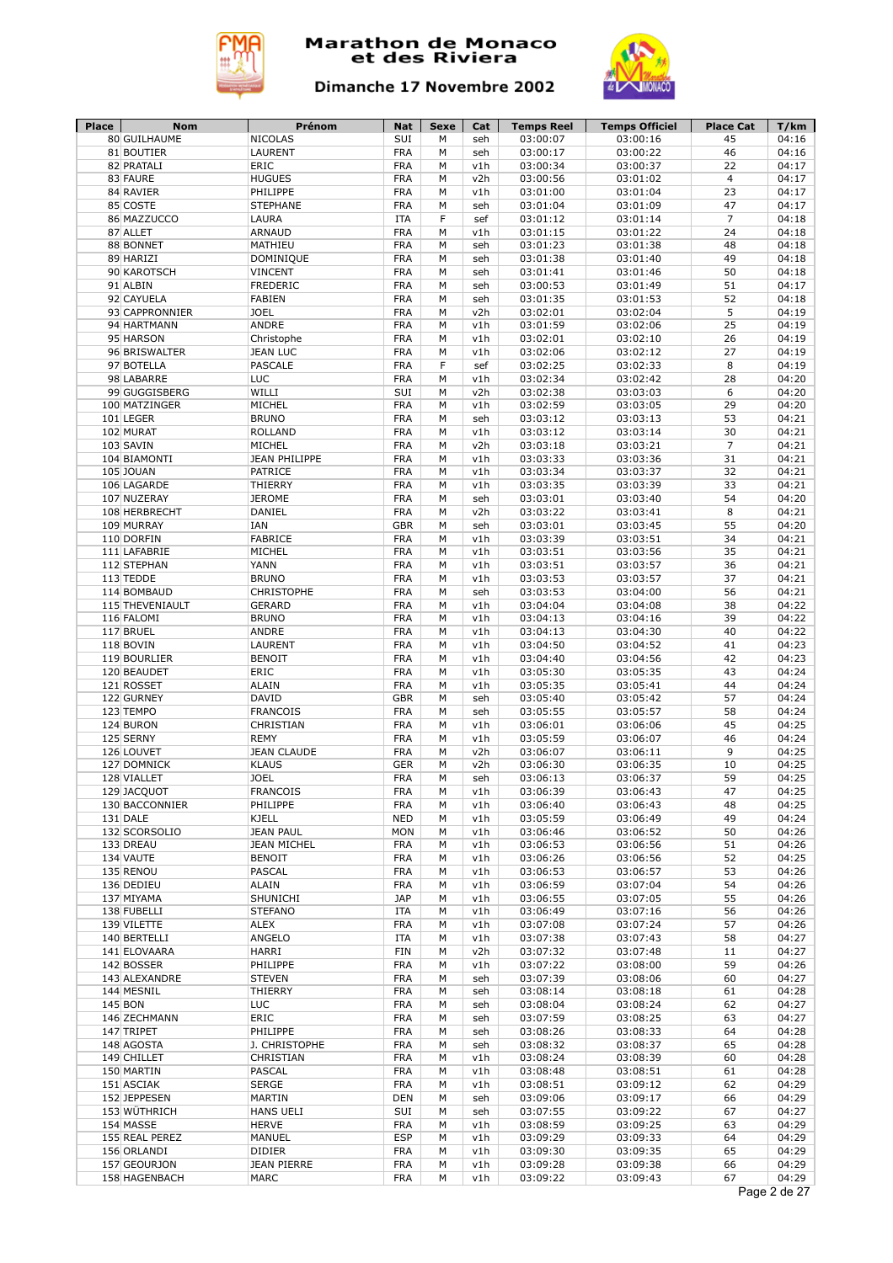



| Place | <b>Nom</b>               | Prénom                    | Nat                      | Sexe   | Cat        | <b>Temps Reel</b>    | <b>Temps Officiel</b> | <b>Place Cat</b> | T/km           |
|-------|--------------------------|---------------------------|--------------------------|--------|------------|----------------------|-----------------------|------------------|----------------|
|       | 80 GUILHAUME             | <b>NICOLAS</b>            | SUI                      | M      | seh        | 03:00:07             | 03:00:16              | 45               | 04:16          |
|       | 81 BOUTIER<br>82 PRATALI | LAURENT                   | <b>FRA</b>               | М      | seh        | 03:00:17             | 03:00:22              | 46               | 04:16          |
|       |                          | ERIC                      | <b>FRA</b>               | М      | v1h        | 03:00:34             | 03:00:37              | 22               | 04:17          |
|       | 83 FAURE<br>84 RAVIER    | <b>HUGUES</b><br>PHILIPPE | <b>FRA</b><br><b>FRA</b> | М<br>М | v2h<br>v1h | 03:00:56<br>03:01:00 | 03:01:02<br>03:01:04  | 4<br>23          | 04:17<br>04:17 |
|       | 85 COSTE                 | <b>STEPHANE</b>           | <b>FRA</b>               | М      | seh        | 03:01:04             | 03:01:09              | 47               | 04:17          |
|       | 86 MAZZUCCO              | LAURA                     | <b>ITA</b>               | F      | sef        | 03:01:12             | 03:01:14              | $\overline{7}$   | 04:18          |
|       | 87 ALLET                 | <b>ARNAUD</b>             | <b>FRA</b>               | М      | v1h        | 03:01:15             | 03:01:22              | 24               | 04:18          |
|       | 88 BONNET                | MATHIEU                   | <b>FRA</b>               | М      | seh        | 03:01:23             | 03:01:38              | 48               | 04:18          |
|       | 89 HARIZI                | DOMINIQUE                 | <b>FRA</b>               | М      | seh        | 03:01:38             | 03:01:40              | 49               | 04:18          |
|       | 90 KAROTSCH              | <b>VINCENT</b>            | <b>FRA</b>               | М      | seh        | 03:01:41             | 03:01:46              | 50               | 04:18          |
|       | 91 ALBIN                 | <b>FREDERIC</b>           | <b>FRA</b>               | M      | seh        | 03:00:53             | 03:01:49              | 51               | 04:17          |
|       | 92 CAYUELA               | <b>FABIEN</b>             | <b>FRA</b>               | М      | seh        | 03:01:35             | 03:01:53              | 52               | 04:18          |
|       | 93 CAPPRONNIER           | <b>JOEL</b>               | <b>FRA</b>               | M      | v2h        | 03:02:01             | 03:02:04              | 5                | 04:19          |
|       | 94 HARTMANN              | <b>ANDRE</b>              | <b>FRA</b>               | М      | v1h        | 03:01:59             | 03:02:06              | 25               | 04:19          |
|       | 95 HARSON                | Christophe                | <b>FRA</b>               | М      | v1h        | 03:02:01             | 03:02:10              | 26               | 04:19          |
|       | 96 BRISWALTER            | <b>JEAN LUC</b>           | <b>FRA</b>               | М      | v1h        | 03:02:06             | 03:02:12              | 27               | 04:19          |
|       | 97 BOTELLA               | <b>PASCALE</b>            | <b>FRA</b>               | F      | sef        | 03:02:25             | 03:02:33              | 8                | 04:19          |
|       | 98 LABARRE               | <b>LUC</b>                | <b>FRA</b>               | М      | v1h        | 03:02:34             | 03:02:42              | 28               | 04:20          |
|       | 99 GUGGISBERG            | WILLI                     | SUI                      | M      | v2h        | 03:02:38             | 03:03:03              | 6                | 04:20          |
|       | 100 MATZINGER            | MICHEL                    | <b>FRA</b>               | М      | v1h        | 03:02:59             | 03:03:05              | 29               | 04:20          |
|       | 101 LEGER                | <b>BRUNO</b>              | <b>FRA</b>               | M      | seh        | 03:03:12             | 03:03:13              | 53               | 04:21          |
|       | 102 MURAT                | <b>ROLLAND</b>            | <b>FRA</b>               | М      | v1h        | 03:03:12             | 03:03:14              | 30               | 04:21          |
|       | 103 SAVIN                | MICHEL                    | <b>FRA</b>               | М      | v2h        | 03:03:18             | 03:03:21              | $\overline{7}$   | 04:21          |
|       | 104 BIAMONTI             | <b>JEAN PHILIPPE</b>      | <b>FRA</b>               | M      | v1h        | 03:03:33             | 03:03:36              | 31               | 04:21          |
|       | 105 JOUAN                | <b>PATRICE</b>            | <b>FRA</b>               | M      | v1h        | 03:03:34             | 03:03:37              | 32               | 04:21          |
|       | 106 LAGARDE              | <b>THIERRY</b>            | <b>FRA</b>               | M      | v1h        | 03:03:35             | 03:03:39              | 33               | 04:21          |
|       | 107 NUZERAY              | <b>JEROME</b>             | <b>FRA</b>               | М      | seh        | 03:03:01             | 03:03:40              | 54               | 04:20          |
|       | 108 HERBRECHT            | <b>DANIEL</b>             | <b>FRA</b>               | М      | v2h        | 03:03:22             | 03:03:41              | 8                | 04:21          |
|       | 109 MURRAY               | IAN                       | <b>GBR</b>               | М      | seh        | 03:03:01             | 03:03:45              | 55               | 04:20          |
|       | 110 DORFIN               | <b>FABRICE</b>            | <b>FRA</b>               | M      | v1h        | 03:03:39             | 03:03:51              | 34               | 04:21          |
|       | 111 LAFABRIE             | MICHEL                    | <b>FRA</b>               | М      | v1h        | 03:03:51             | 03:03:56              | 35               | 04:21          |
|       | 112 STEPHAN              | YANN                      | <b>FRA</b>               | M      | v1h        | 03:03:51             | 03:03:57              | 36               | 04:21          |
|       | 113 TEDDE                | <b>BRUNO</b>              | <b>FRA</b>               | М      | v1h        | 03:03:53             | 03:03:57              | 37               | 04:21          |
|       | 114 BOMBAUD              | <b>CHRISTOPHE</b>         | <b>FRA</b>               | М      | seh        | 03:03:53             | 03:04:00              | 56               | 04:21          |
|       | 115 THEVENIAULT          | <b>GERARD</b>             | <b>FRA</b>               | М      | v1h        | 03:04:04             | 03:04:08              | 38               | 04:22          |
|       | 116 FALOMI               | <b>BRUNO</b>              | <b>FRA</b>               | M      | v1h        | 03:04:13             | 03:04:16              | 39               | 04:22          |
|       | 117 BRUEL                | ANDRE                     | <b>FRA</b>               | М      | v1h        | 03:04:13             | 03:04:30              | 40               | 04:22          |
|       | 118 BOVIN                | LAURENT                   | <b>FRA</b>               | M      | v1h        | 03:04:50             | 03:04:52              | 41               | 04:23          |
|       | 119 BOURLIER             | <b>BENOIT</b>             | <b>FRA</b>               | M      | v1h        | 03:04:40             | 03:04:56              | 42               | 04:23          |
|       | 120 BEAUDET              | ERIC                      | <b>FRA</b>               | М      | v1h        | 03:05:30             | 03:05:35              | 43               | 04:24          |
|       | 121 ROSSET               | <b>ALAIN</b>              | <b>FRA</b>               | М      | v1h        | 03:05:35             | 03:05:41              | 44               | 04:24          |
|       | 122 GURNEY               | <b>DAVID</b>              | <b>GBR</b>               | М      | seh        | 03:05:40             | 03:05:42              | 57               | 04:24          |
|       | 123 TEMPO                | <b>FRANCOIS</b>           | <b>FRA</b>               | М      | seh        | 03:05:55             | 03:05:57              | 58               | 04:24          |
|       | 124 BURON                | CHRISTIAN                 | <b>FRA</b>               | M      | v1h        | 03:06:01             | 03:06:06              | 45               | 04:25          |
|       | 125 SERNY                | <b>REMY</b>               | <b>FRA</b>               | M      | v1h        | 03:05:59             | 03:06:07              | 46               | 04:24          |
|       | 126 LOUVET               | <b>JEAN CLAUDE</b>        | <b>FRA</b>               | М      | v2h        | 03:06:07             | 03:06:11              | 9                | 04:25          |
|       | 127 DOMNICK              | <b>KLAUS</b>              | <b>GER</b>               | М      | v2h        | 03:06:30             | 03:06:35              | 10               | 04:25          |
|       | 128 VIALLET              | <b>JOEL</b>               | <b>FRA</b>               | М      | seh        | 03:06:13             | 03:06:37              | 59               | 04:25          |
|       | 129 JACQUOT              | <b>FRANCOIS</b>           | <b>FRA</b>               | М      | v1h        | 03:06:39             | 03:06:43              | 47               | 04:25          |
|       | 130 BACCONNIER           | PHILIPPE                  | <b>FRA</b>               | М      | v1h        | 03:06:40             | 03:06:43              | 48               | 04:25          |
|       | 131 DALE                 | <b>KJELL</b>              | <b>NED</b>               | M      | v1h        | 03:05:59             | 03:06:49              | 49               | 04:24          |
|       | 132 SCORSOLIO            | <b>JEAN PAUL</b>          | <b>MON</b>               | М      | v1h        | 03:06:46             | 03:06:52              | 50               | 04:26          |
|       | 133 DREAU                | <b>JEAN MICHEL</b>        | <b>FRA</b>               | М      | v1h        | 03:06:53             | 03:06:56              | 51               | 04:26          |
|       | 134 VAUTE                | <b>BENOIT</b>             | <b>FRA</b>               | М      | v1h        | 03:06:26             | 03:06:56              | 52               | 04:25          |
|       | 135 RENOU                | PASCAL                    | <b>FRA</b>               | М      | v1h        | 03:06:53             | 03:06:57              | 53               | 04:26          |
|       | 136 DEDIEU               | ALAIN                     | <b>FRA</b>               | М      | v1h        | 03:06:59             | 03:07:04              | 54               | 04:26          |
|       | 137 MIYAMA               | SHUNICHI                  | <b>JAP</b>               | М      | v1h        | 03:06:55             | 03:07:05              | 55               | 04:26          |
|       | 138 FUBELLI              | <b>STEFANO</b>            | ITA                      | М      | v1h        | 03:06:49             | 03:07:16              | 56               | 04:26          |
|       | 139 VILETTE              | ALEX                      | <b>FRA</b>               | М      | v1h        | 03:07:08             | 03:07:24              | 57               | 04:26          |
|       | 140 BERTELLI             | ANGELO                    | ITA                      | М      | v1h        | 03:07:38             | 03:07:43              | 58               | 04:27          |
|       | 141 ELOVAARA             | HARRI                     | FIN                      | М      | v2h        | 03:07:32             | 03:07:48              | 11               | 04:27          |
|       | 142 BOSSER               | PHILIPPE                  | <b>FRA</b>               | М      | v1h        | 03:07:22             | 03:08:00              | 59               | 04:26          |
|       | 143 ALEXANDRE            | <b>STEVEN</b>             | <b>FRA</b>               | М      | seh        | 03:07:39             | 03:08:06              | 60               | 04:27          |
|       | 144 MESNIL               | THIERRY                   | <b>FRA</b>               | М      | seh        | 03:08:14             | 03:08:18              | 61               | 04:28          |
|       | 145 BON                  | <b>LUC</b>                | <b>FRA</b>               | М      | seh        | 03:08:04             | 03:08:24              | 62               | 04:27          |
|       | 146 ZECHMANN             | ERIC                      | <b>FRA</b>               | М      | seh        | 03:07:59             | 03:08:25              | 63               | 04:27          |
|       | 147 TRIPET               | PHILIPPE                  | <b>FRA</b>               | М      | seh        | 03:08:26             | 03:08:33              | 64               | 04:28          |
|       | 148 AGOSTA               | J. CHRISTOPHE             | <b>FRA</b>               | М      | seh        | 03:08:32             | 03:08:37              | 65               | 04:28          |
|       | 149 CHILLET              | CHRISTIAN                 | <b>FRA</b>               | М      | v1h        | 03:08:24             | 03:08:39              | 60               | 04:28          |
|       | 150 MARTIN               | PASCAL                    | <b>FRA</b>               | М      | v1h        | 03:08:48             | 03:08:51              | 61               | 04:28          |
|       | 151 ASCIAK               | <b>SERGE</b>              | <b>FRA</b>               | М      | v1h        | 03:08:51             | 03:09:12              | 62               | 04:29          |
|       | 152 JEPPESEN             | MARTIN                    | <b>DEN</b>               | М      | seh        | 03:09:06             | 03:09:17              | 66               | 04:29          |
|       | 153 WÜTHRICH             | <b>HANS UELI</b>          | SUI                      | М      | seh        | 03:07:55             | 03:09:22              | 67               | 04:27          |
|       | 154 MASSE                | <b>HERVE</b>              | <b>FRA</b>               | М      | v1h        | 03:08:59             | 03:09:25              | 63               | 04:29          |
|       | 155 REAL PEREZ           | MANUEL                    | <b>ESP</b>               | М      | v1h        | 03:09:29             | 03:09:33              | 64               | 04:29          |
|       | 156 ORLANDI              | <b>DIDIER</b>             | <b>FRA</b>               | М      | v1h        | 03:09:30             | 03:09:35              | 65               | 04:29          |
|       | 157 GEOURJON             | <b>JEAN PIERRE</b>        | <b>FRA</b>               | М      | v1h        | 03:09:28             | 03:09:38              | 66               | 04:29          |
|       | 158 HAGENBACH            | MARC                      | <b>FRA</b>               | М      | v1h        | 03:09:22             | 03:09:43              | 67               | 04:29          |
|       |                          |                           |                          |        |            |                      |                       |                  | Page 2 de 27   |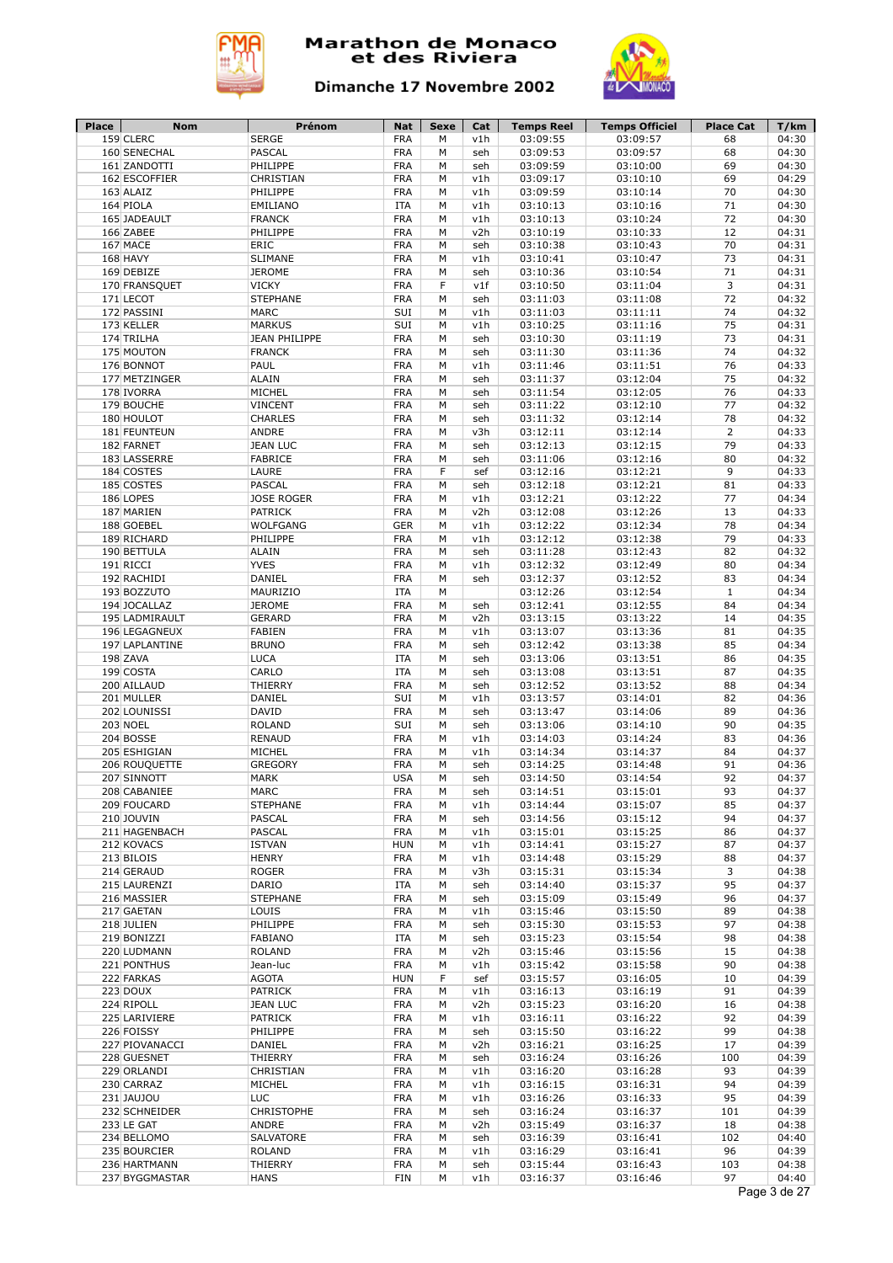



| Place | <b>Nom</b>                     | Prénom                 | <b>Nat</b>        | Sexe   | Cat        | <b>Temps Reel</b>    | <b>Temps Officiel</b> | <b>Place Cat</b> | T/km           |
|-------|--------------------------------|------------------------|-------------------|--------|------------|----------------------|-----------------------|------------------|----------------|
|       | 159 CLERC                      | <b>SERGE</b>           | <b>FRA</b>        | M      | v1h        | 03:09:55             | 03:09:57              | 68               | 04:30          |
|       | 160 SENECHAL                   | PASCAL                 | <b>FRA</b>        | M      | seh        | 03:09:53             | 03:09:57              | 68               | 04:30          |
|       | 161 ZANDOTTI                   | PHILIPPE               | <b>FRA</b>        | M      | seh        | 03:09:59             | 03:10:00              | 69               | 04:30          |
|       | 162 ESCOFFIER                  | CHRISTIAN              | <b>FRA</b>        | M      | v1h        | 03:09:17             | 03:10:10              | 69               | 04:29          |
|       | 163 ALAIZ                      | PHILIPPE               | <b>FRA</b>        | M      | v1h        | 03:09:59             | 03:10:14              | 70               | 04:30          |
|       | 164 PIOLA                      | EMILIANO               | <b>ITA</b>        | M      | v1h        | 03:10:13             | 03:10:16              | 71               | 04:30          |
|       | 165 JADEAULT                   | <b>FRANCK</b>          | <b>FRA</b>        | M      | v1h        | 03:10:13             | 03:10:24              | 72               | 04:30          |
|       | 166 ZABEE                      | PHILIPPE               | <b>FRA</b>        | M      | v2h        | 03:10:19             | 03:10:33              | 12               | 04:31          |
|       | 167 MACE                       | <b>ERIC</b>            | <b>FRA</b>        | М      | seh        | 03:10:38             | 03:10:43              | 70               | 04:31          |
|       | 168 HAVY                       | <b>SLIMANE</b>         | <b>FRA</b>        | М      | v1h        | 03:10:41             | 03:10:47              | 73               | 04:31          |
|       | 169 DEBIZE                     | <b>JEROME</b>          | <b>FRA</b>        | M      | seh        | 03:10:36             | 03:10:54              | 71               | 04:31          |
|       | 170 FRANSQUET                  | <b>VICKY</b>           | <b>FRA</b>        | F      | v1f        | 03:10:50             | 03:11:04              | 3                | 04:31          |
|       | 171 LECOT                      | <b>STEPHANE</b>        | <b>FRA</b>        | М      | seh        | 03:11:03             | 03:11:08              | 72               | 04:32          |
|       | 172 PASSINI                    | <b>MARC</b>            | SUI               | M      | v1h        | 03:11:03             | 03:11:11              | 74               | 04:32          |
|       | 173 KELLER                     | <b>MARKUS</b>          | SUI               | М      | v1h        | 03:10:25             | 03:11:16              | 75               | 04:31          |
|       | 174 TRILHA                     | <b>JEAN PHILIPPE</b>   | <b>FRA</b>        | М      | seh        | 03:10:30             | 03:11:19              | 73               | 04:31          |
|       | 175 MOUTON                     | <b>FRANCK</b>          | <b>FRA</b>        | М      | seh        | 03:11:30             | 03:11:36              | 74               | 04:32          |
|       | 176 BONNOT                     | PAUL                   | <b>FRA</b>        | M      | v1h        | 03:11:46             | 03:11:51              | 76               | 04:33          |
|       | 177 METZINGER                  | <b>ALAIN</b>           | <b>FRA</b>        | М      | seh        | 03:11:37             | 03:12:04              | 75               | 04:32          |
|       | 178 IVORRA                     | MICHEL                 | <b>FRA</b>        | M      | seh        | 03:11:54             | 03:12:05              | 76               | 04:33          |
|       | 179 BOUCHE                     | <b>VINCENT</b>         | <b>FRA</b>        | М      | seh        | 03:11:22             | 03:12:10              | 77               | 04:32          |
|       |                                | <b>CHARLES</b>         | <b>FRA</b>        | М      |            | 03:11:32             | 03:12:14              | 78               | 04:32          |
|       | 180 HOULOT                     |                        |                   |        | seh        |                      |                       |                  |                |
|       | 181 FEUNTEUN                   | <b>ANDRE</b>           | <b>FRA</b>        | М      | v3h        | 03:12:11             | 03:12:14              | $\overline{2}$   | 04:33          |
|       | 182 FARNET                     | <b>JEAN LUC</b>        | <b>FRA</b>        | M      | seh        | 03:12:13             | 03:12:15              | 79               | 04:33          |
|       | 183 LASSERRE                   | <b>FABRICE</b>         | <b>FRA</b>        | M      | seh        | 03:11:06             | 03:12:16              | 80               | 04:32          |
|       | 184 COSTES                     | LAURE                  | <b>FRA</b>        | F      | sef        | 03:12:16             | 03:12:21              | 9                | 04:33          |
|       | 185 COSTES                     | <b>PASCAL</b>          | <b>FRA</b>        | М      | seh        | 03:12:18             | 03:12:21              | 81               | 04:33          |
|       | 186 LOPES                      | <b>JOSE ROGER</b>      | <b>FRA</b>        | M      | v1h        | 03:12:21             | 03:12:22              | 77               | 04:34          |
|       | 187 MARIEN                     | <b>PATRICK</b>         | <b>FRA</b>        | M      | v2h        | 03:12:08             | 03:12:26              | 13               | 04:33          |
|       | 188 GOEBEL                     | WOLFGANG               | <b>GER</b>        | M      | v1h        | 03:12:22             | 03:12:34              | 78               | 04:34          |
|       | 189 RICHARD                    | PHILIPPE               | <b>FRA</b>        | M      | v1h        | 03:12:12             | 03:12:38              | 79               | 04:33          |
|       | 190 BETTULA                    | <b>ALAIN</b>           | <b>FRA</b>        | M      | seh        | 03:11:28             | 03:12:43              | 82               | 04:32          |
|       | 191 RICCI                      | <b>YVES</b>            | <b>FRA</b>        | M      | v1h        | 03:12:32             | 03:12:49              | 80               | 04:34          |
|       | 192 RACHIDI                    | DANIEL                 | <b>FRA</b>        | М      | seh        | 03:12:37             | 03:12:52              | 83               | 04:34          |
|       | 193 BOZZUTO                    | MAURIZIO               | <b>ITA</b>        | М      |            | 03:12:26             | 03:12:54              | $\mathbf{1}$     | 04:34          |
|       | 194 JOCALLAZ                   | <b>JEROME</b>          | <b>FRA</b>        | M      | seh        | 03:12:41             | 03:12:55              | 84               | 04:34          |
|       | 195 LADMIRAULT                 | <b>GERARD</b>          | <b>FRA</b>        | М      | v2h        | 03:13:15             | 03:13:22              | 14               | 04:35          |
|       | 196 LEGAGNEUX                  | <b>FABIEN</b>          | <b>FRA</b>        | М      | v1h        | 03:13:07             | 03:13:36              | 81               | 04:35          |
|       | 197 LAPLANTINE                 | <b>BRUNO</b>           | <b>FRA</b>        | M      | seh        | 03:12:42             | 03:13:38              | 85               | 04:34          |
|       | 198 ZAVA                       | <b>LUCA</b>            | <b>ITA</b>        | М      | seh        | 03:13:06             | 03:13:51              | 86               | 04:35          |
|       | 199 COSTA                      | CARLO                  | <b>ITA</b>        | М      | seh        | 03:13:08             | 03:13:51              | 87               | 04:35          |
|       | 200 AILLAUD                    |                        | <b>FRA</b>        | М      | seh        | 03:12:52             |                       | 88               | 04:34          |
|       |                                | THIERRY                |                   |        |            |                      | 03:13:52              |                  |                |
|       | 201 MULLER                     | DANIEL                 | SUI               | M      | v1h        | 03:13:57             | 03:14:01              | 82               | 04:36          |
|       | 202 LOUNISSI                   | <b>DAVID</b>           | <b>FRA</b>        | М      | seh        | 03:13:47             | 03:14:06              | 89               | 04:36          |
|       | <b>203 NOEL</b>                | <b>ROLAND</b>          | SUI               | M      | seh        | 03:13:06             | 03:14:10              | 90               | 04:35          |
|       | 204 BOSSE                      | <b>RENAUD</b>          | <b>FRA</b>        | М      | v1h        | 03:14:03             | 03:14:24              | 83               | 04:36          |
|       | 205 ESHIGIAN                   | MICHEL                 | <b>FRA</b>        | М      | v1h        | 03:14:34             | 03:14:37              | 84               | 04:37          |
|       | 206 ROUQUETTE                  | <b>GREGORY</b>         | <b>FRA</b>        | M      | seh        | 03:14:25             | 03:14:48              | 91               | 04:36          |
|       | 207 SINNOTT                    | <b>MARK</b>            | <b>USA</b>        | М      | seh        | 03:14:50             | 03:14:54              | 92               | 04:37          |
|       | 208 CABANIEE                   | MARC                   | <b>FRA</b>        | М      | seh        | 03:14:51             | 03:15:01              | 93               | 04:37          |
|       | 209 FOUCARD                    | <b>STEPHANE</b>        | <b>FRA</b>        | М      | v1h        | 03:14:44             | 03:15:07              | 85               | 04:37          |
|       | 210 JOUVIN                     | PASCAL                 | <b>FRA</b>        | M      | seh        | 03:14:56             | 03:15:12              | 94               | 04:37          |
|       | 211 HAGENBACH                  | PASCAL                 | <b>FRA</b>        | М      | v1h        | 03:15:01             | 03:15:25              | 86               | 04:37          |
|       | 212 KOVACS                     | <b>ISTVAN</b>          | <b>HUN</b>        | М      | v1h        | 03:14:41             | 03:15:27              | 87               | 04:37          |
|       | 213 BILOIS                     | <b>HENRY</b>           | <b>FRA</b>        | М      | v1h        | 03:14:48             | 03:15:29              | 88               | 04:37          |
|       | 214 GERAUD                     | ROGER                  | <b>FRA</b>        | М      | v3h        | 03:15:31             | 03:15:34              | 3                | 04:38          |
|       | 215 LAURENZI                   | DARIO                  | ITA               | М      | seh        | 03:14:40             | 03:15:37              | 95               | 04:37          |
|       | 216 MASSIER                    | <b>STEPHANE</b>        | <b>FRA</b>        | M      | seh        | 03:15:09             | 03:15:49              | 96               | 04:37          |
|       | 217 GAETAN                     | LOUIS                  | <b>FRA</b>        | М      | v1h        | 03:15:46             | 03:15:50              | 89               | 04:38          |
|       | 218 JULIEN                     | PHILIPPE               | <b>FRA</b>        | М      | seh        | 03:15:30             | 03:15:53              | 97               | 04:38          |
|       |                                |                        |                   |        |            |                      |                       |                  |                |
|       | 219 BONIZZI                    | <b>FABIANO</b>         | ITA               | М      | seh        | 03:15:23             | 03:15:54              | 98               | 04:38          |
|       | 220 LUDMANN                    | <b>ROLAND</b>          | <b>FRA</b>        | М      | v2h        | 03:15:46             | 03:15:56              | 15               | 04:38          |
|       | 221 PONTHUS                    | Jean-luc               | <b>FRA</b>        | М      | v1h        | 03:15:42             | 03:15:58              | 90               | 04:38          |
|       | 222 FARKAS                     | <b>AGOTA</b>           | <b>HUN</b>        | F      | sef        | 03:15:57             | 03:16:05              | 10               | 04:39          |
|       | 223 DOUX                       | PATRICK                | <b>FRA</b>        | М      | v1h        | 03:16:13             | 03:16:19              | 91               | 04:39          |
|       | 224 RIPOLL                     | <b>JEAN LUC</b>        | <b>FRA</b>        | М      | v2h        | 03:15:23             | 03:16:20              | 16               | 04:38          |
|       | 225 LARIVIERE                  | PATRICK                | <b>FRA</b>        | М      | v1h        | 03:16:11             | 03:16:22              | 92               | 04:39          |
|       | 226 FOISSY                     | PHILIPPE               | <b>FRA</b>        | М      | seh        | 03:15:50             | 03:16:22              | 99               | 04:38          |
|       | 227 PIOVANACCI                 | DANIEL                 | <b>FRA</b>        | М      | v2h        | 03:16:21             | 03:16:25              | 17               | 04:39          |
|       | 228 GUESNET                    | THIERRY                | <b>FRA</b>        | М      | seh        | 03:16:24             | 03:16:26              | 100              | 04:39          |
|       | 229 ORLANDI                    | CHRISTIAN              | <b>FRA</b>        | М      | v1h        | 03:16:20             | 03:16:28              | 93               | 04:39          |
|       | 230 CARRAZ                     | MICHEL                 | <b>FRA</b>        | М      | v1h        | 03:16:15             | 03:16:31              | 94               | 04:39          |
|       | 231 JAUJOU                     | LUC                    | <b>FRA</b>        | М      | v1h        | 03:16:26             | 03:16:33              | 95               | 04:39          |
|       |                                | CHRISTOPHE             | <b>FRA</b>        | М      | seh        | 03:16:24             | 03:16:37              | 101              | 04:39          |
|       | 232 SCHNEIDER                  |                        |                   |        |            | 03:15:49             | 03:16:37              | 18               | 04:38          |
|       |                                |                        |                   |        |            |                      |                       |                  |                |
|       | 233 LE GAT                     | ANDRE                  | <b>FRA</b>        | М      | v2h        |                      |                       |                  |                |
|       | 234 BELLOMO                    | SALVATORE              | <b>FRA</b>        | М      | seh        | 03:16:39             | 03:16:41              | 102              | 04:40          |
|       | 235 BOURCIER                   | <b>ROLAND</b>          | <b>FRA</b>        | М      | v1h        | 03:16:29             | 03:16:41              | 96               | 04:39          |
|       | 236 HARTMANN<br>237 BYGGMASTAR | THIERRY<br><b>HANS</b> | <b>FRA</b><br>FIN | М<br>М | seh<br>v1h | 03:15:44<br>03:16:37 | 03:16:43<br>03:16:46  | 103<br>97        | 04:38<br>04:40 |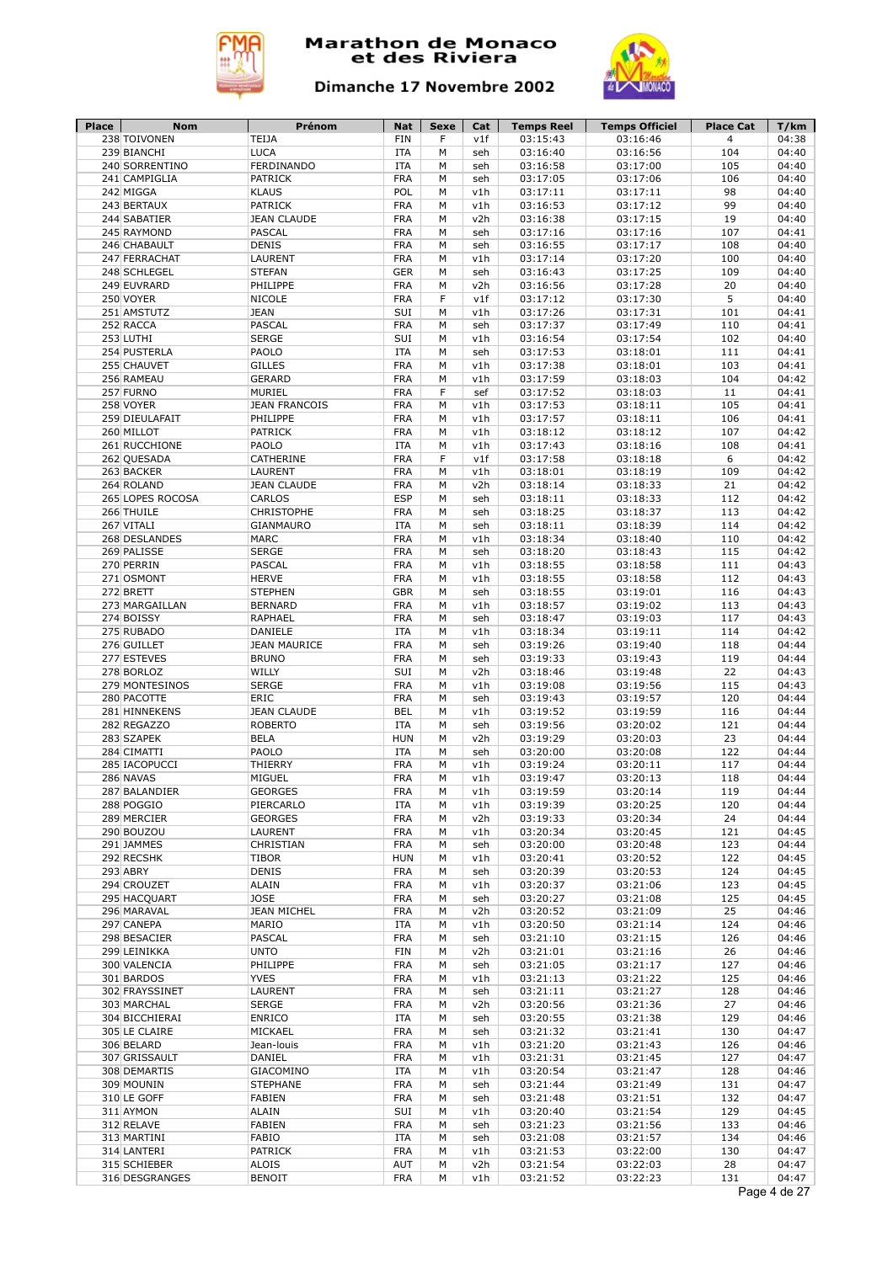



| Place | Nom              | Prénom               | Nat        | Sexe | Cat | <b>Temps Reel</b> | <b>Temps Officiel</b> | <b>Place Cat</b> | T/km         |
|-------|------------------|----------------------|------------|------|-----|-------------------|-----------------------|------------------|--------------|
|       | 238 TOIVONEN     | TEIJA                | <b>FIN</b> | F    | v1f | 03:15:43          | 03:16:46              | $\overline{4}$   | 04:38        |
|       | 239 BIANCHI      | <b>LUCA</b>          | <b>ITA</b> | M    | seh | 03:16:40          | 03:16:56              | 104              | 04:40        |
|       | 240 SORRENTINO   | <b>FERDINANDO</b>    | <b>ITA</b> | M    | seh | 03:16:58          | 03:17:00              | 105              | 04:40        |
|       | 241 CAMPIGLIA    | <b>PATRICK</b>       | <b>FRA</b> | M    | seh | 03:17:05          | 03:17:06              | 106              | 04:40        |
|       | 242 MIGGA        | <b>KLAUS</b>         | POL        | М    | v1h | 03:17:11          | 03:17:11              | 98               | 04:40        |
|       | 243 BERTAUX      | <b>PATRICK</b>       | <b>FRA</b> | М    | v1h | 03:16:53          | 03:17:12              | 99               | 04:40        |
|       | 244 SABATIER     | <b>JEAN CLAUDE</b>   | <b>FRA</b> | М    | v2h | 03:16:38          | 03:17:15              | 19               | 04:40        |
|       | 245 RAYMOND      | <b>PASCAL</b>        | <b>FRA</b> | М    | seh | 03:17:16          | 03:17:16              | 107              | 04:41        |
|       | 246 CHABAULT     | <b>DENIS</b>         | <b>FRA</b> | М    | seh | 03:16:55          | 03:17:17              | 108              | 04:40        |
|       | 247 FERRACHAT    | LAURENT              | <b>FRA</b> | М    | v1h | 03:17:14          | 03:17:20              | 100              | 04:40        |
|       | 248 SCHLEGEL     | <b>STEFAN</b>        | <b>GER</b> | М    | seh | 03:16:43          | 03:17:25              | 109              | 04:40        |
|       | 249 EUVRARD      | PHILIPPE             | <b>FRA</b> | М    | v2h | 03:16:56          | 03:17:28              | 20               | 04:40        |
|       | 250 VOYER        | <b>NICOLE</b>        | <b>FRA</b> | F    | v1f | 03:17:12          | 03:17:30              | 5                | 04:40        |
|       | 251 AMSTUTZ      |                      |            |      |     |                   |                       |                  |              |
|       |                  | <b>JEAN</b>          | SUI        | М    | v1h | 03:17:26          | 03:17:31              | 101              | 04:41        |
|       | 252 RACCA        | <b>PASCAL</b>        | <b>FRA</b> | М    | seh | 03:17:37          | 03:17:49              | 110              | 04:41        |
|       | 253 LUTHI        | <b>SERGE</b>         | SUI        | M    | v1h | 03:16:54          | 03:17:54              | 102              | 04:40        |
|       | 254 PUSTERLA     | PAOLO                | <b>ITA</b> | M    | seh | 03:17:53          | 03:18:01              | 111              | 04:41        |
|       | 255 CHAUVET      | <b>GILLES</b>        | <b>FRA</b> | М    | v1h | 03:17:38          | 03:18:01              | 103              | 04:41        |
|       | 256 RAMEAU       | <b>GERARD</b>        | <b>FRA</b> | М    | v1h | 03:17:59          | 03:18:03              | 104              | 04:42        |
|       | 257 FURNO        | MURIEL               | <b>FRA</b> | F    | sef | 03:17:52          | 03:18:03              | 11               | 04:41        |
|       | 258 VOYER        | <b>JEAN FRANCOIS</b> | <b>FRA</b> | М    | v1h | 03:17:53          | 03:18:11              | 105              | 04:41        |
|       | 259 DIEULAFAIT   | PHILIPPE             | <b>FRA</b> | M    | v1h | 03:17:57          | 03:18:11              | 106              | 04:41        |
|       | 260 MILLOT       | <b>PATRICK</b>       | <b>FRA</b> | М    | v1h | 03:18:12          | 03:18:12              | 107              | 04:42        |
|       | 261 RUCCHIONE    | PAOLO                | <b>ITA</b> | M    | v1h | 03:17:43          | 03:18:16              | 108              | 04:41        |
|       | 262 QUESADA      | CATHERINE            | <b>FRA</b> | F    | v1f | 03:17:58          | 03:18:18              | 6                | 04:42        |
|       | 263 BACKER       | <b>LAURENT</b>       | <b>FRA</b> | M    | v1h | 03:18:01          | 03:18:19              | 109              | 04:42        |
|       | 264 ROLAND       | <b>JEAN CLAUDE</b>   | <b>FRA</b> | М    | v2h | 03:18:14          | 03:18:33              | 21               | 04:42        |
|       | 265 LOPES ROCOSA | CARLOS               | <b>ESP</b> | M    | seh | 03:18:11          | 03:18:33              | 112              | 04:42        |
|       | 266 THUILE       | <b>CHRISTOPHE</b>    | <b>FRA</b> | M    | seh | 03:18:25          | 03:18:37              | 113              | 04:42        |
|       | 267 VITALI       | <b>GIANMAURO</b>     | <b>ITA</b> | M    | seh | 03:18:11          | 03:18:39              | 114              | 04:42        |
|       | 268 DESLANDES    | <b>MARC</b>          | <b>FRA</b> | М    | v1h | 03:18:34          | 03:18:40              | 110              | 04:42        |
|       |                  | <b>SERGE</b>         | <b>FRA</b> | М    |     |                   |                       | 115              | 04:42        |
|       | 269 PALISSE      |                      |            |      | seh | 03:18:20          | 03:18:43              |                  |              |
|       | 270 PERRIN       | <b>PASCAL</b>        | <b>FRA</b> | М    | v1h | 03:18:55          | 03:18:58              | 111              | 04:43        |
|       | 271 OSMONT       | <b>HERVE</b>         | <b>FRA</b> | М    | v1h | 03:18:55          | 03:18:58              | 112              | 04:43        |
|       | 272 BRETT        | <b>STEPHEN</b>       | <b>GBR</b> | М    | seh | 03:18:55          | 03:19:01              | 116              | 04:43        |
|       | 273 MARGAILLAN   | <b>BERNARD</b>       | <b>FRA</b> | M    | v1h | 03:18:57          | 03:19:02              | 113              | 04:43        |
|       | 274 BOISSY       | RAPHAEL              | <b>FRA</b> | М    | seh | 03:18:47          | 03:19:03              | 117              | 04:43        |
|       | 275 RUBADO       | DANIELE              | <b>ITA</b> | М    | v1h | 03:18:34          | 03:19:11              | 114              | 04:42        |
|       | 276 GUILLET      | <b>JEAN MAURICE</b>  | <b>FRA</b> | М    | seh | 03:19:26          | 03:19:40              | 118              | 04:44        |
|       | 277 ESTEVES      | <b>BRUNO</b>         | <b>FRA</b> | M    | seh | 03:19:33          | 03:19:43              | 119              | 04:44        |
|       | 278 BORLOZ       | WILLY                | SUI        | М    | v2h | 03:18:46          | 03:19:48              | 22               | 04:43        |
|       | 279 MONTESINOS   | <b>SERGE</b>         | <b>FRA</b> | М    | v1h | 03:19:08          | 03:19:56              | 115              | 04:43        |
|       | 280 PACOTTE      | ERIC                 | <b>FRA</b> | М    | seh | 03:19:43          | 03:19:57              | 120              | 04:44        |
|       | 281 HINNEKENS    | <b>JEAN CLAUDE</b>   | <b>BEL</b> | М    | v1h | 03:19:52          | 03:19:59              | 116              | 04:44        |
|       | 282 REGAZZO      | <b>ROBERTO</b>       | <b>ITA</b> | М    | seh | 03:19:56          | 03:20:02              | 121              | 04:44        |
|       | 283 SZAPEK       | <b>BELA</b>          | <b>HUN</b> | М    | v2h | 03:19:29          | 03:20:03              | 23               | 04:44        |
|       | 284 CIMATTI      | PAOLO                | <b>ITA</b> | М    | seh | 03:20:00          | 03:20:08              | 122              | 04:44        |
|       | 285 IACOPUCCI    | THIERRY              | <b>FRA</b> | M    | v1h | 03:19:24          | 03:20:11              | 117              | 04:44        |
|       | 286 NAVAS        | MIGUEL               | <b>FRA</b> | M    | v1h | 03:19:47          | 03:20:13              | 118              | 04:44        |
|       | 287 BALANDIER    | <b>GEORGES</b>       | <b>FRA</b> | М    | v1h | 03:19:59          | 03:20:14              | 119              | 04:44        |
|       |                  |                      |            |      |     |                   |                       |                  |              |
|       | 288 POGGIO       | PIERCARLO            | ITA        | М    | v1h | 03:19:39          | 03:20:25              | 120              | 04:44        |
|       | 289 MERCIER      | <b>GEORGES</b>       | <b>FRA</b> | м    | v2h | 03:19:33          | 03:20:34              | 24               | 04:44        |
|       | 290 BOUZOU       | LAURENT              | <b>FRA</b> | М    | v1h | 03:20:34          | 03:20:45              | 121              | 04:45        |
|       | 291 JAMMES       | CHRISTIAN            | <b>FRA</b> | М    | seh | 03:20:00          | 03:20:48              | 123              | 04:44        |
|       | 292 RECSHK       | <b>TIBOR</b>         | <b>HUN</b> | М    | v1h | 03:20:41          | 03:20:52              | 122              | 04:45        |
|       | 293 ABRY         | <b>DENIS</b>         | FRA        | М    | seh | 03:20:39          | 03:20:53              | 124              | 04:45        |
|       | 294 CROUZET      | ALAIN                | <b>FRA</b> | М    | v1h | 03:20:37          | 03:21:06              | 123              | 04:45        |
|       | 295 HACQUART     | <b>JOSE</b>          | FRA        | М    | seh | 03:20:27          | 03:21:08              | 125              | 04:45        |
|       | 296 MARAVAL      | <b>JEAN MICHEL</b>   | <b>FRA</b> | М    | v2h | 03:20:52          | 03:21:09              | 25               | 04:46        |
|       | 297 CANEPA       | MARIO                | ITA        | м    | v1h | 03:20:50          | 03:21:14              | 124              | 04:46        |
|       | 298 BESACIER     | PASCAL               | <b>FRA</b> | М    | seh | 03:21:10          | 03:21:15              | 126              | 04:46        |
|       | 299 LEINIKKA     | <b>UNTO</b>          | FIN        | М    | v2h | 03:21:01          | 03:21:16              | 26               | 04:46        |
|       | 300 VALENCIA     | PHILIPPE             | <b>FRA</b> | М    | seh | 03:21:05          | 03:21:17              | 127              | 04:46        |
|       | 301 BARDOS       | <b>YVES</b>          | <b>FRA</b> | М    | v1h | 03:21:13          | 03:21:22              | 125              | 04:46        |
|       | 302 FRAYSSINET   | LAURENT              | <b>FRA</b> | М    | seh | 03:21:11          | 03:21:27              | 128              | 04:46        |
|       | 303 MARCHAL      | <b>SERGE</b>         | <b>FRA</b> | М    | v2h | 03:20:56          | 03:21:36              | 27               | 04:46        |
|       | 304 BICCHIERAI   | ENRICO               | ITA        | М    | seh | 03:20:55          | 03:21:38              | 129              | 04:46        |
|       |                  |                      |            |      |     |                   |                       |                  |              |
|       | 305 LE CLAIRE    | MICKAEL              | <b>FRA</b> | М    | seh | 03:21:32          | 03:21:41              | 130              | 04:47        |
|       | 306 BELARD       | Jean-louis           | <b>FRA</b> | М    | v1h | 03:21:20          | 03:21:43              | 126              | 04:46        |
|       | 307 GRISSAULT    | DANIEL               | <b>FRA</b> | М    | v1h | 03:21:31          | 03:21:45              | 127              | 04:47        |
|       | 308 DEMARTIS     | GIACOMINO            | <b>ITA</b> | М    | v1h | 03:20:54          | 03:21:47              | 128              | 04:46        |
|       | 309 MOUNIN       | <b>STEPHANE</b>      | <b>FRA</b> | М    | seh | 03:21:44          | 03:21:49              | 131              | 04:47        |
|       | 310 LE GOFF      | <b>FABIEN</b>        | FRA        | М    | seh | 03:21:48          | 03:21:51              | 132              | 04:47        |
|       | 311 AYMON        | ALAIN                | SUI        | М    | v1h | 03:20:40          | 03:21:54              | 129              | 04:45        |
|       | 312 RELAVE       | <b>FABIEN</b>        | FRA        | М    | seh | 03:21:23          | 03:21:56              | 133              | 04:46        |
|       | 313 MARTINI      | FABIO                | ITA        | М    | seh | 03:21:08          | 03:21:57              | 134              | 04:46        |
|       | 314 LANTERI      | <b>PATRICK</b>       | <b>FRA</b> | М    | v1h | 03:21:53          | 03:22:00              | 130              | 04:47        |
|       | 315 SCHIEBER     | ALOIS                | AUT        | М    | v2h | 03:21:54          | 03:22:03              | 28               | 04:47        |
|       | 316 DESGRANGES   | <b>BENOIT</b>        | <b>FRA</b> | м    | v1h | 03:21:52          | 03:22:23              | 131              | 04:47        |
|       |                  |                      |            |      |     |                   |                       |                  | Page 4 de 27 |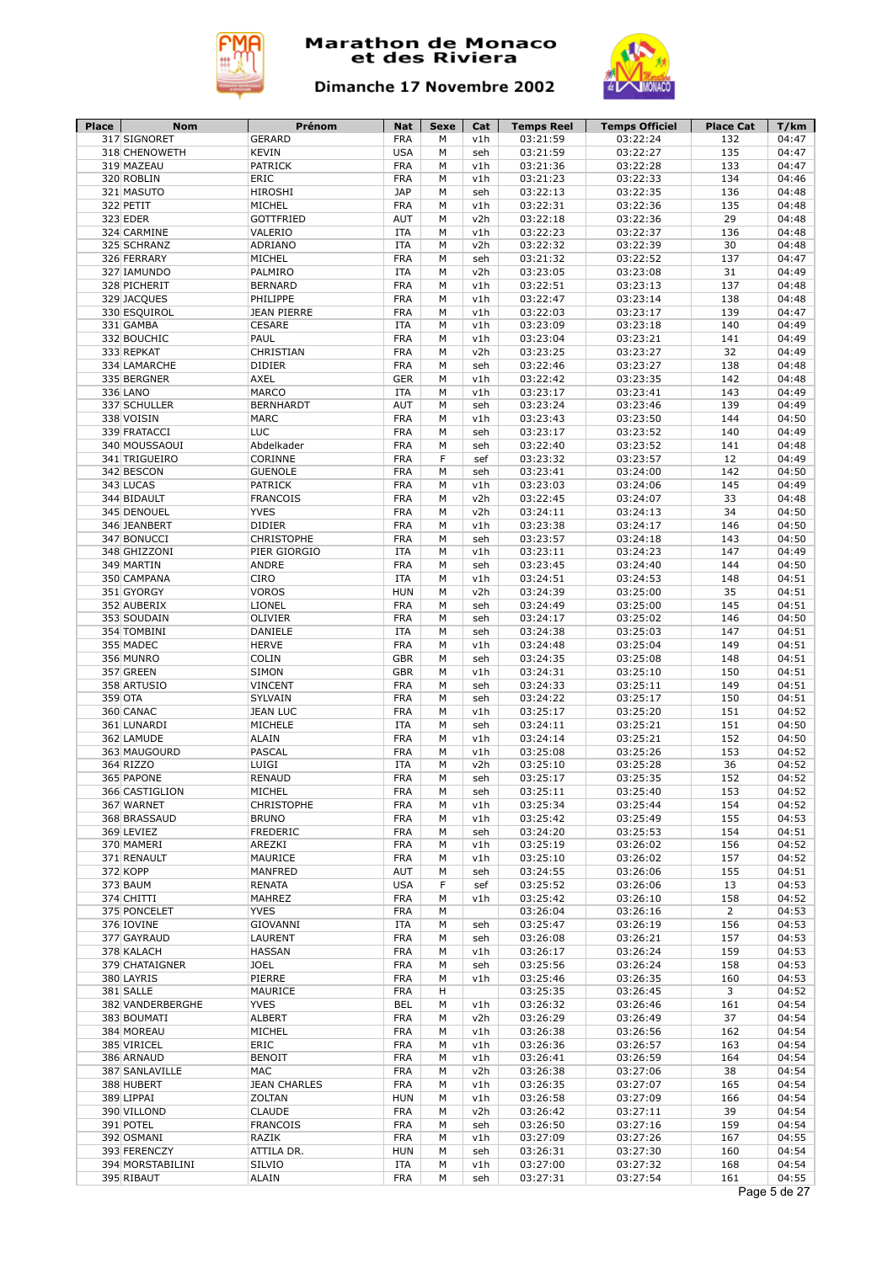



| 317 SIGNORET<br>M<br>v1h<br><b>KEVIN</b><br><b>USA</b><br>03:21:59<br>03:22:27<br>135<br>04:47<br>318 CHENOWETH<br>M<br>seh<br><b>PATRICK</b><br><b>FRA</b><br>03:22:28<br>133<br>319 MAZEAU<br>v1h<br>03:21:36<br>04:47<br>M<br>ERIC<br><b>FRA</b><br>03:21:23<br>03:22:33<br>134<br>320 ROBLIN<br>М<br>v1h<br>04:46<br><b>HIROSHI</b><br><b>JAP</b><br>03:22:35<br>136<br>321 MASUTO<br>M<br>03:22:13<br>04:48<br>seh<br>MICHEL<br><b>FRA</b><br>03:22:31<br>03:22:36<br>135<br>322 PETIT<br>M<br>v1h<br>04:48<br>323 EDER<br><b>GOTTFRIED</b><br><b>AUT</b><br>03:22:18<br>03:22:36<br>29<br>04:48<br>M<br>v2h<br>VALERIO<br>03:22:23<br>03:22:37<br>136<br>04:48<br>324 CARMINE<br><b>ITA</b><br>M<br>v1h<br>ADRIANO<br>03:22:39<br>04:48<br>325 SCHRANZ<br><b>ITA</b><br>М<br>v2h<br>03:22:32<br>30<br><b>FRA</b><br>03:21:32<br>03:22:52<br>137<br>04:47<br>326 FERRARY<br>MICHEL<br>М<br>seh<br>PALMIRO<br><b>ITA</b><br>03:23:05<br>03:23:08<br>31<br>04:49<br>327 IAMUNDO<br>M<br>v2h<br><b>FRA</b><br>03:22:51<br>137<br>328 PICHERIT<br><b>BERNARD</b><br>М<br>v1h<br>03:23:13<br>04:48<br>PHILIPPE<br><b>FRA</b><br>03:22:47<br>03:23:14<br>138<br>04:48<br>329 JACQUES<br>M<br>v1h<br><b>JEAN PIERRE</b><br><b>FRA</b><br>03:22:03<br>03:23:17<br>139<br>04:47<br>330 ESQUIROL<br>М<br>v1h<br><b>ITA</b><br>03:23:18<br>140<br>04:49<br>331 GAMBA<br><b>CESARE</b><br>M<br>v1h<br>03:23:09<br>PAUL<br><b>FRA</b><br>141<br>04:49<br>332 BOUCHIC<br>М<br>v1h<br>03:23:04<br>03:23:21<br>CHRISTIAN<br><b>FRA</b><br>03:23:27<br>32<br>04:49<br>333 REPKAT<br>M<br>v2h<br>03:23:25<br><b>FRA</b><br>03:22:46<br>03:23:27<br>04:48<br>334 LAMARCHE<br><b>DIDIER</b><br>M<br>138<br>seh<br><b>AXEL</b><br><b>GER</b><br>03:22:42<br>03:23:35<br>142<br>04:48<br>335 BERGNER<br>M<br>v1h<br>MARCO<br><b>ITA</b><br>03:23:17<br>03:23:41<br>143<br>04:49<br>336 LANO<br>М<br>v1h<br>AUT<br>03:23:24<br>03:23:46<br>139<br>04:49<br>337 SCHULLER<br><b>BERNHARDT</b><br>М<br>seh<br><b>FRA</b><br>03:23:43<br>144<br>04:50<br>338 VOISIN<br><b>MARC</b><br>03:23:50<br>М<br>v1h<br>LUC<br>339 FRATACCI<br><b>FRA</b><br>03:23:17<br>03:23:52<br>140<br>04:49<br>М<br>seh<br><b>FRA</b><br>03:22:40<br>03:23:52<br>141<br>04:48<br>340 MOUSSAOUI<br>Abdelkader<br>М<br>seh<br>CORINNE<br>F<br>03:23:57<br>04:49<br>341 TRIGUEIRO<br><b>FRA</b><br>03:23:32<br>12<br>sef<br><b>GUENOLE</b><br><b>FRA</b><br>03:24:00<br>142<br>04:50<br>342 BESCON<br>03:23:41<br>М<br>seh<br>343 LUCAS<br><b>PATRICK</b><br><b>FRA</b><br>03:23:03<br>03:24:06<br>145<br>04:49<br>M<br>v1h<br><b>FRANCOIS</b><br><b>FRA</b><br>03:22:45<br>33<br>344 BIDAULT<br>v2h<br>03:24:07<br>04:48<br>M<br><b>YVES</b><br><b>FRA</b><br>34<br>04:50<br>345 DENOUEL<br>M<br>v2h<br>03:24:11<br>03:24:13<br><b>DIDIER</b><br><b>FRA</b><br>03:24:17<br>04:50<br>346 JEANBERT<br>v1h<br>03:23:38<br>146<br>M<br><b>CHRISTOPHE</b><br><b>FRA</b><br>04:50<br>347 BONUCCI<br>М<br>03:23:57<br>03:24:18<br>143<br>seh<br>PIER GIORGIO<br>147<br>04:49<br>348 GHIZZONI<br><b>ITA</b><br>M<br>v1h<br>03:23:11<br>03:24:23<br>ANDRE<br><b>FRA</b><br>03:23:45<br>03:24:40<br>144<br>04:50<br>349 MARTIN<br>M<br>seh<br><b>CIRO</b><br>03:24:51<br>148<br>04:51<br>350 CAMPANA<br><b>ITA</b><br>М<br>v1h<br>03:24:53<br><b>VOROS</b><br><b>HUN</b><br>35<br>04:51<br>351 GYORGY<br>М<br>v2h<br>03:24:39<br>03:25:00<br>LIONEL<br><b>FRA</b><br>03:25:00<br>145<br>04:51<br>352 AUBERIX<br>M<br>03:24:49<br>seh<br>04:50<br>353 SOUDAIN<br>OLIVIER<br><b>FRA</b><br>М<br>03:24:17<br>03:25:02<br>146<br>seh<br>DANIELE<br><b>ITA</b><br>03:24:38<br>03:25:03<br>147<br>04:51<br>354 TOMBINI<br>M<br>seh<br><b>HERVE</b><br><b>FRA</b><br>03:24:48<br>03:25:04<br>04:51<br>355 MADEC<br>М<br>v1h<br>149<br>COLIN<br><b>GBR</b><br>03:24:35<br>03:25:08<br>148<br>04:51<br>356 MUNRO<br>M<br>seh<br><b>GBR</b><br>04:51<br>357 GREEN<br><b>SIMON</b><br>М<br>v1h<br>03:24:31<br>03:25:10<br>150<br><b>VINCENT</b><br><b>FRA</b><br>M<br>149<br>04:51<br>358 ARTUSIO<br>seh<br>03:24:33<br>03:25:11<br>359 OTA<br>SYLVAIN<br><b>FRA</b><br>03:25:17<br>150<br>04:51<br>М<br>03:24:22<br>seh<br><b>FRA</b><br>03:25:17<br>03:25:20<br>151<br>04:52<br>360 CANAC<br><b>JEAN LUC</b><br>M<br>v1h<br>MICHELE<br>03:25:21<br>151<br>04:50<br>361 LUNARDI<br><b>ITA</b><br>М<br>03:24:11<br>seh<br><b>ALAIN</b><br><b>FRA</b><br>03:25:21<br>152<br>04:50<br>362 LAMUDE<br>M<br>v1h<br>03:24:14<br>PASCAL<br><b>FRA</b><br>153<br>04:52<br>363 MAUGOURD<br>v1h<br>03:25:08<br>03:25:26<br>м<br>364 RIZZO<br>LUIGI<br><b>ITA</b><br>03:25:28<br>36<br>04:52<br>М<br>v2h<br>03:25:10<br>365 PAPONE<br><b>RENAUD</b><br><b>FRA</b><br>03:25:17<br>03:25:35<br>152<br>04:52<br>M<br>seh<br>MICHEL<br><b>FRA</b><br>04:52<br>366 CASTIGLION<br>М<br>03:25:11<br>03:25:40<br>153<br>seh<br>367 WARNET<br>CHRISTOPHE<br>FRA<br>03:25:34<br>03:25:44<br>154<br>04:52<br>М<br>v1h<br>03:25:49<br>04:53<br>368 BRASSAUD<br><b>BRUNO</b><br>FRA<br>03:25:42<br>155<br>м<br>v1h<br><b>FREDERIC</b><br><b>FRA</b><br>03:25:53<br>154<br>369 LEVIEZ<br>03:24:20<br>04:51<br>М<br>seh<br><b>FRA</b><br>156<br>370 MAMERI<br>AREZKI<br>v1h<br>03:25:19<br>03:26:02<br>04:52<br>М<br>MAURICE<br><b>FRA</b><br>03:25:10<br>03:26:02<br>157<br>371 RENAULT<br>M<br>v1h<br>04:52<br>AUT<br>155<br>372 KOPP<br>MANFRED<br>03:24:55<br>03:26:06<br>04:51<br>М<br>seh<br><b>USA</b><br>F<br>373 BAUM<br><b>RENATA</b><br>03:25:52<br>03:26:06<br>13<br>04:53<br>sef<br>374 CHITTI<br><b>FRA</b><br>158<br>04:52<br>MAHREZ<br>М<br>v1h<br>03:25:42<br>03:26:10<br>375 PONCELET<br><b>YVES</b><br><b>FRA</b><br>03:26:04<br>03:26:16<br>$\overline{2}$<br>04:53<br>М<br>376 IOVINE<br><b>GIOVANNI</b><br>ITA<br>М<br>03:25:47<br>03:26:19<br>156<br>04:53<br>seh<br>377 GAYRAUD<br>LAURENT<br>FRA<br>М<br>03:26:08<br>03:26:21<br>157<br>04:53<br>seh<br><b>FRA</b><br>378 KALACH<br><b>HASSAN</b><br>М<br>v1h<br>03:26:17<br>03:26:24<br>159<br>04:53<br>379 CHATAIGNER<br><b>JOEL</b><br>FRA<br>М<br>03:25:56<br>03:26:24<br>158<br>04:53<br>seh<br>380 LAYRIS<br>PIERRE<br>FRA<br>М<br>v1h<br>03:25:46<br>03:26:35<br>160<br>04:53<br>MAURICE<br><b>FRA</b><br>03:26:45<br>3<br>381 SALLE<br>н<br>03:25:35<br>04:52<br>382 VANDERBERGHE<br><b>YVES</b><br>BEL<br>М<br>03:26:32<br>03:26:46<br>161<br>04:54<br>v1h<br><b>ALBERT</b><br><b>FRA</b><br>37<br>04:54<br>383 BOUMATI<br>М<br>v2h<br>03:26:29<br>03:26:49<br>MICHEL<br><b>FRA</b><br>04:54<br>384 MOREAU<br>М<br>v1h<br>03:26:38<br>03:26:56<br>162<br><b>FRA</b><br>385 VIRICEL<br>ERIC<br>М<br>v1h<br>03:26:36<br>03:26:57<br>163<br>04:54<br><b>BENOIT</b><br><b>FRA</b><br>03:26:59<br>164<br>04:54<br>386 ARNAUD<br>М<br>v1h<br>03:26:41<br>MAC<br><b>FRA</b><br>03:26:38<br>03:27:06<br>38<br>04:54<br>387 SANLAVILLE<br>М<br>v2h<br><b>JEAN CHARLES</b><br>04:54<br>388 HUBERT<br>FRA<br>v1h<br>03:26:35<br>03:27:07<br>165<br>М<br>ZOLTAN<br>04:54<br>389 LIPPAI<br><b>HUN</b><br>М<br>v1h<br>03:26:58<br>03:27:09<br>166<br>390 VILLOND<br><b>CLAUDE</b><br>03:27:11<br>39<br>04:54<br><b>FRA</b><br>v2h<br>03:26:42<br>М<br>391 POTEL<br><b>FRANCOIS</b><br><b>FRA</b><br>03:27:16<br>159<br>04:54<br>М<br>03:26:50<br>seh<br>392 OSMANI<br>RAZIK<br>FRA<br>03:27:09<br>03:27:26<br>167<br>04:55<br>М<br>v1h<br>393 FERENCZY<br>ATTILA DR.<br><b>HUN</b><br>03:26:31<br>03:27:30<br>160<br>04:54<br>М<br>seh<br>394 MORSTABILINI<br><b>ITA</b><br>03:27:00<br>03:27:32<br>SILVIO<br>v1h<br>168<br>04:54<br>М<br>04:55<br>395 RIBAUT<br>ALAIN<br><b>FRA</b><br>03:27:31<br>03:27:54<br>161<br>М<br>seh<br>Page 5 de 27 | Place | Nom | Prénom        | Nat        | <b>Sexe</b> | Cat | <b>Temps Reel</b> | <b>Temps Officiel</b> | <b>Place Cat</b> | T/km  |
|--------------------------------------------------------------------------------------------------------------------------------------------------------------------------------------------------------------------------------------------------------------------------------------------------------------------------------------------------------------------------------------------------------------------------------------------------------------------------------------------------------------------------------------------------------------------------------------------------------------------------------------------------------------------------------------------------------------------------------------------------------------------------------------------------------------------------------------------------------------------------------------------------------------------------------------------------------------------------------------------------------------------------------------------------------------------------------------------------------------------------------------------------------------------------------------------------------------------------------------------------------------------------------------------------------------------------------------------------------------------------------------------------------------------------------------------------------------------------------------------------------------------------------------------------------------------------------------------------------------------------------------------------------------------------------------------------------------------------------------------------------------------------------------------------------------------------------------------------------------------------------------------------------------------------------------------------------------------------------------------------------------------------------------------------------------------------------------------------------------------------------------------------------------------------------------------------------------------------------------------------------------------------------------------------------------------------------------------------------------------------------------------------------------------------------------------------------------------------------------------------------------------------------------------------------------------------------------------------------------------------------------------------------------------------------------------------------------------------------------------------------------------------------------------------------------------------------------------------------------------------------------------------------------------------------------------------------------------------------------------------------------------------------------------------------------------------------------------------------------------------------------------------------------------------------------------------------------------------------------------------------------------------------------------------------------------------------------------------------------------------------------------------------------------------------------------------------------------------------------------------------------------------------------------------------------------------------------------------------------------------------------------------------------------------------------------------------------------------------------------------------------------------------------------------------------------------------------------------------------------------------------------------------------------------------------------------------------------------------------------------------------------------------------------------------------------------------------------------------------------------------------------------------------------------------------------------------------------------------------------------------------------------------------------------------------------------------------------------------------------------------------------------------------------------------------------------------------------------------------------------------------------------------------------------------------------------------------------------------------------------------------------------------------------------------------------------------------------------------------------------------------------------------------------------------------------------------------------------------------------------------------------------------------------------------------------------------------------------------------------------------------------------------------------------------------------------------------------------------------------------------------------------------------------------------------------------------------------------------------------------------------------------------------------------------------------------------------------------------------------------------------------------------------------------------------------------------------------------------------------------------------------------------------------------------------------------------------------------------------------------------------------------------------------------------------------------------------------------------------------------------------------------------------------------------------------------------------------------------------------------------------------------------------------------------------------------------------------------------------------------------------------------------------------------------------------------------------------------------------------------------------------------------------------------------------------------------------------------------------------------------------------------------------------------------------------------------------------------------------------------------------------------------------------------------------------------------------------------------------------------------------------------------------------------------------------------------------------------------------------------------------------------------------------------------------------------------------------------------------------------------------------------------------------------------------------------------------------------------------------------------------------------------------------------------------------------------------------------------------------------------------------------------------------------------------------------------------------------------------------------------------------------------------------------------------------------------------------------------------------------------------------------------------------------------------------------------------------------------------------------------------------------------------------------------------------------------------------------------------------------------------------------------------------------------------------------------------------------------------------------|-------|-----|---------------|------------|-------------|-----|-------------------|-----------------------|------------------|-------|
|                                                                                                                                                                                                                                                                                                                                                                                                                                                                                                                                                                                                                                                                                                                                                                                                                                                                                                                                                                                                                                                                                                                                                                                                                                                                                                                                                                                                                                                                                                                                                                                                                                                                                                                                                                                                                                                                                                                                                                                                                                                                                                                                                                                                                                                                                                                                                                                                                                                                                                                                                                                                                                                                                                                                                                                                                                                                                                                                                                                                                                                                                                                                                                                                                                                                                                                                                                                                                                                                                                                                                                                                                                                                                                                                                                                                                                                                                                                                                                                                                                                                                                                                                                                                                                                                                                                                                                                                                                                                                                                                                                                                                                                                                                                                                                                                                                                                                                                                                                                                                                                                                                                                                                                                                                                                                                                                                                                                                                                                                                                                                                                                                                                                                                                                                                                                                                                                                                                                                                                                                                                                                                                                                                                                                                                                                                                                                                                                                                                                                                                                                                                                                                                                                                                                                                                                                                                                                                                                                                                                                                                                                                                                                                                                                                                                                                                                                                                                                                                                                                                                                                                                                          |       |     | <b>GERARD</b> | <b>FRA</b> |             |     | 03:21:59          | 03:22:24              | 132              | 04:47 |
|                                                                                                                                                                                                                                                                                                                                                                                                                                                                                                                                                                                                                                                                                                                                                                                                                                                                                                                                                                                                                                                                                                                                                                                                                                                                                                                                                                                                                                                                                                                                                                                                                                                                                                                                                                                                                                                                                                                                                                                                                                                                                                                                                                                                                                                                                                                                                                                                                                                                                                                                                                                                                                                                                                                                                                                                                                                                                                                                                                                                                                                                                                                                                                                                                                                                                                                                                                                                                                                                                                                                                                                                                                                                                                                                                                                                                                                                                                                                                                                                                                                                                                                                                                                                                                                                                                                                                                                                                                                                                                                                                                                                                                                                                                                                                                                                                                                                                                                                                                                                                                                                                                                                                                                                                                                                                                                                                                                                                                                                                                                                                                                                                                                                                                                                                                                                                                                                                                                                                                                                                                                                                                                                                                                                                                                                                                                                                                                                                                                                                                                                                                                                                                                                                                                                                                                                                                                                                                                                                                                                                                                                                                                                                                                                                                                                                                                                                                                                                                                                                                                                                                                                                          |       |     |               |            |             |     |                   |                       |                  |       |
|                                                                                                                                                                                                                                                                                                                                                                                                                                                                                                                                                                                                                                                                                                                                                                                                                                                                                                                                                                                                                                                                                                                                                                                                                                                                                                                                                                                                                                                                                                                                                                                                                                                                                                                                                                                                                                                                                                                                                                                                                                                                                                                                                                                                                                                                                                                                                                                                                                                                                                                                                                                                                                                                                                                                                                                                                                                                                                                                                                                                                                                                                                                                                                                                                                                                                                                                                                                                                                                                                                                                                                                                                                                                                                                                                                                                                                                                                                                                                                                                                                                                                                                                                                                                                                                                                                                                                                                                                                                                                                                                                                                                                                                                                                                                                                                                                                                                                                                                                                                                                                                                                                                                                                                                                                                                                                                                                                                                                                                                                                                                                                                                                                                                                                                                                                                                                                                                                                                                                                                                                                                                                                                                                                                                                                                                                                                                                                                                                                                                                                                                                                                                                                                                                                                                                                                                                                                                                                                                                                                                                                                                                                                                                                                                                                                                                                                                                                                                                                                                                                                                                                                                                          |       |     |               |            |             |     |                   |                       |                  |       |
|                                                                                                                                                                                                                                                                                                                                                                                                                                                                                                                                                                                                                                                                                                                                                                                                                                                                                                                                                                                                                                                                                                                                                                                                                                                                                                                                                                                                                                                                                                                                                                                                                                                                                                                                                                                                                                                                                                                                                                                                                                                                                                                                                                                                                                                                                                                                                                                                                                                                                                                                                                                                                                                                                                                                                                                                                                                                                                                                                                                                                                                                                                                                                                                                                                                                                                                                                                                                                                                                                                                                                                                                                                                                                                                                                                                                                                                                                                                                                                                                                                                                                                                                                                                                                                                                                                                                                                                                                                                                                                                                                                                                                                                                                                                                                                                                                                                                                                                                                                                                                                                                                                                                                                                                                                                                                                                                                                                                                                                                                                                                                                                                                                                                                                                                                                                                                                                                                                                                                                                                                                                                                                                                                                                                                                                                                                                                                                                                                                                                                                                                                                                                                                                                                                                                                                                                                                                                                                                                                                                                                                                                                                                                                                                                                                                                                                                                                                                                                                                                                                                                                                                                                          |       |     |               |            |             |     |                   |                       |                  |       |
|                                                                                                                                                                                                                                                                                                                                                                                                                                                                                                                                                                                                                                                                                                                                                                                                                                                                                                                                                                                                                                                                                                                                                                                                                                                                                                                                                                                                                                                                                                                                                                                                                                                                                                                                                                                                                                                                                                                                                                                                                                                                                                                                                                                                                                                                                                                                                                                                                                                                                                                                                                                                                                                                                                                                                                                                                                                                                                                                                                                                                                                                                                                                                                                                                                                                                                                                                                                                                                                                                                                                                                                                                                                                                                                                                                                                                                                                                                                                                                                                                                                                                                                                                                                                                                                                                                                                                                                                                                                                                                                                                                                                                                                                                                                                                                                                                                                                                                                                                                                                                                                                                                                                                                                                                                                                                                                                                                                                                                                                                                                                                                                                                                                                                                                                                                                                                                                                                                                                                                                                                                                                                                                                                                                                                                                                                                                                                                                                                                                                                                                                                                                                                                                                                                                                                                                                                                                                                                                                                                                                                                                                                                                                                                                                                                                                                                                                                                                                                                                                                                                                                                                                                          |       |     |               |            |             |     |                   |                       |                  |       |
|                                                                                                                                                                                                                                                                                                                                                                                                                                                                                                                                                                                                                                                                                                                                                                                                                                                                                                                                                                                                                                                                                                                                                                                                                                                                                                                                                                                                                                                                                                                                                                                                                                                                                                                                                                                                                                                                                                                                                                                                                                                                                                                                                                                                                                                                                                                                                                                                                                                                                                                                                                                                                                                                                                                                                                                                                                                                                                                                                                                                                                                                                                                                                                                                                                                                                                                                                                                                                                                                                                                                                                                                                                                                                                                                                                                                                                                                                                                                                                                                                                                                                                                                                                                                                                                                                                                                                                                                                                                                                                                                                                                                                                                                                                                                                                                                                                                                                                                                                                                                                                                                                                                                                                                                                                                                                                                                                                                                                                                                                                                                                                                                                                                                                                                                                                                                                                                                                                                                                                                                                                                                                                                                                                                                                                                                                                                                                                                                                                                                                                                                                                                                                                                                                                                                                                                                                                                                                                                                                                                                                                                                                                                                                                                                                                                                                                                                                                                                                                                                                                                                                                                                                          |       |     |               |            |             |     |                   |                       |                  |       |
|                                                                                                                                                                                                                                                                                                                                                                                                                                                                                                                                                                                                                                                                                                                                                                                                                                                                                                                                                                                                                                                                                                                                                                                                                                                                                                                                                                                                                                                                                                                                                                                                                                                                                                                                                                                                                                                                                                                                                                                                                                                                                                                                                                                                                                                                                                                                                                                                                                                                                                                                                                                                                                                                                                                                                                                                                                                                                                                                                                                                                                                                                                                                                                                                                                                                                                                                                                                                                                                                                                                                                                                                                                                                                                                                                                                                                                                                                                                                                                                                                                                                                                                                                                                                                                                                                                                                                                                                                                                                                                                                                                                                                                                                                                                                                                                                                                                                                                                                                                                                                                                                                                                                                                                                                                                                                                                                                                                                                                                                                                                                                                                                                                                                                                                                                                                                                                                                                                                                                                                                                                                                                                                                                                                                                                                                                                                                                                                                                                                                                                                                                                                                                                                                                                                                                                                                                                                                                                                                                                                                                                                                                                                                                                                                                                                                                                                                                                                                                                                                                                                                                                                                                          |       |     |               |            |             |     |                   |                       |                  |       |
|                                                                                                                                                                                                                                                                                                                                                                                                                                                                                                                                                                                                                                                                                                                                                                                                                                                                                                                                                                                                                                                                                                                                                                                                                                                                                                                                                                                                                                                                                                                                                                                                                                                                                                                                                                                                                                                                                                                                                                                                                                                                                                                                                                                                                                                                                                                                                                                                                                                                                                                                                                                                                                                                                                                                                                                                                                                                                                                                                                                                                                                                                                                                                                                                                                                                                                                                                                                                                                                                                                                                                                                                                                                                                                                                                                                                                                                                                                                                                                                                                                                                                                                                                                                                                                                                                                                                                                                                                                                                                                                                                                                                                                                                                                                                                                                                                                                                                                                                                                                                                                                                                                                                                                                                                                                                                                                                                                                                                                                                                                                                                                                                                                                                                                                                                                                                                                                                                                                                                                                                                                                                                                                                                                                                                                                                                                                                                                                                                                                                                                                                                                                                                                                                                                                                                                                                                                                                                                                                                                                                                                                                                                                                                                                                                                                                                                                                                                                                                                                                                                                                                                                                                          |       |     |               |            |             |     |                   |                       |                  |       |
|                                                                                                                                                                                                                                                                                                                                                                                                                                                                                                                                                                                                                                                                                                                                                                                                                                                                                                                                                                                                                                                                                                                                                                                                                                                                                                                                                                                                                                                                                                                                                                                                                                                                                                                                                                                                                                                                                                                                                                                                                                                                                                                                                                                                                                                                                                                                                                                                                                                                                                                                                                                                                                                                                                                                                                                                                                                                                                                                                                                                                                                                                                                                                                                                                                                                                                                                                                                                                                                                                                                                                                                                                                                                                                                                                                                                                                                                                                                                                                                                                                                                                                                                                                                                                                                                                                                                                                                                                                                                                                                                                                                                                                                                                                                                                                                                                                                                                                                                                                                                                                                                                                                                                                                                                                                                                                                                                                                                                                                                                                                                                                                                                                                                                                                                                                                                                                                                                                                                                                                                                                                                                                                                                                                                                                                                                                                                                                                                                                                                                                                                                                                                                                                                                                                                                                                                                                                                                                                                                                                                                                                                                                                                                                                                                                                                                                                                                                                                                                                                                                                                                                                                                          |       |     |               |            |             |     |                   |                       |                  |       |
|                                                                                                                                                                                                                                                                                                                                                                                                                                                                                                                                                                                                                                                                                                                                                                                                                                                                                                                                                                                                                                                                                                                                                                                                                                                                                                                                                                                                                                                                                                                                                                                                                                                                                                                                                                                                                                                                                                                                                                                                                                                                                                                                                                                                                                                                                                                                                                                                                                                                                                                                                                                                                                                                                                                                                                                                                                                                                                                                                                                                                                                                                                                                                                                                                                                                                                                                                                                                                                                                                                                                                                                                                                                                                                                                                                                                                                                                                                                                                                                                                                                                                                                                                                                                                                                                                                                                                                                                                                                                                                                                                                                                                                                                                                                                                                                                                                                                                                                                                                                                                                                                                                                                                                                                                                                                                                                                                                                                                                                                                                                                                                                                                                                                                                                                                                                                                                                                                                                                                                                                                                                                                                                                                                                                                                                                                                                                                                                                                                                                                                                                                                                                                                                                                                                                                                                                                                                                                                                                                                                                                                                                                                                                                                                                                                                                                                                                                                                                                                                                                                                                                                                                                          |       |     |               |            |             |     |                   |                       |                  |       |
|                                                                                                                                                                                                                                                                                                                                                                                                                                                                                                                                                                                                                                                                                                                                                                                                                                                                                                                                                                                                                                                                                                                                                                                                                                                                                                                                                                                                                                                                                                                                                                                                                                                                                                                                                                                                                                                                                                                                                                                                                                                                                                                                                                                                                                                                                                                                                                                                                                                                                                                                                                                                                                                                                                                                                                                                                                                                                                                                                                                                                                                                                                                                                                                                                                                                                                                                                                                                                                                                                                                                                                                                                                                                                                                                                                                                                                                                                                                                                                                                                                                                                                                                                                                                                                                                                                                                                                                                                                                                                                                                                                                                                                                                                                                                                                                                                                                                                                                                                                                                                                                                                                                                                                                                                                                                                                                                                                                                                                                                                                                                                                                                                                                                                                                                                                                                                                                                                                                                                                                                                                                                                                                                                                                                                                                                                                                                                                                                                                                                                                                                                                                                                                                                                                                                                                                                                                                                                                                                                                                                                                                                                                                                                                                                                                                                                                                                                                                                                                                                                                                                                                                                                          |       |     |               |            |             |     |                   |                       |                  |       |
|                                                                                                                                                                                                                                                                                                                                                                                                                                                                                                                                                                                                                                                                                                                                                                                                                                                                                                                                                                                                                                                                                                                                                                                                                                                                                                                                                                                                                                                                                                                                                                                                                                                                                                                                                                                                                                                                                                                                                                                                                                                                                                                                                                                                                                                                                                                                                                                                                                                                                                                                                                                                                                                                                                                                                                                                                                                                                                                                                                                                                                                                                                                                                                                                                                                                                                                                                                                                                                                                                                                                                                                                                                                                                                                                                                                                                                                                                                                                                                                                                                                                                                                                                                                                                                                                                                                                                                                                                                                                                                                                                                                                                                                                                                                                                                                                                                                                                                                                                                                                                                                                                                                                                                                                                                                                                                                                                                                                                                                                                                                                                                                                                                                                                                                                                                                                                                                                                                                                                                                                                                                                                                                                                                                                                                                                                                                                                                                                                                                                                                                                                                                                                                                                                                                                                                                                                                                                                                                                                                                                                                                                                                                                                                                                                                                                                                                                                                                                                                                                                                                                                                                                                          |       |     |               |            |             |     |                   |                       |                  |       |
|                                                                                                                                                                                                                                                                                                                                                                                                                                                                                                                                                                                                                                                                                                                                                                                                                                                                                                                                                                                                                                                                                                                                                                                                                                                                                                                                                                                                                                                                                                                                                                                                                                                                                                                                                                                                                                                                                                                                                                                                                                                                                                                                                                                                                                                                                                                                                                                                                                                                                                                                                                                                                                                                                                                                                                                                                                                                                                                                                                                                                                                                                                                                                                                                                                                                                                                                                                                                                                                                                                                                                                                                                                                                                                                                                                                                                                                                                                                                                                                                                                                                                                                                                                                                                                                                                                                                                                                                                                                                                                                                                                                                                                                                                                                                                                                                                                                                                                                                                                                                                                                                                                                                                                                                                                                                                                                                                                                                                                                                                                                                                                                                                                                                                                                                                                                                                                                                                                                                                                                                                                                                                                                                                                                                                                                                                                                                                                                                                                                                                                                                                                                                                                                                                                                                                                                                                                                                                                                                                                                                                                                                                                                                                                                                                                                                                                                                                                                                                                                                                                                                                                                                                          |       |     |               |            |             |     |                   |                       |                  |       |
|                                                                                                                                                                                                                                                                                                                                                                                                                                                                                                                                                                                                                                                                                                                                                                                                                                                                                                                                                                                                                                                                                                                                                                                                                                                                                                                                                                                                                                                                                                                                                                                                                                                                                                                                                                                                                                                                                                                                                                                                                                                                                                                                                                                                                                                                                                                                                                                                                                                                                                                                                                                                                                                                                                                                                                                                                                                                                                                                                                                                                                                                                                                                                                                                                                                                                                                                                                                                                                                                                                                                                                                                                                                                                                                                                                                                                                                                                                                                                                                                                                                                                                                                                                                                                                                                                                                                                                                                                                                                                                                                                                                                                                                                                                                                                                                                                                                                                                                                                                                                                                                                                                                                                                                                                                                                                                                                                                                                                                                                                                                                                                                                                                                                                                                                                                                                                                                                                                                                                                                                                                                                                                                                                                                                                                                                                                                                                                                                                                                                                                                                                                                                                                                                                                                                                                                                                                                                                                                                                                                                                                                                                                                                                                                                                                                                                                                                                                                                                                                                                                                                                                                                                          |       |     |               |            |             |     |                   |                       |                  |       |
|                                                                                                                                                                                                                                                                                                                                                                                                                                                                                                                                                                                                                                                                                                                                                                                                                                                                                                                                                                                                                                                                                                                                                                                                                                                                                                                                                                                                                                                                                                                                                                                                                                                                                                                                                                                                                                                                                                                                                                                                                                                                                                                                                                                                                                                                                                                                                                                                                                                                                                                                                                                                                                                                                                                                                                                                                                                                                                                                                                                                                                                                                                                                                                                                                                                                                                                                                                                                                                                                                                                                                                                                                                                                                                                                                                                                                                                                                                                                                                                                                                                                                                                                                                                                                                                                                                                                                                                                                                                                                                                                                                                                                                                                                                                                                                                                                                                                                                                                                                                                                                                                                                                                                                                                                                                                                                                                                                                                                                                                                                                                                                                                                                                                                                                                                                                                                                                                                                                                                                                                                                                                                                                                                                                                                                                                                                                                                                                                                                                                                                                                                                                                                                                                                                                                                                                                                                                                                                                                                                                                                                                                                                                                                                                                                                                                                                                                                                                                                                                                                                                                                                                                                          |       |     |               |            |             |     |                   |                       |                  |       |
|                                                                                                                                                                                                                                                                                                                                                                                                                                                                                                                                                                                                                                                                                                                                                                                                                                                                                                                                                                                                                                                                                                                                                                                                                                                                                                                                                                                                                                                                                                                                                                                                                                                                                                                                                                                                                                                                                                                                                                                                                                                                                                                                                                                                                                                                                                                                                                                                                                                                                                                                                                                                                                                                                                                                                                                                                                                                                                                                                                                                                                                                                                                                                                                                                                                                                                                                                                                                                                                                                                                                                                                                                                                                                                                                                                                                                                                                                                                                                                                                                                                                                                                                                                                                                                                                                                                                                                                                                                                                                                                                                                                                                                                                                                                                                                                                                                                                                                                                                                                                                                                                                                                                                                                                                                                                                                                                                                                                                                                                                                                                                                                                                                                                                                                                                                                                                                                                                                                                                                                                                                                                                                                                                                                                                                                                                                                                                                                                                                                                                                                                                                                                                                                                                                                                                                                                                                                                                                                                                                                                                                                                                                                                                                                                                                                                                                                                                                                                                                                                                                                                                                                                                          |       |     |               |            |             |     |                   |                       |                  |       |
|                                                                                                                                                                                                                                                                                                                                                                                                                                                                                                                                                                                                                                                                                                                                                                                                                                                                                                                                                                                                                                                                                                                                                                                                                                                                                                                                                                                                                                                                                                                                                                                                                                                                                                                                                                                                                                                                                                                                                                                                                                                                                                                                                                                                                                                                                                                                                                                                                                                                                                                                                                                                                                                                                                                                                                                                                                                                                                                                                                                                                                                                                                                                                                                                                                                                                                                                                                                                                                                                                                                                                                                                                                                                                                                                                                                                                                                                                                                                                                                                                                                                                                                                                                                                                                                                                                                                                                                                                                                                                                                                                                                                                                                                                                                                                                                                                                                                                                                                                                                                                                                                                                                                                                                                                                                                                                                                                                                                                                                                                                                                                                                                                                                                                                                                                                                                                                                                                                                                                                                                                                                                                                                                                                                                                                                                                                                                                                                                                                                                                                                                                                                                                                                                                                                                                                                                                                                                                                                                                                                                                                                                                                                                                                                                                                                                                                                                                                                                                                                                                                                                                                                                                          |       |     |               |            |             |     |                   |                       |                  |       |
|                                                                                                                                                                                                                                                                                                                                                                                                                                                                                                                                                                                                                                                                                                                                                                                                                                                                                                                                                                                                                                                                                                                                                                                                                                                                                                                                                                                                                                                                                                                                                                                                                                                                                                                                                                                                                                                                                                                                                                                                                                                                                                                                                                                                                                                                                                                                                                                                                                                                                                                                                                                                                                                                                                                                                                                                                                                                                                                                                                                                                                                                                                                                                                                                                                                                                                                                                                                                                                                                                                                                                                                                                                                                                                                                                                                                                                                                                                                                                                                                                                                                                                                                                                                                                                                                                                                                                                                                                                                                                                                                                                                                                                                                                                                                                                                                                                                                                                                                                                                                                                                                                                                                                                                                                                                                                                                                                                                                                                                                                                                                                                                                                                                                                                                                                                                                                                                                                                                                                                                                                                                                                                                                                                                                                                                                                                                                                                                                                                                                                                                                                                                                                                                                                                                                                                                                                                                                                                                                                                                                                                                                                                                                                                                                                                                                                                                                                                                                                                                                                                                                                                                                                          |       |     |               |            |             |     |                   |                       |                  |       |
|                                                                                                                                                                                                                                                                                                                                                                                                                                                                                                                                                                                                                                                                                                                                                                                                                                                                                                                                                                                                                                                                                                                                                                                                                                                                                                                                                                                                                                                                                                                                                                                                                                                                                                                                                                                                                                                                                                                                                                                                                                                                                                                                                                                                                                                                                                                                                                                                                                                                                                                                                                                                                                                                                                                                                                                                                                                                                                                                                                                                                                                                                                                                                                                                                                                                                                                                                                                                                                                                                                                                                                                                                                                                                                                                                                                                                                                                                                                                                                                                                                                                                                                                                                                                                                                                                                                                                                                                                                                                                                                                                                                                                                                                                                                                                                                                                                                                                                                                                                                                                                                                                                                                                                                                                                                                                                                                                                                                                                                                                                                                                                                                                                                                                                                                                                                                                                                                                                                                                                                                                                                                                                                                                                                                                                                                                                                                                                                                                                                                                                                                                                                                                                                                                                                                                                                                                                                                                                                                                                                                                                                                                                                                                                                                                                                                                                                                                                                                                                                                                                                                                                                                                          |       |     |               |            |             |     |                   |                       |                  |       |
|                                                                                                                                                                                                                                                                                                                                                                                                                                                                                                                                                                                                                                                                                                                                                                                                                                                                                                                                                                                                                                                                                                                                                                                                                                                                                                                                                                                                                                                                                                                                                                                                                                                                                                                                                                                                                                                                                                                                                                                                                                                                                                                                                                                                                                                                                                                                                                                                                                                                                                                                                                                                                                                                                                                                                                                                                                                                                                                                                                                                                                                                                                                                                                                                                                                                                                                                                                                                                                                                                                                                                                                                                                                                                                                                                                                                                                                                                                                                                                                                                                                                                                                                                                                                                                                                                                                                                                                                                                                                                                                                                                                                                                                                                                                                                                                                                                                                                                                                                                                                                                                                                                                                                                                                                                                                                                                                                                                                                                                                                                                                                                                                                                                                                                                                                                                                                                                                                                                                                                                                                                                                                                                                                                                                                                                                                                                                                                                                                                                                                                                                                                                                                                                                                                                                                                                                                                                                                                                                                                                                                                                                                                                                                                                                                                                                                                                                                                                                                                                                                                                                                                                                                          |       |     |               |            |             |     |                   |                       |                  |       |
|                                                                                                                                                                                                                                                                                                                                                                                                                                                                                                                                                                                                                                                                                                                                                                                                                                                                                                                                                                                                                                                                                                                                                                                                                                                                                                                                                                                                                                                                                                                                                                                                                                                                                                                                                                                                                                                                                                                                                                                                                                                                                                                                                                                                                                                                                                                                                                                                                                                                                                                                                                                                                                                                                                                                                                                                                                                                                                                                                                                                                                                                                                                                                                                                                                                                                                                                                                                                                                                                                                                                                                                                                                                                                                                                                                                                                                                                                                                                                                                                                                                                                                                                                                                                                                                                                                                                                                                                                                                                                                                                                                                                                                                                                                                                                                                                                                                                                                                                                                                                                                                                                                                                                                                                                                                                                                                                                                                                                                                                                                                                                                                                                                                                                                                                                                                                                                                                                                                                                                                                                                                                                                                                                                                                                                                                                                                                                                                                                                                                                                                                                                                                                                                                                                                                                                                                                                                                                                                                                                                                                                                                                                                                                                                                                                                                                                                                                                                                                                                                                                                                                                                                                          |       |     |               |            |             |     |                   |                       |                  |       |
|                                                                                                                                                                                                                                                                                                                                                                                                                                                                                                                                                                                                                                                                                                                                                                                                                                                                                                                                                                                                                                                                                                                                                                                                                                                                                                                                                                                                                                                                                                                                                                                                                                                                                                                                                                                                                                                                                                                                                                                                                                                                                                                                                                                                                                                                                                                                                                                                                                                                                                                                                                                                                                                                                                                                                                                                                                                                                                                                                                                                                                                                                                                                                                                                                                                                                                                                                                                                                                                                                                                                                                                                                                                                                                                                                                                                                                                                                                                                                                                                                                                                                                                                                                                                                                                                                                                                                                                                                                                                                                                                                                                                                                                                                                                                                                                                                                                                                                                                                                                                                                                                                                                                                                                                                                                                                                                                                                                                                                                                                                                                                                                                                                                                                                                                                                                                                                                                                                                                                                                                                                                                                                                                                                                                                                                                                                                                                                                                                                                                                                                                                                                                                                                                                                                                                                                                                                                                                                                                                                                                                                                                                                                                                                                                                                                                                                                                                                                                                                                                                                                                                                                                                          |       |     |               |            |             |     |                   |                       |                  |       |
|                                                                                                                                                                                                                                                                                                                                                                                                                                                                                                                                                                                                                                                                                                                                                                                                                                                                                                                                                                                                                                                                                                                                                                                                                                                                                                                                                                                                                                                                                                                                                                                                                                                                                                                                                                                                                                                                                                                                                                                                                                                                                                                                                                                                                                                                                                                                                                                                                                                                                                                                                                                                                                                                                                                                                                                                                                                                                                                                                                                                                                                                                                                                                                                                                                                                                                                                                                                                                                                                                                                                                                                                                                                                                                                                                                                                                                                                                                                                                                                                                                                                                                                                                                                                                                                                                                                                                                                                                                                                                                                                                                                                                                                                                                                                                                                                                                                                                                                                                                                                                                                                                                                                                                                                                                                                                                                                                                                                                                                                                                                                                                                                                                                                                                                                                                                                                                                                                                                                                                                                                                                                                                                                                                                                                                                                                                                                                                                                                                                                                                                                                                                                                                                                                                                                                                                                                                                                                                                                                                                                                                                                                                                                                                                                                                                                                                                                                                                                                                                                                                                                                                                                                          |       |     |               |            |             |     |                   |                       |                  |       |
|                                                                                                                                                                                                                                                                                                                                                                                                                                                                                                                                                                                                                                                                                                                                                                                                                                                                                                                                                                                                                                                                                                                                                                                                                                                                                                                                                                                                                                                                                                                                                                                                                                                                                                                                                                                                                                                                                                                                                                                                                                                                                                                                                                                                                                                                                                                                                                                                                                                                                                                                                                                                                                                                                                                                                                                                                                                                                                                                                                                                                                                                                                                                                                                                                                                                                                                                                                                                                                                                                                                                                                                                                                                                                                                                                                                                                                                                                                                                                                                                                                                                                                                                                                                                                                                                                                                                                                                                                                                                                                                                                                                                                                                                                                                                                                                                                                                                                                                                                                                                                                                                                                                                                                                                                                                                                                                                                                                                                                                                                                                                                                                                                                                                                                                                                                                                                                                                                                                                                                                                                                                                                                                                                                                                                                                                                                                                                                                                                                                                                                                                                                                                                                                                                                                                                                                                                                                                                                                                                                                                                                                                                                                                                                                                                                                                                                                                                                                                                                                                                                                                                                                                                          |       |     |               |            |             |     |                   |                       |                  |       |
|                                                                                                                                                                                                                                                                                                                                                                                                                                                                                                                                                                                                                                                                                                                                                                                                                                                                                                                                                                                                                                                                                                                                                                                                                                                                                                                                                                                                                                                                                                                                                                                                                                                                                                                                                                                                                                                                                                                                                                                                                                                                                                                                                                                                                                                                                                                                                                                                                                                                                                                                                                                                                                                                                                                                                                                                                                                                                                                                                                                                                                                                                                                                                                                                                                                                                                                                                                                                                                                                                                                                                                                                                                                                                                                                                                                                                                                                                                                                                                                                                                                                                                                                                                                                                                                                                                                                                                                                                                                                                                                                                                                                                                                                                                                                                                                                                                                                                                                                                                                                                                                                                                                                                                                                                                                                                                                                                                                                                                                                                                                                                                                                                                                                                                                                                                                                                                                                                                                                                                                                                                                                                                                                                                                                                                                                                                                                                                                                                                                                                                                                                                                                                                                                                                                                                                                                                                                                                                                                                                                                                                                                                                                                                                                                                                                                                                                                                                                                                                                                                                                                                                                                                          |       |     |               |            |             |     |                   |                       |                  |       |
|                                                                                                                                                                                                                                                                                                                                                                                                                                                                                                                                                                                                                                                                                                                                                                                                                                                                                                                                                                                                                                                                                                                                                                                                                                                                                                                                                                                                                                                                                                                                                                                                                                                                                                                                                                                                                                                                                                                                                                                                                                                                                                                                                                                                                                                                                                                                                                                                                                                                                                                                                                                                                                                                                                                                                                                                                                                                                                                                                                                                                                                                                                                                                                                                                                                                                                                                                                                                                                                                                                                                                                                                                                                                                                                                                                                                                                                                                                                                                                                                                                                                                                                                                                                                                                                                                                                                                                                                                                                                                                                                                                                                                                                                                                                                                                                                                                                                                                                                                                                                                                                                                                                                                                                                                                                                                                                                                                                                                                                                                                                                                                                                                                                                                                                                                                                                                                                                                                                                                                                                                                                                                                                                                                                                                                                                                                                                                                                                                                                                                                                                                                                                                                                                                                                                                                                                                                                                                                                                                                                                                                                                                                                                                                                                                                                                                                                                                                                                                                                                                                                                                                                                                          |       |     |               |            |             |     |                   |                       |                  |       |
|                                                                                                                                                                                                                                                                                                                                                                                                                                                                                                                                                                                                                                                                                                                                                                                                                                                                                                                                                                                                                                                                                                                                                                                                                                                                                                                                                                                                                                                                                                                                                                                                                                                                                                                                                                                                                                                                                                                                                                                                                                                                                                                                                                                                                                                                                                                                                                                                                                                                                                                                                                                                                                                                                                                                                                                                                                                                                                                                                                                                                                                                                                                                                                                                                                                                                                                                                                                                                                                                                                                                                                                                                                                                                                                                                                                                                                                                                                                                                                                                                                                                                                                                                                                                                                                                                                                                                                                                                                                                                                                                                                                                                                                                                                                                                                                                                                                                                                                                                                                                                                                                                                                                                                                                                                                                                                                                                                                                                                                                                                                                                                                                                                                                                                                                                                                                                                                                                                                                                                                                                                                                                                                                                                                                                                                                                                                                                                                                                                                                                                                                                                                                                                                                                                                                                                                                                                                                                                                                                                                                                                                                                                                                                                                                                                                                                                                                                                                                                                                                                                                                                                                                                          |       |     |               |            |             |     |                   |                       |                  |       |
|                                                                                                                                                                                                                                                                                                                                                                                                                                                                                                                                                                                                                                                                                                                                                                                                                                                                                                                                                                                                                                                                                                                                                                                                                                                                                                                                                                                                                                                                                                                                                                                                                                                                                                                                                                                                                                                                                                                                                                                                                                                                                                                                                                                                                                                                                                                                                                                                                                                                                                                                                                                                                                                                                                                                                                                                                                                                                                                                                                                                                                                                                                                                                                                                                                                                                                                                                                                                                                                                                                                                                                                                                                                                                                                                                                                                                                                                                                                                                                                                                                                                                                                                                                                                                                                                                                                                                                                                                                                                                                                                                                                                                                                                                                                                                                                                                                                                                                                                                                                                                                                                                                                                                                                                                                                                                                                                                                                                                                                                                                                                                                                                                                                                                                                                                                                                                                                                                                                                                                                                                                                                                                                                                                                                                                                                                                                                                                                                                                                                                                                                                                                                                                                                                                                                                                                                                                                                                                                                                                                                                                                                                                                                                                                                                                                                                                                                                                                                                                                                                                                                                                                                                          |       |     |               |            |             |     |                   |                       |                  |       |
|                                                                                                                                                                                                                                                                                                                                                                                                                                                                                                                                                                                                                                                                                                                                                                                                                                                                                                                                                                                                                                                                                                                                                                                                                                                                                                                                                                                                                                                                                                                                                                                                                                                                                                                                                                                                                                                                                                                                                                                                                                                                                                                                                                                                                                                                                                                                                                                                                                                                                                                                                                                                                                                                                                                                                                                                                                                                                                                                                                                                                                                                                                                                                                                                                                                                                                                                                                                                                                                                                                                                                                                                                                                                                                                                                                                                                                                                                                                                                                                                                                                                                                                                                                                                                                                                                                                                                                                                                                                                                                                                                                                                                                                                                                                                                                                                                                                                                                                                                                                                                                                                                                                                                                                                                                                                                                                                                                                                                                                                                                                                                                                                                                                                                                                                                                                                                                                                                                                                                                                                                                                                                                                                                                                                                                                                                                                                                                                                                                                                                                                                                                                                                                                                                                                                                                                                                                                                                                                                                                                                                                                                                                                                                                                                                                                                                                                                                                                                                                                                                                                                                                                                                          |       |     |               |            |             |     |                   |                       |                  |       |
|                                                                                                                                                                                                                                                                                                                                                                                                                                                                                                                                                                                                                                                                                                                                                                                                                                                                                                                                                                                                                                                                                                                                                                                                                                                                                                                                                                                                                                                                                                                                                                                                                                                                                                                                                                                                                                                                                                                                                                                                                                                                                                                                                                                                                                                                                                                                                                                                                                                                                                                                                                                                                                                                                                                                                                                                                                                                                                                                                                                                                                                                                                                                                                                                                                                                                                                                                                                                                                                                                                                                                                                                                                                                                                                                                                                                                                                                                                                                                                                                                                                                                                                                                                                                                                                                                                                                                                                                                                                                                                                                                                                                                                                                                                                                                                                                                                                                                                                                                                                                                                                                                                                                                                                                                                                                                                                                                                                                                                                                                                                                                                                                                                                                                                                                                                                                                                                                                                                                                                                                                                                                                                                                                                                                                                                                                                                                                                                                                                                                                                                                                                                                                                                                                                                                                                                                                                                                                                                                                                                                                                                                                                                                                                                                                                                                                                                                                                                                                                                                                                                                                                                                                          |       |     |               |            |             |     |                   |                       |                  |       |
|                                                                                                                                                                                                                                                                                                                                                                                                                                                                                                                                                                                                                                                                                                                                                                                                                                                                                                                                                                                                                                                                                                                                                                                                                                                                                                                                                                                                                                                                                                                                                                                                                                                                                                                                                                                                                                                                                                                                                                                                                                                                                                                                                                                                                                                                                                                                                                                                                                                                                                                                                                                                                                                                                                                                                                                                                                                                                                                                                                                                                                                                                                                                                                                                                                                                                                                                                                                                                                                                                                                                                                                                                                                                                                                                                                                                                                                                                                                                                                                                                                                                                                                                                                                                                                                                                                                                                                                                                                                                                                                                                                                                                                                                                                                                                                                                                                                                                                                                                                                                                                                                                                                                                                                                                                                                                                                                                                                                                                                                                                                                                                                                                                                                                                                                                                                                                                                                                                                                                                                                                                                                                                                                                                                                                                                                                                                                                                                                                                                                                                                                                                                                                                                                                                                                                                                                                                                                                                                                                                                                                                                                                                                                                                                                                                                                                                                                                                                                                                                                                                                                                                                                                          |       |     |               |            |             |     |                   |                       |                  |       |
|                                                                                                                                                                                                                                                                                                                                                                                                                                                                                                                                                                                                                                                                                                                                                                                                                                                                                                                                                                                                                                                                                                                                                                                                                                                                                                                                                                                                                                                                                                                                                                                                                                                                                                                                                                                                                                                                                                                                                                                                                                                                                                                                                                                                                                                                                                                                                                                                                                                                                                                                                                                                                                                                                                                                                                                                                                                                                                                                                                                                                                                                                                                                                                                                                                                                                                                                                                                                                                                                                                                                                                                                                                                                                                                                                                                                                                                                                                                                                                                                                                                                                                                                                                                                                                                                                                                                                                                                                                                                                                                                                                                                                                                                                                                                                                                                                                                                                                                                                                                                                                                                                                                                                                                                                                                                                                                                                                                                                                                                                                                                                                                                                                                                                                                                                                                                                                                                                                                                                                                                                                                                                                                                                                                                                                                                                                                                                                                                                                                                                                                                                                                                                                                                                                                                                                                                                                                                                                                                                                                                                                                                                                                                                                                                                                                                                                                                                                                                                                                                                                                                                                                                                          |       |     |               |            |             |     |                   |                       |                  |       |
|                                                                                                                                                                                                                                                                                                                                                                                                                                                                                                                                                                                                                                                                                                                                                                                                                                                                                                                                                                                                                                                                                                                                                                                                                                                                                                                                                                                                                                                                                                                                                                                                                                                                                                                                                                                                                                                                                                                                                                                                                                                                                                                                                                                                                                                                                                                                                                                                                                                                                                                                                                                                                                                                                                                                                                                                                                                                                                                                                                                                                                                                                                                                                                                                                                                                                                                                                                                                                                                                                                                                                                                                                                                                                                                                                                                                                                                                                                                                                                                                                                                                                                                                                                                                                                                                                                                                                                                                                                                                                                                                                                                                                                                                                                                                                                                                                                                                                                                                                                                                                                                                                                                                                                                                                                                                                                                                                                                                                                                                                                                                                                                                                                                                                                                                                                                                                                                                                                                                                                                                                                                                                                                                                                                                                                                                                                                                                                                                                                                                                                                                                                                                                                                                                                                                                                                                                                                                                                                                                                                                                                                                                                                                                                                                                                                                                                                                                                                                                                                                                                                                                                                                                          |       |     |               |            |             |     |                   |                       |                  |       |
|                                                                                                                                                                                                                                                                                                                                                                                                                                                                                                                                                                                                                                                                                                                                                                                                                                                                                                                                                                                                                                                                                                                                                                                                                                                                                                                                                                                                                                                                                                                                                                                                                                                                                                                                                                                                                                                                                                                                                                                                                                                                                                                                                                                                                                                                                                                                                                                                                                                                                                                                                                                                                                                                                                                                                                                                                                                                                                                                                                                                                                                                                                                                                                                                                                                                                                                                                                                                                                                                                                                                                                                                                                                                                                                                                                                                                                                                                                                                                                                                                                                                                                                                                                                                                                                                                                                                                                                                                                                                                                                                                                                                                                                                                                                                                                                                                                                                                                                                                                                                                                                                                                                                                                                                                                                                                                                                                                                                                                                                                                                                                                                                                                                                                                                                                                                                                                                                                                                                                                                                                                                                                                                                                                                                                                                                                                                                                                                                                                                                                                                                                                                                                                                                                                                                                                                                                                                                                                                                                                                                                                                                                                                                                                                                                                                                                                                                                                                                                                                                                                                                                                                                                          |       |     |               |            |             |     |                   |                       |                  |       |
|                                                                                                                                                                                                                                                                                                                                                                                                                                                                                                                                                                                                                                                                                                                                                                                                                                                                                                                                                                                                                                                                                                                                                                                                                                                                                                                                                                                                                                                                                                                                                                                                                                                                                                                                                                                                                                                                                                                                                                                                                                                                                                                                                                                                                                                                                                                                                                                                                                                                                                                                                                                                                                                                                                                                                                                                                                                                                                                                                                                                                                                                                                                                                                                                                                                                                                                                                                                                                                                                                                                                                                                                                                                                                                                                                                                                                                                                                                                                                                                                                                                                                                                                                                                                                                                                                                                                                                                                                                                                                                                                                                                                                                                                                                                                                                                                                                                                                                                                                                                                                                                                                                                                                                                                                                                                                                                                                                                                                                                                                                                                                                                                                                                                                                                                                                                                                                                                                                                                                                                                                                                                                                                                                                                                                                                                                                                                                                                                                                                                                                                                                                                                                                                                                                                                                                                                                                                                                                                                                                                                                                                                                                                                                                                                                                                                                                                                                                                                                                                                                                                                                                                                                          |       |     |               |            |             |     |                   |                       |                  |       |
|                                                                                                                                                                                                                                                                                                                                                                                                                                                                                                                                                                                                                                                                                                                                                                                                                                                                                                                                                                                                                                                                                                                                                                                                                                                                                                                                                                                                                                                                                                                                                                                                                                                                                                                                                                                                                                                                                                                                                                                                                                                                                                                                                                                                                                                                                                                                                                                                                                                                                                                                                                                                                                                                                                                                                                                                                                                                                                                                                                                                                                                                                                                                                                                                                                                                                                                                                                                                                                                                                                                                                                                                                                                                                                                                                                                                                                                                                                                                                                                                                                                                                                                                                                                                                                                                                                                                                                                                                                                                                                                                                                                                                                                                                                                                                                                                                                                                                                                                                                                                                                                                                                                                                                                                                                                                                                                                                                                                                                                                                                                                                                                                                                                                                                                                                                                                                                                                                                                                                                                                                                                                                                                                                                                                                                                                                                                                                                                                                                                                                                                                                                                                                                                                                                                                                                                                                                                                                                                                                                                                                                                                                                                                                                                                                                                                                                                                                                                                                                                                                                                                                                                                                          |       |     |               |            |             |     |                   |                       |                  |       |
|                                                                                                                                                                                                                                                                                                                                                                                                                                                                                                                                                                                                                                                                                                                                                                                                                                                                                                                                                                                                                                                                                                                                                                                                                                                                                                                                                                                                                                                                                                                                                                                                                                                                                                                                                                                                                                                                                                                                                                                                                                                                                                                                                                                                                                                                                                                                                                                                                                                                                                                                                                                                                                                                                                                                                                                                                                                                                                                                                                                                                                                                                                                                                                                                                                                                                                                                                                                                                                                                                                                                                                                                                                                                                                                                                                                                                                                                                                                                                                                                                                                                                                                                                                                                                                                                                                                                                                                                                                                                                                                                                                                                                                                                                                                                                                                                                                                                                                                                                                                                                                                                                                                                                                                                                                                                                                                                                                                                                                                                                                                                                                                                                                                                                                                                                                                                                                                                                                                                                                                                                                                                                                                                                                                                                                                                                                                                                                                                                                                                                                                                                                                                                                                                                                                                                                                                                                                                                                                                                                                                                                                                                                                                                                                                                                                                                                                                                                                                                                                                                                                                                                                                                          |       |     |               |            |             |     |                   |                       |                  |       |
|                                                                                                                                                                                                                                                                                                                                                                                                                                                                                                                                                                                                                                                                                                                                                                                                                                                                                                                                                                                                                                                                                                                                                                                                                                                                                                                                                                                                                                                                                                                                                                                                                                                                                                                                                                                                                                                                                                                                                                                                                                                                                                                                                                                                                                                                                                                                                                                                                                                                                                                                                                                                                                                                                                                                                                                                                                                                                                                                                                                                                                                                                                                                                                                                                                                                                                                                                                                                                                                                                                                                                                                                                                                                                                                                                                                                                                                                                                                                                                                                                                                                                                                                                                                                                                                                                                                                                                                                                                                                                                                                                                                                                                                                                                                                                                                                                                                                                                                                                                                                                                                                                                                                                                                                                                                                                                                                                                                                                                                                                                                                                                                                                                                                                                                                                                                                                                                                                                                                                                                                                                                                                                                                                                                                                                                                                                                                                                                                                                                                                                                                                                                                                                                                                                                                                                                                                                                                                                                                                                                                                                                                                                                                                                                                                                                                                                                                                                                                                                                                                                                                                                                                                          |       |     |               |            |             |     |                   |                       |                  |       |
|                                                                                                                                                                                                                                                                                                                                                                                                                                                                                                                                                                                                                                                                                                                                                                                                                                                                                                                                                                                                                                                                                                                                                                                                                                                                                                                                                                                                                                                                                                                                                                                                                                                                                                                                                                                                                                                                                                                                                                                                                                                                                                                                                                                                                                                                                                                                                                                                                                                                                                                                                                                                                                                                                                                                                                                                                                                                                                                                                                                                                                                                                                                                                                                                                                                                                                                                                                                                                                                                                                                                                                                                                                                                                                                                                                                                                                                                                                                                                                                                                                                                                                                                                                                                                                                                                                                                                                                                                                                                                                                                                                                                                                                                                                                                                                                                                                                                                                                                                                                                                                                                                                                                                                                                                                                                                                                                                                                                                                                                                                                                                                                                                                                                                                                                                                                                                                                                                                                                                                                                                                                                                                                                                                                                                                                                                                                                                                                                                                                                                                                                                                                                                                                                                                                                                                                                                                                                                                                                                                                                                                                                                                                                                                                                                                                                                                                                                                                                                                                                                                                                                                                                                          |       |     |               |            |             |     |                   |                       |                  |       |
|                                                                                                                                                                                                                                                                                                                                                                                                                                                                                                                                                                                                                                                                                                                                                                                                                                                                                                                                                                                                                                                                                                                                                                                                                                                                                                                                                                                                                                                                                                                                                                                                                                                                                                                                                                                                                                                                                                                                                                                                                                                                                                                                                                                                                                                                                                                                                                                                                                                                                                                                                                                                                                                                                                                                                                                                                                                                                                                                                                                                                                                                                                                                                                                                                                                                                                                                                                                                                                                                                                                                                                                                                                                                                                                                                                                                                                                                                                                                                                                                                                                                                                                                                                                                                                                                                                                                                                                                                                                                                                                                                                                                                                                                                                                                                                                                                                                                                                                                                                                                                                                                                                                                                                                                                                                                                                                                                                                                                                                                                                                                                                                                                                                                                                                                                                                                                                                                                                                                                                                                                                                                                                                                                                                                                                                                                                                                                                                                                                                                                                                                                                                                                                                                                                                                                                                                                                                                                                                                                                                                                                                                                                                                                                                                                                                                                                                                                                                                                                                                                                                                                                                                                          |       |     |               |            |             |     |                   |                       |                  |       |
|                                                                                                                                                                                                                                                                                                                                                                                                                                                                                                                                                                                                                                                                                                                                                                                                                                                                                                                                                                                                                                                                                                                                                                                                                                                                                                                                                                                                                                                                                                                                                                                                                                                                                                                                                                                                                                                                                                                                                                                                                                                                                                                                                                                                                                                                                                                                                                                                                                                                                                                                                                                                                                                                                                                                                                                                                                                                                                                                                                                                                                                                                                                                                                                                                                                                                                                                                                                                                                                                                                                                                                                                                                                                                                                                                                                                                                                                                                                                                                                                                                                                                                                                                                                                                                                                                                                                                                                                                                                                                                                                                                                                                                                                                                                                                                                                                                                                                                                                                                                                                                                                                                                                                                                                                                                                                                                                                                                                                                                                                                                                                                                                                                                                                                                                                                                                                                                                                                                                                                                                                                                                                                                                                                                                                                                                                                                                                                                                                                                                                                                                                                                                                                                                                                                                                                                                                                                                                                                                                                                                                                                                                                                                                                                                                                                                                                                                                                                                                                                                                                                                                                                                                          |       |     |               |            |             |     |                   |                       |                  |       |
|                                                                                                                                                                                                                                                                                                                                                                                                                                                                                                                                                                                                                                                                                                                                                                                                                                                                                                                                                                                                                                                                                                                                                                                                                                                                                                                                                                                                                                                                                                                                                                                                                                                                                                                                                                                                                                                                                                                                                                                                                                                                                                                                                                                                                                                                                                                                                                                                                                                                                                                                                                                                                                                                                                                                                                                                                                                                                                                                                                                                                                                                                                                                                                                                                                                                                                                                                                                                                                                                                                                                                                                                                                                                                                                                                                                                                                                                                                                                                                                                                                                                                                                                                                                                                                                                                                                                                                                                                                                                                                                                                                                                                                                                                                                                                                                                                                                                                                                                                                                                                                                                                                                                                                                                                                                                                                                                                                                                                                                                                                                                                                                                                                                                                                                                                                                                                                                                                                                                                                                                                                                                                                                                                                                                                                                                                                                                                                                                                                                                                                                                                                                                                                                                                                                                                                                                                                                                                                                                                                                                                                                                                                                                                                                                                                                                                                                                                                                                                                                                                                                                                                                                                          |       |     |               |            |             |     |                   |                       |                  |       |
|                                                                                                                                                                                                                                                                                                                                                                                                                                                                                                                                                                                                                                                                                                                                                                                                                                                                                                                                                                                                                                                                                                                                                                                                                                                                                                                                                                                                                                                                                                                                                                                                                                                                                                                                                                                                                                                                                                                                                                                                                                                                                                                                                                                                                                                                                                                                                                                                                                                                                                                                                                                                                                                                                                                                                                                                                                                                                                                                                                                                                                                                                                                                                                                                                                                                                                                                                                                                                                                                                                                                                                                                                                                                                                                                                                                                                                                                                                                                                                                                                                                                                                                                                                                                                                                                                                                                                                                                                                                                                                                                                                                                                                                                                                                                                                                                                                                                                                                                                                                                                                                                                                                                                                                                                                                                                                                                                                                                                                                                                                                                                                                                                                                                                                                                                                                                                                                                                                                                                                                                                                                                                                                                                                                                                                                                                                                                                                                                                                                                                                                                                                                                                                                                                                                                                                                                                                                                                                                                                                                                                                                                                                                                                                                                                                                                                                                                                                                                                                                                                                                                                                                                                          |       |     |               |            |             |     |                   |                       |                  |       |
|                                                                                                                                                                                                                                                                                                                                                                                                                                                                                                                                                                                                                                                                                                                                                                                                                                                                                                                                                                                                                                                                                                                                                                                                                                                                                                                                                                                                                                                                                                                                                                                                                                                                                                                                                                                                                                                                                                                                                                                                                                                                                                                                                                                                                                                                                                                                                                                                                                                                                                                                                                                                                                                                                                                                                                                                                                                                                                                                                                                                                                                                                                                                                                                                                                                                                                                                                                                                                                                                                                                                                                                                                                                                                                                                                                                                                                                                                                                                                                                                                                                                                                                                                                                                                                                                                                                                                                                                                                                                                                                                                                                                                                                                                                                                                                                                                                                                                                                                                                                                                                                                                                                                                                                                                                                                                                                                                                                                                                                                                                                                                                                                                                                                                                                                                                                                                                                                                                                                                                                                                                                                                                                                                                                                                                                                                                                                                                                                                                                                                                                                                                                                                                                                                                                                                                                                                                                                                                                                                                                                                                                                                                                                                                                                                                                                                                                                                                                                                                                                                                                                                                                                                          |       |     |               |            |             |     |                   |                       |                  |       |
|                                                                                                                                                                                                                                                                                                                                                                                                                                                                                                                                                                                                                                                                                                                                                                                                                                                                                                                                                                                                                                                                                                                                                                                                                                                                                                                                                                                                                                                                                                                                                                                                                                                                                                                                                                                                                                                                                                                                                                                                                                                                                                                                                                                                                                                                                                                                                                                                                                                                                                                                                                                                                                                                                                                                                                                                                                                                                                                                                                                                                                                                                                                                                                                                                                                                                                                                                                                                                                                                                                                                                                                                                                                                                                                                                                                                                                                                                                                                                                                                                                                                                                                                                                                                                                                                                                                                                                                                                                                                                                                                                                                                                                                                                                                                                                                                                                                                                                                                                                                                                                                                                                                                                                                                                                                                                                                                                                                                                                                                                                                                                                                                                                                                                                                                                                                                                                                                                                                                                                                                                                                                                                                                                                                                                                                                                                                                                                                                                                                                                                                                                                                                                                                                                                                                                                                                                                                                                                                                                                                                                                                                                                                                                                                                                                                                                                                                                                                                                                                                                                                                                                                                                          |       |     |               |            |             |     |                   |                       |                  |       |
|                                                                                                                                                                                                                                                                                                                                                                                                                                                                                                                                                                                                                                                                                                                                                                                                                                                                                                                                                                                                                                                                                                                                                                                                                                                                                                                                                                                                                                                                                                                                                                                                                                                                                                                                                                                                                                                                                                                                                                                                                                                                                                                                                                                                                                                                                                                                                                                                                                                                                                                                                                                                                                                                                                                                                                                                                                                                                                                                                                                                                                                                                                                                                                                                                                                                                                                                                                                                                                                                                                                                                                                                                                                                                                                                                                                                                                                                                                                                                                                                                                                                                                                                                                                                                                                                                                                                                                                                                                                                                                                                                                                                                                                                                                                                                                                                                                                                                                                                                                                                                                                                                                                                                                                                                                                                                                                                                                                                                                                                                                                                                                                                                                                                                                                                                                                                                                                                                                                                                                                                                                                                                                                                                                                                                                                                                                                                                                                                                                                                                                                                                                                                                                                                                                                                                                                                                                                                                                                                                                                                                                                                                                                                                                                                                                                                                                                                                                                                                                                                                                                                                                                                                          |       |     |               |            |             |     |                   |                       |                  |       |
|                                                                                                                                                                                                                                                                                                                                                                                                                                                                                                                                                                                                                                                                                                                                                                                                                                                                                                                                                                                                                                                                                                                                                                                                                                                                                                                                                                                                                                                                                                                                                                                                                                                                                                                                                                                                                                                                                                                                                                                                                                                                                                                                                                                                                                                                                                                                                                                                                                                                                                                                                                                                                                                                                                                                                                                                                                                                                                                                                                                                                                                                                                                                                                                                                                                                                                                                                                                                                                                                                                                                                                                                                                                                                                                                                                                                                                                                                                                                                                                                                                                                                                                                                                                                                                                                                                                                                                                                                                                                                                                                                                                                                                                                                                                                                                                                                                                                                                                                                                                                                                                                                                                                                                                                                                                                                                                                                                                                                                                                                                                                                                                                                                                                                                                                                                                                                                                                                                                                                                                                                                                                                                                                                                                                                                                                                                                                                                                                                                                                                                                                                                                                                                                                                                                                                                                                                                                                                                                                                                                                                                                                                                                                                                                                                                                                                                                                                                                                                                                                                                                                                                                                                          |       |     |               |            |             |     |                   |                       |                  |       |
|                                                                                                                                                                                                                                                                                                                                                                                                                                                                                                                                                                                                                                                                                                                                                                                                                                                                                                                                                                                                                                                                                                                                                                                                                                                                                                                                                                                                                                                                                                                                                                                                                                                                                                                                                                                                                                                                                                                                                                                                                                                                                                                                                                                                                                                                                                                                                                                                                                                                                                                                                                                                                                                                                                                                                                                                                                                                                                                                                                                                                                                                                                                                                                                                                                                                                                                                                                                                                                                                                                                                                                                                                                                                                                                                                                                                                                                                                                                                                                                                                                                                                                                                                                                                                                                                                                                                                                                                                                                                                                                                                                                                                                                                                                                                                                                                                                                                                                                                                                                                                                                                                                                                                                                                                                                                                                                                                                                                                                                                                                                                                                                                                                                                                                                                                                                                                                                                                                                                                                                                                                                                                                                                                                                                                                                                                                                                                                                                                                                                                                                                                                                                                                                                                                                                                                                                                                                                                                                                                                                                                                                                                                                                                                                                                                                                                                                                                                                                                                                                                                                                                                                                                          |       |     |               |            |             |     |                   |                       |                  |       |
|                                                                                                                                                                                                                                                                                                                                                                                                                                                                                                                                                                                                                                                                                                                                                                                                                                                                                                                                                                                                                                                                                                                                                                                                                                                                                                                                                                                                                                                                                                                                                                                                                                                                                                                                                                                                                                                                                                                                                                                                                                                                                                                                                                                                                                                                                                                                                                                                                                                                                                                                                                                                                                                                                                                                                                                                                                                                                                                                                                                                                                                                                                                                                                                                                                                                                                                                                                                                                                                                                                                                                                                                                                                                                                                                                                                                                                                                                                                                                                                                                                                                                                                                                                                                                                                                                                                                                                                                                                                                                                                                                                                                                                                                                                                                                                                                                                                                                                                                                                                                                                                                                                                                                                                                                                                                                                                                                                                                                                                                                                                                                                                                                                                                                                                                                                                                                                                                                                                                                                                                                                                                                                                                                                                                                                                                                                                                                                                                                                                                                                                                                                                                                                                                                                                                                                                                                                                                                                                                                                                                                                                                                                                                                                                                                                                                                                                                                                                                                                                                                                                                                                                                                          |       |     |               |            |             |     |                   |                       |                  |       |
|                                                                                                                                                                                                                                                                                                                                                                                                                                                                                                                                                                                                                                                                                                                                                                                                                                                                                                                                                                                                                                                                                                                                                                                                                                                                                                                                                                                                                                                                                                                                                                                                                                                                                                                                                                                                                                                                                                                                                                                                                                                                                                                                                                                                                                                                                                                                                                                                                                                                                                                                                                                                                                                                                                                                                                                                                                                                                                                                                                                                                                                                                                                                                                                                                                                                                                                                                                                                                                                                                                                                                                                                                                                                                                                                                                                                                                                                                                                                                                                                                                                                                                                                                                                                                                                                                                                                                                                                                                                                                                                                                                                                                                                                                                                                                                                                                                                                                                                                                                                                                                                                                                                                                                                                                                                                                                                                                                                                                                                                                                                                                                                                                                                                                                                                                                                                                                                                                                                                                                                                                                                                                                                                                                                                                                                                                                                                                                                                                                                                                                                                                                                                                                                                                                                                                                                                                                                                                                                                                                                                                                                                                                                                                                                                                                                                                                                                                                                                                                                                                                                                                                                                                          |       |     |               |            |             |     |                   |                       |                  |       |
|                                                                                                                                                                                                                                                                                                                                                                                                                                                                                                                                                                                                                                                                                                                                                                                                                                                                                                                                                                                                                                                                                                                                                                                                                                                                                                                                                                                                                                                                                                                                                                                                                                                                                                                                                                                                                                                                                                                                                                                                                                                                                                                                                                                                                                                                                                                                                                                                                                                                                                                                                                                                                                                                                                                                                                                                                                                                                                                                                                                                                                                                                                                                                                                                                                                                                                                                                                                                                                                                                                                                                                                                                                                                                                                                                                                                                                                                                                                                                                                                                                                                                                                                                                                                                                                                                                                                                                                                                                                                                                                                                                                                                                                                                                                                                                                                                                                                                                                                                                                                                                                                                                                                                                                                                                                                                                                                                                                                                                                                                                                                                                                                                                                                                                                                                                                                                                                                                                                                                                                                                                                                                                                                                                                                                                                                                                                                                                                                                                                                                                                                                                                                                                                                                                                                                                                                                                                                                                                                                                                                                                                                                                                                                                                                                                                                                                                                                                                                                                                                                                                                                                                                                          |       |     |               |            |             |     |                   |                       |                  |       |
|                                                                                                                                                                                                                                                                                                                                                                                                                                                                                                                                                                                                                                                                                                                                                                                                                                                                                                                                                                                                                                                                                                                                                                                                                                                                                                                                                                                                                                                                                                                                                                                                                                                                                                                                                                                                                                                                                                                                                                                                                                                                                                                                                                                                                                                                                                                                                                                                                                                                                                                                                                                                                                                                                                                                                                                                                                                                                                                                                                                                                                                                                                                                                                                                                                                                                                                                                                                                                                                                                                                                                                                                                                                                                                                                                                                                                                                                                                                                                                                                                                                                                                                                                                                                                                                                                                                                                                                                                                                                                                                                                                                                                                                                                                                                                                                                                                                                                                                                                                                                                                                                                                                                                                                                                                                                                                                                                                                                                                                                                                                                                                                                                                                                                                                                                                                                                                                                                                                                                                                                                                                                                                                                                                                                                                                                                                                                                                                                                                                                                                                                                                                                                                                                                                                                                                                                                                                                                                                                                                                                                                                                                                                                                                                                                                                                                                                                                                                                                                                                                                                                                                                                                          |       |     |               |            |             |     |                   |                       |                  |       |
|                                                                                                                                                                                                                                                                                                                                                                                                                                                                                                                                                                                                                                                                                                                                                                                                                                                                                                                                                                                                                                                                                                                                                                                                                                                                                                                                                                                                                                                                                                                                                                                                                                                                                                                                                                                                                                                                                                                                                                                                                                                                                                                                                                                                                                                                                                                                                                                                                                                                                                                                                                                                                                                                                                                                                                                                                                                                                                                                                                                                                                                                                                                                                                                                                                                                                                                                                                                                                                                                                                                                                                                                                                                                                                                                                                                                                                                                                                                                                                                                                                                                                                                                                                                                                                                                                                                                                                                                                                                                                                                                                                                                                                                                                                                                                                                                                                                                                                                                                                                                                                                                                                                                                                                                                                                                                                                                                                                                                                                                                                                                                                                                                                                                                                                                                                                                                                                                                                                                                                                                                                                                                                                                                                                                                                                                                                                                                                                                                                                                                                                                                                                                                                                                                                                                                                                                                                                                                                                                                                                                                                                                                                                                                                                                                                                                                                                                                                                                                                                                                                                                                                                                                          |       |     |               |            |             |     |                   |                       |                  |       |
|                                                                                                                                                                                                                                                                                                                                                                                                                                                                                                                                                                                                                                                                                                                                                                                                                                                                                                                                                                                                                                                                                                                                                                                                                                                                                                                                                                                                                                                                                                                                                                                                                                                                                                                                                                                                                                                                                                                                                                                                                                                                                                                                                                                                                                                                                                                                                                                                                                                                                                                                                                                                                                                                                                                                                                                                                                                                                                                                                                                                                                                                                                                                                                                                                                                                                                                                                                                                                                                                                                                                                                                                                                                                                                                                                                                                                                                                                                                                                                                                                                                                                                                                                                                                                                                                                                                                                                                                                                                                                                                                                                                                                                                                                                                                                                                                                                                                                                                                                                                                                                                                                                                                                                                                                                                                                                                                                                                                                                                                                                                                                                                                                                                                                                                                                                                                                                                                                                                                                                                                                                                                                                                                                                                                                                                                                                                                                                                                                                                                                                                                                                                                                                                                                                                                                                                                                                                                                                                                                                                                                                                                                                                                                                                                                                                                                                                                                                                                                                                                                                                                                                                                                          |       |     |               |            |             |     |                   |                       |                  |       |
|                                                                                                                                                                                                                                                                                                                                                                                                                                                                                                                                                                                                                                                                                                                                                                                                                                                                                                                                                                                                                                                                                                                                                                                                                                                                                                                                                                                                                                                                                                                                                                                                                                                                                                                                                                                                                                                                                                                                                                                                                                                                                                                                                                                                                                                                                                                                                                                                                                                                                                                                                                                                                                                                                                                                                                                                                                                                                                                                                                                                                                                                                                                                                                                                                                                                                                                                                                                                                                                                                                                                                                                                                                                                                                                                                                                                                                                                                                                                                                                                                                                                                                                                                                                                                                                                                                                                                                                                                                                                                                                                                                                                                                                                                                                                                                                                                                                                                                                                                                                                                                                                                                                                                                                                                                                                                                                                                                                                                                                                                                                                                                                                                                                                                                                                                                                                                                                                                                                                                                                                                                                                                                                                                                                                                                                                                                                                                                                                                                                                                                                                                                                                                                                                                                                                                                                                                                                                                                                                                                                                                                                                                                                                                                                                                                                                                                                                                                                                                                                                                                                                                                                                                          |       |     |               |            |             |     |                   |                       |                  |       |
|                                                                                                                                                                                                                                                                                                                                                                                                                                                                                                                                                                                                                                                                                                                                                                                                                                                                                                                                                                                                                                                                                                                                                                                                                                                                                                                                                                                                                                                                                                                                                                                                                                                                                                                                                                                                                                                                                                                                                                                                                                                                                                                                                                                                                                                                                                                                                                                                                                                                                                                                                                                                                                                                                                                                                                                                                                                                                                                                                                                                                                                                                                                                                                                                                                                                                                                                                                                                                                                                                                                                                                                                                                                                                                                                                                                                                                                                                                                                                                                                                                                                                                                                                                                                                                                                                                                                                                                                                                                                                                                                                                                                                                                                                                                                                                                                                                                                                                                                                                                                                                                                                                                                                                                                                                                                                                                                                                                                                                                                                                                                                                                                                                                                                                                                                                                                                                                                                                                                                                                                                                                                                                                                                                                                                                                                                                                                                                                                                                                                                                                                                                                                                                                                                                                                                                                                                                                                                                                                                                                                                                                                                                                                                                                                                                                                                                                                                                                                                                                                                                                                                                                                                          |       |     |               |            |             |     |                   |                       |                  |       |
|                                                                                                                                                                                                                                                                                                                                                                                                                                                                                                                                                                                                                                                                                                                                                                                                                                                                                                                                                                                                                                                                                                                                                                                                                                                                                                                                                                                                                                                                                                                                                                                                                                                                                                                                                                                                                                                                                                                                                                                                                                                                                                                                                                                                                                                                                                                                                                                                                                                                                                                                                                                                                                                                                                                                                                                                                                                                                                                                                                                                                                                                                                                                                                                                                                                                                                                                                                                                                                                                                                                                                                                                                                                                                                                                                                                                                                                                                                                                                                                                                                                                                                                                                                                                                                                                                                                                                                                                                                                                                                                                                                                                                                                                                                                                                                                                                                                                                                                                                                                                                                                                                                                                                                                                                                                                                                                                                                                                                                                                                                                                                                                                                                                                                                                                                                                                                                                                                                                                                                                                                                                                                                                                                                                                                                                                                                                                                                                                                                                                                                                                                                                                                                                                                                                                                                                                                                                                                                                                                                                                                                                                                                                                                                                                                                                                                                                                                                                                                                                                                                                                                                                                                          |       |     |               |            |             |     |                   |                       |                  |       |
|                                                                                                                                                                                                                                                                                                                                                                                                                                                                                                                                                                                                                                                                                                                                                                                                                                                                                                                                                                                                                                                                                                                                                                                                                                                                                                                                                                                                                                                                                                                                                                                                                                                                                                                                                                                                                                                                                                                                                                                                                                                                                                                                                                                                                                                                                                                                                                                                                                                                                                                                                                                                                                                                                                                                                                                                                                                                                                                                                                                                                                                                                                                                                                                                                                                                                                                                                                                                                                                                                                                                                                                                                                                                                                                                                                                                                                                                                                                                                                                                                                                                                                                                                                                                                                                                                                                                                                                                                                                                                                                                                                                                                                                                                                                                                                                                                                                                                                                                                                                                                                                                                                                                                                                                                                                                                                                                                                                                                                                                                                                                                                                                                                                                                                                                                                                                                                                                                                                                                                                                                                                                                                                                                                                                                                                                                                                                                                                                                                                                                                                                                                                                                                                                                                                                                                                                                                                                                                                                                                                                                                                                                                                                                                                                                                                                                                                                                                                                                                                                                                                                                                                                                          |       |     |               |            |             |     |                   |                       |                  |       |
|                                                                                                                                                                                                                                                                                                                                                                                                                                                                                                                                                                                                                                                                                                                                                                                                                                                                                                                                                                                                                                                                                                                                                                                                                                                                                                                                                                                                                                                                                                                                                                                                                                                                                                                                                                                                                                                                                                                                                                                                                                                                                                                                                                                                                                                                                                                                                                                                                                                                                                                                                                                                                                                                                                                                                                                                                                                                                                                                                                                                                                                                                                                                                                                                                                                                                                                                                                                                                                                                                                                                                                                                                                                                                                                                                                                                                                                                                                                                                                                                                                                                                                                                                                                                                                                                                                                                                                                                                                                                                                                                                                                                                                                                                                                                                                                                                                                                                                                                                                                                                                                                                                                                                                                                                                                                                                                                                                                                                                                                                                                                                                                                                                                                                                                                                                                                                                                                                                                                                                                                                                                                                                                                                                                                                                                                                                                                                                                                                                                                                                                                                                                                                                                                                                                                                                                                                                                                                                                                                                                                                                                                                                                                                                                                                                                                                                                                                                                                                                                                                                                                                                                                                          |       |     |               |            |             |     |                   |                       |                  |       |
|                                                                                                                                                                                                                                                                                                                                                                                                                                                                                                                                                                                                                                                                                                                                                                                                                                                                                                                                                                                                                                                                                                                                                                                                                                                                                                                                                                                                                                                                                                                                                                                                                                                                                                                                                                                                                                                                                                                                                                                                                                                                                                                                                                                                                                                                                                                                                                                                                                                                                                                                                                                                                                                                                                                                                                                                                                                                                                                                                                                                                                                                                                                                                                                                                                                                                                                                                                                                                                                                                                                                                                                                                                                                                                                                                                                                                                                                                                                                                                                                                                                                                                                                                                                                                                                                                                                                                                                                                                                                                                                                                                                                                                                                                                                                                                                                                                                                                                                                                                                                                                                                                                                                                                                                                                                                                                                                                                                                                                                                                                                                                                                                                                                                                                                                                                                                                                                                                                                                                                                                                                                                                                                                                                                                                                                                                                                                                                                                                                                                                                                                                                                                                                                                                                                                                                                                                                                                                                                                                                                                                                                                                                                                                                                                                                                                                                                                                                                                                                                                                                                                                                                                                          |       |     |               |            |             |     |                   |                       |                  |       |
|                                                                                                                                                                                                                                                                                                                                                                                                                                                                                                                                                                                                                                                                                                                                                                                                                                                                                                                                                                                                                                                                                                                                                                                                                                                                                                                                                                                                                                                                                                                                                                                                                                                                                                                                                                                                                                                                                                                                                                                                                                                                                                                                                                                                                                                                                                                                                                                                                                                                                                                                                                                                                                                                                                                                                                                                                                                                                                                                                                                                                                                                                                                                                                                                                                                                                                                                                                                                                                                                                                                                                                                                                                                                                                                                                                                                                                                                                                                                                                                                                                                                                                                                                                                                                                                                                                                                                                                                                                                                                                                                                                                                                                                                                                                                                                                                                                                                                                                                                                                                                                                                                                                                                                                                                                                                                                                                                                                                                                                                                                                                                                                                                                                                                                                                                                                                                                                                                                                                                                                                                                                                                                                                                                                                                                                                                                                                                                                                                                                                                                                                                                                                                                                                                                                                                                                                                                                                                                                                                                                                                                                                                                                                                                                                                                                                                                                                                                                                                                                                                                                                                                                                                          |       |     |               |            |             |     |                   |                       |                  |       |
|                                                                                                                                                                                                                                                                                                                                                                                                                                                                                                                                                                                                                                                                                                                                                                                                                                                                                                                                                                                                                                                                                                                                                                                                                                                                                                                                                                                                                                                                                                                                                                                                                                                                                                                                                                                                                                                                                                                                                                                                                                                                                                                                                                                                                                                                                                                                                                                                                                                                                                                                                                                                                                                                                                                                                                                                                                                                                                                                                                                                                                                                                                                                                                                                                                                                                                                                                                                                                                                                                                                                                                                                                                                                                                                                                                                                                                                                                                                                                                                                                                                                                                                                                                                                                                                                                                                                                                                                                                                                                                                                                                                                                                                                                                                                                                                                                                                                                                                                                                                                                                                                                                                                                                                                                                                                                                                                                                                                                                                                                                                                                                                                                                                                                                                                                                                                                                                                                                                                                                                                                                                                                                                                                                                                                                                                                                                                                                                                                                                                                                                                                                                                                                                                                                                                                                                                                                                                                                                                                                                                                                                                                                                                                                                                                                                                                                                                                                                                                                                                                                                                                                                                                          |       |     |               |            |             |     |                   |                       |                  |       |
|                                                                                                                                                                                                                                                                                                                                                                                                                                                                                                                                                                                                                                                                                                                                                                                                                                                                                                                                                                                                                                                                                                                                                                                                                                                                                                                                                                                                                                                                                                                                                                                                                                                                                                                                                                                                                                                                                                                                                                                                                                                                                                                                                                                                                                                                                                                                                                                                                                                                                                                                                                                                                                                                                                                                                                                                                                                                                                                                                                                                                                                                                                                                                                                                                                                                                                                                                                                                                                                                                                                                                                                                                                                                                                                                                                                                                                                                                                                                                                                                                                                                                                                                                                                                                                                                                                                                                                                                                                                                                                                                                                                                                                                                                                                                                                                                                                                                                                                                                                                                                                                                                                                                                                                                                                                                                                                                                                                                                                                                                                                                                                                                                                                                                                                                                                                                                                                                                                                                                                                                                                                                                                                                                                                                                                                                                                                                                                                                                                                                                                                                                                                                                                                                                                                                                                                                                                                                                                                                                                                                                                                                                                                                                                                                                                                                                                                                                                                                                                                                                                                                                                                                                          |       |     |               |            |             |     |                   |                       |                  |       |
|                                                                                                                                                                                                                                                                                                                                                                                                                                                                                                                                                                                                                                                                                                                                                                                                                                                                                                                                                                                                                                                                                                                                                                                                                                                                                                                                                                                                                                                                                                                                                                                                                                                                                                                                                                                                                                                                                                                                                                                                                                                                                                                                                                                                                                                                                                                                                                                                                                                                                                                                                                                                                                                                                                                                                                                                                                                                                                                                                                                                                                                                                                                                                                                                                                                                                                                                                                                                                                                                                                                                                                                                                                                                                                                                                                                                                                                                                                                                                                                                                                                                                                                                                                                                                                                                                                                                                                                                                                                                                                                                                                                                                                                                                                                                                                                                                                                                                                                                                                                                                                                                                                                                                                                                                                                                                                                                                                                                                                                                                                                                                                                                                                                                                                                                                                                                                                                                                                                                                                                                                                                                                                                                                                                                                                                                                                                                                                                                                                                                                                                                                                                                                                                                                                                                                                                                                                                                                                                                                                                                                                                                                                                                                                                                                                                                                                                                                                                                                                                                                                                                                                                                                          |       |     |               |            |             |     |                   |                       |                  |       |
|                                                                                                                                                                                                                                                                                                                                                                                                                                                                                                                                                                                                                                                                                                                                                                                                                                                                                                                                                                                                                                                                                                                                                                                                                                                                                                                                                                                                                                                                                                                                                                                                                                                                                                                                                                                                                                                                                                                                                                                                                                                                                                                                                                                                                                                                                                                                                                                                                                                                                                                                                                                                                                                                                                                                                                                                                                                                                                                                                                                                                                                                                                                                                                                                                                                                                                                                                                                                                                                                                                                                                                                                                                                                                                                                                                                                                                                                                                                                                                                                                                                                                                                                                                                                                                                                                                                                                                                                                                                                                                                                                                                                                                                                                                                                                                                                                                                                                                                                                                                                                                                                                                                                                                                                                                                                                                                                                                                                                                                                                                                                                                                                                                                                                                                                                                                                                                                                                                                                                                                                                                                                                                                                                                                                                                                                                                                                                                                                                                                                                                                                                                                                                                                                                                                                                                                                                                                                                                                                                                                                                                                                                                                                                                                                                                                                                                                                                                                                                                                                                                                                                                                                                          |       |     |               |            |             |     |                   |                       |                  |       |
|                                                                                                                                                                                                                                                                                                                                                                                                                                                                                                                                                                                                                                                                                                                                                                                                                                                                                                                                                                                                                                                                                                                                                                                                                                                                                                                                                                                                                                                                                                                                                                                                                                                                                                                                                                                                                                                                                                                                                                                                                                                                                                                                                                                                                                                                                                                                                                                                                                                                                                                                                                                                                                                                                                                                                                                                                                                                                                                                                                                                                                                                                                                                                                                                                                                                                                                                                                                                                                                                                                                                                                                                                                                                                                                                                                                                                                                                                                                                                                                                                                                                                                                                                                                                                                                                                                                                                                                                                                                                                                                                                                                                                                                                                                                                                                                                                                                                                                                                                                                                                                                                                                                                                                                                                                                                                                                                                                                                                                                                                                                                                                                                                                                                                                                                                                                                                                                                                                                                                                                                                                                                                                                                                                                                                                                                                                                                                                                                                                                                                                                                                                                                                                                                                                                                                                                                                                                                                                                                                                                                                                                                                                                                                                                                                                                                                                                                                                                                                                                                                                                                                                                                                          |       |     |               |            |             |     |                   |                       |                  |       |
|                                                                                                                                                                                                                                                                                                                                                                                                                                                                                                                                                                                                                                                                                                                                                                                                                                                                                                                                                                                                                                                                                                                                                                                                                                                                                                                                                                                                                                                                                                                                                                                                                                                                                                                                                                                                                                                                                                                                                                                                                                                                                                                                                                                                                                                                                                                                                                                                                                                                                                                                                                                                                                                                                                                                                                                                                                                                                                                                                                                                                                                                                                                                                                                                                                                                                                                                                                                                                                                                                                                                                                                                                                                                                                                                                                                                                                                                                                                                                                                                                                                                                                                                                                                                                                                                                                                                                                                                                                                                                                                                                                                                                                                                                                                                                                                                                                                                                                                                                                                                                                                                                                                                                                                                                                                                                                                                                                                                                                                                                                                                                                                                                                                                                                                                                                                                                                                                                                                                                                                                                                                                                                                                                                                                                                                                                                                                                                                                                                                                                                                                                                                                                                                                                                                                                                                                                                                                                                                                                                                                                                                                                                                                                                                                                                                                                                                                                                                                                                                                                                                                                                                                                          |       |     |               |            |             |     |                   |                       |                  |       |
|                                                                                                                                                                                                                                                                                                                                                                                                                                                                                                                                                                                                                                                                                                                                                                                                                                                                                                                                                                                                                                                                                                                                                                                                                                                                                                                                                                                                                                                                                                                                                                                                                                                                                                                                                                                                                                                                                                                                                                                                                                                                                                                                                                                                                                                                                                                                                                                                                                                                                                                                                                                                                                                                                                                                                                                                                                                                                                                                                                                                                                                                                                                                                                                                                                                                                                                                                                                                                                                                                                                                                                                                                                                                                                                                                                                                                                                                                                                                                                                                                                                                                                                                                                                                                                                                                                                                                                                                                                                                                                                                                                                                                                                                                                                                                                                                                                                                                                                                                                                                                                                                                                                                                                                                                                                                                                                                                                                                                                                                                                                                                                                                                                                                                                                                                                                                                                                                                                                                                                                                                                                                                                                                                                                                                                                                                                                                                                                                                                                                                                                                                                                                                                                                                                                                                                                                                                                                                                                                                                                                                                                                                                                                                                                                                                                                                                                                                                                                                                                                                                                                                                                                                          |       |     |               |            |             |     |                   |                       |                  |       |
|                                                                                                                                                                                                                                                                                                                                                                                                                                                                                                                                                                                                                                                                                                                                                                                                                                                                                                                                                                                                                                                                                                                                                                                                                                                                                                                                                                                                                                                                                                                                                                                                                                                                                                                                                                                                                                                                                                                                                                                                                                                                                                                                                                                                                                                                                                                                                                                                                                                                                                                                                                                                                                                                                                                                                                                                                                                                                                                                                                                                                                                                                                                                                                                                                                                                                                                                                                                                                                                                                                                                                                                                                                                                                                                                                                                                                                                                                                                                                                                                                                                                                                                                                                                                                                                                                                                                                                                                                                                                                                                                                                                                                                                                                                                                                                                                                                                                                                                                                                                                                                                                                                                                                                                                                                                                                                                                                                                                                                                                                                                                                                                                                                                                                                                                                                                                                                                                                                                                                                                                                                                                                                                                                                                                                                                                                                                                                                                                                                                                                                                                                                                                                                                                                                                                                                                                                                                                                                                                                                                                                                                                                                                                                                                                                                                                                                                                                                                                                                                                                                                                                                                                                          |       |     |               |            |             |     |                   |                       |                  |       |
|                                                                                                                                                                                                                                                                                                                                                                                                                                                                                                                                                                                                                                                                                                                                                                                                                                                                                                                                                                                                                                                                                                                                                                                                                                                                                                                                                                                                                                                                                                                                                                                                                                                                                                                                                                                                                                                                                                                                                                                                                                                                                                                                                                                                                                                                                                                                                                                                                                                                                                                                                                                                                                                                                                                                                                                                                                                                                                                                                                                                                                                                                                                                                                                                                                                                                                                                                                                                                                                                                                                                                                                                                                                                                                                                                                                                                                                                                                                                                                                                                                                                                                                                                                                                                                                                                                                                                                                                                                                                                                                                                                                                                                                                                                                                                                                                                                                                                                                                                                                                                                                                                                                                                                                                                                                                                                                                                                                                                                                                                                                                                                                                                                                                                                                                                                                                                                                                                                                                                                                                                                                                                                                                                                                                                                                                                                                                                                                                                                                                                                                                                                                                                                                                                                                                                                                                                                                                                                                                                                                                                                                                                                                                                                                                                                                                                                                                                                                                                                                                                                                                                                                                                          |       |     |               |            |             |     |                   |                       |                  |       |
|                                                                                                                                                                                                                                                                                                                                                                                                                                                                                                                                                                                                                                                                                                                                                                                                                                                                                                                                                                                                                                                                                                                                                                                                                                                                                                                                                                                                                                                                                                                                                                                                                                                                                                                                                                                                                                                                                                                                                                                                                                                                                                                                                                                                                                                                                                                                                                                                                                                                                                                                                                                                                                                                                                                                                                                                                                                                                                                                                                                                                                                                                                                                                                                                                                                                                                                                                                                                                                                                                                                                                                                                                                                                                                                                                                                                                                                                                                                                                                                                                                                                                                                                                                                                                                                                                                                                                                                                                                                                                                                                                                                                                                                                                                                                                                                                                                                                                                                                                                                                                                                                                                                                                                                                                                                                                                                                                                                                                                                                                                                                                                                                                                                                                                                                                                                                                                                                                                                                                                                                                                                                                                                                                                                                                                                                                                                                                                                                                                                                                                                                                                                                                                                                                                                                                                                                                                                                                                                                                                                                                                                                                                                                                                                                                                                                                                                                                                                                                                                                                                                                                                                                                          |       |     |               |            |             |     |                   |                       |                  |       |
|                                                                                                                                                                                                                                                                                                                                                                                                                                                                                                                                                                                                                                                                                                                                                                                                                                                                                                                                                                                                                                                                                                                                                                                                                                                                                                                                                                                                                                                                                                                                                                                                                                                                                                                                                                                                                                                                                                                                                                                                                                                                                                                                                                                                                                                                                                                                                                                                                                                                                                                                                                                                                                                                                                                                                                                                                                                                                                                                                                                                                                                                                                                                                                                                                                                                                                                                                                                                                                                                                                                                                                                                                                                                                                                                                                                                                                                                                                                                                                                                                                                                                                                                                                                                                                                                                                                                                                                                                                                                                                                                                                                                                                                                                                                                                                                                                                                                                                                                                                                                                                                                                                                                                                                                                                                                                                                                                                                                                                                                                                                                                                                                                                                                                                                                                                                                                                                                                                                                                                                                                                                                                                                                                                                                                                                                                                                                                                                                                                                                                                                                                                                                                                                                                                                                                                                                                                                                                                                                                                                                                                                                                                                                                                                                                                                                                                                                                                                                                                                                                                                                                                                                                          |       |     |               |            |             |     |                   |                       |                  |       |
|                                                                                                                                                                                                                                                                                                                                                                                                                                                                                                                                                                                                                                                                                                                                                                                                                                                                                                                                                                                                                                                                                                                                                                                                                                                                                                                                                                                                                                                                                                                                                                                                                                                                                                                                                                                                                                                                                                                                                                                                                                                                                                                                                                                                                                                                                                                                                                                                                                                                                                                                                                                                                                                                                                                                                                                                                                                                                                                                                                                                                                                                                                                                                                                                                                                                                                                                                                                                                                                                                                                                                                                                                                                                                                                                                                                                                                                                                                                                                                                                                                                                                                                                                                                                                                                                                                                                                                                                                                                                                                                                                                                                                                                                                                                                                                                                                                                                                                                                                                                                                                                                                                                                                                                                                                                                                                                                                                                                                                                                                                                                                                                                                                                                                                                                                                                                                                                                                                                                                                                                                                                                                                                                                                                                                                                                                                                                                                                                                                                                                                                                                                                                                                                                                                                                                                                                                                                                                                                                                                                                                                                                                                                                                                                                                                                                                                                                                                                                                                                                                                                                                                                                                          |       |     |               |            |             |     |                   |                       |                  |       |
|                                                                                                                                                                                                                                                                                                                                                                                                                                                                                                                                                                                                                                                                                                                                                                                                                                                                                                                                                                                                                                                                                                                                                                                                                                                                                                                                                                                                                                                                                                                                                                                                                                                                                                                                                                                                                                                                                                                                                                                                                                                                                                                                                                                                                                                                                                                                                                                                                                                                                                                                                                                                                                                                                                                                                                                                                                                                                                                                                                                                                                                                                                                                                                                                                                                                                                                                                                                                                                                                                                                                                                                                                                                                                                                                                                                                                                                                                                                                                                                                                                                                                                                                                                                                                                                                                                                                                                                                                                                                                                                                                                                                                                                                                                                                                                                                                                                                                                                                                                                                                                                                                                                                                                                                                                                                                                                                                                                                                                                                                                                                                                                                                                                                                                                                                                                                                                                                                                                                                                                                                                                                                                                                                                                                                                                                                                                                                                                                                                                                                                                                                                                                                                                                                                                                                                                                                                                                                                                                                                                                                                                                                                                                                                                                                                                                                                                                                                                                                                                                                                                                                                                                                          |       |     |               |            |             |     |                   |                       |                  |       |
|                                                                                                                                                                                                                                                                                                                                                                                                                                                                                                                                                                                                                                                                                                                                                                                                                                                                                                                                                                                                                                                                                                                                                                                                                                                                                                                                                                                                                                                                                                                                                                                                                                                                                                                                                                                                                                                                                                                                                                                                                                                                                                                                                                                                                                                                                                                                                                                                                                                                                                                                                                                                                                                                                                                                                                                                                                                                                                                                                                                                                                                                                                                                                                                                                                                                                                                                                                                                                                                                                                                                                                                                                                                                                                                                                                                                                                                                                                                                                                                                                                                                                                                                                                                                                                                                                                                                                                                                                                                                                                                                                                                                                                                                                                                                                                                                                                                                                                                                                                                                                                                                                                                                                                                                                                                                                                                                                                                                                                                                                                                                                                                                                                                                                                                                                                                                                                                                                                                                                                                                                                                                                                                                                                                                                                                                                                                                                                                                                                                                                                                                                                                                                                                                                                                                                                                                                                                                                                                                                                                                                                                                                                                                                                                                                                                                                                                                                                                                                                                                                                                                                                                                                          |       |     |               |            |             |     |                   |                       |                  |       |
|                                                                                                                                                                                                                                                                                                                                                                                                                                                                                                                                                                                                                                                                                                                                                                                                                                                                                                                                                                                                                                                                                                                                                                                                                                                                                                                                                                                                                                                                                                                                                                                                                                                                                                                                                                                                                                                                                                                                                                                                                                                                                                                                                                                                                                                                                                                                                                                                                                                                                                                                                                                                                                                                                                                                                                                                                                                                                                                                                                                                                                                                                                                                                                                                                                                                                                                                                                                                                                                                                                                                                                                                                                                                                                                                                                                                                                                                                                                                                                                                                                                                                                                                                                                                                                                                                                                                                                                                                                                                                                                                                                                                                                                                                                                                                                                                                                                                                                                                                                                                                                                                                                                                                                                                                                                                                                                                                                                                                                                                                                                                                                                                                                                                                                                                                                                                                                                                                                                                                                                                                                                                                                                                                                                                                                                                                                                                                                                                                                                                                                                                                                                                                                                                                                                                                                                                                                                                                                                                                                                                                                                                                                                                                                                                                                                                                                                                                                                                                                                                                                                                                                                                                          |       |     |               |            |             |     |                   |                       |                  |       |
|                                                                                                                                                                                                                                                                                                                                                                                                                                                                                                                                                                                                                                                                                                                                                                                                                                                                                                                                                                                                                                                                                                                                                                                                                                                                                                                                                                                                                                                                                                                                                                                                                                                                                                                                                                                                                                                                                                                                                                                                                                                                                                                                                                                                                                                                                                                                                                                                                                                                                                                                                                                                                                                                                                                                                                                                                                                                                                                                                                                                                                                                                                                                                                                                                                                                                                                                                                                                                                                                                                                                                                                                                                                                                                                                                                                                                                                                                                                                                                                                                                                                                                                                                                                                                                                                                                                                                                                                                                                                                                                                                                                                                                                                                                                                                                                                                                                                                                                                                                                                                                                                                                                                                                                                                                                                                                                                                                                                                                                                                                                                                                                                                                                                                                                                                                                                                                                                                                                                                                                                                                                                                                                                                                                                                                                                                                                                                                                                                                                                                                                                                                                                                                                                                                                                                                                                                                                                                                                                                                                                                                                                                                                                                                                                                                                                                                                                                                                                                                                                                                                                                                                                                          |       |     |               |            |             |     |                   |                       |                  |       |
|                                                                                                                                                                                                                                                                                                                                                                                                                                                                                                                                                                                                                                                                                                                                                                                                                                                                                                                                                                                                                                                                                                                                                                                                                                                                                                                                                                                                                                                                                                                                                                                                                                                                                                                                                                                                                                                                                                                                                                                                                                                                                                                                                                                                                                                                                                                                                                                                                                                                                                                                                                                                                                                                                                                                                                                                                                                                                                                                                                                                                                                                                                                                                                                                                                                                                                                                                                                                                                                                                                                                                                                                                                                                                                                                                                                                                                                                                                                                                                                                                                                                                                                                                                                                                                                                                                                                                                                                                                                                                                                                                                                                                                                                                                                                                                                                                                                                                                                                                                                                                                                                                                                                                                                                                                                                                                                                                                                                                                                                                                                                                                                                                                                                                                                                                                                                                                                                                                                                                                                                                                                                                                                                                                                                                                                                                                                                                                                                                                                                                                                                                                                                                                                                                                                                                                                                                                                                                                                                                                                                                                                                                                                                                                                                                                                                                                                                                                                                                                                                                                                                                                                                                          |       |     |               |            |             |     |                   |                       |                  |       |
|                                                                                                                                                                                                                                                                                                                                                                                                                                                                                                                                                                                                                                                                                                                                                                                                                                                                                                                                                                                                                                                                                                                                                                                                                                                                                                                                                                                                                                                                                                                                                                                                                                                                                                                                                                                                                                                                                                                                                                                                                                                                                                                                                                                                                                                                                                                                                                                                                                                                                                                                                                                                                                                                                                                                                                                                                                                                                                                                                                                                                                                                                                                                                                                                                                                                                                                                                                                                                                                                                                                                                                                                                                                                                                                                                                                                                                                                                                                                                                                                                                                                                                                                                                                                                                                                                                                                                                                                                                                                                                                                                                                                                                                                                                                                                                                                                                                                                                                                                                                                                                                                                                                                                                                                                                                                                                                                                                                                                                                                                                                                                                                                                                                                                                                                                                                                                                                                                                                                                                                                                                                                                                                                                                                                                                                                                                                                                                                                                                                                                                                                                                                                                                                                                                                                                                                                                                                                                                                                                                                                                                                                                                                                                                                                                                                                                                                                                                                                                                                                                                                                                                                                                          |       |     |               |            |             |     |                   |                       |                  |       |
|                                                                                                                                                                                                                                                                                                                                                                                                                                                                                                                                                                                                                                                                                                                                                                                                                                                                                                                                                                                                                                                                                                                                                                                                                                                                                                                                                                                                                                                                                                                                                                                                                                                                                                                                                                                                                                                                                                                                                                                                                                                                                                                                                                                                                                                                                                                                                                                                                                                                                                                                                                                                                                                                                                                                                                                                                                                                                                                                                                                                                                                                                                                                                                                                                                                                                                                                                                                                                                                                                                                                                                                                                                                                                                                                                                                                                                                                                                                                                                                                                                                                                                                                                                                                                                                                                                                                                                                                                                                                                                                                                                                                                                                                                                                                                                                                                                                                                                                                                                                                                                                                                                                                                                                                                                                                                                                                                                                                                                                                                                                                                                                                                                                                                                                                                                                                                                                                                                                                                                                                                                                                                                                                                                                                                                                                                                                                                                                                                                                                                                                                                                                                                                                                                                                                                                                                                                                                                                                                                                                                                                                                                                                                                                                                                                                                                                                                                                                                                                                                                                                                                                                                                          |       |     |               |            |             |     |                   |                       |                  |       |
|                                                                                                                                                                                                                                                                                                                                                                                                                                                                                                                                                                                                                                                                                                                                                                                                                                                                                                                                                                                                                                                                                                                                                                                                                                                                                                                                                                                                                                                                                                                                                                                                                                                                                                                                                                                                                                                                                                                                                                                                                                                                                                                                                                                                                                                                                                                                                                                                                                                                                                                                                                                                                                                                                                                                                                                                                                                                                                                                                                                                                                                                                                                                                                                                                                                                                                                                                                                                                                                                                                                                                                                                                                                                                                                                                                                                                                                                                                                                                                                                                                                                                                                                                                                                                                                                                                                                                                                                                                                                                                                                                                                                                                                                                                                                                                                                                                                                                                                                                                                                                                                                                                                                                                                                                                                                                                                                                                                                                                                                                                                                                                                                                                                                                                                                                                                                                                                                                                                                                                                                                                                                                                                                                                                                                                                                                                                                                                                                                                                                                                                                                                                                                                                                                                                                                                                                                                                                                                                                                                                                                                                                                                                                                                                                                                                                                                                                                                                                                                                                                                                                                                                                                          |       |     |               |            |             |     |                   |                       |                  |       |
|                                                                                                                                                                                                                                                                                                                                                                                                                                                                                                                                                                                                                                                                                                                                                                                                                                                                                                                                                                                                                                                                                                                                                                                                                                                                                                                                                                                                                                                                                                                                                                                                                                                                                                                                                                                                                                                                                                                                                                                                                                                                                                                                                                                                                                                                                                                                                                                                                                                                                                                                                                                                                                                                                                                                                                                                                                                                                                                                                                                                                                                                                                                                                                                                                                                                                                                                                                                                                                                                                                                                                                                                                                                                                                                                                                                                                                                                                                                                                                                                                                                                                                                                                                                                                                                                                                                                                                                                                                                                                                                                                                                                                                                                                                                                                                                                                                                                                                                                                                                                                                                                                                                                                                                                                                                                                                                                                                                                                                                                                                                                                                                                                                                                                                                                                                                                                                                                                                                                                                                                                                                                                                                                                                                                                                                                                                                                                                                                                                                                                                                                                                                                                                                                                                                                                                                                                                                                                                                                                                                                                                                                                                                                                                                                                                                                                                                                                                                                                                                                                                                                                                                                                          |       |     |               |            |             |     |                   |                       |                  |       |
|                                                                                                                                                                                                                                                                                                                                                                                                                                                                                                                                                                                                                                                                                                                                                                                                                                                                                                                                                                                                                                                                                                                                                                                                                                                                                                                                                                                                                                                                                                                                                                                                                                                                                                                                                                                                                                                                                                                                                                                                                                                                                                                                                                                                                                                                                                                                                                                                                                                                                                                                                                                                                                                                                                                                                                                                                                                                                                                                                                                                                                                                                                                                                                                                                                                                                                                                                                                                                                                                                                                                                                                                                                                                                                                                                                                                                                                                                                                                                                                                                                                                                                                                                                                                                                                                                                                                                                                                                                                                                                                                                                                                                                                                                                                                                                                                                                                                                                                                                                                                                                                                                                                                                                                                                                                                                                                                                                                                                                                                                                                                                                                                                                                                                                                                                                                                                                                                                                                                                                                                                                                                                                                                                                                                                                                                                                                                                                                                                                                                                                                                                                                                                                                                                                                                                                                                                                                                                                                                                                                                                                                                                                                                                                                                                                                                                                                                                                                                                                                                                                                                                                                                                          |       |     |               |            |             |     |                   |                       |                  |       |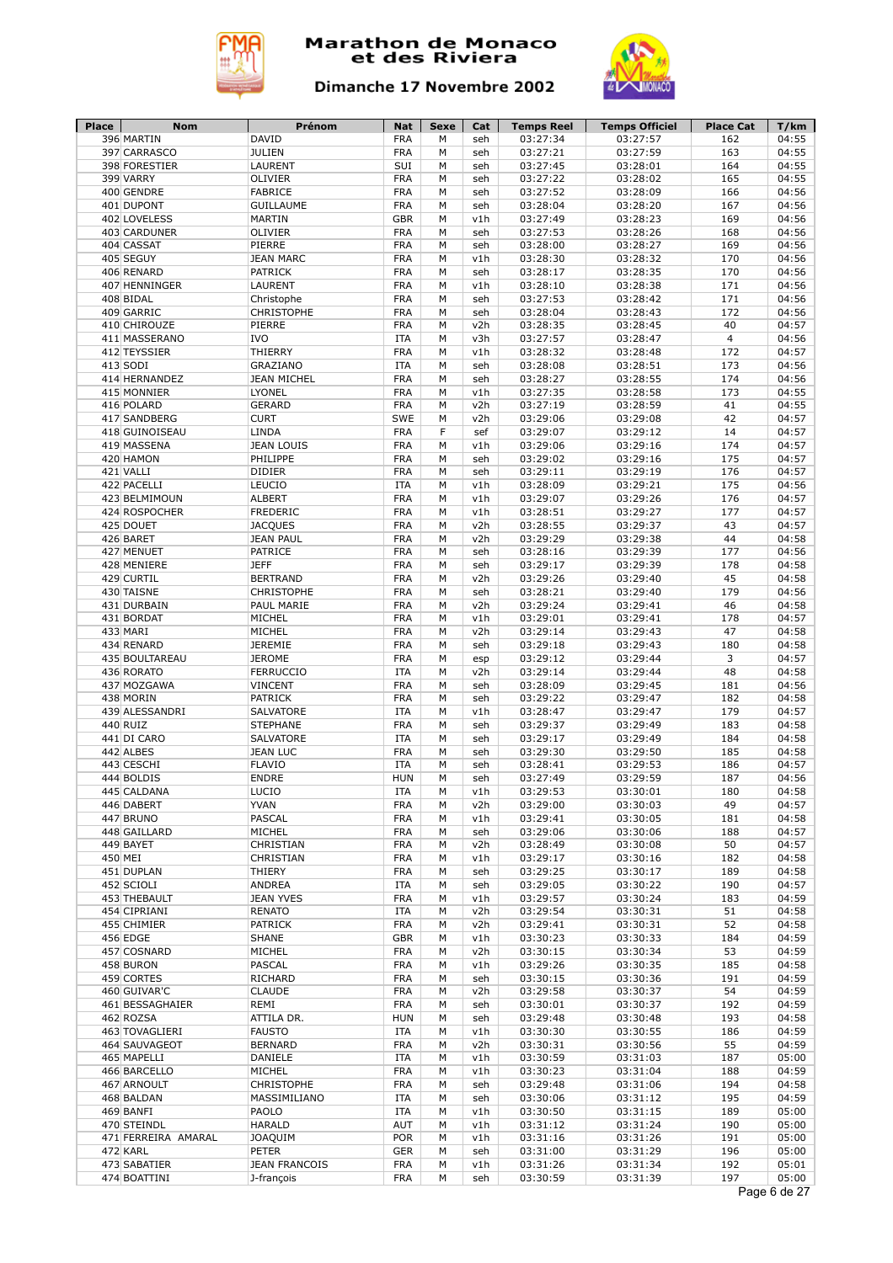



| Place   | <b>Nom</b>                   | Prénom                             | <b>Nat</b>               | Sexe   | Cat        | <b>Temps Reel</b>    | <b>Temps Officiel</b> | <b>Place Cat</b> | T/km           |
|---------|------------------------------|------------------------------------|--------------------------|--------|------------|----------------------|-----------------------|------------------|----------------|
|         | 396 MARTIN                   | <b>DAVID</b>                       | <b>FRA</b>               | M      | seh        | 03:27:34             | 03:27:57              | 162              | 04:55          |
|         | 397 CARRASCO                 | <b>JULIEN</b>                      | <b>FRA</b>               | M      | seh        | 03:27:21             | 03:27:59              | 163              | 04:55          |
|         | 398 FORESTIER                | <b>LAURENT</b>                     | SUI                      | M      | seh        | 03:27:45             | 03:28:01              | 164              | 04:55          |
|         | 399 VARRY<br>400 GENDRE      | <b>OLIVIER</b><br><b>FABRICE</b>   | <b>FRA</b><br><b>FRA</b> | M<br>M | seh<br>seh | 03:27:22<br>03:27:52 | 03:28:02<br>03:28:09  | 165<br>166       | 04:55<br>04:56 |
|         | 401 DUPONT                   | <b>GUILLAUME</b>                   | <b>FRA</b>               | M      | seh        | 03:28:04             | 03:28:20              | 167              | 04:56          |
|         | 402 LOVELESS                 | <b>MARTIN</b>                      | <b>GBR</b>               | M      | v1h        | 03:27:49             | 03:28:23              | 169              | 04:56          |
|         | 403 CARDUNER                 | OLIVIER                            | <b>FRA</b>               | M      | seh        | 03:27:53             | 03:28:26              | 168              | 04:56          |
|         | 404 CASSAT                   | PIERRE                             | <b>FRA</b>               | М      | seh        | 03:28:00             | 03:28:27              | 169              | 04:56          |
|         | 405 SEGUY                    | <b>JEAN MARC</b>                   | <b>FRA</b>               | М      | v1h        | 03:28:30             | 03:28:32              | 170              | 04:56          |
|         | 406 RENARD                   | <b>PATRICK</b>                     | <b>FRA</b>               | M      | seh        | 03:28:17             | 03:28:35              | 170              | 04:56          |
|         | 407 HENNINGER                | LAURENT                            | <b>FRA</b>               | M      | v1h        | 03:28:10             | 03:28:38              | 171              | 04:56          |
|         | 408 BIDAL                    | Christophe                         | <b>FRA</b>               | M      | seh        | 03:27:53             | 03:28:42              | 171              | 04:56          |
|         | 409 GARRIC                   | <b>CHRISTOPHE</b>                  | <b>FRA</b>               | M      | seh        | 03:28:04             | 03:28:43              | 172              | 04:56          |
|         | 410 CHIROUZE                 | PIERRE                             | <b>FRA</b>               | М      | v2h        | 03:28:35             | 03:28:45              | 40               | 04:57          |
|         | 411 MASSERANO                | <b>IVO</b>                         | <b>ITA</b>               | М      | v3h        | 03:27:57             | 03:28:47              | $\overline{4}$   | 04:56          |
|         | 412 TEYSSIER                 | THIERRY                            | <b>FRA</b>               | М      | v1h        | 03:28:32             | 03:28:48              | 172              | 04:57          |
|         | 413 SODI                     | GRAZIANO                           | <b>ITA</b>               | M      | seh        | 03:28:08             | 03:28:51              | 173              | 04:56          |
|         | 414 HERNANDEZ                | <b>JEAN MICHEL</b>                 | <b>FRA</b>               | М      | seh        | 03:28:27             | 03:28:55              | 174              | 04:56          |
|         | 415 MONNIER                  | <b>LYONEL</b>                      | <b>FRA</b>               | M      | v1h        | 03:27:35             | 03:28:58              | 173              | 04:55          |
|         | 416 POLARD                   | <b>GERARD</b>                      | <b>FRA</b>               | М      | v2h        | 03:27:19             | 03:28:59              | 41               | 04:55          |
|         | 417 SANDBERG                 | <b>CURT</b>                        | SWE                      | М      | v2h        | 03:29:06             | 03:29:08              | 42               | 04:57          |
|         | 418 GUINOISEAU               | LINDA                              | <b>FRA</b>               | F      | sef        | 03:29:07             | 03:29:12              | 14               | 04:57          |
|         | 419 MASSENA                  | <b>JEAN LOUIS</b>                  | <b>FRA</b>               | M      | v1h        | 03:29:06             | 03:29:16              | 174              | 04:57          |
|         | 420 HAMON                    | PHILIPPE                           | <b>FRA</b>               | M      | seh        | 03:29:02             | 03:29:16              | 175              | 04:57          |
|         | 421 VALLI                    | <b>DIDIER</b>                      | <b>FRA</b>               | M<br>M | seh        | 03:29:11             | 03:29:19              | 176<br>175       | 04:57<br>04:56 |
|         | 422 PACELLI<br>423 BELMIMOUN | LEUCIO<br><b>ALBERT</b>            | <b>ITA</b><br><b>FRA</b> | M      | v1h<br>v1h | 03:28:09<br>03:29:07 | 03:29:21<br>03:29:26  | 176              | 04:57          |
|         | 424 ROSPOCHER                | <b>FREDERIC</b>                    | <b>FRA</b>               | M      | v1h        | 03:28:51             | 03:29:27              | 177              | 04:57          |
|         | 425 DOUET                    | <b>JACQUES</b>                     | <b>FRA</b>               | M      | v2h        | 03:28:55             | 03:29:37              | 43               | 04:57          |
|         | 426 BARET                    | <b>JEAN PAUL</b>                   | <b>FRA</b>               | M      | v2h        | 03:29:29             | 03:29:38              | 44               | 04:58          |
|         | 427 MENUET                   | <b>PATRICE</b>                     | <b>FRA</b>               | M      | seh        | 03:28:16             | 03:29:39              | 177              | 04:56          |
|         | 428 MENIERE                  | <b>JEFF</b>                        | <b>FRA</b>               | M      | seh        | 03:29:17             | 03:29:39              | 178              | 04:58          |
|         | 429 CURTIL                   | <b>BERTRAND</b>                    | <b>FRA</b>               | M      | v2h        | 03:29:26             | 03:29:40              | 45               | 04:58          |
|         | 430 TAISNE                   | <b>CHRISTOPHE</b>                  | <b>FRA</b>               | М      | seh        | 03:28:21             | 03:29:40              | 179              | 04:56          |
|         | 431 DURBAIN                  | PAUL MARIE                         | <b>FRA</b>               | M      | v2h        | 03:29:24             | 03:29:41              | 46               | 04:58          |
|         | 431 BORDAT                   | MICHEL                             | <b>FRA</b>               | M      | v1h        | 03:29:01             | 03:29:41              | 178              | 04:57          |
|         | 433 MARI                     | MICHEL                             | <b>FRA</b>               | М      | v2h        | 03:29:14             | 03:29:43              | 47               | 04:58          |
|         | 434 RENARD                   | <b>JEREMIE</b>                     | <b>FRA</b>               | M      | seh        | 03:29:18             | 03:29:43              | 180              | 04:58          |
|         | 435 BOULTAREAU               | <b>JEROME</b>                      | <b>FRA</b>               | М      | esp        | 03:29:12             | 03:29:44              | 3                | 04:57          |
|         | 436 RORATO                   | <b>FERRUCCIO</b>                   | <b>ITA</b>               | М      | v2h        | 03:29:14             | 03:29:44              | 48               | 04:58          |
|         | 437 MOZGAWA                  | <b>VINCENT</b>                     | <b>FRA</b>               | М      | seh        | 03:28:09             | 03:29:45              | 181              | 04:56          |
|         | 438 MORIN                    | <b>PATRICK</b>                     | <b>FRA</b>               | M      | seh        | 03:29:22             | 03:29:47              | 182              | 04:58          |
|         | 439 ALESSANDRI               | <b>SALVATORE</b>                   | <b>ITA</b>               | М      | v1h        | 03:28:47             | 03:29:47              | 179              | 04:57          |
|         | 440 RUIZ                     | <b>STEPHANE</b>                    | <b>FRA</b>               | M      | seh        | 03:29:37             | 03:29:49              | 183              | 04:58          |
|         | 441 DI CARO                  | <b>SALVATORE</b>                   | <b>ITA</b>               | М      | seh        | 03:29:17             | 03:29:49              | 184              | 04:58          |
|         | 442 ALBES                    | <b>JEAN LUC</b>                    | <b>FRA</b>               | М      | seh        | 03:29:30             | 03:29:50              | 185              | 04:58          |
|         | 443 CESCHI                   | <b>FLAVIO</b>                      | <b>ITA</b>               | M      | seh        | 03:28:41             | 03:29:53<br>03:29:59  | 186              | 04:57          |
|         | 444 BOLDIS<br>445 CALDANA    | <b>ENDRE</b><br>LUCIO              | <b>HUN</b><br><b>ITA</b> | М<br>М | seh<br>v1h | 03:27:49<br>03:29:53 | 03:30:01              | 187<br>180       | 04:56<br>04:58 |
|         | 446 DABERT                   | <b>YVAN</b>                        | <b>FRA</b>               | М      | v2h        | 03:29:00             | 03:30:03              | 49               | 04:57          |
|         | 447 BRUNO                    | PASCAL                             | <b>FRA</b>               | М      | v1h        | 03:29:41             | 03:30:05              | 181              | 04:58          |
|         | 448 GAILLARD                 | MICHEL                             | <b>FRA</b>               | М      | seh        | 03:29:06             | 03:30:06              | 188              | 04:57          |
|         | 449 BAYET                    | CHRISTIAN                          | <b>FRA</b>               | М      | v2h        | 03:28:49             | 03:30:08              | 50               | 04:57          |
| 450 MEI |                              | CHRISTIAN                          | <b>FRA</b>               | М      | v1h        | 03:29:17             | 03:30:16              | 182              | 04:58          |
|         | 451 DUPLAN                   | THIERY                             | <b>FRA</b>               | М      | seh        | 03:29:25             | 03:30:17              | 189              | 04:58          |
|         | 452 SCIOLI                   | ANDREA                             | ITA                      | М      | seh        | 03:29:05             | 03:30:22              | 190              | 04:57          |
|         | 453 THEBAULT                 | <b>JEAN YVES</b>                   | <b>FRA</b>               | М      | v1h        | 03:29:57             | 03:30:24              | 183              | 04:59          |
|         | 454 CIPRIANI                 | <b>RENATO</b>                      | ITA                      | М      | v2h        | 03:29:54             | 03:30:31              | 51               | 04:58          |
|         | 455 CHIMIER                  | <b>PATRICK</b>                     | <b>FRA</b>               | М      | v2h        | 03:29:41             | 03:30:31              | 52               | 04:58          |
|         | 456 EDGE                     | <b>SHANE</b>                       | <b>GBR</b>               | М      | v1h        | 03:30:23             | 03:30:33              | 184              | 04:59          |
|         | 457 COSNARD                  | MICHEL                             | <b>FRA</b>               | М      | v2h        | 03:30:15             | 03:30:34              | 53               | 04:59          |
|         | 458 BURON                    | PASCAL                             | <b>FRA</b>               | М      | v1h        | 03:29:26             | 03:30:35              | 185              | 04:58          |
|         | 459 CORTES                   | RICHARD                            | <b>FRA</b>               | М      | seh        | 03:30:15             | 03:30:36              | 191              | 04:59          |
|         | 460 GUIVAR'C                 | <b>CLAUDE</b>                      | <b>FRA</b>               | М      | v2h        | 03:29:58             | 03:30:37              | 54               | 04:59          |
|         | 461 BESSAGHAIER              | REMI                               | <b>FRA</b>               | М      | seh        | 03:30:01             | 03:30:37              | 192              | 04:59          |
|         | 462 ROZSA                    | ATTILA DR.                         | <b>HUN</b>               | М      | seh        | 03:29:48             | 03:30:48              | 193              | 04:58          |
|         | 463 TOVAGLIERI               | <b>FAUSTO</b>                      | <b>ITA</b>               | М      | v1h        | 03:30:30             | 03:30:55              | 186              | 04:59          |
|         | 464 SAUVAGEOT                | <b>BERNARD</b>                     | <b>FRA</b>               | М      | v2h        | 03:30:31             | 03:30:56              | 55               | 04:59          |
|         | 465 MAPELLI                  | DANIELE                            | ITA                      | М      | v1h        | 03:30:59             | 03:31:03              | 187              | 05:00          |
|         | 466 BARCELLO                 | MICHEL                             | <b>FRA</b>               | М      | v1h        | 03:30:23             | 03:31:04              | 188              | 04:59          |
|         | 467 ARNOULT                  | CHRISTOPHE                         | <b>FRA</b>               | М      | seh        | 03:29:48             | 03:31:06              | 194              | 04:58          |
|         | 468 BALDAN                   | MASSIMILIANO                       | ITA                      | М      | seh        | 03:30:06             | 03:31:12              | 195              | 04:59          |
|         | 469 BANFI                    | PAOLO                              | <b>ITA</b>               | М      | v1h        | 03:30:50             | 03:31:15              | 189              | 05:00          |
|         | 470 STEINDL                  | <b>HARALD</b>                      | <b>AUT</b>               | М      | v1h        | 03:31:12             | 03:31:24              | 190              | 05:00          |
|         | 471 FERREIRA AMARAL          | <b>JOAQUIM</b>                     | <b>POR</b>               | М      | v1h        | 03:31:16             | 03:31:26              | 191              | 05:00          |
|         | 472 KARL                     | <b>PETER</b>                       | <b>GER</b>               | М      | seh<br>v1h | 03:31:00<br>03:31:26 | 03:31:29<br>03:31:34  | 196<br>192       | 05:00          |
|         |                              |                                    |                          |        |            |                      |                       |                  |                |
|         | 473 SABATIER<br>474 BOATTINI | <b>JEAN FRANCOIS</b><br>J-françois | <b>FRA</b><br><b>FRA</b> | М<br>М | seh        | 03:30:59             | 03:31:39              | 197              | 05:01<br>05:00 |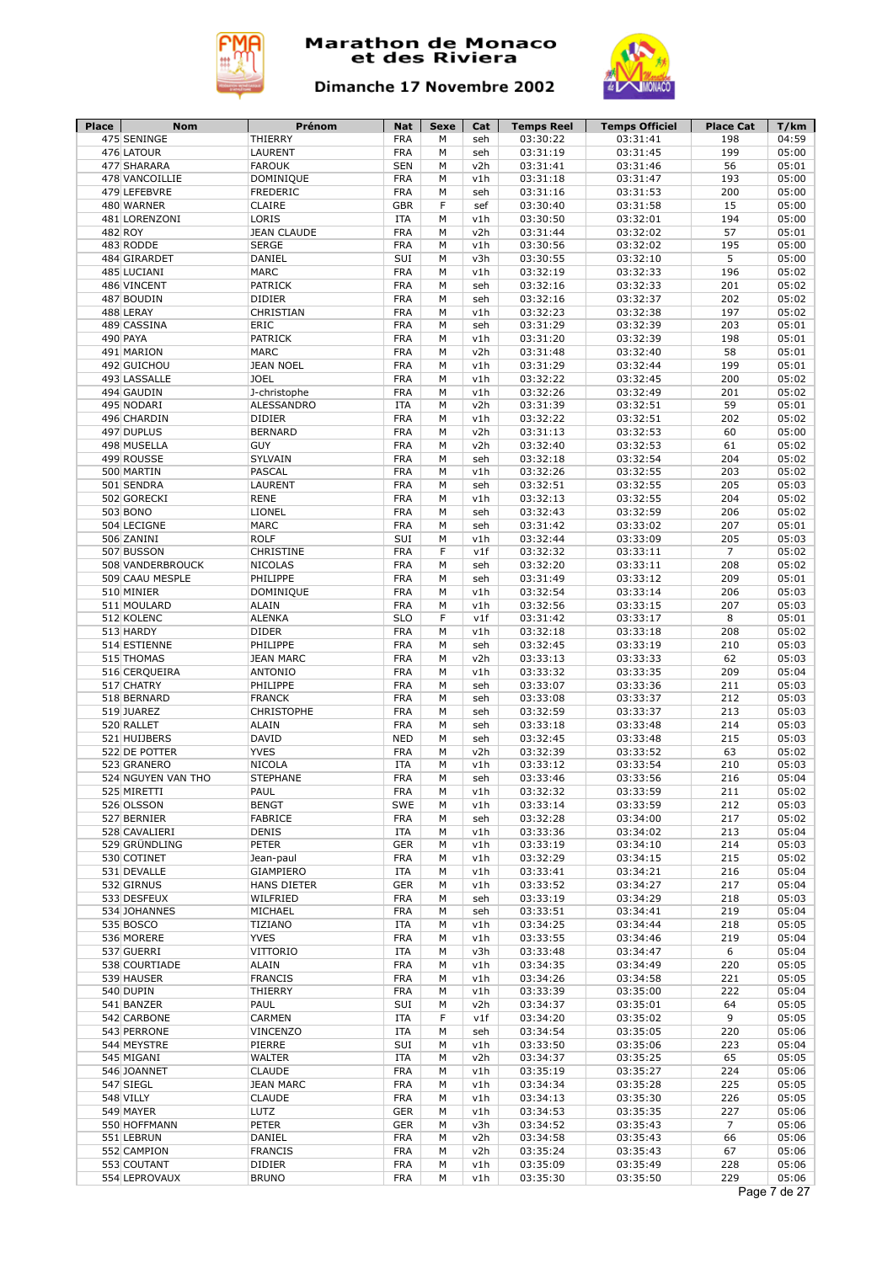



| Place | <b>Nom</b>                    | Prénom                          | <b>Nat</b>               | Sexe   | Cat        | <b>Temps Reel</b>    | <b>Temps Officiel</b> | <b>Place Cat</b> | T/km           |
|-------|-------------------------------|---------------------------------|--------------------------|--------|------------|----------------------|-----------------------|------------------|----------------|
|       | 475 SENINGE                   | THIERRY                         | <b>FRA</b>               | M      | seh        | 03:30:22             | 03:31:41              | 198              | 04:59          |
|       | 476 LATOUR<br>477 SHARARA     | <b>LAURENT</b><br><b>FAROUK</b> | <b>FRA</b><br><b>SEN</b> | M<br>M | seh<br>v2h | 03:31:19<br>03:31:41 | 03:31:45<br>03:31:46  | 199<br>56        | 05:00<br>05:01 |
|       | 478 VANCOILLIE                | <b>DOMINIQUE</b>                | <b>FRA</b>               | M      | v1h        | 03:31:18             | 03:31:47              | 193              | 05:00          |
|       | 479 LEFEBVRE                  | <b>FREDERIC</b>                 | <b>FRA</b>               | M      | seh        | 03:31:16             | 03:31:53              | 200              | 05:00          |
|       | 480 WARNER                    | <b>CLAIRE</b>                   | <b>GBR</b>               | F      | sef        | 03:30:40             | 03:31:58              | 15               | 05:00          |
|       | 481 LORENZONI                 | LORIS                           | <b>ITA</b>               | M      | v1h        | 03:30:50             | 03:32:01              | 194              | 05:00          |
|       | 482 ROY                       | <b>JEAN CLAUDE</b>              | <b>FRA</b>               | M      | v2h        | 03:31:44             | 03:32:02              | 57               | 05:01          |
|       | 483 RODDE                     | <b>SERGE</b>                    | <b>FRA</b>               | M      | v1h        | 03:30:56             | 03:32:02              | 195              | 05:00          |
|       | 484 GIRARDET                  | DANIEL                          | SUI                      | M      | v3h        | 03:30:55             | 03:32:10              | 5                | 05:00          |
|       | 485 LUCIANI                   | <b>MARC</b>                     | <b>FRA</b>               | М      | v1h        | 03:32:19             | 03:32:33              | 196              | 05:02          |
|       | 486 VINCENT                   | <b>PATRICK</b>                  | <b>FRA</b>               | M      | seh        | 03:32:16             | 03:32:33              | 201              | 05:02          |
|       | 487 BOUDIN                    | <b>DIDIER</b>                   | <b>FRA</b>               | М      | seh        | 03:32:16             | 03:32:37              | 202              | 05:02          |
|       | 488 LERAY                     | CHRISTIAN                       | <b>FRA</b>               | M      | v1h        | 03:32:23             | 03:32:38              | 197              | 05:02          |
|       | 489 CASSINA                   | ERIC                            | <b>FRA</b>               | М      | seh        | 03:31:29             | 03:32:39              | 203              | 05:01          |
|       | 490 PAYA                      | <b>PATRICK</b>                  | <b>FRA</b>               | M      | v1h        | 03:31:20             | 03:32:39              | 198              | 05:01          |
|       | 491 MARION                    | <b>MARC</b>                     | <b>FRA</b>               | M      | v2h        | 03:31:48             | 03:32:40              | 58               | 05:01          |
|       | 492 GUICHOU                   | <b>JEAN NOEL</b>                | <b>FRA</b>               | M      | v1h        | 03:31:29             | 03:32:44              | 199              | 05:01          |
|       | 493 LASSALLE                  | <b>JOEL</b>                     | <b>FRA</b>               | М      | v1h        | 03:32:22             | 03:32:45              | 200              | 05:02          |
|       | 494 GAUDIN                    | J-christophe                    | <b>FRA</b>               | M      | v1h        | 03:32:26             | 03:32:49              | 201              | 05:02          |
|       | 495 NODARI                    | ALESSANDRO                      | <b>ITA</b>               | M      | v2h        | 03:31:39             | 03:32:51              | 59               | 05:01          |
|       | 496 CHARDIN                   | <b>DIDIER</b>                   | <b>FRA</b>               | M      | v1h        | 03:32:22             | 03:32:51              | 202              | 05:02          |
|       | 497 DUPLUS                    | <b>BERNARD</b>                  | <b>FRA</b>               | M      | v2h        | 03:31:13             | 03:32:53              | 60               | 05:00          |
|       | 498 MUSELLA                   | <b>GUY</b>                      | <b>FRA</b>               | M      | v2h        | 03:32:40             | 03:32:53              | 61               | 05:02          |
|       | 499 ROUSSE                    | SYLVAIN                         | <b>FRA</b>               | M      | seh        | 03:32:18             | 03:32:54              | 204              | 05:02          |
|       | 500 MARTIN                    | PASCAL                          | <b>FRA</b>               | M      | v1h        | 03:32:26             | 03:32:55              | 203              | 05:02          |
|       | 501 SENDRA                    | LAURENT                         | <b>FRA</b>               | M      | seh        | 03:32:51             | 03:32:55              | 205              | 05:03          |
|       | 502 GORECKI                   | <b>RENE</b>                     | <b>FRA</b>               | M      | v1h        | 03:32:13             | 03:32:55              | 204              | 05:02          |
|       | 503 BONO                      | LIONEL                          | <b>FRA</b>               | M      | seh        | 03:32:43             | 03:32:59              | 206              | 05:02          |
|       | 504 LECIGNE                   | <b>MARC</b>                     | <b>FRA</b>               | M      | seh        | 03:31:42             | 03:33:02              | 207              | 05:01          |
|       | 506 ZANINI                    | <b>ROLF</b>                     | SUI                      | М      | v1h        | 03:32:44             | 03:33:09              | 205              | 05:03          |
|       | 507 BUSSON                    | CHRISTINE                       | <b>FRA</b>               | F      | v1f        | 03:32:32             | 03:33:11              | $\overline{7}$   | 05:02          |
|       | 508 VANDERBROUCK              | <b>NICOLAS</b>                  | <b>FRA</b>               | M      | seh        | 03:32:20             | 03:33:11              | 208              | 05:02          |
|       | 509 CAAU MESPLE               | PHILIPPE                        | <b>FRA</b>               | M      | seh        | 03:31:49             | 03:33:12              | 209              | 05:01          |
|       | 510 MINIER                    | <b>DOMINIQUE</b>                | <b>FRA</b>               | M      | v1h        | 03:32:54             | 03:33:14              | 206              | 05:03          |
|       | 511 MOULARD                   | <b>ALAIN</b>                    | <b>FRA</b>               | M      | v1h        | 03:32:56             | 03:33:15              | 207              | 05:03          |
|       | 512 KOLENC                    | <b>ALENKA</b>                   | <b>SLO</b>               | F      | v1f        | 03:31:42             | 03:33:17              | 8                | 05:01          |
|       | 513 HARDY                     | <b>DIDER</b>                    | <b>FRA</b>               | М      | v1h        | 03:32:18             | 03:33:18              | 208              | 05:02          |
|       | 514 ESTIENNE                  | PHILIPPE                        | <b>FRA</b>               | M      | seh        | 03:32:45             | 03:33:19              | 210              | 05:03          |
|       | 515 THOMAS                    | <b>JEAN MARC</b>                | <b>FRA</b>               | M      | v2h        | 03:33:13             | 03:33:33              | 62               | 05:03          |
|       | 516 CERQUEIRA                 | <b>ANTONIO</b>                  | <b>FRA</b>               | M      | v1h        | 03:33:32             | 03:33:35              | 209              | 05:04          |
|       | 517 CHATRY                    | PHILIPPE                        | <b>FRA</b>               | М      | seh        | 03:33:07             | 03:33:36              | 211              | 05:03          |
|       | 518 BERNARD                   | <b>FRANCK</b>                   | <b>FRA</b>               | M      | seh        | 03:33:08             | 03:33:37              | 212              | 05:03          |
|       | 519 JUAREZ                    | <b>CHRISTOPHE</b>               | <b>FRA</b>               | М      | seh        | 03:32:59             | 03:33:37              | 213              | 05:03          |
|       | 520 RALLET                    | <b>ALAIN</b>                    | <b>FRA</b>               | M      | seh        | 03:33:18             | 03:33:48              | 214              | 05:03          |
|       | 521 HUIJBERS<br>522 DE POTTER | <b>DAVID</b>                    | <b>NED</b>               | М      | seh        | 03:32:45             | 03:33:48<br>03:33:52  | 215              | 05:03          |
|       | 523 GRANERO                   | <b>YVES</b><br><b>NICOLA</b>    | <b>FRA</b><br><b>ITA</b> | M<br>M | v2h<br>v1h | 03:32:39<br>03:33:12 |                       | 63<br>210        | 05:02<br>05:03 |
|       | 524 NGUYEN VAN THO            | <b>STEPHANE</b>                 | <b>FRA</b>               | M      |            |                      | 03:33:54              |                  | 05:04          |
|       | 525 MIRETTI                   | PAUL                            | <b>FRA</b>               | М      | seh<br>v1h | 03:33:46<br>03:32:32 | 03:33:56<br>03:33:59  | 216<br>211       | 05:02          |
|       | 526 OLSSON                    | <b>BENGT</b>                    | <b>SWE</b>               | M      | v1h        | 03:33:14             | 03:33:59              | 212              | 05:03          |
|       | 527 BERNIER                   | <b>FABRICE</b>                  | <b>FRA</b>               | M      | seh        | 03:32:28             | 03:34:00              | 217              | 05:02          |
|       | 528 CAVALIERI                 | <b>DENIS</b>                    | ITA                      | М      | v1h        | 03:33:36             | 03:34:02              | 213              | 05:04          |
|       | 529 GRÜNDLING                 | <b>PETER</b>                    | <b>GER</b>               | М      | v1h        | 03:33:19             | 03:34:10              | 214              | 05:03          |
|       | 530 COTINET                   | Jean-paul                       | <b>FRA</b>               | M      | v1h        | 03:32:29             | 03:34:15              | 215              | 05:02          |
|       | 531 DEVALLE                   | GIAMPIERO                       | ITA                      | М      | v1h        | 03:33:41             | 03:34:21              | 216              | 05:04          |
|       | 532 GIRNUS                    | <b>HANS DIETER</b>              | <b>GER</b>               | М      | v1h        | 03:33:52             | 03:34:27              | 217              | 05:04          |
|       | 533 DESFEUX                   | WILFRIED                        | <b>FRA</b>               | М      | seh        | 03:33:19             | 03:34:29              | 218              | 05:03          |
|       | 534 JOHANNES                  | MICHAEL                         | <b>FRA</b>               | М      | seh        | 03:33:51             | 03:34:41              | 219              | 05:04          |
|       | 535 BOSCO                     | TIZIANO                         | ITA                      | М      | v1h        | 03:34:25             | 03:34:44              | 218              | 05:05          |
|       | 536 MORERE                    | <b>YVES</b>                     | <b>FRA</b>               | М      | v1h        | 03:33:55             | 03:34:46              | 219              | 05:04          |
|       | 537 GUERRI                    | VITTORIO                        | ITA                      | М      | v3h        | 03:33:48             | 03:34:47              | 6                | 05:04          |
|       | 538 COURTIADE                 | <b>ALAIN</b>                    | <b>FRA</b>               | М      | v1h        | 03:34:35             | 03:34:49              | 220              | 05:05          |
|       | 539 HAUSER                    | <b>FRANCIS</b>                  | <b>FRA</b>               | М      | v1h        | 03:34:26             | 03:34:58              | 221              | 05:05          |
|       | 540 DUPIN                     | THIERRY                         | <b>FRA</b>               | М      | v1h        | 03:33:39             | 03:35:00              | 222              | 05:04          |
|       | 541 BANZER                    | PAUL                            | SUI                      | М      | v2h        | 03:34:37             | 03:35:01              | 64               | 05:05          |
|       | 542 CARBONE                   | CARMEN                          | ITA                      | F      | v1f        | 03:34:20             | 03:35:02              | 9                | 05:05          |
|       | 543 PERRONE                   | VINCENZO                        | <b>ITA</b>               | М      | seh        | 03:34:54             | 03:35:05              | 220              | 05:06          |
|       | 544 MEYSTRE                   | PIERRE                          | SUI                      | М      | v1h        | 03:33:50             | 03:35:06              | 223              | 05:04          |
|       | 545 MIGANI                    | <b>WALTER</b>                   | ITA                      | М      | v2h        | 03:34:37             | 03:35:25              | 65               | 05:05          |
|       | 546 JOANNET                   | <b>CLAUDE</b>                   | <b>FRA</b>               | М      | v1h        | 03:35:19             | 03:35:27              | 224              | 05:06          |
|       | 547 SIEGL                     | <b>JEAN MARC</b>                | <b>FRA</b>               | М      | v1h        | 03:34:34             | 03:35:28              | 225              | 05:05          |
|       | 548 VILLY                     | <b>CLAUDE</b>                   | <b>FRA</b>               | М      | v1h        | 03:34:13             | 03:35:30              | 226              | 05:05          |
|       | 549 MAYER                     | LUTZ                            | <b>GER</b>               | М      | v1h        | 03:34:53             | 03:35:35              | 227              | 05:06          |
|       | 550 HOFFMANN                  | PETER                           | <b>GER</b>               | M      | v3h        | 03:34:52             | 03:35:43              | $\overline{7}$   | 05:06          |
|       | 551 LEBRUN                    | DANIEL                          | <b>FRA</b>               | М      | v2h        | 03:34:58             | 03:35:43              | 66               | 05:06          |
|       | 552 CAMPION                   | <b>FRANCIS</b>                  | <b>FRA</b>               | М      | v2h        | 03:35:24             | 03:35:43              | 67               | 05:06          |
|       | 553 COUTANT                   | <b>DIDIER</b>                   | <b>FRA</b>               | М      | v1h        | 03:35:09             | 03:35:49              | 228              | 05:06          |
|       |                               |                                 |                          |        |            | 03:35:30             | 03:35:50              | 229              | 05:06          |
|       | 554 LEPROVAUX                 | <b>BRUNO</b>                    | <b>FRA</b>               | М      | v1h        |                      |                       |                  |                |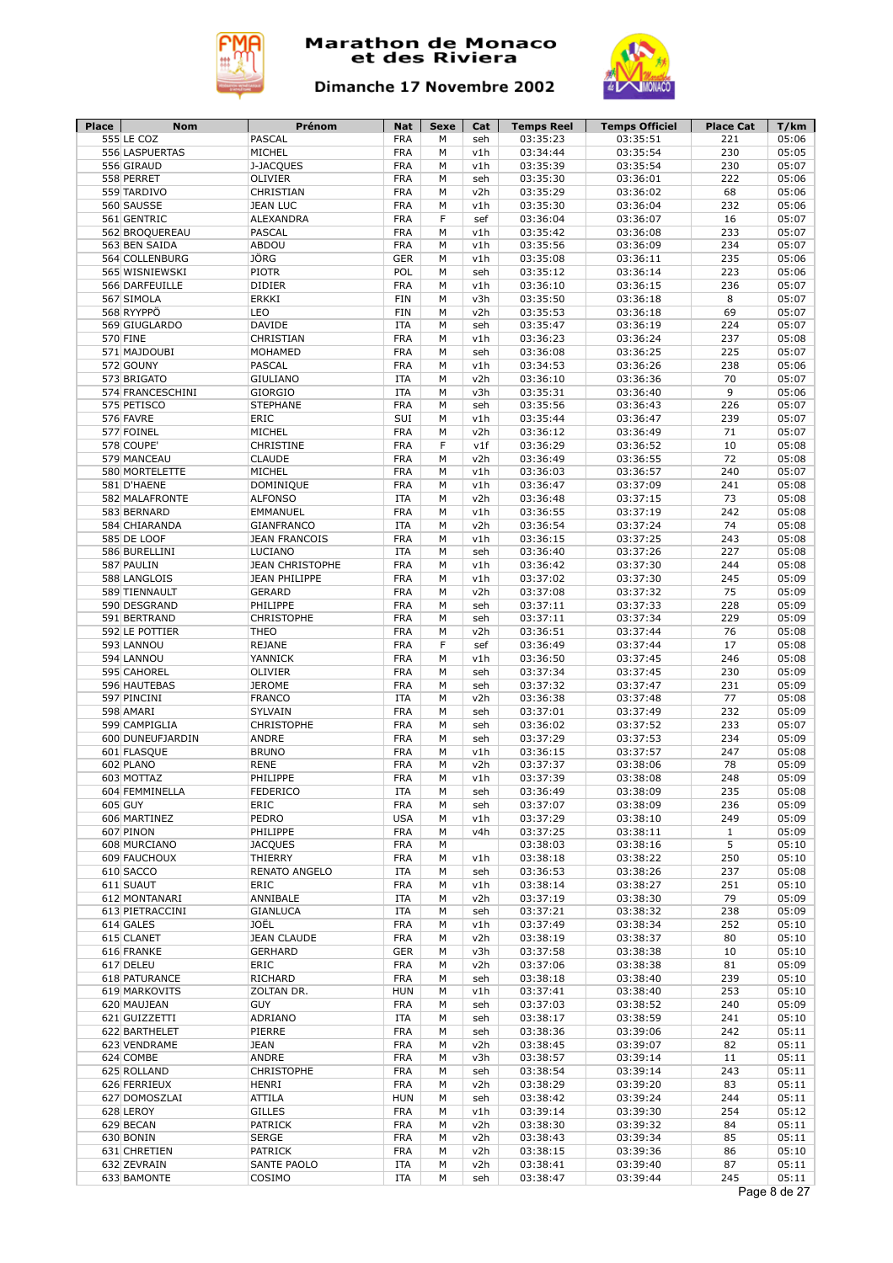



| 05:06<br>555 LE COZ<br>PASCAL<br><b>FRA</b><br>M<br>03:35:23<br>03:35:51<br>221<br>seh<br>556 LASPUERTAS<br>MICHEL<br><b>FRA</b><br>03:34:44<br>03:35:54<br>230<br>05:05<br>М<br>v1h<br>556 GIRAUD<br><b>FRA</b><br>03:35:54<br>230<br>05:07<br>J-JACQUES<br>03:35:39<br>M<br>v1h<br>558 PERRET<br>OLIVIER<br><b>FRA</b><br>03:36:01<br>222<br>05:06<br>M<br>03:35:30<br>seh<br>CHRISTIAN<br><b>FRA</b><br>03:35:29<br>03:36:02<br>68<br>05:06<br>559 TARDIVO<br>v2h<br>М<br><b>FRA</b><br>232<br>05:06<br>560 SAUSSE<br><b>JEAN LUC</b><br>M<br>v1h<br>03:35:30<br>03:36:04<br>561 GENTRIC<br><b>ALEXANDRA</b><br><b>FRA</b><br>F<br>03:36:07<br>16<br>05:07<br>sef<br>03:36:04<br><b>PASCAL</b><br><b>FRA</b><br>03:36:08<br>233<br>05:07<br>562 BROQUEREAU<br>M<br>v1h<br>03:35:42<br>ABDOU<br><b>FRA</b><br>234<br>05:07<br>563 BEN SAIDA<br>M<br>v1h<br>03:35:56<br>03:36:09<br>JÖRG<br><b>GER</b><br>235<br>05:06<br>564 COLLENBURG<br>M<br>v1h<br>03:35:08<br>03:36:11<br><b>PIOTR</b><br>POL<br>03:35:12<br>03:36:14<br>223<br>05:06<br>565 WISNIEWSKI<br>M<br>seh<br><b>DIDIER</b><br><b>FRA</b><br>05:07<br>566 DARFEUILLE<br>М<br>v1h<br>03:36:10<br>03:36:15<br>236<br><b>ERKKI</b><br><b>FIN</b><br>8<br>05:07<br>567 SIMOLA<br>М<br>v3h<br>03:35:50<br>03:36:18<br>568 RYYPPÖ<br>LEO<br><b>FIN</b><br>03:35:53<br>69<br>05:07<br>М<br>v2h<br>03:36:18<br>DAVIDE<br>224<br>05:07<br>569 GIUGLARDO<br><b>ITA</b><br>M<br>03:35:47<br>03:36:19<br>seh<br>CHRISTIAN<br><b>FRA</b><br>237<br>05:08<br>570 FINE<br>М<br>v1h<br>03:36:23<br>03:36:24<br><b>FRA</b><br>M<br>03:36:08<br>03:36:25<br>225<br>05:07<br>571 MAJDOUBI<br>MOHAMED<br>seh<br>PASCAL<br><b>FRA</b><br>03:34:53<br>03:36:26<br>238<br>05:06<br>572 GOUNY<br>М<br>v1h<br><b>GIULIANO</b><br><b>ITA</b><br>M<br>v2h<br>70<br>05:07<br>573 BRIGATO<br>03:36:10<br>03:36:36<br>9<br><b>GIORGIO</b><br><b>ITA</b><br>M<br>v3h<br>03:36:40<br>05:06<br>574 FRANCESCHINI<br>03:35:31<br><b>STEPHANE</b><br><b>FRA</b><br>226<br>05:07<br>575 PETISCO<br>M<br>seh<br>03:35:56<br>03:36:43<br>576 FAVRE<br>ERIC<br>SUI<br>03:35:44<br>03:36:47<br>239<br>05:07<br>M<br>v1h<br>577 FOINEL<br>MICHEL<br><b>FRA</b><br>03:36:12<br>03:36:49<br>71<br>05:07<br>M<br>v2h<br>578 COUPE'<br>CHRISTINE<br><b>FRA</b><br>F<br>v1f<br>03:36:29<br>03:36:52<br>10<br>05:08<br><b>CLAUDE</b><br><b>FRA</b><br>72<br>05:08<br>579 MANCEAU<br>М<br>v2h<br>03:36:49<br>03:36:55<br>MICHEL<br><b>FRA</b><br>240<br>05:07<br>580 MORTELETTE<br>М<br>v1h<br>03:36:03<br>03:36:57<br>DOMINIQUE<br><b>FRA</b><br>03:36:47<br>03:37:09<br>241<br>05:08<br>581 D'HAENE<br>М<br>v1h<br><b>ITA</b><br>73<br>05:08<br>582 MALAFRONTE<br><b>ALFONSO</b><br>v2h<br>03:36:48<br>03:37:15<br>М<br><b>FRA</b><br>03:37:19<br>242<br>05:08<br>583 BERNARD<br>EMMANUEL<br>M<br>v1h<br>03:36:55<br>74<br><b>ITA</b><br>03:37:24<br>05:08<br>584 CHIARANDA<br><b>GIANFRANCO</b><br>v2h<br>03:36:54<br>М<br><b>FRA</b><br>243<br>05:08<br><b>585 DE LOOF</b><br><b>JEAN FRANCOIS</b><br>v1h<br>03:36:15<br>03:37:25<br>М<br><b>ITA</b><br>03:37:26<br>227<br>05:08<br>586 BURELLINI<br>LUCIANO<br>M<br>03:36:40<br>seh<br><b>FRA</b><br>03:37:30<br>244<br>05:08<br>587 PAULIN<br><b>JEAN CHRISTOPHE</b><br>M<br>v1h<br>03:36:42<br><b>JEAN PHILIPPE</b><br><b>FRA</b><br>03:37:02<br>03:37:30<br>245<br>05:09<br>588 LANGLOIS<br>M<br>v1h<br><b>FRA</b><br>75<br>05:09<br>589 TIENNAULT<br><b>GERARD</b><br>M<br>v2h<br>03:37:08<br>03:37:32<br>PHILIPPE<br><b>FRA</b><br>03:37:11<br>03:37:33<br>228<br>05:09<br>590 DESGRAND<br>M<br>seh<br><b>CHRISTOPHE</b><br><b>FRA</b><br>03:37:11<br>03:37:34<br>229<br>05:09<br>591 BERTRAND<br>М<br>seh<br><b>THEO</b><br><b>FRA</b><br>03:37:44<br>76<br>05:08<br>592 LE POTTIER<br>M<br>v2h<br>03:36:51<br><b>REJANE</b><br><b>FRA</b><br>F<br>03:36:49<br>03:37:44<br>17<br>05:08<br>593 LANNOU<br>sef<br>YANNICK<br><b>FRA</b><br>03:37:45<br>246<br>05:08<br>594 LANNOU<br>M<br>v1h<br>03:36:50<br>OLIVIER<br><b>FRA</b><br>03:37:34<br>03:37:45<br>230<br>05:09<br>595 CAHOREL<br>М<br>seh<br><b>JEROME</b><br><b>FRA</b><br>03:37:32<br>03:37:47<br>05:09<br>596 HAUTEBAS<br>M<br>231<br>seh<br><b>FRANCO</b><br><b>ITA</b><br>03:36:38<br>03:37:48<br>77<br>05:08<br>597 PINCINI<br>М<br>v2h<br>SYLVAIN<br><b>FRA</b><br>M<br>03:37:49<br>232<br>05:09<br>598 AMARI<br>seh<br>03:37:01<br><b>CHRISTOPHE</b><br><b>FRA</b><br>03:37:52<br>233<br>05:07<br>599 CAMPIGLIA<br>М<br>seh<br>03:36:02<br>ANDRE<br><b>FRA</b><br>M<br>03:37:53<br>234<br>05:09<br>600 DUNEUFJARDIN<br>seh<br>03:37:29<br><b>BRUNO</b><br><b>FRA</b><br>03:37:57<br>247<br>05:08<br>601 FLASQUE<br>M<br>v1h<br>03:36:15<br>602 PLANO<br><b>RENE</b><br><b>FRA</b><br>03:37:37<br>03:38:06<br>78<br>05:09<br>M<br>v2h<br>PHILIPPE<br><b>FRA</b><br>M<br>03:37:39<br>03:38:08<br>248<br>05:09<br>603 MOTTAZ<br>v1h<br>FEDERICO<br><b>ITA</b><br>235<br>05:08<br>604 FEMMINELLA<br>М<br>seh<br>03:36:49<br>03:38:09<br>605 GUY<br>ERIC<br><b>FRA</b><br>03:37:07<br>03:38:09<br>236<br>05:09<br>М<br>seh<br>PEDRO<br><b>USA</b><br>606 MARTINEZ<br>v1h<br>03:37:29<br>03:38:10<br>249<br>05:09<br>М<br>PHILIPPE<br><b>FRA</b><br>607 PINON<br>v4h<br>03:37:25<br>03:38:11<br>$\mathbf{1}$<br>05:09<br>м<br>5<br>608 MURCIANO<br><b>JACQUES</b><br>FRA<br>03:38:03<br>03:38:16<br>05:10<br>М<br>609 FAUCHOUX<br>03:38:22<br>THIERRY<br>FRA<br>03:38:18<br>250<br>05:10<br>М<br>v1h<br>610 SACCO<br>RENATO ANGELO<br>ITA<br>03:36:53<br>03:38:26<br>237<br>05:08<br>М<br>seh<br>251<br>611 SUAUT<br>ERIC<br><b>FRA</b><br>v1h<br>03:38:14<br>03:38:27<br>05:10<br>М<br>79<br>05:09<br>612 MONTANARI<br>ANNIBALE<br>ITA<br>v2h<br>03:37:19<br>03:38:30<br>М<br>613 PIETRACCINI<br><b>GIANLUCA</b><br>03:38:32<br>238<br>ITA<br>seh<br>03:37:21<br>05:09<br>М<br>JOËL<br><b>FRA</b><br>614 GALES<br>v1h<br>03:37:49<br>03:38:34<br>252<br>05:10<br>м<br><b>FRA</b><br>615 CLANET<br><b>JEAN CLAUDE</b><br>M<br>v2h<br>03:38:19<br>03:38:37<br>80<br>05:10<br>05:10<br>616 FRANKE<br><b>GERHARD</b><br><b>GER</b><br>v3h<br>03:37:58<br>03:38:38<br>10<br>м<br>617 DELEU<br>ERIC<br>FRA<br>v2h<br>03:37:06<br>03:38:38<br>81<br>05:09<br>м<br><b>FRA</b><br>618 PATURANCE<br>RICHARD<br>М<br>03:38:18<br>03:38:40<br>239<br>05:10<br>seh<br>619 MARKOVITS<br>ZOLTAN DR.<br><b>HUN</b><br>М<br>v1h<br>03:37:41<br>03:38:40<br>253<br>05:10<br>620 MAUJEAN<br><b>GUY</b><br>FRA<br>03:37:03<br>03:38:52<br>240<br>05:09<br>м<br>seh<br>621 GUIZZETTI<br>ADRIANO<br><b>ITA</b><br>М<br>03:38:17<br>03:38:59<br>241<br>05:10<br>seh<br><b>FRA</b><br>622 BARTHELET<br>PIERRE<br>03:38:36<br>03:39:06<br>242<br>05:11<br>м<br>seh<br><b>FRA</b><br>623 VENDRAME<br><b>JEAN</b><br>М<br>v2h<br>03:38:45<br>03:39:07<br>82<br>05:11<br>ANDRE<br><b>FRA</b><br>v3h<br>624 COMBE<br>М<br>03:38:57<br>11<br>05:11<br>03:39:14<br><b>FRA</b><br>625 ROLLAND<br>CHRISTOPHE<br>М<br>seh<br>03:38:54<br>03:39:14<br>243<br>05:11<br><b>FRA</b><br>626 FERRIEUX<br><b>HENRI</b><br>М<br>v2h<br>03:38:29<br>03:39:20<br>83<br>05:11<br>627 DOMOSZLAI<br>ATTILA<br><b>HUN</b><br>М<br>03:38:42<br>03:39:24<br>244<br>05:11<br>seh<br><b>GILLES</b><br><b>FRA</b><br>254<br>05:12<br>628 LEROY<br>М<br>v1h<br>03:39:14<br>03:39:30<br>629 BECAN<br><b>PATRICK</b><br><b>FRA</b><br>05:11<br>М<br>v2h<br>03:38:30<br>03:39:32<br>84<br>630 BONIN<br><b>SERGE</b><br>FRA<br>v2h<br>03:38:43<br>03:39:34<br>85<br>05:11<br>М<br><b>PATRICK</b><br>631 CHRETIEN<br>FRA<br>М<br>v2h<br>03:38:15<br>03:39:36<br>86<br>05:10<br>SANTE PAOLO<br>87<br>632 ZEVRAIN<br>ITA<br>v2h<br>03:38:41<br>03:39:40<br>05:11<br>М<br>245<br>05:11<br>633 BAMONTE<br>COSIMO<br>ITA<br>03:38:47<br>03:39:44<br>м<br>seh<br>Page 8 de 27 | <b>Place</b> | <b>Nom</b> | Prénom | <b>Nat</b> | Sexe | Cat | <b>Temps Reel</b> | <b>Temps Officiel</b> | <b>Place Cat</b> | T/km |
|----------------------------------------------------------------------------------------------------------------------------------------------------------------------------------------------------------------------------------------------------------------------------------------------------------------------------------------------------------------------------------------------------------------------------------------------------------------------------------------------------------------------------------------------------------------------------------------------------------------------------------------------------------------------------------------------------------------------------------------------------------------------------------------------------------------------------------------------------------------------------------------------------------------------------------------------------------------------------------------------------------------------------------------------------------------------------------------------------------------------------------------------------------------------------------------------------------------------------------------------------------------------------------------------------------------------------------------------------------------------------------------------------------------------------------------------------------------------------------------------------------------------------------------------------------------------------------------------------------------------------------------------------------------------------------------------------------------------------------------------------------------------------------------------------------------------------------------------------------------------------------------------------------------------------------------------------------------------------------------------------------------------------------------------------------------------------------------------------------------------------------------------------------------------------------------------------------------------------------------------------------------------------------------------------------------------------------------------------------------------------------------------------------------------------------------------------------------------------------------------------------------------------------------------------------------------------------------------------------------------------------------------------------------------------------------------------------------------------------------------------------------------------------------------------------------------------------------------------------------------------------------------------------------------------------------------------------------------------------------------------------------------------------------------------------------------------------------------------------------------------------------------------------------------------------------------------------------------------------------------------------------------------------------------------------------------------------------------------------------------------------------------------------------------------------------------------------------------------------------------------------------------------------------------------------------------------------------------------------------------------------------------------------------------------------------------------------------------------------------------------------------------------------------------------------------------------------------------------------------------------------------------------------------------------------------------------------------------------------------------------------------------------------------------------------------------------------------------------------------------------------------------------------------------------------------------------------------------------------------------------------------------------------------------------------------------------------------------------------------------------------------------------------------------------------------------------------------------------------------------------------------------------------------------------------------------------------------------------------------------------------------------------------------------------------------------------------------------------------------------------------------------------------------------------------------------------------------------------------------------------------------------------------------------------------------------------------------------------------------------------------------------------------------------------------------------------------------------------------------------------------------------------------------------------------------------------------------------------------------------------------------------------------------------------------------------------------------------------------------------------------------------------------------------------------------------------------------------------------------------------------------------------------------------------------------------------------------------------------------------------------------------------------------------------------------------------------------------------------------------------------------------------------------------------------------------------------------------------------------------------------------------------------------------------------------------------------------------------------------------------------------------------------------------------------------------------------------------------------------------------------------------------------------------------------------------------------------------------------------------------------------------------------------------------------------------------------------------------------------------------------------------------------------------------------------------------------------------------------------------------------------------------------------------------------------------------------------------------------------------------------------------------------------------------------------------------------------------------------------------------------------------------------------------------------------------------------------------------------------------------------------------------------------------------------------------------------------------------------------------------------------------------------------------------------------------------------------------------------------------------------------------------------------------------------------------------------------------------------------------------------------------------------------------------------------------------------------------------------------------------------------------------------------------------------------------------------------------------------------------------------------------------------------------------------------------------------------------------------------------------------------------------------------------------------------------------------------------------------------------------|--------------|------------|--------|------------|------|-----|-------------------|-----------------------|------------------|------|
|                                                                                                                                                                                                                                                                                                                                                                                                                                                                                                                                                                                                                                                                                                                                                                                                                                                                                                                                                                                                                                                                                                                                                                                                                                                                                                                                                                                                                                                                                                                                                                                                                                                                                                                                                                                                                                                                                                                                                                                                                                                                                                                                                                                                                                                                                                                                                                                                                                                                                                                                                                                                                                                                                                                                                                                                                                                                                                                                                                                                                                                                                                                                                                                                                                                                                                                                                                                                                                                                                                                                                                                                                                                                                                                                                                                                                                                                                                                                                                                                                                                                                                                                                                                                                                                                                                                                                                                                                                                                                                                                                                                                                                                                                                                                                                                                                                                                                                                                                                                                                                                                                                                                                                                                                                                                                                                                                                                                                                                                                                                                                                                                                                                                                                                                                                                                                                                                                                                                                                                                                                                                                                                                                                                                                                                                                                                                                                                                                                                                                                                                                                                                                                                                                                                                                                                                                                                                                                                                                                                                                                                                                                                                                                                                                                                                                                                                                                                                                                                                                                                                                                                                                                                                                                                                                    |              |            |        |            |      |     |                   |                       |                  |      |
|                                                                                                                                                                                                                                                                                                                                                                                                                                                                                                                                                                                                                                                                                                                                                                                                                                                                                                                                                                                                                                                                                                                                                                                                                                                                                                                                                                                                                                                                                                                                                                                                                                                                                                                                                                                                                                                                                                                                                                                                                                                                                                                                                                                                                                                                                                                                                                                                                                                                                                                                                                                                                                                                                                                                                                                                                                                                                                                                                                                                                                                                                                                                                                                                                                                                                                                                                                                                                                                                                                                                                                                                                                                                                                                                                                                                                                                                                                                                                                                                                                                                                                                                                                                                                                                                                                                                                                                                                                                                                                                                                                                                                                                                                                                                                                                                                                                                                                                                                                                                                                                                                                                                                                                                                                                                                                                                                                                                                                                                                                                                                                                                                                                                                                                                                                                                                                                                                                                                                                                                                                                                                                                                                                                                                                                                                                                                                                                                                                                                                                                                                                                                                                                                                                                                                                                                                                                                                                                                                                                                                                                                                                                                                                                                                                                                                                                                                                                                                                                                                                                                                                                                                                                                                                                                                    |              |            |        |            |      |     |                   |                       |                  |      |
|                                                                                                                                                                                                                                                                                                                                                                                                                                                                                                                                                                                                                                                                                                                                                                                                                                                                                                                                                                                                                                                                                                                                                                                                                                                                                                                                                                                                                                                                                                                                                                                                                                                                                                                                                                                                                                                                                                                                                                                                                                                                                                                                                                                                                                                                                                                                                                                                                                                                                                                                                                                                                                                                                                                                                                                                                                                                                                                                                                                                                                                                                                                                                                                                                                                                                                                                                                                                                                                                                                                                                                                                                                                                                                                                                                                                                                                                                                                                                                                                                                                                                                                                                                                                                                                                                                                                                                                                                                                                                                                                                                                                                                                                                                                                                                                                                                                                                                                                                                                                                                                                                                                                                                                                                                                                                                                                                                                                                                                                                                                                                                                                                                                                                                                                                                                                                                                                                                                                                                                                                                                                                                                                                                                                                                                                                                                                                                                                                                                                                                                                                                                                                                                                                                                                                                                                                                                                                                                                                                                                                                                                                                                                                                                                                                                                                                                                                                                                                                                                                                                                                                                                                                                                                                                                                    |              |            |        |            |      |     |                   |                       |                  |      |
|                                                                                                                                                                                                                                                                                                                                                                                                                                                                                                                                                                                                                                                                                                                                                                                                                                                                                                                                                                                                                                                                                                                                                                                                                                                                                                                                                                                                                                                                                                                                                                                                                                                                                                                                                                                                                                                                                                                                                                                                                                                                                                                                                                                                                                                                                                                                                                                                                                                                                                                                                                                                                                                                                                                                                                                                                                                                                                                                                                                                                                                                                                                                                                                                                                                                                                                                                                                                                                                                                                                                                                                                                                                                                                                                                                                                                                                                                                                                                                                                                                                                                                                                                                                                                                                                                                                                                                                                                                                                                                                                                                                                                                                                                                                                                                                                                                                                                                                                                                                                                                                                                                                                                                                                                                                                                                                                                                                                                                                                                                                                                                                                                                                                                                                                                                                                                                                                                                                                                                                                                                                                                                                                                                                                                                                                                                                                                                                                                                                                                                                                                                                                                                                                                                                                                                                                                                                                                                                                                                                                                                                                                                                                                                                                                                                                                                                                                                                                                                                                                                                                                                                                                                                                                                                                                    |              |            |        |            |      |     |                   |                       |                  |      |
|                                                                                                                                                                                                                                                                                                                                                                                                                                                                                                                                                                                                                                                                                                                                                                                                                                                                                                                                                                                                                                                                                                                                                                                                                                                                                                                                                                                                                                                                                                                                                                                                                                                                                                                                                                                                                                                                                                                                                                                                                                                                                                                                                                                                                                                                                                                                                                                                                                                                                                                                                                                                                                                                                                                                                                                                                                                                                                                                                                                                                                                                                                                                                                                                                                                                                                                                                                                                                                                                                                                                                                                                                                                                                                                                                                                                                                                                                                                                                                                                                                                                                                                                                                                                                                                                                                                                                                                                                                                                                                                                                                                                                                                                                                                                                                                                                                                                                                                                                                                                                                                                                                                                                                                                                                                                                                                                                                                                                                                                                                                                                                                                                                                                                                                                                                                                                                                                                                                                                                                                                                                                                                                                                                                                                                                                                                                                                                                                                                                                                                                                                                                                                                                                                                                                                                                                                                                                                                                                                                                                                                                                                                                                                                                                                                                                                                                                                                                                                                                                                                                                                                                                                                                                                                                                                    |              |            |        |            |      |     |                   |                       |                  |      |
|                                                                                                                                                                                                                                                                                                                                                                                                                                                                                                                                                                                                                                                                                                                                                                                                                                                                                                                                                                                                                                                                                                                                                                                                                                                                                                                                                                                                                                                                                                                                                                                                                                                                                                                                                                                                                                                                                                                                                                                                                                                                                                                                                                                                                                                                                                                                                                                                                                                                                                                                                                                                                                                                                                                                                                                                                                                                                                                                                                                                                                                                                                                                                                                                                                                                                                                                                                                                                                                                                                                                                                                                                                                                                                                                                                                                                                                                                                                                                                                                                                                                                                                                                                                                                                                                                                                                                                                                                                                                                                                                                                                                                                                                                                                                                                                                                                                                                                                                                                                                                                                                                                                                                                                                                                                                                                                                                                                                                                                                                                                                                                                                                                                                                                                                                                                                                                                                                                                                                                                                                                                                                                                                                                                                                                                                                                                                                                                                                                                                                                                                                                                                                                                                                                                                                                                                                                                                                                                                                                                                                                                                                                                                                                                                                                                                                                                                                                                                                                                                                                                                                                                                                                                                                                                                                    |              |            |        |            |      |     |                   |                       |                  |      |
|                                                                                                                                                                                                                                                                                                                                                                                                                                                                                                                                                                                                                                                                                                                                                                                                                                                                                                                                                                                                                                                                                                                                                                                                                                                                                                                                                                                                                                                                                                                                                                                                                                                                                                                                                                                                                                                                                                                                                                                                                                                                                                                                                                                                                                                                                                                                                                                                                                                                                                                                                                                                                                                                                                                                                                                                                                                                                                                                                                                                                                                                                                                                                                                                                                                                                                                                                                                                                                                                                                                                                                                                                                                                                                                                                                                                                                                                                                                                                                                                                                                                                                                                                                                                                                                                                                                                                                                                                                                                                                                                                                                                                                                                                                                                                                                                                                                                                                                                                                                                                                                                                                                                                                                                                                                                                                                                                                                                                                                                                                                                                                                                                                                                                                                                                                                                                                                                                                                                                                                                                                                                                                                                                                                                                                                                                                                                                                                                                                                                                                                                                                                                                                                                                                                                                                                                                                                                                                                                                                                                                                                                                                                                                                                                                                                                                                                                                                                                                                                                                                                                                                                                                                                                                                                                                    |              |            |        |            |      |     |                   |                       |                  |      |
|                                                                                                                                                                                                                                                                                                                                                                                                                                                                                                                                                                                                                                                                                                                                                                                                                                                                                                                                                                                                                                                                                                                                                                                                                                                                                                                                                                                                                                                                                                                                                                                                                                                                                                                                                                                                                                                                                                                                                                                                                                                                                                                                                                                                                                                                                                                                                                                                                                                                                                                                                                                                                                                                                                                                                                                                                                                                                                                                                                                                                                                                                                                                                                                                                                                                                                                                                                                                                                                                                                                                                                                                                                                                                                                                                                                                                                                                                                                                                                                                                                                                                                                                                                                                                                                                                                                                                                                                                                                                                                                                                                                                                                                                                                                                                                                                                                                                                                                                                                                                                                                                                                                                                                                                                                                                                                                                                                                                                                                                                                                                                                                                                                                                                                                                                                                                                                                                                                                                                                                                                                                                                                                                                                                                                                                                                                                                                                                                                                                                                                                                                                                                                                                                                                                                                                                                                                                                                                                                                                                                                                                                                                                                                                                                                                                                                                                                                                                                                                                                                                                                                                                                                                                                                                                                                    |              |            |        |            |      |     |                   |                       |                  |      |
|                                                                                                                                                                                                                                                                                                                                                                                                                                                                                                                                                                                                                                                                                                                                                                                                                                                                                                                                                                                                                                                                                                                                                                                                                                                                                                                                                                                                                                                                                                                                                                                                                                                                                                                                                                                                                                                                                                                                                                                                                                                                                                                                                                                                                                                                                                                                                                                                                                                                                                                                                                                                                                                                                                                                                                                                                                                                                                                                                                                                                                                                                                                                                                                                                                                                                                                                                                                                                                                                                                                                                                                                                                                                                                                                                                                                                                                                                                                                                                                                                                                                                                                                                                                                                                                                                                                                                                                                                                                                                                                                                                                                                                                                                                                                                                                                                                                                                                                                                                                                                                                                                                                                                                                                                                                                                                                                                                                                                                                                                                                                                                                                                                                                                                                                                                                                                                                                                                                                                                                                                                                                                                                                                                                                                                                                                                                                                                                                                                                                                                                                                                                                                                                                                                                                                                                                                                                                                                                                                                                                                                                                                                                                                                                                                                                                                                                                                                                                                                                                                                                                                                                                                                                                                                                                                    |              |            |        |            |      |     |                   |                       |                  |      |
|                                                                                                                                                                                                                                                                                                                                                                                                                                                                                                                                                                                                                                                                                                                                                                                                                                                                                                                                                                                                                                                                                                                                                                                                                                                                                                                                                                                                                                                                                                                                                                                                                                                                                                                                                                                                                                                                                                                                                                                                                                                                                                                                                                                                                                                                                                                                                                                                                                                                                                                                                                                                                                                                                                                                                                                                                                                                                                                                                                                                                                                                                                                                                                                                                                                                                                                                                                                                                                                                                                                                                                                                                                                                                                                                                                                                                                                                                                                                                                                                                                                                                                                                                                                                                                                                                                                                                                                                                                                                                                                                                                                                                                                                                                                                                                                                                                                                                                                                                                                                                                                                                                                                                                                                                                                                                                                                                                                                                                                                                                                                                                                                                                                                                                                                                                                                                                                                                                                                                                                                                                                                                                                                                                                                                                                                                                                                                                                                                                                                                                                                                                                                                                                                                                                                                                                                                                                                                                                                                                                                                                                                                                                                                                                                                                                                                                                                                                                                                                                                                                                                                                                                                                                                                                                                                    |              |            |        |            |      |     |                   |                       |                  |      |
|                                                                                                                                                                                                                                                                                                                                                                                                                                                                                                                                                                                                                                                                                                                                                                                                                                                                                                                                                                                                                                                                                                                                                                                                                                                                                                                                                                                                                                                                                                                                                                                                                                                                                                                                                                                                                                                                                                                                                                                                                                                                                                                                                                                                                                                                                                                                                                                                                                                                                                                                                                                                                                                                                                                                                                                                                                                                                                                                                                                                                                                                                                                                                                                                                                                                                                                                                                                                                                                                                                                                                                                                                                                                                                                                                                                                                                                                                                                                                                                                                                                                                                                                                                                                                                                                                                                                                                                                                                                                                                                                                                                                                                                                                                                                                                                                                                                                                                                                                                                                                                                                                                                                                                                                                                                                                                                                                                                                                                                                                                                                                                                                                                                                                                                                                                                                                                                                                                                                                                                                                                                                                                                                                                                                                                                                                                                                                                                                                                                                                                                                                                                                                                                                                                                                                                                                                                                                                                                                                                                                                                                                                                                                                                                                                                                                                                                                                                                                                                                                                                                                                                                                                                                                                                                                                    |              |            |        |            |      |     |                   |                       |                  |      |
|                                                                                                                                                                                                                                                                                                                                                                                                                                                                                                                                                                                                                                                                                                                                                                                                                                                                                                                                                                                                                                                                                                                                                                                                                                                                                                                                                                                                                                                                                                                                                                                                                                                                                                                                                                                                                                                                                                                                                                                                                                                                                                                                                                                                                                                                                                                                                                                                                                                                                                                                                                                                                                                                                                                                                                                                                                                                                                                                                                                                                                                                                                                                                                                                                                                                                                                                                                                                                                                                                                                                                                                                                                                                                                                                                                                                                                                                                                                                                                                                                                                                                                                                                                                                                                                                                                                                                                                                                                                                                                                                                                                                                                                                                                                                                                                                                                                                                                                                                                                                                                                                                                                                                                                                                                                                                                                                                                                                                                                                                                                                                                                                                                                                                                                                                                                                                                                                                                                                                                                                                                                                                                                                                                                                                                                                                                                                                                                                                                                                                                                                                                                                                                                                                                                                                                                                                                                                                                                                                                                                                                                                                                                                                                                                                                                                                                                                                                                                                                                                                                                                                                                                                                                                                                                                                    |              |            |        |            |      |     |                   |                       |                  |      |
|                                                                                                                                                                                                                                                                                                                                                                                                                                                                                                                                                                                                                                                                                                                                                                                                                                                                                                                                                                                                                                                                                                                                                                                                                                                                                                                                                                                                                                                                                                                                                                                                                                                                                                                                                                                                                                                                                                                                                                                                                                                                                                                                                                                                                                                                                                                                                                                                                                                                                                                                                                                                                                                                                                                                                                                                                                                                                                                                                                                                                                                                                                                                                                                                                                                                                                                                                                                                                                                                                                                                                                                                                                                                                                                                                                                                                                                                                                                                                                                                                                                                                                                                                                                                                                                                                                                                                                                                                                                                                                                                                                                                                                                                                                                                                                                                                                                                                                                                                                                                                                                                                                                                                                                                                                                                                                                                                                                                                                                                                                                                                                                                                                                                                                                                                                                                                                                                                                                                                                                                                                                                                                                                                                                                                                                                                                                                                                                                                                                                                                                                                                                                                                                                                                                                                                                                                                                                                                                                                                                                                                                                                                                                                                                                                                                                                                                                                                                                                                                                                                                                                                                                                                                                                                                                                    |              |            |        |            |      |     |                   |                       |                  |      |
|                                                                                                                                                                                                                                                                                                                                                                                                                                                                                                                                                                                                                                                                                                                                                                                                                                                                                                                                                                                                                                                                                                                                                                                                                                                                                                                                                                                                                                                                                                                                                                                                                                                                                                                                                                                                                                                                                                                                                                                                                                                                                                                                                                                                                                                                                                                                                                                                                                                                                                                                                                                                                                                                                                                                                                                                                                                                                                                                                                                                                                                                                                                                                                                                                                                                                                                                                                                                                                                                                                                                                                                                                                                                                                                                                                                                                                                                                                                                                                                                                                                                                                                                                                                                                                                                                                                                                                                                                                                                                                                                                                                                                                                                                                                                                                                                                                                                                                                                                                                                                                                                                                                                                                                                                                                                                                                                                                                                                                                                                                                                                                                                                                                                                                                                                                                                                                                                                                                                                                                                                                                                                                                                                                                                                                                                                                                                                                                                                                                                                                                                                                                                                                                                                                                                                                                                                                                                                                                                                                                                                                                                                                                                                                                                                                                                                                                                                                                                                                                                                                                                                                                                                                                                                                                                                    |              |            |        |            |      |     |                   |                       |                  |      |
|                                                                                                                                                                                                                                                                                                                                                                                                                                                                                                                                                                                                                                                                                                                                                                                                                                                                                                                                                                                                                                                                                                                                                                                                                                                                                                                                                                                                                                                                                                                                                                                                                                                                                                                                                                                                                                                                                                                                                                                                                                                                                                                                                                                                                                                                                                                                                                                                                                                                                                                                                                                                                                                                                                                                                                                                                                                                                                                                                                                                                                                                                                                                                                                                                                                                                                                                                                                                                                                                                                                                                                                                                                                                                                                                                                                                                                                                                                                                                                                                                                                                                                                                                                                                                                                                                                                                                                                                                                                                                                                                                                                                                                                                                                                                                                                                                                                                                                                                                                                                                                                                                                                                                                                                                                                                                                                                                                                                                                                                                                                                                                                                                                                                                                                                                                                                                                                                                                                                                                                                                                                                                                                                                                                                                                                                                                                                                                                                                                                                                                                                                                                                                                                                                                                                                                                                                                                                                                                                                                                                                                                                                                                                                                                                                                                                                                                                                                                                                                                                                                                                                                                                                                                                                                                                                    |              |            |        |            |      |     |                   |                       |                  |      |
|                                                                                                                                                                                                                                                                                                                                                                                                                                                                                                                                                                                                                                                                                                                                                                                                                                                                                                                                                                                                                                                                                                                                                                                                                                                                                                                                                                                                                                                                                                                                                                                                                                                                                                                                                                                                                                                                                                                                                                                                                                                                                                                                                                                                                                                                                                                                                                                                                                                                                                                                                                                                                                                                                                                                                                                                                                                                                                                                                                                                                                                                                                                                                                                                                                                                                                                                                                                                                                                                                                                                                                                                                                                                                                                                                                                                                                                                                                                                                                                                                                                                                                                                                                                                                                                                                                                                                                                                                                                                                                                                                                                                                                                                                                                                                                                                                                                                                                                                                                                                                                                                                                                                                                                                                                                                                                                                                                                                                                                                                                                                                                                                                                                                                                                                                                                                                                                                                                                                                                                                                                                                                                                                                                                                                                                                                                                                                                                                                                                                                                                                                                                                                                                                                                                                                                                                                                                                                                                                                                                                                                                                                                                                                                                                                                                                                                                                                                                                                                                                                                                                                                                                                                                                                                                                                    |              |            |        |            |      |     |                   |                       |                  |      |
|                                                                                                                                                                                                                                                                                                                                                                                                                                                                                                                                                                                                                                                                                                                                                                                                                                                                                                                                                                                                                                                                                                                                                                                                                                                                                                                                                                                                                                                                                                                                                                                                                                                                                                                                                                                                                                                                                                                                                                                                                                                                                                                                                                                                                                                                                                                                                                                                                                                                                                                                                                                                                                                                                                                                                                                                                                                                                                                                                                                                                                                                                                                                                                                                                                                                                                                                                                                                                                                                                                                                                                                                                                                                                                                                                                                                                                                                                                                                                                                                                                                                                                                                                                                                                                                                                                                                                                                                                                                                                                                                                                                                                                                                                                                                                                                                                                                                                                                                                                                                                                                                                                                                                                                                                                                                                                                                                                                                                                                                                                                                                                                                                                                                                                                                                                                                                                                                                                                                                                                                                                                                                                                                                                                                                                                                                                                                                                                                                                                                                                                                                                                                                                                                                                                                                                                                                                                                                                                                                                                                                                                                                                                                                                                                                                                                                                                                                                                                                                                                                                                                                                                                                                                                                                                                                    |              |            |        |            |      |     |                   |                       |                  |      |
|                                                                                                                                                                                                                                                                                                                                                                                                                                                                                                                                                                                                                                                                                                                                                                                                                                                                                                                                                                                                                                                                                                                                                                                                                                                                                                                                                                                                                                                                                                                                                                                                                                                                                                                                                                                                                                                                                                                                                                                                                                                                                                                                                                                                                                                                                                                                                                                                                                                                                                                                                                                                                                                                                                                                                                                                                                                                                                                                                                                                                                                                                                                                                                                                                                                                                                                                                                                                                                                                                                                                                                                                                                                                                                                                                                                                                                                                                                                                                                                                                                                                                                                                                                                                                                                                                                                                                                                                                                                                                                                                                                                                                                                                                                                                                                                                                                                                                                                                                                                                                                                                                                                                                                                                                                                                                                                                                                                                                                                                                                                                                                                                                                                                                                                                                                                                                                                                                                                                                                                                                                                                                                                                                                                                                                                                                                                                                                                                                                                                                                                                                                                                                                                                                                                                                                                                                                                                                                                                                                                                                                                                                                                                                                                                                                                                                                                                                                                                                                                                                                                                                                                                                                                                                                                                                    |              |            |        |            |      |     |                   |                       |                  |      |
|                                                                                                                                                                                                                                                                                                                                                                                                                                                                                                                                                                                                                                                                                                                                                                                                                                                                                                                                                                                                                                                                                                                                                                                                                                                                                                                                                                                                                                                                                                                                                                                                                                                                                                                                                                                                                                                                                                                                                                                                                                                                                                                                                                                                                                                                                                                                                                                                                                                                                                                                                                                                                                                                                                                                                                                                                                                                                                                                                                                                                                                                                                                                                                                                                                                                                                                                                                                                                                                                                                                                                                                                                                                                                                                                                                                                                                                                                                                                                                                                                                                                                                                                                                                                                                                                                                                                                                                                                                                                                                                                                                                                                                                                                                                                                                                                                                                                                                                                                                                                                                                                                                                                                                                                                                                                                                                                                                                                                                                                                                                                                                                                                                                                                                                                                                                                                                                                                                                                                                                                                                                                                                                                                                                                                                                                                                                                                                                                                                                                                                                                                                                                                                                                                                                                                                                                                                                                                                                                                                                                                                                                                                                                                                                                                                                                                                                                                                                                                                                                                                                                                                                                                                                                                                                                                    |              |            |        |            |      |     |                   |                       |                  |      |
|                                                                                                                                                                                                                                                                                                                                                                                                                                                                                                                                                                                                                                                                                                                                                                                                                                                                                                                                                                                                                                                                                                                                                                                                                                                                                                                                                                                                                                                                                                                                                                                                                                                                                                                                                                                                                                                                                                                                                                                                                                                                                                                                                                                                                                                                                                                                                                                                                                                                                                                                                                                                                                                                                                                                                                                                                                                                                                                                                                                                                                                                                                                                                                                                                                                                                                                                                                                                                                                                                                                                                                                                                                                                                                                                                                                                                                                                                                                                                                                                                                                                                                                                                                                                                                                                                                                                                                                                                                                                                                                                                                                                                                                                                                                                                                                                                                                                                                                                                                                                                                                                                                                                                                                                                                                                                                                                                                                                                                                                                                                                                                                                                                                                                                                                                                                                                                                                                                                                                                                                                                                                                                                                                                                                                                                                                                                                                                                                                                                                                                                                                                                                                                                                                                                                                                                                                                                                                                                                                                                                                                                                                                                                                                                                                                                                                                                                                                                                                                                                                                                                                                                                                                                                                                                                                    |              |            |        |            |      |     |                   |                       |                  |      |
|                                                                                                                                                                                                                                                                                                                                                                                                                                                                                                                                                                                                                                                                                                                                                                                                                                                                                                                                                                                                                                                                                                                                                                                                                                                                                                                                                                                                                                                                                                                                                                                                                                                                                                                                                                                                                                                                                                                                                                                                                                                                                                                                                                                                                                                                                                                                                                                                                                                                                                                                                                                                                                                                                                                                                                                                                                                                                                                                                                                                                                                                                                                                                                                                                                                                                                                                                                                                                                                                                                                                                                                                                                                                                                                                                                                                                                                                                                                                                                                                                                                                                                                                                                                                                                                                                                                                                                                                                                                                                                                                                                                                                                                                                                                                                                                                                                                                                                                                                                                                                                                                                                                                                                                                                                                                                                                                                                                                                                                                                                                                                                                                                                                                                                                                                                                                                                                                                                                                                                                                                                                                                                                                                                                                                                                                                                                                                                                                                                                                                                                                                                                                                                                                                                                                                                                                                                                                                                                                                                                                                                                                                                                                                                                                                                                                                                                                                                                                                                                                                                                                                                                                                                                                                                                                                    |              |            |        |            |      |     |                   |                       |                  |      |
|                                                                                                                                                                                                                                                                                                                                                                                                                                                                                                                                                                                                                                                                                                                                                                                                                                                                                                                                                                                                                                                                                                                                                                                                                                                                                                                                                                                                                                                                                                                                                                                                                                                                                                                                                                                                                                                                                                                                                                                                                                                                                                                                                                                                                                                                                                                                                                                                                                                                                                                                                                                                                                                                                                                                                                                                                                                                                                                                                                                                                                                                                                                                                                                                                                                                                                                                                                                                                                                                                                                                                                                                                                                                                                                                                                                                                                                                                                                                                                                                                                                                                                                                                                                                                                                                                                                                                                                                                                                                                                                                                                                                                                                                                                                                                                                                                                                                                                                                                                                                                                                                                                                                                                                                                                                                                                                                                                                                                                                                                                                                                                                                                                                                                                                                                                                                                                                                                                                                                                                                                                                                                                                                                                                                                                                                                                                                                                                                                                                                                                                                                                                                                                                                                                                                                                                                                                                                                                                                                                                                                                                                                                                                                                                                                                                                                                                                                                                                                                                                                                                                                                                                                                                                                                                                                    |              |            |        |            |      |     |                   |                       |                  |      |
|                                                                                                                                                                                                                                                                                                                                                                                                                                                                                                                                                                                                                                                                                                                                                                                                                                                                                                                                                                                                                                                                                                                                                                                                                                                                                                                                                                                                                                                                                                                                                                                                                                                                                                                                                                                                                                                                                                                                                                                                                                                                                                                                                                                                                                                                                                                                                                                                                                                                                                                                                                                                                                                                                                                                                                                                                                                                                                                                                                                                                                                                                                                                                                                                                                                                                                                                                                                                                                                                                                                                                                                                                                                                                                                                                                                                                                                                                                                                                                                                                                                                                                                                                                                                                                                                                                                                                                                                                                                                                                                                                                                                                                                                                                                                                                                                                                                                                                                                                                                                                                                                                                                                                                                                                                                                                                                                                                                                                                                                                                                                                                                                                                                                                                                                                                                                                                                                                                                                                                                                                                                                                                                                                                                                                                                                                                                                                                                                                                                                                                                                                                                                                                                                                                                                                                                                                                                                                                                                                                                                                                                                                                                                                                                                                                                                                                                                                                                                                                                                                                                                                                                                                                                                                                                                                    |              |            |        |            |      |     |                   |                       |                  |      |
|                                                                                                                                                                                                                                                                                                                                                                                                                                                                                                                                                                                                                                                                                                                                                                                                                                                                                                                                                                                                                                                                                                                                                                                                                                                                                                                                                                                                                                                                                                                                                                                                                                                                                                                                                                                                                                                                                                                                                                                                                                                                                                                                                                                                                                                                                                                                                                                                                                                                                                                                                                                                                                                                                                                                                                                                                                                                                                                                                                                                                                                                                                                                                                                                                                                                                                                                                                                                                                                                                                                                                                                                                                                                                                                                                                                                                                                                                                                                                                                                                                                                                                                                                                                                                                                                                                                                                                                                                                                                                                                                                                                                                                                                                                                                                                                                                                                                                                                                                                                                                                                                                                                                                                                                                                                                                                                                                                                                                                                                                                                                                                                                                                                                                                                                                                                                                                                                                                                                                                                                                                                                                                                                                                                                                                                                                                                                                                                                                                                                                                                                                                                                                                                                                                                                                                                                                                                                                                                                                                                                                                                                                                                                                                                                                                                                                                                                                                                                                                                                                                                                                                                                                                                                                                                                                    |              |            |        |            |      |     |                   |                       |                  |      |
|                                                                                                                                                                                                                                                                                                                                                                                                                                                                                                                                                                                                                                                                                                                                                                                                                                                                                                                                                                                                                                                                                                                                                                                                                                                                                                                                                                                                                                                                                                                                                                                                                                                                                                                                                                                                                                                                                                                                                                                                                                                                                                                                                                                                                                                                                                                                                                                                                                                                                                                                                                                                                                                                                                                                                                                                                                                                                                                                                                                                                                                                                                                                                                                                                                                                                                                                                                                                                                                                                                                                                                                                                                                                                                                                                                                                                                                                                                                                                                                                                                                                                                                                                                                                                                                                                                                                                                                                                                                                                                                                                                                                                                                                                                                                                                                                                                                                                                                                                                                                                                                                                                                                                                                                                                                                                                                                                                                                                                                                                                                                                                                                                                                                                                                                                                                                                                                                                                                                                                                                                                                                                                                                                                                                                                                                                                                                                                                                                                                                                                                                                                                                                                                                                                                                                                                                                                                                                                                                                                                                                                                                                                                                                                                                                                                                                                                                                                                                                                                                                                                                                                                                                                                                                                                                                    |              |            |        |            |      |     |                   |                       |                  |      |
|                                                                                                                                                                                                                                                                                                                                                                                                                                                                                                                                                                                                                                                                                                                                                                                                                                                                                                                                                                                                                                                                                                                                                                                                                                                                                                                                                                                                                                                                                                                                                                                                                                                                                                                                                                                                                                                                                                                                                                                                                                                                                                                                                                                                                                                                                                                                                                                                                                                                                                                                                                                                                                                                                                                                                                                                                                                                                                                                                                                                                                                                                                                                                                                                                                                                                                                                                                                                                                                                                                                                                                                                                                                                                                                                                                                                                                                                                                                                                                                                                                                                                                                                                                                                                                                                                                                                                                                                                                                                                                                                                                                                                                                                                                                                                                                                                                                                                                                                                                                                                                                                                                                                                                                                                                                                                                                                                                                                                                                                                                                                                                                                                                                                                                                                                                                                                                                                                                                                                                                                                                                                                                                                                                                                                                                                                                                                                                                                                                                                                                                                                                                                                                                                                                                                                                                                                                                                                                                                                                                                                                                                                                                                                                                                                                                                                                                                                                                                                                                                                                                                                                                                                                                                                                                                                    |              |            |        |            |      |     |                   |                       |                  |      |
|                                                                                                                                                                                                                                                                                                                                                                                                                                                                                                                                                                                                                                                                                                                                                                                                                                                                                                                                                                                                                                                                                                                                                                                                                                                                                                                                                                                                                                                                                                                                                                                                                                                                                                                                                                                                                                                                                                                                                                                                                                                                                                                                                                                                                                                                                                                                                                                                                                                                                                                                                                                                                                                                                                                                                                                                                                                                                                                                                                                                                                                                                                                                                                                                                                                                                                                                                                                                                                                                                                                                                                                                                                                                                                                                                                                                                                                                                                                                                                                                                                                                                                                                                                                                                                                                                                                                                                                                                                                                                                                                                                                                                                                                                                                                                                                                                                                                                                                                                                                                                                                                                                                                                                                                                                                                                                                                                                                                                                                                                                                                                                                                                                                                                                                                                                                                                                                                                                                                                                                                                                                                                                                                                                                                                                                                                                                                                                                                                                                                                                                                                                                                                                                                                                                                                                                                                                                                                                                                                                                                                                                                                                                                                                                                                                                                                                                                                                                                                                                                                                                                                                                                                                                                                                                                                    |              |            |        |            |      |     |                   |                       |                  |      |
|                                                                                                                                                                                                                                                                                                                                                                                                                                                                                                                                                                                                                                                                                                                                                                                                                                                                                                                                                                                                                                                                                                                                                                                                                                                                                                                                                                                                                                                                                                                                                                                                                                                                                                                                                                                                                                                                                                                                                                                                                                                                                                                                                                                                                                                                                                                                                                                                                                                                                                                                                                                                                                                                                                                                                                                                                                                                                                                                                                                                                                                                                                                                                                                                                                                                                                                                                                                                                                                                                                                                                                                                                                                                                                                                                                                                                                                                                                                                                                                                                                                                                                                                                                                                                                                                                                                                                                                                                                                                                                                                                                                                                                                                                                                                                                                                                                                                                                                                                                                                                                                                                                                                                                                                                                                                                                                                                                                                                                                                                                                                                                                                                                                                                                                                                                                                                                                                                                                                                                                                                                                                                                                                                                                                                                                                                                                                                                                                                                                                                                                                                                                                                                                                                                                                                                                                                                                                                                                                                                                                                                                                                                                                                                                                                                                                                                                                                                                                                                                                                                                                                                                                                                                                                                                                                    |              |            |        |            |      |     |                   |                       |                  |      |
|                                                                                                                                                                                                                                                                                                                                                                                                                                                                                                                                                                                                                                                                                                                                                                                                                                                                                                                                                                                                                                                                                                                                                                                                                                                                                                                                                                                                                                                                                                                                                                                                                                                                                                                                                                                                                                                                                                                                                                                                                                                                                                                                                                                                                                                                                                                                                                                                                                                                                                                                                                                                                                                                                                                                                                                                                                                                                                                                                                                                                                                                                                                                                                                                                                                                                                                                                                                                                                                                                                                                                                                                                                                                                                                                                                                                                                                                                                                                                                                                                                                                                                                                                                                                                                                                                                                                                                                                                                                                                                                                                                                                                                                                                                                                                                                                                                                                                                                                                                                                                                                                                                                                                                                                                                                                                                                                                                                                                                                                                                                                                                                                                                                                                                                                                                                                                                                                                                                                                                                                                                                                                                                                                                                                                                                                                                                                                                                                                                                                                                                                                                                                                                                                                                                                                                                                                                                                                                                                                                                                                                                                                                                                                                                                                                                                                                                                                                                                                                                                                                                                                                                                                                                                                                                                                    |              |            |        |            |      |     |                   |                       |                  |      |
|                                                                                                                                                                                                                                                                                                                                                                                                                                                                                                                                                                                                                                                                                                                                                                                                                                                                                                                                                                                                                                                                                                                                                                                                                                                                                                                                                                                                                                                                                                                                                                                                                                                                                                                                                                                                                                                                                                                                                                                                                                                                                                                                                                                                                                                                                                                                                                                                                                                                                                                                                                                                                                                                                                                                                                                                                                                                                                                                                                                                                                                                                                                                                                                                                                                                                                                                                                                                                                                                                                                                                                                                                                                                                                                                                                                                                                                                                                                                                                                                                                                                                                                                                                                                                                                                                                                                                                                                                                                                                                                                                                                                                                                                                                                                                                                                                                                                                                                                                                                                                                                                                                                                                                                                                                                                                                                                                                                                                                                                                                                                                                                                                                                                                                                                                                                                                                                                                                                                                                                                                                                                                                                                                                                                                                                                                                                                                                                                                                                                                                                                                                                                                                                                                                                                                                                                                                                                                                                                                                                                                                                                                                                                                                                                                                                                                                                                                                                                                                                                                                                                                                                                                                                                                                                                                    |              |            |        |            |      |     |                   |                       |                  |      |
|                                                                                                                                                                                                                                                                                                                                                                                                                                                                                                                                                                                                                                                                                                                                                                                                                                                                                                                                                                                                                                                                                                                                                                                                                                                                                                                                                                                                                                                                                                                                                                                                                                                                                                                                                                                                                                                                                                                                                                                                                                                                                                                                                                                                                                                                                                                                                                                                                                                                                                                                                                                                                                                                                                                                                                                                                                                                                                                                                                                                                                                                                                                                                                                                                                                                                                                                                                                                                                                                                                                                                                                                                                                                                                                                                                                                                                                                                                                                                                                                                                                                                                                                                                                                                                                                                                                                                                                                                                                                                                                                                                                                                                                                                                                                                                                                                                                                                                                                                                                                                                                                                                                                                                                                                                                                                                                                                                                                                                                                                                                                                                                                                                                                                                                                                                                                                                                                                                                                                                                                                                                                                                                                                                                                                                                                                                                                                                                                                                                                                                                                                                                                                                                                                                                                                                                                                                                                                                                                                                                                                                                                                                                                                                                                                                                                                                                                                                                                                                                                                                                                                                                                                                                                                                                                                    |              |            |        |            |      |     |                   |                       |                  |      |
|                                                                                                                                                                                                                                                                                                                                                                                                                                                                                                                                                                                                                                                                                                                                                                                                                                                                                                                                                                                                                                                                                                                                                                                                                                                                                                                                                                                                                                                                                                                                                                                                                                                                                                                                                                                                                                                                                                                                                                                                                                                                                                                                                                                                                                                                                                                                                                                                                                                                                                                                                                                                                                                                                                                                                                                                                                                                                                                                                                                                                                                                                                                                                                                                                                                                                                                                                                                                                                                                                                                                                                                                                                                                                                                                                                                                                                                                                                                                                                                                                                                                                                                                                                                                                                                                                                                                                                                                                                                                                                                                                                                                                                                                                                                                                                                                                                                                                                                                                                                                                                                                                                                                                                                                                                                                                                                                                                                                                                                                                                                                                                                                                                                                                                                                                                                                                                                                                                                                                                                                                                                                                                                                                                                                                                                                                                                                                                                                                                                                                                                                                                                                                                                                                                                                                                                                                                                                                                                                                                                                                                                                                                                                                                                                                                                                                                                                                                                                                                                                                                                                                                                                                                                                                                                                                    |              |            |        |            |      |     |                   |                       |                  |      |
|                                                                                                                                                                                                                                                                                                                                                                                                                                                                                                                                                                                                                                                                                                                                                                                                                                                                                                                                                                                                                                                                                                                                                                                                                                                                                                                                                                                                                                                                                                                                                                                                                                                                                                                                                                                                                                                                                                                                                                                                                                                                                                                                                                                                                                                                                                                                                                                                                                                                                                                                                                                                                                                                                                                                                                                                                                                                                                                                                                                                                                                                                                                                                                                                                                                                                                                                                                                                                                                                                                                                                                                                                                                                                                                                                                                                                                                                                                                                                                                                                                                                                                                                                                                                                                                                                                                                                                                                                                                                                                                                                                                                                                                                                                                                                                                                                                                                                                                                                                                                                                                                                                                                                                                                                                                                                                                                                                                                                                                                                                                                                                                                                                                                                                                                                                                                                                                                                                                                                                                                                                                                                                                                                                                                                                                                                                                                                                                                                                                                                                                                                                                                                                                                                                                                                                                                                                                                                                                                                                                                                                                                                                                                                                                                                                                                                                                                                                                                                                                                                                                                                                                                                                                                                                                                                    |              |            |        |            |      |     |                   |                       |                  |      |
|                                                                                                                                                                                                                                                                                                                                                                                                                                                                                                                                                                                                                                                                                                                                                                                                                                                                                                                                                                                                                                                                                                                                                                                                                                                                                                                                                                                                                                                                                                                                                                                                                                                                                                                                                                                                                                                                                                                                                                                                                                                                                                                                                                                                                                                                                                                                                                                                                                                                                                                                                                                                                                                                                                                                                                                                                                                                                                                                                                                                                                                                                                                                                                                                                                                                                                                                                                                                                                                                                                                                                                                                                                                                                                                                                                                                                                                                                                                                                                                                                                                                                                                                                                                                                                                                                                                                                                                                                                                                                                                                                                                                                                                                                                                                                                                                                                                                                                                                                                                                                                                                                                                                                                                                                                                                                                                                                                                                                                                                                                                                                                                                                                                                                                                                                                                                                                                                                                                                                                                                                                                                                                                                                                                                                                                                                                                                                                                                                                                                                                                                                                                                                                                                                                                                                                                                                                                                                                                                                                                                                                                                                                                                                                                                                                                                                                                                                                                                                                                                                                                                                                                                                                                                                                                                                    |              |            |        |            |      |     |                   |                       |                  |      |
|                                                                                                                                                                                                                                                                                                                                                                                                                                                                                                                                                                                                                                                                                                                                                                                                                                                                                                                                                                                                                                                                                                                                                                                                                                                                                                                                                                                                                                                                                                                                                                                                                                                                                                                                                                                                                                                                                                                                                                                                                                                                                                                                                                                                                                                                                                                                                                                                                                                                                                                                                                                                                                                                                                                                                                                                                                                                                                                                                                                                                                                                                                                                                                                                                                                                                                                                                                                                                                                                                                                                                                                                                                                                                                                                                                                                                                                                                                                                                                                                                                                                                                                                                                                                                                                                                                                                                                                                                                                                                                                                                                                                                                                                                                                                                                                                                                                                                                                                                                                                                                                                                                                                                                                                                                                                                                                                                                                                                                                                                                                                                                                                                                                                                                                                                                                                                                                                                                                                                                                                                                                                                                                                                                                                                                                                                                                                                                                                                                                                                                                                                                                                                                                                                                                                                                                                                                                                                                                                                                                                                                                                                                                                                                                                                                                                                                                                                                                                                                                                                                                                                                                                                                                                                                                                                    |              |            |        |            |      |     |                   |                       |                  |      |
|                                                                                                                                                                                                                                                                                                                                                                                                                                                                                                                                                                                                                                                                                                                                                                                                                                                                                                                                                                                                                                                                                                                                                                                                                                                                                                                                                                                                                                                                                                                                                                                                                                                                                                                                                                                                                                                                                                                                                                                                                                                                                                                                                                                                                                                                                                                                                                                                                                                                                                                                                                                                                                                                                                                                                                                                                                                                                                                                                                                                                                                                                                                                                                                                                                                                                                                                                                                                                                                                                                                                                                                                                                                                                                                                                                                                                                                                                                                                                                                                                                                                                                                                                                                                                                                                                                                                                                                                                                                                                                                                                                                                                                                                                                                                                                                                                                                                                                                                                                                                                                                                                                                                                                                                                                                                                                                                                                                                                                                                                                                                                                                                                                                                                                                                                                                                                                                                                                                                                                                                                                                                                                                                                                                                                                                                                                                                                                                                                                                                                                                                                                                                                                                                                                                                                                                                                                                                                                                                                                                                                                                                                                                                                                                                                                                                                                                                                                                                                                                                                                                                                                                                                                                                                                                                                    |              |            |        |            |      |     |                   |                       |                  |      |
|                                                                                                                                                                                                                                                                                                                                                                                                                                                                                                                                                                                                                                                                                                                                                                                                                                                                                                                                                                                                                                                                                                                                                                                                                                                                                                                                                                                                                                                                                                                                                                                                                                                                                                                                                                                                                                                                                                                                                                                                                                                                                                                                                                                                                                                                                                                                                                                                                                                                                                                                                                                                                                                                                                                                                                                                                                                                                                                                                                                                                                                                                                                                                                                                                                                                                                                                                                                                                                                                                                                                                                                                                                                                                                                                                                                                                                                                                                                                                                                                                                                                                                                                                                                                                                                                                                                                                                                                                                                                                                                                                                                                                                                                                                                                                                                                                                                                                                                                                                                                                                                                                                                                                                                                                                                                                                                                                                                                                                                                                                                                                                                                                                                                                                                                                                                                                                                                                                                                                                                                                                                                                                                                                                                                                                                                                                                                                                                                                                                                                                                                                                                                                                                                                                                                                                                                                                                                                                                                                                                                                                                                                                                                                                                                                                                                                                                                                                                                                                                                                                                                                                                                                                                                                                                                                    |              |            |        |            |      |     |                   |                       |                  |      |
|                                                                                                                                                                                                                                                                                                                                                                                                                                                                                                                                                                                                                                                                                                                                                                                                                                                                                                                                                                                                                                                                                                                                                                                                                                                                                                                                                                                                                                                                                                                                                                                                                                                                                                                                                                                                                                                                                                                                                                                                                                                                                                                                                                                                                                                                                                                                                                                                                                                                                                                                                                                                                                                                                                                                                                                                                                                                                                                                                                                                                                                                                                                                                                                                                                                                                                                                                                                                                                                                                                                                                                                                                                                                                                                                                                                                                                                                                                                                                                                                                                                                                                                                                                                                                                                                                                                                                                                                                                                                                                                                                                                                                                                                                                                                                                                                                                                                                                                                                                                                                                                                                                                                                                                                                                                                                                                                                                                                                                                                                                                                                                                                                                                                                                                                                                                                                                                                                                                                                                                                                                                                                                                                                                                                                                                                                                                                                                                                                                                                                                                                                                                                                                                                                                                                                                                                                                                                                                                                                                                                                                                                                                                                                                                                                                                                                                                                                                                                                                                                                                                                                                                                                                                                                                                                                    |              |            |        |            |      |     |                   |                       |                  |      |
|                                                                                                                                                                                                                                                                                                                                                                                                                                                                                                                                                                                                                                                                                                                                                                                                                                                                                                                                                                                                                                                                                                                                                                                                                                                                                                                                                                                                                                                                                                                                                                                                                                                                                                                                                                                                                                                                                                                                                                                                                                                                                                                                                                                                                                                                                                                                                                                                                                                                                                                                                                                                                                                                                                                                                                                                                                                                                                                                                                                                                                                                                                                                                                                                                                                                                                                                                                                                                                                                                                                                                                                                                                                                                                                                                                                                                                                                                                                                                                                                                                                                                                                                                                                                                                                                                                                                                                                                                                                                                                                                                                                                                                                                                                                                                                                                                                                                                                                                                                                                                                                                                                                                                                                                                                                                                                                                                                                                                                                                                                                                                                                                                                                                                                                                                                                                                                                                                                                                                                                                                                                                                                                                                                                                                                                                                                                                                                                                                                                                                                                                                                                                                                                                                                                                                                                                                                                                                                                                                                                                                                                                                                                                                                                                                                                                                                                                                                                                                                                                                                                                                                                                                                                                                                                                                    |              |            |        |            |      |     |                   |                       |                  |      |
|                                                                                                                                                                                                                                                                                                                                                                                                                                                                                                                                                                                                                                                                                                                                                                                                                                                                                                                                                                                                                                                                                                                                                                                                                                                                                                                                                                                                                                                                                                                                                                                                                                                                                                                                                                                                                                                                                                                                                                                                                                                                                                                                                                                                                                                                                                                                                                                                                                                                                                                                                                                                                                                                                                                                                                                                                                                                                                                                                                                                                                                                                                                                                                                                                                                                                                                                                                                                                                                                                                                                                                                                                                                                                                                                                                                                                                                                                                                                                                                                                                                                                                                                                                                                                                                                                                                                                                                                                                                                                                                                                                                                                                                                                                                                                                                                                                                                                                                                                                                                                                                                                                                                                                                                                                                                                                                                                                                                                                                                                                                                                                                                                                                                                                                                                                                                                                                                                                                                                                                                                                                                                                                                                                                                                                                                                                                                                                                                                                                                                                                                                                                                                                                                                                                                                                                                                                                                                                                                                                                                                                                                                                                                                                                                                                                                                                                                                                                                                                                                                                                                                                                                                                                                                                                                                    |              |            |        |            |      |     |                   |                       |                  |      |
|                                                                                                                                                                                                                                                                                                                                                                                                                                                                                                                                                                                                                                                                                                                                                                                                                                                                                                                                                                                                                                                                                                                                                                                                                                                                                                                                                                                                                                                                                                                                                                                                                                                                                                                                                                                                                                                                                                                                                                                                                                                                                                                                                                                                                                                                                                                                                                                                                                                                                                                                                                                                                                                                                                                                                                                                                                                                                                                                                                                                                                                                                                                                                                                                                                                                                                                                                                                                                                                                                                                                                                                                                                                                                                                                                                                                                                                                                                                                                                                                                                                                                                                                                                                                                                                                                                                                                                                                                                                                                                                                                                                                                                                                                                                                                                                                                                                                                                                                                                                                                                                                                                                                                                                                                                                                                                                                                                                                                                                                                                                                                                                                                                                                                                                                                                                                                                                                                                                                                                                                                                                                                                                                                                                                                                                                                                                                                                                                                                                                                                                                                                                                                                                                                                                                                                                                                                                                                                                                                                                                                                                                                                                                                                                                                                                                                                                                                                                                                                                                                                                                                                                                                                                                                                                                                    |              |            |        |            |      |     |                   |                       |                  |      |
|                                                                                                                                                                                                                                                                                                                                                                                                                                                                                                                                                                                                                                                                                                                                                                                                                                                                                                                                                                                                                                                                                                                                                                                                                                                                                                                                                                                                                                                                                                                                                                                                                                                                                                                                                                                                                                                                                                                                                                                                                                                                                                                                                                                                                                                                                                                                                                                                                                                                                                                                                                                                                                                                                                                                                                                                                                                                                                                                                                                                                                                                                                                                                                                                                                                                                                                                                                                                                                                                                                                                                                                                                                                                                                                                                                                                                                                                                                                                                                                                                                                                                                                                                                                                                                                                                                                                                                                                                                                                                                                                                                                                                                                                                                                                                                                                                                                                                                                                                                                                                                                                                                                                                                                                                                                                                                                                                                                                                                                                                                                                                                                                                                                                                                                                                                                                                                                                                                                                                                                                                                                                                                                                                                                                                                                                                                                                                                                                                                                                                                                                                                                                                                                                                                                                                                                                                                                                                                                                                                                                                                                                                                                                                                                                                                                                                                                                                                                                                                                                                                                                                                                                                                                                                                                                                    |              |            |        |            |      |     |                   |                       |                  |      |
|                                                                                                                                                                                                                                                                                                                                                                                                                                                                                                                                                                                                                                                                                                                                                                                                                                                                                                                                                                                                                                                                                                                                                                                                                                                                                                                                                                                                                                                                                                                                                                                                                                                                                                                                                                                                                                                                                                                                                                                                                                                                                                                                                                                                                                                                                                                                                                                                                                                                                                                                                                                                                                                                                                                                                                                                                                                                                                                                                                                                                                                                                                                                                                                                                                                                                                                                                                                                                                                                                                                                                                                                                                                                                                                                                                                                                                                                                                                                                                                                                                                                                                                                                                                                                                                                                                                                                                                                                                                                                                                                                                                                                                                                                                                                                                                                                                                                                                                                                                                                                                                                                                                                                                                                                                                                                                                                                                                                                                                                                                                                                                                                                                                                                                                                                                                                                                                                                                                                                                                                                                                                                                                                                                                                                                                                                                                                                                                                                                                                                                                                                                                                                                                                                                                                                                                                                                                                                                                                                                                                                                                                                                                                                                                                                                                                                                                                                                                                                                                                                                                                                                                                                                                                                                                                                    |              |            |        |            |      |     |                   |                       |                  |      |
|                                                                                                                                                                                                                                                                                                                                                                                                                                                                                                                                                                                                                                                                                                                                                                                                                                                                                                                                                                                                                                                                                                                                                                                                                                                                                                                                                                                                                                                                                                                                                                                                                                                                                                                                                                                                                                                                                                                                                                                                                                                                                                                                                                                                                                                                                                                                                                                                                                                                                                                                                                                                                                                                                                                                                                                                                                                                                                                                                                                                                                                                                                                                                                                                                                                                                                                                                                                                                                                                                                                                                                                                                                                                                                                                                                                                                                                                                                                                                                                                                                                                                                                                                                                                                                                                                                                                                                                                                                                                                                                                                                                                                                                                                                                                                                                                                                                                                                                                                                                                                                                                                                                                                                                                                                                                                                                                                                                                                                                                                                                                                                                                                                                                                                                                                                                                                                                                                                                                                                                                                                                                                                                                                                                                                                                                                                                                                                                                                                                                                                                                                                                                                                                                                                                                                                                                                                                                                                                                                                                                                                                                                                                                                                                                                                                                                                                                                                                                                                                                                                                                                                                                                                                                                                                                                    |              |            |        |            |      |     |                   |                       |                  |      |
|                                                                                                                                                                                                                                                                                                                                                                                                                                                                                                                                                                                                                                                                                                                                                                                                                                                                                                                                                                                                                                                                                                                                                                                                                                                                                                                                                                                                                                                                                                                                                                                                                                                                                                                                                                                                                                                                                                                                                                                                                                                                                                                                                                                                                                                                                                                                                                                                                                                                                                                                                                                                                                                                                                                                                                                                                                                                                                                                                                                                                                                                                                                                                                                                                                                                                                                                                                                                                                                                                                                                                                                                                                                                                                                                                                                                                                                                                                                                                                                                                                                                                                                                                                                                                                                                                                                                                                                                                                                                                                                                                                                                                                                                                                                                                                                                                                                                                                                                                                                                                                                                                                                                                                                                                                                                                                                                                                                                                                                                                                                                                                                                                                                                                                                                                                                                                                                                                                                                                                                                                                                                                                                                                                                                                                                                                                                                                                                                                                                                                                                                                                                                                                                                                                                                                                                                                                                                                                                                                                                                                                                                                                                                                                                                                                                                                                                                                                                                                                                                                                                                                                                                                                                                                                                                                    |              |            |        |            |      |     |                   |                       |                  |      |
|                                                                                                                                                                                                                                                                                                                                                                                                                                                                                                                                                                                                                                                                                                                                                                                                                                                                                                                                                                                                                                                                                                                                                                                                                                                                                                                                                                                                                                                                                                                                                                                                                                                                                                                                                                                                                                                                                                                                                                                                                                                                                                                                                                                                                                                                                                                                                                                                                                                                                                                                                                                                                                                                                                                                                                                                                                                                                                                                                                                                                                                                                                                                                                                                                                                                                                                                                                                                                                                                                                                                                                                                                                                                                                                                                                                                                                                                                                                                                                                                                                                                                                                                                                                                                                                                                                                                                                                                                                                                                                                                                                                                                                                                                                                                                                                                                                                                                                                                                                                                                                                                                                                                                                                                                                                                                                                                                                                                                                                                                                                                                                                                                                                                                                                                                                                                                                                                                                                                                                                                                                                                                                                                                                                                                                                                                                                                                                                                                                                                                                                                                                                                                                                                                                                                                                                                                                                                                                                                                                                                                                                                                                                                                                                                                                                                                                                                                                                                                                                                                                                                                                                                                                                                                                                                                    |              |            |        |            |      |     |                   |                       |                  |      |
|                                                                                                                                                                                                                                                                                                                                                                                                                                                                                                                                                                                                                                                                                                                                                                                                                                                                                                                                                                                                                                                                                                                                                                                                                                                                                                                                                                                                                                                                                                                                                                                                                                                                                                                                                                                                                                                                                                                                                                                                                                                                                                                                                                                                                                                                                                                                                                                                                                                                                                                                                                                                                                                                                                                                                                                                                                                                                                                                                                                                                                                                                                                                                                                                                                                                                                                                                                                                                                                                                                                                                                                                                                                                                                                                                                                                                                                                                                                                                                                                                                                                                                                                                                                                                                                                                                                                                                                                                                                                                                                                                                                                                                                                                                                                                                                                                                                                                                                                                                                                                                                                                                                                                                                                                                                                                                                                                                                                                                                                                                                                                                                                                                                                                                                                                                                                                                                                                                                                                                                                                                                                                                                                                                                                                                                                                                                                                                                                                                                                                                                                                                                                                                                                                                                                                                                                                                                                                                                                                                                                                                                                                                                                                                                                                                                                                                                                                                                                                                                                                                                                                                                                                                                                                                                                                    |              |            |        |            |      |     |                   |                       |                  |      |
|                                                                                                                                                                                                                                                                                                                                                                                                                                                                                                                                                                                                                                                                                                                                                                                                                                                                                                                                                                                                                                                                                                                                                                                                                                                                                                                                                                                                                                                                                                                                                                                                                                                                                                                                                                                                                                                                                                                                                                                                                                                                                                                                                                                                                                                                                                                                                                                                                                                                                                                                                                                                                                                                                                                                                                                                                                                                                                                                                                                                                                                                                                                                                                                                                                                                                                                                                                                                                                                                                                                                                                                                                                                                                                                                                                                                                                                                                                                                                                                                                                                                                                                                                                                                                                                                                                                                                                                                                                                                                                                                                                                                                                                                                                                                                                                                                                                                                                                                                                                                                                                                                                                                                                                                                                                                                                                                                                                                                                                                                                                                                                                                                                                                                                                                                                                                                                                                                                                                                                                                                                                                                                                                                                                                                                                                                                                                                                                                                                                                                                                                                                                                                                                                                                                                                                                                                                                                                                                                                                                                                                                                                                                                                                                                                                                                                                                                                                                                                                                                                                                                                                                                                                                                                                                                                    |              |            |        |            |      |     |                   |                       |                  |      |
|                                                                                                                                                                                                                                                                                                                                                                                                                                                                                                                                                                                                                                                                                                                                                                                                                                                                                                                                                                                                                                                                                                                                                                                                                                                                                                                                                                                                                                                                                                                                                                                                                                                                                                                                                                                                                                                                                                                                                                                                                                                                                                                                                                                                                                                                                                                                                                                                                                                                                                                                                                                                                                                                                                                                                                                                                                                                                                                                                                                                                                                                                                                                                                                                                                                                                                                                                                                                                                                                                                                                                                                                                                                                                                                                                                                                                                                                                                                                                                                                                                                                                                                                                                                                                                                                                                                                                                                                                                                                                                                                                                                                                                                                                                                                                                                                                                                                                                                                                                                                                                                                                                                                                                                                                                                                                                                                                                                                                                                                                                                                                                                                                                                                                                                                                                                                                                                                                                                                                                                                                                                                                                                                                                                                                                                                                                                                                                                                                                                                                                                                                                                                                                                                                                                                                                                                                                                                                                                                                                                                                                                                                                                                                                                                                                                                                                                                                                                                                                                                                                                                                                                                                                                                                                                                                    |              |            |        |            |      |     |                   |                       |                  |      |
|                                                                                                                                                                                                                                                                                                                                                                                                                                                                                                                                                                                                                                                                                                                                                                                                                                                                                                                                                                                                                                                                                                                                                                                                                                                                                                                                                                                                                                                                                                                                                                                                                                                                                                                                                                                                                                                                                                                                                                                                                                                                                                                                                                                                                                                                                                                                                                                                                                                                                                                                                                                                                                                                                                                                                                                                                                                                                                                                                                                                                                                                                                                                                                                                                                                                                                                                                                                                                                                                                                                                                                                                                                                                                                                                                                                                                                                                                                                                                                                                                                                                                                                                                                                                                                                                                                                                                                                                                                                                                                                                                                                                                                                                                                                                                                                                                                                                                                                                                                                                                                                                                                                                                                                                                                                                                                                                                                                                                                                                                                                                                                                                                                                                                                                                                                                                                                                                                                                                                                                                                                                                                                                                                                                                                                                                                                                                                                                                                                                                                                                                                                                                                                                                                                                                                                                                                                                                                                                                                                                                                                                                                                                                                                                                                                                                                                                                                                                                                                                                                                                                                                                                                                                                                                                                                    |              |            |        |            |      |     |                   |                       |                  |      |
|                                                                                                                                                                                                                                                                                                                                                                                                                                                                                                                                                                                                                                                                                                                                                                                                                                                                                                                                                                                                                                                                                                                                                                                                                                                                                                                                                                                                                                                                                                                                                                                                                                                                                                                                                                                                                                                                                                                                                                                                                                                                                                                                                                                                                                                                                                                                                                                                                                                                                                                                                                                                                                                                                                                                                                                                                                                                                                                                                                                                                                                                                                                                                                                                                                                                                                                                                                                                                                                                                                                                                                                                                                                                                                                                                                                                                                                                                                                                                                                                                                                                                                                                                                                                                                                                                                                                                                                                                                                                                                                                                                                                                                                                                                                                                                                                                                                                                                                                                                                                                                                                                                                                                                                                                                                                                                                                                                                                                                                                                                                                                                                                                                                                                                                                                                                                                                                                                                                                                                                                                                                                                                                                                                                                                                                                                                                                                                                                                                                                                                                                                                                                                                                                                                                                                                                                                                                                                                                                                                                                                                                                                                                                                                                                                                                                                                                                                                                                                                                                                                                                                                                                                                                                                                                                                    |              |            |        |            |      |     |                   |                       |                  |      |
|                                                                                                                                                                                                                                                                                                                                                                                                                                                                                                                                                                                                                                                                                                                                                                                                                                                                                                                                                                                                                                                                                                                                                                                                                                                                                                                                                                                                                                                                                                                                                                                                                                                                                                                                                                                                                                                                                                                                                                                                                                                                                                                                                                                                                                                                                                                                                                                                                                                                                                                                                                                                                                                                                                                                                                                                                                                                                                                                                                                                                                                                                                                                                                                                                                                                                                                                                                                                                                                                                                                                                                                                                                                                                                                                                                                                                                                                                                                                                                                                                                                                                                                                                                                                                                                                                                                                                                                                                                                                                                                                                                                                                                                                                                                                                                                                                                                                                                                                                                                                                                                                                                                                                                                                                                                                                                                                                                                                                                                                                                                                                                                                                                                                                                                                                                                                                                                                                                                                                                                                                                                                                                                                                                                                                                                                                                                                                                                                                                                                                                                                                                                                                                                                                                                                                                                                                                                                                                                                                                                                                                                                                                                                                                                                                                                                                                                                                                                                                                                                                                                                                                                                                                                                                                                                                    |              |            |        |            |      |     |                   |                       |                  |      |
|                                                                                                                                                                                                                                                                                                                                                                                                                                                                                                                                                                                                                                                                                                                                                                                                                                                                                                                                                                                                                                                                                                                                                                                                                                                                                                                                                                                                                                                                                                                                                                                                                                                                                                                                                                                                                                                                                                                                                                                                                                                                                                                                                                                                                                                                                                                                                                                                                                                                                                                                                                                                                                                                                                                                                                                                                                                                                                                                                                                                                                                                                                                                                                                                                                                                                                                                                                                                                                                                                                                                                                                                                                                                                                                                                                                                                                                                                                                                                                                                                                                                                                                                                                                                                                                                                                                                                                                                                                                                                                                                                                                                                                                                                                                                                                                                                                                                                                                                                                                                                                                                                                                                                                                                                                                                                                                                                                                                                                                                                                                                                                                                                                                                                                                                                                                                                                                                                                                                                                                                                                                                                                                                                                                                                                                                                                                                                                                                                                                                                                                                                                                                                                                                                                                                                                                                                                                                                                                                                                                                                                                                                                                                                                                                                                                                                                                                                                                                                                                                                                                                                                                                                                                                                                                                                    |              |            |        |            |      |     |                   |                       |                  |      |
|                                                                                                                                                                                                                                                                                                                                                                                                                                                                                                                                                                                                                                                                                                                                                                                                                                                                                                                                                                                                                                                                                                                                                                                                                                                                                                                                                                                                                                                                                                                                                                                                                                                                                                                                                                                                                                                                                                                                                                                                                                                                                                                                                                                                                                                                                                                                                                                                                                                                                                                                                                                                                                                                                                                                                                                                                                                                                                                                                                                                                                                                                                                                                                                                                                                                                                                                                                                                                                                                                                                                                                                                                                                                                                                                                                                                                                                                                                                                                                                                                                                                                                                                                                                                                                                                                                                                                                                                                                                                                                                                                                                                                                                                                                                                                                                                                                                                                                                                                                                                                                                                                                                                                                                                                                                                                                                                                                                                                                                                                                                                                                                                                                                                                                                                                                                                                                                                                                                                                                                                                                                                                                                                                                                                                                                                                                                                                                                                                                                                                                                                                                                                                                                                                                                                                                                                                                                                                                                                                                                                                                                                                                                                                                                                                                                                                                                                                                                                                                                                                                                                                                                                                                                                                                                                                    |              |            |        |            |      |     |                   |                       |                  |      |
|                                                                                                                                                                                                                                                                                                                                                                                                                                                                                                                                                                                                                                                                                                                                                                                                                                                                                                                                                                                                                                                                                                                                                                                                                                                                                                                                                                                                                                                                                                                                                                                                                                                                                                                                                                                                                                                                                                                                                                                                                                                                                                                                                                                                                                                                                                                                                                                                                                                                                                                                                                                                                                                                                                                                                                                                                                                                                                                                                                                                                                                                                                                                                                                                                                                                                                                                                                                                                                                                                                                                                                                                                                                                                                                                                                                                                                                                                                                                                                                                                                                                                                                                                                                                                                                                                                                                                                                                                                                                                                                                                                                                                                                                                                                                                                                                                                                                                                                                                                                                                                                                                                                                                                                                                                                                                                                                                                                                                                                                                                                                                                                                                                                                                                                                                                                                                                                                                                                                                                                                                                                                                                                                                                                                                                                                                                                                                                                                                                                                                                                                                                                                                                                                                                                                                                                                                                                                                                                                                                                                                                                                                                                                                                                                                                                                                                                                                                                                                                                                                                                                                                                                                                                                                                                                                    |              |            |        |            |      |     |                   |                       |                  |      |
|                                                                                                                                                                                                                                                                                                                                                                                                                                                                                                                                                                                                                                                                                                                                                                                                                                                                                                                                                                                                                                                                                                                                                                                                                                                                                                                                                                                                                                                                                                                                                                                                                                                                                                                                                                                                                                                                                                                                                                                                                                                                                                                                                                                                                                                                                                                                                                                                                                                                                                                                                                                                                                                                                                                                                                                                                                                                                                                                                                                                                                                                                                                                                                                                                                                                                                                                                                                                                                                                                                                                                                                                                                                                                                                                                                                                                                                                                                                                                                                                                                                                                                                                                                                                                                                                                                                                                                                                                                                                                                                                                                                                                                                                                                                                                                                                                                                                                                                                                                                                                                                                                                                                                                                                                                                                                                                                                                                                                                                                                                                                                                                                                                                                                                                                                                                                                                                                                                                                                                                                                                                                                                                                                                                                                                                                                                                                                                                                                                                                                                                                                                                                                                                                                                                                                                                                                                                                                                                                                                                                                                                                                                                                                                                                                                                                                                                                                                                                                                                                                                                                                                                                                                                                                                                                                    |              |            |        |            |      |     |                   |                       |                  |      |
|                                                                                                                                                                                                                                                                                                                                                                                                                                                                                                                                                                                                                                                                                                                                                                                                                                                                                                                                                                                                                                                                                                                                                                                                                                                                                                                                                                                                                                                                                                                                                                                                                                                                                                                                                                                                                                                                                                                                                                                                                                                                                                                                                                                                                                                                                                                                                                                                                                                                                                                                                                                                                                                                                                                                                                                                                                                                                                                                                                                                                                                                                                                                                                                                                                                                                                                                                                                                                                                                                                                                                                                                                                                                                                                                                                                                                                                                                                                                                                                                                                                                                                                                                                                                                                                                                                                                                                                                                                                                                                                                                                                                                                                                                                                                                                                                                                                                                                                                                                                                                                                                                                                                                                                                                                                                                                                                                                                                                                                                                                                                                                                                                                                                                                                                                                                                                                                                                                                                                                                                                                                                                                                                                                                                                                                                                                                                                                                                                                                                                                                                                                                                                                                                                                                                                                                                                                                                                                                                                                                                                                                                                                                                                                                                                                                                                                                                                                                                                                                                                                                                                                                                                                                                                                                                                    |              |            |        |            |      |     |                   |                       |                  |      |
|                                                                                                                                                                                                                                                                                                                                                                                                                                                                                                                                                                                                                                                                                                                                                                                                                                                                                                                                                                                                                                                                                                                                                                                                                                                                                                                                                                                                                                                                                                                                                                                                                                                                                                                                                                                                                                                                                                                                                                                                                                                                                                                                                                                                                                                                                                                                                                                                                                                                                                                                                                                                                                                                                                                                                                                                                                                                                                                                                                                                                                                                                                                                                                                                                                                                                                                                                                                                                                                                                                                                                                                                                                                                                                                                                                                                                                                                                                                                                                                                                                                                                                                                                                                                                                                                                                                                                                                                                                                                                                                                                                                                                                                                                                                                                                                                                                                                                                                                                                                                                                                                                                                                                                                                                                                                                                                                                                                                                                                                                                                                                                                                                                                                                                                                                                                                                                                                                                                                                                                                                                                                                                                                                                                                                                                                                                                                                                                                                                                                                                                                                                                                                                                                                                                                                                                                                                                                                                                                                                                                                                                                                                                                                                                                                                                                                                                                                                                                                                                                                                                                                                                                                                                                                                                                                    |              |            |        |            |      |     |                   |                       |                  |      |
|                                                                                                                                                                                                                                                                                                                                                                                                                                                                                                                                                                                                                                                                                                                                                                                                                                                                                                                                                                                                                                                                                                                                                                                                                                                                                                                                                                                                                                                                                                                                                                                                                                                                                                                                                                                                                                                                                                                                                                                                                                                                                                                                                                                                                                                                                                                                                                                                                                                                                                                                                                                                                                                                                                                                                                                                                                                                                                                                                                                                                                                                                                                                                                                                                                                                                                                                                                                                                                                                                                                                                                                                                                                                                                                                                                                                                                                                                                                                                                                                                                                                                                                                                                                                                                                                                                                                                                                                                                                                                                                                                                                                                                                                                                                                                                                                                                                                                                                                                                                                                                                                                                                                                                                                                                                                                                                                                                                                                                                                                                                                                                                                                                                                                                                                                                                                                                                                                                                                                                                                                                                                                                                                                                                                                                                                                                                                                                                                                                                                                                                                                                                                                                                                                                                                                                                                                                                                                                                                                                                                                                                                                                                                                                                                                                                                                                                                                                                                                                                                                                                                                                                                                                                                                                                                                    |              |            |        |            |      |     |                   |                       |                  |      |
|                                                                                                                                                                                                                                                                                                                                                                                                                                                                                                                                                                                                                                                                                                                                                                                                                                                                                                                                                                                                                                                                                                                                                                                                                                                                                                                                                                                                                                                                                                                                                                                                                                                                                                                                                                                                                                                                                                                                                                                                                                                                                                                                                                                                                                                                                                                                                                                                                                                                                                                                                                                                                                                                                                                                                                                                                                                                                                                                                                                                                                                                                                                                                                                                                                                                                                                                                                                                                                                                                                                                                                                                                                                                                                                                                                                                                                                                                                                                                                                                                                                                                                                                                                                                                                                                                                                                                                                                                                                                                                                                                                                                                                                                                                                                                                                                                                                                                                                                                                                                                                                                                                                                                                                                                                                                                                                                                                                                                                                                                                                                                                                                                                                                                                                                                                                                                                                                                                                                                                                                                                                                                                                                                                                                                                                                                                                                                                                                                                                                                                                                                                                                                                                                                                                                                                                                                                                                                                                                                                                                                                                                                                                                                                                                                                                                                                                                                                                                                                                                                                                                                                                                                                                                                                                                                    |              |            |        |            |      |     |                   |                       |                  |      |
|                                                                                                                                                                                                                                                                                                                                                                                                                                                                                                                                                                                                                                                                                                                                                                                                                                                                                                                                                                                                                                                                                                                                                                                                                                                                                                                                                                                                                                                                                                                                                                                                                                                                                                                                                                                                                                                                                                                                                                                                                                                                                                                                                                                                                                                                                                                                                                                                                                                                                                                                                                                                                                                                                                                                                                                                                                                                                                                                                                                                                                                                                                                                                                                                                                                                                                                                                                                                                                                                                                                                                                                                                                                                                                                                                                                                                                                                                                                                                                                                                                                                                                                                                                                                                                                                                                                                                                                                                                                                                                                                                                                                                                                                                                                                                                                                                                                                                                                                                                                                                                                                                                                                                                                                                                                                                                                                                                                                                                                                                                                                                                                                                                                                                                                                                                                                                                                                                                                                                                                                                                                                                                                                                                                                                                                                                                                                                                                                                                                                                                                                                                                                                                                                                                                                                                                                                                                                                                                                                                                                                                                                                                                                                                                                                                                                                                                                                                                                                                                                                                                                                                                                                                                                                                                                                    |              |            |        |            |      |     |                   |                       |                  |      |
|                                                                                                                                                                                                                                                                                                                                                                                                                                                                                                                                                                                                                                                                                                                                                                                                                                                                                                                                                                                                                                                                                                                                                                                                                                                                                                                                                                                                                                                                                                                                                                                                                                                                                                                                                                                                                                                                                                                                                                                                                                                                                                                                                                                                                                                                                                                                                                                                                                                                                                                                                                                                                                                                                                                                                                                                                                                                                                                                                                                                                                                                                                                                                                                                                                                                                                                                                                                                                                                                                                                                                                                                                                                                                                                                                                                                                                                                                                                                                                                                                                                                                                                                                                                                                                                                                                                                                                                                                                                                                                                                                                                                                                                                                                                                                                                                                                                                                                                                                                                                                                                                                                                                                                                                                                                                                                                                                                                                                                                                                                                                                                                                                                                                                                                                                                                                                                                                                                                                                                                                                                                                                                                                                                                                                                                                                                                                                                                                                                                                                                                                                                                                                                                                                                                                                                                                                                                                                                                                                                                                                                                                                                                                                                                                                                                                                                                                                                                                                                                                                                                                                                                                                                                                                                                                                    |              |            |        |            |      |     |                   |                       |                  |      |
|                                                                                                                                                                                                                                                                                                                                                                                                                                                                                                                                                                                                                                                                                                                                                                                                                                                                                                                                                                                                                                                                                                                                                                                                                                                                                                                                                                                                                                                                                                                                                                                                                                                                                                                                                                                                                                                                                                                                                                                                                                                                                                                                                                                                                                                                                                                                                                                                                                                                                                                                                                                                                                                                                                                                                                                                                                                                                                                                                                                                                                                                                                                                                                                                                                                                                                                                                                                                                                                                                                                                                                                                                                                                                                                                                                                                                                                                                                                                                                                                                                                                                                                                                                                                                                                                                                                                                                                                                                                                                                                                                                                                                                                                                                                                                                                                                                                                                                                                                                                                                                                                                                                                                                                                                                                                                                                                                                                                                                                                                                                                                                                                                                                                                                                                                                                                                                                                                                                                                                                                                                                                                                                                                                                                                                                                                                                                                                                                                                                                                                                                                                                                                                                                                                                                                                                                                                                                                                                                                                                                                                                                                                                                                                                                                                                                                                                                                                                                                                                                                                                                                                                                                                                                                                                                                    |              |            |        |            |      |     |                   |                       |                  |      |
|                                                                                                                                                                                                                                                                                                                                                                                                                                                                                                                                                                                                                                                                                                                                                                                                                                                                                                                                                                                                                                                                                                                                                                                                                                                                                                                                                                                                                                                                                                                                                                                                                                                                                                                                                                                                                                                                                                                                                                                                                                                                                                                                                                                                                                                                                                                                                                                                                                                                                                                                                                                                                                                                                                                                                                                                                                                                                                                                                                                                                                                                                                                                                                                                                                                                                                                                                                                                                                                                                                                                                                                                                                                                                                                                                                                                                                                                                                                                                                                                                                                                                                                                                                                                                                                                                                                                                                                                                                                                                                                                                                                                                                                                                                                                                                                                                                                                                                                                                                                                                                                                                                                                                                                                                                                                                                                                                                                                                                                                                                                                                                                                                                                                                                                                                                                                                                                                                                                                                                                                                                                                                                                                                                                                                                                                                                                                                                                                                                                                                                                                                                                                                                                                                                                                                                                                                                                                                                                                                                                                                                                                                                                                                                                                                                                                                                                                                                                                                                                                                                                                                                                                                                                                                                                                                    |              |            |        |            |      |     |                   |                       |                  |      |
|                                                                                                                                                                                                                                                                                                                                                                                                                                                                                                                                                                                                                                                                                                                                                                                                                                                                                                                                                                                                                                                                                                                                                                                                                                                                                                                                                                                                                                                                                                                                                                                                                                                                                                                                                                                                                                                                                                                                                                                                                                                                                                                                                                                                                                                                                                                                                                                                                                                                                                                                                                                                                                                                                                                                                                                                                                                                                                                                                                                                                                                                                                                                                                                                                                                                                                                                                                                                                                                                                                                                                                                                                                                                                                                                                                                                                                                                                                                                                                                                                                                                                                                                                                                                                                                                                                                                                                                                                                                                                                                                                                                                                                                                                                                                                                                                                                                                                                                                                                                                                                                                                                                                                                                                                                                                                                                                                                                                                                                                                                                                                                                                                                                                                                                                                                                                                                                                                                                                                                                                                                                                                                                                                                                                                                                                                                                                                                                                                                                                                                                                                                                                                                                                                                                                                                                                                                                                                                                                                                                                                                                                                                                                                                                                                                                                                                                                                                                                                                                                                                                                                                                                                                                                                                                                                    |              |            |        |            |      |     |                   |                       |                  |      |
|                                                                                                                                                                                                                                                                                                                                                                                                                                                                                                                                                                                                                                                                                                                                                                                                                                                                                                                                                                                                                                                                                                                                                                                                                                                                                                                                                                                                                                                                                                                                                                                                                                                                                                                                                                                                                                                                                                                                                                                                                                                                                                                                                                                                                                                                                                                                                                                                                                                                                                                                                                                                                                                                                                                                                                                                                                                                                                                                                                                                                                                                                                                                                                                                                                                                                                                                                                                                                                                                                                                                                                                                                                                                                                                                                                                                                                                                                                                                                                                                                                                                                                                                                                                                                                                                                                                                                                                                                                                                                                                                                                                                                                                                                                                                                                                                                                                                                                                                                                                                                                                                                                                                                                                                                                                                                                                                                                                                                                                                                                                                                                                                                                                                                                                                                                                                                                                                                                                                                                                                                                                                                                                                                                                                                                                                                                                                                                                                                                                                                                                                                                                                                                                                                                                                                                                                                                                                                                                                                                                                                                                                                                                                                                                                                                                                                                                                                                                                                                                                                                                                                                                                                                                                                                                                                    |              |            |        |            |      |     |                   |                       |                  |      |
|                                                                                                                                                                                                                                                                                                                                                                                                                                                                                                                                                                                                                                                                                                                                                                                                                                                                                                                                                                                                                                                                                                                                                                                                                                                                                                                                                                                                                                                                                                                                                                                                                                                                                                                                                                                                                                                                                                                                                                                                                                                                                                                                                                                                                                                                                                                                                                                                                                                                                                                                                                                                                                                                                                                                                                                                                                                                                                                                                                                                                                                                                                                                                                                                                                                                                                                                                                                                                                                                                                                                                                                                                                                                                                                                                                                                                                                                                                                                                                                                                                                                                                                                                                                                                                                                                                                                                                                                                                                                                                                                                                                                                                                                                                                                                                                                                                                                                                                                                                                                                                                                                                                                                                                                                                                                                                                                                                                                                                                                                                                                                                                                                                                                                                                                                                                                                                                                                                                                                                                                                                                                                                                                                                                                                                                                                                                                                                                                                                                                                                                                                                                                                                                                                                                                                                                                                                                                                                                                                                                                                                                                                                                                                                                                                                                                                                                                                                                                                                                                                                                                                                                                                                                                                                                                                    |              |            |        |            |      |     |                   |                       |                  |      |
|                                                                                                                                                                                                                                                                                                                                                                                                                                                                                                                                                                                                                                                                                                                                                                                                                                                                                                                                                                                                                                                                                                                                                                                                                                                                                                                                                                                                                                                                                                                                                                                                                                                                                                                                                                                                                                                                                                                                                                                                                                                                                                                                                                                                                                                                                                                                                                                                                                                                                                                                                                                                                                                                                                                                                                                                                                                                                                                                                                                                                                                                                                                                                                                                                                                                                                                                                                                                                                                                                                                                                                                                                                                                                                                                                                                                                                                                                                                                                                                                                                                                                                                                                                                                                                                                                                                                                                                                                                                                                                                                                                                                                                                                                                                                                                                                                                                                                                                                                                                                                                                                                                                                                                                                                                                                                                                                                                                                                                                                                                                                                                                                                                                                                                                                                                                                                                                                                                                                                                                                                                                                                                                                                                                                                                                                                                                                                                                                                                                                                                                                                                                                                                                                                                                                                                                                                                                                                                                                                                                                                                                                                                                                                                                                                                                                                                                                                                                                                                                                                                                                                                                                                                                                                                                                                    |              |            |        |            |      |     |                   |                       |                  |      |
|                                                                                                                                                                                                                                                                                                                                                                                                                                                                                                                                                                                                                                                                                                                                                                                                                                                                                                                                                                                                                                                                                                                                                                                                                                                                                                                                                                                                                                                                                                                                                                                                                                                                                                                                                                                                                                                                                                                                                                                                                                                                                                                                                                                                                                                                                                                                                                                                                                                                                                                                                                                                                                                                                                                                                                                                                                                                                                                                                                                                                                                                                                                                                                                                                                                                                                                                                                                                                                                                                                                                                                                                                                                                                                                                                                                                                                                                                                                                                                                                                                                                                                                                                                                                                                                                                                                                                                                                                                                                                                                                                                                                                                                                                                                                                                                                                                                                                                                                                                                                                                                                                                                                                                                                                                                                                                                                                                                                                                                                                                                                                                                                                                                                                                                                                                                                                                                                                                                                                                                                                                                                                                                                                                                                                                                                                                                                                                                                                                                                                                                                                                                                                                                                                                                                                                                                                                                                                                                                                                                                                                                                                                                                                                                                                                                                                                                                                                                                                                                                                                                                                                                                                                                                                                                                                    |              |            |        |            |      |     |                   |                       |                  |      |
|                                                                                                                                                                                                                                                                                                                                                                                                                                                                                                                                                                                                                                                                                                                                                                                                                                                                                                                                                                                                                                                                                                                                                                                                                                                                                                                                                                                                                                                                                                                                                                                                                                                                                                                                                                                                                                                                                                                                                                                                                                                                                                                                                                                                                                                                                                                                                                                                                                                                                                                                                                                                                                                                                                                                                                                                                                                                                                                                                                                                                                                                                                                                                                                                                                                                                                                                                                                                                                                                                                                                                                                                                                                                                                                                                                                                                                                                                                                                                                                                                                                                                                                                                                                                                                                                                                                                                                                                                                                                                                                                                                                                                                                                                                                                                                                                                                                                                                                                                                                                                                                                                                                                                                                                                                                                                                                                                                                                                                                                                                                                                                                                                                                                                                                                                                                                                                                                                                                                                                                                                                                                                                                                                                                                                                                                                                                                                                                                                                                                                                                                                                                                                                                                                                                                                                                                                                                                                                                                                                                                                                                                                                                                                                                                                                                                                                                                                                                                                                                                                                                                                                                                                                                                                                                                                    |              |            |        |            |      |     |                   |                       |                  |      |
|                                                                                                                                                                                                                                                                                                                                                                                                                                                                                                                                                                                                                                                                                                                                                                                                                                                                                                                                                                                                                                                                                                                                                                                                                                                                                                                                                                                                                                                                                                                                                                                                                                                                                                                                                                                                                                                                                                                                                                                                                                                                                                                                                                                                                                                                                                                                                                                                                                                                                                                                                                                                                                                                                                                                                                                                                                                                                                                                                                                                                                                                                                                                                                                                                                                                                                                                                                                                                                                                                                                                                                                                                                                                                                                                                                                                                                                                                                                                                                                                                                                                                                                                                                                                                                                                                                                                                                                                                                                                                                                                                                                                                                                                                                                                                                                                                                                                                                                                                                                                                                                                                                                                                                                                                                                                                                                                                                                                                                                                                                                                                                                                                                                                                                                                                                                                                                                                                                                                                                                                                                                                                                                                                                                                                                                                                                                                                                                                                                                                                                                                                                                                                                                                                                                                                                                                                                                                                                                                                                                                                                                                                                                                                                                                                                                                                                                                                                                                                                                                                                                                                                                                                                                                                                                                                    |              |            |        |            |      |     |                   |                       |                  |      |
|                                                                                                                                                                                                                                                                                                                                                                                                                                                                                                                                                                                                                                                                                                                                                                                                                                                                                                                                                                                                                                                                                                                                                                                                                                                                                                                                                                                                                                                                                                                                                                                                                                                                                                                                                                                                                                                                                                                                                                                                                                                                                                                                                                                                                                                                                                                                                                                                                                                                                                                                                                                                                                                                                                                                                                                                                                                                                                                                                                                                                                                                                                                                                                                                                                                                                                                                                                                                                                                                                                                                                                                                                                                                                                                                                                                                                                                                                                                                                                                                                                                                                                                                                                                                                                                                                                                                                                                                                                                                                                                                                                                                                                                                                                                                                                                                                                                                                                                                                                                                                                                                                                                                                                                                                                                                                                                                                                                                                                                                                                                                                                                                                                                                                                                                                                                                                                                                                                                                                                                                                                                                                                                                                                                                                                                                                                                                                                                                                                                                                                                                                                                                                                                                                                                                                                                                                                                                                                                                                                                                                                                                                                                                                                                                                                                                                                                                                                                                                                                                                                                                                                                                                                                                                                                                                    |              |            |        |            |      |     |                   |                       |                  |      |
|                                                                                                                                                                                                                                                                                                                                                                                                                                                                                                                                                                                                                                                                                                                                                                                                                                                                                                                                                                                                                                                                                                                                                                                                                                                                                                                                                                                                                                                                                                                                                                                                                                                                                                                                                                                                                                                                                                                                                                                                                                                                                                                                                                                                                                                                                                                                                                                                                                                                                                                                                                                                                                                                                                                                                                                                                                                                                                                                                                                                                                                                                                                                                                                                                                                                                                                                                                                                                                                                                                                                                                                                                                                                                                                                                                                                                                                                                                                                                                                                                                                                                                                                                                                                                                                                                                                                                                                                                                                                                                                                                                                                                                                                                                                                                                                                                                                                                                                                                                                                                                                                                                                                                                                                                                                                                                                                                                                                                                                                                                                                                                                                                                                                                                                                                                                                                                                                                                                                                                                                                                                                                                                                                                                                                                                                                                                                                                                                                                                                                                                                                                                                                                                                                                                                                                                                                                                                                                                                                                                                                                                                                                                                                                                                                                                                                                                                                                                                                                                                                                                                                                                                                                                                                                                                                    |              |            |        |            |      |     |                   |                       |                  |      |
|                                                                                                                                                                                                                                                                                                                                                                                                                                                                                                                                                                                                                                                                                                                                                                                                                                                                                                                                                                                                                                                                                                                                                                                                                                                                                                                                                                                                                                                                                                                                                                                                                                                                                                                                                                                                                                                                                                                                                                                                                                                                                                                                                                                                                                                                                                                                                                                                                                                                                                                                                                                                                                                                                                                                                                                                                                                                                                                                                                                                                                                                                                                                                                                                                                                                                                                                                                                                                                                                                                                                                                                                                                                                                                                                                                                                                                                                                                                                                                                                                                                                                                                                                                                                                                                                                                                                                                                                                                                                                                                                                                                                                                                                                                                                                                                                                                                                                                                                                                                                                                                                                                                                                                                                                                                                                                                                                                                                                                                                                                                                                                                                                                                                                                                                                                                                                                                                                                                                                                                                                                                                                                                                                                                                                                                                                                                                                                                                                                                                                                                                                                                                                                                                                                                                                                                                                                                                                                                                                                                                                                                                                                                                                                                                                                                                                                                                                                                                                                                                                                                                                                                                                                                                                                                                                    |              |            |        |            |      |     |                   |                       |                  |      |
|                                                                                                                                                                                                                                                                                                                                                                                                                                                                                                                                                                                                                                                                                                                                                                                                                                                                                                                                                                                                                                                                                                                                                                                                                                                                                                                                                                                                                                                                                                                                                                                                                                                                                                                                                                                                                                                                                                                                                                                                                                                                                                                                                                                                                                                                                                                                                                                                                                                                                                                                                                                                                                                                                                                                                                                                                                                                                                                                                                                                                                                                                                                                                                                                                                                                                                                                                                                                                                                                                                                                                                                                                                                                                                                                                                                                                                                                                                                                                                                                                                                                                                                                                                                                                                                                                                                                                                                                                                                                                                                                                                                                                                                                                                                                                                                                                                                                                                                                                                                                                                                                                                                                                                                                                                                                                                                                                                                                                                                                                                                                                                                                                                                                                                                                                                                                                                                                                                                                                                                                                                                                                                                                                                                                                                                                                                                                                                                                                                                                                                                                                                                                                                                                                                                                                                                                                                                                                                                                                                                                                                                                                                                                                                                                                                                                                                                                                                                                                                                                                                                                                                                                                                                                                                                                                    |              |            |        |            |      |     |                   |                       |                  |      |
|                                                                                                                                                                                                                                                                                                                                                                                                                                                                                                                                                                                                                                                                                                                                                                                                                                                                                                                                                                                                                                                                                                                                                                                                                                                                                                                                                                                                                                                                                                                                                                                                                                                                                                                                                                                                                                                                                                                                                                                                                                                                                                                                                                                                                                                                                                                                                                                                                                                                                                                                                                                                                                                                                                                                                                                                                                                                                                                                                                                                                                                                                                                                                                                                                                                                                                                                                                                                                                                                                                                                                                                                                                                                                                                                                                                                                                                                                                                                                                                                                                                                                                                                                                                                                                                                                                                                                                                                                                                                                                                                                                                                                                                                                                                                                                                                                                                                                                                                                                                                                                                                                                                                                                                                                                                                                                                                                                                                                                                                                                                                                                                                                                                                                                                                                                                                                                                                                                                                                                                                                                                                                                                                                                                                                                                                                                                                                                                                                                                                                                                                                                                                                                                                                                                                                                                                                                                                                                                                                                                                                                                                                                                                                                                                                                                                                                                                                                                                                                                                                                                                                                                                                                                                                                                                                    |              |            |        |            |      |     |                   |                       |                  |      |
|                                                                                                                                                                                                                                                                                                                                                                                                                                                                                                                                                                                                                                                                                                                                                                                                                                                                                                                                                                                                                                                                                                                                                                                                                                                                                                                                                                                                                                                                                                                                                                                                                                                                                                                                                                                                                                                                                                                                                                                                                                                                                                                                                                                                                                                                                                                                                                                                                                                                                                                                                                                                                                                                                                                                                                                                                                                                                                                                                                                                                                                                                                                                                                                                                                                                                                                                                                                                                                                                                                                                                                                                                                                                                                                                                                                                                                                                                                                                                                                                                                                                                                                                                                                                                                                                                                                                                                                                                                                                                                                                                                                                                                                                                                                                                                                                                                                                                                                                                                                                                                                                                                                                                                                                                                                                                                                                                                                                                                                                                                                                                                                                                                                                                                                                                                                                                                                                                                                                                                                                                                                                                                                                                                                                                                                                                                                                                                                                                                                                                                                                                                                                                                                                                                                                                                                                                                                                                                                                                                                                                                                                                                                                                                                                                                                                                                                                                                                                                                                                                                                                                                                                                                                                                                                                                    |              |            |        |            |      |     |                   |                       |                  |      |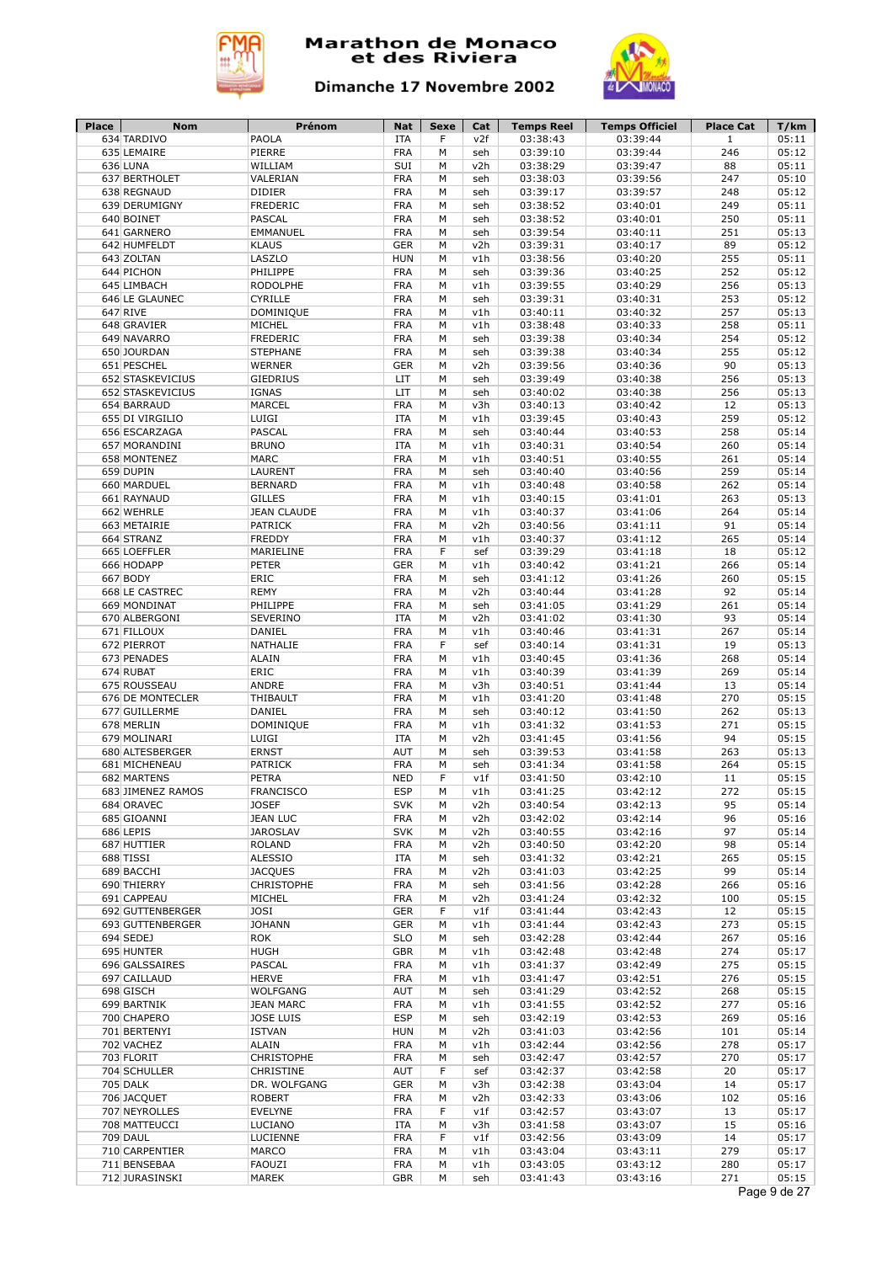



| <b>Place</b> | Nom                            | Prénom             | Nat               | Sexe   | Cat        | <b>Temps Reel</b>    | <b>Temps Officiel</b> | <b>Place Cat</b> | T/km           |
|--------------|--------------------------------|--------------------|-------------------|--------|------------|----------------------|-----------------------|------------------|----------------|
|              | 634 TARDIVO                    | PAOLA              | ITA               | F      | v2f        | 03:38:43             | 03:39:44              | $\mathbf{1}$     | 05:11          |
|              | 635 LEMAIRE                    | PIERRE             | <b>FRA</b>        | M      | seh        | 03:39:10             | 03:39:44              | 246              | 05:12          |
|              | 636 LUNA                       | WILLIAM            | SUI               | M      | v2h        | 03:38:29             | 03:39:47              | 88               | 05:11          |
|              | 637 BERTHOLET                  | VALERIAN           | <b>FRA</b>        | M      | seh        | 03:38:03             | 03:39:56              | 247              | 05:10          |
|              | 638 REGNAUD                    | <b>DIDIER</b>      | <b>FRA</b>        | M      | seh        | 03:39:17             | 03:39:57              | 248              | 05:12          |
|              | 639 DERUMIGNY                  | <b>FREDERIC</b>    | <b>FRA</b>        | М      | seh        | 03:38:52             | 03:40:01              | 249              | 05:11          |
|              | 640 BOINET                     | <b>PASCAL</b>      | <b>FRA</b>        | M      | seh        | 03:38:52             | 03:40:01              | 250              | 05:11          |
|              | 641 GARNERO                    | EMMANUEL           | <b>FRA</b>        | M      | seh        | 03:39:54             | 03:40:11              | 251              | 05:13          |
|              | 642 HUMFELDT                   | <b>KLAUS</b>       | <b>GER</b>        | M      | v2h        | 03:39:31             | 03:40:17              | 89               | 05:12          |
|              | 643 ZOLTAN                     | LASZLO             | <b>HUN</b>        | M      | v1h        | 03:38:56             | 03:40:20              | 255              | 05:11          |
|              | 644 PICHON                     | PHILIPPE           | <b>FRA</b>        | М      | seh        | 03:39:36             | 03:40:25              | 252              | 05:12          |
|              | 645 LIMBACH                    | <b>RODOLPHE</b>    | <b>FRA</b>        | M      | v1h        | 03:39:55             | 03:40:29              | 256              | 05:13          |
|              | 646 LE GLAUNEC                 | <b>CYRILLE</b>     | <b>FRA</b>        | М      | seh        | 03:39:31             | 03:40:31              | 253              | 05:12          |
|              | 647 RIVE                       | DOMINIQUE          | <b>FRA</b>        | M      | v1h        | 03:40:11             | 03:40:32              | 257              | 05:13          |
|              | 648 GRAVIER                    | MICHEL             | <b>FRA</b>        | М      | v1h        | 03:38:48             | 03:40:33              | 258              | 05:11          |
|              | 649 NAVARRO                    | <b>FREDERIC</b>    | <b>FRA</b>        | M      | seh        | 03:39:38             | 03:40:34              | 254              | 05:12          |
|              | 650 JOURDAN                    | <b>STEPHANE</b>    | <b>FRA</b>        | М      | seh        | 03:39:38             | 03:40:34              | 255              | 05:12          |
|              | 651 PESCHEL                    | WERNER             | <b>GER</b>        | М      | v2h        | 03:39:56             | 03:40:36              | 90               | 05:13          |
|              | 652 STASKEVICIUS               | GIEDRIUS           | LIT               | М      | seh        | 03:39:49             | 03:40:38              | 256              | 05:13          |
|              | 652 STASKEVICIUS               | <b>IGNAS</b>       | LIT               | М      | seh        | 03:40:02             | 03:40:38              | 256              | 05:13          |
|              | 654 BARRAUD                    | MARCEL             | <b>FRA</b>        | M      | v3h        |                      |                       | 12               | 05:13          |
|              |                                |                    |                   |        |            | 03:40:13             | 03:40:42              |                  |                |
|              | 655 DI VIRGILIO                | LUIGI              | <b>ITA</b>        | M      | v1h        | 03:39:45             | 03:40:43              | 259              | 05:12          |
|              | 656 ESCARZAGA                  | <b>PASCAL</b>      | <b>FRA</b>        | М      | seh        | 03:40:44             | 03:40:53              | 258              | 05:14          |
|              | 657 MORANDINI                  | <b>BRUNO</b>       | <b>ITA</b>        | M      | v1h        | 03:40:31             | 03:40:54              | 260              | 05:14          |
|              | 658 MONTENEZ                   | <b>MARC</b>        | <b>FRA</b>        | M      | v1h        | 03:40:51             | 03:40:55              | 261              | 05:14          |
|              | 659 DUPIN                      | LAURENT            | <b>FRA</b>        | M      | seh        | 03:40:40             | 03:40:56              | 259              | 05:14          |
|              | 660 MARDUEL                    | <b>BERNARD</b>     | <b>FRA</b>        | M      | v1h        | 03:40:48             | 03:40:58              | 262              | 05:14          |
|              | 661 RAYNAUD                    | <b>GILLES</b>      | <b>FRA</b>        | M      | v1h        | 03:40:15             | 03:41:01              | 263              | 05:13          |
|              | 662 WEHRLE                     | <b>JEAN CLAUDE</b> | <b>FRA</b>        | M      | v1h        | 03:40:37             | 03:41:06              | 264              | 05:14          |
|              | 663 METAIRIE                   | <b>PATRICK</b>     | <b>FRA</b>        | M      | v2h        | 03:40:56             | 03:41:11              | 91               | 05:14          |
|              | 664 STRANZ                     | <b>FREDDY</b>      | <b>FRA</b>        | M      | v1h        | 03:40:37             | 03:41:12              | 265              | 05:14          |
|              | 665 LOEFFLER                   | MARIELINE          | <b>FRA</b>        | F      | sef        | 03:39:29             | 03:41:18              | 18               | 05:12          |
|              | 666 HODAPP                     | <b>PETER</b>       | <b>GER</b>        | M      | v1h        | 03:40:42             | 03:41:21              | 266              | 05:14          |
|              | 667 BODY                       | ERIC               | <b>FRA</b>        | M      | seh        | 03:41:12             | 03:41:26              | 260              | 05:15          |
|              | 668 LE CASTREC                 | <b>REMY</b>        | <b>FRA</b>        | M      | v2h        | 03:40:44             | 03:41:28              | 92               | 05:14          |
|              | 669 MONDINAT                   | PHILIPPE           | <b>FRA</b>        | M      | seh        | 03:41:05             | 03:41:29              | 261              | 05:14          |
|              | 670 ALBERGONI                  | SEVERINO           | <b>ITA</b>        | M      | v2h        | 03:41:02             | 03:41:30              | 93               | 05:14          |
|              | 671 FILLOUX                    | DANIEL             | <b>FRA</b>        | M      | v1h        | 03:40:46             | 03:41:31              | 267              | 05:14          |
|              | 672 PIERROT                    | NATHALIE           | <b>FRA</b>        | F      | sef        | 03:40:14             | 03:41:31              | 19               | 05:13          |
|              |                                | <b>ALAIN</b>       |                   | M      |            |                      |                       | 268              | 05:14          |
|              | 673 PENADES                    |                    | <b>FRA</b>        | M      | v1h        | 03:40:45             | 03:41:36              |                  |                |
|              | 674 RUBAT                      | ERIC               | <b>FRA</b>        |        | v1h        | 03:40:39             | 03:41:39              | 269              | 05:14          |
|              | 675 ROUSSEAU                   | ANDRE              | <b>FRA</b>        | М      | v3h        | 03:40:51             | 03:41:44              | 13               | 05:14          |
|              | 676 DE MONTECLER               | THIBAULT           | <b>FRA</b>        | M      | v1h        | 03:41:20             | 03:41:48              | 270              | 05:15          |
|              | 677 GUILLERME                  | <b>DANIEL</b>      | <b>FRA</b>        | М      | seh        | 03:40:12             | 03:41:50              | 262              | 05:13          |
|              | 678 MERLIN                     | DOMINIQUE          | <b>FRA</b>        | М      | v1h        | 03:41:32             | 03:41:53              | 271              | 05:15          |
|              | 679 MOLINARI                   | LUIGI              | <b>ITA</b>        | М      | v2h        | 03:41:45             | 03:41:56              | 94               | 05:15          |
|              | 680 ALTESBERGER                | <b>ERNST</b>       | AUT               | М      | seh        | 03:39:53             | 03:41:58              | 263              | 05:13          |
|              | 681 MICHENEAU                  | <b>PATRICK</b>     | <b>FRA</b>        | М      | seh        | 03:41:34             | 03:41:58              | 264              | 05:15          |
|              | 682 MARTENS                    | PETRA              | <b>NED</b>        | F      | v1f        | 03:41:50             | 03:42:10              | 11               | 05:15          |
|              | 683 JIMENEZ RAMOS              | <b>FRANCISCO</b>   | <b>ESP</b>        | М      | v1h        | 03:41:25             | 03:42:12              | 272              | 05:15          |
|              | 684 ORAVEC                     | <b>JOSEF</b>       | <b>SVK</b>        | М      | v2h        | 03:40:54             | 03:42:13              | 95               | 05:14          |
|              | 685 GIOANNI                    | <b>JEAN LUC</b>    | <b>FRA</b>        | М      | v2h        | 03:42:02             | 03:42:14              | 96               | 05:16          |
|              | 686 LEPIS                      | <b>JAROSLAV</b>    | <b>SVK</b>        | М      | v2h        | 03:40:55             | 03:42:16              | 97               | 05:14          |
|              | 687 HUTTIER                    | <b>ROLAND</b>      | <b>FRA</b>        | М      | v2h        | 03:40:50             | 03:42:20              | 98               | 05:14          |
|              | 688 TISSI                      | <b>ALESSIO</b>     | <b>ITA</b>        | M      | seh        | 03:41:32             | 03:42:21              | 265              | 05:15          |
|              | 689 BACCHI                     | <b>JACQUES</b>     | FRA               | М      | v2h        | 03:41:03             | 03:42:25              | 99               | 05:14          |
|              | 690 THIERRY                    | CHRISTOPHE         | <b>FRA</b>        | М      | seh        | 03:41:56             | 03:42:28              | 266              | 05:16          |
|              | 691 CAPPEAU                    | MICHEL             | <b>FRA</b>        | М      | v2h        | 03:41:24             | 03:42:32              | 100              | 05:15          |
|              | 692 GUTTENBERGER               | JOSI               | <b>GER</b>        | F      | v1f        | 03:41:44             | 03:42:43              | 12               | 05:15          |
|              | 693 GUTTENBERGER               | <b>JOHANN</b>      | <b>GER</b>        | М      | v1h        | 03:41:44             | 03:42:43              | 273              | 05:15          |
|              |                                |                    |                   |        |            |                      |                       |                  |                |
|              | 694 SEDEJ                      | <b>ROK</b>         | <b>SLO</b>        | М      | seh        | 03:42:28             | 03:42:44              | 267              | 05:16          |
|              | 695 HUNTER                     | <b>HUGH</b>        | <b>GBR</b>        | M      | v1h        | 03:42:48             | 03:42:48              | 274              | 05:17          |
|              | 696 GALSSAIRES                 | PASCAL             | <b>FRA</b>        | М      | v1h        | 03:41:37             | 03:42:49              | 275              | 05:15          |
|              | 697 CAILLAUD                   | <b>HERVE</b>       | <b>FRA</b>        | М      | v1h        | 03:41:47             | 03:42:51              | 276              | 05:15          |
|              | 698 GISCH                      | WOLFGANG           | <b>AUT</b>        | М      | seh        | 03:41:29             | 03:42:52              | 268              | 05:15          |
|              | 699 BARTNIK                    | <b>JEAN MARC</b>   | <b>FRA</b>        | М      | v1h        | 03:41:55             | 03:42:52              | 277              | 05:16          |
|              | 700 CHAPERO                    | <b>JOSE LUIS</b>   | <b>ESP</b>        | М      | seh        | 03:42:19             | 03:42:53              | 269              | 05:16          |
|              | 701 BERTENYI                   | <b>ISTVAN</b>      | <b>HUN</b>        | М      | v2h        | 03:41:03             | 03:42:56              | 101              | 05:14          |
|              | 702 VACHEZ                     | ALAIN              | <b>FRA</b>        | М      | v1h        | 03:42:44             | 03:42:56              | 278              | 05:17          |
|              | 703 FLORIT                     | CHRISTOPHE         | <b>FRA</b>        | М      | seh        | 03:42:47             | 03:42:57              | 270              | 05:17          |
|              | 704 SCHULLER                   | CHRISTINE          | <b>AUT</b>        | F      | sef        | 03:42:37             | 03:42:58              | 20               | 05:17          |
|              | 705 DALK                       | DR. WOLFGANG       | <b>GER</b>        | М      | v3h        | 03:42:38             | 03:43:04              | 14               | 05:17          |
|              | 706 JACQUET                    | <b>ROBERT</b>      | <b>FRA</b>        | М      | v2h        | 03:42:33             | 03:43:06              | 102              | 05:16          |
|              | 707 NEYROLLES                  | EVELYNE            | <b>FRA</b>        | F      | v1f        | 03:42:57             | 03:43:07              | 13               | 05:17          |
|              | 708 MATTEUCCI                  | LUCIANO            | <b>ITA</b>        | М      | v3h        | 03:41:58             | 03:43:07              | 15               | 05:16          |
|              |                                |                    |                   |        |            |                      | 03:43:09              | 14               | 05:17          |
|              |                                |                    |                   |        |            |                      |                       |                  |                |
|              | 709 DAUL                       | LUCIENNE           | <b>FRA</b>        | F      | v1f        | 03:42:56             |                       |                  |                |
|              | 710 CARPENTIER                 | MARCO              | <b>FRA</b>        | M      | v1h        | 03:43:04             | 03:43:11              | 279              | 05:17          |
|              | 711 BENSEBAA<br>712 JURASINSKI | FAOUZI<br>MAREK    | <b>FRA</b><br>GBR | M<br>М | v1h<br>seh | 03:43:05<br>03:41:43 | 03:43:12<br>03:43:16  | 280<br>271       | 05:17<br>05:15 |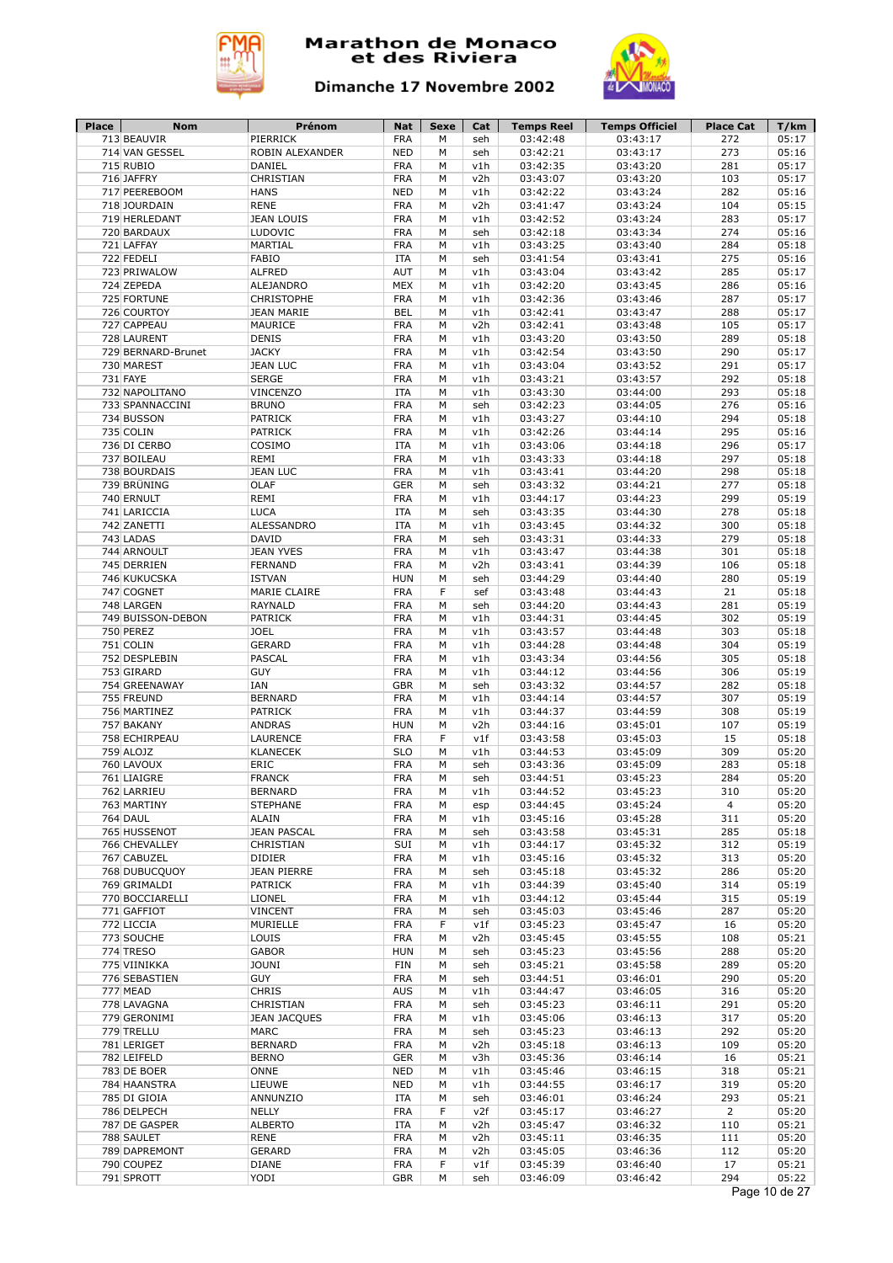



| <b>Place</b> | <b>Nom</b>         | Prénom              | Nat        | Sexe | Cat | <b>Temps Reel</b> | <b>Temps Officiel</b> | <b>Place Cat</b> | T/km          |
|--------------|--------------------|---------------------|------------|------|-----|-------------------|-----------------------|------------------|---------------|
|              | 713 BEAUVIR        | PIERRICK            | <b>FRA</b> | M    | seh | 03:42:48          | 03:43:17              | 272              | 05:17         |
|              | 714 VAN GESSEL     | ROBIN ALEXANDER     | <b>NED</b> | М    | seh | 03:42:21          | 03:43:17              | 273              | 05:16         |
|              | 715 RUBIO          | DANIEL              | <b>FRA</b> | М    | v1h | 03:42:35          | 03:43:20              | 281              | 05:17         |
|              | 716 JAFFRY         | CHRISTIAN           | <b>FRA</b> | М    | v2h | 03:43:07          | 03:43:20              | 103              | 05:17         |
|              | 717 PEEREBOOM      | <b>HANS</b>         | <b>NED</b> | M    | v1h | 03:42:22          | 03:43:24              | 282              | 05:16         |
|              | 718 JOURDAIN       | <b>RENE</b>         | <b>FRA</b> | M    | v2h | 03:41:47          | 03:43:24              | 104              | 05:15         |
|              | 719 HERLEDANT      | <b>JEAN LOUIS</b>   | <b>FRA</b> | M    | v1h | 03:42:52          | 03:43:24              | 283              | 05:17         |
|              | 720 BARDAUX        | LUDOVIC             | <b>FRA</b> | M    | seh | 03:42:18          | 03:43:34              | 274              | 05:16         |
|              | 721 LAFFAY         | MARTIAL             | <b>FRA</b> | M    | v1h | 03:43:25          | 03:43:40              | 284              | 05:18         |
|              | 722 FEDELI         | <b>FABIO</b>        | <b>ITA</b> | M    | seh | 03:41:54          | 03:43:41              | 275              | 05:16         |
|              | 723 PRIWALOW       | <b>ALFRED</b>       | AUT        | M    | v1h | 03:43:04          | 03:43:42              | 285              | 05:17         |
|              | 724 ZEPEDA         | ALEJANDRO           | <b>MEX</b> | M    | v1h | 03:42:20          | 03:43:45              | 286              | 05:16         |
|              | 725 FORTUNE        | <b>CHRISTOPHE</b>   | <b>FRA</b> | M    | v1h | 03:42:36          | 03:43:46              | 287              | 05:17         |
|              | 726 COURTOY        | <b>JEAN MARIE</b>   | <b>BEL</b> | M    | v1h | 03:42:41          | 03:43:47              | 288              | 05:17         |
|              | 727 CAPPEAU        | MAURICE             | <b>FRA</b> | M    | v2h | 03:42:41          | 03:43:48              | 105              | 05:17         |
|              | 728 LAURENT        | <b>DENIS</b>        | <b>FRA</b> | M    | v1h | 03:43:20          | 03:43:50              | 289              | 05:18         |
|              | 729 BERNARD-Brunet | <b>JACKY</b>        | <b>FRA</b> | M    | v1h | 03:42:54          | 03:43:50              | 290              | 05:17         |
|              | 730 MAREST         | <b>JEAN LUC</b>     | <b>FRA</b> | M    | v1h | 03:43:04          | 03:43:52              | 291              | 05:17         |
|              | 731 FAYE           | <b>SERGE</b>        | <b>FRA</b> | M    | v1h | 03:43:21          | 03:43:57              | 292              | 05:18         |
|              | 732 NAPOLITANO     | <b>VINCENZO</b>     | <b>ITA</b> | M    | v1h | 03:43:30          | 03:44:00              | 293              | 05:18         |
|              | 733 SPANNACCINI    | <b>BRUNO</b>        | <b>FRA</b> | М    | seh | 03:42:23          | 03:44:05              | 276              | 05:16         |
|              | 734 BUSSON         | <b>PATRICK</b>      | <b>FRA</b> | M    | v1h | 03:43:27          | 03:44:10              | 294              | 05:18         |
|              | 735 COLIN          | <b>PATRICK</b>      | <b>FRA</b> | М    | v1h | 03:42:26          | 03:44:14              | 295              | 05:16         |
|              |                    |                     |            |      |     |                   |                       |                  |               |
|              | 736 DI CERBO       | COSIMO              | <b>ITA</b> | M    | v1h | 03:43:06          | 03:44:18              | 296              | 05:17         |
|              | 737 BOILEAU        | REMI                | <b>FRA</b> | M    | v1h | 03:43:33          | 03:44:18              | 297              | 05:18         |
|              | 738 BOURDAIS       | <b>JEAN LUC</b>     | <b>FRA</b> | M    | v1h | 03:43:41          | 03:44:20              | 298              | 05:18         |
|              | 739 BRÜNING        | OLAF                | <b>GER</b> | М    | seh | 03:43:32          | 03:44:21              | 277              | 05:18         |
|              | 740 ERNULT         | REMI                | <b>FRA</b> | М    | v1h | 03:44:17          | 03:44:23              | 299              | 05:19         |
|              | 741 LARICCIA       | <b>LUCA</b>         | <b>ITA</b> | М    | seh | 03:43:35          | 03:44:30              | 278              | 05:18         |
|              | 742 ZANETTI        | <b>ALESSANDRO</b>   | <b>ITA</b> | M    | v1h | 03:43:45          | 03:44:32              | 300              | 05:18         |
|              | 743 LADAS          | <b>DAVID</b>        | <b>FRA</b> | M    | seh | 03:43:31          | 03:44:33              | 279              | 05:18         |
|              | 744 ARNOULT        | <b>JEAN YVES</b>    | <b>FRA</b> | M    | v1h | 03:43:47          | 03:44:38              | 301              | 05:18         |
|              | 745 DERRIEN        | <b>FERNAND</b>      | <b>FRA</b> | M    | v2h | 03:43:41          | 03:44:39              | 106              | 05:18         |
|              | 746 KUKUCSKA       | <b>ISTVAN</b>       | <b>HUN</b> | M    | seh | 03:44:29          | 03:44:40              | 280              | 05:19         |
|              | 747 COGNET         | MARIE CLAIRE        | <b>FRA</b> | F    | sef | 03:43:48          | 03:44:43              | 21               | 05:18         |
|              | 748 LARGEN         | <b>RAYNALD</b>      | <b>FRA</b> | M    | seh | 03:44:20          | 03:44:43              | 281              | 05:19         |
|              | 749 BUISSON-DEBON  | PATRICK             | <b>FRA</b> | M    | v1h | 03:44:31          | 03:44:45              | 302              | 05:19         |
|              | 750 PEREZ          | <b>JOEL</b>         | <b>FRA</b> | M    | v1h | 03:43:57          | 03:44:48              | 303              | 05:18         |
|              | 751 COLIN          | <b>GERARD</b>       | <b>FRA</b> | M    | v1h | 03:44:28          | 03:44:48              | 304              | 05:19         |
|              | 752 DESPLEBIN      | <b>PASCAL</b>       | <b>FRA</b> | M    | v1h | 03:43:34          | 03:44:56              | 305              | 05:18         |
|              | 753 GIRARD         | <b>GUY</b>          | <b>FRA</b> | М    | v1h | 03:44:12          | 03:44:56              | 306              | 05:19         |
|              | 754 GREENAWAY      | IAN                 | <b>GBR</b> | M    | seh | 03:43:32          | 03:44:57              | 282              | 05:18         |
|              | 755 FREUND         | <b>BERNARD</b>      | <b>FRA</b> | M    |     |                   | 03:44:57              | 307              | 05:19         |
|              |                    | <b>PATRICK</b>      |            |      | v1h | 03:44:14          |                       |                  |               |
|              | 756 MARTINEZ       |                     | <b>FRA</b> | M    | v1h | 03:44:37          | 03:44:59              | 308              | 05:19         |
|              | 757 BAKANY         | <b>ANDRAS</b>       | <b>HUN</b> | M    | v2h | 03:44:16          | 03:45:01              | 107              | 05:19         |
|              | 758 ECHIRPEAU      | <b>LAURENCE</b>     | <b>FRA</b> | F    | v1f | 03:43:58          | 03:45:03              | 15               | 05:18         |
|              | 759 ALOJZ          | <b>KLANECEK</b>     | <b>SLO</b> | M    | v1h | 03:44:53          | 03:45:09              | 309              | 05:20         |
|              | 760 LAVOUX         | ERIC                | <b>FRA</b> | M    | seh | 03:43:36          | 03:45:09              | 283              | 05:18         |
|              | 761 LIAIGRE        | <b>FRANCK</b>       | <b>FRA</b> | M    | seh | 03:44:51          | 03:45:23              | 284              | 05:20         |
|              | 762 LARRIEU        | <b>BERNARD</b>      | <b>FRA</b> | М    | v1h | 03:44:52          | 03:45:23              | 310              | 05:20         |
|              | 763 MARTINY        | <b>STEPHANE</b>     | <b>FRA</b> | м    | esp | 03:44:45          | 03:45:24              | $\overline{4}$   | 05:20         |
|              | <b>764 DAUL</b>    | ALAIN               | <b>FRA</b> | М    | v1h | 03:45:16          | 03:45:28              | 311              | 05:20         |
|              | 765 HUSSENOT       | <b>JEAN PASCAL</b>  | <b>FRA</b> | М    | seh | 03:43:58          | 03:45:31              | 285              | 05:18         |
|              | 766 CHEVALLEY      | CHRISTIAN           | SUI        | М    | v1h | 03:44:17          | 03:45:32              | 312              | 05:19         |
|              | 767 CABUZEL        | <b>DIDIER</b>       | <b>FRA</b> | М    | v1h | 03:45:16          | 03:45:32              | 313              | 05:20         |
|              | 768 DUBUCQUOY      | <b>JEAN PIERRE</b>  | <b>FRA</b> | М    | seh | 03:45:18          | 03:45:32              | 286              | 05:20         |
|              | 769 GRIMALDI       | PATRICK             | <b>FRA</b> | М    | v1h | 03:44:39          | 03:45:40              | 314              | 05:19         |
|              | 770 BOCCIARELLI    | LIONEL              | <b>FRA</b> | М    | v1h | 03:44:12          | 03:45:44              | 315              | 05:19         |
|              | 771 GAFFIOT        | <b>VINCENT</b>      | <b>FRA</b> | М    | seh | 03:45:03          | 03:45:46              | 287              | 05:20         |
|              | 772 LICCIA         | MURIELLE            | <b>FRA</b> | F    | v1f | 03:45:23          | 03:45:47              | 16               | 05:20         |
|              | 773 SOUCHE         | LOUIS               | <b>FRA</b> | М    | v2h | 03:45:45          | 03:45:55              | 108              | 05:21         |
|              | 774 TRESO          | <b>GABOR</b>        | <b>HUN</b> | М    | seh | 03:45:23          | 03:45:56              | 288              | 05:20         |
|              | 775 VIINIKKA       | <b>JOUNI</b>        | FIN        | М    | seh | 03:45:21          | 03:45:58              | 289              | 05:20         |
|              | 776 SEBASTIEN      | <b>GUY</b>          | <b>FRA</b> | М    | seh | 03:44:51          | 03:46:01              | 290              | 05:20         |
|              |                    | <b>CHRIS</b>        | <b>AUS</b> |      |     |                   |                       |                  | 05:20         |
|              | 777 MEAD           |                     |            | М    | v1h | 03:44:47          | 03:46:05              | 316              |               |
|              | 778 LAVAGNA        | CHRISTIAN           | <b>FRA</b> | М    | seh | 03:45:23          | 03:46:11              | 291              | 05:20         |
|              | 779 GERONIMI       | <b>JEAN JACQUES</b> | <b>FRA</b> | М    | v1h | 03:45:06          | 03:46:13              | 317              | 05:20         |
|              | 779 TRELLU         | <b>MARC</b>         | <b>FRA</b> | М    | seh | 03:45:23          | 03:46:13              | 292              | 05:20         |
|              | 781 LERIGET        | <b>BERNARD</b>      | <b>FRA</b> | М    | v2h | 03:45:18          | 03:46:13              | 109              | 05:20         |
|              | 782 LEIFELD        | <b>BERNO</b>        | <b>GER</b> | М    | v3h | 03:45:36          | 03:46:14              | 16               | 05:21         |
|              | 783 DE BOER        | ONNE                | <b>NED</b> | М    | v1h | 03:45:46          | 03:46:15              | 318              | 05:21         |
|              | 784 HAANSTRA       | LIEUWE              | <b>NED</b> | М    | v1h | 03:44:55          | 03:46:17              | 319              | 05:20         |
|              | 785 DI GIOIA       | ANNUNZIO            | ITA        | М    | seh | 03:46:01          | 03:46:24              | 293              | 05:21         |
|              | 786 DELPECH        | NELLY               | <b>FRA</b> | F    | v2f | 03:45:17          | 03:46:27              | $\overline{2}$   | 05:20         |
|              | 787 DE GASPER      | <b>ALBERTO</b>      | ITA        | М    | v2h | 03:45:47          | 03:46:32              | 110              | 05:21         |
|              | 788 SAULET         | <b>RENE</b>         | <b>FRA</b> | М    | v2h | 03:45:11          | 03:46:35              | 111              | 05:20         |
|              | 789 DAPREMONT      | <b>GERARD</b>       | <b>FRA</b> | М    | v2h | 03:45:05          | 03:46:36              | 112              | 05:20         |
|              | 790 COUPEZ         | <b>DIANE</b>        | <b>FRA</b> | F    | v1f | 03:45:39          | 03:46:40              | 17               | 05:21         |
|              | 791 SPROTT         | YODI                | <b>GBR</b> | М    | seh | 03:46:09          | 03:46:42              | 294              | 05:22         |
|              |                    |                     |            |      |     |                   |                       |                  | Page 10 de 27 |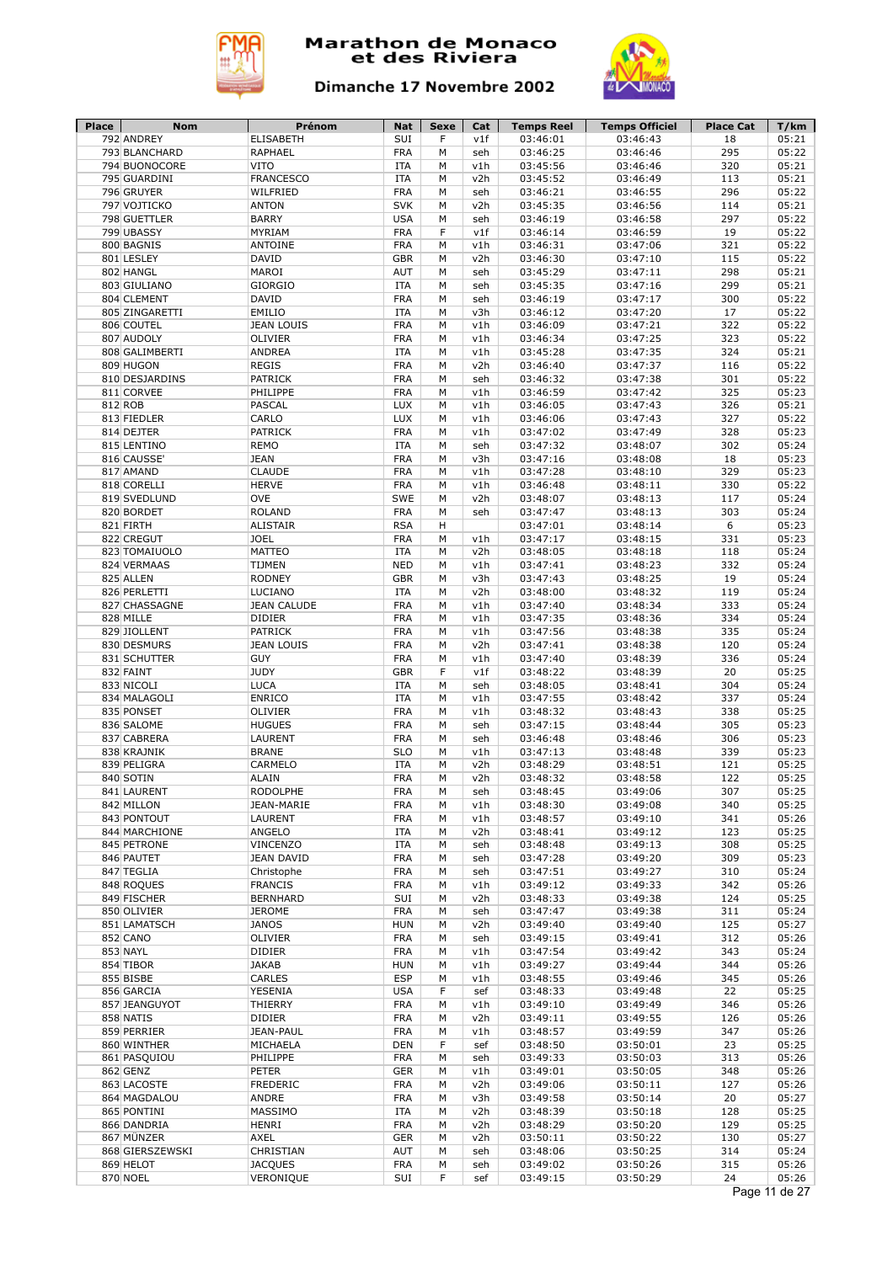



| Place | Nom                            | Prénom                          | Nat                      | Sexe   | Cat        | <b>Temps Reel</b>    | <b>Temps Officiel</b> | <b>Place Cat</b> | T/km                   |
|-------|--------------------------------|---------------------------------|--------------------------|--------|------------|----------------------|-----------------------|------------------|------------------------|
|       | 792 ANDREY                     | <b>ELISABETH</b>                | SUI                      | F      | v1f        | 03:46:01             | 03:46:43              | 18               | 05:21                  |
|       | 793 BLANCHARD<br>794 BUONOCORE | RAPHAEL<br><b>VITO</b>          | <b>FRA</b><br><b>ITA</b> | M<br>M | seh<br>v1h | 03:46:25<br>03:45:56 | 03:46:46<br>03:46:46  | 295<br>320       | 05:22<br>05:21         |
|       | 795 GUARDINI                   | <b>FRANCESCO</b>                | <b>ITA</b>               | M      | v2h        | 03:45:52             | 03:46:49              | 113              | 05:21                  |
|       | 796 GRUYER                     | WILFRIED                        | <b>FRA</b>               | M      | seh        | 03:46:21             | 03:46:55              | 296              | 05:22                  |
|       | 797 VOJTICKO                   | <b>ANTON</b>                    | <b>SVK</b>               | М      | v2h        | 03:45:35             | 03:46:56              | 114              | 05:21                  |
|       | 798 GUETTLER                   | <b>BARRY</b>                    | <b>USA</b>               | M      | seh        | 03:46:19             | 03:46:58              | 297              | 05:22                  |
|       | 799 UBASSY                     | MYRIAM                          | <b>FRA</b>               | F      | v1f        | 03:46:14             | 03:46:59              | 19               | 05:22                  |
|       | 800 BAGNIS                     | <b>ANTOINE</b>                  | <b>FRA</b>               | M      | v1h        | 03:46:31             | 03:47:06              | 321              | 05:22                  |
|       | 801 LESLEY                     | <b>DAVID</b>                    | <b>GBR</b>               | M      | v2h        | 03:46:30             | 03:47:10              | 115              | 05:22                  |
|       | 802 HANGL                      | MAROI                           | AUT                      | М      | seh        | 03:45:29             | 03:47:11              | 298              | 05:21                  |
|       | 803 GIULIANO                   | <b>GIORGIO</b>                  | <b>ITA</b>               | M      | seh        | 03:45:35             | 03:47:16              | 299              | 05:21                  |
|       | 804 CLEMENT                    | <b>DAVID</b>                    | <b>FRA</b>               | М      | seh        | 03:46:19             | 03:47:17              | 300              | 05:22                  |
|       | 805 ZINGARETTI                 | EMILIO                          | <b>ITA</b>               | M      | v3h        | 03:46:12             | 03:47:20              | 17               | 05:22                  |
|       | 806 COUTEL                     | <b>JEAN LOUIS</b>               | <b>FRA</b>               | M      | v1h        | 03:46:09             | 03:47:21              | 322              | 05:22                  |
|       | 807 AUDOLY                     | <b>OLIVIER</b>                  | <b>FRA</b>               | M      | v1h        | 03:46:34             | 03:47:25              | 323              | 05:22                  |
|       | 808 GALIMBERTI                 | <b>ANDREA</b>                   | <b>ITA</b>               | M      | v1h        | 03:45:28             | 03:47:35              | 324              | 05:21                  |
|       | 809 HUGON                      | <b>REGIS</b>                    | <b>FRA</b>               | М      | v2h        | 03:46:40             | 03:47:37              | 116              | 05:22                  |
|       | 810 DESJARDINS                 | PATRICK                         | <b>FRA</b>               | М      | seh        | 03:46:32             | 03:47:38              | 301              | 05:22                  |
|       | 811 CORVEE                     | PHILIPPE                        | <b>FRA</b>               | M      | v1h        | 03:46:59             | 03:47:42              | 325              | 05:23                  |
|       | 812 ROB                        | <b>PASCAL</b>                   | <b>LUX</b>               | M      | v1h        | 03:46:05             | 03:47:43              | 326              | 05:21                  |
|       | 813 FIEDLER                    | CARLO                           | <b>LUX</b>               | М      | v1h        | 03:46:06             | 03:47:43              | 327              | 05:22                  |
|       | 814 DEJTER                     | PATRICK                         | <b>FRA</b>               | М      | v1h        | 03:47:02             | 03:47:49              | 328              | 05:23                  |
|       | 815 LENTINO                    | <b>REMO</b>                     | <b>ITA</b>               | М      | seh        | 03:47:32             | 03:48:07              | 302              | 05:24                  |
|       | 816 CAUSSE'                    | <b>JEAN</b>                     | <b>FRA</b>               | M      | v3h        | 03:47:16             | 03:48:08              | 18               | 05:23                  |
|       | 817 AMAND                      | <b>CLAUDE</b>                   | <b>FRA</b>               | M      | v1h        | 03:47:28             | 03:48:10              | 329              | 05:23                  |
|       | 818 CORELLI                    | <b>HERVE</b>                    | <b>FRA</b>               | M      | v1h        | 03:46:48             | 03:48:11              | 330              | 05:22                  |
|       | 819 SVEDLUND                   | OVE                             | SWE                      | M      | v2h        | 03:48:07             | 03:48:13              | 117              | 05:24                  |
|       | 820 BORDET                     | <b>ROLAND</b>                   | <b>FRA</b>               | M      | seh        | 03:47:47             | 03:48:13              | 303              | 05:24                  |
|       | 821 FIRTH                      | <b>ALISTAIR</b>                 | <b>RSA</b>               | н      |            | 03:47:01             | 03:48:14              | 6                | 05:23                  |
|       | 822 CREGUT                     | <b>JOEL</b>                     | <b>FRA</b>               | M      | v1h        | 03:47:17             | 03:48:15              | 331              | 05:23                  |
|       | 823 TOMAIUOLO                  | <b>MATTEO</b>                   | <b>ITA</b>               | M      | v2h        | 03:48:05             | 03:48:18              | 118              | 05:24                  |
|       | 824 VERMAAS                    | TIJMEN                          | <b>NED</b>               | M      | v1h        | 03:47:41             | 03:48:23              | 332              | 05:24                  |
|       | 825 ALLEN                      | <b>RODNEY</b>                   | <b>GBR</b>               | M      | v3h        | 03:47:43             | 03:48:25              | 19               | 05:24                  |
|       | 826 PERLETTI                   | LUCIANO                         | ITA                      | M      | v2h        | 03:48:00             | 03:48:32              | 119              | 05:24                  |
|       | 827 CHASSAGNE                  | <b>JEAN CALUDE</b>              | <b>FRA</b>               | M      | v1h        | 03:47:40             | 03:48:34              | 333              | 05:24                  |
|       | 828 MILLE                      | <b>DIDIER</b>                   | <b>FRA</b>               | M      | v1h        | 03:47:35             | 03:48:36              | 334              | 05:24                  |
|       | 829 JIOLLENT                   | <b>PATRICK</b>                  | <b>FRA</b>               | M      | v1h        | 03:47:56             | 03:48:38              | 335              | 05:24                  |
|       | 830 DESMURS                    | <b>JEAN LOUIS</b><br><b>GUY</b> | <b>FRA</b><br><b>FRA</b> | M<br>M | v2h<br>v1h | 03:47:41<br>03:47:40 | 03:48:38<br>03:48:39  | 120<br>336       | 05:24<br>05:24         |
|       | 831 SCHUTTER<br>832 FAINT      | <b>JUDY</b>                     | <b>GBR</b>               | F      | v1f        | 03:48:22             | 03:48:39              | 20               | 05:25                  |
|       | 833 NICOLI                     | <b>LUCA</b>                     | <b>ITA</b>               | М      | seh        | 03:48:05             | 03:48:41              | 304              | 05:24                  |
|       | 834 MALAGOLI                   | <b>ENRICO</b>                   | <b>ITA</b>               | M      | v1h        | 03:47:55             | 03:48:42              | 337              | 05:24                  |
|       | 835 PONSET                     | OLIVIER                         | <b>FRA</b>               | М      | v1h        | 03:48:32             | 03:48:43              | 338              | 05:25                  |
|       | 836 SALOME                     | <b>HUGUES</b>                   | <b>FRA</b>               | М      | seh        | 03:47:15             | 03:48:44              | 305              | 05:23                  |
|       | 837 CABRERA                    | LAURENT                         | <b>FRA</b>               | М      | seh        | 03:46:48             | 03:48:46              | 306              | 05:23                  |
|       | 838 KRAJNIK                    | <b>BRANE</b>                    | <b>SLO</b>               | М      | v1h        | 03:47:13             | 03:48:48              | 339              | 05:23                  |
|       | 839 PELIGRA                    | CARMELO                         | <b>ITA</b>               | M      | v2h        | 03:48:29             | 03:48:51              | 121              | 05:25                  |
|       | 840 SOTIN                      | <b>ALAIN</b>                    | <b>FRA</b>               | M      | v2h        | 03:48:32             | 03:48:58              | 122              | 05:25                  |
|       | 841 LAURENT                    | <b>RODOLPHE</b>                 | <b>FRA</b>               | М      | seh        | 03:48:45             | 03:49:06              | 307              | 05:25                  |
|       | 842 MILLON                     | JEAN-MARIE                      | <b>FRA</b>               | М      | v1h        | 03:48:30             | 03:49:08              | 340              | 05:25                  |
|       | 843 PONTOUT                    | LAURENT                         | <b>FRA</b>               | М      | v1h        | 03:48:57             | 03:49:10              | 341              | 05:26                  |
|       | 844 MARCHIONE                  | ANGELO                          | <b>ITA</b>               | М      | v2h        | 03:48:41             | 03:49:12              | 123              | 05:25                  |
|       | 845 PETRONE                    | VINCENZO                        | ITA                      | М      | seh        | 03:48:48             | 03:49:13              | 308              | 05:25                  |
|       | 846 PAUTET                     | <b>JEAN DAVID</b>               | <b>FRA</b>               | M      | seh        | 03:47:28             | 03:49:20              | 309              | 05:23                  |
|       | 847 TEGLIA                     | Christophe                      | <b>FRA</b>               | М      | seh        | 03:47:51             | 03:49:27              | 310              | 05:24                  |
|       | 848 ROQUES                     | <b>FRANCIS</b>                  | <b>FRA</b>               | М      | v1h        | 03:49:12             | 03:49:33              | 342              | 05:26                  |
|       | 849 FISCHER                    | <b>BERNHARD</b>                 | SUI                      | М      | v2h        | 03:48:33             | 03:49:38              | 124              | 05:25                  |
|       | 850 OLIVIER                    | <b>JEROME</b>                   | <b>FRA</b>               | М      | seh        | 03:47:47             | 03:49:38              | 311              | 05:24                  |
|       | 851 LAMATSCH                   | <b>JANOS</b>                    | <b>HUN</b>               | М      | v2h        | 03:49:40             | 03:49:40              | 125              | 05:27                  |
|       | 852 CANO                       | OLIVIER                         | <b>FRA</b>               | М      | seh        | 03:49:15             | 03:49:41              | 312              | 05:26                  |
|       | 853 NAYL                       | <b>DIDIER</b>                   | <b>FRA</b>               | M      | v1h        | 03:47:54             | 03:49:42              | 343              | 05:24                  |
|       | 854 TIBOR                      | <b>JAKAB</b>                    | <b>HUN</b>               | М      | v1h        | 03:49:27             | 03:49:44              | 344              | 05:26                  |
|       | 855 BISBE                      | CARLES                          | <b>ESP</b>               | М      | v1h        | 03:48:55             | 03:49:46              | 345              | 05:26                  |
|       | 856 GARCIA                     | YESENIA                         | <b>USA</b>               | F      | sef        | 03:48:33             | 03:49:48              | 22               | 05:25                  |
|       | 857 JEANGUYOT                  | THIERRY                         | <b>FRA</b>               | М      | v1h        | 03:49:10             | 03:49:49              | 346              | 05:26                  |
|       | 858 NATIS                      | DIDIER                          | <b>FRA</b>               | М      | v2h        | 03:49:11             | 03:49:55              | 126              | 05:26                  |
|       | 859 PERRIER                    | JEAN-PAUL                       | <b>FRA</b>               | М      | v1h        | 03:48:57             | 03:49:59              | 347              | 05:26                  |
|       | 860 WINTHER                    | MICHAELA                        | <b>DEN</b>               | F      | sef        | 03:48:50             | 03:50:01              | 23               | 05:25                  |
|       | 861 PASQUIOU                   | PHILIPPE                        | <b>FRA</b>               | М      | seh        | 03:49:33             | 03:50:03              | 313              | 05:26                  |
|       | 862 GENZ                       | <b>PETER</b>                    | <b>GER</b>               | М      | v1h        | 03:49:01             | 03:50:05              | 348              | 05:26                  |
|       | 863 LACOSTE                    | <b>FREDERIC</b>                 | <b>FRA</b>               | М      | v2h        | 03:49:06             | 03:50:11              | 127              | 05:26                  |
|       | 864 MAGDALOU                   | ANDRE                           | <b>FRA</b>               | М      | v3h        | 03:49:58             | 03:50:14              | 20               | 05:27                  |
|       | 865 PONTINI                    | MASSIMO                         | <b>ITA</b>               | М      | v2h        | 03:48:39             | 03:50:18              | 128              | 05:25                  |
|       | 866 DANDRIA                    | <b>HENRI</b>                    | <b>FRA</b>               | М      | v2h        | 03:48:29             | 03:50:20              | 129              | 05:25                  |
|       | 867 MÜNZER                     | AXEL                            | <b>GER</b>               | М      | v2h        | 03:50:11             | 03:50:22              | 130              | 05:27                  |
|       | 868 GIERSZEWSKI                | CHRISTIAN                       | AUT                      | М      | seh        | 03:48:06             | 03:50:25              | 314              | 05:24                  |
|       | 869 HELOT                      | <b>JACQUES</b>                  | <b>FRA</b>               | М      | seh        | 03:49:02             | 03:50:26              | 315              | 05:26                  |
|       | 870 NOEL                       | VERONIQUE                       | SUI                      | F      | sef        | 03:49:15             | 03:50:29              | 24               | 05:26<br>Page 11 de 27 |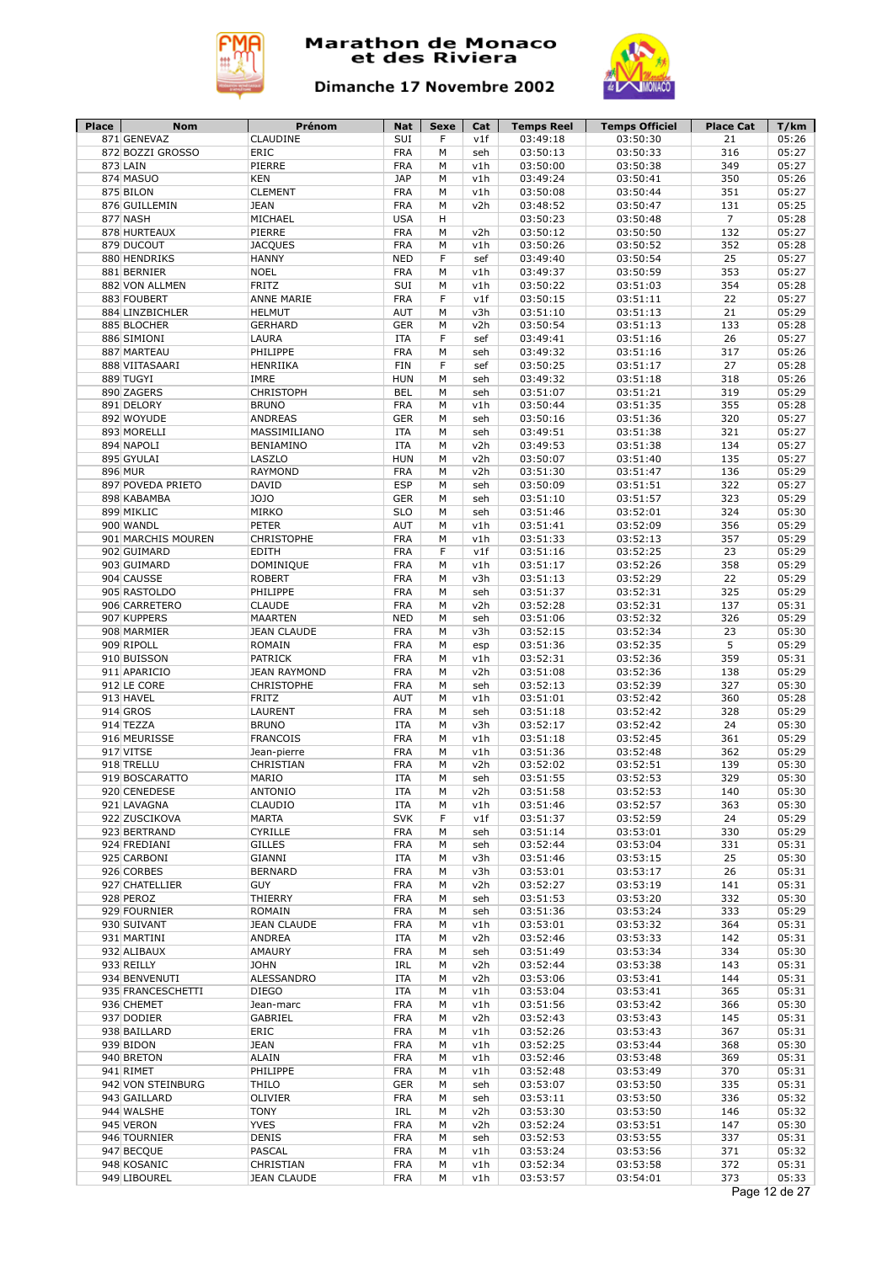



| <b>Place</b> | <b>Nom</b>                       | Prénom                         | <b>Nat</b>               | Sexe   | Cat        | <b>Temps Reel</b>    | <b>Temps Officiel</b> | <b>Place Cat</b> | T/km           |
|--------------|----------------------------------|--------------------------------|--------------------------|--------|------------|----------------------|-----------------------|------------------|----------------|
|              | 871 GENEVAZ<br>872 BOZZI GROSSO  | CLAUDINE<br>ERIC               | SUI<br><b>FRA</b>        | F<br>M | v1f<br>seh | 03:49:18<br>03:50:13 | 03:50:30<br>03:50:33  | 21<br>316        | 05:26<br>05:27 |
|              | 873 LAIN                         | PIERRE                         | <b>FRA</b>               | M      | v1h        | 03:50:00             | 03:50:38              | 349              | 05:27          |
|              | 874 MASUO                        | <b>KEN</b>                     | <b>JAP</b>               | M      | v1h        | 03:49:24             | 03:50:41              | 350              | 05:26          |
|              | 875 BILON                        | <b>CLEMENT</b>                 | <b>FRA</b>               | M      | v1h        | 03:50:08             | 03:50:44              | 351              | 05:27          |
|              | 876 GUILLEMIN                    | <b>JEAN</b>                    | <b>FRA</b>               | M      | v2h        | 03:48:52             | 03:50:47              | 131              | 05:25          |
|              | 877 NASH                         | MICHAEL                        | <b>USA</b>               | н      |            | 03:50:23             | 03:50:48              | $\overline{7}$   | 05:28          |
|              | 878 HURTEAUX                     | PIERRE                         | <b>FRA</b>               | M      | v2h        | 03:50:12             | 03:50:50              | 132              | 05:27          |
|              | 879 DUCOUT                       | <b>JACQUES</b>                 | <b>FRA</b>               | M      | v1h        | 03:50:26             | 03:50:52              | 352              | 05:28          |
|              | 880 HENDRIKS                     | <b>HANNY</b>                   | <b>NED</b>               | F      | sef        | 03:49:40             | 03:50:54              | 25               | 05:27          |
|              | 881 BERNIER                      | <b>NOEL</b>                    | <b>FRA</b>               | М      | v1h        | 03:49:37             | 03:50:59              | 353              | 05:27          |
|              | 882 VON ALLMEN                   | <b>FRITZ</b>                   | SUI                      | M      | v1h        | 03:50:22             | 03:51:03              | 354              | 05:28          |
|              | 883 FOUBERT                      | <b>ANNE MARIE</b>              | <b>FRA</b>               | F      | v1f        | 03:50:15             | 03:51:11              | 22               | 05:27          |
|              | 884 LINZBICHLER                  | <b>HELMUT</b>                  | <b>AUT</b>               | M      | v3h        | 03:51:10             | 03:51:13              | 21               | 05:29          |
|              | 885 BLOCHER                      | <b>GERHARD</b>                 | <b>GER</b>               | М      | v2h        | 03:50:54             | 03:51:13              | 133              | 05:28          |
|              | 886 SIMIONI                      | LAURA                          | <b>ITA</b>               | F      | sef        | 03:49:41             | 03:51:16              | 26               | 05:27          |
|              | 887 MARTEAU                      | PHILIPPE                       | <b>FRA</b>               | M      | seh        | 03:49:32             | 03:51:16              | 317              | 05:26          |
|              | 888 VIITASAARI                   | HENRIIKA                       | <b>FIN</b>               | F      | sef        | 03:50:25             | 03:51:17              | 27               | 05:28          |
|              | 889 TUGYI                        | IMRE                           | <b>HUN</b>               | М      | seh        | 03:49:32             | 03:51:18              | 318              | 05:26          |
|              | 890 ZAGERS                       | <b>CHRISTOPH</b>               | <b>BEL</b>               | М      | seh        | 03:51:07             | 03:51:21              | 319              | 05:29          |
|              | 891 DELORY                       | <b>BRUNO</b>                   | <b>FRA</b>               | M      | v1h        | 03:50:44             | 03:51:35              | 355              | 05:28          |
|              | 892 WOYUDE                       | <b>ANDREAS</b>                 | <b>GER</b>               | M      | seh        | 03:50:16             | 03:51:36              | 320              | 05:27          |
|              | 893 MORELLI                      | MASSIMILIANO                   | <b>ITA</b>               | M      | seh        | 03:49:51             | 03:51:38              | 321              | 05:27          |
|              | 894 NAPOLI                       | <b>BENIAMINO</b><br>LASZLO     | <b>ITA</b>               | M<br>M | v2h        | 03:49:53             | 03:51:38              | 134<br>135       | 05:27          |
|              | 895 GYULAI<br>896 MUR            |                                | <b>HUN</b>               | M      | v2h        | 03:50:07             | 03:51:40              |                  | 05:27          |
|              |                                  | <b>RAYMOND</b><br><b>DAVID</b> | <b>FRA</b><br><b>ESP</b> | M      | v2h        | 03:51:30<br>03:50:09 | 03:51:47              | 136              | 05:29          |
|              | 897 POVEDA PRIETO<br>898 KABAMBA | <b>JOJO</b>                    | <b>GER</b>               | M      | seh<br>seh | 03:51:10             | 03:51:51<br>03:51:57  | 322<br>323       | 05:27<br>05:29 |
|              | 899 MIKLIC                       | MIRKO                          | <b>SLO</b>               | M      | seh        | 03:51:46             | 03:52:01              | 324              | 05:30          |
|              | 900 WANDL                        | <b>PETER</b>                   | AUT                      | M      | v1h        | 03:51:41             | 03:52:09              | 356              | 05:29          |
|              | 901 MARCHIS MOUREN               | <b>CHRISTOPHE</b>              | <b>FRA</b>               | M      | v1h        | 03:51:33             | 03:52:13              | 357              | 05:29          |
|              | 902 GUIMARD                      | <b>EDITH</b>                   | <b>FRA</b>               | F      | v1f        | 03:51:16             | 03:52:25              | 23               | 05:29          |
|              | 903 GUIMARD                      | <b>DOMINIQUE</b>               | <b>FRA</b>               | M      | v1h        | 03:51:17             | 03:52:26              | 358              | 05:29          |
|              | 904 CAUSSE                       | <b>ROBERT</b>                  | <b>FRA</b>               | M      | v3h        | 03:51:13             | 03:52:29              | 22               | 05:29          |
|              | 905 RASTOLDO                     | PHILIPPE                       | <b>FRA</b>               | M      | seh        | 03:51:37             | 03:52:31              | 325              | 05:29          |
|              | 906 CARRETERO                    | <b>CLAUDE</b>                  | <b>FRA</b>               | M      | v2h        | 03:52:28             | 03:52:31              | 137              | 05:31          |
|              | 907 KUPPERS                      | <b>MAARTEN</b>                 | <b>NED</b>               | М      | seh        | 03:51:06             | 03:52:32              | 326              | 05:29          |
|              | 908 MARMIER                      | <b>JEAN CLAUDE</b>             | <b>FRA</b>               | М      | v3h        | 03:52:15             | 03:52:34              | 23               | 05:30          |
|              | 909 RIPOLL                       | ROMAIN                         | <b>FRA</b>               | M      | esp        | 03:51:36             | 03:52:35              | 5                | 05:29          |
|              | 910 BUISSON                      | <b>PATRICK</b>                 | <b>FRA</b>               | M      | v1h        | 03:52:31             | 03:52:36              | 359              | 05:31          |
|              | 911 APARICIO                     | <b>JEAN RAYMOND</b>            | <b>FRA</b>               | M      | v2h        | 03:51:08             | 03:52:36              | 138              | 05:29          |
|              | 912 LE CORE                      | <b>CHRISTOPHE</b>              | <b>FRA</b>               | М      | seh        | 03:52:13             | 03:52:39              | 327              | 05:30          |
|              | 913 HAVEL                        | <b>FRITZ</b>                   | AUT                      | M      | v1h        | 03:51:01             | 03:52:42              | 360              | 05:28          |
|              | 914 GROS                         | LAURENT                        | <b>FRA</b>               | М      | seh        | 03:51:18             | 03:52:42              | 328              | 05:29          |
|              | 914 TEZZA                        | <b>BRUNO</b>                   | <b>ITA</b>               | M      | v3h        | 03:52:17             | 03:52:42              | 24               | 05:30          |
|              | 916 MEURISSE                     | <b>FRANCOIS</b>                | <b>FRA</b>               | М      | v1h        | 03:51:18             | 03:52:45              | 361              | 05:29          |
|              | 917 VITSE                        | Jean-pierre                    | <b>FRA</b>               | M      | v1h        | 03:51:36             | 03:52:48              | 362              | 05:29          |
|              | 918 TRELLU                       | CHRISTIAN                      | <b>FRA</b>               | M      | v2h        | 03:52:02             | 03:52:51              | 139              | 05:30          |
|              | 919 BOSCARATTO                   | MARIO                          | <b>ITA</b>               | M      | seh        | 03:51:55             | 03:52:53              | 329              | 05:30          |
|              | 920 CENEDESE                     | <b>ANTONIO</b>                 | <b>ITA</b>               | М      | v2h        | 03:51:58             | 03:52:53              | 140              | 05:30          |
|              | 921 LAVAGNA                      | CLAUDIO                        | ITA                      | М      | v1h        | 03:51:46             | 03:52:57              | 363              | 05:30          |
|              | 922 ZUSCIKOVA                    | <b>MARTA</b>                   | <b>SVK</b>               | F      | v1f        | 03:51:37             | 03:52:59              | 24               | 05:29          |
|              | 923 BERTRAND                     | CYRILLE                        | <b>FRA</b>               | М      | seh        | 03:51:14             | 03:53:01              | 330              | 05:29          |
|              | 924 FREDIANI<br>925 CARBONI      | <b>GILLES</b><br><b>GIANNI</b> | <b>FRA</b><br><b>ITA</b> | М<br>M | seh<br>v3h | 03:52:44<br>03:51:46 | 03:53:04<br>03:53:15  | 331<br>25        | 05:31<br>05:30 |
|              |                                  | <b>BERNARD</b>                 | <b>FRA</b>               | М      | v3h        |                      | 03:53:17              | 26               | 05:31          |
|              | 926 CORBES<br>927 CHATELLIER     | <b>GUY</b>                     | <b>FRA</b>               | М      | v2h        | 03:53:01<br>03:52:27 | 03:53:19              | 141              | 05:31          |
|              | 928 PEROZ                        | THIERRY                        | <b>FRA</b>               | М      | seh        | 03:51:53             | 03:53:20              | 332              | 05:30          |
|              | 929 FOURNIER                     | ROMAIN                         | <b>FRA</b>               | М      | seh        | 03:51:36             | 03:53:24              | 333              | 05:29          |
|              | 930 SUIVANT                      | <b>JEAN CLAUDE</b>             | <b>FRA</b>               | М      | v1h        | 03:53:01             | 03:53:32              | 364              | 05:31          |
|              | 931 MARTINI                      | ANDREA                         | ITA                      | М      | v2h        | 03:52:46             | 03:53:33              | 142              | 05:31          |
|              | 932 ALIBAUX                      | AMAURY                         | <b>FRA</b>               | М      | seh        | 03:51:49             | 03:53:34              | 334              | 05:30          |
|              | 933 REILLY                       | <b>JOHN</b>                    | IRL                      | М      | v2h        | 03:52:44             | 03:53:38              | 143              | 05:31          |
|              | 934 BENVENUTI                    | ALESSANDRO                     | <b>ITA</b>               | М      | v2h        | 03:53:06             | 03:53:41              | 144              | 05:31          |
|              | 935 FRANCESCHETTI                | <b>DIEGO</b>                   | <b>ITA</b>               | М      | v1h        | 03:53:04             | 03:53:41              | 365              | 05:31          |
|              | 936 CHEMET                       | Jean-marc                      | <b>FRA</b>               | М      | v1h        | 03:51:56             | 03:53:42              | 366              | 05:30          |
|              | 937 DODIER                       | GABRIEL                        | <b>FRA</b>               | М      | v2h        | 03:52:43             | 03:53:43              | 145              | 05:31          |
|              | 938 BAILLARD                     | ERIC                           | <b>FRA</b>               | М      | v1h        | 03:52:26             | 03:53:43              | 367              | 05:31          |
|              | 939 BIDON                        | <b>JEAN</b>                    | <b>FRA</b>               | М      | v1h        | 03:52:25             | 03:53:44              | 368              | 05:30          |
|              | 940 BRETON                       | <b>ALAIN</b>                   | <b>FRA</b>               | М      | v1h        | 03:52:46             | 03:53:48              | 369              | 05:31          |
|              | 941 RIMET                        | PHILIPPE                       | <b>FRA</b>               | М      | v1h        | 03:52:48             | 03:53:49              | 370              | 05:31          |
|              | 942 VON STEINBURG                | <b>THILO</b>                   | <b>GER</b>               | м      | seh        | 03:53:07             | 03:53:50              | 335              | 05:31          |
|              | 943 GAILLARD                     | OLIVIER                        | <b>FRA</b>               | М      | seh        | 03:53:11             | 03:53:50              | 336              | 05:32          |
|              | 944 WALSHE                       | <b>TONY</b>                    | IRL                      | М      | v2h        | 03:53:30             | 03:53:50              | 146              | 05:32          |
|              | 945 VERON                        | <b>YVES</b>                    | <b>FRA</b>               | М      | v2h        | 03:52:24             | 03:53:51              | 147              | 05:30          |
|              | 946 TOURNIER                     | <b>DENIS</b>                   | <b>FRA</b>               | М      | seh        | 03:52:53             | 03:53:55              | 337              | 05:31          |
|              |                                  |                                |                          |        | v1h        | 03:53:24             | 03:53:56              |                  | 05:32          |
|              | 947 BECQUE                       | PASCAL                         | <b>FRA</b>               | М      |            |                      |                       | 371              |                |
|              | 948 KOSANIC                      | CHRISTIAN                      | <b>FRA</b>               | М      | v1h        | 03:52:34             | 03:53:58              | 372<br>373       | 05:31<br>05:33 |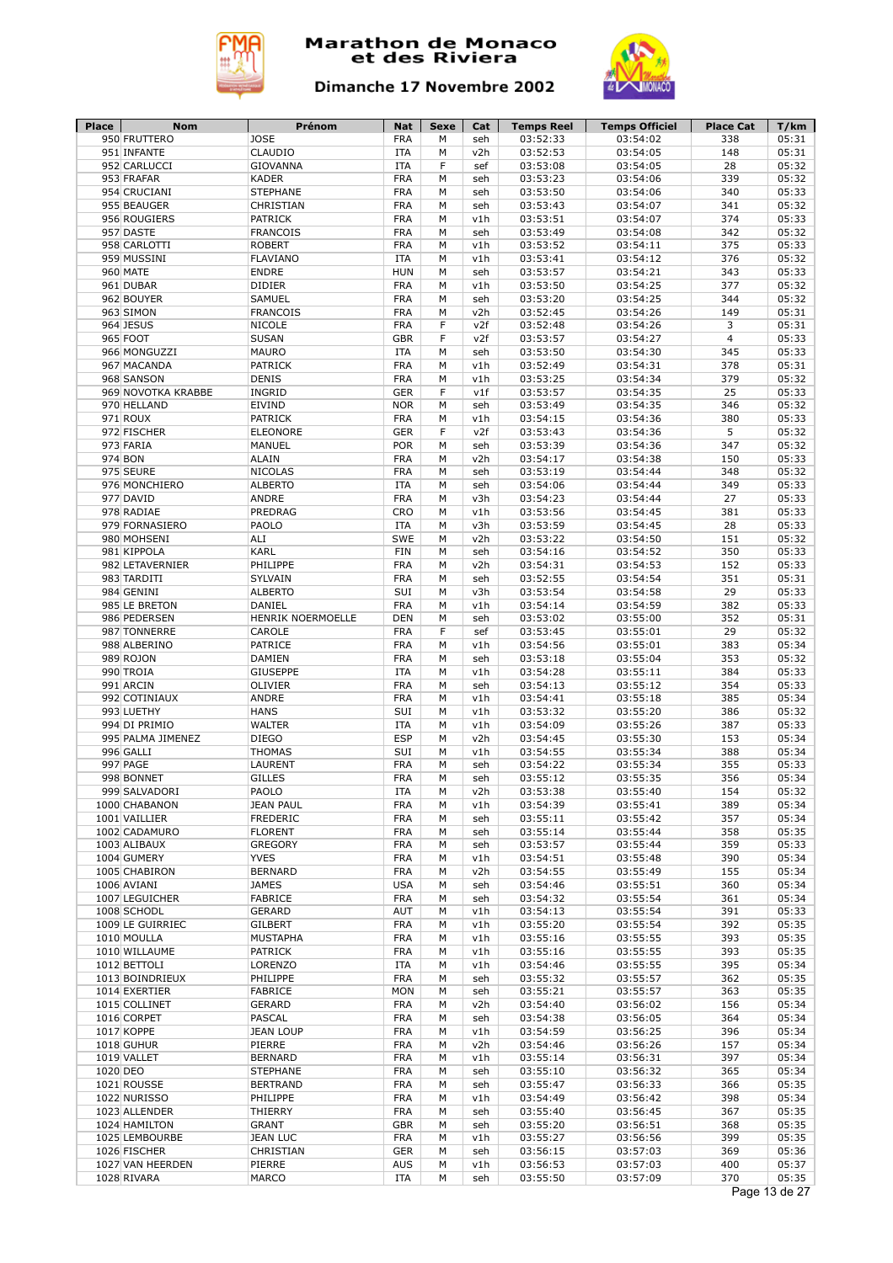



| Place    | Nom                              | Prénom                           | Nat                      | Sexe   | Cat        | Temps Reel           | <b>Temps Officiel</b> | <b>Place Cat</b> | T/km           |
|----------|----------------------------------|----------------------------------|--------------------------|--------|------------|----------------------|-----------------------|------------------|----------------|
|          | 950 FRUTTERO<br>951 INFANTE      | <b>JOSE</b><br>CLAUDIO           | <b>FRA</b><br><b>ITA</b> | M<br>M | seh<br>v2h | 03:52:33<br>03:52:53 | 03:54:02<br>03:54:05  | 338<br>148       | 05:31<br>05:31 |
|          | 952 CARLUCCI                     | <b>GIOVANNA</b>                  | <b>ITA</b>               | F      | sef        | 03:53:08             | 03:54:05              | 28               | 05:32          |
|          | 953 FRAFAR                       | <b>KADER</b>                     | <b>FRA</b>               | M      | seh        | 03:53:23             | 03:54:06              | 339              | 05:32          |
|          | 954 CRUCIANI                     | <b>STEPHANE</b>                  | <b>FRA</b>               | М      | seh        | 03:53:50             | 03:54:06              | 340              | 05:33          |
|          | 955 BEAUGER                      | CHRISTIAN                        | <b>FRA</b>               | M      | seh        | 03:53:43             | 03:54:07              | 341              | 05:32          |
|          | 956 ROUGIERS                     | <b>PATRICK</b>                   | <b>FRA</b>               | М      | v1h        | 03:53:51             | 03:54:07              | 374              | 05:33          |
|          | 957 DASTE                        | <b>FRANCOIS</b>                  | <b>FRA</b>               | M      | seh        | 03:53:49             | 03:54:08              | 342              | 05:32          |
|          | 958 CARLOTTI                     | <b>ROBERT</b>                    | <b>FRA</b>               | M      | v1h        | 03:53:52             | 03:54:11              | 375              | 05:33          |
|          | 959 MUSSINI                      | <b>FLAVIANO</b>                  | <b>ITA</b>               | M      | v1h        | 03:53:41             | 03:54:12              | 376              | 05:32          |
|          | 960 MATE                         | <b>ENDRE</b>                     | <b>HUN</b>               | М      | seh        | 03:53:57             | 03:54:21              | 343              | 05:33          |
|          | 961 DUBAR                        | <b>DIDIER</b>                    | <b>FRA</b>               | М      | v1h        | 03:53:50             | 03:54:25              | 377              | 05:32          |
|          | 962 BOUYER                       | <b>SAMUEL</b>                    | <b>FRA</b>               | М      | seh        | 03:53:20             | 03:54:25              | 344              | 05:32          |
|          | 963 SIMON                        | <b>FRANCOIS</b>                  | <b>FRA</b>               | M      | v2h        | 03:52:45             | 03:54:26              | 149              | 05:31          |
|          | 964 JESUS                        | <b>NICOLE</b>                    | <b>FRA</b>               | F      | v2f        | 03:52:48             | 03:54:26              | 3                | 05:31          |
|          | 965 FOOT                         | <b>SUSAN</b>                     | <b>GBR</b>               | F      | v2f        | 03:53:57             | 03:54:27              | 4                | 05:33          |
|          | 966 MONGUZZI                     | <b>MAURO</b>                     | <b>ITA</b>               | M      | seh        | 03:53:50             | 03:54:30              | 345              | 05:33          |
|          | 967 MACANDA                      | <b>PATRICK</b><br><b>DENIS</b>   | <b>FRA</b>               | M<br>M | v1h        | 03:52:49             | 03:54:31              | 378              | 05:31          |
|          | 968 SANSON<br>969 NOVOTKA KRABBE | <b>INGRID</b>                    | <b>FRA</b><br><b>GER</b> | F      | v1h<br>v1f | 03:53:25<br>03:53:57 | 03:54:34<br>03:54:35  | 379<br>25        | 05:32<br>05:33 |
|          | 970 HELLAND                      | EIVIND                           | <b>NOR</b>               | M      | seh        | 03:53:49             | 03:54:35              | 346              | 05:32          |
|          | 971 ROUX                         | <b>PATRICK</b>                   | <b>FRA</b>               | M      | v1h        | 03:54:15             | 03:54:36              | 380              | 05:33          |
|          | 972 FISCHER                      | <b>ELEONORE</b>                  | <b>GER</b>               | F      | v2f        | 03:53:43             | 03:54:36              | 5                | 05:32          |
|          | 973 FARIA                        | MANUEL                           | <b>POR</b>               | M      | seh        | 03:53:39             | 03:54:36              | 347              | 05:32          |
|          | 974 BON                          | <b>ALAIN</b>                     | <b>FRA</b>               | M      | v2h        | 03:54:17             | 03:54:38              | 150              | 05:33          |
|          | 975 SEURE                        | <b>NICOLAS</b>                   | <b>FRA</b>               | M      | seh        | 03:53:19             | 03:54:44              | 348              | 05:32          |
|          | 976 MONCHIERO                    | <b>ALBERTO</b>                   | <b>ITA</b>               | M      | seh        | 03:54:06             | 03:54:44              | 349              | 05:33          |
|          | 977 DAVID                        | ANDRE                            | <b>FRA</b>               | М      | v3h        | 03:54:23             | 03:54:44              | 27               | 05:33          |
|          | 978 RADIAE                       | PREDRAG                          | CRO                      | M      | v1h        | 03:53:56             | 03:54:45              | 381              | 05:33          |
|          | 979 FORNASIERO                   | PAOLO                            | <b>ITA</b>               | M      | v3h        | 03:53:59             | 03:54:45              | 28               | 05:33          |
|          | 980 MOHSENI                      | ALI                              | SWE                      | M      | v2h        | 03:53:22             | 03:54:50              | 151              | 05:32          |
|          | 981 KIPPOLA                      | KARL                             | <b>FIN</b>               | М      | seh        | 03:54:16             | 03:54:52              | 350              | 05:33          |
|          | 982 LETAVERNIER                  | PHILIPPE                         | <b>FRA</b>               | M      | v2h        | 03:54:31             | 03:54:53              | 152              | 05:33          |
|          | 983 TARDITI                      | SYLVAIN                          | <b>FRA</b>               | М      | seh        | 03:52:55             | 03:54:54              | 351              | 05:31          |
|          | 984 GENINI                       | <b>ALBERTO</b>                   | SUI                      | M      | v3h        | 03:53:54             | 03:54:58              | 29               | 05:33          |
|          | 985 LE BRETON                    | <b>DANIEL</b>                    | <b>FRA</b>               | M      | v1h        | 03:54:14             | 03:54:59              | 382              | 05:33          |
|          | 986 PEDERSEN                     | HENRIK NOERMOELLE                | <b>DEN</b>               | М      | seh        | 03:53:02             | 03:55:00              | 352              | 05:31          |
|          | 987 TONNERRE                     | CAROLE                           | <b>FRA</b>               | F      | sef        | 03:53:45             | 03:55:01              | 29               | 05:32          |
|          | 988 ALBERINO                     | <b>PATRICE</b>                   | <b>FRA</b>               | M      | v1h        | 03:54:56             | 03:55:01              | 383              | 05:34          |
|          | 989 ROJON                        | <b>DAMIEN</b><br><b>GIUSEPPE</b> | <b>FRA</b><br><b>ITA</b> | M<br>M | seh        | 03:53:18             | 03:55:04              | 353<br>384       | 05:32<br>05:33 |
|          | 990 TROIA<br>991 ARCIN           | <b>OLIVIER</b>                   | <b>FRA</b>               | M      | v1h<br>seh | 03:54:28<br>03:54:13 | 03:55:11<br>03:55:12  | 354              | 05:33          |
|          | 992 COTINIAUX                    | ANDRE                            | <b>FRA</b>               | M      | v1h        | 03:54:41             | 03:55:18              | 385              | 05:34          |
|          | 993 LUETHY                       | <b>HANS</b>                      | SUI                      | M      | v1h        | 03:53:32             | 03:55:20              | 386              | 05:32          |
|          | 994 DI PRIMIO                    | <b>WALTER</b>                    | <b>ITA</b>               | M      | v1h        | 03:54:09             | 03:55:26              | 387              | 05:33          |
|          | 995 PALMA JIMENEZ                | <b>DIEGO</b>                     | <b>ESP</b>               | M      | v2h        | 03:54:45             | 03:55:30              | 153              | 05:34          |
|          | 996 GALLI                        | <b>THOMAS</b>                    | SUI                      | M      | v1h        | 03:54:55             | 03:55:34              | 388              | 05:34          |
|          | 997 PAGE                         | LAURENT                          | <b>FRA</b>               | M      | seh        | 03:54:22             | 03:55:34              | 355              | 05:33          |
|          | 998 BONNET                       | <b>GILLES</b>                    | <b>FRA</b>               | M      | seh        | 03:55:12             | 03:55:35              | 356              | 05:34          |
|          | 999 SALVADORI                    | PAOLO                            | <b>ITA</b>               | M      | v2h        | 03:53:38             | 03:55:40              | 154              | 05:32          |
|          | 1000 CHABANON                    | <b>JEAN PAUL</b>                 | <b>FRA</b>               | М      | v1h        | 03:54:39             | 03:55:41              | 389              | 05:34          |
|          | 1001 VAILLIER                    | FREDERIC                         | <b>FRA</b>               | М      | seh        | 03:55:11             | 03:55:42              | 357              | 05:34          |
|          | 1002 CADAMURO                    | <b>FLORENT</b>                   | <b>FRA</b>               | М      | seh        | 03:55:14             | 03:55:44              | 358              | 05:35          |
|          | 1003 ALIBAUX                     | <b>GREGORY</b>                   | <b>FRA</b>               | М      | seh        | 03:53:57             | 03:55:44              | 359              | 05:33          |
|          | 1004 GUMERY                      | <b>YVES</b>                      | <b>FRA</b>               | М      | v1h        | 03:54:51             | 03:55:48              | 390              | 05:34          |
|          | 1005 CHABIRON                    | <b>BERNARD</b>                   | <b>FRA</b>               | М      | v2h        | 03:54:55             | 03:55:49              | 155              | 05:34          |
|          | 1006 AVIANI                      | <b>JAMES</b>                     | <b>USA</b>               | М      | seh        | 03:54:46             | 03:55:51              | 360              | 05:34          |
|          | 1007 LEGUICHER<br>1008 SCHODL    | FABRICE<br>GERARD                | <b>FRA</b><br><b>AUT</b> | М<br>М | seh<br>v1h | 03:54:32             | 03:55:54<br>03:55:54  | 361<br>391       | 05:34<br>05:33 |
|          | 1009 LE GUIRRIEC                 | GILBERT                          | <b>FRA</b>               | М      | v1h        | 03:54:13<br>03:55:20 | 03:55:54              | 392              | 05:35          |
|          | 1010 MOULLA                      | MUSTAPHA                         | <b>FRA</b>               | М      | v1h        | 03:55:16             | 03:55:55              | 393              | 05:35          |
|          | 1010 WILLAUME                    | PATRICK                          | <b>FRA</b>               | М      | v1h        | 03:55:16             | 03:55:55              | 393              | 05:35          |
|          | 1012 BETTOLI                     | LORENZO                          | <b>ITA</b>               | М      | v1h        | 03:54:46             | 03:55:55              | 395              | 05:34          |
|          | 1013 BOINDRIEUX                  | PHILIPPE                         | <b>FRA</b>               | М      | seh        | 03:55:32             | 03:55:57              | 362              | 05:35          |
|          | 1014 EXERTIER                    | FABRICE                          | <b>MON</b>               | М      | seh        | 03:55:21             | 03:55:57              | 363              | 05:35          |
|          | 1015 COLLINET                    | GERARD                           | <b>FRA</b>               | M      | v2h        | 03:54:40             | 03:56:02              | 156              | 05:34          |
|          | 1016 CORPET                      | PASCAL                           | <b>FRA</b>               | М      | seh        | 03:54:38             | 03:56:05              | 364              | 05:34          |
|          | 1017 KOPPE                       | <b>JEAN LOUP</b>                 | <b>FRA</b>               | M      | v1h        | 03:54:59             | 03:56:25              | 396              | 05:34          |
|          | 1018 GUHUR                       | PIERRE                           | <b>FRA</b>               | М      | v2h        | 03:54:46             | 03:56:26              | 157              | 05:34          |
|          | 1019 VALLET                      | <b>BERNARD</b>                   | <b>FRA</b>               | М      | v1h        | 03:55:14             | 03:56:31              | 397              | 05:34          |
| 1020 DEO |                                  | <b>STEPHANE</b>                  | <b>FRA</b>               | M      | seh        | 03:55:10             | 03:56:32              | 365              | 05:34          |
|          | 1021 ROUSSE                      | <b>BERTRAND</b>                  | <b>FRA</b>               | М      | seh        | 03:55:47             | 03:56:33              | 366              | 05:35          |
|          | 1022 NURISSO                     | PHILIPPE                         | <b>FRA</b>               | М      | v1h        | 03:54:49             | 03:56:42              | 398              | 05:34          |
|          | 1023 ALLENDER                    | THIERRY                          | <b>FRA</b>               | М      | seh        | 03:55:40             | 03:56:45              | 367              | 05:35          |
|          | 1024 HAMILTON                    | <b>GRANT</b>                     | <b>GBR</b>               | М      | seh        | 03:55:20             | 03:56:51              | 368              | 05:35          |
|          |                                  |                                  | <b>FRA</b>               | М      | v1h        | 03:55:27             | 03:56:56              | 399              | 05:35          |
|          | 1025 LEMBOURBE                   | <b>JEAN LUC</b>                  |                          |        |            |                      |                       |                  |                |
|          | 1026 FISCHER                     | CHRISTIAN                        | <b>GER</b>               | М      | seh        | 03:56:15             | 03:57:03              | 369              | 05:36          |
|          | 1027 VAN HEERDEN<br>1028 RIVARA  | PIERRE<br>MARCO                  | <b>AUS</b><br>ITA        | М<br>М | v1h<br>seh | 03:56:53<br>03:55:50 | 03:57:03<br>03:57:09  | 400<br>370       | 05:37<br>05:35 |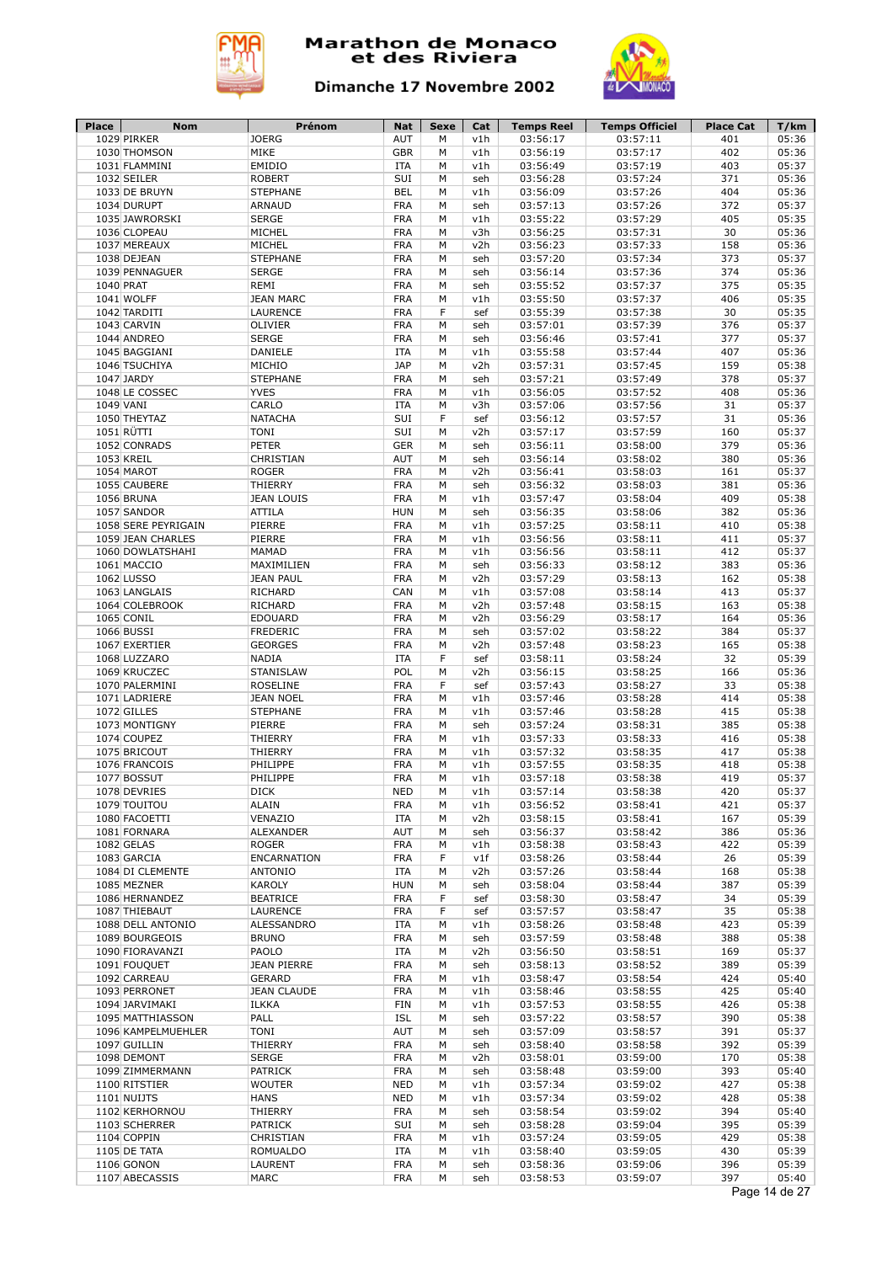



| 1029 PIRKER<br>MIKE<br><b>GBR</b><br>03:56:19<br>03:57:17<br>402<br>1030 THOMSON<br>M<br>v1h<br><b>EMIDIO</b><br><b>ITA</b><br>03:56:49<br>03:57:19<br>403<br>1031 FLAMMINI<br>M<br>v1h<br><b>ROBERT</b><br>SUI<br>03:56:28<br>03:57:24<br>371<br>1032 SEILER<br>M<br>seh<br><b>STEPHANE</b><br>404<br>05:36<br>1033 DE BRUYN<br>BEL<br>М<br>v1h<br>03:56:09<br>03:57:26<br><b>FRA</b><br>03:57:13<br>03:57:26<br>372<br>1034 DURUPT<br>ARNAUD<br>М<br>seh<br>1035 JAWRORSKI<br><b>SERGE</b><br><b>FRA</b><br>03:55:22<br>03:57:29<br>405<br>05:35<br>M<br>v1h<br>MICHEL<br><b>FRA</b><br>03:56:25<br>03:57:31<br>30<br>05:36<br>1036 CLOPEAU<br>М<br>v3h<br>MICHEL<br><b>FRA</b><br>05:36<br>1037 MEREAUX<br>M<br>v2h<br>03:56:23<br>03:57:33<br>158<br>05:37<br><b>STEPHANE</b><br><b>FRA</b><br>03:57:20<br>03:57:34<br>373<br>1038 DEJEAN<br>M<br>seh<br>374<br>05:36<br><b>SERGE</b><br><b>FRA</b><br>03:56:14<br>03:57:36<br>1039 PENNAGUER<br>M<br>seh<br><b>FRA</b><br>03:57:37<br>375<br>1040 PRAT<br>REMI<br>М<br>03:55:52<br>seh<br>1041 WOLFF<br><b>JEAN MARC</b><br><b>FRA</b><br>M<br>03:57:37<br>406<br>v1h<br>03:55:50<br>1042 TARDITI<br><b>LAURENCE</b><br><b>FRA</b><br>F<br>03:55:39<br>03:57:38<br>30<br>sef<br>1043 CARVIN<br><b>FRA</b><br>03:57:01<br>03:57:39<br>376<br><b>OLIVIER</b><br>M<br>seh<br>1044 ANDREO<br><b>SERGE</b><br><b>FRA</b><br>03:57:41<br>377<br>М<br>03:56:46<br>seh<br>1045 BAGGIANI<br>DANIELE<br><b>ITA</b><br>03:55:58<br>03:57:44<br>407<br>M<br>v1h<br>MICHIO<br><b>JAP</b><br>03:57:31<br>03:57:45<br>159<br>1046 TSUCHIYA<br>М<br>v2h<br>1047 JARDY<br><b>STEPHANE</b><br><b>FRA</b><br>03:57:21<br>03:57:49<br>378<br>М<br>seh<br>1048 LE COSSEC<br><b>YVES</b><br><b>FRA</b><br>03:57:52<br>408<br>M<br>v1h<br>03:56:05<br>CARLO<br>1049 VANI<br><b>ITA</b><br>М<br>v3h<br>03:57:06<br>03:57:56<br>31<br>1050 THEYTAZ<br><b>NATACHA</b><br>SUI<br>31<br>F<br>03:56:12<br>03:57:57<br>sef<br>1051 RÜTTI<br><b>TONI</b><br>SUI<br>03:57:59<br>160<br>M<br>v2h<br>03:57:17<br>379<br>1052 CONRADS<br><b>PETER</b><br><b>GER</b><br>03:56:11<br>03:58:00<br>M<br>seh<br>CHRISTIAN<br><b>AUT</b><br>380<br>1053 KREIL<br>03:56:14<br>03:58:02<br>M<br>seh<br><b>ROGER</b><br><b>FRA</b><br>03:58:03<br>161<br>1054 MAROT<br>03:56:41<br>М<br>v2h<br>THIERRY<br><b>FRA</b><br>381<br>1055 CAUBERE<br>М<br>03:56:32<br>03:58:03<br>seh<br><b>JEAN LOUIS</b><br><b>FRA</b><br>03:58:04<br>409<br>1056 BRUNA<br>M<br>v1h<br>03:57:47<br>1057 SANDOR<br>ATTILA<br><b>HUN</b><br>03:58:06<br>382<br>M<br>03:56:35<br>seh<br>1058 SERE PEYRIGAIN<br>PIERRE<br><b>FRA</b><br>03:57:25<br>03:58:11<br>410<br>M<br>v1h<br><b>FRA</b><br>1059 JEAN CHARLES<br>PIERRE<br>М<br>v1h<br>03:56:56<br>03:58:11<br>411<br><b>FRA</b><br>1060 DOWLATSHAHI<br>MAMAD<br>M<br>v1h<br>03:56:56<br>03:58:11<br>412<br>MAXIMILIEN<br><b>FRA</b><br>03:56:33<br>03:58:12<br>383<br>1061 MACCIO<br>М<br>seh<br><b>FRA</b><br>1062 LUSSO<br><b>JEAN PAUL</b><br>M<br>v2h<br>03:57:29<br>03:58:13<br>162<br><b>RICHARD</b><br>CAN<br>03:57:08<br>413<br>1063 LANGLAIS<br>M<br>v1h<br>03:58:14<br>1064 COLEBROOK<br><b>RICHARD</b><br><b>FRA</b><br>03:57:48<br>03:58:15<br>163<br>M<br>v2h<br><b>FRA</b><br>03:58:17<br>164<br>1065 CONIL<br><b>EDOUARD</b><br>М<br>v2h<br>03:56:29<br><b>FRA</b><br>M<br>03:57:02<br>384<br>1066 BUSSI<br><b>FREDERIC</b><br>seh<br>03:58:22<br><b>GEORGES</b><br><b>FRA</b><br>M<br>03:57:48<br>03:58:23<br>165<br>1067 EXERTIER<br>v2h<br>F<br>1068 LUZZARO<br><b>ITA</b><br>03:58:24<br>32<br><b>NADIA</b><br>sef<br>03:58:11<br><b>STANISLAW</b><br>POL<br>03:58:25<br>1069 KRUCZEC<br>М<br>v2h<br>03:56:15<br>166<br>1070 PALERMINI<br><b>ROSELINE</b><br><b>FRA</b><br>F<br>03:57:43<br>03:58:27<br>33<br>sef<br><b>FRA</b><br>03:57:46<br>03:58:28<br>414<br>1071 LADRIERE<br><b>JEAN NOEL</b><br>М<br>v1h<br>1072 GILLES<br><b>FRA</b><br>03:58:28<br>415<br><b>STEPHANE</b><br>М<br>v1h<br>03:57:46<br>PIERRE<br><b>FRA</b><br>385<br>1073 MONTIGNY<br>М<br>03:57:24<br>03:58:31<br>seh<br>1074 COUPEZ<br>THIERRY<br><b>FRA</b><br>03:58:33<br>416<br>М<br>v1h<br>03:57:33<br><b>FRA</b><br>1075 BRICOUT<br>THIERRY<br>03:57:32<br>03:58:35<br>417<br>М<br>v1h<br><b>FRA</b><br>1076 FRANCOIS<br>PHILIPPE<br>v1h<br>03:57:55<br>03:58:35<br>418<br>M<br><b>FRA</b><br>419<br>1077 BOSSUT<br>PHILIPPE<br>M<br>v1h<br>03:57:18<br>03:58:38<br>1078 DEVRIES<br><b>DICK</b><br><b>NED</b><br>420<br>М<br>v1h<br>03:57:14<br>03:58:38<br>1079 TOUITOU<br><b>ALAIN</b><br><b>FRA</b><br>03:56:52<br>03:58:41<br>421<br>М<br>v1h<br>167<br>1080 FACOETTI<br>VENAZIO<br>ITA<br>v2h<br>03:58:15<br>03:58:41<br>м<br><b>ALEXANDER</b><br><b>AUT</b><br>386<br>1081 FORNARA<br>M<br>03:56:37<br>03:58:42<br>seh<br><b>FRA</b><br>422<br>1082 GELAS<br><b>ROGER</b><br>М<br>v1h<br>03:58:38<br>03:58:43<br>1083 GARCIA<br>ENCARNATION<br><b>FRA</b><br>F<br>03:58:26<br>03:58:44<br>26<br>v1f<br>1084 DI CLEMENTE<br><b>ANTONIO</b><br>ITA<br>М<br>v2h<br>03:57:26<br>03:58:44<br>168<br>1085 MEZNER<br><b>KAROLY</b><br><b>HUN</b><br>М<br>03:58:04<br>03:58:44<br>387<br>seh<br>1086 HERNANDEZ<br><b>BEATRICE</b><br>FRA<br>F<br>03:58:30<br>03:58:47<br>34<br>sef<br><b>FRA</b><br>F<br>35<br>1087 THIEBAUT<br><b>LAURENCE</b><br>03:57:57<br>03:58:47<br>sef<br>1088 DELL ANTONIO<br>ALESSANDRO<br>ITA<br>М<br>v1h<br>03:58:26<br>03:58:48<br>423<br><b>FRA</b><br>1089 BOURGEOIS<br><b>BRUNO</b><br>М<br>seh<br>03:57:59<br>03:58:48<br>388<br>PAOLO<br>03:56:50<br>03:58:51<br>1090 FIORAVANZI<br><b>ITA</b><br>М<br>v2h<br>169<br><b>FRA</b><br>1091 FOUQUET<br><b>JEAN PIERRE</b><br>M<br>seh<br>03:58:13<br>03:58:52<br>389<br><b>FRA</b><br>424<br>1092 CARREAU<br><b>GERARD</b><br>М<br>v1h<br>03:58:47<br>03:58:54<br><b>FRA</b><br>1093 PERRONET<br><b>JEAN CLAUDE</b><br>М<br>v1h<br>03:58:46<br>03:58:55<br>425<br>426<br>1094 JARVIMAKI<br><b>ILKKA</b><br><b>FIN</b><br>М<br>v1h<br>03:57:53<br>03:58:55<br>PALL<br><b>ISL</b><br>390<br>1095 MATTHIASSON<br>М<br>03:57:22<br>03:58:57<br>seh<br><b>TONI</b><br><b>AUT</b><br>03:57:09<br>391<br>1096 KAMPELMUEHLER<br>М<br>seh<br>03:58:57<br>THIERRY<br><b>FRA</b><br>392<br>1097 GUILLIN<br>М<br>03:58:40<br>03:58:58<br>seh<br><b>FRA</b><br>170<br>1098 DEMONT<br><b>SERGE</b><br>М<br>v2h<br>03:58:01<br>03:59:00<br><b>PATRICK</b><br><b>FRA</b><br>393<br>1099 ZIMMERMANN<br>М<br>03:58:48<br>03:59:00<br>seh<br><b>NED</b><br>427<br>1100 RITSTIER<br><b>WOUTER</b><br>03:57:34<br>03:59:02<br>М<br>v1h<br>1101 NUIJTS<br><b>HANS</b><br><b>NED</b><br>03:57:34<br>03:59:02<br>428<br>М<br>v1h<br>1102 KERHORNOU<br><b>FRA</b><br>394<br>THIERRY<br>03:58:54<br>03:59:02<br>М<br>seh<br>SUI<br>1103 SCHERRER<br><b>PATRICK</b><br>03:58:28<br>03:59:04<br>395<br>М<br>seh<br>1104 COPPIN<br>CHRISTIAN<br><b>FRA</b><br>v1h<br>03:57:24<br>03:59:05<br>429<br>М<br>1105 DE TATA<br>ROMUALDO<br>ITA<br>М<br>v1h<br>03:58:40<br>03:59:05<br>430<br>1106 GONON<br><b>FRA</b><br>LAURENT<br>М<br>03:58:36<br>03:59:06<br>396<br>seh<br>1107 ABECASSIS | Place | Nom | Prénom       | Nat | Sexe | Cat | <b>Temps Reel</b> | <b>Temps Officiel</b> | Place Cat | T/km  |
|---------------------------------------------------------------------------------------------------------------------------------------------------------------------------------------------------------------------------------------------------------------------------------------------------------------------------------------------------------------------------------------------------------------------------------------------------------------------------------------------------------------------------------------------------------------------------------------------------------------------------------------------------------------------------------------------------------------------------------------------------------------------------------------------------------------------------------------------------------------------------------------------------------------------------------------------------------------------------------------------------------------------------------------------------------------------------------------------------------------------------------------------------------------------------------------------------------------------------------------------------------------------------------------------------------------------------------------------------------------------------------------------------------------------------------------------------------------------------------------------------------------------------------------------------------------------------------------------------------------------------------------------------------------------------------------------------------------------------------------------------------------------------------------------------------------------------------------------------------------------------------------------------------------------------------------------------------------------------------------------------------------------------------------------------------------------------------------------------------------------------------------------------------------------------------------------------------------------------------------------------------------------------------------------------------------------------------------------------------------------------------------------------------------------------------------------------------------------------------------------------------------------------------------------------------------------------------------------------------------------------------------------------------------------------------------------------------------------------------------------------------------------------------------------------------------------------------------------------------------------------------------------------------------------------------------------------------------------------------------------------------------------------------------------------------------------------------------------------------------------------------------------------------------------------------------------------------------------------------------------------------------------------------------------------------------------------------------------------------------------------------------------------------------------------------------------------------------------------------------------------------------------------------------------------------------------------------------------------------------------------------------------------------------------------------------------------------------------------------------------------------------------------------------------------------------------------------------------------------------------------------------------------------------------------------------------------------------------------------------------------------------------------------------------------------------------------------------------------------------------------------------------------------------------------------------------------------------------------------------------------------------------------------------------------------------------------------------------------------------------------------------------------------------------------------------------------------------------------------------------------------------------------------------------------------------------------------------------------------------------------------------------------------------------------------------------------------------------------------------------------------------------------------------------------------------------------------------------------------------------------------------------------------------------------------------------------------------------------------------------------------------------------------------------------------------------------------------------------------------------------------------------------------------------------------------------------------------------------------------------------------------------------------------------------------------------------------------------------------------------------------------------------------------------------------------------------------------------------------------------------------------------------------------------------------------------------------------------------------------------------------------------------------------------------------------------------------------------------------------------------------------------------------------------------------------------------------------------------------------------------------------------------------------------------------------------------------------------------------------------------------------------------------------------------------------------------------------------------------------------------------------------------------------------------------------------------------------------------------------------------------------------------------------------------------------------------------------------------------------------------------------------------------------------------------------------------------------------------------------------------------------------------------------------------------------------------------------------------------------------------------------------------------------------------------------------------------------------------------------------------------------------------------------------------------------------------------------------------------------------------------------------------------------------------------------------------------------------------------------------------------------------------------------------------------------------------------|-------|-----|--------------|-----|------|-----|-------------------|-----------------------|-----------|-------|
|                                                                                                                                                                                                                                                                                                                                                                                                                                                                                                                                                                                                                                                                                                                                                                                                                                                                                                                                                                                                                                                                                                                                                                                                                                                                                                                                                                                                                                                                                                                                                                                                                                                                                                                                                                                                                                                                                                                                                                                                                                                                                                                                                                                                                                                                                                                                                                                                                                                                                                                                                                                                                                                                                                                                                                                                                                                                                                                                                                                                                                                                                                                                                                                                                                                                                                                                                                                                                                                                                                                                                                                                                                                                                                                                                                                                                                                                                                                                                                                                                                                                                                                                                                                                                                                                                                                                                                                                                                                                                                                                                                                                                                                                                                                                                                                                                                                                                                                                                                                                                                                                                                                                                                                                                                                                                                                                                                                                                                                                                                                                                                                                                                                                                                                                                                                                                                                                                                                                                                                                                                                                                                                                                                                                                                                                                                                                                                                                                                                                                                                                                                                                                                                                                                                                                                                                                                                                                                                                                                                                                                                                                 |       |     | <b>JOERG</b> | AUT | M    | v1h | 03:56:17          | 03:57:11              | 401       | 05:36 |
|                                                                                                                                                                                                                                                                                                                                                                                                                                                                                                                                                                                                                                                                                                                                                                                                                                                                                                                                                                                                                                                                                                                                                                                                                                                                                                                                                                                                                                                                                                                                                                                                                                                                                                                                                                                                                                                                                                                                                                                                                                                                                                                                                                                                                                                                                                                                                                                                                                                                                                                                                                                                                                                                                                                                                                                                                                                                                                                                                                                                                                                                                                                                                                                                                                                                                                                                                                                                                                                                                                                                                                                                                                                                                                                                                                                                                                                                                                                                                                                                                                                                                                                                                                                                                                                                                                                                                                                                                                                                                                                                                                                                                                                                                                                                                                                                                                                                                                                                                                                                                                                                                                                                                                                                                                                                                                                                                                                                                                                                                                                                                                                                                                                                                                                                                                                                                                                                                                                                                                                                                                                                                                                                                                                                                                                                                                                                                                                                                                                                                                                                                                                                                                                                                                                                                                                                                                                                                                                                                                                                                                                                                 |       |     |              |     |      |     |                   |                       |           | 05:36 |
|                                                                                                                                                                                                                                                                                                                                                                                                                                                                                                                                                                                                                                                                                                                                                                                                                                                                                                                                                                                                                                                                                                                                                                                                                                                                                                                                                                                                                                                                                                                                                                                                                                                                                                                                                                                                                                                                                                                                                                                                                                                                                                                                                                                                                                                                                                                                                                                                                                                                                                                                                                                                                                                                                                                                                                                                                                                                                                                                                                                                                                                                                                                                                                                                                                                                                                                                                                                                                                                                                                                                                                                                                                                                                                                                                                                                                                                                                                                                                                                                                                                                                                                                                                                                                                                                                                                                                                                                                                                                                                                                                                                                                                                                                                                                                                                                                                                                                                                                                                                                                                                                                                                                                                                                                                                                                                                                                                                                                                                                                                                                                                                                                                                                                                                                                                                                                                                                                                                                                                                                                                                                                                                                                                                                                                                                                                                                                                                                                                                                                                                                                                                                                                                                                                                                                                                                                                                                                                                                                                                                                                                                                 |       |     |              |     |      |     |                   |                       |           | 05:37 |
|                                                                                                                                                                                                                                                                                                                                                                                                                                                                                                                                                                                                                                                                                                                                                                                                                                                                                                                                                                                                                                                                                                                                                                                                                                                                                                                                                                                                                                                                                                                                                                                                                                                                                                                                                                                                                                                                                                                                                                                                                                                                                                                                                                                                                                                                                                                                                                                                                                                                                                                                                                                                                                                                                                                                                                                                                                                                                                                                                                                                                                                                                                                                                                                                                                                                                                                                                                                                                                                                                                                                                                                                                                                                                                                                                                                                                                                                                                                                                                                                                                                                                                                                                                                                                                                                                                                                                                                                                                                                                                                                                                                                                                                                                                                                                                                                                                                                                                                                                                                                                                                                                                                                                                                                                                                                                                                                                                                                                                                                                                                                                                                                                                                                                                                                                                                                                                                                                                                                                                                                                                                                                                                                                                                                                                                                                                                                                                                                                                                                                                                                                                                                                                                                                                                                                                                                                                                                                                                                                                                                                                                                                 |       |     |              |     |      |     |                   |                       |           | 05:36 |
|                                                                                                                                                                                                                                                                                                                                                                                                                                                                                                                                                                                                                                                                                                                                                                                                                                                                                                                                                                                                                                                                                                                                                                                                                                                                                                                                                                                                                                                                                                                                                                                                                                                                                                                                                                                                                                                                                                                                                                                                                                                                                                                                                                                                                                                                                                                                                                                                                                                                                                                                                                                                                                                                                                                                                                                                                                                                                                                                                                                                                                                                                                                                                                                                                                                                                                                                                                                                                                                                                                                                                                                                                                                                                                                                                                                                                                                                                                                                                                                                                                                                                                                                                                                                                                                                                                                                                                                                                                                                                                                                                                                                                                                                                                                                                                                                                                                                                                                                                                                                                                                                                                                                                                                                                                                                                                                                                                                                                                                                                                                                                                                                                                                                                                                                                                                                                                                                                                                                                                                                                                                                                                                                                                                                                                                                                                                                                                                                                                                                                                                                                                                                                                                                                                                                                                                                                                                                                                                                                                                                                                                                                 |       |     |              |     |      |     |                   |                       |           |       |
|                                                                                                                                                                                                                                                                                                                                                                                                                                                                                                                                                                                                                                                                                                                                                                                                                                                                                                                                                                                                                                                                                                                                                                                                                                                                                                                                                                                                                                                                                                                                                                                                                                                                                                                                                                                                                                                                                                                                                                                                                                                                                                                                                                                                                                                                                                                                                                                                                                                                                                                                                                                                                                                                                                                                                                                                                                                                                                                                                                                                                                                                                                                                                                                                                                                                                                                                                                                                                                                                                                                                                                                                                                                                                                                                                                                                                                                                                                                                                                                                                                                                                                                                                                                                                                                                                                                                                                                                                                                                                                                                                                                                                                                                                                                                                                                                                                                                                                                                                                                                                                                                                                                                                                                                                                                                                                                                                                                                                                                                                                                                                                                                                                                                                                                                                                                                                                                                                                                                                                                                                                                                                                                                                                                                                                                                                                                                                                                                                                                                                                                                                                                                                                                                                                                                                                                                                                                                                                                                                                                                                                                                                 |       |     |              |     |      |     |                   |                       |           | 05:37 |
|                                                                                                                                                                                                                                                                                                                                                                                                                                                                                                                                                                                                                                                                                                                                                                                                                                                                                                                                                                                                                                                                                                                                                                                                                                                                                                                                                                                                                                                                                                                                                                                                                                                                                                                                                                                                                                                                                                                                                                                                                                                                                                                                                                                                                                                                                                                                                                                                                                                                                                                                                                                                                                                                                                                                                                                                                                                                                                                                                                                                                                                                                                                                                                                                                                                                                                                                                                                                                                                                                                                                                                                                                                                                                                                                                                                                                                                                                                                                                                                                                                                                                                                                                                                                                                                                                                                                                                                                                                                                                                                                                                                                                                                                                                                                                                                                                                                                                                                                                                                                                                                                                                                                                                                                                                                                                                                                                                                                                                                                                                                                                                                                                                                                                                                                                                                                                                                                                                                                                                                                                                                                                                                                                                                                                                                                                                                                                                                                                                                                                                                                                                                                                                                                                                                                                                                                                                                                                                                                                                                                                                                                                 |       |     |              |     |      |     |                   |                       |           |       |
|                                                                                                                                                                                                                                                                                                                                                                                                                                                                                                                                                                                                                                                                                                                                                                                                                                                                                                                                                                                                                                                                                                                                                                                                                                                                                                                                                                                                                                                                                                                                                                                                                                                                                                                                                                                                                                                                                                                                                                                                                                                                                                                                                                                                                                                                                                                                                                                                                                                                                                                                                                                                                                                                                                                                                                                                                                                                                                                                                                                                                                                                                                                                                                                                                                                                                                                                                                                                                                                                                                                                                                                                                                                                                                                                                                                                                                                                                                                                                                                                                                                                                                                                                                                                                                                                                                                                                                                                                                                                                                                                                                                                                                                                                                                                                                                                                                                                                                                                                                                                                                                                                                                                                                                                                                                                                                                                                                                                                                                                                                                                                                                                                                                                                                                                                                                                                                                                                                                                                                                                                                                                                                                                                                                                                                                                                                                                                                                                                                                                                                                                                                                                                                                                                                                                                                                                                                                                                                                                                                                                                                                                                 |       |     |              |     |      |     |                   |                       |           |       |
|                                                                                                                                                                                                                                                                                                                                                                                                                                                                                                                                                                                                                                                                                                                                                                                                                                                                                                                                                                                                                                                                                                                                                                                                                                                                                                                                                                                                                                                                                                                                                                                                                                                                                                                                                                                                                                                                                                                                                                                                                                                                                                                                                                                                                                                                                                                                                                                                                                                                                                                                                                                                                                                                                                                                                                                                                                                                                                                                                                                                                                                                                                                                                                                                                                                                                                                                                                                                                                                                                                                                                                                                                                                                                                                                                                                                                                                                                                                                                                                                                                                                                                                                                                                                                                                                                                                                                                                                                                                                                                                                                                                                                                                                                                                                                                                                                                                                                                                                                                                                                                                                                                                                                                                                                                                                                                                                                                                                                                                                                                                                                                                                                                                                                                                                                                                                                                                                                                                                                                                                                                                                                                                                                                                                                                                                                                                                                                                                                                                                                                                                                                                                                                                                                                                                                                                                                                                                                                                                                                                                                                                                                 |       |     |              |     |      |     |                   |                       |           |       |
|                                                                                                                                                                                                                                                                                                                                                                                                                                                                                                                                                                                                                                                                                                                                                                                                                                                                                                                                                                                                                                                                                                                                                                                                                                                                                                                                                                                                                                                                                                                                                                                                                                                                                                                                                                                                                                                                                                                                                                                                                                                                                                                                                                                                                                                                                                                                                                                                                                                                                                                                                                                                                                                                                                                                                                                                                                                                                                                                                                                                                                                                                                                                                                                                                                                                                                                                                                                                                                                                                                                                                                                                                                                                                                                                                                                                                                                                                                                                                                                                                                                                                                                                                                                                                                                                                                                                                                                                                                                                                                                                                                                                                                                                                                                                                                                                                                                                                                                                                                                                                                                                                                                                                                                                                                                                                                                                                                                                                                                                                                                                                                                                                                                                                                                                                                                                                                                                                                                                                                                                                                                                                                                                                                                                                                                                                                                                                                                                                                                                                                                                                                                                                                                                                                                                                                                                                                                                                                                                                                                                                                                                                 |       |     |              |     |      |     |                   |                       |           |       |
|                                                                                                                                                                                                                                                                                                                                                                                                                                                                                                                                                                                                                                                                                                                                                                                                                                                                                                                                                                                                                                                                                                                                                                                                                                                                                                                                                                                                                                                                                                                                                                                                                                                                                                                                                                                                                                                                                                                                                                                                                                                                                                                                                                                                                                                                                                                                                                                                                                                                                                                                                                                                                                                                                                                                                                                                                                                                                                                                                                                                                                                                                                                                                                                                                                                                                                                                                                                                                                                                                                                                                                                                                                                                                                                                                                                                                                                                                                                                                                                                                                                                                                                                                                                                                                                                                                                                                                                                                                                                                                                                                                                                                                                                                                                                                                                                                                                                                                                                                                                                                                                                                                                                                                                                                                                                                                                                                                                                                                                                                                                                                                                                                                                                                                                                                                                                                                                                                                                                                                                                                                                                                                                                                                                                                                                                                                                                                                                                                                                                                                                                                                                                                                                                                                                                                                                                                                                                                                                                                                                                                                                                                 |       |     |              |     |      |     |                   |                       |           | 05:35 |
|                                                                                                                                                                                                                                                                                                                                                                                                                                                                                                                                                                                                                                                                                                                                                                                                                                                                                                                                                                                                                                                                                                                                                                                                                                                                                                                                                                                                                                                                                                                                                                                                                                                                                                                                                                                                                                                                                                                                                                                                                                                                                                                                                                                                                                                                                                                                                                                                                                                                                                                                                                                                                                                                                                                                                                                                                                                                                                                                                                                                                                                                                                                                                                                                                                                                                                                                                                                                                                                                                                                                                                                                                                                                                                                                                                                                                                                                                                                                                                                                                                                                                                                                                                                                                                                                                                                                                                                                                                                                                                                                                                                                                                                                                                                                                                                                                                                                                                                                                                                                                                                                                                                                                                                                                                                                                                                                                                                                                                                                                                                                                                                                                                                                                                                                                                                                                                                                                                                                                                                                                                                                                                                                                                                                                                                                                                                                                                                                                                                                                                                                                                                                                                                                                                                                                                                                                                                                                                                                                                                                                                                                                 |       |     |              |     |      |     |                   |                       |           | 05:35 |
|                                                                                                                                                                                                                                                                                                                                                                                                                                                                                                                                                                                                                                                                                                                                                                                                                                                                                                                                                                                                                                                                                                                                                                                                                                                                                                                                                                                                                                                                                                                                                                                                                                                                                                                                                                                                                                                                                                                                                                                                                                                                                                                                                                                                                                                                                                                                                                                                                                                                                                                                                                                                                                                                                                                                                                                                                                                                                                                                                                                                                                                                                                                                                                                                                                                                                                                                                                                                                                                                                                                                                                                                                                                                                                                                                                                                                                                                                                                                                                                                                                                                                                                                                                                                                                                                                                                                                                                                                                                                                                                                                                                                                                                                                                                                                                                                                                                                                                                                                                                                                                                                                                                                                                                                                                                                                                                                                                                                                                                                                                                                                                                                                                                                                                                                                                                                                                                                                                                                                                                                                                                                                                                                                                                                                                                                                                                                                                                                                                                                                                                                                                                                                                                                                                                                                                                                                                                                                                                                                                                                                                                                                 |       |     |              |     |      |     |                   |                       |           | 05:35 |
|                                                                                                                                                                                                                                                                                                                                                                                                                                                                                                                                                                                                                                                                                                                                                                                                                                                                                                                                                                                                                                                                                                                                                                                                                                                                                                                                                                                                                                                                                                                                                                                                                                                                                                                                                                                                                                                                                                                                                                                                                                                                                                                                                                                                                                                                                                                                                                                                                                                                                                                                                                                                                                                                                                                                                                                                                                                                                                                                                                                                                                                                                                                                                                                                                                                                                                                                                                                                                                                                                                                                                                                                                                                                                                                                                                                                                                                                                                                                                                                                                                                                                                                                                                                                                                                                                                                                                                                                                                                                                                                                                                                                                                                                                                                                                                                                                                                                                                                                                                                                                                                                                                                                                                                                                                                                                                                                                                                                                                                                                                                                                                                                                                                                                                                                                                                                                                                                                                                                                                                                                                                                                                                                                                                                                                                                                                                                                                                                                                                                                                                                                                                                                                                                                                                                                                                                                                                                                                                                                                                                                                                                                 |       |     |              |     |      |     |                   |                       |           | 05:37 |
|                                                                                                                                                                                                                                                                                                                                                                                                                                                                                                                                                                                                                                                                                                                                                                                                                                                                                                                                                                                                                                                                                                                                                                                                                                                                                                                                                                                                                                                                                                                                                                                                                                                                                                                                                                                                                                                                                                                                                                                                                                                                                                                                                                                                                                                                                                                                                                                                                                                                                                                                                                                                                                                                                                                                                                                                                                                                                                                                                                                                                                                                                                                                                                                                                                                                                                                                                                                                                                                                                                                                                                                                                                                                                                                                                                                                                                                                                                                                                                                                                                                                                                                                                                                                                                                                                                                                                                                                                                                                                                                                                                                                                                                                                                                                                                                                                                                                                                                                                                                                                                                                                                                                                                                                                                                                                                                                                                                                                                                                                                                                                                                                                                                                                                                                                                                                                                                                                                                                                                                                                                                                                                                                                                                                                                                                                                                                                                                                                                                                                                                                                                                                                                                                                                                                                                                                                                                                                                                                                                                                                                                                                 |       |     |              |     |      |     |                   |                       |           | 05:37 |
|                                                                                                                                                                                                                                                                                                                                                                                                                                                                                                                                                                                                                                                                                                                                                                                                                                                                                                                                                                                                                                                                                                                                                                                                                                                                                                                                                                                                                                                                                                                                                                                                                                                                                                                                                                                                                                                                                                                                                                                                                                                                                                                                                                                                                                                                                                                                                                                                                                                                                                                                                                                                                                                                                                                                                                                                                                                                                                                                                                                                                                                                                                                                                                                                                                                                                                                                                                                                                                                                                                                                                                                                                                                                                                                                                                                                                                                                                                                                                                                                                                                                                                                                                                                                                                                                                                                                                                                                                                                                                                                                                                                                                                                                                                                                                                                                                                                                                                                                                                                                                                                                                                                                                                                                                                                                                                                                                                                                                                                                                                                                                                                                                                                                                                                                                                                                                                                                                                                                                                                                                                                                                                                                                                                                                                                                                                                                                                                                                                                                                                                                                                                                                                                                                                                                                                                                                                                                                                                                                                                                                                                                                 |       |     |              |     |      |     |                   |                       |           | 05:36 |
|                                                                                                                                                                                                                                                                                                                                                                                                                                                                                                                                                                                                                                                                                                                                                                                                                                                                                                                                                                                                                                                                                                                                                                                                                                                                                                                                                                                                                                                                                                                                                                                                                                                                                                                                                                                                                                                                                                                                                                                                                                                                                                                                                                                                                                                                                                                                                                                                                                                                                                                                                                                                                                                                                                                                                                                                                                                                                                                                                                                                                                                                                                                                                                                                                                                                                                                                                                                                                                                                                                                                                                                                                                                                                                                                                                                                                                                                                                                                                                                                                                                                                                                                                                                                                                                                                                                                                                                                                                                                                                                                                                                                                                                                                                                                                                                                                                                                                                                                                                                                                                                                                                                                                                                                                                                                                                                                                                                                                                                                                                                                                                                                                                                                                                                                                                                                                                                                                                                                                                                                                                                                                                                                                                                                                                                                                                                                                                                                                                                                                                                                                                                                                                                                                                                                                                                                                                                                                                                                                                                                                                                                                 |       |     |              |     |      |     |                   |                       |           | 05:38 |
|                                                                                                                                                                                                                                                                                                                                                                                                                                                                                                                                                                                                                                                                                                                                                                                                                                                                                                                                                                                                                                                                                                                                                                                                                                                                                                                                                                                                                                                                                                                                                                                                                                                                                                                                                                                                                                                                                                                                                                                                                                                                                                                                                                                                                                                                                                                                                                                                                                                                                                                                                                                                                                                                                                                                                                                                                                                                                                                                                                                                                                                                                                                                                                                                                                                                                                                                                                                                                                                                                                                                                                                                                                                                                                                                                                                                                                                                                                                                                                                                                                                                                                                                                                                                                                                                                                                                                                                                                                                                                                                                                                                                                                                                                                                                                                                                                                                                                                                                                                                                                                                                                                                                                                                                                                                                                                                                                                                                                                                                                                                                                                                                                                                                                                                                                                                                                                                                                                                                                                                                                                                                                                                                                                                                                                                                                                                                                                                                                                                                                                                                                                                                                                                                                                                                                                                                                                                                                                                                                                                                                                                                                 |       |     |              |     |      |     |                   |                       |           | 05:37 |
|                                                                                                                                                                                                                                                                                                                                                                                                                                                                                                                                                                                                                                                                                                                                                                                                                                                                                                                                                                                                                                                                                                                                                                                                                                                                                                                                                                                                                                                                                                                                                                                                                                                                                                                                                                                                                                                                                                                                                                                                                                                                                                                                                                                                                                                                                                                                                                                                                                                                                                                                                                                                                                                                                                                                                                                                                                                                                                                                                                                                                                                                                                                                                                                                                                                                                                                                                                                                                                                                                                                                                                                                                                                                                                                                                                                                                                                                                                                                                                                                                                                                                                                                                                                                                                                                                                                                                                                                                                                                                                                                                                                                                                                                                                                                                                                                                                                                                                                                                                                                                                                                                                                                                                                                                                                                                                                                                                                                                                                                                                                                                                                                                                                                                                                                                                                                                                                                                                                                                                                                                                                                                                                                                                                                                                                                                                                                                                                                                                                                                                                                                                                                                                                                                                                                                                                                                                                                                                                                                                                                                                                                                 |       |     |              |     |      |     |                   |                       |           | 05:36 |
|                                                                                                                                                                                                                                                                                                                                                                                                                                                                                                                                                                                                                                                                                                                                                                                                                                                                                                                                                                                                                                                                                                                                                                                                                                                                                                                                                                                                                                                                                                                                                                                                                                                                                                                                                                                                                                                                                                                                                                                                                                                                                                                                                                                                                                                                                                                                                                                                                                                                                                                                                                                                                                                                                                                                                                                                                                                                                                                                                                                                                                                                                                                                                                                                                                                                                                                                                                                                                                                                                                                                                                                                                                                                                                                                                                                                                                                                                                                                                                                                                                                                                                                                                                                                                                                                                                                                                                                                                                                                                                                                                                                                                                                                                                                                                                                                                                                                                                                                                                                                                                                                                                                                                                                                                                                                                                                                                                                                                                                                                                                                                                                                                                                                                                                                                                                                                                                                                                                                                                                                                                                                                                                                                                                                                                                                                                                                                                                                                                                                                                                                                                                                                                                                                                                                                                                                                                                                                                                                                                                                                                                                                 |       |     |              |     |      |     |                   |                       |           | 05:37 |
|                                                                                                                                                                                                                                                                                                                                                                                                                                                                                                                                                                                                                                                                                                                                                                                                                                                                                                                                                                                                                                                                                                                                                                                                                                                                                                                                                                                                                                                                                                                                                                                                                                                                                                                                                                                                                                                                                                                                                                                                                                                                                                                                                                                                                                                                                                                                                                                                                                                                                                                                                                                                                                                                                                                                                                                                                                                                                                                                                                                                                                                                                                                                                                                                                                                                                                                                                                                                                                                                                                                                                                                                                                                                                                                                                                                                                                                                                                                                                                                                                                                                                                                                                                                                                                                                                                                                                                                                                                                                                                                                                                                                                                                                                                                                                                                                                                                                                                                                                                                                                                                                                                                                                                                                                                                                                                                                                                                                                                                                                                                                                                                                                                                                                                                                                                                                                                                                                                                                                                                                                                                                                                                                                                                                                                                                                                                                                                                                                                                                                                                                                                                                                                                                                                                                                                                                                                                                                                                                                                                                                                                                                 |       |     |              |     |      |     |                   |                       |           | 05:36 |
|                                                                                                                                                                                                                                                                                                                                                                                                                                                                                                                                                                                                                                                                                                                                                                                                                                                                                                                                                                                                                                                                                                                                                                                                                                                                                                                                                                                                                                                                                                                                                                                                                                                                                                                                                                                                                                                                                                                                                                                                                                                                                                                                                                                                                                                                                                                                                                                                                                                                                                                                                                                                                                                                                                                                                                                                                                                                                                                                                                                                                                                                                                                                                                                                                                                                                                                                                                                                                                                                                                                                                                                                                                                                                                                                                                                                                                                                                                                                                                                                                                                                                                                                                                                                                                                                                                                                                                                                                                                                                                                                                                                                                                                                                                                                                                                                                                                                                                                                                                                                                                                                                                                                                                                                                                                                                                                                                                                                                                                                                                                                                                                                                                                                                                                                                                                                                                                                                                                                                                                                                                                                                                                                                                                                                                                                                                                                                                                                                                                                                                                                                                                                                                                                                                                                                                                                                                                                                                                                                                                                                                                                                 |       |     |              |     |      |     |                   |                       |           | 05:37 |
|                                                                                                                                                                                                                                                                                                                                                                                                                                                                                                                                                                                                                                                                                                                                                                                                                                                                                                                                                                                                                                                                                                                                                                                                                                                                                                                                                                                                                                                                                                                                                                                                                                                                                                                                                                                                                                                                                                                                                                                                                                                                                                                                                                                                                                                                                                                                                                                                                                                                                                                                                                                                                                                                                                                                                                                                                                                                                                                                                                                                                                                                                                                                                                                                                                                                                                                                                                                                                                                                                                                                                                                                                                                                                                                                                                                                                                                                                                                                                                                                                                                                                                                                                                                                                                                                                                                                                                                                                                                                                                                                                                                                                                                                                                                                                                                                                                                                                                                                                                                                                                                                                                                                                                                                                                                                                                                                                                                                                                                                                                                                                                                                                                                                                                                                                                                                                                                                                                                                                                                                                                                                                                                                                                                                                                                                                                                                                                                                                                                                                                                                                                                                                                                                                                                                                                                                                                                                                                                                                                                                                                                                                 |       |     |              |     |      |     |                   |                       |           | 05:36 |
|                                                                                                                                                                                                                                                                                                                                                                                                                                                                                                                                                                                                                                                                                                                                                                                                                                                                                                                                                                                                                                                                                                                                                                                                                                                                                                                                                                                                                                                                                                                                                                                                                                                                                                                                                                                                                                                                                                                                                                                                                                                                                                                                                                                                                                                                                                                                                                                                                                                                                                                                                                                                                                                                                                                                                                                                                                                                                                                                                                                                                                                                                                                                                                                                                                                                                                                                                                                                                                                                                                                                                                                                                                                                                                                                                                                                                                                                                                                                                                                                                                                                                                                                                                                                                                                                                                                                                                                                                                                                                                                                                                                                                                                                                                                                                                                                                                                                                                                                                                                                                                                                                                                                                                                                                                                                                                                                                                                                                                                                                                                                                                                                                                                                                                                                                                                                                                                                                                                                                                                                                                                                                                                                                                                                                                                                                                                                                                                                                                                                                                                                                                                                                                                                                                                                                                                                                                                                                                                                                                                                                                                                                 |       |     |              |     |      |     |                   |                       |           | 05:36 |
|                                                                                                                                                                                                                                                                                                                                                                                                                                                                                                                                                                                                                                                                                                                                                                                                                                                                                                                                                                                                                                                                                                                                                                                                                                                                                                                                                                                                                                                                                                                                                                                                                                                                                                                                                                                                                                                                                                                                                                                                                                                                                                                                                                                                                                                                                                                                                                                                                                                                                                                                                                                                                                                                                                                                                                                                                                                                                                                                                                                                                                                                                                                                                                                                                                                                                                                                                                                                                                                                                                                                                                                                                                                                                                                                                                                                                                                                                                                                                                                                                                                                                                                                                                                                                                                                                                                                                                                                                                                                                                                                                                                                                                                                                                                                                                                                                                                                                                                                                                                                                                                                                                                                                                                                                                                                                                                                                                                                                                                                                                                                                                                                                                                                                                                                                                                                                                                                                                                                                                                                                                                                                                                                                                                                                                                                                                                                                                                                                                                                                                                                                                                                                                                                                                                                                                                                                                                                                                                                                                                                                                                                                 |       |     |              |     |      |     |                   |                       |           | 05:37 |
|                                                                                                                                                                                                                                                                                                                                                                                                                                                                                                                                                                                                                                                                                                                                                                                                                                                                                                                                                                                                                                                                                                                                                                                                                                                                                                                                                                                                                                                                                                                                                                                                                                                                                                                                                                                                                                                                                                                                                                                                                                                                                                                                                                                                                                                                                                                                                                                                                                                                                                                                                                                                                                                                                                                                                                                                                                                                                                                                                                                                                                                                                                                                                                                                                                                                                                                                                                                                                                                                                                                                                                                                                                                                                                                                                                                                                                                                                                                                                                                                                                                                                                                                                                                                                                                                                                                                                                                                                                                                                                                                                                                                                                                                                                                                                                                                                                                                                                                                                                                                                                                                                                                                                                                                                                                                                                                                                                                                                                                                                                                                                                                                                                                                                                                                                                                                                                                                                                                                                                                                                                                                                                                                                                                                                                                                                                                                                                                                                                                                                                                                                                                                                                                                                                                                                                                                                                                                                                                                                                                                                                                                                 |       |     |              |     |      |     |                   |                       |           | 05:36 |
|                                                                                                                                                                                                                                                                                                                                                                                                                                                                                                                                                                                                                                                                                                                                                                                                                                                                                                                                                                                                                                                                                                                                                                                                                                                                                                                                                                                                                                                                                                                                                                                                                                                                                                                                                                                                                                                                                                                                                                                                                                                                                                                                                                                                                                                                                                                                                                                                                                                                                                                                                                                                                                                                                                                                                                                                                                                                                                                                                                                                                                                                                                                                                                                                                                                                                                                                                                                                                                                                                                                                                                                                                                                                                                                                                                                                                                                                                                                                                                                                                                                                                                                                                                                                                                                                                                                                                                                                                                                                                                                                                                                                                                                                                                                                                                                                                                                                                                                                                                                                                                                                                                                                                                                                                                                                                                                                                                                                                                                                                                                                                                                                                                                                                                                                                                                                                                                                                                                                                                                                                                                                                                                                                                                                                                                                                                                                                                                                                                                                                                                                                                                                                                                                                                                                                                                                                                                                                                                                                                                                                                                                                 |       |     |              |     |      |     |                   |                       |           | 05:38 |
|                                                                                                                                                                                                                                                                                                                                                                                                                                                                                                                                                                                                                                                                                                                                                                                                                                                                                                                                                                                                                                                                                                                                                                                                                                                                                                                                                                                                                                                                                                                                                                                                                                                                                                                                                                                                                                                                                                                                                                                                                                                                                                                                                                                                                                                                                                                                                                                                                                                                                                                                                                                                                                                                                                                                                                                                                                                                                                                                                                                                                                                                                                                                                                                                                                                                                                                                                                                                                                                                                                                                                                                                                                                                                                                                                                                                                                                                                                                                                                                                                                                                                                                                                                                                                                                                                                                                                                                                                                                                                                                                                                                                                                                                                                                                                                                                                                                                                                                                                                                                                                                                                                                                                                                                                                                                                                                                                                                                                                                                                                                                                                                                                                                                                                                                                                                                                                                                                                                                                                                                                                                                                                                                                                                                                                                                                                                                                                                                                                                                                                                                                                                                                                                                                                                                                                                                                                                                                                                                                                                                                                                                                 |       |     |              |     |      |     |                   |                       |           | 05:36 |
|                                                                                                                                                                                                                                                                                                                                                                                                                                                                                                                                                                                                                                                                                                                                                                                                                                                                                                                                                                                                                                                                                                                                                                                                                                                                                                                                                                                                                                                                                                                                                                                                                                                                                                                                                                                                                                                                                                                                                                                                                                                                                                                                                                                                                                                                                                                                                                                                                                                                                                                                                                                                                                                                                                                                                                                                                                                                                                                                                                                                                                                                                                                                                                                                                                                                                                                                                                                                                                                                                                                                                                                                                                                                                                                                                                                                                                                                                                                                                                                                                                                                                                                                                                                                                                                                                                                                                                                                                                                                                                                                                                                                                                                                                                                                                                                                                                                                                                                                                                                                                                                                                                                                                                                                                                                                                                                                                                                                                                                                                                                                                                                                                                                                                                                                                                                                                                                                                                                                                                                                                                                                                                                                                                                                                                                                                                                                                                                                                                                                                                                                                                                                                                                                                                                                                                                                                                                                                                                                                                                                                                                                                 |       |     |              |     |      |     |                   |                       |           | 05:38 |
|                                                                                                                                                                                                                                                                                                                                                                                                                                                                                                                                                                                                                                                                                                                                                                                                                                                                                                                                                                                                                                                                                                                                                                                                                                                                                                                                                                                                                                                                                                                                                                                                                                                                                                                                                                                                                                                                                                                                                                                                                                                                                                                                                                                                                                                                                                                                                                                                                                                                                                                                                                                                                                                                                                                                                                                                                                                                                                                                                                                                                                                                                                                                                                                                                                                                                                                                                                                                                                                                                                                                                                                                                                                                                                                                                                                                                                                                                                                                                                                                                                                                                                                                                                                                                                                                                                                                                                                                                                                                                                                                                                                                                                                                                                                                                                                                                                                                                                                                                                                                                                                                                                                                                                                                                                                                                                                                                                                                                                                                                                                                                                                                                                                                                                                                                                                                                                                                                                                                                                                                                                                                                                                                                                                                                                                                                                                                                                                                                                                                                                                                                                                                                                                                                                                                                                                                                                                                                                                                                                                                                                                                                 |       |     |              |     |      |     |                   |                       |           | 05:37 |
|                                                                                                                                                                                                                                                                                                                                                                                                                                                                                                                                                                                                                                                                                                                                                                                                                                                                                                                                                                                                                                                                                                                                                                                                                                                                                                                                                                                                                                                                                                                                                                                                                                                                                                                                                                                                                                                                                                                                                                                                                                                                                                                                                                                                                                                                                                                                                                                                                                                                                                                                                                                                                                                                                                                                                                                                                                                                                                                                                                                                                                                                                                                                                                                                                                                                                                                                                                                                                                                                                                                                                                                                                                                                                                                                                                                                                                                                                                                                                                                                                                                                                                                                                                                                                                                                                                                                                                                                                                                                                                                                                                                                                                                                                                                                                                                                                                                                                                                                                                                                                                                                                                                                                                                                                                                                                                                                                                                                                                                                                                                                                                                                                                                                                                                                                                                                                                                                                                                                                                                                                                                                                                                                                                                                                                                                                                                                                                                                                                                                                                                                                                                                                                                                                                                                                                                                                                                                                                                                                                                                                                                                                 |       |     |              |     |      |     |                   |                       |           | 05:37 |
|                                                                                                                                                                                                                                                                                                                                                                                                                                                                                                                                                                                                                                                                                                                                                                                                                                                                                                                                                                                                                                                                                                                                                                                                                                                                                                                                                                                                                                                                                                                                                                                                                                                                                                                                                                                                                                                                                                                                                                                                                                                                                                                                                                                                                                                                                                                                                                                                                                                                                                                                                                                                                                                                                                                                                                                                                                                                                                                                                                                                                                                                                                                                                                                                                                                                                                                                                                                                                                                                                                                                                                                                                                                                                                                                                                                                                                                                                                                                                                                                                                                                                                                                                                                                                                                                                                                                                                                                                                                                                                                                                                                                                                                                                                                                                                                                                                                                                                                                                                                                                                                                                                                                                                                                                                                                                                                                                                                                                                                                                                                                                                                                                                                                                                                                                                                                                                                                                                                                                                                                                                                                                                                                                                                                                                                                                                                                                                                                                                                                                                                                                                                                                                                                                                                                                                                                                                                                                                                                                                                                                                                                                 |       |     |              |     |      |     |                   |                       |           | 05:36 |
|                                                                                                                                                                                                                                                                                                                                                                                                                                                                                                                                                                                                                                                                                                                                                                                                                                                                                                                                                                                                                                                                                                                                                                                                                                                                                                                                                                                                                                                                                                                                                                                                                                                                                                                                                                                                                                                                                                                                                                                                                                                                                                                                                                                                                                                                                                                                                                                                                                                                                                                                                                                                                                                                                                                                                                                                                                                                                                                                                                                                                                                                                                                                                                                                                                                                                                                                                                                                                                                                                                                                                                                                                                                                                                                                                                                                                                                                                                                                                                                                                                                                                                                                                                                                                                                                                                                                                                                                                                                                                                                                                                                                                                                                                                                                                                                                                                                                                                                                                                                                                                                                                                                                                                                                                                                                                                                                                                                                                                                                                                                                                                                                                                                                                                                                                                                                                                                                                                                                                                                                                                                                                                                                                                                                                                                                                                                                                                                                                                                                                                                                                                                                                                                                                                                                                                                                                                                                                                                                                                                                                                                                                 |       |     |              |     |      |     |                   |                       |           | 05:38 |
|                                                                                                                                                                                                                                                                                                                                                                                                                                                                                                                                                                                                                                                                                                                                                                                                                                                                                                                                                                                                                                                                                                                                                                                                                                                                                                                                                                                                                                                                                                                                                                                                                                                                                                                                                                                                                                                                                                                                                                                                                                                                                                                                                                                                                                                                                                                                                                                                                                                                                                                                                                                                                                                                                                                                                                                                                                                                                                                                                                                                                                                                                                                                                                                                                                                                                                                                                                                                                                                                                                                                                                                                                                                                                                                                                                                                                                                                                                                                                                                                                                                                                                                                                                                                                                                                                                                                                                                                                                                                                                                                                                                                                                                                                                                                                                                                                                                                                                                                                                                                                                                                                                                                                                                                                                                                                                                                                                                                                                                                                                                                                                                                                                                                                                                                                                                                                                                                                                                                                                                                                                                                                                                                                                                                                                                                                                                                                                                                                                                                                                                                                                                                                                                                                                                                                                                                                                                                                                                                                                                                                                                                                 |       |     |              |     |      |     |                   |                       |           | 05:37 |
|                                                                                                                                                                                                                                                                                                                                                                                                                                                                                                                                                                                                                                                                                                                                                                                                                                                                                                                                                                                                                                                                                                                                                                                                                                                                                                                                                                                                                                                                                                                                                                                                                                                                                                                                                                                                                                                                                                                                                                                                                                                                                                                                                                                                                                                                                                                                                                                                                                                                                                                                                                                                                                                                                                                                                                                                                                                                                                                                                                                                                                                                                                                                                                                                                                                                                                                                                                                                                                                                                                                                                                                                                                                                                                                                                                                                                                                                                                                                                                                                                                                                                                                                                                                                                                                                                                                                                                                                                                                                                                                                                                                                                                                                                                                                                                                                                                                                                                                                                                                                                                                                                                                                                                                                                                                                                                                                                                                                                                                                                                                                                                                                                                                                                                                                                                                                                                                                                                                                                                                                                                                                                                                                                                                                                                                                                                                                                                                                                                                                                                                                                                                                                                                                                                                                                                                                                                                                                                                                                                                                                                                                                 |       |     |              |     |      |     |                   |                       |           | 05:38 |
|                                                                                                                                                                                                                                                                                                                                                                                                                                                                                                                                                                                                                                                                                                                                                                                                                                                                                                                                                                                                                                                                                                                                                                                                                                                                                                                                                                                                                                                                                                                                                                                                                                                                                                                                                                                                                                                                                                                                                                                                                                                                                                                                                                                                                                                                                                                                                                                                                                                                                                                                                                                                                                                                                                                                                                                                                                                                                                                                                                                                                                                                                                                                                                                                                                                                                                                                                                                                                                                                                                                                                                                                                                                                                                                                                                                                                                                                                                                                                                                                                                                                                                                                                                                                                                                                                                                                                                                                                                                                                                                                                                                                                                                                                                                                                                                                                                                                                                                                                                                                                                                                                                                                                                                                                                                                                                                                                                                                                                                                                                                                                                                                                                                                                                                                                                                                                                                                                                                                                                                                                                                                                                                                                                                                                                                                                                                                                                                                                                                                                                                                                                                                                                                                                                                                                                                                                                                                                                                                                                                                                                                                                 |       |     |              |     |      |     |                   |                       |           | 05:36 |
|                                                                                                                                                                                                                                                                                                                                                                                                                                                                                                                                                                                                                                                                                                                                                                                                                                                                                                                                                                                                                                                                                                                                                                                                                                                                                                                                                                                                                                                                                                                                                                                                                                                                                                                                                                                                                                                                                                                                                                                                                                                                                                                                                                                                                                                                                                                                                                                                                                                                                                                                                                                                                                                                                                                                                                                                                                                                                                                                                                                                                                                                                                                                                                                                                                                                                                                                                                                                                                                                                                                                                                                                                                                                                                                                                                                                                                                                                                                                                                                                                                                                                                                                                                                                                                                                                                                                                                                                                                                                                                                                                                                                                                                                                                                                                                                                                                                                                                                                                                                                                                                                                                                                                                                                                                                                                                                                                                                                                                                                                                                                                                                                                                                                                                                                                                                                                                                                                                                                                                                                                                                                                                                                                                                                                                                                                                                                                                                                                                                                                                                                                                                                                                                                                                                                                                                                                                                                                                                                                                                                                                                                                 |       |     |              |     |      |     |                   |                       |           | 05:37 |
|                                                                                                                                                                                                                                                                                                                                                                                                                                                                                                                                                                                                                                                                                                                                                                                                                                                                                                                                                                                                                                                                                                                                                                                                                                                                                                                                                                                                                                                                                                                                                                                                                                                                                                                                                                                                                                                                                                                                                                                                                                                                                                                                                                                                                                                                                                                                                                                                                                                                                                                                                                                                                                                                                                                                                                                                                                                                                                                                                                                                                                                                                                                                                                                                                                                                                                                                                                                                                                                                                                                                                                                                                                                                                                                                                                                                                                                                                                                                                                                                                                                                                                                                                                                                                                                                                                                                                                                                                                                                                                                                                                                                                                                                                                                                                                                                                                                                                                                                                                                                                                                                                                                                                                                                                                                                                                                                                                                                                                                                                                                                                                                                                                                                                                                                                                                                                                                                                                                                                                                                                                                                                                                                                                                                                                                                                                                                                                                                                                                                                                                                                                                                                                                                                                                                                                                                                                                                                                                                                                                                                                                                                 |       |     |              |     |      |     |                   |                       |           | 05:38 |
|                                                                                                                                                                                                                                                                                                                                                                                                                                                                                                                                                                                                                                                                                                                                                                                                                                                                                                                                                                                                                                                                                                                                                                                                                                                                                                                                                                                                                                                                                                                                                                                                                                                                                                                                                                                                                                                                                                                                                                                                                                                                                                                                                                                                                                                                                                                                                                                                                                                                                                                                                                                                                                                                                                                                                                                                                                                                                                                                                                                                                                                                                                                                                                                                                                                                                                                                                                                                                                                                                                                                                                                                                                                                                                                                                                                                                                                                                                                                                                                                                                                                                                                                                                                                                                                                                                                                                                                                                                                                                                                                                                                                                                                                                                                                                                                                                                                                                                                                                                                                                                                                                                                                                                                                                                                                                                                                                                                                                                                                                                                                                                                                                                                                                                                                                                                                                                                                                                                                                                                                                                                                                                                                                                                                                                                                                                                                                                                                                                                                                                                                                                                                                                                                                                                                                                                                                                                                                                                                                                                                                                                                                 |       |     |              |     |      |     |                   |                       |           | 05:39 |
|                                                                                                                                                                                                                                                                                                                                                                                                                                                                                                                                                                                                                                                                                                                                                                                                                                                                                                                                                                                                                                                                                                                                                                                                                                                                                                                                                                                                                                                                                                                                                                                                                                                                                                                                                                                                                                                                                                                                                                                                                                                                                                                                                                                                                                                                                                                                                                                                                                                                                                                                                                                                                                                                                                                                                                                                                                                                                                                                                                                                                                                                                                                                                                                                                                                                                                                                                                                                                                                                                                                                                                                                                                                                                                                                                                                                                                                                                                                                                                                                                                                                                                                                                                                                                                                                                                                                                                                                                                                                                                                                                                                                                                                                                                                                                                                                                                                                                                                                                                                                                                                                                                                                                                                                                                                                                                                                                                                                                                                                                                                                                                                                                                                                                                                                                                                                                                                                                                                                                                                                                                                                                                                                                                                                                                                                                                                                                                                                                                                                                                                                                                                                                                                                                                                                                                                                                                                                                                                                                                                                                                                                                 |       |     |              |     |      |     |                   |                       |           | 05:36 |
|                                                                                                                                                                                                                                                                                                                                                                                                                                                                                                                                                                                                                                                                                                                                                                                                                                                                                                                                                                                                                                                                                                                                                                                                                                                                                                                                                                                                                                                                                                                                                                                                                                                                                                                                                                                                                                                                                                                                                                                                                                                                                                                                                                                                                                                                                                                                                                                                                                                                                                                                                                                                                                                                                                                                                                                                                                                                                                                                                                                                                                                                                                                                                                                                                                                                                                                                                                                                                                                                                                                                                                                                                                                                                                                                                                                                                                                                                                                                                                                                                                                                                                                                                                                                                                                                                                                                                                                                                                                                                                                                                                                                                                                                                                                                                                                                                                                                                                                                                                                                                                                                                                                                                                                                                                                                                                                                                                                                                                                                                                                                                                                                                                                                                                                                                                                                                                                                                                                                                                                                                                                                                                                                                                                                                                                                                                                                                                                                                                                                                                                                                                                                                                                                                                                                                                                                                                                                                                                                                                                                                                                                                 |       |     |              |     |      |     |                   |                       |           | 05:38 |
|                                                                                                                                                                                                                                                                                                                                                                                                                                                                                                                                                                                                                                                                                                                                                                                                                                                                                                                                                                                                                                                                                                                                                                                                                                                                                                                                                                                                                                                                                                                                                                                                                                                                                                                                                                                                                                                                                                                                                                                                                                                                                                                                                                                                                                                                                                                                                                                                                                                                                                                                                                                                                                                                                                                                                                                                                                                                                                                                                                                                                                                                                                                                                                                                                                                                                                                                                                                                                                                                                                                                                                                                                                                                                                                                                                                                                                                                                                                                                                                                                                                                                                                                                                                                                                                                                                                                                                                                                                                                                                                                                                                                                                                                                                                                                                                                                                                                                                                                                                                                                                                                                                                                                                                                                                                                                                                                                                                                                                                                                                                                                                                                                                                                                                                                                                                                                                                                                                                                                                                                                                                                                                                                                                                                                                                                                                                                                                                                                                                                                                                                                                                                                                                                                                                                                                                                                                                                                                                                                                                                                                                                                 |       |     |              |     |      |     |                   |                       |           | 05:38 |
|                                                                                                                                                                                                                                                                                                                                                                                                                                                                                                                                                                                                                                                                                                                                                                                                                                                                                                                                                                                                                                                                                                                                                                                                                                                                                                                                                                                                                                                                                                                                                                                                                                                                                                                                                                                                                                                                                                                                                                                                                                                                                                                                                                                                                                                                                                                                                                                                                                                                                                                                                                                                                                                                                                                                                                                                                                                                                                                                                                                                                                                                                                                                                                                                                                                                                                                                                                                                                                                                                                                                                                                                                                                                                                                                                                                                                                                                                                                                                                                                                                                                                                                                                                                                                                                                                                                                                                                                                                                                                                                                                                                                                                                                                                                                                                                                                                                                                                                                                                                                                                                                                                                                                                                                                                                                                                                                                                                                                                                                                                                                                                                                                                                                                                                                                                                                                                                                                                                                                                                                                                                                                                                                                                                                                                                                                                                                                                                                                                                                                                                                                                                                                                                                                                                                                                                                                                                                                                                                                                                                                                                                                 |       |     |              |     |      |     |                   |                       |           | 05:38 |
|                                                                                                                                                                                                                                                                                                                                                                                                                                                                                                                                                                                                                                                                                                                                                                                                                                                                                                                                                                                                                                                                                                                                                                                                                                                                                                                                                                                                                                                                                                                                                                                                                                                                                                                                                                                                                                                                                                                                                                                                                                                                                                                                                                                                                                                                                                                                                                                                                                                                                                                                                                                                                                                                                                                                                                                                                                                                                                                                                                                                                                                                                                                                                                                                                                                                                                                                                                                                                                                                                                                                                                                                                                                                                                                                                                                                                                                                                                                                                                                                                                                                                                                                                                                                                                                                                                                                                                                                                                                                                                                                                                                                                                                                                                                                                                                                                                                                                                                                                                                                                                                                                                                                                                                                                                                                                                                                                                                                                                                                                                                                                                                                                                                                                                                                                                                                                                                                                                                                                                                                                                                                                                                                                                                                                                                                                                                                                                                                                                                                                                                                                                                                                                                                                                                                                                                                                                                                                                                                                                                                                                                                                 |       |     |              |     |      |     |                   |                       |           | 05:38 |
|                                                                                                                                                                                                                                                                                                                                                                                                                                                                                                                                                                                                                                                                                                                                                                                                                                                                                                                                                                                                                                                                                                                                                                                                                                                                                                                                                                                                                                                                                                                                                                                                                                                                                                                                                                                                                                                                                                                                                                                                                                                                                                                                                                                                                                                                                                                                                                                                                                                                                                                                                                                                                                                                                                                                                                                                                                                                                                                                                                                                                                                                                                                                                                                                                                                                                                                                                                                                                                                                                                                                                                                                                                                                                                                                                                                                                                                                                                                                                                                                                                                                                                                                                                                                                                                                                                                                                                                                                                                                                                                                                                                                                                                                                                                                                                                                                                                                                                                                                                                                                                                                                                                                                                                                                                                                                                                                                                                                                                                                                                                                                                                                                                                                                                                                                                                                                                                                                                                                                                                                                                                                                                                                                                                                                                                                                                                                                                                                                                                                                                                                                                                                                                                                                                                                                                                                                                                                                                                                                                                                                                                                                 |       |     |              |     |      |     |                   |                       |           | 05:38 |
|                                                                                                                                                                                                                                                                                                                                                                                                                                                                                                                                                                                                                                                                                                                                                                                                                                                                                                                                                                                                                                                                                                                                                                                                                                                                                                                                                                                                                                                                                                                                                                                                                                                                                                                                                                                                                                                                                                                                                                                                                                                                                                                                                                                                                                                                                                                                                                                                                                                                                                                                                                                                                                                                                                                                                                                                                                                                                                                                                                                                                                                                                                                                                                                                                                                                                                                                                                                                                                                                                                                                                                                                                                                                                                                                                                                                                                                                                                                                                                                                                                                                                                                                                                                                                                                                                                                                                                                                                                                                                                                                                                                                                                                                                                                                                                                                                                                                                                                                                                                                                                                                                                                                                                                                                                                                                                                                                                                                                                                                                                                                                                                                                                                                                                                                                                                                                                                                                                                                                                                                                                                                                                                                                                                                                                                                                                                                                                                                                                                                                                                                                                                                                                                                                                                                                                                                                                                                                                                                                                                                                                                                                 |       |     |              |     |      |     |                   |                       |           | 05:38 |
|                                                                                                                                                                                                                                                                                                                                                                                                                                                                                                                                                                                                                                                                                                                                                                                                                                                                                                                                                                                                                                                                                                                                                                                                                                                                                                                                                                                                                                                                                                                                                                                                                                                                                                                                                                                                                                                                                                                                                                                                                                                                                                                                                                                                                                                                                                                                                                                                                                                                                                                                                                                                                                                                                                                                                                                                                                                                                                                                                                                                                                                                                                                                                                                                                                                                                                                                                                                                                                                                                                                                                                                                                                                                                                                                                                                                                                                                                                                                                                                                                                                                                                                                                                                                                                                                                                                                                                                                                                                                                                                                                                                                                                                                                                                                                                                                                                                                                                                                                                                                                                                                                                                                                                                                                                                                                                                                                                                                                                                                                                                                                                                                                                                                                                                                                                                                                                                                                                                                                                                                                                                                                                                                                                                                                                                                                                                                                                                                                                                                                                                                                                                                                                                                                                                                                                                                                                                                                                                                                                                                                                                                                 |       |     |              |     |      |     |                   |                       |           | 05:38 |
|                                                                                                                                                                                                                                                                                                                                                                                                                                                                                                                                                                                                                                                                                                                                                                                                                                                                                                                                                                                                                                                                                                                                                                                                                                                                                                                                                                                                                                                                                                                                                                                                                                                                                                                                                                                                                                                                                                                                                                                                                                                                                                                                                                                                                                                                                                                                                                                                                                                                                                                                                                                                                                                                                                                                                                                                                                                                                                                                                                                                                                                                                                                                                                                                                                                                                                                                                                                                                                                                                                                                                                                                                                                                                                                                                                                                                                                                                                                                                                                                                                                                                                                                                                                                                                                                                                                                                                                                                                                                                                                                                                                                                                                                                                                                                                                                                                                                                                                                                                                                                                                                                                                                                                                                                                                                                                                                                                                                                                                                                                                                                                                                                                                                                                                                                                                                                                                                                                                                                                                                                                                                                                                                                                                                                                                                                                                                                                                                                                                                                                                                                                                                                                                                                                                                                                                                                                                                                                                                                                                                                                                                                 |       |     |              |     |      |     |                   |                       |           | 05:37 |
|                                                                                                                                                                                                                                                                                                                                                                                                                                                                                                                                                                                                                                                                                                                                                                                                                                                                                                                                                                                                                                                                                                                                                                                                                                                                                                                                                                                                                                                                                                                                                                                                                                                                                                                                                                                                                                                                                                                                                                                                                                                                                                                                                                                                                                                                                                                                                                                                                                                                                                                                                                                                                                                                                                                                                                                                                                                                                                                                                                                                                                                                                                                                                                                                                                                                                                                                                                                                                                                                                                                                                                                                                                                                                                                                                                                                                                                                                                                                                                                                                                                                                                                                                                                                                                                                                                                                                                                                                                                                                                                                                                                                                                                                                                                                                                                                                                                                                                                                                                                                                                                                                                                                                                                                                                                                                                                                                                                                                                                                                                                                                                                                                                                                                                                                                                                                                                                                                                                                                                                                                                                                                                                                                                                                                                                                                                                                                                                                                                                                                                                                                                                                                                                                                                                                                                                                                                                                                                                                                                                                                                                                                 |       |     |              |     |      |     |                   |                       |           | 05:37 |
|                                                                                                                                                                                                                                                                                                                                                                                                                                                                                                                                                                                                                                                                                                                                                                                                                                                                                                                                                                                                                                                                                                                                                                                                                                                                                                                                                                                                                                                                                                                                                                                                                                                                                                                                                                                                                                                                                                                                                                                                                                                                                                                                                                                                                                                                                                                                                                                                                                                                                                                                                                                                                                                                                                                                                                                                                                                                                                                                                                                                                                                                                                                                                                                                                                                                                                                                                                                                                                                                                                                                                                                                                                                                                                                                                                                                                                                                                                                                                                                                                                                                                                                                                                                                                                                                                                                                                                                                                                                                                                                                                                                                                                                                                                                                                                                                                                                                                                                                                                                                                                                                                                                                                                                                                                                                                                                                                                                                                                                                                                                                                                                                                                                                                                                                                                                                                                                                                                                                                                                                                                                                                                                                                                                                                                                                                                                                                                                                                                                                                                                                                                                                                                                                                                                                                                                                                                                                                                                                                                                                                                                                                 |       |     |              |     |      |     |                   |                       |           | 05:37 |
|                                                                                                                                                                                                                                                                                                                                                                                                                                                                                                                                                                                                                                                                                                                                                                                                                                                                                                                                                                                                                                                                                                                                                                                                                                                                                                                                                                                                                                                                                                                                                                                                                                                                                                                                                                                                                                                                                                                                                                                                                                                                                                                                                                                                                                                                                                                                                                                                                                                                                                                                                                                                                                                                                                                                                                                                                                                                                                                                                                                                                                                                                                                                                                                                                                                                                                                                                                                                                                                                                                                                                                                                                                                                                                                                                                                                                                                                                                                                                                                                                                                                                                                                                                                                                                                                                                                                                                                                                                                                                                                                                                                                                                                                                                                                                                                                                                                                                                                                                                                                                                                                                                                                                                                                                                                                                                                                                                                                                                                                                                                                                                                                                                                                                                                                                                                                                                                                                                                                                                                                                                                                                                                                                                                                                                                                                                                                                                                                                                                                                                                                                                                                                                                                                                                                                                                                                                                                                                                                                                                                                                                                                 |       |     |              |     |      |     |                   |                       |           | 05:39 |
|                                                                                                                                                                                                                                                                                                                                                                                                                                                                                                                                                                                                                                                                                                                                                                                                                                                                                                                                                                                                                                                                                                                                                                                                                                                                                                                                                                                                                                                                                                                                                                                                                                                                                                                                                                                                                                                                                                                                                                                                                                                                                                                                                                                                                                                                                                                                                                                                                                                                                                                                                                                                                                                                                                                                                                                                                                                                                                                                                                                                                                                                                                                                                                                                                                                                                                                                                                                                                                                                                                                                                                                                                                                                                                                                                                                                                                                                                                                                                                                                                                                                                                                                                                                                                                                                                                                                                                                                                                                                                                                                                                                                                                                                                                                                                                                                                                                                                                                                                                                                                                                                                                                                                                                                                                                                                                                                                                                                                                                                                                                                                                                                                                                                                                                                                                                                                                                                                                                                                                                                                                                                                                                                                                                                                                                                                                                                                                                                                                                                                                                                                                                                                                                                                                                                                                                                                                                                                                                                                                                                                                                                                 |       |     |              |     |      |     |                   |                       |           | 05:36 |
|                                                                                                                                                                                                                                                                                                                                                                                                                                                                                                                                                                                                                                                                                                                                                                                                                                                                                                                                                                                                                                                                                                                                                                                                                                                                                                                                                                                                                                                                                                                                                                                                                                                                                                                                                                                                                                                                                                                                                                                                                                                                                                                                                                                                                                                                                                                                                                                                                                                                                                                                                                                                                                                                                                                                                                                                                                                                                                                                                                                                                                                                                                                                                                                                                                                                                                                                                                                                                                                                                                                                                                                                                                                                                                                                                                                                                                                                                                                                                                                                                                                                                                                                                                                                                                                                                                                                                                                                                                                                                                                                                                                                                                                                                                                                                                                                                                                                                                                                                                                                                                                                                                                                                                                                                                                                                                                                                                                                                                                                                                                                                                                                                                                                                                                                                                                                                                                                                                                                                                                                                                                                                                                                                                                                                                                                                                                                                                                                                                                                                                                                                                                                                                                                                                                                                                                                                                                                                                                                                                                                                                                                                 |       |     |              |     |      |     |                   |                       |           | 05:39 |
|                                                                                                                                                                                                                                                                                                                                                                                                                                                                                                                                                                                                                                                                                                                                                                                                                                                                                                                                                                                                                                                                                                                                                                                                                                                                                                                                                                                                                                                                                                                                                                                                                                                                                                                                                                                                                                                                                                                                                                                                                                                                                                                                                                                                                                                                                                                                                                                                                                                                                                                                                                                                                                                                                                                                                                                                                                                                                                                                                                                                                                                                                                                                                                                                                                                                                                                                                                                                                                                                                                                                                                                                                                                                                                                                                                                                                                                                                                                                                                                                                                                                                                                                                                                                                                                                                                                                                                                                                                                                                                                                                                                                                                                                                                                                                                                                                                                                                                                                                                                                                                                                                                                                                                                                                                                                                                                                                                                                                                                                                                                                                                                                                                                                                                                                                                                                                                                                                                                                                                                                                                                                                                                                                                                                                                                                                                                                                                                                                                                                                                                                                                                                                                                                                                                                                                                                                                                                                                                                                                                                                                                                                 |       |     |              |     |      |     |                   |                       |           | 05:39 |
|                                                                                                                                                                                                                                                                                                                                                                                                                                                                                                                                                                                                                                                                                                                                                                                                                                                                                                                                                                                                                                                                                                                                                                                                                                                                                                                                                                                                                                                                                                                                                                                                                                                                                                                                                                                                                                                                                                                                                                                                                                                                                                                                                                                                                                                                                                                                                                                                                                                                                                                                                                                                                                                                                                                                                                                                                                                                                                                                                                                                                                                                                                                                                                                                                                                                                                                                                                                                                                                                                                                                                                                                                                                                                                                                                                                                                                                                                                                                                                                                                                                                                                                                                                                                                                                                                                                                                                                                                                                                                                                                                                                                                                                                                                                                                                                                                                                                                                                                                                                                                                                                                                                                                                                                                                                                                                                                                                                                                                                                                                                                                                                                                                                                                                                                                                                                                                                                                                                                                                                                                                                                                                                                                                                                                                                                                                                                                                                                                                                                                                                                                                                                                                                                                                                                                                                                                                                                                                                                                                                                                                                                                 |       |     |              |     |      |     |                   |                       |           | 05:38 |
|                                                                                                                                                                                                                                                                                                                                                                                                                                                                                                                                                                                                                                                                                                                                                                                                                                                                                                                                                                                                                                                                                                                                                                                                                                                                                                                                                                                                                                                                                                                                                                                                                                                                                                                                                                                                                                                                                                                                                                                                                                                                                                                                                                                                                                                                                                                                                                                                                                                                                                                                                                                                                                                                                                                                                                                                                                                                                                                                                                                                                                                                                                                                                                                                                                                                                                                                                                                                                                                                                                                                                                                                                                                                                                                                                                                                                                                                                                                                                                                                                                                                                                                                                                                                                                                                                                                                                                                                                                                                                                                                                                                                                                                                                                                                                                                                                                                                                                                                                                                                                                                                                                                                                                                                                                                                                                                                                                                                                                                                                                                                                                                                                                                                                                                                                                                                                                                                                                                                                                                                                                                                                                                                                                                                                                                                                                                                                                                                                                                                                                                                                                                                                                                                                                                                                                                                                                                                                                                                                                                                                                                                                 |       |     |              |     |      |     |                   |                       |           | 05:39 |
|                                                                                                                                                                                                                                                                                                                                                                                                                                                                                                                                                                                                                                                                                                                                                                                                                                                                                                                                                                                                                                                                                                                                                                                                                                                                                                                                                                                                                                                                                                                                                                                                                                                                                                                                                                                                                                                                                                                                                                                                                                                                                                                                                                                                                                                                                                                                                                                                                                                                                                                                                                                                                                                                                                                                                                                                                                                                                                                                                                                                                                                                                                                                                                                                                                                                                                                                                                                                                                                                                                                                                                                                                                                                                                                                                                                                                                                                                                                                                                                                                                                                                                                                                                                                                                                                                                                                                                                                                                                                                                                                                                                                                                                                                                                                                                                                                                                                                                                                                                                                                                                                                                                                                                                                                                                                                                                                                                                                                                                                                                                                                                                                                                                                                                                                                                                                                                                                                                                                                                                                                                                                                                                                                                                                                                                                                                                                                                                                                                                                                                                                                                                                                                                                                                                                                                                                                                                                                                                                                                                                                                                                                 |       |     |              |     |      |     |                   |                       |           | 05:39 |
|                                                                                                                                                                                                                                                                                                                                                                                                                                                                                                                                                                                                                                                                                                                                                                                                                                                                                                                                                                                                                                                                                                                                                                                                                                                                                                                                                                                                                                                                                                                                                                                                                                                                                                                                                                                                                                                                                                                                                                                                                                                                                                                                                                                                                                                                                                                                                                                                                                                                                                                                                                                                                                                                                                                                                                                                                                                                                                                                                                                                                                                                                                                                                                                                                                                                                                                                                                                                                                                                                                                                                                                                                                                                                                                                                                                                                                                                                                                                                                                                                                                                                                                                                                                                                                                                                                                                                                                                                                                                                                                                                                                                                                                                                                                                                                                                                                                                                                                                                                                                                                                                                                                                                                                                                                                                                                                                                                                                                                                                                                                                                                                                                                                                                                                                                                                                                                                                                                                                                                                                                                                                                                                                                                                                                                                                                                                                                                                                                                                                                                                                                                                                                                                                                                                                                                                                                                                                                                                                                                                                                                                                                 |       |     |              |     |      |     |                   |                       |           | 05:38 |
|                                                                                                                                                                                                                                                                                                                                                                                                                                                                                                                                                                                                                                                                                                                                                                                                                                                                                                                                                                                                                                                                                                                                                                                                                                                                                                                                                                                                                                                                                                                                                                                                                                                                                                                                                                                                                                                                                                                                                                                                                                                                                                                                                                                                                                                                                                                                                                                                                                                                                                                                                                                                                                                                                                                                                                                                                                                                                                                                                                                                                                                                                                                                                                                                                                                                                                                                                                                                                                                                                                                                                                                                                                                                                                                                                                                                                                                                                                                                                                                                                                                                                                                                                                                                                                                                                                                                                                                                                                                                                                                                                                                                                                                                                                                                                                                                                                                                                                                                                                                                                                                                                                                                                                                                                                                                                                                                                                                                                                                                                                                                                                                                                                                                                                                                                                                                                                                                                                                                                                                                                                                                                                                                                                                                                                                                                                                                                                                                                                                                                                                                                                                                                                                                                                                                                                                                                                                                                                                                                                                                                                                                                 |       |     |              |     |      |     |                   |                       |           | 05:39 |
|                                                                                                                                                                                                                                                                                                                                                                                                                                                                                                                                                                                                                                                                                                                                                                                                                                                                                                                                                                                                                                                                                                                                                                                                                                                                                                                                                                                                                                                                                                                                                                                                                                                                                                                                                                                                                                                                                                                                                                                                                                                                                                                                                                                                                                                                                                                                                                                                                                                                                                                                                                                                                                                                                                                                                                                                                                                                                                                                                                                                                                                                                                                                                                                                                                                                                                                                                                                                                                                                                                                                                                                                                                                                                                                                                                                                                                                                                                                                                                                                                                                                                                                                                                                                                                                                                                                                                                                                                                                                                                                                                                                                                                                                                                                                                                                                                                                                                                                                                                                                                                                                                                                                                                                                                                                                                                                                                                                                                                                                                                                                                                                                                                                                                                                                                                                                                                                                                                                                                                                                                                                                                                                                                                                                                                                                                                                                                                                                                                                                                                                                                                                                                                                                                                                                                                                                                                                                                                                                                                                                                                                                                 |       |     |              |     |      |     |                   |                       |           | 05:38 |
|                                                                                                                                                                                                                                                                                                                                                                                                                                                                                                                                                                                                                                                                                                                                                                                                                                                                                                                                                                                                                                                                                                                                                                                                                                                                                                                                                                                                                                                                                                                                                                                                                                                                                                                                                                                                                                                                                                                                                                                                                                                                                                                                                                                                                                                                                                                                                                                                                                                                                                                                                                                                                                                                                                                                                                                                                                                                                                                                                                                                                                                                                                                                                                                                                                                                                                                                                                                                                                                                                                                                                                                                                                                                                                                                                                                                                                                                                                                                                                                                                                                                                                                                                                                                                                                                                                                                                                                                                                                                                                                                                                                                                                                                                                                                                                                                                                                                                                                                                                                                                                                                                                                                                                                                                                                                                                                                                                                                                                                                                                                                                                                                                                                                                                                                                                                                                                                                                                                                                                                                                                                                                                                                                                                                                                                                                                                                                                                                                                                                                                                                                                                                                                                                                                                                                                                                                                                                                                                                                                                                                                                                                 |       |     |              |     |      |     |                   |                       |           | 05:37 |
|                                                                                                                                                                                                                                                                                                                                                                                                                                                                                                                                                                                                                                                                                                                                                                                                                                                                                                                                                                                                                                                                                                                                                                                                                                                                                                                                                                                                                                                                                                                                                                                                                                                                                                                                                                                                                                                                                                                                                                                                                                                                                                                                                                                                                                                                                                                                                                                                                                                                                                                                                                                                                                                                                                                                                                                                                                                                                                                                                                                                                                                                                                                                                                                                                                                                                                                                                                                                                                                                                                                                                                                                                                                                                                                                                                                                                                                                                                                                                                                                                                                                                                                                                                                                                                                                                                                                                                                                                                                                                                                                                                                                                                                                                                                                                                                                                                                                                                                                                                                                                                                                                                                                                                                                                                                                                                                                                                                                                                                                                                                                                                                                                                                                                                                                                                                                                                                                                                                                                                                                                                                                                                                                                                                                                                                                                                                                                                                                                                                                                                                                                                                                                                                                                                                                                                                                                                                                                                                                                                                                                                                                                 |       |     |              |     |      |     |                   |                       |           | 05:39 |
|                                                                                                                                                                                                                                                                                                                                                                                                                                                                                                                                                                                                                                                                                                                                                                                                                                                                                                                                                                                                                                                                                                                                                                                                                                                                                                                                                                                                                                                                                                                                                                                                                                                                                                                                                                                                                                                                                                                                                                                                                                                                                                                                                                                                                                                                                                                                                                                                                                                                                                                                                                                                                                                                                                                                                                                                                                                                                                                                                                                                                                                                                                                                                                                                                                                                                                                                                                                                                                                                                                                                                                                                                                                                                                                                                                                                                                                                                                                                                                                                                                                                                                                                                                                                                                                                                                                                                                                                                                                                                                                                                                                                                                                                                                                                                                                                                                                                                                                                                                                                                                                                                                                                                                                                                                                                                                                                                                                                                                                                                                                                                                                                                                                                                                                                                                                                                                                                                                                                                                                                                                                                                                                                                                                                                                                                                                                                                                                                                                                                                                                                                                                                                                                                                                                                                                                                                                                                                                                                                                                                                                                                                 |       |     |              |     |      |     |                   |                       |           | 05:40 |
|                                                                                                                                                                                                                                                                                                                                                                                                                                                                                                                                                                                                                                                                                                                                                                                                                                                                                                                                                                                                                                                                                                                                                                                                                                                                                                                                                                                                                                                                                                                                                                                                                                                                                                                                                                                                                                                                                                                                                                                                                                                                                                                                                                                                                                                                                                                                                                                                                                                                                                                                                                                                                                                                                                                                                                                                                                                                                                                                                                                                                                                                                                                                                                                                                                                                                                                                                                                                                                                                                                                                                                                                                                                                                                                                                                                                                                                                                                                                                                                                                                                                                                                                                                                                                                                                                                                                                                                                                                                                                                                                                                                                                                                                                                                                                                                                                                                                                                                                                                                                                                                                                                                                                                                                                                                                                                                                                                                                                                                                                                                                                                                                                                                                                                                                                                                                                                                                                                                                                                                                                                                                                                                                                                                                                                                                                                                                                                                                                                                                                                                                                                                                                                                                                                                                                                                                                                                                                                                                                                                                                                                                                 |       |     |              |     |      |     |                   |                       |           | 05:40 |
|                                                                                                                                                                                                                                                                                                                                                                                                                                                                                                                                                                                                                                                                                                                                                                                                                                                                                                                                                                                                                                                                                                                                                                                                                                                                                                                                                                                                                                                                                                                                                                                                                                                                                                                                                                                                                                                                                                                                                                                                                                                                                                                                                                                                                                                                                                                                                                                                                                                                                                                                                                                                                                                                                                                                                                                                                                                                                                                                                                                                                                                                                                                                                                                                                                                                                                                                                                                                                                                                                                                                                                                                                                                                                                                                                                                                                                                                                                                                                                                                                                                                                                                                                                                                                                                                                                                                                                                                                                                                                                                                                                                                                                                                                                                                                                                                                                                                                                                                                                                                                                                                                                                                                                                                                                                                                                                                                                                                                                                                                                                                                                                                                                                                                                                                                                                                                                                                                                                                                                                                                                                                                                                                                                                                                                                                                                                                                                                                                                                                                                                                                                                                                                                                                                                                                                                                                                                                                                                                                                                                                                                                                 |       |     |              |     |      |     |                   |                       |           | 05:38 |
|                                                                                                                                                                                                                                                                                                                                                                                                                                                                                                                                                                                                                                                                                                                                                                                                                                                                                                                                                                                                                                                                                                                                                                                                                                                                                                                                                                                                                                                                                                                                                                                                                                                                                                                                                                                                                                                                                                                                                                                                                                                                                                                                                                                                                                                                                                                                                                                                                                                                                                                                                                                                                                                                                                                                                                                                                                                                                                                                                                                                                                                                                                                                                                                                                                                                                                                                                                                                                                                                                                                                                                                                                                                                                                                                                                                                                                                                                                                                                                                                                                                                                                                                                                                                                                                                                                                                                                                                                                                                                                                                                                                                                                                                                                                                                                                                                                                                                                                                                                                                                                                                                                                                                                                                                                                                                                                                                                                                                                                                                                                                                                                                                                                                                                                                                                                                                                                                                                                                                                                                                                                                                                                                                                                                                                                                                                                                                                                                                                                                                                                                                                                                                                                                                                                                                                                                                                                                                                                                                                                                                                                                                 |       |     |              |     |      |     |                   |                       |           | 05:38 |
|                                                                                                                                                                                                                                                                                                                                                                                                                                                                                                                                                                                                                                                                                                                                                                                                                                                                                                                                                                                                                                                                                                                                                                                                                                                                                                                                                                                                                                                                                                                                                                                                                                                                                                                                                                                                                                                                                                                                                                                                                                                                                                                                                                                                                                                                                                                                                                                                                                                                                                                                                                                                                                                                                                                                                                                                                                                                                                                                                                                                                                                                                                                                                                                                                                                                                                                                                                                                                                                                                                                                                                                                                                                                                                                                                                                                                                                                                                                                                                                                                                                                                                                                                                                                                                                                                                                                                                                                                                                                                                                                                                                                                                                                                                                                                                                                                                                                                                                                                                                                                                                                                                                                                                                                                                                                                                                                                                                                                                                                                                                                                                                                                                                                                                                                                                                                                                                                                                                                                                                                                                                                                                                                                                                                                                                                                                                                                                                                                                                                                                                                                                                                                                                                                                                                                                                                                                                                                                                                                                                                                                                                                 |       |     |              |     |      |     |                   |                       |           | 05:37 |
|                                                                                                                                                                                                                                                                                                                                                                                                                                                                                                                                                                                                                                                                                                                                                                                                                                                                                                                                                                                                                                                                                                                                                                                                                                                                                                                                                                                                                                                                                                                                                                                                                                                                                                                                                                                                                                                                                                                                                                                                                                                                                                                                                                                                                                                                                                                                                                                                                                                                                                                                                                                                                                                                                                                                                                                                                                                                                                                                                                                                                                                                                                                                                                                                                                                                                                                                                                                                                                                                                                                                                                                                                                                                                                                                                                                                                                                                                                                                                                                                                                                                                                                                                                                                                                                                                                                                                                                                                                                                                                                                                                                                                                                                                                                                                                                                                                                                                                                                                                                                                                                                                                                                                                                                                                                                                                                                                                                                                                                                                                                                                                                                                                                                                                                                                                                                                                                                                                                                                                                                                                                                                                                                                                                                                                                                                                                                                                                                                                                                                                                                                                                                                                                                                                                                                                                                                                                                                                                                                                                                                                                                                 |       |     |              |     |      |     |                   |                       |           | 05:39 |
|                                                                                                                                                                                                                                                                                                                                                                                                                                                                                                                                                                                                                                                                                                                                                                                                                                                                                                                                                                                                                                                                                                                                                                                                                                                                                                                                                                                                                                                                                                                                                                                                                                                                                                                                                                                                                                                                                                                                                                                                                                                                                                                                                                                                                                                                                                                                                                                                                                                                                                                                                                                                                                                                                                                                                                                                                                                                                                                                                                                                                                                                                                                                                                                                                                                                                                                                                                                                                                                                                                                                                                                                                                                                                                                                                                                                                                                                                                                                                                                                                                                                                                                                                                                                                                                                                                                                                                                                                                                                                                                                                                                                                                                                                                                                                                                                                                                                                                                                                                                                                                                                                                                                                                                                                                                                                                                                                                                                                                                                                                                                                                                                                                                                                                                                                                                                                                                                                                                                                                                                                                                                                                                                                                                                                                                                                                                                                                                                                                                                                                                                                                                                                                                                                                                                                                                                                                                                                                                                                                                                                                                                                 |       |     |              |     |      |     |                   |                       |           | 05:38 |
|                                                                                                                                                                                                                                                                                                                                                                                                                                                                                                                                                                                                                                                                                                                                                                                                                                                                                                                                                                                                                                                                                                                                                                                                                                                                                                                                                                                                                                                                                                                                                                                                                                                                                                                                                                                                                                                                                                                                                                                                                                                                                                                                                                                                                                                                                                                                                                                                                                                                                                                                                                                                                                                                                                                                                                                                                                                                                                                                                                                                                                                                                                                                                                                                                                                                                                                                                                                                                                                                                                                                                                                                                                                                                                                                                                                                                                                                                                                                                                                                                                                                                                                                                                                                                                                                                                                                                                                                                                                                                                                                                                                                                                                                                                                                                                                                                                                                                                                                                                                                                                                                                                                                                                                                                                                                                                                                                                                                                                                                                                                                                                                                                                                                                                                                                                                                                                                                                                                                                                                                                                                                                                                                                                                                                                                                                                                                                                                                                                                                                                                                                                                                                                                                                                                                                                                                                                                                                                                                                                                                                                                                                 |       |     |              |     |      |     |                   |                       |           | 05:40 |
|                                                                                                                                                                                                                                                                                                                                                                                                                                                                                                                                                                                                                                                                                                                                                                                                                                                                                                                                                                                                                                                                                                                                                                                                                                                                                                                                                                                                                                                                                                                                                                                                                                                                                                                                                                                                                                                                                                                                                                                                                                                                                                                                                                                                                                                                                                                                                                                                                                                                                                                                                                                                                                                                                                                                                                                                                                                                                                                                                                                                                                                                                                                                                                                                                                                                                                                                                                                                                                                                                                                                                                                                                                                                                                                                                                                                                                                                                                                                                                                                                                                                                                                                                                                                                                                                                                                                                                                                                                                                                                                                                                                                                                                                                                                                                                                                                                                                                                                                                                                                                                                                                                                                                                                                                                                                                                                                                                                                                                                                                                                                                                                                                                                                                                                                                                                                                                                                                                                                                                                                                                                                                                                                                                                                                                                                                                                                                                                                                                                                                                                                                                                                                                                                                                                                                                                                                                                                                                                                                                                                                                                                                 |       |     |              |     |      |     |                   |                       |           | 05:38 |
|                                                                                                                                                                                                                                                                                                                                                                                                                                                                                                                                                                                                                                                                                                                                                                                                                                                                                                                                                                                                                                                                                                                                                                                                                                                                                                                                                                                                                                                                                                                                                                                                                                                                                                                                                                                                                                                                                                                                                                                                                                                                                                                                                                                                                                                                                                                                                                                                                                                                                                                                                                                                                                                                                                                                                                                                                                                                                                                                                                                                                                                                                                                                                                                                                                                                                                                                                                                                                                                                                                                                                                                                                                                                                                                                                                                                                                                                                                                                                                                                                                                                                                                                                                                                                                                                                                                                                                                                                                                                                                                                                                                                                                                                                                                                                                                                                                                                                                                                                                                                                                                                                                                                                                                                                                                                                                                                                                                                                                                                                                                                                                                                                                                                                                                                                                                                                                                                                                                                                                                                                                                                                                                                                                                                                                                                                                                                                                                                                                                                                                                                                                                                                                                                                                                                                                                                                                                                                                                                                                                                                                                                                 |       |     |              |     |      |     |                   |                       |           | 05:38 |
|                                                                                                                                                                                                                                                                                                                                                                                                                                                                                                                                                                                                                                                                                                                                                                                                                                                                                                                                                                                                                                                                                                                                                                                                                                                                                                                                                                                                                                                                                                                                                                                                                                                                                                                                                                                                                                                                                                                                                                                                                                                                                                                                                                                                                                                                                                                                                                                                                                                                                                                                                                                                                                                                                                                                                                                                                                                                                                                                                                                                                                                                                                                                                                                                                                                                                                                                                                                                                                                                                                                                                                                                                                                                                                                                                                                                                                                                                                                                                                                                                                                                                                                                                                                                                                                                                                                                                                                                                                                                                                                                                                                                                                                                                                                                                                                                                                                                                                                                                                                                                                                                                                                                                                                                                                                                                                                                                                                                                                                                                                                                                                                                                                                                                                                                                                                                                                                                                                                                                                                                                                                                                                                                                                                                                                                                                                                                                                                                                                                                                                                                                                                                                                                                                                                                                                                                                                                                                                                                                                                                                                                                                 |       |     |              |     |      |     |                   |                       |           | 05:40 |
|                                                                                                                                                                                                                                                                                                                                                                                                                                                                                                                                                                                                                                                                                                                                                                                                                                                                                                                                                                                                                                                                                                                                                                                                                                                                                                                                                                                                                                                                                                                                                                                                                                                                                                                                                                                                                                                                                                                                                                                                                                                                                                                                                                                                                                                                                                                                                                                                                                                                                                                                                                                                                                                                                                                                                                                                                                                                                                                                                                                                                                                                                                                                                                                                                                                                                                                                                                                                                                                                                                                                                                                                                                                                                                                                                                                                                                                                                                                                                                                                                                                                                                                                                                                                                                                                                                                                                                                                                                                                                                                                                                                                                                                                                                                                                                                                                                                                                                                                                                                                                                                                                                                                                                                                                                                                                                                                                                                                                                                                                                                                                                                                                                                                                                                                                                                                                                                                                                                                                                                                                                                                                                                                                                                                                                                                                                                                                                                                                                                                                                                                                                                                                                                                                                                                                                                                                                                                                                                                                                                                                                                                                 |       |     |              |     |      |     |                   |                       |           | 05:39 |
|                                                                                                                                                                                                                                                                                                                                                                                                                                                                                                                                                                                                                                                                                                                                                                                                                                                                                                                                                                                                                                                                                                                                                                                                                                                                                                                                                                                                                                                                                                                                                                                                                                                                                                                                                                                                                                                                                                                                                                                                                                                                                                                                                                                                                                                                                                                                                                                                                                                                                                                                                                                                                                                                                                                                                                                                                                                                                                                                                                                                                                                                                                                                                                                                                                                                                                                                                                                                                                                                                                                                                                                                                                                                                                                                                                                                                                                                                                                                                                                                                                                                                                                                                                                                                                                                                                                                                                                                                                                                                                                                                                                                                                                                                                                                                                                                                                                                                                                                                                                                                                                                                                                                                                                                                                                                                                                                                                                                                                                                                                                                                                                                                                                                                                                                                                                                                                                                                                                                                                                                                                                                                                                                                                                                                                                                                                                                                                                                                                                                                                                                                                                                                                                                                                                                                                                                                                                                                                                                                                                                                                                                                 |       |     |              |     |      |     |                   |                       |           | 05:38 |
|                                                                                                                                                                                                                                                                                                                                                                                                                                                                                                                                                                                                                                                                                                                                                                                                                                                                                                                                                                                                                                                                                                                                                                                                                                                                                                                                                                                                                                                                                                                                                                                                                                                                                                                                                                                                                                                                                                                                                                                                                                                                                                                                                                                                                                                                                                                                                                                                                                                                                                                                                                                                                                                                                                                                                                                                                                                                                                                                                                                                                                                                                                                                                                                                                                                                                                                                                                                                                                                                                                                                                                                                                                                                                                                                                                                                                                                                                                                                                                                                                                                                                                                                                                                                                                                                                                                                                                                                                                                                                                                                                                                                                                                                                                                                                                                                                                                                                                                                                                                                                                                                                                                                                                                                                                                                                                                                                                                                                                                                                                                                                                                                                                                                                                                                                                                                                                                                                                                                                                                                                                                                                                                                                                                                                                                                                                                                                                                                                                                                                                                                                                                                                                                                                                                                                                                                                                                                                                                                                                                                                                                                                 |       |     |              |     |      |     |                   |                       |           | 05:39 |
|                                                                                                                                                                                                                                                                                                                                                                                                                                                                                                                                                                                                                                                                                                                                                                                                                                                                                                                                                                                                                                                                                                                                                                                                                                                                                                                                                                                                                                                                                                                                                                                                                                                                                                                                                                                                                                                                                                                                                                                                                                                                                                                                                                                                                                                                                                                                                                                                                                                                                                                                                                                                                                                                                                                                                                                                                                                                                                                                                                                                                                                                                                                                                                                                                                                                                                                                                                                                                                                                                                                                                                                                                                                                                                                                                                                                                                                                                                                                                                                                                                                                                                                                                                                                                                                                                                                                                                                                                                                                                                                                                                                                                                                                                                                                                                                                                                                                                                                                                                                                                                                                                                                                                                                                                                                                                                                                                                                                                                                                                                                                                                                                                                                                                                                                                                                                                                                                                                                                                                                                                                                                                                                                                                                                                                                                                                                                                                                                                                                                                                                                                                                                                                                                                                                                                                                                                                                                                                                                                                                                                                                                                 |       |     |              |     |      |     |                   |                       |           | 05:39 |
|                                                                                                                                                                                                                                                                                                                                                                                                                                                                                                                                                                                                                                                                                                                                                                                                                                                                                                                                                                                                                                                                                                                                                                                                                                                                                                                                                                                                                                                                                                                                                                                                                                                                                                                                                                                                                                                                                                                                                                                                                                                                                                                                                                                                                                                                                                                                                                                                                                                                                                                                                                                                                                                                                                                                                                                                                                                                                                                                                                                                                                                                                                                                                                                                                                                                                                                                                                                                                                                                                                                                                                                                                                                                                                                                                                                                                                                                                                                                                                                                                                                                                                                                                                                                                                                                                                                                                                                                                                                                                                                                                                                                                                                                                                                                                                                                                                                                                                                                                                                                                                                                                                                                                                                                                                                                                                                                                                                                                                                                                                                                                                                                                                                                                                                                                                                                                                                                                                                                                                                                                                                                                                                                                                                                                                                                                                                                                                                                                                                                                                                                                                                                                                                                                                                                                                                                                                                                                                                                                                                                                                                                                 |       |     | <b>MARC</b>  | FRA | М    | seh | 03:58:53          | 03:59:07              | 397       | 05:40 |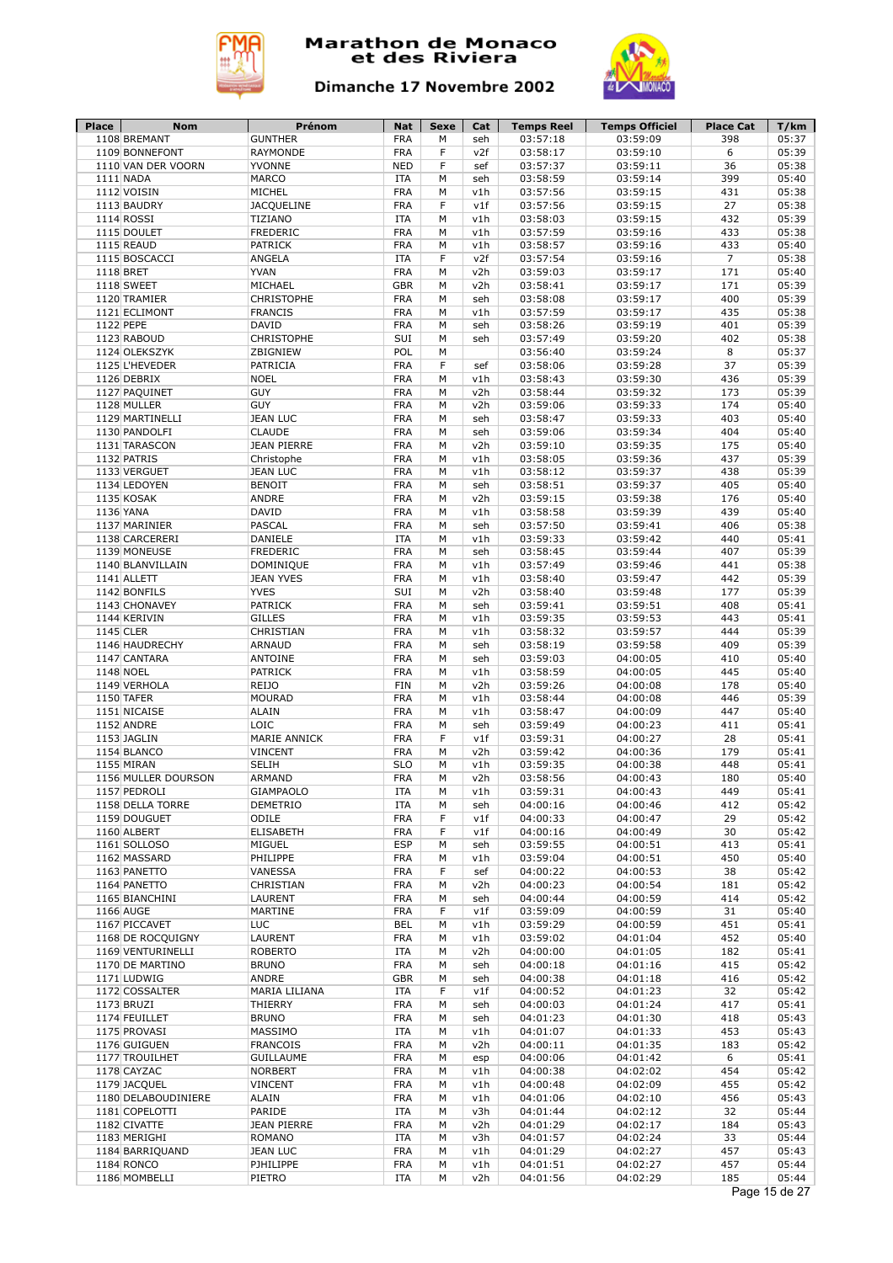



| Place     | Nom                                  | Prénom                           | <b>Nat</b>               | Sexe   | Cat        | <b>Temps Reel</b>    | <b>Temps Officiel</b> | <b>Place Cat</b> | T/km           |
|-----------|--------------------------------------|----------------------------------|--------------------------|--------|------------|----------------------|-----------------------|------------------|----------------|
|           | 1108 BREMANT                         | <b>GUNTHER</b>                   | <b>FRA</b>               | M<br>F | seh        | 03:57:18             | 03:59:09<br>03:59:10  | 398              | 05:37          |
|           | 1109 BONNEFONT<br>1110 VAN DER VOORN | <b>RAYMONDE</b><br><b>YVONNE</b> | <b>FRA</b><br><b>NED</b> | F      | v2f<br>sef | 03:58:17<br>03:57:37 | 03:59:11              | 6<br>36          | 05:39<br>05:38 |
|           | 1111 NADA                            | <b>MARCO</b>                     | <b>ITA</b>               | M      | seh        | 03:58:59             | 03:59:14              | 399              | 05:40          |
|           | 1112 VOISIN                          | MICHEL                           | <b>FRA</b>               | M      | v1h        | 03:57:56             | 03:59:15              | 431              | 05:38          |
|           | 1113 BAUDRY                          | <b>JACQUELINE</b>                | <b>FRA</b>               | F      | v1f        | 03:57:56             | 03:59:15              | 27               | 05:38          |
|           | 1114 ROSSI                           | TIZIANO                          | <b>ITA</b>               | M      | v1h        | 03:58:03             | 03:59:15              | 432              | 05:39          |
|           | 1115 DOULET                          | <b>FREDERIC</b>                  | <b>FRA</b>               | M      | v1h        | 03:57:59             | 03:59:16              | 433              | 05:38          |
|           | 1115 REAUD                           | PATRICK                          | <b>FRA</b>               | M      | v1h        | 03:58:57             | 03:59:16              | 433              | 05:40          |
|           | 1115 BOSCACCI                        | ANGELA                           | <b>ITA</b>               | F      | v2f        | 03:57:54             | 03:59:16              | $\overline{7}$   | 05:38          |
|           | 1118 BRET                            | <b>YVAN</b>                      | <b>FRA</b>               | М      | v2h        | 03:59:03             | 03:59:17              | 171              | 05:40          |
|           | 1118 SWEET                           | MICHAEL                          | <b>GBR</b>               | M      | v2h        | 03:58:41             | 03:59:17              | 171              | 05:39          |
|           | 1120 TRAMIER                         | <b>CHRISTOPHE</b>                | <b>FRA</b>               | М      | seh        | 03:58:08             | 03:59:17              | 400              | 05:39          |
|           | 1121 ECLIMONT                        | <b>FRANCIS</b>                   | <b>FRA</b>               | M      | v1h        | 03:57:59             | 03:59:17              | 435              | 05:38          |
| 1122 PEPE |                                      | <b>DAVID</b>                     | <b>FRA</b>               | М      | seh        | 03:58:26             | 03:59:19              | 401              | 05:39          |
|           | 1123 RABOUD                          | <b>CHRISTOPHE</b>                | SUI<br>POL               | М      | seh        | 03:57:49             | 03:59:20              | 402              | 05:38          |
|           | 1124 OLEKSZYK<br>1125 L'HEVEDER      | ZBIGNIEW<br>PATRICIA             | <b>FRA</b>               | M<br>F | sef        | 03:56:40<br>03:58:06 | 03:59:24<br>03:59:28  | 8<br>37          | 05:37<br>05:39 |
|           | 1126 DEBRIX                          | <b>NOEL</b>                      | <b>FRA</b>               | М      | v1h        | 03:58:43             | 03:59:30              | 436              | 05:39          |
|           | 1127 PAQUINET                        | <b>GUY</b>                       | <b>FRA</b>               | М      | v2h        | 03:58:44             | 03:59:32              | 173              | 05:39          |
|           | 1128 MULLER                          | <b>GUY</b>                       | <b>FRA</b>               | M      | v2h        | 03:59:06             | 03:59:33              | 174              | 05:40          |
|           | 1129 MARTINELLI                      | <b>JEAN LUC</b>                  | <b>FRA</b>               | M      | seh        | 03:58:47             | 03:59:33              | 403              | 05:40          |
|           | 1130 PANDOLFI                        | <b>CLAUDE</b>                    | <b>FRA</b>               | M      | seh        | 03:59:06             | 03:59:34              | 404              | 05:40          |
|           | 1131 TARASCON                        | <b>JEAN PIERRE</b>               | <b>FRA</b>               | M      | v2h        | 03:59:10             | 03:59:35              | 175              | 05:40          |
|           | 1132 PATRIS                          | Christophe                       | <b>FRA</b>               | M      | v1h        | 03:58:05             | 03:59:36              | 437              | 05:39          |
|           | 1133 VERGUET                         | <b>JEAN LUC</b>                  | <b>FRA</b>               | M      | v1h        | 03:58:12             | 03:59:37              | 438              | 05:39          |
|           | 1134 LEDOYEN                         | <b>BENOIT</b>                    | <b>FRA</b>               | M      | seh        | 03:58:51             | 03:59:37              | 405              | 05:40          |
|           | 1135 KOSAK                           | ANDRE                            | <b>FRA</b>               | M      | v2h        | 03:59:15             | 03:59:38              | 176              | 05:40          |
|           | 1136 YANA                            | <b>DAVID</b>                     | <b>FRA</b>               | M      | v1h        | 03:58:58             | 03:59:39              | 439              | 05:40          |
|           | 1137 MARINIER                        | <b>PASCAL</b>                    | <b>FRA</b>               | M      | seh        | 03:57:50             | 03:59:41              | 406              | 05:38          |
|           | 1138 CARCERERI<br>1139 MONEUSE       | DANIELE<br><b>FREDERIC</b>       | ITA<br><b>FRA</b>        | М<br>M | v1h        | 03:59:33             | 03:59:42              | 440<br>407       | 05:41<br>05:39 |
|           | 1140 BLANVILLAIN                     | <b>DOMINIQUE</b>                 | <b>FRA</b>               | M      | seh<br>v1h | 03:58:45<br>03:57:49 | 03:59:44<br>03:59:46  | 441              | 05:38          |
|           | 1141 ALLETT                          | <b>JEAN YVES</b>                 | <b>FRA</b>               | M      | v1h        | 03:58:40             | 03:59:47              | 442              | 05:39          |
|           | 1142 BONFILS                         | <b>YVES</b>                      | SUI                      | M      | v2h        | 03:58:40             | 03:59:48              | 177              | 05:39          |
|           | 1143 CHONAVEY                        | <b>PATRICK</b>                   | <b>FRA</b>               | M      | seh        | 03:59:41             | 03:59:51              | 408              | 05:41          |
|           | 1144 KERIVIN                         | <b>GILLES</b>                    | <b>FRA</b>               | М      | v1h        | 03:59:35             | 03:59:53              | 443              | 05:41          |
| 1145 CLER |                                      | CHRISTIAN                        | <b>FRA</b>               | М      | v1h        | 03:58:32             | 03:59:57              | 444              | 05:39          |
|           | 1146 HAUDRECHY                       | <b>ARNAUD</b>                    | <b>FRA</b>               | М      | seh        | 03:58:19             | 03:59:58              | 409              | 05:39          |
|           | 1147 CANTARA                         | <b>ANTOINE</b>                   | <b>FRA</b>               | М      | seh        | 03:59:03             | 04:00:05              | 410              | 05:40          |
|           | 1148 NOEL                            | <b>PATRICK</b>                   | <b>FRA</b>               | M      | v1h        | 03:58:59             | 04:00:05              | 445              | 05:40          |
|           | 1149 VERHOLA                         | REIJO                            | <b>FIN</b>               | М      | v2h        | 03:59:26             | 04:00:08              | 178              | 05:40          |
|           | 1150 TAFER                           | <b>MOURAD</b>                    | <b>FRA</b>               | M      | v1h        | 03:58:44             | 04:00:08              | 446              | 05:39          |
|           | 1151 NICAISE                         | <b>ALAIN</b>                     | <b>FRA</b>               | М      | v1h        | 03:58:47             | 04:00:09              | 447              | 05:40          |
|           | 1152 ANDRE<br>1153 JAGLIN            | LOIC<br>MARIE ANNICK             | <b>FRA</b><br><b>FRA</b> | М<br>F | seh<br>v1f | 03:59:49<br>03:59:31 | 04:00:23<br>04:00:27  | 411<br>28        | 05:41<br>05:41 |
|           | 1154 BLANCO                          | <b>VINCENT</b>                   | <b>FRA</b>               | M      | v2h        | 03:59:42             | 04:00:36              | 179              | 05:41          |
|           | 1155 MIRAN                           | <b>SELIH</b>                     | <b>SLO</b>               | M      | v1h        | 03:59:35             | 04:00:38              | 448              | 05:41          |
|           | 1156 MULLER DOURSON                  | <b>ARMAND</b>                    | <b>FRA</b>               | M      | v2h        | 03:58:56             | 04:00:43              | 180              | 05:40          |
|           | 1157 PEDROLI                         | <b>GIAMPAOLO</b>                 | <b>ITA</b>               | М      | v1h        | 03:59:31             | 04:00:43              | 449              | 05:41          |
|           | 1158 DELLA TORRE                     | DEMETRIO                         | ITA                      | М      | seh        | 04:00:16             | 04:00:46              | 412              | 05:42          |
|           | 1159 DOUGUET                         | ODILE                            | <b>FRA</b>               | F      | v1f        | 04:00:33             | 04:00:47              | 29               | 05:42          |
|           | 1160 ALBERT                          | <b>ELISABETH</b>                 | <b>FRA</b>               | F      | v1f        | 04:00:16             | 04:00:49              | 30               | 05:42          |
|           | 1161 SOLLOSO                         | MIGUEL                           | <b>ESP</b>               | М      | seh        | 03:59:55             | 04:00:51              | 413              | 05:41          |
|           | 1162 MASSARD                         | PHILIPPE                         | <b>FRA</b>               | M      | v1h        | 03:59:04             | 04:00:51              | 450              | 05:40          |
|           | 1163 PANETTO                         | VANESSA                          | <b>FRA</b>               | F      | sef        | 04:00:22             | 04:00:53              | 38               | 05:42          |
|           | 1164 PANETTO                         | CHRISTIAN                        | <b>FRA</b>               | М      | v2h        | 04:00:23             | 04:00:54              | 181              | 05:42          |
|           | 1165 BIANCHINI                       | LAURENT                          | <b>FRA</b>               | М      | seh        | 04:00:44             | 04:00:59              | 414              | 05:42          |
|           | 1166 AUGE                            | MARTINE                          | <b>FRA</b>               | F      | v1f        | 03:59:09             | 04:00:59              | 31               | 05:40          |
|           | 1167 PICCAVET<br>1168 DE ROCQUIGNY   | <b>LUC</b><br>LAURENT            | <b>BEL</b><br><b>FRA</b> | М<br>М | v1h<br>v1h | 03:59:29             | 04:00:59              | 451              | 05:41<br>05:40 |
|           | 1169 VENTURINELLI                    | <b>ROBERTO</b>                   | <b>ITA</b>               | М      | v2h        | 03:59:02<br>04:00:00 | 04:01:04<br>04:01:05  | 452<br>182       | 05:41          |
|           | 1170 DE MARTINO                      | <b>BRUNO</b>                     | <b>FRA</b>               | М      | seh        | 04:00:18             | 04:01:16              | 415              | 05:42          |
|           | 1171 LUDWIG                          | ANDRE                            | <b>GBR</b>               | М      | seh        | 04:00:38             | 04:01:18              | 416              | 05:42          |
|           | 1172 COSSALTER                       | MARIA LILIANA                    | ITA                      | F      | v1f        | 04:00:52             | 04:01:23              | 32               | 05:42          |
|           | 1173 BRUZI                           | THIERRY                          | <b>FRA</b>               | М      | seh        | 04:00:03             | 04:01:24              | 417              | 05:41          |
|           | 1174 FEUILLET                        | <b>BRUNO</b>                     | <b>FRA</b>               | М      | seh        | 04:01:23             | 04:01:30              | 418              | 05:43          |
|           | 1175 PROVASI                         | MASSIMO                          | <b>ITA</b>               | М      | v1h        | 04:01:07             | 04:01:33              | 453              | 05:43          |
|           | 1176 GUIGUEN                         | <b>FRANCOIS</b>                  | <b>FRA</b>               | М      | v2h        | 04:00:11             | 04:01:35              | 183              | 05:42          |
|           | 1177 TROUILHET                       | <b>GUILLAUME</b>                 | <b>FRA</b>               | М      | esp        | 04:00:06             | 04:01:42              | 6                | 05:41          |
|           | 1178 CAYZAC                          | <b>NORBERT</b>                   | <b>FRA</b>               | М      | v1h        | 04:00:38             | 04:02:02              | 454              | 05:42          |
|           | 1179 JACQUEL                         | <b>VINCENT</b>                   | <b>FRA</b>               | М      | v1h        | 04:00:48             | 04:02:09              | 455              | 05:42          |
|           | 1180 DELABOUDINIERE                  | <b>ALAIN</b>                     | <b>FRA</b>               | М      | v1h        | 04:01:06             | 04:02:10              | 456              | 05:43          |
|           | 1181 COPELOTTI                       | PARIDE                           | <b>ITA</b>               | М      | v3h        | 04:01:44             | 04:02:12              | 32               | 05:44          |
|           | 1182 CIVATTE                         | <b>JEAN PIERRE</b>               | <b>FRA</b>               | М      | v2h        | 04:01:29             | 04:02:17              | 184              | 05:43          |
|           | 1183 MERIGHI                         | ROMANO                           | ITA                      | М      | v3h        | 04:01:57             | 04:02:24              | 33               | 05:44          |
|           | 1184 BARRIQUAND                      | <b>JEAN LUC</b>                  | <b>FRA</b>               | М      | v1h        | 04:01:29             | 04:02:27              | 457              | 05:43          |
|           |                                      |                                  |                          |        |            |                      |                       |                  |                |
|           | 1184 RONCO<br>1186 MOMBELLI          | PJHILIPPE<br>PIETRO              | <b>FRA</b><br>ITA        | М<br>М | v1h<br>v2h | 04:01:51<br>04:01:56 | 04:02:27<br>04:02:29  | 457<br>185       | 05:44<br>05:44 |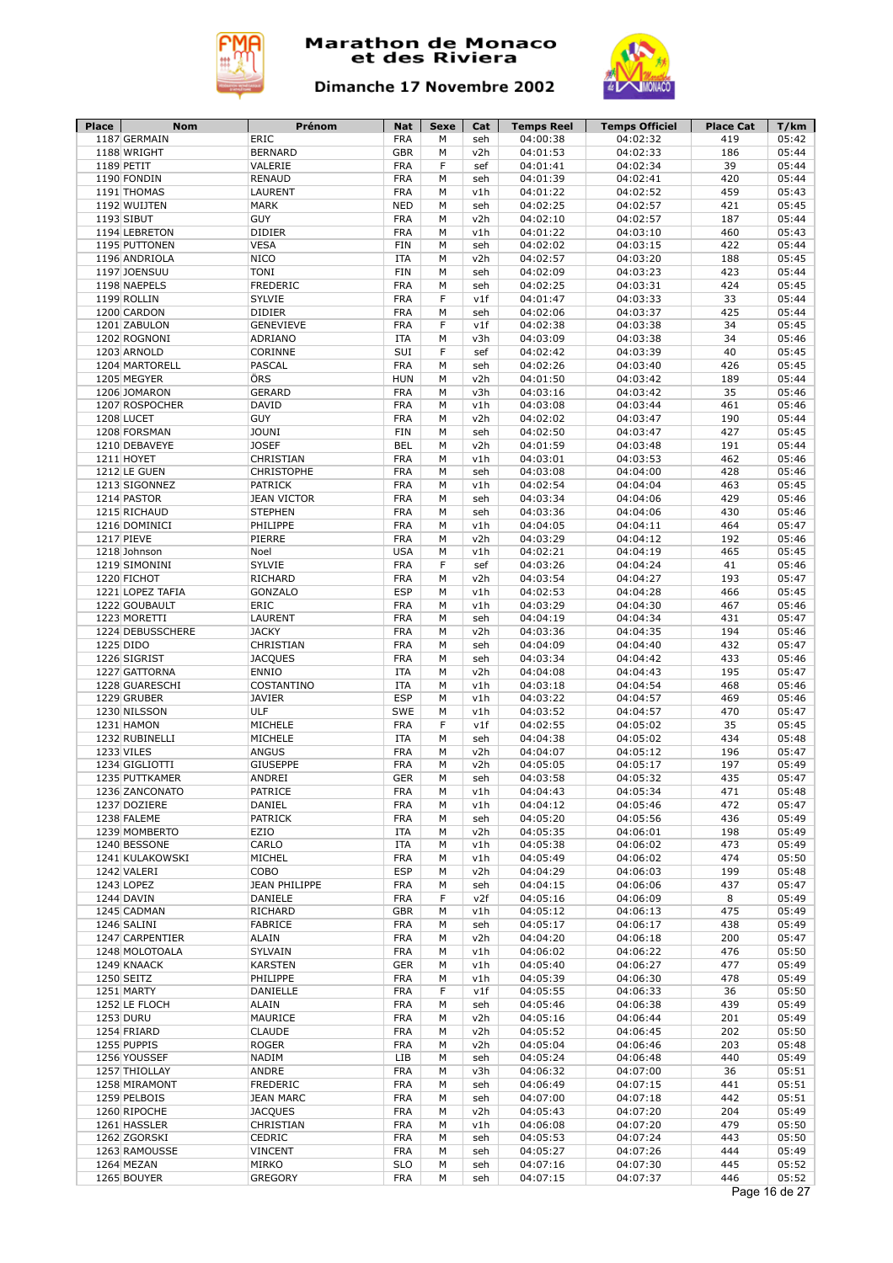



| <b>Place</b> | Nom              | Prénom               | Nat        | Sexe | Cat | <b>Temps Reel</b> | <b>Temps Officiel</b> | <b>Place Cat</b> | T/km  |
|--------------|------------------|----------------------|------------|------|-----|-------------------|-----------------------|------------------|-------|
|              | 1187 GERMAIN     | <b>ERIC</b>          | <b>FRA</b> | М    | seh | 04:00:38          | 04:02:32              | 419              | 05:42 |
|              | 1188 WRIGHT      | <b>BERNARD</b>       | <b>GBR</b> | M    | v2h | 04:01:53          | 04:02:33              | 186              | 05:44 |
|              | 1189 PETIT       | VALERIE              | <b>FRA</b> | F    | sef | 04:01:41          | 04:02:34              | 39               | 05:44 |
|              | 1190 FONDIN      | <b>RENAUD</b>        | <b>FRA</b> | M    | seh | 04:01:39          | 04:02:41              | 420              | 05:44 |
|              | 1191 THOMAS      | LAURENT              | <b>FRA</b> | М    | v1h | 04:01:22          | 04:02:52              | 459              | 05:43 |
|              | 1192 WUIJTEN     | <b>MARK</b>          | <b>NED</b> | М    | seh | 04:02:25          | 04:02:57              | 421              | 05:45 |
|              | 1193 SIBUT       | <b>GUY</b>           | <b>FRA</b> | M    | v2h | 04:02:10          | 04:02:57              | 187              | 05:44 |
|              | 1194 LEBRETON    | <b>DIDIER</b>        | <b>FRA</b> | M    | v1h | 04:01:22          | 04:03:10              | 460              | 05:43 |
|              | 1195 PUTTONEN    | <b>VESA</b>          | <b>FIN</b> | М    | seh | 04:02:02          | 04:03:15              | 422              | 05:44 |
|              | 1196 ANDRIOLA    | <b>NICO</b>          | <b>ITA</b> | М    | v2h | 04:02:57          | 04:03:20              | 188              | 05:45 |
|              | 1197 JOENSUU     | <b>TONI</b>          | <b>FIN</b> | М    | seh | 04:02:09          | 04:03:23              | 423              | 05:44 |
|              | 1198 NAEPELS     | <b>FREDERIC</b>      | <b>FRA</b> | M    | seh | 04:02:25          | 04:03:31              | 424              | 05:45 |
|              | 1199 ROLLIN      | SYLVIE               | <b>FRA</b> | F    | v1f | 04:01:47          | 04:03:33              | 33               | 05:44 |
|              | 1200 CARDON      | DIDIER               | <b>FRA</b> | M    | seh | 04:02:06          | 04:03:37              | 425              | 05:44 |
|              | 1201 ZABULON     | <b>GENEVIEVE</b>     | <b>FRA</b> | F    | v1f | 04:02:38          | 04:03:38              | 34               | 05:45 |
|              | 1202 ROGNONI     | ADRIANO              | <b>ITA</b> | M    | v3h | 04:03:09          | 04:03:38              | 34               | 05:46 |
|              | 1203 ARNOLD      | CORINNE              | SUI        | F    | sef | 04:02:42          | 04:03:39              | 40               | 05:45 |
|              |                  | <b>PASCAL</b>        | <b>FRA</b> | М    |     |                   | 04:03:40              | 426              | 05:45 |
|              | 1204 MARTORELL   |                      |            |      | seh | 04:02:26          |                       |                  |       |
|              | 1205 MEGYER      | ÖRS                  | <b>HUN</b> | М    | v2h | 04:01:50          | 04:03:42              | 189              | 05:44 |
|              | 1206 JOMARON     | <b>GERARD</b>        | <b>FRA</b> | М    | v3h | 04:03:16          | 04:03:42              | 35               | 05:46 |
|              | 1207 ROSPOCHER   | <b>DAVID</b>         | <b>FRA</b> | М    | v1h | 04:03:08          | 04:03:44              | 461              | 05:46 |
|              | 1208 LUCET       | <b>GUY</b>           | <b>FRA</b> | M    | v2h | 04:02:02          | 04:03:47              | 190              | 05:44 |
|              | 1208 FORSMAN     | <b>JOUNI</b>         | <b>FIN</b> | М    | seh | 04:02:50          | 04:03:47              | 427              | 05:45 |
|              | 1210 DEBAVEYE    | <b>JOSEF</b>         | <b>BEL</b> | M    | v2h | 04:01:59          | 04:03:48              | 191              | 05:44 |
|              | 1211 HOYET       | CHRISTIAN            | <b>FRA</b> | M    | v1h | 04:03:01          | 04:03:53              | 462              | 05:46 |
|              | 1212 LE GUEN     | <b>CHRISTOPHE</b>    | <b>FRA</b> | M    | seh | 04:03:08          | 04:04:00              | 428              | 05:46 |
|              | 1213 SIGONNEZ    | <b>PATRICK</b>       | <b>FRA</b> | M    | v1h | 04:02:54          | 04:04:04              | 463              | 05:45 |
|              | 1214 PASTOR      | <b>JEAN VICTOR</b>   | <b>FRA</b> | M    | seh | 04:03:34          | 04:04:06              | 429              | 05:46 |
|              | 1215 RICHAUD     | <b>STEPHEN</b>       | <b>FRA</b> | M    | seh | 04:03:36          | 04:04:06              | 430              | 05:46 |
|              | 1216 DOMINICI    | PHILIPPE             | <b>FRA</b> | M    | v1h | 04:04:05          | 04:04:11              | 464              | 05:47 |
|              | 1217 PIEVE       | PIERRE               | <b>FRA</b> | M    | v2h | 04:03:29          | 04:04:12              | 192              | 05:46 |
|              | 1218 Johnson     | Noel                 | <b>USA</b> | M    | v1h | 04:02:21          | 04:04:19              | 465              | 05:45 |
|              | 1219 SIMONINI    | <b>SYLVIE</b>        | <b>FRA</b> | F    | sef | 04:03:26          | 04:04:24              | 41               | 05:46 |
|              | 1220 FICHOT      | RICHARD              | <b>FRA</b> | M    | v2h | 04:03:54          | 04:04:27              | 193              | 05:47 |
|              | 1221 LOPEZ TAFIA | GONZALO              | <b>ESP</b> | M    | v1h | 04:02:53          | 04:04:28              | 466              | 05:45 |
|              |                  | ERIC                 | <b>FRA</b> | M    |     | 04:03:29          | 04:04:30              | 467              | 05:46 |
|              | 1222 GOUBAULT    |                      |            |      | v1h |                   |                       |                  |       |
|              | 1223 MORETTI     | LAURENT              | <b>FRA</b> | М    | seh | 04:04:19          | 04:04:34              | 431              | 05:47 |
|              | 1224 DEBUSSCHERE | <b>JACKY</b>         | <b>FRA</b> | М    | v2h | 04:03:36          | 04:04:35              | 194              | 05:46 |
|              | 1225 DIDO        | CHRISTIAN            | <b>FRA</b> | М    | seh | 04:04:09          | 04:04:40              | 432              | 05:47 |
|              | 1226 SIGRIST     | <b>JACQUES</b>       | <b>FRA</b> | M    | seh | 04:03:34          | 04:04:42              | 433              | 05:46 |
|              | 1227 GATTORNA    | <b>ENNIO</b>         | <b>ITA</b> | M    | v2h | 04:04:08          | 04:04:43              | 195              | 05:47 |
|              | 1228 GUARESCHI   | COSTANTINO           | <b>ITA</b> | М    | v1h | 04:03:18          | 04:04:54              | 468              | 05:46 |
|              | 1229 GRUBER      | <b>JAVIER</b>        | <b>ESP</b> | M    | v1h | 04:03:22          | 04:04:57              | 469              | 05:46 |
|              | 1230 NILSSON     | ULF                  | SWE        | М    | v1h | 04:03:52          | 04:04:57              | 470              | 05:47 |
|              | 1231 HAMON       | MICHELE              | <b>FRA</b> | F    | v1f | 04:02:55          | 04:05:02              | 35               | 05:45 |
|              | 1232 RUBINELLI   | MICHELE              | <b>ITA</b> | М    | seh | 04:04:38          | 04:05:02              | 434              | 05:48 |
|              | 1233 VILES       | <b>ANGUS</b>         | <b>FRA</b> | М    | v2h | 04:04:07          | 04:05:12              | 196              | 05:47 |
|              | 1234 GIGLIOTTI   | <b>GIUSEPPE</b>      | <b>FRA</b> | M    | v2h | 04:05:05          | 04:05:17              | 197              | 05:49 |
|              | 1235 PUTTKAMER   | <b>ANDREI</b>        | <b>GER</b> | M    | seh | 04:03:58          | 04:05:32              | 435              | 05:47 |
|              | 1236 ZANCONATO   | PATRICE              | <b>FRA</b> | М    | v1h | 04:04:43          | 04:05:34              | 471              | 05:48 |
|              | 1237 DOZIERE     | DANIEL               | <b>FRA</b> | М    | v1h | 04:04:12          | 04:05:46              | 472              | 05:47 |
|              | 1238 FALEME      | <b>PATRICK</b>       | <b>FRA</b> | М    | seh | 04:05:20          | 04:05:56              | 436              | 05:49 |
|              | 1239 MOMBERTO    | EZIO                 | ITA        | М    | v2h | 04:05:35          | 04:06:01              | 198              | 05:49 |
|              | 1240 BESSONE     | CARLO                | ITA        | М    | v1h | 04:05:38          | 04:06:02              | 473              | 05:49 |
|              | 1241 KULAKOWSKI  | MICHEL               | <b>FRA</b> | M    | v1h | 04:05:49          | 04:06:02              | 474              | 05:50 |
|              | 1242 VALERI      | COBO                 | <b>ESP</b> | М    | v2h | 04:04:29          | 04:06:03              | 199              | 05:48 |
|              |                  |                      |            |      |     |                   |                       |                  |       |
|              | 1243 LOPEZ       | <b>JEAN PHILIPPE</b> | FRA        | М    | seh | 04:04:15          | 04:06:06              | 437              | 05:47 |
|              | 1244 DAVIN       | DANIELE              | <b>FRA</b> | F    | v2f | 04:05:16          | 04:06:09              | 8                | 05:49 |
|              | 1245 CADMAN      | RICHARD              | <b>GBR</b> | М    | v1h | 04:05:12          | 04:06:13              | 475              | 05:49 |
|              | 1246 SALINI      | <b>FABRICE</b>       | FRA        | М    | seh | 04:05:17          | 04:06:17              | 438              | 05:49 |
|              | 1247 CARPENTIER  | <b>ALAIN</b>         | <b>FRA</b> | М    | v2h | 04:04:20          | 04:06:18              | 200              | 05:47 |
|              | 1248 MOLOTOALA   | SYLVAIN              | <b>FRA</b> | М    | v1h | 04:06:02          | 04:06:22              | 476              | 05:50 |
|              | 1249 KNAACK      | <b>KARSTEN</b>       | <b>GER</b> | М    | v1h | 04:05:40          | 04:06:27              | 477              | 05:49 |
|              | 1250 SEITZ       | PHILIPPE             | <b>FRA</b> | М    | v1h | 04:05:39          | 04:06:30              | 478              | 05:49 |
|              | 1251 MARTY       | DANIELLE             | <b>FRA</b> | F    | v1f | 04:05:55          | 04:06:33              | 36               | 05:50 |
|              | 1252 LE FLOCH    | <b>ALAIN</b>         | <b>FRA</b> | М    | seh | 04:05:46          | 04:06:38              | 439              | 05:49 |
|              | 1253 DURU        | MAURICE              | <b>FRA</b> | М    | v2h | 04:05:16          | 04:06:44              | 201              | 05:49 |
|              | 1254 FRIARD      | <b>CLAUDE</b>        | <b>FRA</b> | М    | v2h | 04:05:52          | 04:06:45              | 202              | 05:50 |
|              | 1255 PUPPIS      | <b>ROGER</b>         | <b>FRA</b> | М    | v2h | 04:05:04          | 04:06:46              | 203              | 05:48 |
|              | 1256 YOUSSEF     | NADIM                | LIB        | М    | seh | 04:05:24          | 04:06:48              | 440              | 05:49 |
|              | 1257 THIOLLAY    | ANDRE                | <b>FRA</b> | М    | v3h |                   |                       | 36               | 05:51 |
|              |                  |                      |            |      |     | 04:06:32          | 04:07:00              |                  |       |
|              | 1258 MIRAMONT    | FREDERIC             | <b>FRA</b> | М    | seh | 04:06:49          | 04:07:15              | 441              | 05:51 |
|              |                  | <b>JEAN MARC</b>     | FRA        | М    | seh | 04:07:00          | 04:07:18              | 442              | 05:51 |
|              | 1259 PELBOIS     |                      |            | М    | v2h | 04:05:43          | 04:07:20              | 204              | 05:49 |
|              | 1260 RIPOCHE     | <b>JACQUES</b>       | <b>FRA</b> |      |     |                   |                       |                  |       |
|              | 1261 HASSLER     | CHRISTIAN            | <b>FRA</b> | М    | v1h | 04:06:08          | 04:07:20              | 479              | 05:50 |
|              | 1262 ZGORSKI     | CEDRIC               | <b>FRA</b> | М    | seh | 04:05:53          | 04:07:24              | 443              | 05:50 |
|              | 1263 RAMOUSSE    | <b>VINCENT</b>       | <b>FRA</b> | М    | seh | 04:05:27          | 04:07:26              | 444              | 05:49 |
|              | 1264 MEZAN       | MIRKO                | <b>SLO</b> | М    | seh | 04:07:16          | 04:07:30              | 445              | 05:52 |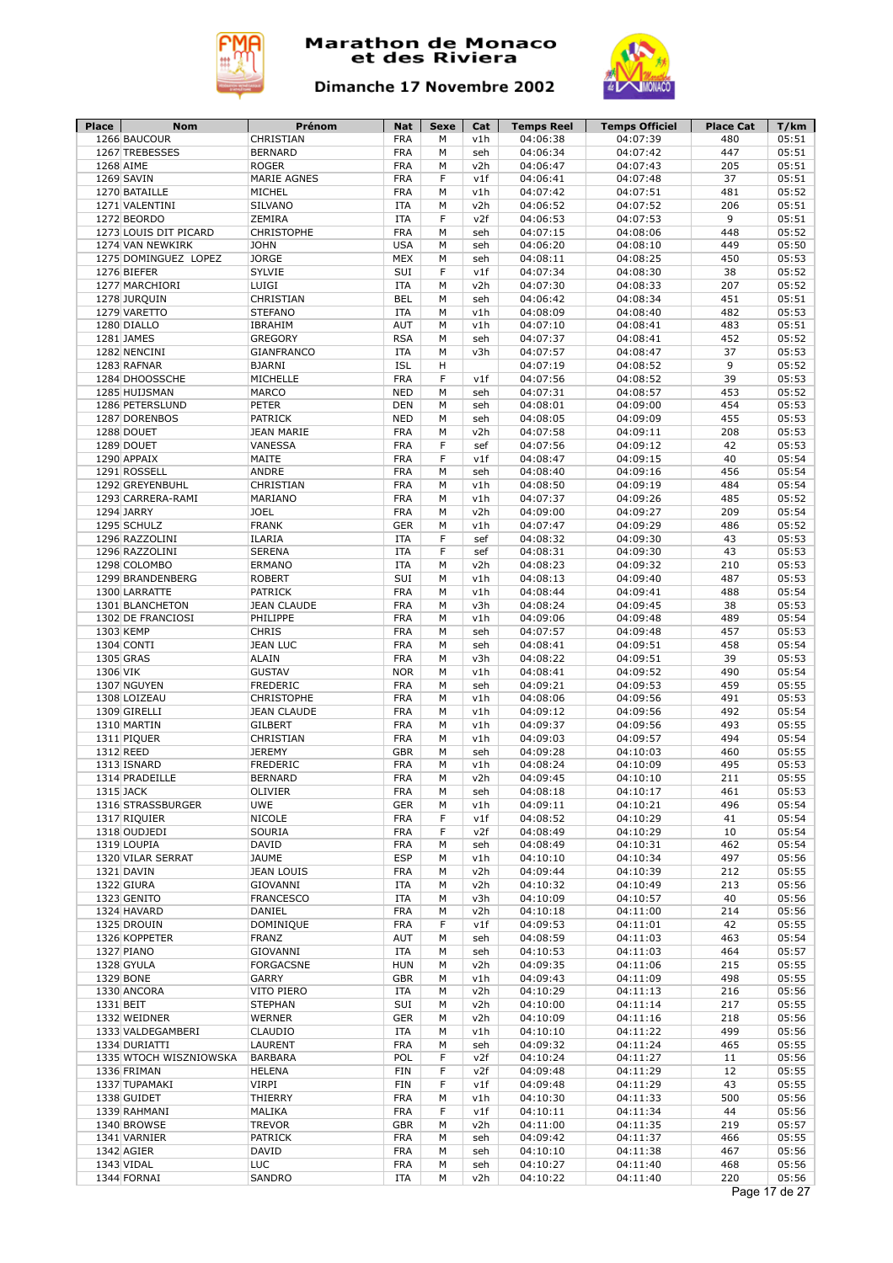



| 1274 VAN NEWKIRK<br>1276 BIEFER | 1266 BAUCOUR<br>1267 TREBESSES<br>1268 AIME<br>1269 SAVIN<br>1270 BATAILLE<br>1271 VALENTINI<br>1272 BEORDO<br>1273 LOUIS DIT PICARD | CHRISTIAN<br><b>BERNARD</b><br><b>ROGER</b><br><b>MARIE AGNES</b><br>MICHEL<br>SILVANO | <b>FRA</b><br><b>FRA</b><br><b>FRA</b><br><b>FRA</b><br><b>FRA</b> | M<br>M<br>M<br>F | v1h<br>seh<br>v2h | 04:06:38<br>04:06:34<br>04:06:47 | 04:07:39<br>04:07:42<br>04:07:43 | 480<br>447<br>205 | 05:51<br>05:51<br>05:51 |
|---------------------------------|--------------------------------------------------------------------------------------------------------------------------------------|----------------------------------------------------------------------------------------|--------------------------------------------------------------------|------------------|-------------------|----------------------------------|----------------------------------|-------------------|-------------------------|
|                                 |                                                                                                                                      |                                                                                        |                                                                    |                  |                   |                                  |                                  |                   |                         |
|                                 |                                                                                                                                      |                                                                                        |                                                                    |                  |                   |                                  |                                  |                   |                         |
|                                 |                                                                                                                                      |                                                                                        |                                                                    |                  |                   |                                  |                                  |                   |                         |
|                                 |                                                                                                                                      |                                                                                        |                                                                    |                  | v1f               | 04:06:41                         | 04:07:48                         | 37                | 05:51                   |
|                                 |                                                                                                                                      |                                                                                        | <b>ITA</b>                                                         | M<br>M           | v1h<br>v2h        | 04:07:42                         | 04:07:51                         | 481               | 05:52<br>05:51          |
|                                 |                                                                                                                                      | ZEMIRA                                                                                 | <b>ITA</b>                                                         | F                | v2f               | 04:06:52<br>04:06:53             | 04:07:52<br>04:07:53             | 206<br>9          | 05:51                   |
|                                 |                                                                                                                                      | <b>CHRISTOPHE</b>                                                                      | <b>FRA</b>                                                         | M                | seh               | 04:07:15                         | 04:08:06                         | 448               | 05:52                   |
|                                 |                                                                                                                                      | <b>JOHN</b>                                                                            | <b>USA</b>                                                         | M                | seh               | 04:06:20                         | 04:08:10                         | 449               | 05:50                   |
|                                 | 1275 DOMINGUEZ LOPEZ                                                                                                                 | <b>JORGE</b>                                                                           | <b>MEX</b>                                                         | M                | seh               | 04:08:11                         | 04:08:25                         | 450               | 05:53                   |
|                                 |                                                                                                                                      | <b>SYLVIE</b>                                                                          | SUI                                                                | F                | v1f               | 04:07:34                         | 04:08:30                         | 38                | 05:52                   |
|                                 | 1277 MARCHIORI                                                                                                                       | LUIGI                                                                                  | ITA                                                                | M                | v2h               | 04:07:30                         | 04:08:33                         | 207               | 05:52                   |
|                                 | 1278 JURQUIN                                                                                                                         | CHRISTIAN                                                                              | <b>BEL</b>                                                         | M                | seh               | 04:06:42                         | 04:08:34                         | 451               | 05:51                   |
|                                 | 1279 VARETTO                                                                                                                         | <b>STEFANO</b>                                                                         | <b>ITA</b>                                                         | М                | v1h               | 04:08:09                         | 04:08:40                         | 482               | 05:53                   |
|                                 | 1280 DIALLO                                                                                                                          | IBRAHIM                                                                                | AUT                                                                | М                | v1h               | 04:07:10                         | 04:08:41                         | 483               | 05:51                   |
|                                 | 1281 JAMES                                                                                                                           | <b>GREGORY</b>                                                                         | <b>RSA</b>                                                         | M                | seh               | 04:07:37                         | 04:08:41                         | 452               | 05:52                   |
|                                 | 1282 NENCINI                                                                                                                         | <b>GIANFRANCO</b>                                                                      | <b>ITA</b>                                                         | M                | v3h               | 04:07:57                         | 04:08:47                         | 37                | 05:53                   |
|                                 | 1283 RAFNAR                                                                                                                          | <b>BJARNI</b>                                                                          | <b>ISL</b>                                                         | н                |                   | 04:07:19                         | 04:08:52                         | 9                 | 05:52                   |
|                                 | 1284 DHOOSSCHE                                                                                                                       | MICHELLE                                                                               | <b>FRA</b>                                                         | F                | v1f               | 04:07:56                         | 04:08:52                         | 39                | 05:53                   |
|                                 | 1285 HUIJSMAN                                                                                                                        | <b>MARCO</b>                                                                           | <b>NED</b>                                                         | М                | seh               | 04:07:31                         | 04:08:57                         | 453               | 05:52                   |
|                                 | 1286 PETERSLUND                                                                                                                      | <b>PETER</b>                                                                           | DEN                                                                | М                | seh               | 04:08:01                         | 04:09:00                         | 454               | 05:53                   |
|                                 | 1287 DORENBOS                                                                                                                        | <b>PATRICK</b>                                                                         | <b>NED</b>                                                         | M                | seh               | 04:08:05                         | 04:09:09                         | 455               | 05:53                   |
|                                 | 1288 DOUET                                                                                                                           | <b>JEAN MARIE</b>                                                                      | <b>FRA</b>                                                         | M                | v2h               | 04:07:58                         | 04:09:11                         | 208               | 05:53                   |
|                                 | 1289 DOUET                                                                                                                           | VANESSA                                                                                | <b>FRA</b>                                                         | F                | sef               | 04:07:56                         | 04:09:12                         | 42                | 05:53                   |
|                                 | 1290 APPAIX                                                                                                                          | MAITE                                                                                  | <b>FRA</b>                                                         | F                | v1f               | 04:08:47                         | 04:09:15                         | 40                | 05:54                   |
|                                 | 1291 ROSSELL                                                                                                                         | ANDRE                                                                                  | <b>FRA</b>                                                         | М                | seh               | 04:08:40                         | 04:09:16                         | 456               | 05:54                   |
|                                 | 1292 GREYENBUHL                                                                                                                      | CHRISTIAN                                                                              | <b>FRA</b>                                                         | M                | v1h               | 04:08:50                         | 04:09:19                         | 484               | 05:54                   |
|                                 | 1293 CARRERA-RAMI                                                                                                                    | MARIANO                                                                                | <b>FRA</b>                                                         | M                | v1h               | 04:07:37                         | 04:09:26                         | 485               | 05:52                   |
|                                 | 1294 JARRY                                                                                                                           | <b>JOEL</b>                                                                            | <b>FRA</b>                                                         | M                | v2h               | 04:09:00                         | 04:09:27                         | 209               | 05:54                   |
|                                 | 1295 SCHULZ                                                                                                                          | <b>FRANK</b>                                                                           | <b>GER</b>                                                         | M                | v1h               | 04:07:47                         | 04:09:29                         | 486               | 05:52                   |
|                                 | 1296 RAZZOLINI                                                                                                                       | ILARIA                                                                                 | ITA                                                                | F                | sef               | 04:08:32                         | 04:09:30                         | 43                | 05:53                   |
|                                 | 1296 RAZZOLINI                                                                                                                       | <b>SERENA</b>                                                                          | <b>ITA</b>                                                         | F                | sef               | 04:08:31                         | 04:09:30                         | 43                | 05:53                   |
|                                 | 1298 COLOMBO                                                                                                                         | ERMANO                                                                                 | <b>ITA</b>                                                         | M                | v2h               | 04:08:23                         | 04:09:32                         | 210               | 05:53                   |
|                                 | 1299 BRANDENBERG                                                                                                                     | <b>ROBERT</b>                                                                          | SUI                                                                | M                | v1h               | 04:08:13                         | 04:09:40                         | 487               | 05:53                   |
|                                 | 1300 LARRATTE                                                                                                                        | <b>PATRICK</b>                                                                         | <b>FRA</b>                                                         | M                | v1h               | 04:08:44                         | 04:09:41                         | 488               | 05:54                   |
|                                 | 1301 BLANCHETON                                                                                                                      | <b>JEAN CLAUDE</b>                                                                     | <b>FRA</b>                                                         | M                | v3h               | 04:08:24                         | 04:09:45                         | 38                | 05:53                   |
|                                 | 1302 DE FRANCIOSI                                                                                                                    | PHILIPPE                                                                               | <b>FRA</b>                                                         | М                | v1h               | 04:09:06                         | 04:09:48                         | 489               | 05:54                   |
|                                 | 1303 KEMP                                                                                                                            | <b>CHRIS</b>                                                                           | <b>FRA</b>                                                         | M                | seh               | 04:07:57                         | 04:09:48                         | 457               | 05:53                   |
|                                 | 1304 CONTI                                                                                                                           | <b>JEAN LUC</b>                                                                        | <b>FRA</b>                                                         | M                | seh               | 04:08:41                         | 04:09:51                         | 458               | 05:54                   |
|                                 | 1305 GRAS                                                                                                                            | <b>ALAIN</b><br><b>GUSTAV</b>                                                          | <b>FRA</b>                                                         | M<br>M           | v3h               | 04:08:22                         | 04:09:51                         | 39<br>490         | 05:53<br>05:54          |
| 1306 VIK                        | 1307 NGUYEN                                                                                                                          | <b>FREDERIC</b>                                                                        | <b>NOR</b><br><b>FRA</b>                                           | М                | v1h<br>seh        | 04:08:41<br>04:09:21             | 04:09:52<br>04:09:53             | 459               | 05:55                   |
|                                 | 1308 LOIZEAU                                                                                                                         | <b>CHRISTOPHE</b>                                                                      | <b>FRA</b>                                                         | M                | v1h               | 04:08:06                         | 04:09:56                         | 491               | 05:53                   |
|                                 | 1309 GIRELLI                                                                                                                         | <b>JEAN CLAUDE</b>                                                                     | <b>FRA</b>                                                         | М                | v1h               | 04:09:12                         | 04:09:56                         | 492               | 05:54                   |
|                                 | 1310 MARTIN                                                                                                                          | <b>GILBERT</b>                                                                         | <b>FRA</b>                                                         | М                | v1h               | 04:09:37                         | 04:09:56                         | 493               | 05:55                   |
|                                 | 1311 PIQUER                                                                                                                          | CHRISTIAN                                                                              | <b>FRA</b>                                                         | М                | v1h               | 04:09:03                         | 04:09:57                         | 494               | 05:54                   |
|                                 | 1312 REED                                                                                                                            | <b>JEREMY</b>                                                                          | <b>GBR</b>                                                         | M                | seh               | 04:09:28                         | 04:10:03                         | 460               | 05:55                   |
|                                 | 1313 ISNARD                                                                                                                          | <b>FREDERIC</b>                                                                        | <b>FRA</b>                                                         | M                | v1h               | 04:08:24                         | 04:10:09                         | 495               | 05:53                   |
|                                 | 1314 PRADEILLE                                                                                                                       | <b>BERNARD</b>                                                                         | <b>FRA</b>                                                         | M                | v2h               | 04:09:45                         | 04:10:10                         | 211               | 05:55                   |
|                                 | 1315 JACK                                                                                                                            | OLIVIER                                                                                | <b>FRA</b>                                                         | M                | seh               | 04:08:18                         | 04:10:17                         | 461               | 05:53                   |
|                                 | 1316 STRASSBURGER                                                                                                                    | <b>UWE</b>                                                                             | <b>GER</b>                                                         | М                | v1h               | 04:09:11                         | 04:10:21                         | 496               | 05:54                   |
|                                 | 1317 RIQUIER                                                                                                                         | <b>NICOLE</b>                                                                          | <b>FRA</b>                                                         | F                | v1f               | 04:08:52                         | 04:10:29                         | 41                | 05:54                   |
|                                 | 1318 OUDJEDI                                                                                                                         | SOURIA                                                                                 | <b>FRA</b>                                                         | F                | v2f               | 04:08:49                         | 04:10:29                         | 10                | 05:54                   |
|                                 | 1319 LOUPIA                                                                                                                          | DAVID                                                                                  | <b>FRA</b>                                                         | М                | seh               | 04:08:49                         | 04:10:31                         | 462               | 05:54                   |
|                                 | 1320 VILAR SERRAT                                                                                                                    | <b>JAUME</b>                                                                           | <b>ESP</b>                                                         | М                | v1h               | 04:10:10                         | 04:10:34                         | 497               | 05:56                   |
|                                 | 1321 DAVIN                                                                                                                           | <b>JEAN LOUIS</b>                                                                      | <b>FRA</b>                                                         | М                | v2h               | 04:09:44                         | 04:10:39                         | 212               | 05:55                   |
|                                 | 1322 GIURA                                                                                                                           | GIOVANNI                                                                               | ITA                                                                | М                | v2h               | 04:10:32                         | 04:10:49                         | 213               | 05:56                   |
|                                 | 1323 GENITO                                                                                                                          | <b>FRANCESCO</b>                                                                       | ITA                                                                | М                | v3h               | 04:10:09                         | 04:10:57                         | 40                | 05:56                   |
|                                 | 1324 HAVARD                                                                                                                          | DANIEL                                                                                 | <b>FRA</b>                                                         | М                | v2h               | 04:10:18                         | 04:11:00                         | 214               | 05:56                   |
|                                 | 1325 DROUIN                                                                                                                          | DOMINIQUE                                                                              | <b>FRA</b>                                                         | F                | v1f               | 04:09:53                         | 04:11:01                         | 42                | 05:55                   |
|                                 | 1326 KOPPETER                                                                                                                        | FRANZ                                                                                  | AUT                                                                | М                | seh               | 04:08:59                         | 04:11:03                         | 463               | 05:54                   |
|                                 | 1327 PIANO                                                                                                                           | <b>GIOVANNI</b>                                                                        | ITA                                                                | М                | seh               | 04:10:53                         | 04:11:03                         | 464               | 05:57                   |
|                                 | 1328 GYULA                                                                                                                           | <b>FORGACSNE</b>                                                                       | <b>HUN</b>                                                         | М                | v2h               | 04:09:35                         | 04:11:06                         | 215               | 05:55                   |
|                                 | 1329 BONE                                                                                                                            | GARRY                                                                                  | <b>GBR</b>                                                         | М                | v1h               | 04:09:43                         | 04:11:09                         | 498               | 05:55                   |
|                                 | 1330 ANCORA                                                                                                                          | VITO PIERO                                                                             | ITA                                                                | М                | v2h               | 04:10:29                         | 04:11:13                         | 216               | 05:56                   |
| 1331 BEIT                       |                                                                                                                                      | <b>STEPHAN</b>                                                                         | SUI                                                                | М                | v2h               | 04:10:00                         | 04:11:14                         | 217               | 05:55                   |
|                                 | 1332 WEIDNER                                                                                                                         | WERNER                                                                                 | <b>GER</b>                                                         | М                | v2h               | 04:10:09                         | 04:11:16                         | 218               | 05:56                   |
|                                 | 1333 VALDEGAMBERI                                                                                                                    | CLAUDIO                                                                                | ITA                                                                | М                | v1h               | 04:10:10                         | 04:11:22                         | 499               | 05:56                   |
|                                 | 1334 DURIATTI                                                                                                                        | LAURENT                                                                                | <b>FRA</b>                                                         | М                | seh               | 04:09:32                         | 04:11:24                         | 465               | 05:55                   |
|                                 | 1335 WTOCH WISZNIOWSKA                                                                                                               | <b>BARBARA</b>                                                                         | POL                                                                | F                | v2f               | 04:10:24                         | 04:11:27                         | 11                | 05:56                   |
|                                 | 1336 FRIMAN                                                                                                                          | <b>HELENA</b>                                                                          | FIN                                                                | F                | v2f               | 04:09:48                         | 04:11:29                         | 12                | 05:55                   |
|                                 | 1337 TUPAMAKI                                                                                                                        | VIRPI                                                                                  | FIN                                                                | F                | v1f               | 04:09:48                         | 04:11:29                         | 43                | 05:55                   |
|                                 | 1338 GUIDET                                                                                                                          | THIERRY                                                                                | <b>FRA</b>                                                         | М                | v1h               | 04:10:30                         | 04:11:33                         | 500               | 05:56                   |
|                                 | 1339 RAHMANI                                                                                                                         | MALIKA                                                                                 | <b>FRA</b>                                                         | F                | v1f               | 04:10:11                         | 04:11:34                         | 44                | 05:56                   |
|                                 | 1340 BROWSE                                                                                                                          | <b>TREVOR</b>                                                                          | <b>GBR</b>                                                         | М                | v2h               | 04:11:00                         | 04:11:35                         | 219               | 05:57                   |
|                                 | 1341 VARNIER                                                                                                                         | <b>PATRICK</b>                                                                         | <b>FRA</b>                                                         | М                | seh               | 04:09:42                         | 04:11:37                         | 466               | 05:55                   |
|                                 | 1342 AGIER                                                                                                                           | DAVID                                                                                  | <b>FRA</b>                                                         | М                | seh               | 04:10:10                         | 04:11:38                         | 467               | 05:56                   |
|                                 | 1343 VIDAL<br>1344 FORNAI                                                                                                            | <b>LUC</b>                                                                             | <b>FRA</b>                                                         | М                | seh               | 04:10:27                         | 04:11:40                         | 468<br>220        | 05:56<br>05:56          |
|                                 |                                                                                                                                      | SANDRO                                                                                 | ITA                                                                | М                | v2h               | 04:10:22                         | 04:11:40                         |                   | Page 17 de 27           |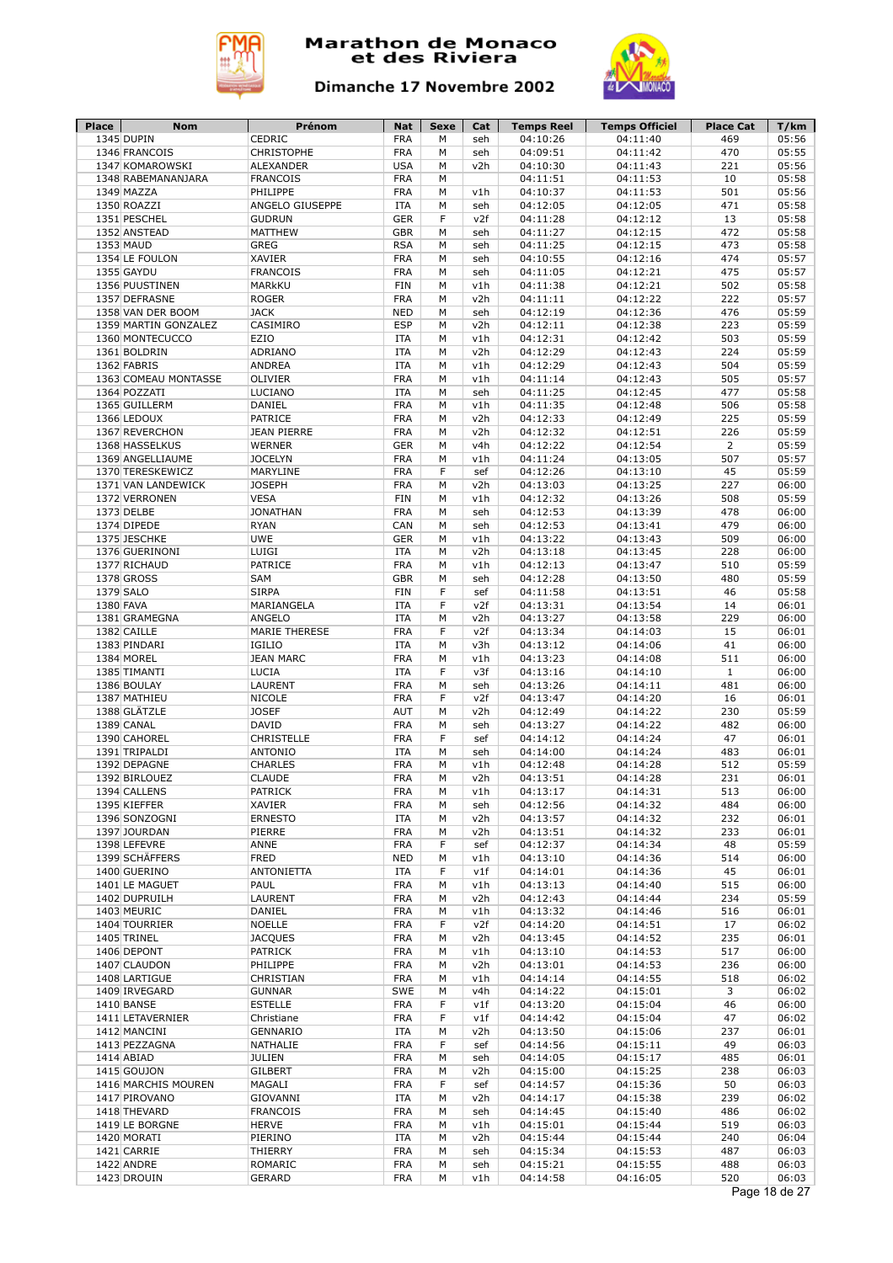



| 1345 DUPIN<br>CEDRIC<br><b>FRA</b><br>04:10:26<br>04:11:40<br>469<br>М<br>seh<br>1346 FRANCOIS<br><b>CHRISTOPHE</b><br><b>FRA</b><br>04:09:51<br>04:11:42<br>470<br>05:55<br>М<br>seh<br><b>USA</b><br>05:56<br>1347 KOMAROWSKI<br><b>ALEXANDER</b><br>v2h<br>04:10:30<br>04:11:43<br>221<br>М<br><b>FRA</b><br>05:58<br>1348 RABEMANANJARA<br><b>FRANCOIS</b><br>04:11:51<br>04:11:53<br>10<br>м<br>PHILIPPE<br><b>FRA</b><br>04:11:53<br>501<br>05:56<br>1349 MAZZA<br>04:10:37<br>М<br>v1h<br><b>ITA</b><br>04:12:05<br>471<br>05:58<br>1350 ROAZZI<br>ANGELO GIUSEPPE<br>M<br>04:12:05<br>seh<br><b>GER</b><br>F<br>04:11:28<br>04:12:12<br>13<br>05:58<br>1351 PESCHEL<br><b>GUDRUN</b><br>v2f<br><b>MATTHEW</b><br>04:12:15<br>472<br>05:58<br>1352 ANSTEAD<br><b>GBR</b><br>М<br>04:11:27<br>seh<br><b>RSA</b><br>04:12:15<br>473<br>05:58<br>1353 MAUD<br><b>GREG</b><br>M<br>04:11:25<br>seh<br><b>XAVIER</b><br><b>FRA</b><br>04:12:16<br>474<br>05:57<br>1354 LE FOULON<br>M<br>04:10:55<br>seh<br>1355 GAYDU<br><b>FRANCOIS</b><br><b>FRA</b><br>04:11:05<br>04:12:21<br>475<br>05:57<br>M<br>seh<br>1356 PUUSTINEN<br>MARKKU<br><b>FIN</b><br>М<br>v1h<br>04:11:38<br>04:12:21<br>502<br>05:58<br><b>FRA</b><br>222<br>05:57<br>1357 DEFRASNE<br><b>ROGER</b><br>М<br>v2h<br>04:11:11<br>04:12:22<br><b>JACK</b><br><b>NED</b><br>04:12:19<br>04:12:36<br>476<br>05:59<br>1358 VAN DER BOOM<br>М<br>seh<br>CASIMIRO<br><b>ESP</b><br>05:59<br>1359 MARTIN GONZALEZ<br>M<br>v2h<br>04:12:11<br>04:12:38<br>223<br>EZIO<br>503<br>05:59<br>1360 MONTECUCCO<br><b>ITA</b><br>М<br>v1h<br>04:12:31<br>04:12:42<br>ADRIANO<br><b>ITA</b><br>04:12:29<br>04:12:43<br>224<br>05:59<br>1361 BOLDRIN<br>M<br>v2h<br>1362 FABRIS<br><b>ITA</b><br>04:12:29<br>04:12:43<br>504<br>05:59<br>ANDREA<br>М<br>v1h<br><b>FRA</b><br>04:11:14<br>04:12:43<br>505<br>05:57<br>1363 COMEAU MONTASSE<br>OLIVIER<br>M<br>v1h<br>LUCIANO<br><b>ITA</b><br>04:11:25<br>04:12:45<br>477<br>05:58<br>1364 POZZATI<br>М<br>seh<br><b>FRA</b><br>04:12:48<br>506<br>05:58<br>1365 GUILLERM<br>DANIEL<br>M<br>v1h<br>04:11:35<br>PATRICE<br><b>FRA</b><br>04:12:33<br>04:12:49<br>225<br>05:59<br>1366 LEDOUX<br>M<br>v2h<br>1367 REVERCHON<br><b>JEAN PIERRE</b><br><b>FRA</b><br>04:12:32<br>04:12:51<br>226<br>05:59<br>M<br>v2h<br><b>WERNER</b><br><b>GER</b><br>04:12:22<br>04:12:54<br>$\overline{2}$<br>05:59<br>1368 HASSELKUS<br>M<br>v4h<br><b>JOCELYN</b><br><b>FRA</b><br>507<br>05:57<br>1369 ANGELLIAUME<br>М<br>v1h<br>04:11:24<br>04:13:05<br><b>FRA</b><br>45<br>05:59<br>1370 TERESKEWICZ<br>MARYLINE<br>F<br>04:12:26<br>04:13:10<br>sef<br><b>JOSEPH</b><br><b>FRA</b><br>04:13:03<br>04:13:25<br>227<br>06:00<br>1371 VAN LANDEWICK<br>М<br>v2h<br><b>VESA</b><br>508<br>1372 VERRONEN<br><b>FIN</b><br>04:12:32<br>04:13:26<br>05:59<br>м<br>v1h<br><b>FRA</b><br>04:12:53<br>478<br>06:00<br>1373 DELBE<br><b>JONATHAN</b><br>04:13:39<br>М<br>seh<br>CAN<br>04:12:53<br>04:13:41<br>479<br>06:00<br>1374 DIPEDE<br><b>RYAN</b><br>М<br>seh<br><b>UWE</b><br>509<br>06:00<br>1375 JESCHKE<br><b>GER</b><br>04:13:22<br>04:13:43<br>М<br>v1h<br>LUIGI<br><b>ITA</b><br>228<br>06:00<br>1376 GUERINONI<br>v2h<br>04:13:18<br>04:13:45<br>M<br>PATRICE<br><b>FRA</b><br>04:12:13<br>04:13:47<br>510<br>05:59<br>1377 RICHAUD<br>M<br>v1h<br><b>1378 GROSS</b><br>SAM<br><b>GBR</b><br>04:12:28<br>04:13:50<br>05:59<br>M<br>480<br>seh<br>1379 SALO<br><b>SIRPA</b><br>F<br>05:58<br><b>FIN</b><br>04:11:58<br>04:13:51<br>46<br>sef<br>1380 FAVA<br>MARIANGELA<br>F<br>04:13:31<br>04:13:54<br>06:01<br><b>ITA</b><br>v2f<br>14<br>04:13:27<br>04:13:58<br>229<br>1381 GRAMEGNA<br>ANGELO<br><b>ITA</b><br>М<br>v2h<br>06:00<br>1382 CAILLE<br><b>FRA</b><br>F<br>04:13:34<br>04:14:03<br>15<br><b>MARIE THERESE</b><br>v2f<br>06:01<br>1383 PINDARI<br>IGILIO<br>04:13:12<br>41<br><b>ITA</b><br>М<br>v3h<br>04:14:06<br>06:00<br><b>JEAN MARC</b><br><b>FRA</b><br>06:00<br>1384 MOREL<br>M<br>v1h<br>04:13:23<br>04:14:08<br>511<br>F<br>1385 TIMANTI<br><b>LUCIA</b><br><b>ITA</b><br>v3f<br>04:13:16<br>04:14:10<br>$\mathbf{1}$<br>06:00<br>1386 BOULAY<br>LAURENT<br><b>FRA</b><br>04:13:26<br>06:00<br>M<br>seh<br>04:14:11<br>481<br><b>NICOLE</b><br><b>FRA</b><br>F<br>04:13:47<br>06:01<br>1387 MATHIEU<br>v2f<br>04:14:20<br>16<br>1388 GLÄTZLE<br>AUT<br>04:12:49<br>230<br>05:59<br><b>JOSEF</b><br>M<br>v2h<br>04:14:22<br><b>DAVID</b><br><b>FRA</b><br>04:13:27<br>482<br>06:00<br>1389 CANAL<br>M<br>seh<br>04:14:22<br>1390 CAHOREL<br>CHRISTELLE<br><b>FRA</b><br>F<br>47<br>06:01<br>04:14:12<br>04:14:24<br>sef<br>06:01<br>1391 TRIPALDI<br><b>ANTONIO</b><br><b>ITA</b><br>M<br>04:14:00<br>04:14:24<br>483<br>seh<br>1392 DEPAGNE<br><b>CHARLES</b><br><b>FRA</b><br>04:12:48<br>512<br>05:59<br>M<br>v1h<br>04:14:28<br><b>CLAUDE</b><br><b>FRA</b><br>04:13:51<br>04:14:28<br>231<br>06:01<br>1392 BIRLOUEZ<br>M<br>v2h<br><b>PATRICK</b><br><b>FRA</b><br>513<br>1394 CALLENS<br>М<br>v1h<br>04:13:17<br>04:14:31<br>06:00<br>1395 KIEFFER<br>XAVIER<br><b>FRA</b><br>04:12:56<br>04:14:32<br>484<br>06:00<br>М<br>seh<br>1396 SONZOGNI<br>232<br><b>ERNESTO</b><br>ITA<br>v2h<br>04:13:57<br>04:14:32<br>06:01<br>м<br><b>FRA</b><br>1397 JOURDAN<br>PIERRE<br>v2h<br>04:13:51<br>04:14:32<br>233<br>06:01<br>м<br>F<br>1398 LEFEVRE<br>ANNE<br><b>FRA</b><br>04:12:37<br>04:14:34<br>48<br>05:59<br>sef<br>1399 SCHÄFFERS<br><b>FRED</b><br><b>NED</b><br>04:13:10<br>04:14:36<br>514<br>06:00<br>М<br>v1h<br>1400 GUERINO<br><b>ANTONIETTA</b><br>ITA<br>F<br>v1f<br>04:14:01<br>04:14:36<br>45<br>06:01<br><b>FRA</b><br>1401 LE MAGUET<br>PAUL<br>v1h<br>04:13:13<br>04:14:40<br>515<br>06:00<br>М<br><b>FRA</b><br>05:59<br>1402 DUPRUILH<br>LAURENT<br>v2h<br>04:12:43<br>04:14:44<br>234<br>М<br>DANIEL<br><b>FRA</b><br>04:13:32<br>04:14:46<br>516<br>1403 MEURIC<br>v1h<br>06:01<br>М<br><b>NOELLE</b><br>F<br>1404 TOURRIER<br><b>FRA</b><br>v2f<br>04:14:20<br>04:14:51<br>17<br>06:02<br><b>FRA</b><br>235<br>06:01<br>1405 TRINEL<br><b>JACQUES</b><br>M<br>v2h<br>04:13:45<br>04:14:52<br>1406 DEPONT<br><b>PATRICK</b><br><b>FRA</b><br>517<br>06:00<br>М<br>v1h<br>04:13:10<br>04:14:53<br>PHILIPPE<br>1407 CLAUDON<br>FRA<br>v2h<br>04:13:01<br>04:14:53<br>236<br>06:00<br>м<br><b>FRA</b><br>1408 LARTIGUE<br>CHRISTIAN<br>М<br>v1h<br>04:14:14<br>04:14:55<br>518<br>06:02<br>SWE<br>1409 IRVEGARD<br><b>GUNNAR</b><br>М<br>v4h<br>04:14:22<br>04:15:01<br>3<br>06:02<br>1410 BANSE<br><b>ESTELLE</b><br>FRA<br>F<br>v1f<br>04:13:20<br>04:15:04<br>46<br>06:00<br><b>FRA</b><br>F<br>47<br>1411 LETAVERNIER<br>Christiane<br>v1f<br>04:14:42<br>04:15:04<br>06:02<br>237<br>1412 MANCINI<br>GENNARIO<br><b>ITA</b><br>М<br>v2h<br>04:13:50<br>04:15:06<br>06:01<br><b>FRA</b><br>F<br>1413 PEZZAGNA<br>NATHALIE<br>sef<br>04:14:56<br>04:15:11<br>49<br>06:03<br><b>FRA</b><br>1414 ABIAD<br><b>JULIEN</b><br>М<br>seh<br>04:14:05<br>04:15:17<br>485<br>06:01<br><b>FRA</b><br>06:03<br>1415 GOUJON<br><b>GILBERT</b><br>M<br>v2h<br>04:15:00<br>04:15:25<br>238<br><b>FRA</b><br>F<br>1416 MARCHIS MOUREN<br>MAGALI<br>sef<br>04:14:57<br>04:15:36<br>50<br>06:03<br>239<br>1417 PIROVANO<br>GIOVANNI<br><b>ITA</b><br>М<br>v2h<br>04:14:17<br>04:15:38<br>06:02<br><b>FRANCOIS</b><br><b>FRA</b><br>04:14:45<br>04:15:40<br>486<br>06:02<br>1418 THEVARD<br>М<br>seh<br><b>HERVE</b><br><b>FRA</b><br>04:15:01<br>04:15:44<br>519<br>06:03<br>1419 LE BORGNE<br>М<br>v1h<br>1420 MORATI<br>PIERINO<br>ITA<br>v2h<br>04:15:44<br>04:15:44<br>240<br>06:04<br>М<br>1421 CARRIE<br>THIERRY<br><b>FRA</b><br>М<br>04:15:34<br>04:15:53<br>487<br>06:03<br>seh<br>1422 ANDRE<br>ROMARIC<br>04:15:55<br>488<br>FRA<br>04:15:21<br>06:03<br>М<br>seh<br>1423 DROUIN<br>GERARD<br>FRA<br>04:14:58<br>04:16:05<br>520<br>06:03<br>м<br>v1h<br>Page 18 de 27 | Place | Nom | Prénom | Nat | Sexe | Cat | <b>Temps Reel</b> | <b>Temps Officiel</b> | <b>Place Cat</b> | T/km  |
|------------------------------------------------------------------------------------------------------------------------------------------------------------------------------------------------------------------------------------------------------------------------------------------------------------------------------------------------------------------------------------------------------------------------------------------------------------------------------------------------------------------------------------------------------------------------------------------------------------------------------------------------------------------------------------------------------------------------------------------------------------------------------------------------------------------------------------------------------------------------------------------------------------------------------------------------------------------------------------------------------------------------------------------------------------------------------------------------------------------------------------------------------------------------------------------------------------------------------------------------------------------------------------------------------------------------------------------------------------------------------------------------------------------------------------------------------------------------------------------------------------------------------------------------------------------------------------------------------------------------------------------------------------------------------------------------------------------------------------------------------------------------------------------------------------------------------------------------------------------------------------------------------------------------------------------------------------------------------------------------------------------------------------------------------------------------------------------------------------------------------------------------------------------------------------------------------------------------------------------------------------------------------------------------------------------------------------------------------------------------------------------------------------------------------------------------------------------------------------------------------------------------------------------------------------------------------------------------------------------------------------------------------------------------------------------------------------------------------------------------------------------------------------------------------------------------------------------------------------------------------------------------------------------------------------------------------------------------------------------------------------------------------------------------------------------------------------------------------------------------------------------------------------------------------------------------------------------------------------------------------------------------------------------------------------------------------------------------------------------------------------------------------------------------------------------------------------------------------------------------------------------------------------------------------------------------------------------------------------------------------------------------------------------------------------------------------------------------------------------------------------------------------------------------------------------------------------------------------------------------------------------------------------------------------------------------------------------------------------------------------------------------------------------------------------------------------------------------------------------------------------------------------------------------------------------------------------------------------------------------------------------------------------------------------------------------------------------------------------------------------------------------------------------------------------------------------------------------------------------------------------------------------------------------------------------------------------------------------------------------------------------------------------------------------------------------------------------------------------------------------------------------------------------------------------------------------------------------------------------------------------------------------------------------------------------------------------------------------------------------------------------------------------------------------------------------------------------------------------------------------------------------------------------------------------------------------------------------------------------------------------------------------------------------------------------------------------------------------------------------------------------------------------------------------------------------------------------------------------------------------------------------------------------------------------------------------------------------------------------------------------------------------------------------------------------------------------------------------------------------------------------------------------------------------------------------------------------------------------------------------------------------------------------------------------------------------------------------------------------------------------------------------------------------------------------------------------------------------------------------------------------------------------------------------------------------------------------------------------------------------------------------------------------------------------------------------------------------------------------------------------------------------------------------------------------------------------------------------------------------------------------------------------------------------------------------------------------------------------------------------------------------------------------------------------------------------------------------------------------------------------------------------------------------------------------------------------------------------------------------------------------------------------------------------------------------------------------------------------------------------------------------------------------------------------------------------------------------------------------------------------------------------------------------------------------------------------------------------------------------------------------------------------------------------------------------------------------------------------------------------------------------------------------------------------------------------------------------------------------------------------------------------------------------------------------------------------------------------------------------------------------------------------------------------------------------------------------------------------------------------------------------------------------------------------------------------------------------------------------------------------------------------------------|-------|-----|--------|-----|------|-----|-------------------|-----------------------|------------------|-------|
|                                                                                                                                                                                                                                                                                                                                                                                                                                                                                                                                                                                                                                                                                                                                                                                                                                                                                                                                                                                                                                                                                                                                                                                                                                                                                                                                                                                                                                                                                                                                                                                                                                                                                                                                                                                                                                                                                                                                                                                                                                                                                                                                                                                                                                                                                                                                                                                                                                                                                                                                                                                                                                                                                                                                                                                                                                                                                                                                                                                                                                                                                                                                                                                                                                                                                                                                                                                                                                                                                                                                                                                                                                                                                                                                                                                                                                                                                                                                                                                                                                                                                                                                                                                                                                                                                                                                                                                                                                                                                                                                                                                                                                                                                                                                                                                                                                                                                                                                                                                                                                                                                                                                                                                                                                                                                                                                                                                                                                                                                                                                                                                                                                                                                                                                                                                                                                                                                                                                                                                                                                                                                                                                                                                                                                                                                                                                                                                                                                                                                                                                                                                                                                                                                                                                                                                                                                                                                                                                                                                                                                                                                                                                                                                                                                                                                                                                                                                                                                                                                                                                                                                                                                                                                                                                                                                                                                                                                                                  |       |     |        |     |      |     |                   |                       |                  | 05:56 |
|                                                                                                                                                                                                                                                                                                                                                                                                                                                                                                                                                                                                                                                                                                                                                                                                                                                                                                                                                                                                                                                                                                                                                                                                                                                                                                                                                                                                                                                                                                                                                                                                                                                                                                                                                                                                                                                                                                                                                                                                                                                                                                                                                                                                                                                                                                                                                                                                                                                                                                                                                                                                                                                                                                                                                                                                                                                                                                                                                                                                                                                                                                                                                                                                                                                                                                                                                                                                                                                                                                                                                                                                                                                                                                                                                                                                                                                                                                                                                                                                                                                                                                                                                                                                                                                                                                                                                                                                                                                                                                                                                                                                                                                                                                                                                                                                                                                                                                                                                                                                                                                                                                                                                                                                                                                                                                                                                                                                                                                                                                                                                                                                                                                                                                                                                                                                                                                                                                                                                                                                                                                                                                                                                                                                                                                                                                                                                                                                                                                                                                                                                                                                                                                                                                                                                                                                                                                                                                                                                                                                                                                                                                                                                                                                                                                                                                                                                                                                                                                                                                                                                                                                                                                                                                                                                                                                                                                                                                                  |       |     |        |     |      |     |                   |                       |                  |       |
|                                                                                                                                                                                                                                                                                                                                                                                                                                                                                                                                                                                                                                                                                                                                                                                                                                                                                                                                                                                                                                                                                                                                                                                                                                                                                                                                                                                                                                                                                                                                                                                                                                                                                                                                                                                                                                                                                                                                                                                                                                                                                                                                                                                                                                                                                                                                                                                                                                                                                                                                                                                                                                                                                                                                                                                                                                                                                                                                                                                                                                                                                                                                                                                                                                                                                                                                                                                                                                                                                                                                                                                                                                                                                                                                                                                                                                                                                                                                                                                                                                                                                                                                                                                                                                                                                                                                                                                                                                                                                                                                                                                                                                                                                                                                                                                                                                                                                                                                                                                                                                                                                                                                                                                                                                                                                                                                                                                                                                                                                                                                                                                                                                                                                                                                                                                                                                                                                                                                                                                                                                                                                                                                                                                                                                                                                                                                                                                                                                                                                                                                                                                                                                                                                                                                                                                                                                                                                                                                                                                                                                                                                                                                                                                                                                                                                                                                                                                                                                                                                                                                                                                                                                                                                                                                                                                                                                                                                                                  |       |     |        |     |      |     |                   |                       |                  |       |
|                                                                                                                                                                                                                                                                                                                                                                                                                                                                                                                                                                                                                                                                                                                                                                                                                                                                                                                                                                                                                                                                                                                                                                                                                                                                                                                                                                                                                                                                                                                                                                                                                                                                                                                                                                                                                                                                                                                                                                                                                                                                                                                                                                                                                                                                                                                                                                                                                                                                                                                                                                                                                                                                                                                                                                                                                                                                                                                                                                                                                                                                                                                                                                                                                                                                                                                                                                                                                                                                                                                                                                                                                                                                                                                                                                                                                                                                                                                                                                                                                                                                                                                                                                                                                                                                                                                                                                                                                                                                                                                                                                                                                                                                                                                                                                                                                                                                                                                                                                                                                                                                                                                                                                                                                                                                                                                                                                                                                                                                                                                                                                                                                                                                                                                                                                                                                                                                                                                                                                                                                                                                                                                                                                                                                                                                                                                                                                                                                                                                                                                                                                                                                                                                                                                                                                                                                                                                                                                                                                                                                                                                                                                                                                                                                                                                                                                                                                                                                                                                                                                                                                                                                                                                                                                                                                                                                                                                                                                  |       |     |        |     |      |     |                   |                       |                  |       |
|                                                                                                                                                                                                                                                                                                                                                                                                                                                                                                                                                                                                                                                                                                                                                                                                                                                                                                                                                                                                                                                                                                                                                                                                                                                                                                                                                                                                                                                                                                                                                                                                                                                                                                                                                                                                                                                                                                                                                                                                                                                                                                                                                                                                                                                                                                                                                                                                                                                                                                                                                                                                                                                                                                                                                                                                                                                                                                                                                                                                                                                                                                                                                                                                                                                                                                                                                                                                                                                                                                                                                                                                                                                                                                                                                                                                                                                                                                                                                                                                                                                                                                                                                                                                                                                                                                                                                                                                                                                                                                                                                                                                                                                                                                                                                                                                                                                                                                                                                                                                                                                                                                                                                                                                                                                                                                                                                                                                                                                                                                                                                                                                                                                                                                                                                                                                                                                                                                                                                                                                                                                                                                                                                                                                                                                                                                                                                                                                                                                                                                                                                                                                                                                                                                                                                                                                                                                                                                                                                                                                                                                                                                                                                                                                                                                                                                                                                                                                                                                                                                                                                                                                                                                                                                                                                                                                                                                                                                                  |       |     |        |     |      |     |                   |                       |                  |       |
|                                                                                                                                                                                                                                                                                                                                                                                                                                                                                                                                                                                                                                                                                                                                                                                                                                                                                                                                                                                                                                                                                                                                                                                                                                                                                                                                                                                                                                                                                                                                                                                                                                                                                                                                                                                                                                                                                                                                                                                                                                                                                                                                                                                                                                                                                                                                                                                                                                                                                                                                                                                                                                                                                                                                                                                                                                                                                                                                                                                                                                                                                                                                                                                                                                                                                                                                                                                                                                                                                                                                                                                                                                                                                                                                                                                                                                                                                                                                                                                                                                                                                                                                                                                                                                                                                                                                                                                                                                                                                                                                                                                                                                                                                                                                                                                                                                                                                                                                                                                                                                                                                                                                                                                                                                                                                                                                                                                                                                                                                                                                                                                                                                                                                                                                                                                                                                                                                                                                                                                                                                                                                                                                                                                                                                                                                                                                                                                                                                                                                                                                                                                                                                                                                                                                                                                                                                                                                                                                                                                                                                                                                                                                                                                                                                                                                                                                                                                                                                                                                                                                                                                                                                                                                                                                                                                                                                                                                                                  |       |     |        |     |      |     |                   |                       |                  |       |
|                                                                                                                                                                                                                                                                                                                                                                                                                                                                                                                                                                                                                                                                                                                                                                                                                                                                                                                                                                                                                                                                                                                                                                                                                                                                                                                                                                                                                                                                                                                                                                                                                                                                                                                                                                                                                                                                                                                                                                                                                                                                                                                                                                                                                                                                                                                                                                                                                                                                                                                                                                                                                                                                                                                                                                                                                                                                                                                                                                                                                                                                                                                                                                                                                                                                                                                                                                                                                                                                                                                                                                                                                                                                                                                                                                                                                                                                                                                                                                                                                                                                                                                                                                                                                                                                                                                                                                                                                                                                                                                                                                                                                                                                                                                                                                                                                                                                                                                                                                                                                                                                                                                                                                                                                                                                                                                                                                                                                                                                                                                                                                                                                                                                                                                                                                                                                                                                                                                                                                                                                                                                                                                                                                                                                                                                                                                                                                                                                                                                                                                                                                                                                                                                                                                                                                                                                                                                                                                                                                                                                                                                                                                                                                                                                                                                                                                                                                                                                                                                                                                                                                                                                                                                                                                                                                                                                                                                                                                  |       |     |        |     |      |     |                   |                       |                  |       |
|                                                                                                                                                                                                                                                                                                                                                                                                                                                                                                                                                                                                                                                                                                                                                                                                                                                                                                                                                                                                                                                                                                                                                                                                                                                                                                                                                                                                                                                                                                                                                                                                                                                                                                                                                                                                                                                                                                                                                                                                                                                                                                                                                                                                                                                                                                                                                                                                                                                                                                                                                                                                                                                                                                                                                                                                                                                                                                                                                                                                                                                                                                                                                                                                                                                                                                                                                                                                                                                                                                                                                                                                                                                                                                                                                                                                                                                                                                                                                                                                                                                                                                                                                                                                                                                                                                                                                                                                                                                                                                                                                                                                                                                                                                                                                                                                                                                                                                                                                                                                                                                                                                                                                                                                                                                                                                                                                                                                                                                                                                                                                                                                                                                                                                                                                                                                                                                                                                                                                                                                                                                                                                                                                                                                                                                                                                                                                                                                                                                                                                                                                                                                                                                                                                                                                                                                                                                                                                                                                                                                                                                                                                                                                                                                                                                                                                                                                                                                                                                                                                                                                                                                                                                                                                                                                                                                                                                                                                                  |       |     |        |     |      |     |                   |                       |                  |       |
|                                                                                                                                                                                                                                                                                                                                                                                                                                                                                                                                                                                                                                                                                                                                                                                                                                                                                                                                                                                                                                                                                                                                                                                                                                                                                                                                                                                                                                                                                                                                                                                                                                                                                                                                                                                                                                                                                                                                                                                                                                                                                                                                                                                                                                                                                                                                                                                                                                                                                                                                                                                                                                                                                                                                                                                                                                                                                                                                                                                                                                                                                                                                                                                                                                                                                                                                                                                                                                                                                                                                                                                                                                                                                                                                                                                                                                                                                                                                                                                                                                                                                                                                                                                                                                                                                                                                                                                                                                                                                                                                                                                                                                                                                                                                                                                                                                                                                                                                                                                                                                                                                                                                                                                                                                                                                                                                                                                                                                                                                                                                                                                                                                                                                                                                                                                                                                                                                                                                                                                                                                                                                                                                                                                                                                                                                                                                                                                                                                                                                                                                                                                                                                                                                                                                                                                                                                                                                                                                                                                                                                                                                                                                                                                                                                                                                                                                                                                                                                                                                                                                                                                                                                                                                                                                                                                                                                                                                                                  |       |     |        |     |      |     |                   |                       |                  |       |
|                                                                                                                                                                                                                                                                                                                                                                                                                                                                                                                                                                                                                                                                                                                                                                                                                                                                                                                                                                                                                                                                                                                                                                                                                                                                                                                                                                                                                                                                                                                                                                                                                                                                                                                                                                                                                                                                                                                                                                                                                                                                                                                                                                                                                                                                                                                                                                                                                                                                                                                                                                                                                                                                                                                                                                                                                                                                                                                                                                                                                                                                                                                                                                                                                                                                                                                                                                                                                                                                                                                                                                                                                                                                                                                                                                                                                                                                                                                                                                                                                                                                                                                                                                                                                                                                                                                                                                                                                                                                                                                                                                                                                                                                                                                                                                                                                                                                                                                                                                                                                                                                                                                                                                                                                                                                                                                                                                                                                                                                                                                                                                                                                                                                                                                                                                                                                                                                                                                                                                                                                                                                                                                                                                                                                                                                                                                                                                                                                                                                                                                                                                                                                                                                                                                                                                                                                                                                                                                                                                                                                                                                                                                                                                                                                                                                                                                                                                                                                                                                                                                                                                                                                                                                                                                                                                                                                                                                                                                  |       |     |        |     |      |     |                   |                       |                  |       |
|                                                                                                                                                                                                                                                                                                                                                                                                                                                                                                                                                                                                                                                                                                                                                                                                                                                                                                                                                                                                                                                                                                                                                                                                                                                                                                                                                                                                                                                                                                                                                                                                                                                                                                                                                                                                                                                                                                                                                                                                                                                                                                                                                                                                                                                                                                                                                                                                                                                                                                                                                                                                                                                                                                                                                                                                                                                                                                                                                                                                                                                                                                                                                                                                                                                                                                                                                                                                                                                                                                                                                                                                                                                                                                                                                                                                                                                                                                                                                                                                                                                                                                                                                                                                                                                                                                                                                                                                                                                                                                                                                                                                                                                                                                                                                                                                                                                                                                                                                                                                                                                                                                                                                                                                                                                                                                                                                                                                                                                                                                                                                                                                                                                                                                                                                                                                                                                                                                                                                                                                                                                                                                                                                                                                                                                                                                                                                                                                                                                                                                                                                                                                                                                                                                                                                                                                                                                                                                                                                                                                                                                                                                                                                                                                                                                                                                                                                                                                                                                                                                                                                                                                                                                                                                                                                                                                                                                                                                                  |       |     |        |     |      |     |                   |                       |                  |       |
|                                                                                                                                                                                                                                                                                                                                                                                                                                                                                                                                                                                                                                                                                                                                                                                                                                                                                                                                                                                                                                                                                                                                                                                                                                                                                                                                                                                                                                                                                                                                                                                                                                                                                                                                                                                                                                                                                                                                                                                                                                                                                                                                                                                                                                                                                                                                                                                                                                                                                                                                                                                                                                                                                                                                                                                                                                                                                                                                                                                                                                                                                                                                                                                                                                                                                                                                                                                                                                                                                                                                                                                                                                                                                                                                                                                                                                                                                                                                                                                                                                                                                                                                                                                                                                                                                                                                                                                                                                                                                                                                                                                                                                                                                                                                                                                                                                                                                                                                                                                                                                                                                                                                                                                                                                                                                                                                                                                                                                                                                                                                                                                                                                                                                                                                                                                                                                                                                                                                                                                                                                                                                                                                                                                                                                                                                                                                                                                                                                                                                                                                                                                                                                                                                                                                                                                                                                                                                                                                                                                                                                                                                                                                                                                                                                                                                                                                                                                                                                                                                                                                                                                                                                                                                                                                                                                                                                                                                                                  |       |     |        |     |      |     |                   |                       |                  |       |
|                                                                                                                                                                                                                                                                                                                                                                                                                                                                                                                                                                                                                                                                                                                                                                                                                                                                                                                                                                                                                                                                                                                                                                                                                                                                                                                                                                                                                                                                                                                                                                                                                                                                                                                                                                                                                                                                                                                                                                                                                                                                                                                                                                                                                                                                                                                                                                                                                                                                                                                                                                                                                                                                                                                                                                                                                                                                                                                                                                                                                                                                                                                                                                                                                                                                                                                                                                                                                                                                                                                                                                                                                                                                                                                                                                                                                                                                                                                                                                                                                                                                                                                                                                                                                                                                                                                                                                                                                                                                                                                                                                                                                                                                                                                                                                                                                                                                                                                                                                                                                                                                                                                                                                                                                                                                                                                                                                                                                                                                                                                                                                                                                                                                                                                                                                                                                                                                                                                                                                                                                                                                                                                                                                                                                                                                                                                                                                                                                                                                                                                                                                                                                                                                                                                                                                                                                                                                                                                                                                                                                                                                                                                                                                                                                                                                                                                                                                                                                                                                                                                                                                                                                                                                                                                                                                                                                                                                                                                  |       |     |        |     |      |     |                   |                       |                  |       |
|                                                                                                                                                                                                                                                                                                                                                                                                                                                                                                                                                                                                                                                                                                                                                                                                                                                                                                                                                                                                                                                                                                                                                                                                                                                                                                                                                                                                                                                                                                                                                                                                                                                                                                                                                                                                                                                                                                                                                                                                                                                                                                                                                                                                                                                                                                                                                                                                                                                                                                                                                                                                                                                                                                                                                                                                                                                                                                                                                                                                                                                                                                                                                                                                                                                                                                                                                                                                                                                                                                                                                                                                                                                                                                                                                                                                                                                                                                                                                                                                                                                                                                                                                                                                                                                                                                                                                                                                                                                                                                                                                                                                                                                                                                                                                                                                                                                                                                                                                                                                                                                                                                                                                                                                                                                                                                                                                                                                                                                                                                                                                                                                                                                                                                                                                                                                                                                                                                                                                                                                                                                                                                                                                                                                                                                                                                                                                                                                                                                                                                                                                                                                                                                                                                                                                                                                                                                                                                                                                                                                                                                                                                                                                                                                                                                                                                                                                                                                                                                                                                                                                                                                                                                                                                                                                                                                                                                                                                                  |       |     |        |     |      |     |                   |                       |                  |       |
|                                                                                                                                                                                                                                                                                                                                                                                                                                                                                                                                                                                                                                                                                                                                                                                                                                                                                                                                                                                                                                                                                                                                                                                                                                                                                                                                                                                                                                                                                                                                                                                                                                                                                                                                                                                                                                                                                                                                                                                                                                                                                                                                                                                                                                                                                                                                                                                                                                                                                                                                                                                                                                                                                                                                                                                                                                                                                                                                                                                                                                                                                                                                                                                                                                                                                                                                                                                                                                                                                                                                                                                                                                                                                                                                                                                                                                                                                                                                                                                                                                                                                                                                                                                                                                                                                                                                                                                                                                                                                                                                                                                                                                                                                                                                                                                                                                                                                                                                                                                                                                                                                                                                                                                                                                                                                                                                                                                                                                                                                                                                                                                                                                                                                                                                                                                                                                                                                                                                                                                                                                                                                                                                                                                                                                                                                                                                                                                                                                                                                                                                                                                                                                                                                                                                                                                                                                                                                                                                                                                                                                                                                                                                                                                                                                                                                                                                                                                                                                                                                                                                                                                                                                                                                                                                                                                                                                                                                                                  |       |     |        |     |      |     |                   |                       |                  |       |
|                                                                                                                                                                                                                                                                                                                                                                                                                                                                                                                                                                                                                                                                                                                                                                                                                                                                                                                                                                                                                                                                                                                                                                                                                                                                                                                                                                                                                                                                                                                                                                                                                                                                                                                                                                                                                                                                                                                                                                                                                                                                                                                                                                                                                                                                                                                                                                                                                                                                                                                                                                                                                                                                                                                                                                                                                                                                                                                                                                                                                                                                                                                                                                                                                                                                                                                                                                                                                                                                                                                                                                                                                                                                                                                                                                                                                                                                                                                                                                                                                                                                                                                                                                                                                                                                                                                                                                                                                                                                                                                                                                                                                                                                                                                                                                                                                                                                                                                                                                                                                                                                                                                                                                                                                                                                                                                                                                                                                                                                                                                                                                                                                                                                                                                                                                                                                                                                                                                                                                                                                                                                                                                                                                                                                                                                                                                                                                                                                                                                                                                                                                                                                                                                                                                                                                                                                                                                                                                                                                                                                                                                                                                                                                                                                                                                                                                                                                                                                                                                                                                                                                                                                                                                                                                                                                                                                                                                                                                  |       |     |        |     |      |     |                   |                       |                  |       |
|                                                                                                                                                                                                                                                                                                                                                                                                                                                                                                                                                                                                                                                                                                                                                                                                                                                                                                                                                                                                                                                                                                                                                                                                                                                                                                                                                                                                                                                                                                                                                                                                                                                                                                                                                                                                                                                                                                                                                                                                                                                                                                                                                                                                                                                                                                                                                                                                                                                                                                                                                                                                                                                                                                                                                                                                                                                                                                                                                                                                                                                                                                                                                                                                                                                                                                                                                                                                                                                                                                                                                                                                                                                                                                                                                                                                                                                                                                                                                                                                                                                                                                                                                                                                                                                                                                                                                                                                                                                                                                                                                                                                                                                                                                                                                                                                                                                                                                                                                                                                                                                                                                                                                                                                                                                                                                                                                                                                                                                                                                                                                                                                                                                                                                                                                                                                                                                                                                                                                                                                                                                                                                                                                                                                                                                                                                                                                                                                                                                                                                                                                                                                                                                                                                                                                                                                                                                                                                                                                                                                                                                                                                                                                                                                                                                                                                                                                                                                                                                                                                                                                                                                                                                                                                                                                                                                                                                                                                                  |       |     |        |     |      |     |                   |                       |                  |       |
|                                                                                                                                                                                                                                                                                                                                                                                                                                                                                                                                                                                                                                                                                                                                                                                                                                                                                                                                                                                                                                                                                                                                                                                                                                                                                                                                                                                                                                                                                                                                                                                                                                                                                                                                                                                                                                                                                                                                                                                                                                                                                                                                                                                                                                                                                                                                                                                                                                                                                                                                                                                                                                                                                                                                                                                                                                                                                                                                                                                                                                                                                                                                                                                                                                                                                                                                                                                                                                                                                                                                                                                                                                                                                                                                                                                                                                                                                                                                                                                                                                                                                                                                                                                                                                                                                                                                                                                                                                                                                                                                                                                                                                                                                                                                                                                                                                                                                                                                                                                                                                                                                                                                                                                                                                                                                                                                                                                                                                                                                                                                                                                                                                                                                                                                                                                                                                                                                                                                                                                                                                                                                                                                                                                                                                                                                                                                                                                                                                                                                                                                                                                                                                                                                                                                                                                                                                                                                                                                                                                                                                                                                                                                                                                                                                                                                                                                                                                                                                                                                                                                                                                                                                                                                                                                                                                                                                                                                                                  |       |     |        |     |      |     |                   |                       |                  |       |
|                                                                                                                                                                                                                                                                                                                                                                                                                                                                                                                                                                                                                                                                                                                                                                                                                                                                                                                                                                                                                                                                                                                                                                                                                                                                                                                                                                                                                                                                                                                                                                                                                                                                                                                                                                                                                                                                                                                                                                                                                                                                                                                                                                                                                                                                                                                                                                                                                                                                                                                                                                                                                                                                                                                                                                                                                                                                                                                                                                                                                                                                                                                                                                                                                                                                                                                                                                                                                                                                                                                                                                                                                                                                                                                                                                                                                                                                                                                                                                                                                                                                                                                                                                                                                                                                                                                                                                                                                                                                                                                                                                                                                                                                                                                                                                                                                                                                                                                                                                                                                                                                                                                                                                                                                                                                                                                                                                                                                                                                                                                                                                                                                                                                                                                                                                                                                                                                                                                                                                                                                                                                                                                                                                                                                                                                                                                                                                                                                                                                                                                                                                                                                                                                                                                                                                                                                                                                                                                                                                                                                                                                                                                                                                                                                                                                                                                                                                                                                                                                                                                                                                                                                                                                                                                                                                                                                                                                                                                  |       |     |        |     |      |     |                   |                       |                  |       |
|                                                                                                                                                                                                                                                                                                                                                                                                                                                                                                                                                                                                                                                                                                                                                                                                                                                                                                                                                                                                                                                                                                                                                                                                                                                                                                                                                                                                                                                                                                                                                                                                                                                                                                                                                                                                                                                                                                                                                                                                                                                                                                                                                                                                                                                                                                                                                                                                                                                                                                                                                                                                                                                                                                                                                                                                                                                                                                                                                                                                                                                                                                                                                                                                                                                                                                                                                                                                                                                                                                                                                                                                                                                                                                                                                                                                                                                                                                                                                                                                                                                                                                                                                                                                                                                                                                                                                                                                                                                                                                                                                                                                                                                                                                                                                                                                                                                                                                                                                                                                                                                                                                                                                                                                                                                                                                                                                                                                                                                                                                                                                                                                                                                                                                                                                                                                                                                                                                                                                                                                                                                                                                                                                                                                                                                                                                                                                                                                                                                                                                                                                                                                                                                                                                                                                                                                                                                                                                                                                                                                                                                                                                                                                                                                                                                                                                                                                                                                                                                                                                                                                                                                                                                                                                                                                                                                                                                                                                                  |       |     |        |     |      |     |                   |                       |                  |       |
|                                                                                                                                                                                                                                                                                                                                                                                                                                                                                                                                                                                                                                                                                                                                                                                                                                                                                                                                                                                                                                                                                                                                                                                                                                                                                                                                                                                                                                                                                                                                                                                                                                                                                                                                                                                                                                                                                                                                                                                                                                                                                                                                                                                                                                                                                                                                                                                                                                                                                                                                                                                                                                                                                                                                                                                                                                                                                                                                                                                                                                                                                                                                                                                                                                                                                                                                                                                                                                                                                                                                                                                                                                                                                                                                                                                                                                                                                                                                                                                                                                                                                                                                                                                                                                                                                                                                                                                                                                                                                                                                                                                                                                                                                                                                                                                                                                                                                                                                                                                                                                                                                                                                                                                                                                                                                                                                                                                                                                                                                                                                                                                                                                                                                                                                                                                                                                                                                                                                                                                                                                                                                                                                                                                                                                                                                                                                                                                                                                                                                                                                                                                                                                                                                                                                                                                                                                                                                                                                                                                                                                                                                                                                                                                                                                                                                                                                                                                                                                                                                                                                                                                                                                                                                                                                                                                                                                                                                                                  |       |     |        |     |      |     |                   |                       |                  |       |
|                                                                                                                                                                                                                                                                                                                                                                                                                                                                                                                                                                                                                                                                                                                                                                                                                                                                                                                                                                                                                                                                                                                                                                                                                                                                                                                                                                                                                                                                                                                                                                                                                                                                                                                                                                                                                                                                                                                                                                                                                                                                                                                                                                                                                                                                                                                                                                                                                                                                                                                                                                                                                                                                                                                                                                                                                                                                                                                                                                                                                                                                                                                                                                                                                                                                                                                                                                                                                                                                                                                                                                                                                                                                                                                                                                                                                                                                                                                                                                                                                                                                                                                                                                                                                                                                                                                                                                                                                                                                                                                                                                                                                                                                                                                                                                                                                                                                                                                                                                                                                                                                                                                                                                                                                                                                                                                                                                                                                                                                                                                                                                                                                                                                                                                                                                                                                                                                                                                                                                                                                                                                                                                                                                                                                                                                                                                                                                                                                                                                                                                                                                                                                                                                                                                                                                                                                                                                                                                                                                                                                                                                                                                                                                                                                                                                                                                                                                                                                                                                                                                                                                                                                                                                                                                                                                                                                                                                                                                  |       |     |        |     |      |     |                   |                       |                  |       |
|                                                                                                                                                                                                                                                                                                                                                                                                                                                                                                                                                                                                                                                                                                                                                                                                                                                                                                                                                                                                                                                                                                                                                                                                                                                                                                                                                                                                                                                                                                                                                                                                                                                                                                                                                                                                                                                                                                                                                                                                                                                                                                                                                                                                                                                                                                                                                                                                                                                                                                                                                                                                                                                                                                                                                                                                                                                                                                                                                                                                                                                                                                                                                                                                                                                                                                                                                                                                                                                                                                                                                                                                                                                                                                                                                                                                                                                                                                                                                                                                                                                                                                                                                                                                                                                                                                                                                                                                                                                                                                                                                                                                                                                                                                                                                                                                                                                                                                                                                                                                                                                                                                                                                                                                                                                                                                                                                                                                                                                                                                                                                                                                                                                                                                                                                                                                                                                                                                                                                                                                                                                                                                                                                                                                                                                                                                                                                                                                                                                                                                                                                                                                                                                                                                                                                                                                                                                                                                                                                                                                                                                                                                                                                                                                                                                                                                                                                                                                                                                                                                                                                                                                                                                                                                                                                                                                                                                                                                                  |       |     |        |     |      |     |                   |                       |                  |       |
|                                                                                                                                                                                                                                                                                                                                                                                                                                                                                                                                                                                                                                                                                                                                                                                                                                                                                                                                                                                                                                                                                                                                                                                                                                                                                                                                                                                                                                                                                                                                                                                                                                                                                                                                                                                                                                                                                                                                                                                                                                                                                                                                                                                                                                                                                                                                                                                                                                                                                                                                                                                                                                                                                                                                                                                                                                                                                                                                                                                                                                                                                                                                                                                                                                                                                                                                                                                                                                                                                                                                                                                                                                                                                                                                                                                                                                                                                                                                                                                                                                                                                                                                                                                                                                                                                                                                                                                                                                                                                                                                                                                                                                                                                                                                                                                                                                                                                                                                                                                                                                                                                                                                                                                                                                                                                                                                                                                                                                                                                                                                                                                                                                                                                                                                                                                                                                                                                                                                                                                                                                                                                                                                                                                                                                                                                                                                                                                                                                                                                                                                                                                                                                                                                                                                                                                                                                                                                                                                                                                                                                                                                                                                                                                                                                                                                                                                                                                                                                                                                                                                                                                                                                                                                                                                                                                                                                                                                                                  |       |     |        |     |      |     |                   |                       |                  |       |
|                                                                                                                                                                                                                                                                                                                                                                                                                                                                                                                                                                                                                                                                                                                                                                                                                                                                                                                                                                                                                                                                                                                                                                                                                                                                                                                                                                                                                                                                                                                                                                                                                                                                                                                                                                                                                                                                                                                                                                                                                                                                                                                                                                                                                                                                                                                                                                                                                                                                                                                                                                                                                                                                                                                                                                                                                                                                                                                                                                                                                                                                                                                                                                                                                                                                                                                                                                                                                                                                                                                                                                                                                                                                                                                                                                                                                                                                                                                                                                                                                                                                                                                                                                                                                                                                                                                                                                                                                                                                                                                                                                                                                                                                                                                                                                                                                                                                                                                                                                                                                                                                                                                                                                                                                                                                                                                                                                                                                                                                                                                                                                                                                                                                                                                                                                                                                                                                                                                                                                                                                                                                                                                                                                                                                                                                                                                                                                                                                                                                                                                                                                                                                                                                                                                                                                                                                                                                                                                                                                                                                                                                                                                                                                                                                                                                                                                                                                                                                                                                                                                                                                                                                                                                                                                                                                                                                                                                                                                  |       |     |        |     |      |     |                   |                       |                  |       |
|                                                                                                                                                                                                                                                                                                                                                                                                                                                                                                                                                                                                                                                                                                                                                                                                                                                                                                                                                                                                                                                                                                                                                                                                                                                                                                                                                                                                                                                                                                                                                                                                                                                                                                                                                                                                                                                                                                                                                                                                                                                                                                                                                                                                                                                                                                                                                                                                                                                                                                                                                                                                                                                                                                                                                                                                                                                                                                                                                                                                                                                                                                                                                                                                                                                                                                                                                                                                                                                                                                                                                                                                                                                                                                                                                                                                                                                                                                                                                                                                                                                                                                                                                                                                                                                                                                                                                                                                                                                                                                                                                                                                                                                                                                                                                                                                                                                                                                                                                                                                                                                                                                                                                                                                                                                                                                                                                                                                                                                                                                                                                                                                                                                                                                                                                                                                                                                                                                                                                                                                                                                                                                                                                                                                                                                                                                                                                                                                                                                                                                                                                                                                                                                                                                                                                                                                                                                                                                                                                                                                                                                                                                                                                                                                                                                                                                                                                                                                                                                                                                                                                                                                                                                                                                                                                                                                                                                                                                                  |       |     |        |     |      |     |                   |                       |                  |       |
|                                                                                                                                                                                                                                                                                                                                                                                                                                                                                                                                                                                                                                                                                                                                                                                                                                                                                                                                                                                                                                                                                                                                                                                                                                                                                                                                                                                                                                                                                                                                                                                                                                                                                                                                                                                                                                                                                                                                                                                                                                                                                                                                                                                                                                                                                                                                                                                                                                                                                                                                                                                                                                                                                                                                                                                                                                                                                                                                                                                                                                                                                                                                                                                                                                                                                                                                                                                                                                                                                                                                                                                                                                                                                                                                                                                                                                                                                                                                                                                                                                                                                                                                                                                                                                                                                                                                                                                                                                                                                                                                                                                                                                                                                                                                                                                                                                                                                                                                                                                                                                                                                                                                                                                                                                                                                                                                                                                                                                                                                                                                                                                                                                                                                                                                                                                                                                                                                                                                                                                                                                                                                                                                                                                                                                                                                                                                                                                                                                                                                                                                                                                                                                                                                                                                                                                                                                                                                                                                                                                                                                                                                                                                                                                                                                                                                                                                                                                                                                                                                                                                                                                                                                                                                                                                                                                                                                                                                                                  |       |     |        |     |      |     |                   |                       |                  |       |
|                                                                                                                                                                                                                                                                                                                                                                                                                                                                                                                                                                                                                                                                                                                                                                                                                                                                                                                                                                                                                                                                                                                                                                                                                                                                                                                                                                                                                                                                                                                                                                                                                                                                                                                                                                                                                                                                                                                                                                                                                                                                                                                                                                                                                                                                                                                                                                                                                                                                                                                                                                                                                                                                                                                                                                                                                                                                                                                                                                                                                                                                                                                                                                                                                                                                                                                                                                                                                                                                                                                                                                                                                                                                                                                                                                                                                                                                                                                                                                                                                                                                                                                                                                                                                                                                                                                                                                                                                                                                                                                                                                                                                                                                                                                                                                                                                                                                                                                                                                                                                                                                                                                                                                                                                                                                                                                                                                                                                                                                                                                                                                                                                                                                                                                                                                                                                                                                                                                                                                                                                                                                                                                                                                                                                                                                                                                                                                                                                                                                                                                                                                                                                                                                                                                                                                                                                                                                                                                                                                                                                                                                                                                                                                                                                                                                                                                                                                                                                                                                                                                                                                                                                                                                                                                                                                                                                                                                                                                  |       |     |        |     |      |     |                   |                       |                  |       |
|                                                                                                                                                                                                                                                                                                                                                                                                                                                                                                                                                                                                                                                                                                                                                                                                                                                                                                                                                                                                                                                                                                                                                                                                                                                                                                                                                                                                                                                                                                                                                                                                                                                                                                                                                                                                                                                                                                                                                                                                                                                                                                                                                                                                                                                                                                                                                                                                                                                                                                                                                                                                                                                                                                                                                                                                                                                                                                                                                                                                                                                                                                                                                                                                                                                                                                                                                                                                                                                                                                                                                                                                                                                                                                                                                                                                                                                                                                                                                                                                                                                                                                                                                                                                                                                                                                                                                                                                                                                                                                                                                                                                                                                                                                                                                                                                                                                                                                                                                                                                                                                                                                                                                                                                                                                                                                                                                                                                                                                                                                                                                                                                                                                                                                                                                                                                                                                                                                                                                                                                                                                                                                                                                                                                                                                                                                                                                                                                                                                                                                                                                                                                                                                                                                                                                                                                                                                                                                                                                                                                                                                                                                                                                                                                                                                                                                                                                                                                                                                                                                                                                                                                                                                                                                                                                                                                                                                                                                                  |       |     |        |     |      |     |                   |                       |                  |       |
|                                                                                                                                                                                                                                                                                                                                                                                                                                                                                                                                                                                                                                                                                                                                                                                                                                                                                                                                                                                                                                                                                                                                                                                                                                                                                                                                                                                                                                                                                                                                                                                                                                                                                                                                                                                                                                                                                                                                                                                                                                                                                                                                                                                                                                                                                                                                                                                                                                                                                                                                                                                                                                                                                                                                                                                                                                                                                                                                                                                                                                                                                                                                                                                                                                                                                                                                                                                                                                                                                                                                                                                                                                                                                                                                                                                                                                                                                                                                                                                                                                                                                                                                                                                                                                                                                                                                                                                                                                                                                                                                                                                                                                                                                                                                                                                                                                                                                                                                                                                                                                                                                                                                                                                                                                                                                                                                                                                                                                                                                                                                                                                                                                                                                                                                                                                                                                                                                                                                                                                                                                                                                                                                                                                                                                                                                                                                                                                                                                                                                                                                                                                                                                                                                                                                                                                                                                                                                                                                                                                                                                                                                                                                                                                                                                                                                                                                                                                                                                                                                                                                                                                                                                                                                                                                                                                                                                                                                                                  |       |     |        |     |      |     |                   |                       |                  |       |
|                                                                                                                                                                                                                                                                                                                                                                                                                                                                                                                                                                                                                                                                                                                                                                                                                                                                                                                                                                                                                                                                                                                                                                                                                                                                                                                                                                                                                                                                                                                                                                                                                                                                                                                                                                                                                                                                                                                                                                                                                                                                                                                                                                                                                                                                                                                                                                                                                                                                                                                                                                                                                                                                                                                                                                                                                                                                                                                                                                                                                                                                                                                                                                                                                                                                                                                                                                                                                                                                                                                                                                                                                                                                                                                                                                                                                                                                                                                                                                                                                                                                                                                                                                                                                                                                                                                                                                                                                                                                                                                                                                                                                                                                                                                                                                                                                                                                                                                                                                                                                                                                                                                                                                                                                                                                                                                                                                                                                                                                                                                                                                                                                                                                                                                                                                                                                                                                                                                                                                                                                                                                                                                                                                                                                                                                                                                                                                                                                                                                                                                                                                                                                                                                                                                                                                                                                                                                                                                                                                                                                                                                                                                                                                                                                                                                                                                                                                                                                                                                                                                                                                                                                                                                                                                                                                                                                                                                                                                  |       |     |        |     |      |     |                   |                       |                  |       |
|                                                                                                                                                                                                                                                                                                                                                                                                                                                                                                                                                                                                                                                                                                                                                                                                                                                                                                                                                                                                                                                                                                                                                                                                                                                                                                                                                                                                                                                                                                                                                                                                                                                                                                                                                                                                                                                                                                                                                                                                                                                                                                                                                                                                                                                                                                                                                                                                                                                                                                                                                                                                                                                                                                                                                                                                                                                                                                                                                                                                                                                                                                                                                                                                                                                                                                                                                                                                                                                                                                                                                                                                                                                                                                                                                                                                                                                                                                                                                                                                                                                                                                                                                                                                                                                                                                                                                                                                                                                                                                                                                                                                                                                                                                                                                                                                                                                                                                                                                                                                                                                                                                                                                                                                                                                                                                                                                                                                                                                                                                                                                                                                                                                                                                                                                                                                                                                                                                                                                                                                                                                                                                                                                                                                                                                                                                                                                                                                                                                                                                                                                                                                                                                                                                                                                                                                                                                                                                                                                                                                                                                                                                                                                                                                                                                                                                                                                                                                                                                                                                                                                                                                                                                                                                                                                                                                                                                                                                                  |       |     |        |     |      |     |                   |                       |                  |       |
|                                                                                                                                                                                                                                                                                                                                                                                                                                                                                                                                                                                                                                                                                                                                                                                                                                                                                                                                                                                                                                                                                                                                                                                                                                                                                                                                                                                                                                                                                                                                                                                                                                                                                                                                                                                                                                                                                                                                                                                                                                                                                                                                                                                                                                                                                                                                                                                                                                                                                                                                                                                                                                                                                                                                                                                                                                                                                                                                                                                                                                                                                                                                                                                                                                                                                                                                                                                                                                                                                                                                                                                                                                                                                                                                                                                                                                                                                                                                                                                                                                                                                                                                                                                                                                                                                                                                                                                                                                                                                                                                                                                                                                                                                                                                                                                                                                                                                                                                                                                                                                                                                                                                                                                                                                                                                                                                                                                                                                                                                                                                                                                                                                                                                                                                                                                                                                                                                                                                                                                                                                                                                                                                                                                                                                                                                                                                                                                                                                                                                                                                                                                                                                                                                                                                                                                                                                                                                                                                                                                                                                                                                                                                                                                                                                                                                                                                                                                                                                                                                                                                                                                                                                                                                                                                                                                                                                                                                                                  |       |     |        |     |      |     |                   |                       |                  |       |
|                                                                                                                                                                                                                                                                                                                                                                                                                                                                                                                                                                                                                                                                                                                                                                                                                                                                                                                                                                                                                                                                                                                                                                                                                                                                                                                                                                                                                                                                                                                                                                                                                                                                                                                                                                                                                                                                                                                                                                                                                                                                                                                                                                                                                                                                                                                                                                                                                                                                                                                                                                                                                                                                                                                                                                                                                                                                                                                                                                                                                                                                                                                                                                                                                                                                                                                                                                                                                                                                                                                                                                                                                                                                                                                                                                                                                                                                                                                                                                                                                                                                                                                                                                                                                                                                                                                                                                                                                                                                                                                                                                                                                                                                                                                                                                                                                                                                                                                                                                                                                                                                                                                                                                                                                                                                                                                                                                                                                                                                                                                                                                                                                                                                                                                                                                                                                                                                                                                                                                                                                                                                                                                                                                                                                                                                                                                                                                                                                                                                                                                                                                                                                                                                                                                                                                                                                                                                                                                                                                                                                                                                                                                                                                                                                                                                                                                                                                                                                                                                                                                                                                                                                                                                                                                                                                                                                                                                                                                  |       |     |        |     |      |     |                   |                       |                  |       |
|                                                                                                                                                                                                                                                                                                                                                                                                                                                                                                                                                                                                                                                                                                                                                                                                                                                                                                                                                                                                                                                                                                                                                                                                                                                                                                                                                                                                                                                                                                                                                                                                                                                                                                                                                                                                                                                                                                                                                                                                                                                                                                                                                                                                                                                                                                                                                                                                                                                                                                                                                                                                                                                                                                                                                                                                                                                                                                                                                                                                                                                                                                                                                                                                                                                                                                                                                                                                                                                                                                                                                                                                                                                                                                                                                                                                                                                                                                                                                                                                                                                                                                                                                                                                                                                                                                                                                                                                                                                                                                                                                                                                                                                                                                                                                                                                                                                                                                                                                                                                                                                                                                                                                                                                                                                                                                                                                                                                                                                                                                                                                                                                                                                                                                                                                                                                                                                                                                                                                                                                                                                                                                                                                                                                                                                                                                                                                                                                                                                                                                                                                                                                                                                                                                                                                                                                                                                                                                                                                                                                                                                                                                                                                                                                                                                                                                                                                                                                                                                                                                                                                                                                                                                                                                                                                                                                                                                                                                                  |       |     |        |     |      |     |                   |                       |                  |       |
|                                                                                                                                                                                                                                                                                                                                                                                                                                                                                                                                                                                                                                                                                                                                                                                                                                                                                                                                                                                                                                                                                                                                                                                                                                                                                                                                                                                                                                                                                                                                                                                                                                                                                                                                                                                                                                                                                                                                                                                                                                                                                                                                                                                                                                                                                                                                                                                                                                                                                                                                                                                                                                                                                                                                                                                                                                                                                                                                                                                                                                                                                                                                                                                                                                                                                                                                                                                                                                                                                                                                                                                                                                                                                                                                                                                                                                                                                                                                                                                                                                                                                                                                                                                                                                                                                                                                                                                                                                                                                                                                                                                                                                                                                                                                                                                                                                                                                                                                                                                                                                                                                                                                                                                                                                                                                                                                                                                                                                                                                                                                                                                                                                                                                                                                                                                                                                                                                                                                                                                                                                                                                                                                                                                                                                                                                                                                                                                                                                                                                                                                                                                                                                                                                                                                                                                                                                                                                                                                                                                                                                                                                                                                                                                                                                                                                                                                                                                                                                                                                                                                                                                                                                                                                                                                                                                                                                                                                                                  |       |     |        |     |      |     |                   |                       |                  |       |
|                                                                                                                                                                                                                                                                                                                                                                                                                                                                                                                                                                                                                                                                                                                                                                                                                                                                                                                                                                                                                                                                                                                                                                                                                                                                                                                                                                                                                                                                                                                                                                                                                                                                                                                                                                                                                                                                                                                                                                                                                                                                                                                                                                                                                                                                                                                                                                                                                                                                                                                                                                                                                                                                                                                                                                                                                                                                                                                                                                                                                                                                                                                                                                                                                                                                                                                                                                                                                                                                                                                                                                                                                                                                                                                                                                                                                                                                                                                                                                                                                                                                                                                                                                                                                                                                                                                                                                                                                                                                                                                                                                                                                                                                                                                                                                                                                                                                                                                                                                                                                                                                                                                                                                                                                                                                                                                                                                                                                                                                                                                                                                                                                                                                                                                                                                                                                                                                                                                                                                                                                                                                                                                                                                                                                                                                                                                                                                                                                                                                                                                                                                                                                                                                                                                                                                                                                                                                                                                                                                                                                                                                                                                                                                                                                                                                                                                                                                                                                                                                                                                                                                                                                                                                                                                                                                                                                                                                                                                  |       |     |        |     |      |     |                   |                       |                  |       |
|                                                                                                                                                                                                                                                                                                                                                                                                                                                                                                                                                                                                                                                                                                                                                                                                                                                                                                                                                                                                                                                                                                                                                                                                                                                                                                                                                                                                                                                                                                                                                                                                                                                                                                                                                                                                                                                                                                                                                                                                                                                                                                                                                                                                                                                                                                                                                                                                                                                                                                                                                                                                                                                                                                                                                                                                                                                                                                                                                                                                                                                                                                                                                                                                                                                                                                                                                                                                                                                                                                                                                                                                                                                                                                                                                                                                                                                                                                                                                                                                                                                                                                                                                                                                                                                                                                                                                                                                                                                                                                                                                                                                                                                                                                                                                                                                                                                                                                                                                                                                                                                                                                                                                                                                                                                                                                                                                                                                                                                                                                                                                                                                                                                                                                                                                                                                                                                                                                                                                                                                                                                                                                                                                                                                                                                                                                                                                                                                                                                                                                                                                                                                                                                                                                                                                                                                                                                                                                                                                                                                                                                                                                                                                                                                                                                                                                                                                                                                                                                                                                                                                                                                                                                                                                                                                                                                                                                                                                                  |       |     |        |     |      |     |                   |                       |                  |       |
|                                                                                                                                                                                                                                                                                                                                                                                                                                                                                                                                                                                                                                                                                                                                                                                                                                                                                                                                                                                                                                                                                                                                                                                                                                                                                                                                                                                                                                                                                                                                                                                                                                                                                                                                                                                                                                                                                                                                                                                                                                                                                                                                                                                                                                                                                                                                                                                                                                                                                                                                                                                                                                                                                                                                                                                                                                                                                                                                                                                                                                                                                                                                                                                                                                                                                                                                                                                                                                                                                                                                                                                                                                                                                                                                                                                                                                                                                                                                                                                                                                                                                                                                                                                                                                                                                                                                                                                                                                                                                                                                                                                                                                                                                                                                                                                                                                                                                                                                                                                                                                                                                                                                                                                                                                                                                                                                                                                                                                                                                                                                                                                                                                                                                                                                                                                                                                                                                                                                                                                                                                                                                                                                                                                                                                                                                                                                                                                                                                                                                                                                                                                                                                                                                                                                                                                                                                                                                                                                                                                                                                                                                                                                                                                                                                                                                                                                                                                                                                                                                                                                                                                                                                                                                                                                                                                                                                                                                                                  |       |     |        |     |      |     |                   |                       |                  |       |
|                                                                                                                                                                                                                                                                                                                                                                                                                                                                                                                                                                                                                                                                                                                                                                                                                                                                                                                                                                                                                                                                                                                                                                                                                                                                                                                                                                                                                                                                                                                                                                                                                                                                                                                                                                                                                                                                                                                                                                                                                                                                                                                                                                                                                                                                                                                                                                                                                                                                                                                                                                                                                                                                                                                                                                                                                                                                                                                                                                                                                                                                                                                                                                                                                                                                                                                                                                                                                                                                                                                                                                                                                                                                                                                                                                                                                                                                                                                                                                                                                                                                                                                                                                                                                                                                                                                                                                                                                                                                                                                                                                                                                                                                                                                                                                                                                                                                                                                                                                                                                                                                                                                                                                                                                                                                                                                                                                                                                                                                                                                                                                                                                                                                                                                                                                                                                                                                                                                                                                                                                                                                                                                                                                                                                                                                                                                                                                                                                                                                                                                                                                                                                                                                                                                                                                                                                                                                                                                                                                                                                                                                                                                                                                                                                                                                                                                                                                                                                                                                                                                                                                                                                                                                                                                                                                                                                                                                                                                  |       |     |        |     |      |     |                   |                       |                  |       |
|                                                                                                                                                                                                                                                                                                                                                                                                                                                                                                                                                                                                                                                                                                                                                                                                                                                                                                                                                                                                                                                                                                                                                                                                                                                                                                                                                                                                                                                                                                                                                                                                                                                                                                                                                                                                                                                                                                                                                                                                                                                                                                                                                                                                                                                                                                                                                                                                                                                                                                                                                                                                                                                                                                                                                                                                                                                                                                                                                                                                                                                                                                                                                                                                                                                                                                                                                                                                                                                                                                                                                                                                                                                                                                                                                                                                                                                                                                                                                                                                                                                                                                                                                                                                                                                                                                                                                                                                                                                                                                                                                                                                                                                                                                                                                                                                                                                                                                                                                                                                                                                                                                                                                                                                                                                                                                                                                                                                                                                                                                                                                                                                                                                                                                                                                                                                                                                                                                                                                                                                                                                                                                                                                                                                                                                                                                                                                                                                                                                                                                                                                                                                                                                                                                                                                                                                                                                                                                                                                                                                                                                                                                                                                                                                                                                                                                                                                                                                                                                                                                                                                                                                                                                                                                                                                                                                                                                                                                                  |       |     |        |     |      |     |                   |                       |                  |       |
|                                                                                                                                                                                                                                                                                                                                                                                                                                                                                                                                                                                                                                                                                                                                                                                                                                                                                                                                                                                                                                                                                                                                                                                                                                                                                                                                                                                                                                                                                                                                                                                                                                                                                                                                                                                                                                                                                                                                                                                                                                                                                                                                                                                                                                                                                                                                                                                                                                                                                                                                                                                                                                                                                                                                                                                                                                                                                                                                                                                                                                                                                                                                                                                                                                                                                                                                                                                                                                                                                                                                                                                                                                                                                                                                                                                                                                                                                                                                                                                                                                                                                                                                                                                                                                                                                                                                                                                                                                                                                                                                                                                                                                                                                                                                                                                                                                                                                                                                                                                                                                                                                                                                                                                                                                                                                                                                                                                                                                                                                                                                                                                                                                                                                                                                                                                                                                                                                                                                                                                                                                                                                                                                                                                                                                                                                                                                                                                                                                                                                                                                                                                                                                                                                                                                                                                                                                                                                                                                                                                                                                                                                                                                                                                                                                                                                                                                                                                                                                                                                                                                                                                                                                                                                                                                                                                                                                                                                                                  |       |     |        |     |      |     |                   |                       |                  |       |
|                                                                                                                                                                                                                                                                                                                                                                                                                                                                                                                                                                                                                                                                                                                                                                                                                                                                                                                                                                                                                                                                                                                                                                                                                                                                                                                                                                                                                                                                                                                                                                                                                                                                                                                                                                                                                                                                                                                                                                                                                                                                                                                                                                                                                                                                                                                                                                                                                                                                                                                                                                                                                                                                                                                                                                                                                                                                                                                                                                                                                                                                                                                                                                                                                                                                                                                                                                                                                                                                                                                                                                                                                                                                                                                                                                                                                                                                                                                                                                                                                                                                                                                                                                                                                                                                                                                                                                                                                                                                                                                                                                                                                                                                                                                                                                                                                                                                                                                                                                                                                                                                                                                                                                                                                                                                                                                                                                                                                                                                                                                                                                                                                                                                                                                                                                                                                                                                                                                                                                                                                                                                                                                                                                                                                                                                                                                                                                                                                                                                                                                                                                                                                                                                                                                                                                                                                                                                                                                                                                                                                                                                                                                                                                                                                                                                                                                                                                                                                                                                                                                                                                                                                                                                                                                                                                                                                                                                                                                  |       |     |        |     |      |     |                   |                       |                  |       |
|                                                                                                                                                                                                                                                                                                                                                                                                                                                                                                                                                                                                                                                                                                                                                                                                                                                                                                                                                                                                                                                                                                                                                                                                                                                                                                                                                                                                                                                                                                                                                                                                                                                                                                                                                                                                                                                                                                                                                                                                                                                                                                                                                                                                                                                                                                                                                                                                                                                                                                                                                                                                                                                                                                                                                                                                                                                                                                                                                                                                                                                                                                                                                                                                                                                                                                                                                                                                                                                                                                                                                                                                                                                                                                                                                                                                                                                                                                                                                                                                                                                                                                                                                                                                                                                                                                                                                                                                                                                                                                                                                                                                                                                                                                                                                                                                                                                                                                                                                                                                                                                                                                                                                                                                                                                                                                                                                                                                                                                                                                                                                                                                                                                                                                                                                                                                                                                                                                                                                                                                                                                                                                                                                                                                                                                                                                                                                                                                                                                                                                                                                                                                                                                                                                                                                                                                                                                                                                                                                                                                                                                                                                                                                                                                                                                                                                                                                                                                                                                                                                                                                                                                                                                                                                                                                                                                                                                                                                                  |       |     |        |     |      |     |                   |                       |                  |       |
|                                                                                                                                                                                                                                                                                                                                                                                                                                                                                                                                                                                                                                                                                                                                                                                                                                                                                                                                                                                                                                                                                                                                                                                                                                                                                                                                                                                                                                                                                                                                                                                                                                                                                                                                                                                                                                                                                                                                                                                                                                                                                                                                                                                                                                                                                                                                                                                                                                                                                                                                                                                                                                                                                                                                                                                                                                                                                                                                                                                                                                                                                                                                                                                                                                                                                                                                                                                                                                                                                                                                                                                                                                                                                                                                                                                                                                                                                                                                                                                                                                                                                                                                                                                                                                                                                                                                                                                                                                                                                                                                                                                                                                                                                                                                                                                                                                                                                                                                                                                                                                                                                                                                                                                                                                                                                                                                                                                                                                                                                                                                                                                                                                                                                                                                                                                                                                                                                                                                                                                                                                                                                                                                                                                                                                                                                                                                                                                                                                                                                                                                                                                                                                                                                                                                                                                                                                                                                                                                                                                                                                                                                                                                                                                                                                                                                                                                                                                                                                                                                                                                                                                                                                                                                                                                                                                                                                                                                                                  |       |     |        |     |      |     |                   |                       |                  |       |
|                                                                                                                                                                                                                                                                                                                                                                                                                                                                                                                                                                                                                                                                                                                                                                                                                                                                                                                                                                                                                                                                                                                                                                                                                                                                                                                                                                                                                                                                                                                                                                                                                                                                                                                                                                                                                                                                                                                                                                                                                                                                                                                                                                                                                                                                                                                                                                                                                                                                                                                                                                                                                                                                                                                                                                                                                                                                                                                                                                                                                                                                                                                                                                                                                                                                                                                                                                                                                                                                                                                                                                                                                                                                                                                                                                                                                                                                                                                                                                                                                                                                                                                                                                                                                                                                                                                                                                                                                                                                                                                                                                                                                                                                                                                                                                                                                                                                                                                                                                                                                                                                                                                                                                                                                                                                                                                                                                                                                                                                                                                                                                                                                                                                                                                                                                                                                                                                                                                                                                                                                                                                                                                                                                                                                                                                                                                                                                                                                                                                                                                                                                                                                                                                                                                                                                                                                                                                                                                                                                                                                                                                                                                                                                                                                                                                                                                                                                                                                                                                                                                                                                                                                                                                                                                                                                                                                                                                                                                  |       |     |        |     |      |     |                   |                       |                  |       |
|                                                                                                                                                                                                                                                                                                                                                                                                                                                                                                                                                                                                                                                                                                                                                                                                                                                                                                                                                                                                                                                                                                                                                                                                                                                                                                                                                                                                                                                                                                                                                                                                                                                                                                                                                                                                                                                                                                                                                                                                                                                                                                                                                                                                                                                                                                                                                                                                                                                                                                                                                                                                                                                                                                                                                                                                                                                                                                                                                                                                                                                                                                                                                                                                                                                                                                                                                                                                                                                                                                                                                                                                                                                                                                                                                                                                                                                                                                                                                                                                                                                                                                                                                                                                                                                                                                                                                                                                                                                                                                                                                                                                                                                                                                                                                                                                                                                                                                                                                                                                                                                                                                                                                                                                                                                                                                                                                                                                                                                                                                                                                                                                                                                                                                                                                                                                                                                                                                                                                                                                                                                                                                                                                                                                                                                                                                                                                                                                                                                                                                                                                                                                                                                                                                                                                                                                                                                                                                                                                                                                                                                                                                                                                                                                                                                                                                                                                                                                                                                                                                                                                                                                                                                                                                                                                                                                                                                                                                                  |       |     |        |     |      |     |                   |                       |                  |       |
|                                                                                                                                                                                                                                                                                                                                                                                                                                                                                                                                                                                                                                                                                                                                                                                                                                                                                                                                                                                                                                                                                                                                                                                                                                                                                                                                                                                                                                                                                                                                                                                                                                                                                                                                                                                                                                                                                                                                                                                                                                                                                                                                                                                                                                                                                                                                                                                                                                                                                                                                                                                                                                                                                                                                                                                                                                                                                                                                                                                                                                                                                                                                                                                                                                                                                                                                                                                                                                                                                                                                                                                                                                                                                                                                                                                                                                                                                                                                                                                                                                                                                                                                                                                                                                                                                                                                                                                                                                                                                                                                                                                                                                                                                                                                                                                                                                                                                                                                                                                                                                                                                                                                                                                                                                                                                                                                                                                                                                                                                                                                                                                                                                                                                                                                                                                                                                                                                                                                                                                                                                                                                                                                                                                                                                                                                                                                                                                                                                                                                                                                                                                                                                                                                                                                                                                                                                                                                                                                                                                                                                                                                                                                                                                                                                                                                                                                                                                                                                                                                                                                                                                                                                                                                                                                                                                                                                                                                                                  |       |     |        |     |      |     |                   |                       |                  |       |
|                                                                                                                                                                                                                                                                                                                                                                                                                                                                                                                                                                                                                                                                                                                                                                                                                                                                                                                                                                                                                                                                                                                                                                                                                                                                                                                                                                                                                                                                                                                                                                                                                                                                                                                                                                                                                                                                                                                                                                                                                                                                                                                                                                                                                                                                                                                                                                                                                                                                                                                                                                                                                                                                                                                                                                                                                                                                                                                                                                                                                                                                                                                                                                                                                                                                                                                                                                                                                                                                                                                                                                                                                                                                                                                                                                                                                                                                                                                                                                                                                                                                                                                                                                                                                                                                                                                                                                                                                                                                                                                                                                                                                                                                                                                                                                                                                                                                                                                                                                                                                                                                                                                                                                                                                                                                                                                                                                                                                                                                                                                                                                                                                                                                                                                                                                                                                                                                                                                                                                                                                                                                                                                                                                                                                                                                                                                                                                                                                                                                                                                                                                                                                                                                                                                                                                                                                                                                                                                                                                                                                                                                                                                                                                                                                                                                                                                                                                                                                                                                                                                                                                                                                                                                                                                                                                                                                                                                                                                  |       |     |        |     |      |     |                   |                       |                  |       |
|                                                                                                                                                                                                                                                                                                                                                                                                                                                                                                                                                                                                                                                                                                                                                                                                                                                                                                                                                                                                                                                                                                                                                                                                                                                                                                                                                                                                                                                                                                                                                                                                                                                                                                                                                                                                                                                                                                                                                                                                                                                                                                                                                                                                                                                                                                                                                                                                                                                                                                                                                                                                                                                                                                                                                                                                                                                                                                                                                                                                                                                                                                                                                                                                                                                                                                                                                                                                                                                                                                                                                                                                                                                                                                                                                                                                                                                                                                                                                                                                                                                                                                                                                                                                                                                                                                                                                                                                                                                                                                                                                                                                                                                                                                                                                                                                                                                                                                                                                                                                                                                                                                                                                                                                                                                                                                                                                                                                                                                                                                                                                                                                                                                                                                                                                                                                                                                                                                                                                                                                                                                                                                                                                                                                                                                                                                                                                                                                                                                                                                                                                                                                                                                                                                                                                                                                                                                                                                                                                                                                                                                                                                                                                                                                                                                                                                                                                                                                                                                                                                                                                                                                                                                                                                                                                                                                                                                                                                                  |       |     |        |     |      |     |                   |                       |                  |       |
|                                                                                                                                                                                                                                                                                                                                                                                                                                                                                                                                                                                                                                                                                                                                                                                                                                                                                                                                                                                                                                                                                                                                                                                                                                                                                                                                                                                                                                                                                                                                                                                                                                                                                                                                                                                                                                                                                                                                                                                                                                                                                                                                                                                                                                                                                                                                                                                                                                                                                                                                                                                                                                                                                                                                                                                                                                                                                                                                                                                                                                                                                                                                                                                                                                                                                                                                                                                                                                                                                                                                                                                                                                                                                                                                                                                                                                                                                                                                                                                                                                                                                                                                                                                                                                                                                                                                                                                                                                                                                                                                                                                                                                                                                                                                                                                                                                                                                                                                                                                                                                                                                                                                                                                                                                                                                                                                                                                                                                                                                                                                                                                                                                                                                                                                                                                                                                                                                                                                                                                                                                                                                                                                                                                                                                                                                                                                                                                                                                                                                                                                                                                                                                                                                                                                                                                                                                                                                                                                                                                                                                                                                                                                                                                                                                                                                                                                                                                                                                                                                                                                                                                                                                                                                                                                                                                                                                                                                                                  |       |     |        |     |      |     |                   |                       |                  |       |
|                                                                                                                                                                                                                                                                                                                                                                                                                                                                                                                                                                                                                                                                                                                                                                                                                                                                                                                                                                                                                                                                                                                                                                                                                                                                                                                                                                                                                                                                                                                                                                                                                                                                                                                                                                                                                                                                                                                                                                                                                                                                                                                                                                                                                                                                                                                                                                                                                                                                                                                                                                                                                                                                                                                                                                                                                                                                                                                                                                                                                                                                                                                                                                                                                                                                                                                                                                                                                                                                                                                                                                                                                                                                                                                                                                                                                                                                                                                                                                                                                                                                                                                                                                                                                                                                                                                                                                                                                                                                                                                                                                                                                                                                                                                                                                                                                                                                                                                                                                                                                                                                                                                                                                                                                                                                                                                                                                                                                                                                                                                                                                                                                                                                                                                                                                                                                                                                                                                                                                                                                                                                                                                                                                                                                                                                                                                                                                                                                                                                                                                                                                                                                                                                                                                                                                                                                                                                                                                                                                                                                                                                                                                                                                                                                                                                                                                                                                                                                                                                                                                                                                                                                                                                                                                                                                                                                                                                                                                  |       |     |        |     |      |     |                   |                       |                  |       |
|                                                                                                                                                                                                                                                                                                                                                                                                                                                                                                                                                                                                                                                                                                                                                                                                                                                                                                                                                                                                                                                                                                                                                                                                                                                                                                                                                                                                                                                                                                                                                                                                                                                                                                                                                                                                                                                                                                                                                                                                                                                                                                                                                                                                                                                                                                                                                                                                                                                                                                                                                                                                                                                                                                                                                                                                                                                                                                                                                                                                                                                                                                                                                                                                                                                                                                                                                                                                                                                                                                                                                                                                                                                                                                                                                                                                                                                                                                                                                                                                                                                                                                                                                                                                                                                                                                                                                                                                                                                                                                                                                                                                                                                                                                                                                                                                                                                                                                                                                                                                                                                                                                                                                                                                                                                                                                                                                                                                                                                                                                                                                                                                                                                                                                                                                                                                                                                                                                                                                                                                                                                                                                                                                                                                                                                                                                                                                                                                                                                                                                                                                                                                                                                                                                                                                                                                                                                                                                                                                                                                                                                                                                                                                                                                                                                                                                                                                                                                                                                                                                                                                                                                                                                                                                                                                                                                                                                                                                                  |       |     |        |     |      |     |                   |                       |                  |       |
|                                                                                                                                                                                                                                                                                                                                                                                                                                                                                                                                                                                                                                                                                                                                                                                                                                                                                                                                                                                                                                                                                                                                                                                                                                                                                                                                                                                                                                                                                                                                                                                                                                                                                                                                                                                                                                                                                                                                                                                                                                                                                                                                                                                                                                                                                                                                                                                                                                                                                                                                                                                                                                                                                                                                                                                                                                                                                                                                                                                                                                                                                                                                                                                                                                                                                                                                                                                                                                                                                                                                                                                                                                                                                                                                                                                                                                                                                                                                                                                                                                                                                                                                                                                                                                                                                                                                                                                                                                                                                                                                                                                                                                                                                                                                                                                                                                                                                                                                                                                                                                                                                                                                                                                                                                                                                                                                                                                                                                                                                                                                                                                                                                                                                                                                                                                                                                                                                                                                                                                                                                                                                                                                                                                                                                                                                                                                                                                                                                                                                                                                                                                                                                                                                                                                                                                                                                                                                                                                                                                                                                                                                                                                                                                                                                                                                                                                                                                                                                                                                                                                                                                                                                                                                                                                                                                                                                                                                                                  |       |     |        |     |      |     |                   |                       |                  |       |
|                                                                                                                                                                                                                                                                                                                                                                                                                                                                                                                                                                                                                                                                                                                                                                                                                                                                                                                                                                                                                                                                                                                                                                                                                                                                                                                                                                                                                                                                                                                                                                                                                                                                                                                                                                                                                                                                                                                                                                                                                                                                                                                                                                                                                                                                                                                                                                                                                                                                                                                                                                                                                                                                                                                                                                                                                                                                                                                                                                                                                                                                                                                                                                                                                                                                                                                                                                                                                                                                                                                                                                                                                                                                                                                                                                                                                                                                                                                                                                                                                                                                                                                                                                                                                                                                                                                                                                                                                                                                                                                                                                                                                                                                                                                                                                                                                                                                                                                                                                                                                                                                                                                                                                                                                                                                                                                                                                                                                                                                                                                                                                                                                                                                                                                                                                                                                                                                                                                                                                                                                                                                                                                                                                                                                                                                                                                                                                                                                                                                                                                                                                                                                                                                                                                                                                                                                                                                                                                                                                                                                                                                                                                                                                                                                                                                                                                                                                                                                                                                                                                                                                                                                                                                                                                                                                                                                                                                                                                  |       |     |        |     |      |     |                   |                       |                  |       |
|                                                                                                                                                                                                                                                                                                                                                                                                                                                                                                                                                                                                                                                                                                                                                                                                                                                                                                                                                                                                                                                                                                                                                                                                                                                                                                                                                                                                                                                                                                                                                                                                                                                                                                                                                                                                                                                                                                                                                                                                                                                                                                                                                                                                                                                                                                                                                                                                                                                                                                                                                                                                                                                                                                                                                                                                                                                                                                                                                                                                                                                                                                                                                                                                                                                                                                                                                                                                                                                                                                                                                                                                                                                                                                                                                                                                                                                                                                                                                                                                                                                                                                                                                                                                                                                                                                                                                                                                                                                                                                                                                                                                                                                                                                                                                                                                                                                                                                                                                                                                                                                                                                                                                                                                                                                                                                                                                                                                                                                                                                                                                                                                                                                                                                                                                                                                                                                                                                                                                                                                                                                                                                                                                                                                                                                                                                                                                                                                                                                                                                                                                                                                                                                                                                                                                                                                                                                                                                                                                                                                                                                                                                                                                                                                                                                                                                                                                                                                                                                                                                                                                                                                                                                                                                                                                                                                                                                                                                                  |       |     |        |     |      |     |                   |                       |                  |       |
|                                                                                                                                                                                                                                                                                                                                                                                                                                                                                                                                                                                                                                                                                                                                                                                                                                                                                                                                                                                                                                                                                                                                                                                                                                                                                                                                                                                                                                                                                                                                                                                                                                                                                                                                                                                                                                                                                                                                                                                                                                                                                                                                                                                                                                                                                                                                                                                                                                                                                                                                                                                                                                                                                                                                                                                                                                                                                                                                                                                                                                                                                                                                                                                                                                                                                                                                                                                                                                                                                                                                                                                                                                                                                                                                                                                                                                                                                                                                                                                                                                                                                                                                                                                                                                                                                                                                                                                                                                                                                                                                                                                                                                                                                                                                                                                                                                                                                                                                                                                                                                                                                                                                                                                                                                                                                                                                                                                                                                                                                                                                                                                                                                                                                                                                                                                                                                                                                                                                                                                                                                                                                                                                                                                                                                                                                                                                                                                                                                                                                                                                                                                                                                                                                                                                                                                                                                                                                                                                                                                                                                                                                                                                                                                                                                                                                                                                                                                                                                                                                                                                                                                                                                                                                                                                                                                                                                                                                                                  |       |     |        |     |      |     |                   |                       |                  |       |
|                                                                                                                                                                                                                                                                                                                                                                                                                                                                                                                                                                                                                                                                                                                                                                                                                                                                                                                                                                                                                                                                                                                                                                                                                                                                                                                                                                                                                                                                                                                                                                                                                                                                                                                                                                                                                                                                                                                                                                                                                                                                                                                                                                                                                                                                                                                                                                                                                                                                                                                                                                                                                                                                                                                                                                                                                                                                                                                                                                                                                                                                                                                                                                                                                                                                                                                                                                                                                                                                                                                                                                                                                                                                                                                                                                                                                                                                                                                                                                                                                                                                                                                                                                                                                                                                                                                                                                                                                                                                                                                                                                                                                                                                                                                                                                                                                                                                                                                                                                                                                                                                                                                                                                                                                                                                                                                                                                                                                                                                                                                                                                                                                                                                                                                                                                                                                                                                                                                                                                                                                                                                                                                                                                                                                                                                                                                                                                                                                                                                                                                                                                                                                                                                                                                                                                                                                                                                                                                                                                                                                                                                                                                                                                                                                                                                                                                                                                                                                                                                                                                                                                                                                                                                                                                                                                                                                                                                                                                  |       |     |        |     |      |     |                   |                       |                  |       |
|                                                                                                                                                                                                                                                                                                                                                                                                                                                                                                                                                                                                                                                                                                                                                                                                                                                                                                                                                                                                                                                                                                                                                                                                                                                                                                                                                                                                                                                                                                                                                                                                                                                                                                                                                                                                                                                                                                                                                                                                                                                                                                                                                                                                                                                                                                                                                                                                                                                                                                                                                                                                                                                                                                                                                                                                                                                                                                                                                                                                                                                                                                                                                                                                                                                                                                                                                                                                                                                                                                                                                                                                                                                                                                                                                                                                                                                                                                                                                                                                                                                                                                                                                                                                                                                                                                                                                                                                                                                                                                                                                                                                                                                                                                                                                                                                                                                                                                                                                                                                                                                                                                                                                                                                                                                                                                                                                                                                                                                                                                                                                                                                                                                                                                                                                                                                                                                                                                                                                                                                                                                                                                                                                                                                                                                                                                                                                                                                                                                                                                                                                                                                                                                                                                                                                                                                                                                                                                                                                                                                                                                                                                                                                                                                                                                                                                                                                                                                                                                                                                                                                                                                                                                                                                                                                                                                                                                                                                                  |       |     |        |     |      |     |                   |                       |                  |       |
|                                                                                                                                                                                                                                                                                                                                                                                                                                                                                                                                                                                                                                                                                                                                                                                                                                                                                                                                                                                                                                                                                                                                                                                                                                                                                                                                                                                                                                                                                                                                                                                                                                                                                                                                                                                                                                                                                                                                                                                                                                                                                                                                                                                                                                                                                                                                                                                                                                                                                                                                                                                                                                                                                                                                                                                                                                                                                                                                                                                                                                                                                                                                                                                                                                                                                                                                                                                                                                                                                                                                                                                                                                                                                                                                                                                                                                                                                                                                                                                                                                                                                                                                                                                                                                                                                                                                                                                                                                                                                                                                                                                                                                                                                                                                                                                                                                                                                                                                                                                                                                                                                                                                                                                                                                                                                                                                                                                                                                                                                                                                                                                                                                                                                                                                                                                                                                                                                                                                                                                                                                                                                                                                                                                                                                                                                                                                                                                                                                                                                                                                                                                                                                                                                                                                                                                                                                                                                                                                                                                                                                                                                                                                                                                                                                                                                                                                                                                                                                                                                                                                                                                                                                                                                                                                                                                                                                                                                                                  |       |     |        |     |      |     |                   |                       |                  |       |
|                                                                                                                                                                                                                                                                                                                                                                                                                                                                                                                                                                                                                                                                                                                                                                                                                                                                                                                                                                                                                                                                                                                                                                                                                                                                                                                                                                                                                                                                                                                                                                                                                                                                                                                                                                                                                                                                                                                                                                                                                                                                                                                                                                                                                                                                                                                                                                                                                                                                                                                                                                                                                                                                                                                                                                                                                                                                                                                                                                                                                                                                                                                                                                                                                                                                                                                                                                                                                                                                                                                                                                                                                                                                                                                                                                                                                                                                                                                                                                                                                                                                                                                                                                                                                                                                                                                                                                                                                                                                                                                                                                                                                                                                                                                                                                                                                                                                                                                                                                                                                                                                                                                                                                                                                                                                                                                                                                                                                                                                                                                                                                                                                                                                                                                                                                                                                                                                                                                                                                                                                                                                                                                                                                                                                                                                                                                                                                                                                                                                                                                                                                                                                                                                                                                                                                                                                                                                                                                                                                                                                                                                                                                                                                                                                                                                                                                                                                                                                                                                                                                                                                                                                                                                                                                                                                                                                                                                                                                  |       |     |        |     |      |     |                   |                       |                  |       |
|                                                                                                                                                                                                                                                                                                                                                                                                                                                                                                                                                                                                                                                                                                                                                                                                                                                                                                                                                                                                                                                                                                                                                                                                                                                                                                                                                                                                                                                                                                                                                                                                                                                                                                                                                                                                                                                                                                                                                                                                                                                                                                                                                                                                                                                                                                                                                                                                                                                                                                                                                                                                                                                                                                                                                                                                                                                                                                                                                                                                                                                                                                                                                                                                                                                                                                                                                                                                                                                                                                                                                                                                                                                                                                                                                                                                                                                                                                                                                                                                                                                                                                                                                                                                                                                                                                                                                                                                                                                                                                                                                                                                                                                                                                                                                                                                                                                                                                                                                                                                                                                                                                                                                                                                                                                                                                                                                                                                                                                                                                                                                                                                                                                                                                                                                                                                                                                                                                                                                                                                                                                                                                                                                                                                                                                                                                                                                                                                                                                                                                                                                                                                                                                                                                                                                                                                                                                                                                                                                                                                                                                                                                                                                                                                                                                                                                                                                                                                                                                                                                                                                                                                                                                                                                                                                                                                                                                                                                                  |       |     |        |     |      |     |                   |                       |                  |       |
|                                                                                                                                                                                                                                                                                                                                                                                                                                                                                                                                                                                                                                                                                                                                                                                                                                                                                                                                                                                                                                                                                                                                                                                                                                                                                                                                                                                                                                                                                                                                                                                                                                                                                                                                                                                                                                                                                                                                                                                                                                                                                                                                                                                                                                                                                                                                                                                                                                                                                                                                                                                                                                                                                                                                                                                                                                                                                                                                                                                                                                                                                                                                                                                                                                                                                                                                                                                                                                                                                                                                                                                                                                                                                                                                                                                                                                                                                                                                                                                                                                                                                                                                                                                                                                                                                                                                                                                                                                                                                                                                                                                                                                                                                                                                                                                                                                                                                                                                                                                                                                                                                                                                                                                                                                                                                                                                                                                                                                                                                                                                                                                                                                                                                                                                                                                                                                                                                                                                                                                                                                                                                                                                                                                                                                                                                                                                                                                                                                                                                                                                                                                                                                                                                                                                                                                                                                                                                                                                                                                                                                                                                                                                                                                                                                                                                                                                                                                                                                                                                                                                                                                                                                                                                                                                                                                                                                                                                                                  |       |     |        |     |      |     |                   |                       |                  |       |
|                                                                                                                                                                                                                                                                                                                                                                                                                                                                                                                                                                                                                                                                                                                                                                                                                                                                                                                                                                                                                                                                                                                                                                                                                                                                                                                                                                                                                                                                                                                                                                                                                                                                                                                                                                                                                                                                                                                                                                                                                                                                                                                                                                                                                                                                                                                                                                                                                                                                                                                                                                                                                                                                                                                                                                                                                                                                                                                                                                                                                                                                                                                                                                                                                                                                                                                                                                                                                                                                                                                                                                                                                                                                                                                                                                                                                                                                                                                                                                                                                                                                                                                                                                                                                                                                                                                                                                                                                                                                                                                                                                                                                                                                                                                                                                                                                                                                                                                                                                                                                                                                                                                                                                                                                                                                                                                                                                                                                                                                                                                                                                                                                                                                                                                                                                                                                                                                                                                                                                                                                                                                                                                                                                                                                                                                                                                                                                                                                                                                                                                                                                                                                                                                                                                                                                                                                                                                                                                                                                                                                                                                                                                                                                                                                                                                                                                                                                                                                                                                                                                                                                                                                                                                                                                                                                                                                                                                                                                  |       |     |        |     |      |     |                   |                       |                  |       |
|                                                                                                                                                                                                                                                                                                                                                                                                                                                                                                                                                                                                                                                                                                                                                                                                                                                                                                                                                                                                                                                                                                                                                                                                                                                                                                                                                                                                                                                                                                                                                                                                                                                                                                                                                                                                                                                                                                                                                                                                                                                                                                                                                                                                                                                                                                                                                                                                                                                                                                                                                                                                                                                                                                                                                                                                                                                                                                                                                                                                                                                                                                                                                                                                                                                                                                                                                                                                                                                                                                                                                                                                                                                                                                                                                                                                                                                                                                                                                                                                                                                                                                                                                                                                                                                                                                                                                                                                                                                                                                                                                                                                                                                                                                                                                                                                                                                                                                                                                                                                                                                                                                                                                                                                                                                                                                                                                                                                                                                                                                                                                                                                                                                                                                                                                                                                                                                                                                                                                                                                                                                                                                                                                                                                                                                                                                                                                                                                                                                                                                                                                                                                                                                                                                                                                                                                                                                                                                                                                                                                                                                                                                                                                                                                                                                                                                                                                                                                                                                                                                                                                                                                                                                                                                                                                                                                                                                                                                                  |       |     |        |     |      |     |                   |                       |                  |       |
|                                                                                                                                                                                                                                                                                                                                                                                                                                                                                                                                                                                                                                                                                                                                                                                                                                                                                                                                                                                                                                                                                                                                                                                                                                                                                                                                                                                                                                                                                                                                                                                                                                                                                                                                                                                                                                                                                                                                                                                                                                                                                                                                                                                                                                                                                                                                                                                                                                                                                                                                                                                                                                                                                                                                                                                                                                                                                                                                                                                                                                                                                                                                                                                                                                                                                                                                                                                                                                                                                                                                                                                                                                                                                                                                                                                                                                                                                                                                                                                                                                                                                                                                                                                                                                                                                                                                                                                                                                                                                                                                                                                                                                                                                                                                                                                                                                                                                                                                                                                                                                                                                                                                                                                                                                                                                                                                                                                                                                                                                                                                                                                                                                                                                                                                                                                                                                                                                                                                                                                                                                                                                                                                                                                                                                                                                                                                                                                                                                                                                                                                                                                                                                                                                                                                                                                                                                                                                                                                                                                                                                                                                                                                                                                                                                                                                                                                                                                                                                                                                                                                                                                                                                                                                                                                                                                                                                                                                                                  |       |     |        |     |      |     |                   |                       |                  |       |
|                                                                                                                                                                                                                                                                                                                                                                                                                                                                                                                                                                                                                                                                                                                                                                                                                                                                                                                                                                                                                                                                                                                                                                                                                                                                                                                                                                                                                                                                                                                                                                                                                                                                                                                                                                                                                                                                                                                                                                                                                                                                                                                                                                                                                                                                                                                                                                                                                                                                                                                                                                                                                                                                                                                                                                                                                                                                                                                                                                                                                                                                                                                                                                                                                                                                                                                                                                                                                                                                                                                                                                                                                                                                                                                                                                                                                                                                                                                                                                                                                                                                                                                                                                                                                                                                                                                                                                                                                                                                                                                                                                                                                                                                                                                                                                                                                                                                                                                                                                                                                                                                                                                                                                                                                                                                                                                                                                                                                                                                                                                                                                                                                                                                                                                                                                                                                                                                                                                                                                                                                                                                                                                                                                                                                                                                                                                                                                                                                                                                                                                                                                                                                                                                                                                                                                                                                                                                                                                                                                                                                                                                                                                                                                                                                                                                                                                                                                                                                                                                                                                                                                                                                                                                                                                                                                                                                                                                                                                  |       |     |        |     |      |     |                   |                       |                  |       |
|                                                                                                                                                                                                                                                                                                                                                                                                                                                                                                                                                                                                                                                                                                                                                                                                                                                                                                                                                                                                                                                                                                                                                                                                                                                                                                                                                                                                                                                                                                                                                                                                                                                                                                                                                                                                                                                                                                                                                                                                                                                                                                                                                                                                                                                                                                                                                                                                                                                                                                                                                                                                                                                                                                                                                                                                                                                                                                                                                                                                                                                                                                                                                                                                                                                                                                                                                                                                                                                                                                                                                                                                                                                                                                                                                                                                                                                                                                                                                                                                                                                                                                                                                                                                                                                                                                                                                                                                                                                                                                                                                                                                                                                                                                                                                                                                                                                                                                                                                                                                                                                                                                                                                                                                                                                                                                                                                                                                                                                                                                                                                                                                                                                                                                                                                                                                                                                                                                                                                                                                                                                                                                                                                                                                                                                                                                                                                                                                                                                                                                                                                                                                                                                                                                                                                                                                                                                                                                                                                                                                                                                                                                                                                                                                                                                                                                                                                                                                                                                                                                                                                                                                                                                                                                                                                                                                                                                                                                                  |       |     |        |     |      |     |                   |                       |                  |       |
|                                                                                                                                                                                                                                                                                                                                                                                                                                                                                                                                                                                                                                                                                                                                                                                                                                                                                                                                                                                                                                                                                                                                                                                                                                                                                                                                                                                                                                                                                                                                                                                                                                                                                                                                                                                                                                                                                                                                                                                                                                                                                                                                                                                                                                                                                                                                                                                                                                                                                                                                                                                                                                                                                                                                                                                                                                                                                                                                                                                                                                                                                                                                                                                                                                                                                                                                                                                                                                                                                                                                                                                                                                                                                                                                                                                                                                                                                                                                                                                                                                                                                                                                                                                                                                                                                                                                                                                                                                                                                                                                                                                                                                                                                                                                                                                                                                                                                                                                                                                                                                                                                                                                                                                                                                                                                                                                                                                                                                                                                                                                                                                                                                                                                                                                                                                                                                                                                                                                                                                                                                                                                                                                                                                                                                                                                                                                                                                                                                                                                                                                                                                                                                                                                                                                                                                                                                                                                                                                                                                                                                                                                                                                                                                                                                                                                                                                                                                                                                                                                                                                                                                                                                                                                                                                                                                                                                                                                                                  |       |     |        |     |      |     |                   |                       |                  |       |
|                                                                                                                                                                                                                                                                                                                                                                                                                                                                                                                                                                                                                                                                                                                                                                                                                                                                                                                                                                                                                                                                                                                                                                                                                                                                                                                                                                                                                                                                                                                                                                                                                                                                                                                                                                                                                                                                                                                                                                                                                                                                                                                                                                                                                                                                                                                                                                                                                                                                                                                                                                                                                                                                                                                                                                                                                                                                                                                                                                                                                                                                                                                                                                                                                                                                                                                                                                                                                                                                                                                                                                                                                                                                                                                                                                                                                                                                                                                                                                                                                                                                                                                                                                                                                                                                                                                                                                                                                                                                                                                                                                                                                                                                                                                                                                                                                                                                                                                                                                                                                                                                                                                                                                                                                                                                                                                                                                                                                                                                                                                                                                                                                                                                                                                                                                                                                                                                                                                                                                                                                                                                                                                                                                                                                                                                                                                                                                                                                                                                                                                                                                                                                                                                                                                                                                                                                                                                                                                                                                                                                                                                                                                                                                                                                                                                                                                                                                                                                                                                                                                                                                                                                                                                                                                                                                                                                                                                                                                  |       |     |        |     |      |     |                   |                       |                  |       |
|                                                                                                                                                                                                                                                                                                                                                                                                                                                                                                                                                                                                                                                                                                                                                                                                                                                                                                                                                                                                                                                                                                                                                                                                                                                                                                                                                                                                                                                                                                                                                                                                                                                                                                                                                                                                                                                                                                                                                                                                                                                                                                                                                                                                                                                                                                                                                                                                                                                                                                                                                                                                                                                                                                                                                                                                                                                                                                                                                                                                                                                                                                                                                                                                                                                                                                                                                                                                                                                                                                                                                                                                                                                                                                                                                                                                                                                                                                                                                                                                                                                                                                                                                                                                                                                                                                                                                                                                                                                                                                                                                                                                                                                                                                                                                                                                                                                                                                                                                                                                                                                                                                                                                                                                                                                                                                                                                                                                                                                                                                                                                                                                                                                                                                                                                                                                                                                                                                                                                                                                                                                                                                                                                                                                                                                                                                                                                                                                                                                                                                                                                                                                                                                                                                                                                                                                                                                                                                                                                                                                                                                                                                                                                                                                                                                                                                                                                                                                                                                                                                                                                                                                                                                                                                                                                                                                                                                                                                                  |       |     |        |     |      |     |                   |                       |                  |       |
|                                                                                                                                                                                                                                                                                                                                                                                                                                                                                                                                                                                                                                                                                                                                                                                                                                                                                                                                                                                                                                                                                                                                                                                                                                                                                                                                                                                                                                                                                                                                                                                                                                                                                                                                                                                                                                                                                                                                                                                                                                                                                                                                                                                                                                                                                                                                                                                                                                                                                                                                                                                                                                                                                                                                                                                                                                                                                                                                                                                                                                                                                                                                                                                                                                                                                                                                                                                                                                                                                                                                                                                                                                                                                                                                                                                                                                                                                                                                                                                                                                                                                                                                                                                                                                                                                                                                                                                                                                                                                                                                                                                                                                                                                                                                                                                                                                                                                                                                                                                                                                                                                                                                                                                                                                                                                                                                                                                                                                                                                                                                                                                                                                                                                                                                                                                                                                                                                                                                                                                                                                                                                                                                                                                                                                                                                                                                                                                                                                                                                                                                                                                                                                                                                                                                                                                                                                                                                                                                                                                                                                                                                                                                                                                                                                                                                                                                                                                                                                                                                                                                                                                                                                                                                                                                                                                                                                                                                                                  |       |     |        |     |      |     |                   |                       |                  |       |
|                                                                                                                                                                                                                                                                                                                                                                                                                                                                                                                                                                                                                                                                                                                                                                                                                                                                                                                                                                                                                                                                                                                                                                                                                                                                                                                                                                                                                                                                                                                                                                                                                                                                                                                                                                                                                                                                                                                                                                                                                                                                                                                                                                                                                                                                                                                                                                                                                                                                                                                                                                                                                                                                                                                                                                                                                                                                                                                                                                                                                                                                                                                                                                                                                                                                                                                                                                                                                                                                                                                                                                                                                                                                                                                                                                                                                                                                                                                                                                                                                                                                                                                                                                                                                                                                                                                                                                                                                                                                                                                                                                                                                                                                                                                                                                                                                                                                                                                                                                                                                                                                                                                                                                                                                                                                                                                                                                                                                                                                                                                                                                                                                                                                                                                                                                                                                                                                                                                                                                                                                                                                                                                                                                                                                                                                                                                                                                                                                                                                                                                                                                                                                                                                                                                                                                                                                                                                                                                                                                                                                                                                                                                                                                                                                                                                                                                                                                                                                                                                                                                                                                                                                                                                                                                                                                                                                                                                                                                  |       |     |        |     |      |     |                   |                       |                  |       |
|                                                                                                                                                                                                                                                                                                                                                                                                                                                                                                                                                                                                                                                                                                                                                                                                                                                                                                                                                                                                                                                                                                                                                                                                                                                                                                                                                                                                                                                                                                                                                                                                                                                                                                                                                                                                                                                                                                                                                                                                                                                                                                                                                                                                                                                                                                                                                                                                                                                                                                                                                                                                                                                                                                                                                                                                                                                                                                                                                                                                                                                                                                                                                                                                                                                                                                                                                                                                                                                                                                                                                                                                                                                                                                                                                                                                                                                                                                                                                                                                                                                                                                                                                                                                                                                                                                                                                                                                                                                                                                                                                                                                                                                                                                                                                                                                                                                                                                                                                                                                                                                                                                                                                                                                                                                                                                                                                                                                                                                                                                                                                                                                                                                                                                                                                                                                                                                                                                                                                                                                                                                                                                                                                                                                                                                                                                                                                                                                                                                                                                                                                                                                                                                                                                                                                                                                                                                                                                                                                                                                                                                                                                                                                                                                                                                                                                                                                                                                                                                                                                                                                                                                                                                                                                                                                                                                                                                                                                                  |       |     |        |     |      |     |                   |                       |                  |       |
|                                                                                                                                                                                                                                                                                                                                                                                                                                                                                                                                                                                                                                                                                                                                                                                                                                                                                                                                                                                                                                                                                                                                                                                                                                                                                                                                                                                                                                                                                                                                                                                                                                                                                                                                                                                                                                                                                                                                                                                                                                                                                                                                                                                                                                                                                                                                                                                                                                                                                                                                                                                                                                                                                                                                                                                                                                                                                                                                                                                                                                                                                                                                                                                                                                                                                                                                                                                                                                                                                                                                                                                                                                                                                                                                                                                                                                                                                                                                                                                                                                                                                                                                                                                                                                                                                                                                                                                                                                                                                                                                                                                                                                                                                                                                                                                                                                                                                                                                                                                                                                                                                                                                                                                                                                                                                                                                                                                                                                                                                                                                                                                                                                                                                                                                                                                                                                                                                                                                                                                                                                                                                                                                                                                                                                                                                                                                                                                                                                                                                                                                                                                                                                                                                                                                                                                                                                                                                                                                                                                                                                                                                                                                                                                                                                                                                                                                                                                                                                                                                                                                                                                                                                                                                                                                                                                                                                                                                                                  |       |     |        |     |      |     |                   |                       |                  |       |
|                                                                                                                                                                                                                                                                                                                                                                                                                                                                                                                                                                                                                                                                                                                                                                                                                                                                                                                                                                                                                                                                                                                                                                                                                                                                                                                                                                                                                                                                                                                                                                                                                                                                                                                                                                                                                                                                                                                                                                                                                                                                                                                                                                                                                                                                                                                                                                                                                                                                                                                                                                                                                                                                                                                                                                                                                                                                                                                                                                                                                                                                                                                                                                                                                                                                                                                                                                                                                                                                                                                                                                                                                                                                                                                                                                                                                                                                                                                                                                                                                                                                                                                                                                                                                                                                                                                                                                                                                                                                                                                                                                                                                                                                                                                                                                                                                                                                                                                                                                                                                                                                                                                                                                                                                                                                                                                                                                                                                                                                                                                                                                                                                                                                                                                                                                                                                                                                                                                                                                                                                                                                                                                                                                                                                                                                                                                                                                                                                                                                                                                                                                                                                                                                                                                                                                                                                                                                                                                                                                                                                                                                                                                                                                                                                                                                                                                                                                                                                                                                                                                                                                                                                                                                                                                                                                                                                                                                                                                  |       |     |        |     |      |     |                   |                       |                  |       |
|                                                                                                                                                                                                                                                                                                                                                                                                                                                                                                                                                                                                                                                                                                                                                                                                                                                                                                                                                                                                                                                                                                                                                                                                                                                                                                                                                                                                                                                                                                                                                                                                                                                                                                                                                                                                                                                                                                                                                                                                                                                                                                                                                                                                                                                                                                                                                                                                                                                                                                                                                                                                                                                                                                                                                                                                                                                                                                                                                                                                                                                                                                                                                                                                                                                                                                                                                                                                                                                                                                                                                                                                                                                                                                                                                                                                                                                                                                                                                                                                                                                                                                                                                                                                                                                                                                                                                                                                                                                                                                                                                                                                                                                                                                                                                                                                                                                                                                                                                                                                                                                                                                                                                                                                                                                                                                                                                                                                                                                                                                                                                                                                                                                                                                                                                                                                                                                                                                                                                                                                                                                                                                                                                                                                                                                                                                                                                                                                                                                                                                                                                                                                                                                                                                                                                                                                                                                                                                                                                                                                                                                                                                                                                                                                                                                                                                                                                                                                                                                                                                                                                                                                                                                                                                                                                                                                                                                                                                                  |       |     |        |     |      |     |                   |                       |                  |       |
|                                                                                                                                                                                                                                                                                                                                                                                                                                                                                                                                                                                                                                                                                                                                                                                                                                                                                                                                                                                                                                                                                                                                                                                                                                                                                                                                                                                                                                                                                                                                                                                                                                                                                                                                                                                                                                                                                                                                                                                                                                                                                                                                                                                                                                                                                                                                                                                                                                                                                                                                                                                                                                                                                                                                                                                                                                                                                                                                                                                                                                                                                                                                                                                                                                                                                                                                                                                                                                                                                                                                                                                                                                                                                                                                                                                                                                                                                                                                                                                                                                                                                                                                                                                                                                                                                                                                                                                                                                                                                                                                                                                                                                                                                                                                                                                                                                                                                                                                                                                                                                                                                                                                                                                                                                                                                                                                                                                                                                                                                                                                                                                                                                                                                                                                                                                                                                                                                                                                                                                                                                                                                                                                                                                                                                                                                                                                                                                                                                                                                                                                                                                                                                                                                                                                                                                                                                                                                                                                                                                                                                                                                                                                                                                                                                                                                                                                                                                                                                                                                                                                                                                                                                                                                                                                                                                                                                                                                                                  |       |     |        |     |      |     |                   |                       |                  |       |
|                                                                                                                                                                                                                                                                                                                                                                                                                                                                                                                                                                                                                                                                                                                                                                                                                                                                                                                                                                                                                                                                                                                                                                                                                                                                                                                                                                                                                                                                                                                                                                                                                                                                                                                                                                                                                                                                                                                                                                                                                                                                                                                                                                                                                                                                                                                                                                                                                                                                                                                                                                                                                                                                                                                                                                                                                                                                                                                                                                                                                                                                                                                                                                                                                                                                                                                                                                                                                                                                                                                                                                                                                                                                                                                                                                                                                                                                                                                                                                                                                                                                                                                                                                                                                                                                                                                                                                                                                                                                                                                                                                                                                                                                                                                                                                                                                                                                                                                                                                                                                                                                                                                                                                                                                                                                                                                                                                                                                                                                                                                                                                                                                                                                                                                                                                                                                                                                                                                                                                                                                                                                                                                                                                                                                                                                                                                                                                                                                                                                                                                                                                                                                                                                                                                                                                                                                                                                                                                                                                                                                                                                                                                                                                                                                                                                                                                                                                                                                                                                                                                                                                                                                                                                                                                                                                                                                                                                                                                  |       |     |        |     |      |     |                   |                       |                  |       |
|                                                                                                                                                                                                                                                                                                                                                                                                                                                                                                                                                                                                                                                                                                                                                                                                                                                                                                                                                                                                                                                                                                                                                                                                                                                                                                                                                                                                                                                                                                                                                                                                                                                                                                                                                                                                                                                                                                                                                                                                                                                                                                                                                                                                                                                                                                                                                                                                                                                                                                                                                                                                                                                                                                                                                                                                                                                                                                                                                                                                                                                                                                                                                                                                                                                                                                                                                                                                                                                                                                                                                                                                                                                                                                                                                                                                                                                                                                                                                                                                                                                                                                                                                                                                                                                                                                                                                                                                                                                                                                                                                                                                                                                                                                                                                                                                                                                                                                                                                                                                                                                                                                                                                                                                                                                                                                                                                                                                                                                                                                                                                                                                                                                                                                                                                                                                                                                                                                                                                                                                                                                                                                                                                                                                                                                                                                                                                                                                                                                                                                                                                                                                                                                                                                                                                                                                                                                                                                                                                                                                                                                                                                                                                                                                                                                                                                                                                                                                                                                                                                                                                                                                                                                                                                                                                                                                                                                                                                                  |       |     |        |     |      |     |                   |                       |                  |       |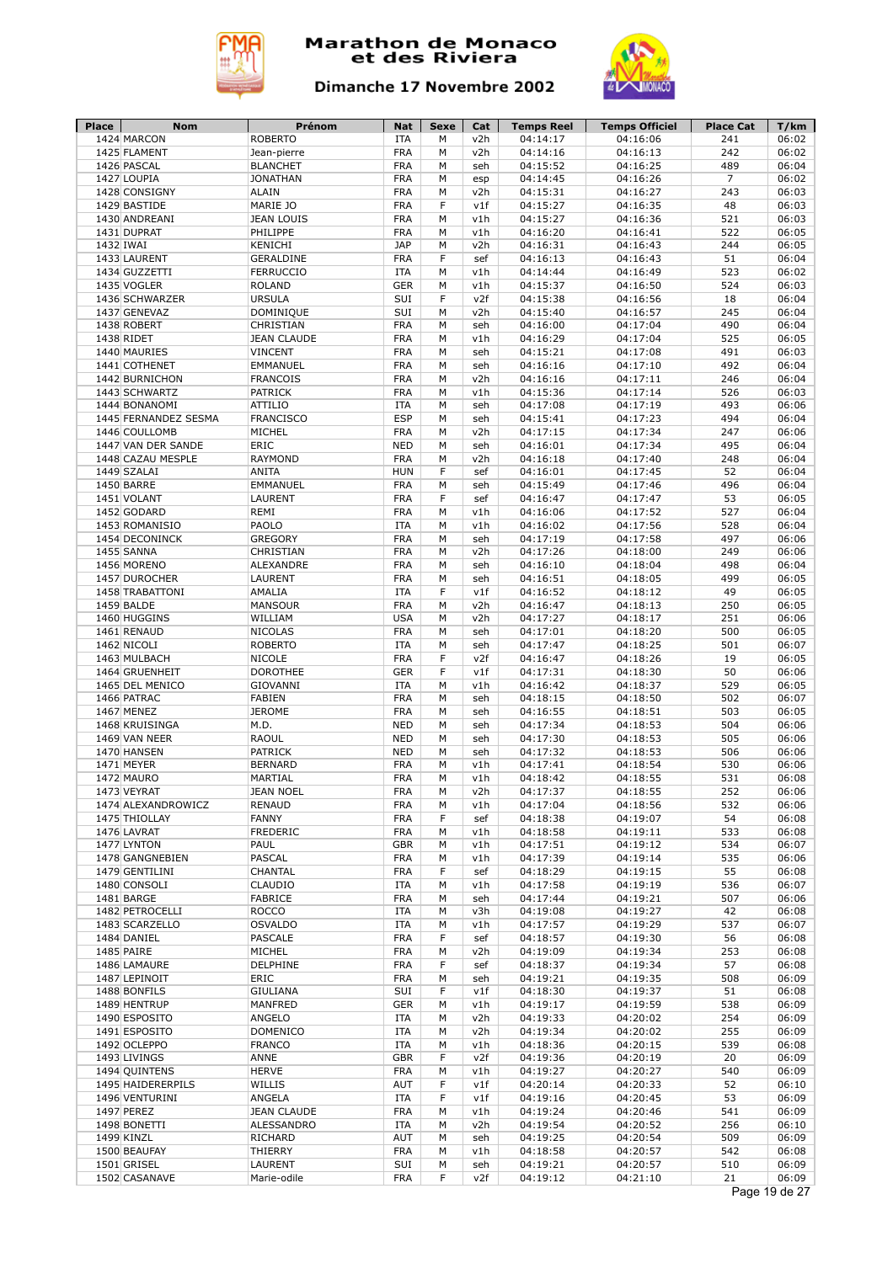



| Place | <b>Nom</b>                            | Prénom                             | <b>Nat</b>               | Sexe   | Cat        | <b>Temps Reel</b>    | <b>Temps Officiel</b> | <b>Place Cat</b> | T/km           |
|-------|---------------------------------------|------------------------------------|--------------------------|--------|------------|----------------------|-----------------------|------------------|----------------|
|       | 1424 MARCON                           | <b>ROBERTO</b>                     | <b>ITA</b>               | M      | v2h        | 04:14:17             | 04:16:06<br>04:16:13  | 241              | 06:02          |
|       | 1425 FLAMENT<br>1426 PASCAL           | Jean-pierre<br><b>BLANCHET</b>     | <b>FRA</b><br><b>FRA</b> | M<br>M | v2h<br>seh | 04:14:16<br>04:15:52 | 04:16:25              | 242<br>489       | 06:02<br>06:04 |
|       | 1427 LOUPIA                           | <b>JONATHAN</b>                    | <b>FRA</b>               | M      | esp        | 04:14:45             | 04:16:26              | $\overline{7}$   | 06:02          |
|       | 1428 CONSIGNY                         | <b>ALAIN</b>                       | <b>FRA</b>               | M      | v2h        | 04:15:31             | 04:16:27              | 243              | 06:03          |
|       | 1429 BASTIDE                          | MARIE JO                           | <b>FRA</b>               | F      | v1f        | 04:15:27             | 04:16:35              | 48               | 06:03          |
|       | 1430 ANDREANI                         | <b>JEAN LOUIS</b>                  | <b>FRA</b>               | M      | v1h        | 04:15:27             | 04:16:36              | 521              | 06:03          |
|       | 1431 DUPRAT                           | PHILIPPE                           | <b>FRA</b>               | M      | v1h        | 04:16:20             | 04:16:41              | 522              | 06:05          |
|       | 1432 IWAI                             | KENICHI                            | <b>JAP</b>               | M      | v2h        | 04:16:31             | 04:16:43              | 244              | 06:05          |
|       | 1433 LAURENT                          | GERALDINE                          | <b>FRA</b>               | F      | sef        | 04:16:13             | 04:16:43              | 51               | 06:04          |
|       | 1434 GUZZETTI                         | <b>FERRUCCIO</b>                   | <b>ITA</b>               | М      | v1h        | 04:14:44             | 04:16:49              | 523              | 06:02          |
|       | 1435 VOGLER                           | <b>ROLAND</b>                      | <b>GER</b>               | M      | v1h        | 04:15:37             | 04:16:50              | 524              | 06:03          |
|       | 1436 SCHWARZER                        | <b>URSULA</b>                      | SUI                      | F      | v2f        | 04:15:38             | 04:16:56              | 18               | 06:04          |
|       | 1437 GENEVAZ                          | DOMINIQUE                          | SUI                      | M      | v2h        | 04:15:40             | 04:16:57              | 245              | 06:04          |
|       | 1438 ROBERT                           | CHRISTIAN                          | <b>FRA</b>               | М      | seh        | 04:16:00             | 04:17:04              | 490              | 06:04          |
|       | 1438 RIDET                            | <b>JEAN CLAUDE</b>                 | <b>FRA</b>               | M      | v1h        | 04:16:29             | 04:17:04              | 525              | 06:05          |
|       | 1440 MAURIES                          | <b>VINCENT</b>                     | <b>FRA</b>               | М      | seh        | 04:15:21             | 04:17:08              | 491              | 06:03          |
|       | 1441 COTHENET                         | <b>EMMANUEL</b>                    | <b>FRA</b>               | М      | seh        | 04:16:16             | 04:17:10              | 492              | 06:04          |
|       | 1442 BURNICHON                        | <b>FRANCOIS</b>                    | <b>FRA</b>               | М      | v2h        | 04:16:16             | 04:17:11              | 246              | 06:04          |
|       | 1443 SCHWARTZ                         | <b>PATRICK</b><br><b>ATTILIO</b>   | <b>FRA</b>               | М      | v1h        | 04:15:36             | 04:17:14              | 526<br>493       | 06:03          |
|       | 1444 BONANOMI<br>1445 FERNANDEZ SESMA | <b>FRANCISCO</b>                   | <b>ITA</b><br><b>ESP</b> | М<br>M | seh<br>seh | 04:17:08<br>04:15:41 | 04:17:19<br>04:17:23  | 494              | 06:06<br>06:04 |
|       | 1446 COULLOMB                         | MICHEL                             | <b>FRA</b>               | M      | v2h        | 04:17:15             | 04:17:34              | 247              | 06:06          |
|       | 1447 VAN DER SANDE                    | ERIC                               | <b>NED</b>               | M      | seh        | 04:16:01             | 04:17:34              | 495              | 06:04          |
|       | 1448 CAZAU MESPLE                     | <b>RAYMOND</b>                     | <b>FRA</b>               | M      | v2h        | 04:16:18             | 04:17:40              | 248              | 06:04          |
|       | 1449 SZALAI                           | <b>ANITA</b>                       | <b>HUN</b>               | F      | sef        | 04:16:01             | 04:17:45              | 52               | 06:04          |
|       | 1450 BARRE                            | EMMANUEL                           | <b>FRA</b>               | M      | seh        | 04:15:49             | 04:17:46              | 496              | 06:04          |
|       | 1451 VOLANT                           | LAURENT                            | <b>FRA</b>               | F      | sef        | 04:16:47             | 04:17:47              | 53               | 06:05          |
|       | 1452 GODARD                           | REMI                               | <b>FRA</b>               | M      | v1h        | 04:16:06             | 04:17:52              | 527              | 06:04          |
|       | 1453 ROMANISIO                        | PAOLO                              | <b>ITA</b>               | M      | v1h        | 04:16:02             | 04:17:56              | 528              | 06:04          |
|       | 1454 DECONINCK                        | <b>GREGORY</b>                     | <b>FRA</b>               | М      | seh        | 04:17:19             | 04:17:58              | 497              | 06:06          |
|       | 1455 SANNA                            | CHRISTIAN                          | <b>FRA</b>               | M      | v2h        | 04:17:26             | 04:18:00              | 249              | 06:06          |
|       | 1456 MORENO                           | ALEXANDRE                          | <b>FRA</b>               | М      | seh        | 04:16:10             | 04:18:04              | 498              | 06:04          |
|       | 1457 DUROCHER                         | LAURENT                            | <b>FRA</b>               | M      | seh        | 04:16:51             | 04:18:05              | 499              | 06:05          |
|       | 1458 TRABATTONI                       | AMALIA                             | <b>ITA</b>               | F      | v1f        | 04:16:52             | 04:18:12              | 49               | 06:05          |
|       | 1459 BALDE                            | <b>MANSOUR</b>                     | <b>FRA</b>               | M      | v2h        | 04:16:47             | 04:18:13              | 250              | 06:05          |
|       | 1460 HUGGINS                          | WILLIAM                            | <b>USA</b>               | М      | v2h        | 04:17:27             | 04:18:17              | 251              | 06:06          |
|       | 1461 RENAUD                           | <b>NICOLAS</b>                     | <b>FRA</b>               | М      | seh        | 04:17:01             | 04:18:20              | 500              | 06:05          |
|       | 1462 NICOLI                           | <b>ROBERTO</b>                     | <b>ITA</b>               | М      | seh        | 04:17:47             | 04:18:25              | 501              | 06:07          |
|       | 1463 MULBACH                          | <b>NICOLE</b>                      | <b>FRA</b>               | F      | v2f        | 04:16:47             | 04:18:26              | 19               | 06:05          |
|       | 1464 GRUENHEIT                        | <b>DOROTHEE</b><br><b>GIOVANNI</b> | <b>GER</b><br><b>ITA</b> | F      | v1f        | 04:17:31             | 04:18:30              | 50<br>529        | 06:06<br>06:05 |
|       | 1465 DEL MENICO<br>1466 PATRAC        | <b>FABIEN</b>                      | <b>FRA</b>               | М<br>M | v1h<br>seh | 04:16:42<br>04:18:15 | 04:18:37<br>04:18:50  | 502              | 06:07          |
|       | 1467 MENEZ                            | <b>JEROME</b>                      | <b>FRA</b>               | М      | seh        | 04:16:55             | 04:18:51              | 503              | 06:05          |
|       | 1468 KRUISINGA                        | M.D.                               | <b>NED</b>               | М      | seh        | 04:17:34             | 04:18:53              | 504              | 06:06          |
|       | 1469 VAN NEER                         | <b>RAOUL</b>                       | <b>NED</b>               | М      | seh        | 04:17:30             | 04:18:53              | 505              | 06:06          |
|       | 1470 HANSEN                           | <b>PATRICK</b>                     | <b>NED</b>               | М      | seh        | 04:17:32             | 04:18:53              | 506              | 06:06          |
|       | 1471 MEYER                            | <b>BERNARD</b>                     | <b>FRA</b>               | M      | v1h        | 04:17:41             | 04:18:54              | 530              | 06:06          |
|       | 1472 MAURO                            | MARTIAL                            | <b>FRA</b>               | M      | v1h        | 04:18:42             | 04:18:55              | 531              | 06:08          |
|       | 1473 VEYRAT                           | <b>JEAN NOEL</b>                   | <b>FRA</b>               | М      | v2h        | 04:17:37             | 04:18:55              | 252              | 06:06          |
|       | 1474 ALEXANDROWICZ                    | <b>RENAUD</b>                      | <b>FRA</b>               | М      | v1h        | 04:17:04             | 04:18:56              | 532              | 06:06          |
|       | 1475 THIOLLAY                         | FANNY                              | <b>FRA</b>               | F      | sef        | 04:18:38             | 04:19:07              | 54               | 06:08          |
|       | 1476 LAVRAT                           | FREDERIC                           | <b>FRA</b>               | М      | v1h        | 04:18:58             | 04:19:11              | 533              | 06:08          |
|       | 1477 LYNTON                           | PAUL                               | <b>GBR</b>               | M      | v1h        | 04:17:51             | 04:19:12              | 534              | 06:07          |
|       | 1478 GANGNEBIEN                       | <b>PASCAL</b>                      | <b>FRA</b>               | M      | v1h        | 04:17:39             | 04:19:14              | 535              | 06:06          |
|       | 1479 GENTILINI                        | CHANTAL                            | <b>FRA</b>               | F      | sef        | 04:18:29             | 04:19:15              | 55               | 06:08          |
|       | 1480 CONSOLI                          | CLAUDIO                            | ITA                      | М      | v1h        | 04:17:58             | 04:19:19              | 536              | 06:07          |
|       | 1481 BARGE                            | FABRICE                            | <b>FRA</b>               | М      | seh        | 04:17:44             | 04:19:21              | 507              | 06:06<br>06:08 |
|       | 1482 PETROCELLI<br>1483 SCARZELLO     | <b>ROCCO</b><br><b>OSVALDO</b>     | ITA<br>ITA               | М<br>М | v3h<br>v1h | 04:19:08<br>04:17:57 | 04:19:27<br>04:19:29  | 42<br>537        | 06:07          |
|       | 1484 DANIEL                           | <b>PASCALE</b>                     | <b>FRA</b>               | F      | sef        | 04:18:57             | 04:19:30              | 56               | 06:08          |
|       | 1485 PAIRE                            | MICHEL                             | <b>FRA</b>               | М      | v2h        | 04:19:09             | 04:19:34              | 253              | 06:08          |
|       | 1486 LAMAURE                          | DELPHINE                           | <b>FRA</b>               | F      | sef        | 04:18:37             | 04:19:34              | 57               | 06:08          |
|       | 1487 LEPINOIT                         | ERIC                               | <b>FRA</b>               | М      | seh        | 04:19:21             | 04:19:35              | 508              | 06:09          |
|       | 1488 BONFILS                          | <b>GIULIANA</b>                    | SUI                      | F      | v1f        | 04:18:30             | 04:19:37              | 51               | 06:08          |
|       | 1489 HENTRUP                          | MANFRED                            | <b>GER</b>               | М      | v1h        | 04:19:17             | 04:19:59              | 538              | 06:09          |
|       | 1490 ESPOSITO                         | ANGELO                             | <b>ITA</b>               | М      | v2h        | 04:19:33             | 04:20:02              | 254              | 06:09          |
|       | 1491 ESPOSITO                         | <b>DOMENICO</b>                    | <b>ITA</b>               | М      | v2h        | 04:19:34             | 04:20:02              | 255              | 06:09          |
|       | 1492 OCLEPPO                          | <b>FRANCO</b>                      | <b>ITA</b>               | М      | v1h        | 04:18:36             | 04:20:15              | 539              | 06:08          |
|       | 1493 LIVINGS                          | ANNE                               | <b>GBR</b>               | F      | v2f        | 04:19:36             | 04:20:19              | 20               | 06:09          |
|       | 1494 QUINTENS                         | <b>HERVE</b>                       | <b>FRA</b>               | М      | v1h        | 04:19:27             | 04:20:27              | 540              | 06:09          |
|       | 1495 HAIDERERPILS                     | WILLIS                             | AUT                      | F      | v1f        | 04:20:14             | 04:20:33              | 52               | 06:10          |
|       | 1496 VENTURINI                        | ANGELA                             | ITA                      | F      | v1f        | 04:19:16             | 04:20:45              | 53               | 06:09          |
|       | 1497 PEREZ                            | <b>JEAN CLAUDE</b>                 | <b>FRA</b>               | М      | v1h        | 04:19:24             | 04:20:46              | 541              | 06:09          |
|       | 1498 BONETTI                          | ALESSANDRO                         | <b>ITA</b>               | М      | v2h        | 04:19:54             | 04:20:52              | 256              | 06:10          |
|       |                                       |                                    |                          | М      | seh        | 04:19:25             | 04:20:54              | 509              | 06:09          |
|       | 1499 KINZL                            | RICHARD                            | AUT                      |        |            |                      |                       |                  |                |
|       | 1500 BEAUFAY                          | THIERRY                            | <b>FRA</b>               | М      | v1h        | 04:18:58             | 04:20:57              | 542              | 06:08          |
|       | 1501 GRISEL<br>1502 CASANAVE          | LAURENT<br>Marie-odile             | SUI<br><b>FRA</b>        | М<br>F | seh<br>v2f | 04:19:21<br>04:19:12 | 04:20:57<br>04:21:10  | 510<br>21        | 06:09<br>06:09 |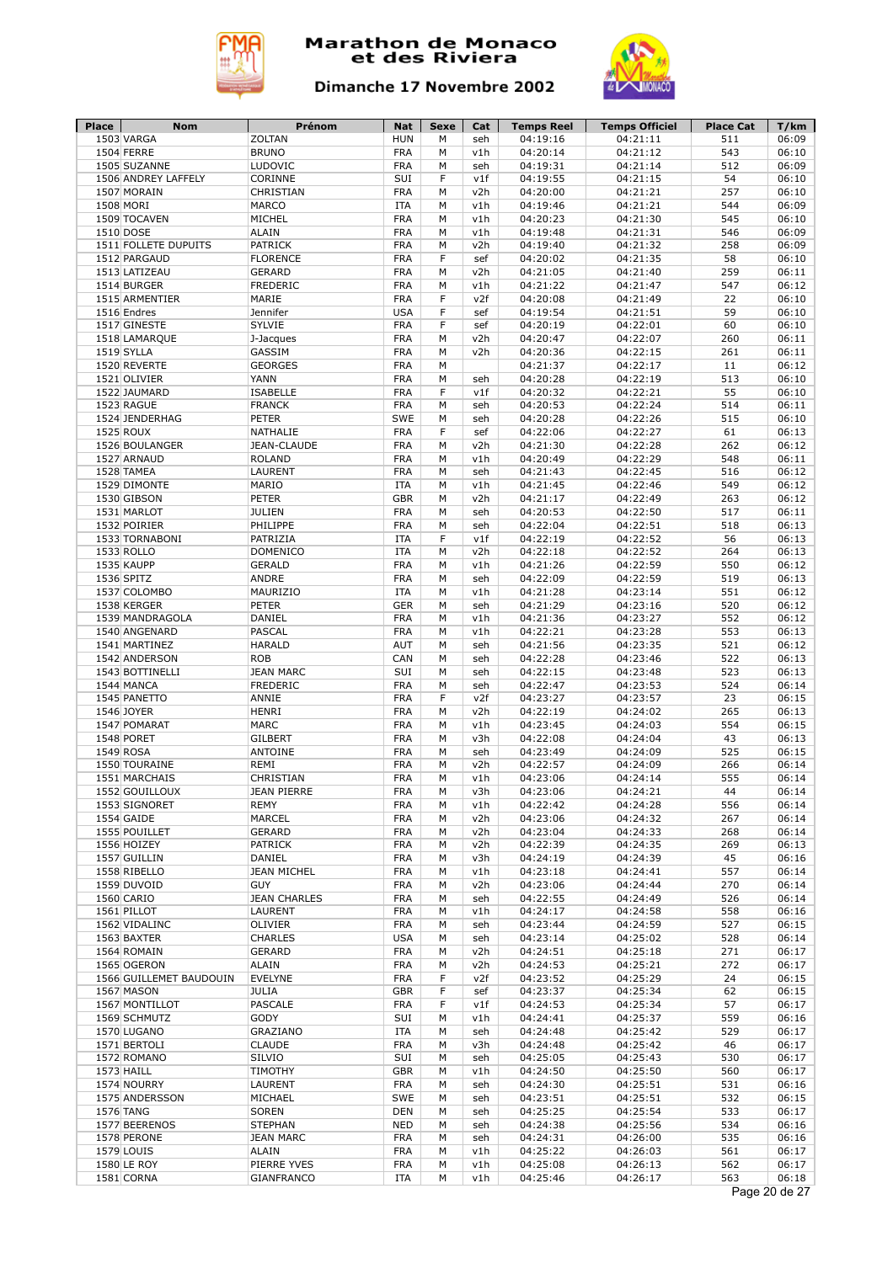



| <b>Place</b> | Nom                     | Prénom              | Nat        | Sexe | Cat | <b>Temps Reel</b> | <b>Temps Officiel</b> | <b>Place Cat</b> | T/km          |
|--------------|-------------------------|---------------------|------------|------|-----|-------------------|-----------------------|------------------|---------------|
|              | 1503 VARGA              | <b>ZOLTAN</b>       | <b>HUN</b> | M    | seh | 04:19:16          | 04:21:11              | 511              | 06:09         |
|              | 1504 FERRE              | <b>BRUNO</b>        | <b>FRA</b> | М    | v1h | 04:20:14          | 04:21:12              | 543              | 06:10         |
|              | 1505 SUZANNE            | LUDOVIC             | <b>FRA</b> | M    | seh | 04:19:31          | 04:21:14              | 512              | 06:09         |
|              | 1506 ANDREY LAFFELY     | CORINNE             | SUI        | F    | v1f | 04:19:55          | 04:21:15              | 54               | 06:10         |
|              | 1507 MORAIN             | CHRISTIAN           | <b>FRA</b> | M    | v2h | 04:20:00          | 04:21:21              | 257              | 06:10         |
|              | 1508 MORI               | <b>MARCO</b>        | <b>ITA</b> | M    | v1h | 04:19:46          | 04:21:21              | 544              | 06:09         |
|              | 1509 TOCAVEN            | <b>MICHEL</b>       | <b>FRA</b> | M    | v1h | 04:20:23          | 04:21:30              | 545              | 06:10         |
|              |                         |                     |            |      |     |                   |                       |                  |               |
|              | 1510 DOSE               | <b>ALAIN</b>        | <b>FRA</b> | M    | v1h | 04:19:48          | 04:21:31              | 546              | 06:09         |
|              | 1511 FOLLETE DUPUITS    | <b>PATRICK</b>      | <b>FRA</b> | М    | v2h | 04:19:40          | 04:21:32              | 258              | 06:09         |
|              | 1512 PARGAUD            | <b>FLORENCE</b>     | <b>FRA</b> | F    | sef | 04:20:02          | 04:21:35              | 58               | 06:10         |
|              | 1513 LATIZEAU           | <b>GERARD</b>       | <b>FRA</b> | M    | v2h | 04:21:05          | 04:21:40              | 259              | 06:11         |
|              | 1514 BURGER             | <b>FREDERIC</b>     | <b>FRA</b> | M    | v1h | 04:21:22          | 04:21:47              | 547              | 06:12         |
|              | 1515 ARMENTIER          | MARIE               | <b>FRA</b> | F    | v2f | 04:20:08          | 04:21:49              | 22               | 06:10         |
|              | 1516 Endres             | Jennifer            | <b>USA</b> | F    | sef | 04:19:54          | 04:21:51              | 59               | 06:10         |
|              | 1517 GINESTE            | SYLVIE              | <b>FRA</b> | F    | sef | 04:20:19          | 04:22:01              | 60               | 06:10         |
|              |                         |                     |            |      |     | 04:20:47          |                       |                  |               |
|              | 1518 LAMARQUE           | J-Jacques           | <b>FRA</b> | М    | v2h |                   | 04:22:07              | 260              | 06:11         |
|              | 1519 SYLLA              | GASSIM              | <b>FRA</b> | M    | v2h | 04:20:36          | 04:22:15              | 261              | 06:11         |
|              | 1520 REVERTE            | <b>GEORGES</b>      | <b>FRA</b> | M    |     | 04:21:37          | 04:22:17              | 11               | 06:12         |
|              | 1521 OLIVIER            | YANN                | <b>FRA</b> | M    | seh | 04:20:28          | 04:22:19              | 513              | 06:10         |
|              | 1522 JAUMARD            | <b>ISABELLE</b>     | <b>FRA</b> | F    | v1f | 04:20:32          | 04:22:21              | 55               | 06:10         |
|              | 1523 RAGUE              | <b>FRANCK</b>       | <b>FRA</b> | М    | seh | 04:20:53          | 04:22:24              | 514              | 06:11         |
|              | 1524 JENDERHAG          | <b>PETER</b>        | SWE        | М    | seh | 04:20:28          | 04:22:26              | 515              | 06:10         |
|              | 1525 ROUX               | <b>NATHALIE</b>     | <b>FRA</b> | F    | sef | 04:22:06          | 04:22:27              | 61               | 06:13         |
|              | 1526 BOULANGER          | <b>JEAN-CLAUDE</b>  | <b>FRA</b> | М    | v2h |                   | 04:22:28              | 262              | 06:12         |
|              |                         |                     |            |      |     | 04:21:30          |                       |                  |               |
|              | 1527 ARNAUD             | <b>ROLAND</b>       | <b>FRA</b> | М    | v1h | 04:20:49          | 04:22:29              | 548              | 06:11         |
|              | 1528 TAMEA              | LAURENT             | <b>FRA</b> | М    | seh | 04:21:43          | 04:22:45              | 516              | 06:12         |
|              | 1529 DIMONTE            | MARIO               | <b>ITA</b> | м    | v1h | 04:21:45          | 04:22:46              | 549              | 06:12         |
|              | 1530 GIBSON             | <b>PETER</b>        | <b>GBR</b> | М    | v2h | 04:21:17          | 04:22:49              | 263              | 06:12         |
|              | 1531 MARLOT             | <b>JULIEN</b>       | <b>FRA</b> | M    | seh | 04:20:53          | 04:22:50              | 517              | 06:11         |
|              | 1532 POIRIER            | PHILIPPE            | <b>FRA</b> | М    | seh | 04:22:04          | 04:22:51              | 518              | 06:13         |
|              | 1533 TORNABONI          | PATRIZIA            | <b>ITA</b> | F    | v1f | 04:22:19          | 04:22:52              | 56               | 06:13         |
|              |                         |                     |            |      |     |                   |                       |                  |               |
|              | 1533 ROLLO              | <b>DOMENICO</b>     | <b>ITA</b> | M    | v2h | 04:22:18          | 04:22:52              | 264              | 06:13         |
|              | 1535 KAUPP              | <b>GERALD</b>       | <b>FRA</b> | M    | v1h | 04:21:26          | 04:22:59              | 550              | 06:12         |
|              | 1536 SPITZ              | ANDRE               | <b>FRA</b> | М    | seh | 04:22:09          | 04:22:59              | 519              | 06:13         |
|              | 1537 COLOMBO            | MAURIZIO            | <b>ITA</b> | М    | v1h | 04:21:28          | 04:23:14              | 551              | 06:12         |
|              | 1538 KERGER             | <b>PETER</b>        | <b>GER</b> | M    | seh | 04:21:29          | 04:23:16              | 520              | 06:12         |
|              | 1539 MANDRAGOLA         | DANIEL              | FRA        | М    | v1h | 04:21:36          | 04:23:27              | 552              | 06:12         |
|              | 1540 ANGENARD           | <b>PASCAL</b>       | <b>FRA</b> | M    | v1h | 04:22:21          | 04:23:28              | 553              | 06:13         |
|              | 1541 MARTINEZ           | <b>HARALD</b>       | <b>AUT</b> | M    | seh | 04:21:56          | 04:23:35              | 521              | 06:12         |
|              |                         |                     |            |      |     |                   |                       |                  |               |
|              | 1542 ANDERSON           | <b>ROB</b>          | CAN        | M    | seh | 04:22:28          | 04:23:46              | 522              | 06:13         |
|              | 1543 BOTTINELLI         | <b>JEAN MARC</b>    | SUI        | М    | seh | 04:22:15          | 04:23:48              | 523              | 06:13         |
|              | 1544 MANCA              | <b>FREDERIC</b>     | <b>FRA</b> | M    | seh | 04:22:47          | 04:23:53              | 524              | 06:14         |
|              | 1545 PANETTO            | ANNIE               | <b>FRA</b> | F    | v2f | 04:23:27          | 04:23:57              | 23               | 06:15         |
|              | 1546 JOYER              | <b>HENRI</b>        | <b>FRA</b> | M    | v2h | 04:22:19          | 04:24:02              | 265              | 06:13         |
|              | 1547 POMARAT            | <b>MARC</b>         | <b>FRA</b> | M    | v1h | 04:23:45          | 04:24:03              | 554              | 06:15         |
|              | 1548 PORET              | <b>GILBERT</b>      | <b>FRA</b> | M    | v3h | 04:22:08          | 04:24:04              | 43               | 06:13         |
|              | 1549 ROSA               | ANTOINE             | <b>FRA</b> | м    | seh | 04:23:49          | 04:24:09              | 525              | 06:15         |
|              | 1550 TOURAINE           | REMI                | <b>FRA</b> | M    | v2h | 04:22:57          | 04:24:09              | 266              | 06:14         |
|              |                         |                     |            |      |     |                   |                       |                  |               |
|              | 1551 MARCHAIS           | CHRISTIAN           | <b>FRA</b> | M    | v1h | 04:23:06          | 04:24:14              | 555              | 06:14         |
|              | 1552 GOUILLOUX          | <b>JEAN PIERRE</b>  | <b>FRA</b> | М    | v3h | 04:23:06          | 04:24:21              | 44               | 06:14         |
|              | 1553 SIGNORET           | <b>REMY</b>         | <b>FRA</b> | М    | v1h | 04:22:42          | 04:24:28              | 556              | 06:14         |
|              | 1554 GAIDE              | MARCEL              | FRA        | м    | v2h | 04:23:06          | 04:24:32              | 267              | 06:14         |
|              | 1555 POUILLET           | <b>GERARD</b>       | <b>FRA</b> | М    | v2h | 04:23:04          | 04:24:33              | 268              | 06:14         |
|              | 1556 HOIZEY             | <b>PATRICK</b>      | <b>FRA</b> | М    | v2h | 04:22:39          | 04:24:35              | 269              | 06:13         |
|              | 1557 GUILLIN            | DANIEL              | <b>FRA</b> | М    | v3h | 04:24:19          | 04:24:39              | 45               | 06:16         |
|              | 1558 RIBELLO            | <b>JEAN MICHEL</b>  | <b>FRA</b> | М    | v1h | 04:23:18          | 04:24:41              | 557              | 06:14         |
|              |                         |                     |            |      |     |                   |                       |                  |               |
|              | 1559 DUVOID             | <b>GUY</b>          | <b>FRA</b> | M    | v2h | 04:23:06          | 04:24:44              | 270              | 06:14         |
|              | 1560 CARIO              | <b>JEAN CHARLES</b> | <b>FRA</b> | М    | seh | 04:22:55          | 04:24:49              | 526              | 06:14         |
|              | 1561 PILLOT             | LAURENT             | <b>FRA</b> | М    | v1h | 04:24:17          | 04:24:58              | 558              | 06:16         |
|              | 1562 VIDALINC           | <b>OLIVIER</b>      | FRA        | М    | seh | 04:23:44          | 04:24:59              | 527              | 06:15         |
|              | 1563 BAXTER             | <b>CHARLES</b>      | <b>USA</b> | М    | seh | 04:23:14          | 04:25:02              | 528              | 06:14         |
|              | 1564 ROMAIN             | GERARD              | FRA        | М    | v2h | 04:24:51          | 04:25:18              | 271              | 06:17         |
|              | 1565 OGERON             | <b>ALAIN</b>        | FRA        | М    | v2h | 04:24:53          | 04:25:21              | 272              | 06:17         |
|              | 1566 GUILLEMET BAUDOUIN | <b>EVELYNE</b>      | FRA        | F    | v2f | 04:23:52          | 04:25:29              | 24               | 06:15         |
|              |                         |                     |            | F    |     |                   |                       |                  |               |
|              | 1567 MASON              | <b>JULIA</b>        | <b>GBR</b> |      | sef | 04:23:37          | 04:25:34              | 62               | 06:15         |
|              | 1567 MONTILLOT          | <b>PASCALE</b>      | FRA        | F    | v1f | 04:24:53          | 04:25:34              | 57               | 06:17         |
|              | 1569 SCHMUTZ            | GODY                | SUI        | М    | v1h | 04:24:41          | 04:25:37              | 559              | 06:16         |
|              | 1570 LUGANO             | GRAZIANO            | <b>ITA</b> | М    | seh | 04:24:48          | 04:25:42              | 529              | 06:17         |
|              | 1571 BERTOLI            | <b>CLAUDE</b>       | <b>FRA</b> | M    | v3h | 04:24:48          | 04:25:42              | 46               | 06:17         |
|              | 1572 ROMANO             | SILVIO              | SUI        | М    | seh | 04:25:05          | 04:25:43              | 530              | 06:17         |
|              | 1573 HAILL              | TIMOTHY             | <b>GBR</b> | М    | v1h | 04:24:50          | 04:25:50              | 560              | 06:17         |
|              | 1574 NOURRY             | LAURENT             | <b>FRA</b> | М    | seh | 04:24:30          | 04:25:51              | 531              | 06:16         |
|              |                         |                     |            |      |     |                   |                       |                  |               |
|              | 1575 ANDERSSON          | MICHAEL             | SWE        | М    | seh | 04:23:51          | 04:25:51              | 532              | 06:15         |
|              | 1576 TANG               | <b>SOREN</b>        | <b>DEN</b> | М    | seh | 04:25:25          | 04:25:54              | 533              | 06:17         |
|              | 1577 BEERENOS           | <b>STEPHAN</b>      | <b>NED</b> | М    | seh | 04:24:38          | 04:25:56              | 534              | 06:16         |
|              | 1578 PERONE             | <b>JEAN MARC</b>    | <b>FRA</b> | М    | seh | 04:24:31          | 04:26:00              | 535              | 06:16         |
|              | 1579 LOUIS              | ALAIN               | FRA        | М    | v1h | 04:25:22          | 04:26:03              | 561              | 06:17         |
|              | 1580 LE ROY             | PIERRE YVES         | FRA        | М    | v1h | 04:25:08          | 04:26:13              | 562              | 06:17         |
|              | 1581 CORNA              | GIANFRANCO          | ITA        | м    | v1h | 04:25:46          | 04:26:17              | 563              | 06:18         |
|              |                         |                     |            |      |     |                   |                       |                  | Page 20 de 27 |
|              |                         |                     |            |      |     |                   |                       |                  |               |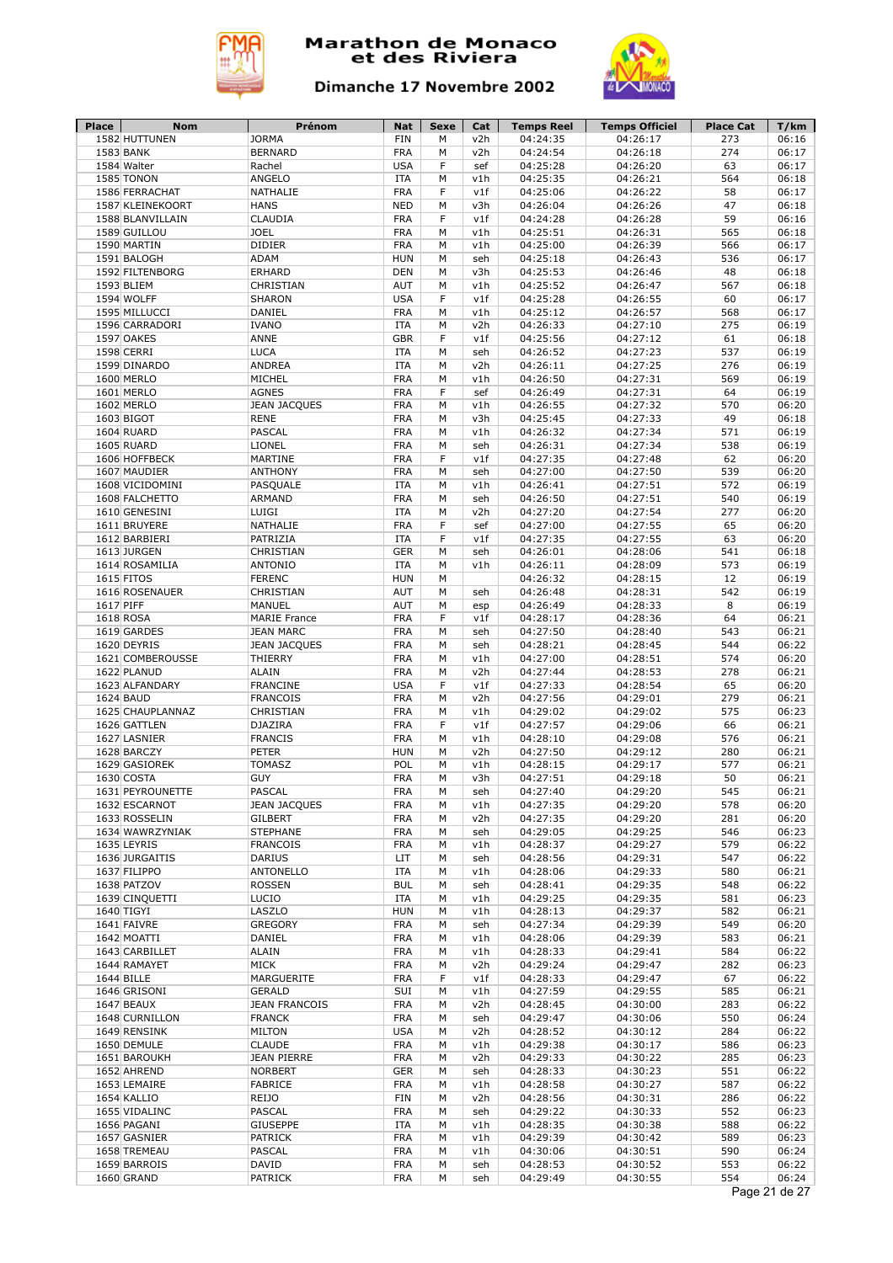



| Place        | <b>Nom</b>                         | Prénom                             | <b>Nat</b>               | Sexe   | Cat        | <b>Temps Reel</b>    | <b>Temps Officiel</b> | <b>Place Cat</b> | T/km           |
|--------------|------------------------------------|------------------------------------|--------------------------|--------|------------|----------------------|-----------------------|------------------|----------------|
|              | 1582 HUTTUNEN                      | <b>JORMA</b>                       | <b>FIN</b>               | M      | v2h        | 04:24:35             | 04:26:17              | 273              | 06:16          |
|              | 1583 BANK                          | <b>BERNARD</b>                     | <b>FRA</b>               | М<br>F | v2h        | 04:24:54             | 04:26:18              | 274              | 06:17          |
|              | 1584 Walter<br>1585 TONON          | Rachel                             | <b>USA</b><br><b>ITA</b> | M      | sef        | 04:25:28             | 04:26:20              | 63<br>564        | 06:17<br>06:18 |
|              |                                    | ANGELO<br>NATHALIE                 | <b>FRA</b>               | F      | v1h<br>v1f | 04:25:35             | 04:26:21              | 58               | 06:17          |
|              | 1586 FERRACHAT<br>1587 KLEINEKOORT | <b>HANS</b>                        | <b>NED</b>               | M      | v3h        | 04:25:06<br>04:26:04 | 04:26:22<br>04:26:26  | 47               | 06:18          |
|              | 1588 BLANVILLAIN                   | CLAUDIA                            | <b>FRA</b>               | F      | v1f        | 04:24:28             | 04:26:28              | 59               | 06:16          |
|              | 1589 GUILLOU                       | <b>JOEL</b>                        | <b>FRA</b>               | M      | v1h        | 04:25:51             | 04:26:31              | 565              | 06:18          |
|              | 1590 MARTIN                        | <b>DIDIER</b>                      | <b>FRA</b>               | М      | v1h        | 04:25:00             | 04:26:39              | 566              | 06:17          |
|              | 1591 BALOGH                        | ADAM                               | <b>HUN</b>               | M      | seh        | 04:25:18             | 04:26:43              | 536              | 06:17          |
|              | 1592 FILTENBORG                    | <b>ERHARD</b>                      | DEN                      | М      | v3h        | 04:25:53             | 04:26:46              | 48               | 06:18          |
|              | 1593 BLIEM                         | CHRISTIAN                          | AUT                      | M      | v1h        | 04:25:52             | 04:26:47              | 567              | 06:18          |
|              | 1594 WOLFF                         | <b>SHARON</b>                      | <b>USA</b>               | F      | v1f        | 04:25:28             | 04:26:55              | 60               | 06:17          |
|              | 1595 MILLUCCI                      | DANIEL                             | <b>FRA</b>               | M      | v1h        | 04:25:12             | 04:26:57              | 568              | 06:17          |
|              | 1596 CARRADORI                     | <b>IVANO</b>                       | <b>ITA</b>               | М      | v2h        | 04:26:33             | 04:27:10              | 275              | 06:19          |
|              | 1597 OAKES                         | ANNE                               | <b>GBR</b>               | F      | v1f        | 04:25:56             | 04:27:12              | 61               | 06:18          |
|              | 1598 CERRI                         | <b>LUCA</b>                        | <b>ITA</b>               | М      | seh        | 04:26:52             | 04:27:23              | 537              | 06:19          |
|              | 1599 DINARDO                       | ANDREA                             | ITA                      | M      | v2h        | 04:26:11             | 04:27:25              | 276              | 06:19          |
|              | 1600 MERLO                         | MICHEL                             | <b>FRA</b>               | M      | v1h        | 04:26:50             | 04:27:31              | 569              | 06:19          |
|              | 1601 MERLO                         | <b>AGNES</b>                       | <b>FRA</b>               | F      | sef        | 04:26:49             | 04:27:31              | 64               | 06:19          |
|              | 1602 MERLO                         | <b>JEAN JACQUES</b>                | <b>FRA</b>               | M      | v1h        | 04:26:55             | 04:27:32              | 570              | 06:20          |
|              | 1603 BIGOT                         | <b>RENE</b>                        | <b>FRA</b>               | M      | v3h        | 04:25:45             | 04:27:33              | 49               | 06:18          |
|              | 1604 RUARD                         | PASCAL                             | <b>FRA</b>               | M      | v1h        | 04:26:32             | 04:27:34              | 571              | 06:19          |
|              | 1605 RUARD                         | <b>LIONEL</b>                      | <b>FRA</b>               | M      | seh        | 04:26:31             | 04:27:34              | 538              | 06:19          |
|              | 1606 HOFFBECK                      | MARTINE                            | <b>FRA</b>               | F      | v1f        | 04:27:35             | 04:27:48              | 62               | 06:20          |
|              | 1607 MAUDIER                       | <b>ANTHONY</b>                     | <b>FRA</b>               | M      | seh        | 04:27:00             | 04:27:50              | 539              | 06:20          |
|              | 1608 VICIDOMINI                    | PASQUALE                           | <b>ITA</b>               | M      | v1h        | 04:26:41             | 04:27:51              | 572              | 06:19          |
|              | 1608 FALCHETTO                     | <b>ARMAND</b>                      | <b>FRA</b>               | M      | seh        | 04:26:50             | 04:27:51              | 540              | 06:19          |
|              | 1610 GENESINI                      | LUIGI                              | <b>ITA</b>               | M      | v2h        | 04:27:20             | 04:27:54              | 277              | 06:20          |
|              | 1611 BRUYERE                       | NATHALIE                           | <b>FRA</b>               | F      | sef        | 04:27:00             | 04:27:55              | 65               | 06:20          |
|              | 1612 BARBIERI                      | PATRIZIA                           | ITA                      | F      | v1f        | 04:27:35             | 04:27:55              | 63               | 06:20          |
|              | 1613 JURGEN                        | CHRISTIAN                          | <b>GER</b>               | М      | seh        | 04:26:01             | 04:28:06              | 541              | 06:18          |
|              | 1614 ROSAMILIA                     | <b>ANTONIO</b>                     | <b>ITA</b>               | M      | v1h        | 04:26:11             | 04:28:09              | 573              | 06:19          |
|              | 1615 FITOS                         | <b>FERENC</b>                      | <b>HUN</b>               | М      |            | 04:26:32             | 04:28:15              | 12               | 06:19          |
|              | 1616 ROSENAUER                     | CHRISTIAN                          | <b>AUT</b>               | М      | seh        | 04:26:48             | 04:28:31              | 542              | 06:19          |
| 1617 PIFF    |                                    | MANUEL                             | AUT                      | M      | esp        | 04:26:49             | 04:28:33              | 8                | 06:19          |
|              | 1618 ROSA                          | <b>MARIE France</b>                | <b>FRA</b>               | F      | v1f        | 04:28:17             | 04:28:36              | 64               | 06:21          |
|              | 1619 GARDES                        | <b>JEAN MARC</b>                   | <b>FRA</b>               | М      | seh        | 04:27:50             | 04:28:40              | 543              | 06:21          |
|              | 1620 DEYRIS                        | <b>JEAN JACQUES</b>                | <b>FRA</b>               | M      | seh        | 04:28:21             | 04:28:45              | 544              | 06:22          |
|              | 1621 COMBEROUSSE                   | THIERRY                            | <b>FRA</b>               | M      | v1h        | 04:27:00             | 04:28:51              | 574              | 06:20          |
|              | 1622 PLANUD                        | <b>ALAIN</b>                       | <b>FRA</b><br><b>USA</b> | М      | v2h        | 04:27:44             | 04:28:53              | 278<br>65        | 06:21<br>06:20 |
|              | 1623 ALFANDARY<br>1624 BAUD        | <b>FRANCINE</b><br><b>FRANCOIS</b> | <b>FRA</b>               | F<br>M | v1f<br>v2h | 04:27:33<br>04:27:56 | 04:28:54<br>04:29:01  | 279              | 06:21          |
|              | 1625 CHAUPLANNAZ                   | CHRISTIAN                          | <b>FRA</b>               | M      | v1h        | 04:29:02             | 04:29:02              | 575              | 06:23          |
|              | 1626 GATTLEN                       | DJAZIRA                            | <b>FRA</b>               | F      | v1f        | 04:27:57             | 04:29:06              | 66               | 06:21          |
|              | 1627 LASNIER                       | <b>FRANCIS</b>                     | <b>FRA</b>               | M      | v1h        | 04:28:10             | 04:29:08              | 576              | 06:21          |
|              | 1628 BARCZY                        | PETER                              | <b>HUN</b>               | M      | v2h        | 04:27:50             | 04:29:12              | 280              | 06:21          |
|              | 1629 GASIOREK                      | <b>TOMASZ</b>                      | POL                      | M      | v1h        | 04:28:15             | 04:29:17              | 577              | 06:21          |
|              | 1630 COSTA                         | <b>GUY</b>                         | <b>FRA</b>               | M      | v3h        | 04:27:51             | 04:29:18              | 50               | 06:21          |
|              | 1631 PEYROUNETTE                   | <b>PASCAL</b>                      | <b>FRA</b>               | М      | seh        | 04:27:40             | 04:29:20              | 545              | 06:21          |
|              | 1632 ESCARNOT                      | <b>JEAN JACQUES</b>                | <b>FRA</b>               | M      | v1h        | 04:27:35             | 04:29:20              | 578              | 06:20          |
|              | 1633 ROSSELIN                      | <b>GILBERT</b>                     | <b>FRA</b>               | M      | v2h        | 04:27:35             | 04:29:20              | 281              | 06:20          |
|              | 1634 WAWRZYNIAK                    | <b>STEPHANE</b>                    | <b>FRA</b>               | М      | seh        | 04:29:05             | 04:29:25              | 546              | 06:23          |
|              | 1635 LEYRIS                        | <b>FRANCOIS</b>                    | <b>FRA</b>               | М      | v1h        | 04:28:37             | 04:29:27              | 579              | 06:22          |
|              | 1636 JURGAITIS                     | <b>DARIUS</b>                      | LIT                      | М      | seh        | 04:28:56             | 04:29:31              | 547              | 06:22          |
|              | 1637 FILIPPO                       | <b>ANTONELLO</b>                   | ITA                      | М      | v1h        | 04:28:06             | 04:29:33              | 580              | 06:21          |
|              | 1638 PATZOV                        | <b>ROSSEN</b>                      | <b>BUL</b>               | М      | seh        | 04:28:41             | 04:29:35              | 548              | 06:22          |
|              | 1639 CINQUETTI                     | LUCIO                              | ITA                      | М      | v1h        | 04:29:25             | 04:29:35              | 581              | 06:23          |
|              | 1640 TIGYI                         | LASZLO                             | <b>HUN</b>               | М      | v1h        | 04:28:13             | 04:29:37              | 582              | 06:21          |
|              | 1641 FAIVRE                        | <b>GREGORY</b>                     | <b>FRA</b>               | М      | seh        | 04:27:34             | 04:29:39              | 549              | 06:20          |
|              | 1642 MOATTI                        | DANIEL                             | <b>FRA</b>               | М      | v1h        | 04:28:06             | 04:29:39              | 583              | 06:21          |
|              | 1643 CARBILLET                     | <b>ALAIN</b>                       | <b>FRA</b>               | М      | v1h        | 04:28:33             | 04:29:41              | 584              | 06:22          |
|              | 1644 RAMAYET                       | <b>MICK</b>                        | <b>FRA</b>               | М      | v2h        | 04:29:24             | 04:29:47              | 282              | 06:23          |
|              | 1644 BILLE                         | MARGUERITE                         | <b>FRA</b>               | F      | v1f        | 04:28:33             | 04:29:47              | 67               | 06:22          |
|              | 1646 GRISONI                       | <b>GERALD</b>                      | SUI                      | М      | v1h        | 04:27:59             | 04:29:55              | 585              | 06:21          |
|              | 1647 BEAUX                         | <b>JEAN FRANCOIS</b>               | <b>FRA</b>               | М      | v2h        | 04:28:45             | 04:30:00              | 283              | 06:22          |
|              | 1648 CURNILLON                     | <b>FRANCK</b>                      | <b>FRA</b>               | М      | seh        | 04:29:47             | 04:30:06              | 550              | 06:24          |
|              | 1649 RENSINK                       | <b>MILTON</b>                      | <b>USA</b>               | М      | v2h        | 04:28:52             | 04:30:12              | 284              | 06:22          |
|              | 1650 DEMULE                        | <b>CLAUDE</b>                      | <b>FRA</b>               | М      | v1h        | 04:29:38             | 04:30:17              | 586              | 06:23          |
|              | 1651 BAROUKH                       | <b>JEAN PIERRE</b>                 | <b>FRA</b>               | М      | v2h        | 04:29:33             | 04:30:22              | 285              | 06:23          |
|              | 1652 AHREND                        | <b>NORBERT</b>                     | <b>GER</b>               | М      | seh        | 04:28:33             | 04:30:23              | 551              | 06:22          |
| 1653 LEMAIRE |                                    | <b>FABRICE</b>                     | <b>FRA</b>               | М      | v1h        | 04:28:58             | 04:30:27              | 587              | 06:22          |
|              |                                    |                                    |                          | М      | v2h        | 04:28:56             | 04:30:31              | 286              | 06:22          |
|              | 1654 KALLIO                        | REIJO                              | FIN                      |        |            |                      |                       |                  |                |
|              | 1655 VIDALINC                      | PASCAL                             | <b>FRA</b>               | М      | seh        | 04:29:22             | 04:30:33              | 552              | 06:23          |
|              | 1656 PAGANI                        | <b>GIUSEPPE</b>                    | ITA                      | М      | v1h        | 04:28:35             | 04:30:38              | 588              | 06:22          |
|              | 1657 GASNIER                       | PATRICK                            | <b>FRA</b>               | М      | v1h        | 04:29:39             | 04:30:42              | 589              | 06:23          |
|              | 1658 TREMEAU                       | PASCAL                             | <b>FRA</b>               | M      | v1h        | 04:30:06             | 04:30:51              | 590              | 06:24          |
|              | 1659 BARROIS<br>1660 GRAND         | DAVID<br>PATRICK                   | <b>FRA</b><br>FRA        | М<br>М | seh<br>seh | 04:28:53<br>04:29:49 | 04:30:52<br>04:30:55  | 553<br>554       | 06:22<br>06:24 |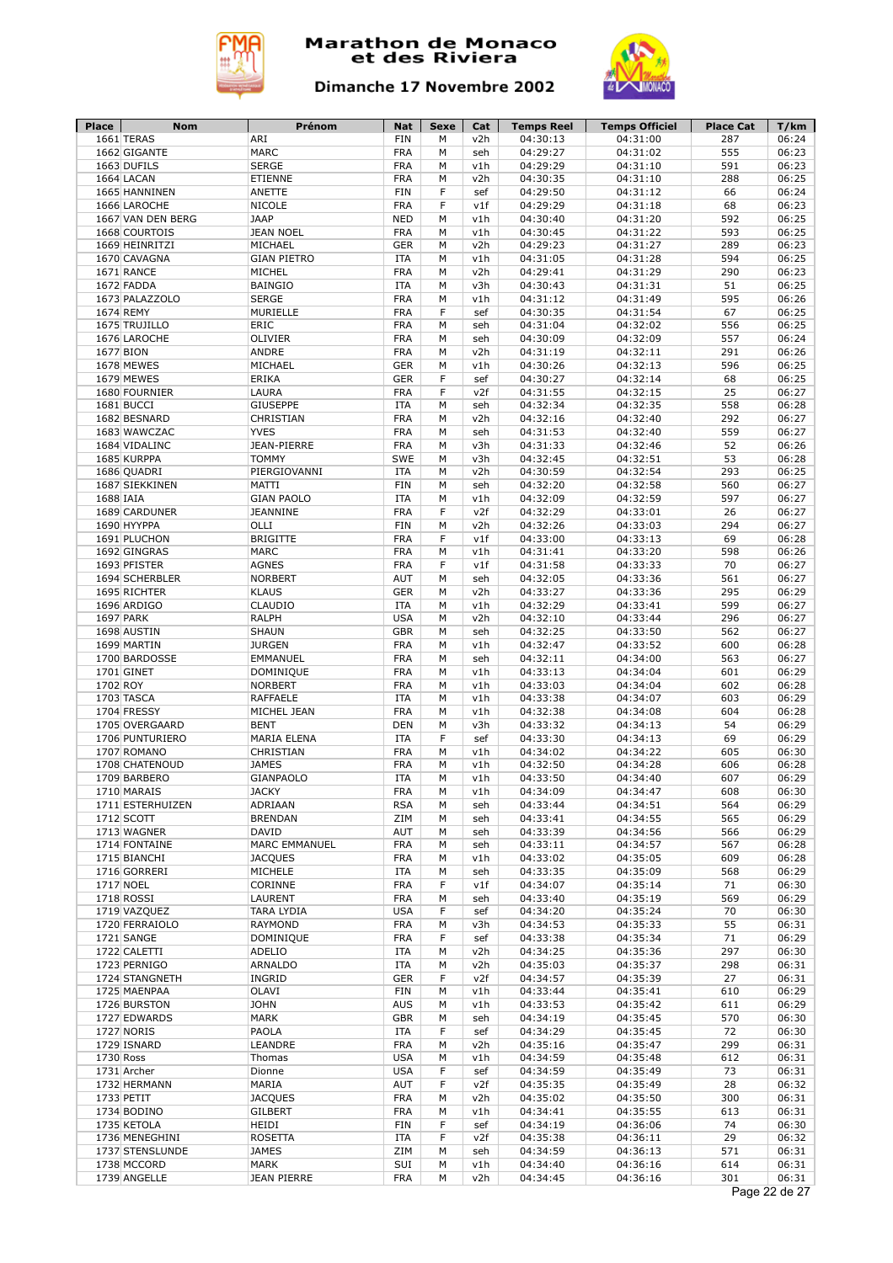



| Place     | Nom               | Prénom             | <b>Nat</b> | Sexe | Cat | <b>Temps Reel</b> | <b>Temps Officiel</b> | <b>Place Cat</b> | T/km          |
|-----------|-------------------|--------------------|------------|------|-----|-------------------|-----------------------|------------------|---------------|
|           | 1661 TERAS        | ARI                | <b>FIN</b> | М    | v2h | 04:30:13          | 04:31:00              | 287              | 06:24         |
|           | 1662 GIGANTE      | <b>MARC</b>        | <b>FRA</b> | М    | seh | 04:29:27          | 04:31:02              | 555              | 06:23         |
|           | 1663 DUFILS       | <b>SERGE</b>       | <b>FRA</b> | M    | v1h | 04:29:29          | 04:31:10              | 591              | 06:23         |
|           | 1664 LACAN        | ETIENNE            | <b>FRA</b> | М    | v2h | 04:30:35          | 04:31:10              | 288              | 06:25         |
|           | 1665 HANNINEN     | ANETTE             | FIN        | F    | sef | 04:29:50          | 04:31:12              | 66               | 06:24         |
|           | 1666 LAROCHE      | <b>NICOLE</b>      | <b>FRA</b> | F    | v1f | 04:29:29          | 04:31:18              | 68               | 06:23         |
|           | 1667 VAN DEN BERG | <b>JAAP</b>        | <b>NED</b> | М    | v1h | 04:30:40          | 04:31:20              | 592              | 06:25         |
|           | 1668 COURTOIS     | <b>JEAN NOEL</b>   | <b>FRA</b> | М    | v1h | 04:30:45          | 04:31:22              | 593              | 06:25         |
|           | 1669 HEINRITZI    | MICHAEL            | <b>GER</b> | М    | v2h | 04:29:23          | 04:31:27              | 289              | 06:23         |
|           | 1670 CAVAGNA      | <b>GIAN PIETRO</b> | <b>ITA</b> | М    | v1h | 04:31:05          | 04:31:28              | 594              | 06:25         |
|           | 1671 RANCE        | MICHEL             | <b>FRA</b> | M    | v2h | 04:29:41          | 04:31:29              | 290              | 06:23         |
|           | 1672 FADDA        | <b>BAINGIO</b>     | <b>ITA</b> | М    | v3h | 04:30:43          | 04:31:31              | 51               | 06:25         |
|           |                   |                    | <b>FRA</b> | M    |     | 04:31:12          |                       | 595              | 06:26         |
|           | 1673 PALAZZOLO    | <b>SERGE</b>       |            |      | v1h |                   | 04:31:49              |                  |               |
|           | 1674 REMY         | MURIELLE           | <b>FRA</b> | F    | sef | 04:30:35          | 04:31:54              | 67               | 06:25         |
|           | 1675 TRUJILLO     | ERIC               | <b>FRA</b> | М    | seh | 04:31:04          | 04:32:02              | 556              | 06:25         |
|           | 1676 LAROCHE      | OLIVIER            | <b>FRA</b> | М    | seh | 04:30:09          | 04:32:09              | 557              | 06:24         |
| 1677 BION |                   | ANDRE              | <b>FRA</b> | М    | v2h | 04:31:19          | 04:32:11              | 291              | 06:26         |
|           | 1678 MEWES        | MICHAEL            | <b>GER</b> | М    | v1h | 04:30:26          | 04:32:13              | 596              | 06:25         |
|           | 1679 MEWES        | ERIKA              | <b>GER</b> | F    | sef | 04:30:27          | 04:32:14              | 68               | 06:25         |
|           | 1680 FOURNIER     | LAURA              | <b>FRA</b> | F    | v2f | 04:31:55          | 04:32:15              | 25               | 06:27         |
|           | 1681 BUCCI        | <b>GIUSEPPE</b>    | <b>ITA</b> | М    | seh | 04:32:34          | 04:32:35              | 558              | 06:28         |
|           | 1682 BESNARD      | CHRISTIAN          | <b>FRA</b> | М    | v2h | 04:32:16          | 04:32:40              | 292              | 06:27         |
|           | 1683 WAWCZAC      | <b>YVES</b>        | <b>FRA</b> | М    | seh | 04:31:53          | 04:32:40              | 559              | 06:27         |
|           | 1684 VIDALINC     | JEAN-PIERRE        | <b>FRA</b> | М    | v3h | 04:31:33          | 04:32:46              | 52               | 06:26         |
|           | 1685 KURPPA       | <b>TOMMY</b>       | <b>SWE</b> | М    | v3h | 04:32:45          | 04:32:51              | 53               | 06:28         |
|           | 1686 QUADRI       | PIERGIOVANNI       | <b>ITA</b> | М    | v2h | 04:30:59          | 04:32:54              | 293              | 06:25         |
|           | 1687 SIEKKINEN    | MATTI              | <b>FIN</b> | М    | seh | 04:32:20          | 04:32:58              | 560              | 06:27         |
| 1688 IAIA |                   | <b>GIAN PAOLO</b>  | <b>ITA</b> | м    | v1h | 04:32:09          | 04:32:59              | 597              | 06:27         |
|           | 1689 CARDUNER     | <b>JEANNINE</b>    | <b>FRA</b> | F    | v2f | 04:32:29          | 04:33:01              | 26               | 06:27         |
|           | 1690 HYYPPA       | OLLI               | FIN        | М    | v2h | 04:32:26          | 04:33:03              | 294              | 06:27         |
|           | 1691 PLUCHON      | <b>BRIGITTE</b>    | <b>FRA</b> | F    | v1f | 04:33:00          | 04:33:13              | 69               | 06:28         |
|           | 1692 GINGRAS      | <b>MARC</b>        | <b>FRA</b> | M    | v1h | 04:31:41          | 04:33:20              | 598              | 06:26         |
|           |                   | <b>AGNES</b>       |            | F    |     |                   |                       |                  |               |
|           | 1693 PFISTER      | <b>NORBERT</b>     | <b>FRA</b> |      | v1f | 04:31:58          | 04:33:33              | 70<br>561        | 06:27         |
|           | 1694 SCHERBLER    |                    | AUT        | М    | seh | 04:32:05          | 04:33:36              |                  | 06:27         |
|           | 1695 RICHTER      | <b>KLAUS</b>       | <b>GER</b> | М    | v2h | 04:33:27          | 04:33:36              | 295              | 06:29         |
|           | 1696 ARDIGO       | CLAUDIO            | <b>ITA</b> | М    | v1h | 04:32:29          | 04:33:41              | 599              | 06:27         |
| 1697 PARK |                   | <b>RALPH</b>       | <b>USA</b> | М    | v2h | 04:32:10          | 04:33:44              | 296              | 06:27         |
|           | 1698 AUSTIN       | <b>SHAUN</b>       | <b>GBR</b> | М    | seh | 04:32:25          | 04:33:50              | 562              | 06:27         |
|           | 1699 MARTIN       | <b>JURGEN</b>      | <b>FRA</b> | М    | v1h | 04:32:47          | 04:33:52              | 600              | 06:28         |
|           | 1700 BARDOSSE     | EMMANUEL           | <b>FRA</b> | М    | seh | 04:32:11          | 04:34:00              | 563              | 06:27         |
|           | 1701 GINET        | DOMINIQUE          | <b>FRA</b> | М    | v1h | 04:33:13          | 04:34:04              | 601              | 06:29         |
| 1702 ROY  |                   | <b>NORBERT</b>     | <b>FRA</b> | М    | v1h | 04:33:03          | 04:34:04              | 602              | 06:28         |
|           | 1703 TASCA        | <b>RAFFAELE</b>    | <b>ITA</b> | М    | v1h | 04:33:38          | 04:34:07              | 603              | 06:29         |
|           | 1704 FRESSY       | MICHEL JEAN        | <b>FRA</b> | М    | v1h | 04:32:38          | 04:34:08              | 604              | 06:28         |
|           | 1705 OVERGAARD    | <b>BENT</b>        | DEN        | М    | v3h | 04:33:32          | 04:34:13              | 54               | 06:29         |
|           | 1706 PUNTURIERO   | MARIA ELENA        | <b>ITA</b> | F    | sef | 04:33:30          | 04:34:13              | 69               | 06:29         |
|           | 1707 ROMANO       | CHRISTIAN          | <b>FRA</b> | М    | v1h | 04:34:02          | 04:34:22              | 605              | 06:30         |
|           | 1708 CHATENOUD    | <b>JAMES</b>       | <b>FRA</b> | M    | v1h | 04:32:50          | 04:34:28              | 606              | 06:28         |
|           | 1709 BARBERO      | <b>GIANPAOLO</b>   | <b>ITA</b> | M    | v1h | 04:33:50          | 04:34:40              | 607              | 06:29         |
|           | 1710 MARAIS       | <b>JACKY</b>       | <b>FRA</b> | М    | v1h | 04:34:09          | 04:34:47              | 608              | 06:30         |
|           | 1711 ESTERHUIZEN  | ADRIAAN            | <b>RSA</b> | М    | seh | 04:33:44          | 04:34:51              | 564              | 06:29         |
|           | 1712 SCOTT        | <b>BRENDAN</b>     | ZIM        | М    | seh | 04:33:41          | 04:34:55              | 565              | 06:29         |
|           | 1713 WAGNER       | DAVID              | AUT        | м    | seh |                   | 04:34:56              | 566              | 06:29         |
|           |                   |                    |            |      |     | 04:33:39          |                       |                  |               |
|           | 1714 FONTAINE     | MARC EMMANUEL      | <b>FRA</b> | М    | seh | 04:33:11          | 04:34:57              | 567              | 06:28         |
|           | 1715 BIANCHI      | <b>JACQUES</b>     | <b>FRA</b> | м    | v1h | 04:33:02          | 04:35:05              | 609              | 06:28         |
|           | 1716 GORRERI      | MICHELE            | <b>ITA</b> | м    | seh | 04:33:35          | 04:35:09              | 568              | 06:29         |
|           | 1717 NOEL         | CORINNE            | <b>FRA</b> | F    | v1f | 04:34:07          | 04:35:14              | 71               | 06:30         |
|           | 1718 ROSSI        | LAURENT            | <b>FRA</b> | М    | seh | 04:33:40          | 04:35:19              | 569              | 06:29         |
|           | 1719 VAZQUEZ      | TARA LYDIA         | <b>USA</b> | F    | sef | 04:34:20          | 04:35:24              | 70               | 06:30         |
|           | 1720 FERRAIOLO    | RAYMOND            | <b>FRA</b> | м    | v3h | 04:34:53          | 04:35:33              | 55               | 06:31         |
|           | 1721 SANGE        | DOMINIQUE          | <b>FRA</b> | F    | sef | 04:33:38          | 04:35:34              | 71               | 06:29         |
|           | 1722 CALETTI      | ADELIO             | <b>ITA</b> | М    | v2h | 04:34:25          | 04:35:36              | 297              | 06:30         |
|           | 1723 PERNIGO      | ARNALDO            | <b>ITA</b> | м    | v2h | 04:35:03          | 04:35:37              | 298              | 06:31         |
|           | 1724 STANGNETH    | INGRID             | <b>GER</b> | F    | v2f | 04:34:57          | 04:35:39              | 27               | 06:31         |
|           | 1725 MAENPAA      | OLAVI              | FIN        | М    | v1h | 04:33:44          | 04:35:41              | 610              | 06:29         |
|           | 1726 BURSTON      | <b>JOHN</b>        | <b>AUS</b> | М    | v1h | 04:33:53          | 04:35:42              | 611              | 06:29         |
|           | 1727 EDWARDS      | MARK               | <b>GBR</b> | М    | seh | 04:34:19          | 04:35:45              | 570              | 06:30         |
|           | 1727 NORIS        | PAOLA              | <b>ITA</b> | F    | sef | 04:34:29          | 04:35:45              | 72               | 06:30         |
|           | 1729 ISNARD       | LEANDRE            | <b>FRA</b> | М    | v2h | 04:35:16          | 04:35:47              | 299              | 06:31         |
| 1730 Ross |                   | Thomas             | <b>USA</b> | М    | v1h | 04:34:59          | 04:35:48              | 612              | 06:31         |
|           | 1731 Archer       | Dionne             | <b>USA</b> | F    | sef | 04:34:59          | 04:35:49              | 73               | 06:31         |
|           | 1732 HERMANN      | MARIA              | AUT        | F    | v2f | 04:35:35          | 04:35:49              | 28               | 06:32         |
|           |                   | <b>JACQUES</b>     | <b>FRA</b> | М    | v2h | 04:35:02          | 04:35:50              | 300              | 06:31         |
|           | 1733 PETIT        |                    |            |      |     |                   |                       |                  |               |
|           | 1734 BODINO       | GILBERT            | <b>FRA</b> | М    | v1h | 04:34:41          | 04:35:55              | 613              | 06:31         |
|           | 1735 KETOLA       | HEIDI              | FIN        | F    | sef | 04:34:19          | 04:36:06              | 74               | 06:30         |
|           | 1736 MENEGHINI    | ROSETTA            | ITA        | F    | v2f | 04:35:38          | 04:36:11              | 29               | 06:32         |
|           | 1737 STENSLUNDE   | <b>JAMES</b>       | ZIM        | М    | seh | 04:34:59          | 04:36:13              | 571              | 06:31         |
|           | 1738 MCCORD       | MARK               | SUI        | М    | v1h | 04:34:40          | 04:36:16              | 614              | 06:31         |
|           | 1739 ANGELLE      | <b>JEAN PIERRE</b> | FRA        | М    | v2h | 04:34:45          | 04:36:16              | 301              | 06:31         |
|           |                   |                    |            |      |     |                   |                       |                  | Page 22 de 27 |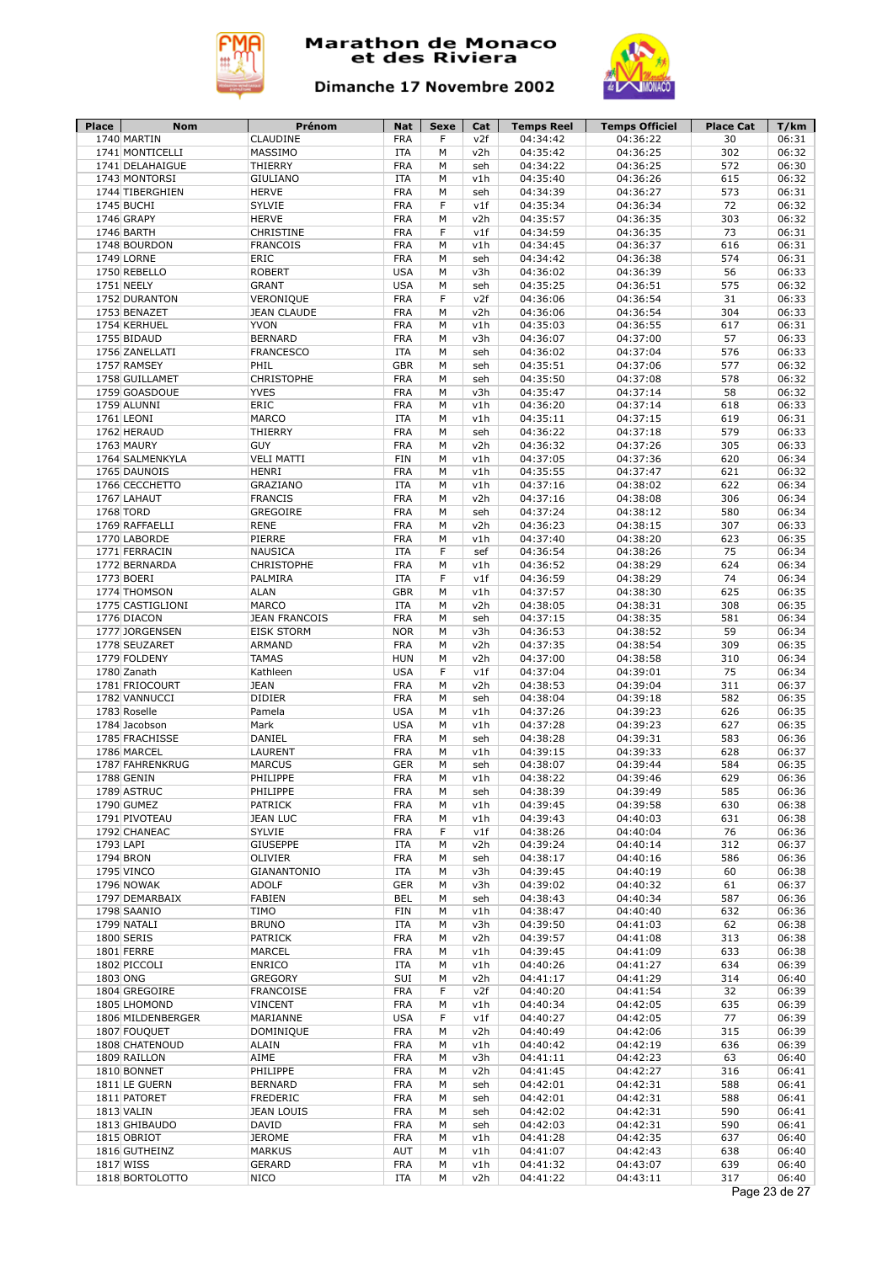



| <b>Place</b> | <b>Nom</b>        | Prénom               | Nat        | Sexe | Cat | <b>Temps Reel</b> | <b>Temps Officiel</b> | <b>Place Cat</b> | T/km          |
|--------------|-------------------|----------------------|------------|------|-----|-------------------|-----------------------|------------------|---------------|
|              | 1740 MARTIN       | CLAUDINE             | <b>FRA</b> | F    | v2f | 04:34:42          | 04:36:22              | 30               | 06:31         |
|              | 1741 MONTICELLI   | MASSIMO              | <b>ITA</b> | M    | v2h | 04:35:42          | 04:36:25              | 302              | 06:32         |
|              | 1741 DELAHAIGUE   | THIERRY              | <b>FRA</b> | M    | seh | 04:34:22          | 04:36:25              | 572              | 06:30         |
|              | 1743 MONTORSI     | <b>GIULIANO</b>      | <b>ITA</b> | М    | v1h | 04:35:40          | 04:36:26              | 615              | 06:32         |
|              | 1744 TIBERGHIEN   | <b>HERVE</b>         | <b>FRA</b> | M    | seh | 04:34:39          | 04:36:27              | 573              | 06:31         |
|              | 1745 BUCHI        | SYLVIE               | <b>FRA</b> | F    | v1f | 04:35:34          | 04:36:34              | 72               | 06:32         |
|              | 1746 GRAPY        | <b>HERVE</b>         | <b>FRA</b> | M    | v2h | 04:35:57          | 04:36:35              | 303              | 06:32         |
|              | 1746 BARTH        | CHRISTINE            | <b>FRA</b> | F    | v1f | 04:34:59          | 04:36:35              | 73               | 06:31         |
|              | 1748 BOURDON      | <b>FRANCOIS</b>      | <b>FRA</b> | М    | v1h | 04:34:45          | 04:36:37              | 616              | 06:31         |
|              | 1749 LORNE        | ERIC                 | <b>FRA</b> | М    | seh | 04:34:42          | 04:36:38              | 574              | 06:31         |
|              | 1750 REBELLO      | <b>ROBERT</b>        | <b>USA</b> | M    | v3h | 04:36:02          | 04:36:39              | 56               | 06:33         |
|              | 1751 NEELY        | <b>GRANT</b>         | <b>USA</b> | М    | seh | 04:35:25          | 04:36:51              | 575              | 06:32         |
|              | 1752 DURANTON     | VERONIQUE            | <b>FRA</b> | F    | v2f | 04:36:06          | 04:36:54              | 31               | 06:33         |
|              |                   |                      |            |      |     |                   |                       |                  |               |
|              | 1753 BENAZET      | <b>JEAN CLAUDE</b>   | <b>FRA</b> | М    | v2h | 04:36:06          | 04:36:54              | 304              | 06:33         |
|              | 1754 KERHUEL      | <b>YVON</b>          | <b>FRA</b> | M    | v1h | 04:35:03          | 04:36:55              | 617              | 06:31         |
|              | 1755 BIDAUD       | <b>BERNARD</b>       | <b>FRA</b> | М    | v3h | 04:36:07          | 04:37:00              | 57               | 06:33         |
|              | 1756 ZANELLATI    | <b>FRANCESCO</b>     | <b>ITA</b> | M    | seh | 04:36:02          | 04:37:04              | 576              | 06:33         |
|              | 1757 RAMSEY       | PHIL                 | <b>GBR</b> | M    | seh | 04:35:51          | 04:37:06              | 577              | 06:32         |
|              | 1758 GUILLAMET    | <b>CHRISTOPHE</b>    | <b>FRA</b> | M    | seh | 04:35:50          | 04:37:08              | 578              | 06:32         |
|              | 1759 GOASDOUE     | <b>YVES</b>          | <b>FRA</b> | М    | v3h | 04:35:47          | 04:37:14              | 58               | 06:32         |
|              | 1759 ALUNNI       | ERIC                 | <b>FRA</b> | М    | v1h | 04:36:20          | 04:37:14              | 618              | 06:33         |
|              | 1761 LEONI        | MARCO                | <b>ITA</b> | M    | v1h | 04:35:11          | 04:37:15              | 619              | 06:31         |
|              | 1762 HERAUD       | THIERRY              | <b>FRA</b> | М    | seh | 04:36:22          | 04:37:18              | 579              | 06:33         |
|              | 1763 MAURY        | <b>GUY</b>           | <b>FRA</b> | М    | v2h | 04:36:32          | 04:37:26              | 305              | 06:33         |
|              | 1764 SALMENKYLA   | <b>VELI MATTI</b>    | <b>FIN</b> | М    | v1h | 04:37:05          | 04:37:36              | 620              | 06:34         |
|              | 1765 DAUNOIS      | <b>HENRI</b>         | <b>FRA</b> | М    | v1h | 04:35:55          | 04:37:47              | 621              | 06:32         |
|              | 1766 CECCHETTO    | GRAZIANO             | <b>ITA</b> | M    | v1h | 04:37:16          | 04:38:02              | 622              | 06:34         |
|              | 1767 LAHAUT       | <b>FRANCIS</b>       | <b>FRA</b> | M    | v2h | 04:37:16          | 04:38:08              | 306              | 06:34         |
|              | 1768 TORD         | GREGOIRE             | <b>FRA</b> | M    | seh | 04:37:24          | 04:38:12              | 580              | 06:34         |
|              | 1769 RAFFAELLI    | <b>RENE</b>          | <b>FRA</b> | M    | v2h | 04:36:23          | 04:38:15              | 307              | 06:33         |
|              | 1770 LABORDE      | PIERRE               | <b>FRA</b> | M    | v1h | 04:37:40          | 04:38:20              | 623              | 06:35         |
|              |                   | <b>NAUSICA</b>       |            | F    |     | 04:36:54          |                       | 75               | 06:34         |
|              | 1771 FERRACIN     |                      | <b>ITA</b> |      | sef |                   | 04:38:26              |                  |               |
|              | 1772 BERNARDA     | <b>CHRISTOPHE</b>    | <b>FRA</b> | M    | v1h | 04:36:52          | 04:38:29              | 624              | 06:34         |
|              | 1773 BOERI        | PALMIRA              | <b>ITA</b> | F    | v1f | 04:36:59          | 04:38:29              | 74               | 06:34         |
|              | 1774 THOMSON      | <b>ALAN</b>          | <b>GBR</b> | М    | v1h | 04:37:57          | 04:38:30              | 625              | 06:35         |
|              | 1775 CASTIGLIONI  | MARCO                | <b>ITA</b> | М    | v2h | 04:38:05          | 04:38:31              | 308              | 06:35         |
|              | 1776 DIACON       | <b>JEAN FRANCOIS</b> | <b>FRA</b> | М    | seh | 04:37:15          | 04:38:35              | 581              | 06:34         |
|              | 1777 JORGENSEN    | <b>EISK STORM</b>    | <b>NOR</b> | M    | v3h | 04:36:53          | 04:38:52              | 59               | 06:34         |
|              | 1778 SEUZARET     | ARMAND               | <b>FRA</b> | M    | v2h | 04:37:35          | 04:38:54              | 309              | 06:35         |
|              | 1779 FOLDENY      | <b>TAMAS</b>         | <b>HUN</b> | M    | v2h | 04:37:00          | 04:38:58              | 310              | 06:34         |
|              | 1780 Zanath       | Kathleen             | <b>USA</b> | F    | v1f | 04:37:04          | 04:39:01              | 75               | 06:34         |
|              | 1781 FRIOCOURT    | <b>JEAN</b>          | <b>FRA</b> | M    | v2h | 04:38:53          | 04:39:04              | 311              | 06:37         |
|              | 1782 VANNUCCI     | <b>DIDIER</b>        | <b>FRA</b> | M    | seh | 04:38:04          | 04:39:18              | 582              | 06:35         |
|              | 1783 Roselle      | Pamela               | <b>USA</b> | M    | v1h | 04:37:26          | 04:39:23              | 626              | 06:35         |
|              | 1784 Jacobson     | Mark                 | <b>USA</b> | M    | v1h | 04:37:28          | 04:39:23              | 627              | 06:35         |
|              | 1785 FRACHISSE    | DANIEL               | <b>FRA</b> | M    | seh | 04:38:28          | 04:39:31              | 583              | 06:36         |
|              | 1786 MARCEL       | LAURENT              | <b>FRA</b> | М    | v1h | 04:39:15          | 04:39:33              | 628              | 06:37         |
|              | 1787 FAHRENKRUG   | <b>MARCUS</b>        | <b>GER</b> | М    | seh | 04:38:07          | 04:39:44              | 584              | 06:35         |
|              | 1788 GENIN        | PHILIPPE             | <b>FRA</b> | М    | v1h | 04:38:22          | 04:39:46              | 629              | 06:36         |
|              | 1789 ASTRUC       | PHILIPPE             | <b>FRA</b> | М    | seh | 04:38:39          | 04:39:49              | 585              | 06:36         |
|              | 1790 GUMEZ        | <b>PATRICK</b>       | <b>FRA</b> | М    | v1h | 04:39:45          | 04:39:58              | 630              | 06:38         |
|              | 1791 PIVOTEAU     | <b>JEAN LUC</b>      | <b>FRA</b> | м    | v1h | 04:39:43          | 04:40:03              | 631              | 06:38         |
|              | 1792 CHANEAC      | SYLVIE               | <b>FRA</b> | F    | v1f | 04:38:26          | 04:40:04              | 76               | 06:36         |
| 1793 LAPI    |                   |                      |            |      |     |                   | 04:40:14              |                  |               |
|              |                   | <b>GIUSEPPE</b>      | <b>ITA</b> | М    | v2h | 04:39:24          |                       | 312              | 06:37         |
|              | 1794 BRON         | OLIVIER              | <b>FRA</b> | M    | seh | 04:38:17          | 04:40:16              | 586              | 06:36         |
|              | 1795 VINCO        | GIANANTONIO          | <b>ITA</b> | М    | v3h | 04:39:45          | 04:40:19              | 60               | 06:38         |
|              | 1796 NOWAK        | <b>ADOLF</b>         | <b>GER</b> | M    | v3h | 04:39:02          | 04:40:32              | 61               | 06:37         |
|              | 1797 DEMARBAIX    | <b>FABIEN</b>        | <b>BEL</b> | М    | seh | 04:38:43          | 04:40:34              | 587              | 06:36         |
|              | 1798 SAANIO       | <b>TIMO</b>          | FIN        | М    | v1h | 04:38:47          | 04:40:40              | 632              | 06:36         |
|              | 1799 NATALI       | <b>BRUNO</b>         | <b>ITA</b> | М    | v3h | 04:39:50          | 04:41:03              | 62               | 06:38         |
|              | 1800 SERIS        | <b>PATRICK</b>       | <b>FRA</b> | М    | v2h | 04:39:57          | 04:41:08              | 313              | 06:38         |
|              | 1801 FERRE        | MARCEL               | <b>FRA</b> | М    | v1h | 04:39:45          | 04:41:09              | 633              | 06:38         |
|              | 1802 PICCOLI      | <b>ENRICO</b>        | <b>ITA</b> | М    | v1h | 04:40:26          | 04:41:27              | 634              | 06:39         |
| 1803 ONG     |                   | <b>GREGORY</b>       | SUI        | М    | v2h | 04:41:17          | 04:41:29              | 314              | 06:40         |
|              | 1804 GREGOIRE     | <b>FRANCOISE</b>     | <b>FRA</b> | F    | v2f | 04:40:20          | 04:41:54              | 32               | 06:39         |
|              | 1805 LHOMOND      | <b>VINCENT</b>       | <b>FRA</b> | М    | v1h | 04:40:34          | 04:42:05              | 635              | 06:39         |
|              | 1806 MILDENBERGER | MARIANNE             | <b>USA</b> | F    | v1f | 04:40:27          | 04:42:05              | 77               | 06:39         |
|              | 1807 FOUQUET      | DOMINIQUE            | <b>FRA</b> | М    | v2h | 04:40:49          | 04:42:06              | 315              | 06:39         |
|              | 1808 CHATENOUD    | ALAIN                | <b>FRA</b> | M    | v1h | 04:40:42          | 04:42:19              | 636              | 06:39         |
|              | 1809 RAILLON      | AIME                 | <b>FRA</b> | М    | v3h | 04:41:11          | 04:42:23              | 63               | 06:40         |
|              |                   | PHILIPPE             |            |      |     |                   |                       | 316              |               |
|              | 1810 BONNET       |                      | <b>FRA</b> | М    | v2h | 04:41:45          | 04:42:27              |                  | 06:41         |
|              | 1811 LE GUERN     | <b>BERNARD</b>       | <b>FRA</b> | М    | seh | 04:42:01          | 04:42:31              | 588              | 06:41         |
|              | 1811 PATORET      | <b>FREDERIC</b>      | <b>FRA</b> | М    | seh | 04:42:01          | 04:42:31              | 588              | 06:41         |
|              | 1813 VALIN        | <b>JEAN LOUIS</b>    | <b>FRA</b> | М    | seh | 04:42:02          | 04:42:31              | 590              | 06:41         |
|              | 1813 GHIBAUDO     | <b>DAVID</b>         | <b>FRA</b> | М    | seh | 04:42:03          | 04:42:31              | 590              | 06:41         |
|              | 1815 OBRIOT       | <b>JEROME</b>        | <b>FRA</b> | М    | v1h | 04:41:28          | 04:42:35              | 637              | 06:40         |
|              | 1816 GUTHEINZ     | <b>MARKUS</b>        | AUT        | М    | v1h | 04:41:07          | 04:42:43              | 638              | 06:40         |
|              | 1817 WISS         | GERARD               | <b>FRA</b> | М    | v1h | 04:41:32          | 04:43:07              | 639              | 06:40         |
|              | 1818 BORTOLOTTO   | <b>NICO</b>          | ITA        | М    | v2h | 04:41:22          | 04:43:11              | 317              | 06:40         |
|              |                   |                      |            |      |     |                   |                       |                  | Page 23 de 27 |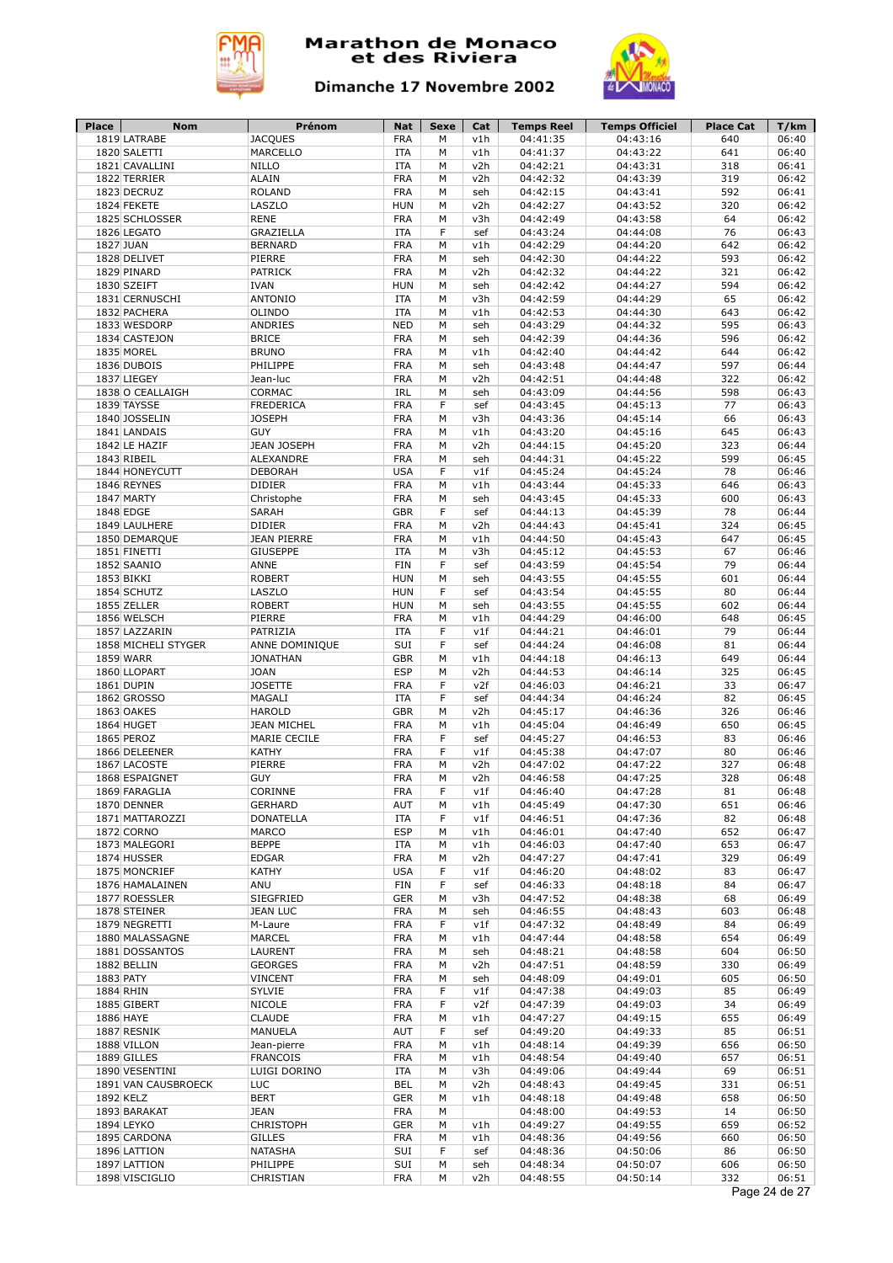



| <b>Place</b> | <b>Nom</b>          | Prénom             | Nat        | Sexe | Cat | <b>Temps Reel</b> | <b>Temps Officiel</b> | <b>Place Cat</b> | T/km          |
|--------------|---------------------|--------------------|------------|------|-----|-------------------|-----------------------|------------------|---------------|
|              | 1819 LATRABE        | <b>JACQUES</b>     | <b>FRA</b> | M    | v1h | 04:41:35          | 04:43:16              | 640              | 06:40         |
|              | 1820 SALETTI        | <b>MARCELLO</b>    | <b>ITA</b> | M    | v1h | 04:41:37          | 04:43:22              | 641              | 06:40         |
|              | 1821 CAVALLINI      | <b>NILLO</b>       | <b>ITA</b> | M    | v2h | 04:42:21          | 04:43:31              | 318              | 06:41         |
|              | 1822 TERRIER        | <b>ALAIN</b>       | <b>FRA</b> | М    | v2h | 04:42:32          | 04:43:39              | 319              | 06:42         |
|              | 1823 DECRUZ         | <b>ROLAND</b>      | <b>FRA</b> | M    | seh | 04:42:15          | 04:43:41              | 592              | 06:41         |
|              | 1824 FEKETE         | LASZLO             | <b>HUN</b> | M    | v2h | 04:42:27          | 04:43:52              | 320              | 06:42         |
|              | 1825 SCHLOSSER      | <b>RENE</b>        | <b>FRA</b> | M    | v3h | 04:42:49          | 04:43:58              | 64               | 06:42         |
|              | 1826 LEGATO         | GRAZIELLA          | <b>ITA</b> | F    | sef | 04:43:24          | 04:44:08              | 76               | 06:43         |
|              | 1827 JUAN           | <b>BERNARD</b>     | <b>FRA</b> | М    | v1h | 04:42:29          | 04:44:20              | 642              | 06:42         |
|              | 1828 DELIVET        | PIERRE             | <b>FRA</b> | М    | seh | 04:42:30          | 04:44:22              | 593              | 06:42         |
|              | 1829 PINARD         | <b>PATRICK</b>     | <b>FRA</b> | M    | v2h | 04:42:32          | 04:44:22              | 321              | 06:42         |
|              | 1830 SZEIFT         | <b>IVAN</b>        | <b>HUN</b> | М    | seh | 04:42:42          | 04:44:27              | 594              | 06:42         |
|              | 1831 CERNUSCHI      | <b>ANTONIO</b>     | <b>ITA</b> | M    | v3h | 04:42:59          | 04:44:29              | 65               | 06:42         |
|              | 1832 PACHERA        | OLINDO             | <b>ITA</b> | М    | v1h | 04:42:53          | 04:44:30              | 643              | 06:42         |
|              | 1833 WESDORP        |                    |            |      |     |                   |                       | 595              |               |
|              |                     | ANDRIES            | <b>NED</b> | M    | seh | 04:43:29          | 04:44:32              |                  | 06:43         |
|              | 1834 CASTEJON       | <b>BRICE</b>       | <b>FRA</b> | M    | seh | 04:42:39          | 04:44:36              | 596              | 06:42         |
|              | 1835 MOREL          | <b>BRUNO</b>       | <b>FRA</b> | M    | v1h | 04:42:40          | 04:44:42              | 644              | 06:42         |
|              | 1836 DUBOIS         | PHILIPPE           | <b>FRA</b> | M    | seh | 04:43:48          | 04:44:47              | 597              | 06:44         |
|              | 1837 LIEGEY         | Jean-luc           | <b>FRA</b> | M    | v2h | 04:42:51          | 04:44:48              | 322              | 06:42         |
|              | 1838 O CEALLAIGH    | CORMAC             | IRL        | М    | seh | 04:43:09          | 04:44:56              | 598              | 06:43         |
|              | 1839 TAYSSE         | <b>FREDERICA</b>   | <b>FRA</b> | F    | sef | 04:43:45          | 04:45:13              | 77               | 06:43         |
|              | 1840 JOSSELIN       | <b>JOSEPH</b>      | <b>FRA</b> | М    | v3h | 04:43:36          | 04:45:14              | 66               | 06:43         |
|              | 1841 LANDAIS        | <b>GUY</b>         | <b>FRA</b> | М    | v1h | 04:43:20          | 04:45:16              | 645              | 06:43         |
|              | 1842 LE HAZIF       | JEAN JOSEPH        | <b>FRA</b> | М    | v2h | 04:44:15          | 04:45:20              | 323              | 06:44         |
|              | 1843 RIBEIL         | ALEXANDRE          | <b>FRA</b> | М    | seh | 04:44:31          | 04:45:22              | 599              | 06:45         |
|              | 1844 HONEYCUTT      | <b>DEBORAH</b>     | <b>USA</b> | F    | v1f | 04:45:24          | 04:45:24              | 78               | 06:46         |
|              | 1846 REYNES         | <b>DIDIER</b>      | <b>FRA</b> | M    | v1h | 04:43:44          | 04:45:33              | 646              | 06:43         |
|              | 1847 MARTY          | Christophe         | <b>FRA</b> | M    | seh | 04:43:45          | 04:45:33              | 600              | 06:43         |
|              | 1848 EDGE           | <b>SARAH</b>       | <b>GBR</b> | F    | sef | 04:44:13          | 04:45:39              | 78               | 06:44         |
|              | 1849 LAULHERE       | <b>DIDIER</b>      | <b>FRA</b> | M    | v2h | 04:44:43          | 04:45:41              | 324              | 06:45         |
|              | 1850 DEMARQUE       | <b>JEAN PIERRE</b> | <b>FRA</b> | M    | v1h | 04:44:50          | 04:45:43              | 647              | 06:45         |
|              | 1851 FINETTI        | <b>GIUSEPPE</b>    | <b>ITA</b> | M    | v3h | 04:45:12          | 04:45:53              | 67               | 06:46         |
|              | 1852 SAANIO         | ANNE               | <b>FIN</b> | F    | sef | 04:43:59          | 04:45:54              | 79               | 06:44         |
|              | 1853 BIKKI          | <b>ROBERT</b>      | <b>HUN</b> | М    | seh | 04:43:55          | 04:45:55              | 601              | 06:44         |
|              |                     |                    |            |      |     |                   |                       |                  |               |
|              | 1854 SCHUTZ         | LASZLO             | <b>HUN</b> | F    | sef | 04:43:54          | 04:45:55              | 80               | 06:44         |
|              | 1855 ZELLER         | <b>ROBERT</b>      | <b>HUN</b> | М    | seh | 04:43:55          | 04:45:55              | 602              | 06:44         |
|              | 1856 WELSCH         | PIERRE             | <b>FRA</b> | М    | v1h | 04:44:29          | 04:46:00              | 648              | 06:45         |
|              | 1857 LAZZARIN       | PATRIZIA           | <b>ITA</b> | F    | v1f | 04:44:21          | 04:46:01              | 79               | 06:44         |
|              | 1858 MICHELI STYGER | ANNE DOMINIQUE     | SUI        | F    | sef | 04:44:24          | 04:46:08              | 81               | 06:44         |
|              | 1859 WARR           | <b>JONATHAN</b>    | <b>GBR</b> | M    | v1h | 04:44:18          | 04:46:13              | 649              | 06:44         |
|              | 1860 LLOPART        | <b>JOAN</b>        | <b>ESP</b> | М    | v2h | 04:44:53          | 04:46:14              | 325              | 06:45         |
|              | 1861 DUPIN          | <b>JOSETTE</b>     | <b>FRA</b> | F    | v2f | 04:46:03          | 04:46:21              | 33               | 06:47         |
|              | 1862 GROSSO         | MAGALI             | <b>ITA</b> | F    | sef | 04:44:34          | 04:46:24              | 82               | 06:45         |
|              | 1863 OAKES          | <b>HAROLD</b>      | <b>GBR</b> | M    | v2h | 04:45:17          | 04:46:36              | 326              | 06:46         |
|              | 1864 HUGET          | <b>JEAN MICHEL</b> | <b>FRA</b> | M    | v1h | 04:45:04          | 04:46:49              | 650              | 06:45         |
|              | 1865 PEROZ          | MARIE CECILE       | <b>FRA</b> | F    | sef | 04:45:27          | 04:46:53              | 83               | 06:46         |
|              | 1866 DELEENER       | <b>KATHY</b>       | <b>FRA</b> | F    | v1f | 04:45:38          | 04:47:07              | 80               | 06:46         |
|              | 1867 LACOSTE        | PIERRE             | <b>FRA</b> | М    | v2h | 04:47:02          | 04:47:22              | 327              | 06:48         |
|              | 1868 ESPAIGNET      | <b>GUY</b>         | <b>FRA</b> | M    | v2h | 04:46:58          | 04:47:25              | 328              | 06:48         |
|              | 1869 FARAGLIA       | CORINNE            | <b>FRA</b> | F    | v1f | 04:46:40          | 04:47:28              | 81               | 06:48         |
|              | 1870 DENNER         | <b>GERHARD</b>     | AUT        | М    | v1h | 04:45:49          | 04:47:30              | 651              | 06:46         |
|              | 1871 MATTAROZZI     | <b>DONATELLA</b>   | <b>ITA</b> | F    | v1f | 04:46:51          | 04:47:36              | 82               | 06:48         |
|              | 1872 CORNO          | MARCO              | <b>ESP</b> | м    | v1h | 04:46:01          | 04:47:40              | 652              | 06:47         |
|              | 1873 MALEGORI       | <b>BEPPE</b>       | ITA        | М    | v1h | 04:46:03          | 04:47:40              | 653              | 06:47         |
|              | 1874 HUSSER         | <b>EDGAR</b>       | <b>FRA</b> | M    | v2h | 04:47:27          | 04:47:41              | 329              | 06:49         |
|              | 1875 MONCRIEF       | <b>KATHY</b>       | <b>USA</b> | F    | v1f | 04:46:20          | 04:48:02              | 83               | 06:47         |
|              |                     | ANU                | <b>FIN</b> | F    |     |                   |                       | 84               | 06:47         |
|              | 1876 HAMALAINEN     |                    |            |      | sef | 04:46:33          | 04:48:18              |                  |               |
|              | 1877 ROESSLER       | SIEGFRIED          | <b>GER</b> | М    | v3h | 04:47:52          | 04:48:38              | 68               | 06:49         |
|              | 1878 STEINER        | <b>JEAN LUC</b>    | <b>FRA</b> | M    | seh | 04:46:55          | 04:48:43              | 603              | 06:48         |
|              | 1879 NEGRETTI       | M-Laure            | FRA        | F    | v1f | 04:47:32          | 04:48:49              | 84               | 06:49         |
|              | 1880 MALASSAGNE     | MARCEL             | <b>FRA</b> | М    | v1h | 04:47:44          | 04:48:58              | 654              | 06:49         |
|              | 1881 DOSSANTOS      | LAURENT            | <b>FRA</b> | М    | seh | 04:48:21          | 04:48:58              | 604              | 06:50         |
|              | 1882 BELLIN         | <b>GEORGES</b>     | <b>FRA</b> | M    | v2h | 04:47:51          | 04:48:59              | 330              | 06:49         |
|              | 1883 PATY           | <b>VINCENT</b>     | <b>FRA</b> | М    | seh | 04:48:09          | 04:49:01              | 605              | 06:50         |
|              | 1884 RHIN           | <b>SYLVIE</b>      | <b>FRA</b> | F    | v1f | 04:47:38          | 04:49:03              | 85               | 06:49         |
|              | 1885 GIBERT         | NICOLE             | <b>FRA</b> | F    | v2f | 04:47:39          | 04:49:03              | 34               | 06:49         |
|              | 1886 HAYE           | <b>CLAUDE</b>      | <b>FRA</b> | M    | v1h | 04:47:27          | 04:49:15              | 655              | 06:49         |
|              | 1887 RESNIK         | MANUELA            | <b>AUT</b> | F    | sef | 04:49:20          | 04:49:33              | 85               | 06:51         |
|              | 1888 VILLON         | Jean-pierre        | <b>FRA</b> | M    | v1h | 04:48:14          | 04:49:39              | 656              | 06:50         |
|              | 1889 GILLES         | <b>FRANCOIS</b>    | <b>FRA</b> | М    | v1h | 04:48:54          | 04:49:40              | 657              | 06:51         |
|              | 1890 VESENTINI      | LUIGI DORINO       | <b>ITA</b> | М    | v3h | 04:49:06          | 04:49:44              | 69               | 06:51         |
|              | 1891 VAN CAUSBROECK | <b>LUC</b>         | <b>BEL</b> | М    | v2h | 04:48:43          | 04:49:45              | 331              | 06:51         |
|              | 1892 KELZ           | <b>BERT</b>        | <b>GER</b> | М    | v1h | 04:48:18          | 04:49:48              | 658              | 06:50         |
|              | 1893 BARAKAT        | <b>JEAN</b>        | <b>FRA</b> | М    |     | 04:48:00          | 04:49:53              | 14               | 06:50         |
|              |                     |                    |            |      |     |                   |                       | 659              |               |
|              | 1894 LEYKO          | <b>CHRISTOPH</b>   | <b>GER</b> | М    | v1h | 04:49:27          | 04:49:55              |                  | 06:52         |
|              | 1895 CARDONA        | <b>GILLES</b>      | <b>FRA</b> | М    | v1h | 04:48:36          | 04:49:56              | 660              | 06:50         |
|              | 1896 LATTION        | NATASHA            | SUI        | F    | sef | 04:48:36          | 04:50:06              | 86               | 06:50         |
|              | 1897 LATTION        | PHILIPPE           | SUI        | М    | seh | 04:48:34          | 04:50:07              | 606              | 06:50         |
|              | 1898 VISCIGLIO      | CHRISTIAN          | <b>FRA</b> | М    | v2h | 04:48:55          | 04:50:14              | 332              | 06:51         |
|              |                     |                    |            |      |     |                   |                       |                  | Page 24 de 27 |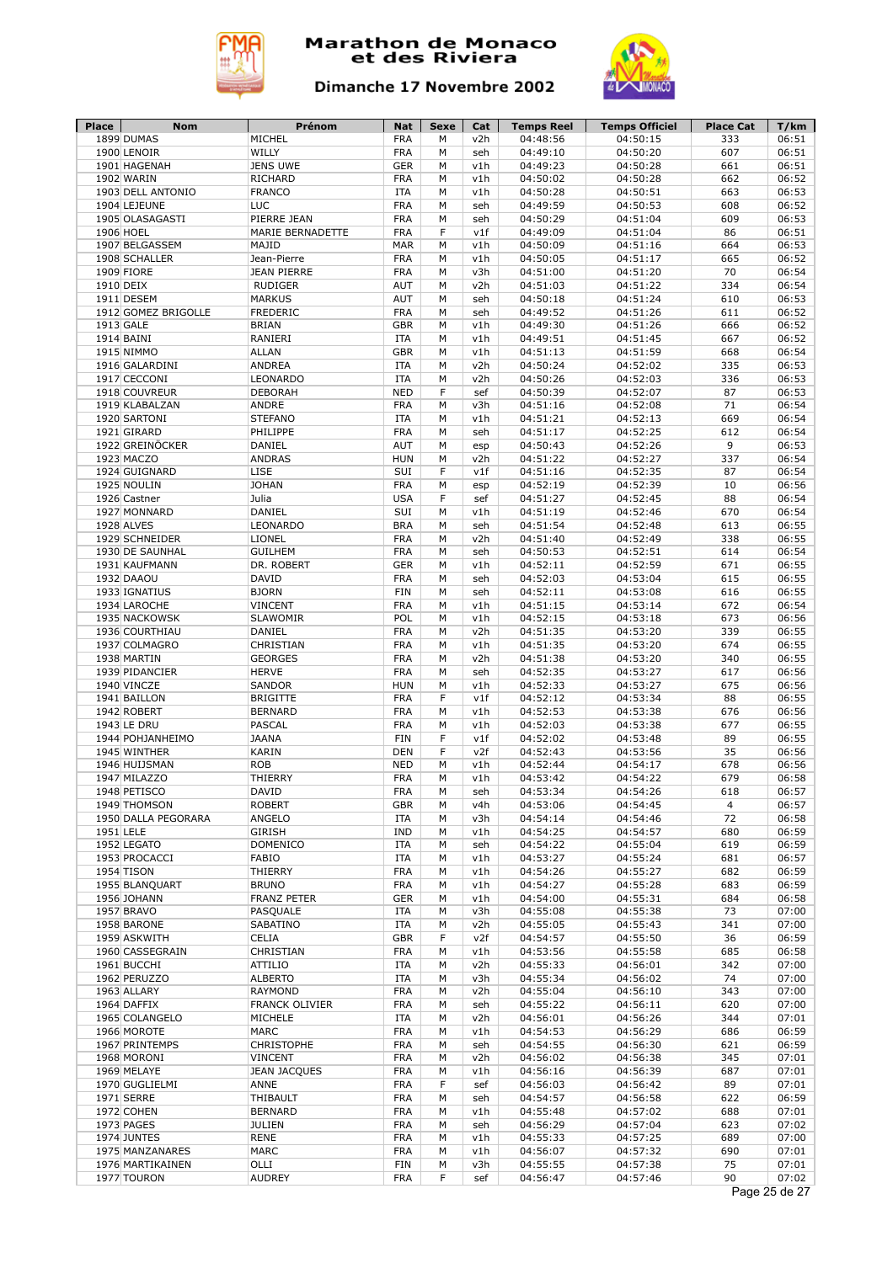



| Place     | Nom                         | Prénom              | Nat        | Sexe | Cat | <b>Temps Reel</b>    | <b>Temps Officiel</b> | <b>Place Cat</b> | T/km          |
|-----------|-----------------------------|---------------------|------------|------|-----|----------------------|-----------------------|------------------|---------------|
|           | 1899 DUMAS                  | MICHEL              | <b>FRA</b> | M    | v2h | 04:48:56             | 04:50:15              | 333              | 06:51         |
|           | 1900 LENOIR                 | WILLY               | <b>FRA</b> | M    | seh | 04:49:10             | 04:50:20              | 607              | 06:51         |
|           | 1901 HAGENAH                | <b>JENS UWE</b>     | <b>GER</b> | M    | v1h | 04:49:23             | 04:50:28              | 661              | 06:51         |
|           | 1902 WARIN                  | RICHARD             | <b>FRA</b> | M    | v1h | 04:50:02             | 04:50:28              | 662              | 06:52         |
|           | 1903 DELL ANTONIO           | <b>FRANCO</b>       | <b>ITA</b> | M    | v1h | 04:50:28             | 04:50:51              | 663              | 06:53         |
|           | 1904 LEJEUNE                | LUC                 | <b>FRA</b> | M    | seh | 04:49:59             | 04:50:53              | 608              | 06:52         |
|           | 1905 OLASAGASTI             | PIERRE JEAN         | <b>FRA</b> | M    | seh | 04:50:29             | 04:51:04              | 609              | 06:53         |
|           | 1906 HOEL                   | MARIE BERNADETTE    | <b>FRA</b> | F    | v1f | 04:49:09             | 04:51:04              | 86               | 06:51         |
|           | 1907 BELGASSEM              | MAJID               | <b>MAR</b> | M    | v1h | 04:50:09             | 04:51:16              | 664              | 06:53         |
|           | 1908 SCHALLER               | Jean-Pierre         | <b>FRA</b> | M    | v1h | 04:50:05             | 04:51:17              | 665              | 06:52         |
|           | 1909 FIORE                  | <b>JEAN PIERRE</b>  | <b>FRA</b> | M    | v3h | 04:51:00             | 04:51:20              | 70               | 06:54         |
| 1910 DEIX |                             | <b>RUDIGER</b>      | AUT        | M    | v2h | 04:51:03             | 04:51:22              | 334              | 06:54         |
|           | 1911 DESEM                  | <b>MARKUS</b>       | <b>AUT</b> | M    | seh | 04:50:18             | 04:51:24              | 610              | 06:53         |
|           | 1912 GOMEZ BRIGOLLE         | <b>FREDERIC</b>     | <b>FRA</b> | M    | seh | 04:49:52             | 04:51:26              | 611              | 06:52         |
|           | 1913 GALE                   | <b>BRIAN</b>        | <b>GBR</b> | M    | v1h | 04:49:30             | 04:51:26              | 666              | 06:52         |
|           | 1914 BAINI                  | RANIERI             | ITA        | M    | v1h | 04:49:51             | 04:51:45              | 667              | 06:52         |
|           | 1915 NIMMO                  | <b>ALLAN</b>        | <b>GBR</b> | M    | v1h | 04:51:13             | 04:51:59              | 668              | 06:54         |
|           | 1916 GALARDINI              | <b>ANDREA</b>       | <b>ITA</b> | M    | v2h | 04:50:24             | 04:52:02              | 335              | 06:53         |
|           | 1917 CECCONI                | LEONARDO            | <b>ITA</b> | M    | v2h | 04:50:26             | 04:52:03              | 336              | 06:53         |
|           | 1918 COUVREUR               | <b>DEBORAH</b>      | <b>NED</b> | F    | sef | 04:50:39             | 04:52:07              | 87               | 06:53         |
|           | 1919 KLABALZAN              | ANDRE               | <b>FRA</b> | M    | v3h | 04:51:16             | 04:52:08              | 71               | 06:54         |
|           | 1920 SARTONI                | <b>STEFANO</b>      | <b>ITA</b> | M    | v1h | 04:51:21             | 04:52:13              | 669              | 06:54         |
|           | 1921 GIRARD                 | PHILIPPE            | <b>FRA</b> | М    | seh | 04:51:17             | 04:52:25              | 612              | 06:54         |
|           | 1922 GREINÖCKER             | DANIEL              | AUT        | M    | esp | 04:50:43             | 04:52:26              | 9                | 06:53         |
|           | 1923 MACZO                  | <b>ANDRAS</b>       | <b>HUN</b> | М    | v2h | 04:51:22             | 04:52:27              | 337              | 06:54         |
|           | 1924 GUIGNARD               | LISE                | SUI        | F    | v1f | 04:51:16             | 04:52:35              | 87               | 06:54         |
|           | 1925 NOULIN                 | <b>JOHAN</b>        | <b>FRA</b> | М    | esp | 04:52:19             | 04:52:39              | 10               | 06:56         |
|           | 1926 Castner                | Julia               | <b>USA</b> | F    | sef | 04:51:27             | 04:52:45              | 88               | 06:54         |
|           | 1927 MONNARD                | DANIEL              | SUI        | M    | v1h | 04:51:19             | 04:52:46              | 670              | 06:54         |
|           | 1928 ALVES                  | LEONARDO            | <b>BRA</b> | M    | seh | 04:51:54             | 04:52:48              | 613              | 06:55         |
|           | 1929 SCHNEIDER              | LIONEL              | <b>FRA</b> | M    | v2h | 04:51:40             | 04:52:49              | 338              | 06:55         |
|           | 1930 DE SAUNHAL             | <b>GUILHEM</b>      | <b>FRA</b> | M    | seh | 04:50:53             | 04:52:51              | 614              | 06:54         |
|           |                             | DR. ROBERT          | <b>GER</b> | M    | v1h |                      | 04:52:59              | 671              | 06:55         |
|           | 1931 KAUFMANN<br>1932 DAAOU | <b>DAVID</b>        | <b>FRA</b> | M    | seh | 04:52:11<br>04:52:03 | 04:53:04              | 615              | 06:55         |
|           | 1933 IGNATIUS               | <b>BJORN</b>        | <b>FIN</b> | M    |     |                      |                       | 616              | 06:55         |
|           |                             | <b>VINCENT</b>      | <b>FRA</b> | M    | seh | 04:52:11<br>04:51:15 | 04:53:08<br>04:53:14  | 672              | 06:54         |
|           | 1934 LAROCHE                | <b>SLAWOMIR</b>     | POL        | M    | v1h |                      |                       | 673              |               |
|           | 1935 NACKOWSK               |                     |            |      | v1h | 04:52:15             | 04:53:18              |                  | 06:56         |
|           | 1936 COURTHIAU              | DANIEL              | <b>FRA</b> | M    | v2h | 04:51:35             | 04:53:20              | 339              | 06:55         |
|           | 1937 COLMAGRO               | CHRISTIAN           | <b>FRA</b> | M    | v1h | 04:51:35             | 04:53:20              | 674              | 06:55         |
|           | 1938 MARTIN                 | <b>GEORGES</b>      | <b>FRA</b> | M    | v2h | 04:51:38             | 04:53:20              | 340              | 06:55         |
|           | 1939 PIDANCIER              | <b>HERVE</b>        | <b>FRA</b> | M    | seh | 04:52:35             | 04:53:27              | 617              | 06:56         |
|           | 1940 VINCZE                 | <b>SANDOR</b>       | <b>HUN</b> | M    | v1h | 04:52:33             | 04:53:27              | 675              | 06:56         |
|           | 1941 BAILLON                | <b>BRIGITTE</b>     | <b>FRA</b> | F    | v1f | 04:52:12             | 04:53:34              | 88               | 06:55         |
|           | 1942 ROBERT                 | <b>BERNARD</b>      | <b>FRA</b> | M    | v1h | 04:52:53             | 04:53:38              | 676              | 06:56         |
|           | 1943 LE DRU                 | PASCAL              | <b>FRA</b> | М    | v1h | 04:52:03             | 04:53:38              | 677              | 06:55         |
|           | 1944 POHJANHEIMO            | <b>JAANA</b>        | <b>FIN</b> | F    | v1f | 04:52:02             | 04:53:48              | 89               | 06:55         |
|           | 1945 WINTHER                | KARIN               | DEN        | F    | v2f | 04:52:43             | 04:53:56              | 35               | 06:56         |
|           | 1946 HUIJSMAN               | <b>ROB</b>          | <b>NED</b> | M    | v1h | 04:52:44             | 04:54:17              | 678              | 06:56         |
|           | 1947 MILAZZO                | THIERRY             | <b>FRA</b> | M    | v1h | 04:53:42             | 04:54:22              | 679              | 06:58         |
|           | 1948 PETISCO                | <b>DAVID</b>        | <b>FRA</b> | M    | seh | 04:53:34             | 04:54:26              | 618              | 06:57         |
|           | 1949 THOMSON                | <b>ROBERT</b>       | <b>GBR</b> | м    | v4h | 04:53:06             | 04:54:45              | 4                | 06:57         |
|           | 1950 DALLA PEGORARA         | ANGELO              | <b>ITA</b> | М    | v3h | 04:54:14             | 04:54:46              | 72               | 06:58         |
| 1951 LELE |                             | GIRISH              | IND        | М    | v1h | 04:54:25             | 04:54:57              | 680              | 06:59         |
|           | 1952 LEGATO                 | <b>DOMENICO</b>     | ITA        | М    | seh | 04:54:22             | 04:55:04              | 619              | 06:59         |
|           | 1953 PROCACCI               | FABIO               | <b>ITA</b> | М    | v1h | 04:53:27             | 04:55:24              | 681              | 06:57         |
|           | 1954 TISON                  | THIERRY             | <b>FRA</b> | М    | v1h | 04:54:26             | 04:55:27              | 682              | 06:59         |
|           | 1955 BLANQUART              | <b>BRUNO</b>        | <b>FRA</b> | М    | v1h | 04:54:27             | 04:55:28              | 683              | 06:59         |
|           | 1956 JOHANN                 | FRANZ PETER         | <b>GER</b> | М    | v1h | 04:54:00             | 04:55:31              | 684              | 06:58         |
|           | 1957 BRAVO                  | PASQUALE            | ITA        | M    | v3h | 04:55:08             | 04:55:38              | 73               | 07:00         |
|           | 1958 BARONE                 | SABATINO            | ITA        | М    | v2h | 04:55:05             | 04:55:43              | 341              | 07:00         |
|           | 1959 ASKWITH                | CELIA               | <b>GBR</b> | F    | v2f | 04:54:57             | 04:55:50              | 36               | 06:59         |
|           | 1960 CASSEGRAIN             | CHRISTIAN           | <b>FRA</b> | М    | v1h | 04:53:56             | 04:55:58              | 685              | 06:58         |
|           | 1961 BUCCHI                 | ATTILIO             | ITA        | М    | v2h | 04:55:33             | 04:56:01              | 342              | 07:00         |
|           | 1962 PERUZZO                | <b>ALBERTO</b>      | ITA        | М    | v3h | 04:55:34             | 04:56:02              | 74               | 07:00         |
|           | 1963 ALLARY                 | <b>RAYMOND</b>      | <b>FRA</b> | М    | v2h | 04:55:04             | 04:56:10              | 343              | 07:00         |
|           | 1964 DAFFIX                 | FRANCK OLIVIER      | FRA        | М    | seh | 04:55:22             | 04:56:11              | 620              | 07:00         |
|           | 1965 COLANGELO              | MICHELE             | ITA        | М    | v2h | 04:56:01             | 04:56:26              | 344              | 07:01         |
|           | 1966 MOROTE                 | MARC                | <b>FRA</b> | М    | v1h | 04:54:53             | 04:56:29              | 686              | 06:59         |
|           | 1967 PRINTEMPS              | CHRISTOPHE          | <b>FRA</b> | М    | seh | 04:54:55             | 04:56:30              | 621              | 06:59         |
|           | 1968 MORONI                 | <b>VINCENT</b>      | <b>FRA</b> | М    | v2h | 04:56:02             | 04:56:38              | 345              | 07:01         |
|           | 1969 MELAYE                 | <b>JEAN JACQUES</b> | <b>FRA</b> | М    | v1h | 04:56:16             | 04:56:39              | 687              | 07:01         |
|           | 1970 GUGLIELMI              | ANNE                | <b>FRA</b> | F    | sef | 04:56:03             | 04:56:42              | 89               | 07:01         |
|           | 1971 SERRE                  | THIBAULT            | <b>FRA</b> | М    | seh | 04:54:57             | 04:56:58              | 622              | 06:59         |
|           | 1972 COHEN                  | <b>BERNARD</b>      | <b>FRA</b> | М    | v1h | 04:55:48             | 04:57:02              | 688              | 07:01         |
|           | 1973 PAGES                  | <b>JULIEN</b>       | <b>FRA</b> | М    | seh | 04:56:29             | 04:57:04              | 623              | 07:02         |
|           | 1974 JUNTES                 | <b>RENE</b>         | FRA        | М    | v1h | 04:55:33             | 04:57:25              | 689              | 07:00         |
|           | 1975 MANZANARES             | MARC                | <b>FRA</b> | М    | v1h | 04:56:07             | 04:57:32              | 690              | 07:01         |
|           | 1976 MARTIKAINEN            | OLLI                | FIN        | М    | v3h | 04:55:55             | 04:57:38              | 75               | 07:01         |
|           | 1977 TOURON                 | <b>AUDREY</b>       | <b>FRA</b> | F    | sef | 04:56:47             | 04:57:46              | 90               | 07:02         |
|           |                             |                     |            |      |     |                      |                       |                  | Page 25 de 27 |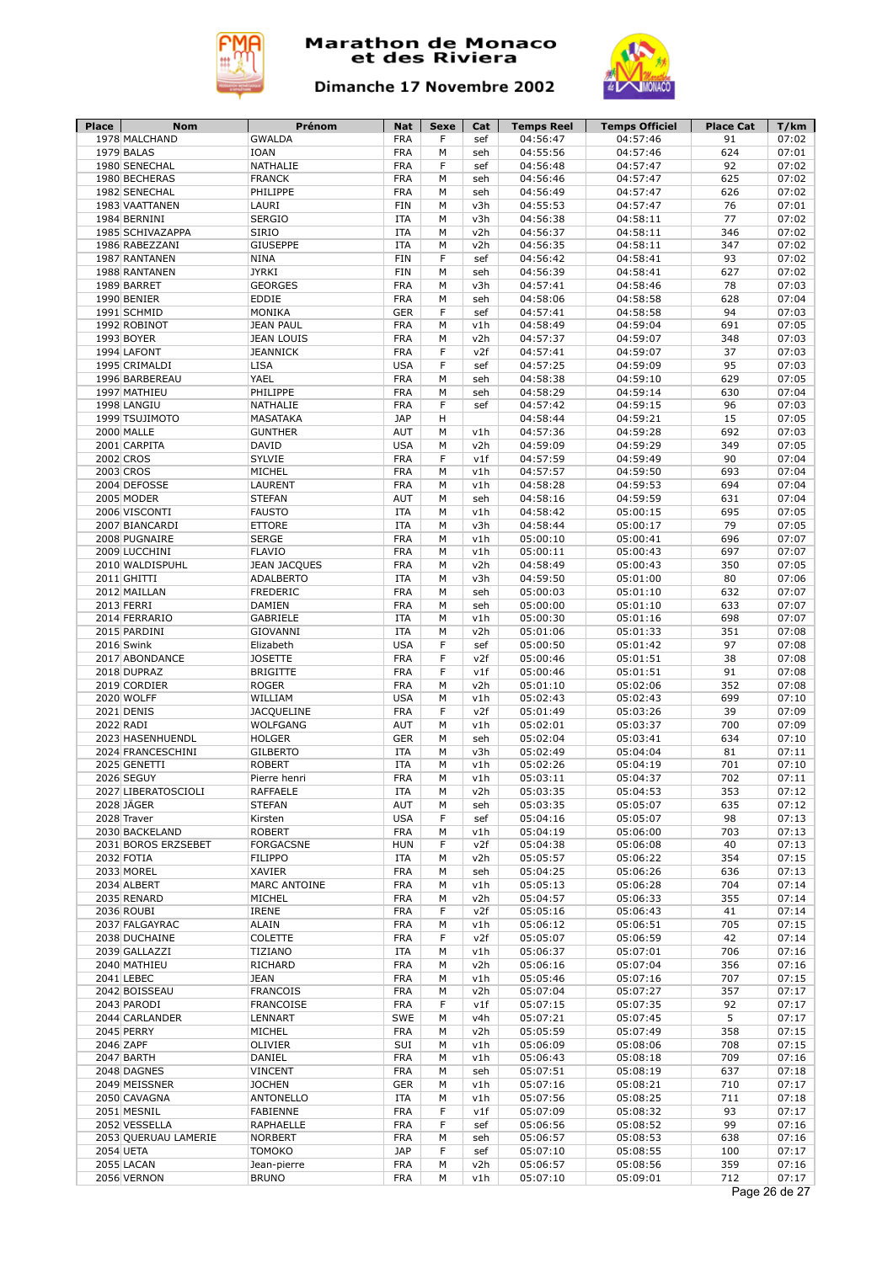



| <b>Place</b> | Nom                             | Prénom                   | Nat                      | Sexe   | Cat        | <b>Temps Reel</b>    | <b>Temps Officiel</b> | <b>Place Cat</b> | T/km           |
|--------------|---------------------------------|--------------------------|--------------------------|--------|------------|----------------------|-----------------------|------------------|----------------|
|              | 1978 MALCHAND                   | <b>GWALDA</b>            | <b>FRA</b>               | F      | sef        | 04:56:47             | 04:57:46              | 91               | 07:02          |
|              | 1979 BALAS                      | <b>IOAN</b>              | <b>FRA</b>               | M      | seh        | 04:55:56             | 04:57:46              | 624              | 07:01          |
|              | 1980 SENECHAL                   | NATHALIE                 | <b>FRA</b>               | F      | sef        | 04:56:48             | 04:57:47              | 92               | 07:02          |
|              | 1980 BECHERAS                   | <b>FRANCK</b>            | <b>FRA</b>               | M      | seh        | 04:56:46             | 04:57:47              | 625              | 07:02          |
|              | 1982 SENECHAL                   | PHILIPPE                 | <b>FRA</b>               | M      | seh        | 04:56:49             | 04:57:47              | 626              | 07:02          |
|              | 1983 VAATTANEN                  | LAURI                    | <b>FIN</b>               | М      | v3h        | 04:55:53             | 04:57:47              | 76               | 07:01          |
|              | 1984 BERNINI                    | <b>SERGIO</b>            | <b>ITA</b>               | M      | v3h        | 04:56:38<br>04:56:37 | 04:58:11              | 77               | 07:02          |
|              | 1985 SCHIVAZAPPA                | SIRIO<br><b>GIUSEPPE</b> | <b>ITA</b><br><b>ITA</b> | M<br>M | v2h<br>v2h |                      | 04:58:11              | 346<br>347       | 07:02<br>07:02 |
|              | 1986 RABEZZANI<br>1987 RANTANEN | <b>NINA</b>              | <b>FIN</b>               | F      | sef        | 04:56:35<br>04:56:42 | 04:58:11<br>04:58:41  | 93               | 07:02          |
|              | 1988 RANTANEN                   | <b>JYRKI</b>             | <b>FIN</b>               | М      | seh        | 04:56:39             | 04:58:41              | 627              | 07:02          |
|              | 1989 BARRET                     | <b>GEORGES</b>           | <b>FRA</b>               | M      | v3h        | 04:57:41             | 04:58:46              | 78               | 07:03          |
|              | 1990 BENIER                     | EDDIE                    | <b>FRA</b>               | M      | seh        | 04:58:06             | 04:58:58              | 628              | 07:04          |
|              | 1991 SCHMID                     | MONIKA                   | <b>GER</b>               | F      | sef        | 04:57:41             | 04:58:58              | 94               | 07:03          |
|              | 1992 ROBINOT                    | <b>JEAN PAUL</b>         | <b>FRA</b>               | M      | v1h        | 04:58:49             | 04:59:04              | 691              | 07:05          |
|              | 1993 BOYER                      | <b>JEAN LOUIS</b>        | <b>FRA</b>               | M      | v2h        | 04:57:37             | 04:59:07              | 348              | 07:03          |
|              | 1994 LAFONT                     | <b>JEANNICK</b>          | <b>FRA</b>               | F      | v2f        | 04:57:41             | 04:59:07              | 37               | 07:03          |
|              | 1995 CRIMALDI                   | <b>LISA</b>              | <b>USA</b>               | F      | sef        | 04:57:25             | 04:59:09              | 95               | 07:03          |
|              | 1996 BARBEREAU                  | YAEL                     | <b>FRA</b>               | М      | seh        | 04:58:38             | 04:59:10              | 629              | 07:05          |
|              | 1997 MATHIEU                    | PHILIPPE                 | <b>FRA</b>               | M      | seh        | 04:58:29             | 04:59:14              | 630              | 07:04          |
|              | 1998 LANGIU                     | NATHALIE                 | <b>FRA</b>               | F      | sef        | 04:57:42             | 04:59:15              | 96               | 07:03          |
|              | 1999 TSUJIMOTO                  | MASATAKA                 | <b>JAP</b>               | н      |            | 04:58:44             | 04:59:21              | 15               | 07:05          |
|              | 2000 MALLE                      | <b>GUNTHER</b>           | <b>AUT</b>               | М      | v1h        | 04:57:36             | 04:59:28              | 692              | 07:03          |
|              | 2001 CARPITA                    | DAVID                    | <b>USA</b>               | M      | v2h        | 04:59:09             | 04:59:29              | 349              | 07:05          |
|              | 2002 CROS                       | <b>SYLVIE</b>            | <b>FRA</b>               | F      | v1f        | 04:57:59             | 04:59:49              | 90               | 07:04          |
|              | 2003 CROS                       | MICHEL                   | <b>FRA</b>               | M      | v1h        | 04:57:57             | 04:59:50              | 693              | 07:04          |
|              | 2004 DEFOSSE                    | LAURENT                  | <b>FRA</b>               | M      | v1h        | 04:58:28             | 04:59:53              | 694              | 07:04          |
|              | 2005 MODER                      | <b>STEFAN</b>            | <b>AUT</b>               | M      | seh        | 04:58:16             | 04:59:59              | 631              | 07:04          |
|              | 2006 VISCONTI                   | <b>FAUSTO</b>            | <b>ITA</b>               | M      | v1h        | 04:58:42             | 05:00:15              | 695              | 07:05          |
|              | 2007 BIANCARDI                  | <b>ETTORE</b>            | <b>ITA</b>               | M      | v3h        | 04:58:44             | 05:00:17              | 79               | 07:05          |
|              | 2008 PUGNAIRE                   | <b>SERGE</b>             | <b>FRA</b>               | M      | v1h        | 05:00:10             | 05:00:41              | 696              | 07:07          |
|              | 2009 LUCCHINI                   | <b>FLAVIO</b>            | <b>FRA</b>               | M      | v1h        | 05:00:11             | 05:00:43              | 697              | 07:07          |
|              | 2010 WALDISPUHL                 | <b>JEAN JACQUES</b>      | <b>FRA</b>               | M      | v2h        | 04:58:49             | 05:00:43              | 350              | 07:05          |
|              | 2011 GHITTI                     | <b>ADALBERTO</b>         | <b>ITA</b>               | M      | v3h        | 04:59:50             | 05:01:00              | 80               | 07:06          |
|              | 2012 MAILLAN                    | <b>FREDERIC</b>          | <b>FRA</b>               | M      | seh        | 05:00:03             | 05:01:10              | 632              | 07:07          |
|              | 2013 FERRI                      | DAMIEN                   | <b>FRA</b>               | M      | seh        | 05:00:00             | 05:01:10              | 633              | 07:07          |
|              | 2014 FERRARIO                   | <b>GABRIELE</b>          | <b>ITA</b>               | M      | v1h        | 05:00:30             | 05:01:16              | 698              | 07:07          |
|              | 2015 PARDINI                    | GIOVANNI                 | <b>ITA</b>               | M      | v2h        | 05:01:06             | 05:01:33              | 351              | 07:08          |
|              | 2016 Swink                      | Elizabeth                | <b>USA</b>               | F      | sef        | 05:00:50             | 05:01:42              | 97               | 07:08          |
|              | 2017 ABONDANCE                  | <b>JOSETTE</b>           | <b>FRA</b>               | F      | v2f        | 05:00:46             | 05:01:51              | 38               | 07:08          |
|              | 2018 DUPRAZ                     | <b>BRIGITTE</b>          | <b>FRA</b>               | F      | v1f        | 05:00:46             | 05:01:51              | 91               | 07:08          |
|              | 2019 CORDIER                    | <b>ROGER</b>             | <b>FRA</b>               | M      | v2h        | 05:01:10             | 05:02:06              | 352              | 07:08          |
|              | 2020 WOLFF                      | WILLIAM                  | <b>USA</b>               | M      | v1h        | 05:02:43             | 05:02:43              | 699              | 07:10          |
|              | 2021 DENIS                      | <b>JACQUELINE</b>        | <b>FRA</b>               | F      | v2f        | 05:01:49             | 05:03:26              | 39               | 07:09          |
| 2022 RADI    |                                 | <b>WOLFGANG</b>          | <b>AUT</b>               | M      | v1h        | 05:02:01             | 05:03:37              | 700              | 07:09          |
|              | 2023 HASENHUENDL                | <b>HOLGER</b>            | <b>GER</b>               | М      | seh        | 05:02:04             | 05:03:41              | 634              | 07:10          |
|              | 2024 FRANCESCHINI               | <b>GILBERTO</b>          | <b>ITA</b>               | М      | v3h        | 05:02:49             | 05:04:04              | 81               | 07:11          |
|              | 2025 GENETTI                    | <b>ROBERT</b>            | <b>ITA</b>               | M      | v1h        | 05:02:26             | 05:04:19              | 701              | 07:10          |
|              | 2026 SEGUY                      | Pierre henri             | <b>FRA</b>               | M      | v1h        | 05:03:11             | 05:04:37              | 702              | 07:11          |
|              | 2027 LIBERATOSCIOLI             | <b>RAFFAELE</b>          | <b>ITA</b>               | М      | v2h        | 05:03:35             | 05:04:53              | 353              | 07:12          |
|              | 2028 JÄGER                      | <b>STEFAN</b>            | AUT                      | М      | seh        | 05:03:35             | 05:05:07              | 635              | 07:12          |
|              | 2028 Traver                     | Kirsten                  | <b>USA</b>               | F      | sef        | 05:04:16             | 05:05:07              | 98               | 07:13          |
|              | 2030 BACKELAND                  | <b>ROBERT</b>            | <b>FRA</b>               | М      | v1h        | 05:04:19             | 05:06:00              | 703              | 07:13          |
|              | 2031 BOROS ERZSEBET             | <b>FORGACSNE</b>         | <b>HUN</b>               | F      | v2f        | 05:04:38             | 05:06:08              | 40               | 07:13          |
|              | 2032 FOTIA                      | <b>FILIPPO</b>           | <b>ITA</b>               | M      | v2h        | 05:05:57             | 05:06:22              | 354              | 07:15          |
|              | 2033 MOREL                      | XAVIER                   | <b>FRA</b>               | М      | seh        | 05:04:25             | 05:06:26              | 636              | 07:13          |
|              | 2034 ALBERT                     | MARC ANTOINE             | <b>FRA</b>               | М      | v1h        | 05:05:13             | 05:06:28              | 704              | 07:14          |
|              | 2035 RENARD                     | MICHEL                   | <b>FRA</b>               | М      | v2h        | 05:04:57             | 05:06:33              | 355              | 07:14          |
|              | 2036 ROUBI                      | <b>IRENE</b>             | <b>FRA</b>               | F      | v2f        | 05:05:16             | 05:06:43              | 41               | 07:14          |
|              | 2037 FALGAYRAC                  | <b>ALAIN</b>             | FRA                      | М      | v1h        | 05:06:12             | 05:06:51              | 705              | 07:15          |
|              | 2038 DUCHAINE                   | COLETTE                  | <b>FRA</b>               | F      | v2f        | 05:05:07             | 05:06:59              | 42               | 07:14          |
|              | 2039 GALLAZZI                   | TIZIANO                  | ITA                      | M      | v1h        | 05:06:37             | 05:07:01              | 706              | 07:16          |
|              | 2040 MATHIEU                    | RICHARD                  | <b>FRA</b>               | М      | v2h        | 05:06:16             | 05:07:04              | 356              | 07:16          |
|              | 2041 LEBEC                      | <b>JEAN</b>              | <b>FRA</b>               | М      | v1h        | 05:05:46             | 05:07:16              | 707              | 07:15          |
|              | 2042 BOISSEAU                   | <b>FRANCOIS</b>          | <b>FRA</b>               | M      | v2h        | 05:07:04             | 05:07:27              | 357              | 07:17          |
|              | 2043 PARODI                     | <b>FRANCOISE</b>         | <b>FRA</b>               | F      | v1f        | 05:07:15             | 05:07:35              | 92               | 07:17          |
|              | 2044 CARLANDER                  | LENNART                  | SWE                      | М      | v4h        | 05:07:21             | 05:07:45              | 5                | 07:17          |
|              | 2045 PERRY                      | MICHEL                   | <b>FRA</b>               | М      | v2h        | 05:05:59             | 05:07:49              | 358              | 07:15          |
|              | 2046 ZAPF                       | OLIVIER                  | SUI                      | М      | v1h        | 05:06:09             | 05:08:06              | 708              | 07:15          |
|              | 2047 BARTH                      | DANIEL                   | <b>FRA</b>               | М      | v1h        | 05:06:43             | 05:08:18              | 709              | 07:16          |
|              | 2048 DAGNES                     | <b>VINCENT</b>           | <b>FRA</b>               | М      | seh        | 05:07:51             | 05:08:19              | 637              | 07:18          |
|              | 2049 MEISSNER                   | <b>JOCHEN</b>            | <b>GER</b>               | М      | v1h        | 05:07:16             | 05:08:21              | 710              | 07:17          |
|              | 2050 CAVAGNA                    | <b>ANTONELLO</b>         | ITA                      | М      | v1h        | 05:07:56             | 05:08:25              | 711              | 07:18          |
|              | 2051 MESNIL                     | FABIENNE                 | <b>FRA</b>               | F      | v1f        | 05:07:09             | 05:08:32              | 93               | 07:17          |
|              | 2052 VESSELLA                   | RAPHAELLE                | <b>FRA</b>               | F      | sef        | 05:06:56             | 05:08:52              | 99               | 07:16          |
|              | 2053 QUERUAU LAMERIE            | <b>NORBERT</b>           | <b>FRA</b>               | М      | seh        | 05:06:57             | 05:08:53              | 638              | 07:16          |
|              | 2054 UETA                       | <b>TOMOKO</b>            | <b>JAP</b>               | F      | sef        | 05:07:10             | 05:08:55              | 100              | 07:17          |
|              | 2055 LACAN                      | Jean-pierre              | <b>FRA</b>               | M      | v2h        | 05:06:57             | 05:08:56              | 359              | 07:16          |
|              | 2056 VERNON                     | <b>BRUNO</b>             | FRA                      | М      | v1h        | 05:07:10             | 05:09:01              | 712              | 07:17          |
|              |                                 |                          |                          |        |            |                      |                       |                  | Page 26 de 27  |